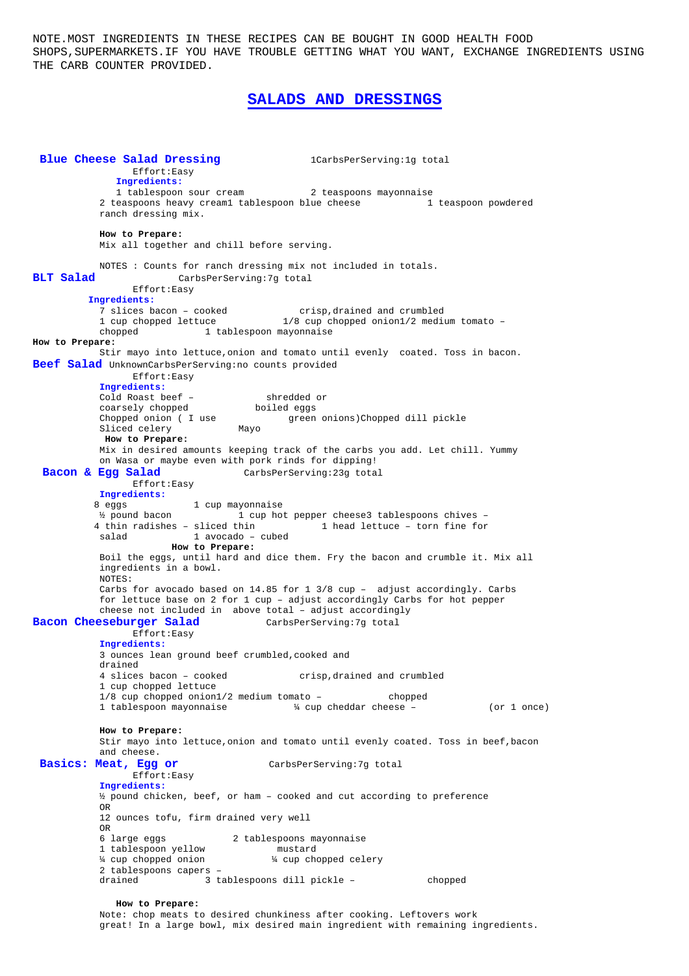NOTE.MOST INGREDIENTS IN THESE RECIPES CAN BE BOUGHT IN GOOD HEALTH FOOD SHOPS,SUPERMARKETS.IF YOU HAVE TROUBLE GETTING WHAT YOU WANT, EXCHANGE INGREDIENTS USING THE CARB COUNTER PROVIDED.

## **SALADS AND DRESSINGS**

**Blue Cheese Salad Dressing** 1CarbsPerServing:1g total Effort:Easy **Ingredients:**  1191 editors:<br>1 tablespoon sour cream 2 teaspoons mayonnaise 2 teaspoons heavy cream1 tablespoon blue cheese 1 teaspoon powdered ranch dressing mix.  **How to Prepare:**  Mix all together and chill before serving. NOTES : Counts for ranch dressing mix not included in totals.<br>BLT Salad CarbsPerServing:7q total CarbsPerServing:7g total Effort:Easy **Ingredients:**  7 slices bacon – cooked crisp,drained and crumbled 1 cup chopped lettuce 1/8 cup chopped onion1/2 medium tomato – chopped 1 tablespoon mayonnaise **How to Prepare:**  Stir mayo into lettuce,onion and tomato until evenly coated. Toss in bacon. **Beef Salad** UnknownCarbsPerServing:no counts provided Effort:Easy **Ingredients:**  Cold Roast beef – shredded or coarsely chopped boiled eggs Chopped onion ( I use green onions)Chopped dill pickle Sliced celery Mayo  **How to Prepare:**  Mix in desired amounts keeping track of the carbs you add. Let chill. Yummy on Wasa or maybe even with pork rinds for dipping! Bacon & Egg Salad CarbsPerServing: 23g total Effort:Easy **Ingredients:**  1 cup mayonnaise ½ pound bacon 1 cup hot pepper cheese3 tablespoons chives – 4 the radio radio radio radio radio radio radio radio radio radio radio radio radio radio radio radio radio radio radio radio radio radio radio radio radio radio radio radio radio radio radio radio radio radio radio radio salad 1 avocado - cubed **How to Prepare:**  Boil the eggs, until hard and dice them. Fry the bacon and crumble it. Mix all ingredients in a bowl. NOTES: Carbs for avocado based on 14.85 for 1 3/8 cup – adjust accordingly. Carbs for lettuce base on 2 for 1 cup – adjust accordingly Carbs for hot pepper cheese not included in above total – adjust accordingly Bacon Cheeseburger Salad CarbsPerServing: 7g total Effort:Easy **Ingredients:**  3 ounces lean ground beef crumbled,cooked and drained<br>4 slices bacon - cooked crisp,drained and crumbled 1 cup chopped lettuce 1/8 cup chopped onion1/2 medium tomato – chopped 1 tablespoon mayonnaise ¼ cup cheddar cheese – (or 1 once) **How to Prepare:**  Stir mayo into lettuce,onion and tomato until evenly coated. Toss in beef,bacon and cheese. Basics: Meat, Egg or **CarbsPerServing:7g total**  Effort:Easy **Ingredients:**  ½ pound chicken, beef, or ham – cooked and cut according to preference OR 12 ounces tofu, firm drained very well **OR** OR 6 large eggs 2 tablespoons mayonnaise 1 tablespoon yellow mustard ¼ cup chopped onion ¼ cup chopped celery 2 tablespoons capers – drained 3 tablespoons dill pickle – chopped

**How to Prepare:** 

 Note: chop meats to desired chunkiness after cooking. Leftovers work great! In a large bowl, mix desired main ingredient with remaining ingredients.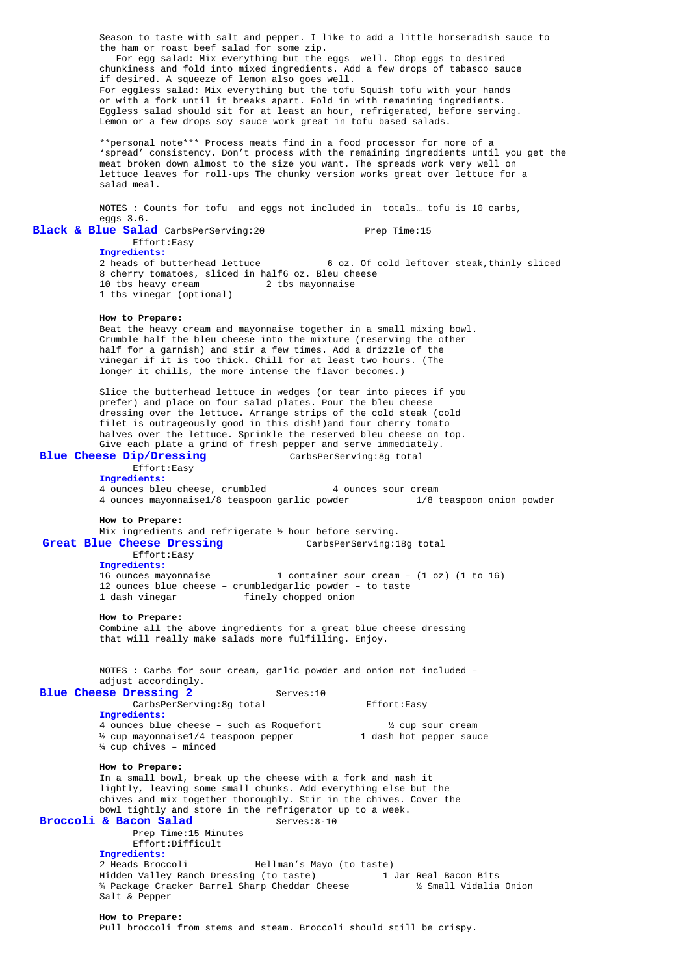Season to taste with salt and pepper. I like to add a little horseradish sauce to the ham or roast beef salad for some zip. For egg salad: Mix everything but the eggs well. Chop eggs to desired chunkiness and fold into mixed ingredients. Add a few drops of tabasco sauce if desired. A squeeze of lemon also goes well. For eggless salad: Mix everything but the tofu Squish tofu with your hands or with a fork until it breaks apart. Fold in with remaining ingredients. Eggless salad should sit for at least an hour, refrigerated, before serving. Lemon or a few drops soy sauce work great in tofu based salads. \*\*personal note\*\*\* Process meats find in a food processor for more of a 'spread' consistency. Don't process with the remaining ingredients until you get the meat broken down almost to the size you want. The spreads work very well on lettuce leaves for roll-ups The chunky version works great over lettuce for a salad meal. NOTES : Counts for tofu and eggs not included in totals… tofu is 10 carbs, eggs 3.6. **Black & Blue Salad** CarbsPerServing:20 Prep Time:15 Effort:Easy **Ingredients:**  2 heads of butterhead lettuce 6 oz. Of cold leftover steak,thinly sliced 8 cherry tomatoes, sliced in half6 oz. Bleu cheese 10 tbs heavy cream 2 tbs mayonnaise 1 tbs vinegar (optional)  **How to Prepare:**  Beat the heavy cream and mayonnaise together in a small mixing bowl. Crumble half the bleu cheese into the mixture (reserving the other half for a garnish) and stir a few times. Add a drizzle of the vinegar if it is too thick. Chill for at least two hours. (The longer it chills, the more intense the flavor becomes.) Slice the butterhead lettuce in wedges (or tear into pieces if you prefer) and place on four salad plates. Pour the bleu cheese dressing over the lettuce. Arrange strips of the cold steak (cold filet is outrageously good in this dish!)and four cherry tomato halves over the lettuce. Sprinkle the reserved bleu cheese on top. Give each plate a grind of fresh pepper and serve immediately. **Blue Cheese Dip/Dressing** CarbsPerServing:8g total Effort:Easy **Ingredients:**  4 ounces bleu cheese, crumbled 4 ounces sour cream 4 ounces mayonnaise1/8 teaspoon garlic powder 1/8 teaspoon onion powder  **How to Prepare:**  Mix ingredients and refrigerate ½ hour before serving. Great Blue Cheese Dressing<br>
CarbsPerServing:18g total Effort:Easy **Ingredients:**  1 container sour cream –  $(1 \text{ oz})$   $(1 \text{ to } 16)$  12 ounces blue cheese – crumbledgarlic powder – to taste 1 dash vinegar finely chopped onion  **How to Prepare:**  Combine all the above ingredients for a great blue cheese dressing that will really make salads more fulfilling. Enjoy. NOTES : Carbs for sour cream, garlic powder and onion not included – adjust accordingly. **Blue Cheese Dressing 2** Serves:10 CarbsPerServing:8g total Effort:Easy **Ingredients:**  4 ounces blue cheese – such as Roquefort ½ cup sour cream ½ cup mayonnaise1/4 teaspoon pepper 1 dash hot pepper sauce ¼ cup chives – minced  **How to Prepare:**  In a small bowl, break up the cheese with a fork and mash it lightly, leaving some small chunks. Add everything else but the chives and mix together thoroughly. Stir in the chives. Cover the bowl tightly and store in the refrigerator up to a week. **Broccoli & Bacon Salad** Serves: 8-10 Prep Time:15 Minutes Effort:Difficult **Ingredients:**  2 Heads Broccoli Hellman's Mayo (to taste) Hidden Valley Ranch Dressing (to taste) 1 Jar Real Bacon Bits ¾ Package Cracker Barrel Sharp Cheddar Cheese ½ Small Vidalia Onion Salt & Pepper **How to Prepare:**  Pull broccoli from stems and steam. Broccoli should still be crispy.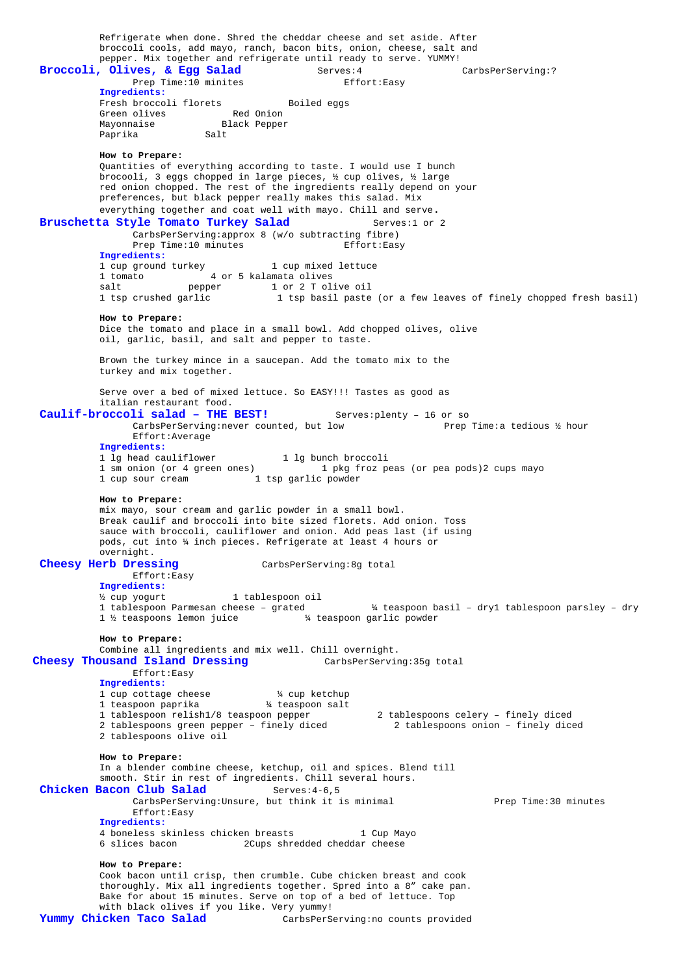Refrigerate when done. Shred the cheddar cheese and set aside. After broccoli cools, add mayo, ranch, bacon bits, onion, cheese, salt and pepper. Mix together and refrigerate until ready to serve. YUMMY! Broccoli, Olives, & Egg Salad Serves:4 CarbsPerServing:? Prep Time:10 minites example and Effort:Easy  **Ingredients:**  Fresh broccoli florets boiled eggs Green olives and Red Onion Mayonnaise Black Pepper ener<br>Mayonnaise Bl<br>Paprika Salt **How to Prepare:**  Quantities of everything according to taste. I would use I bunch brocooli, 3 eggs chopped in large pieces, ½ cup olives, ½ large red onion chopped. The rest of the ingredients really depend on your preferences, but black pepper really makes this salad. Mix everything together and coat well with mayo. Chill and serve. Bruschetta Style Tomato Turkey Salad Serves:1 or 2 CarbsPerServing:approx 8 (w/o subtracting fibre) Prep Time:10 minutes Effort:Easy **Ingredients:**  1 cup ground turkey 1 cup mixed lettuce 1 tomato 4 or 5 kalamata olives salt pepper 1 or 2 T olive oil 1 tsp crushed garlic 1 tsp basil paste (or a few leaves of finely chopped fresh basil)  **How to Prepare:**  Dice the tomato and place in a small bowl. Add chopped olives, olive oil, garlic, basil, and salt and pepper to taste. Brown the turkey mince in a saucepan. Add the tomato mix to the turkey and mix together. Serve over a bed of mixed lettuce. So EASY!!! Tastes as good as italian restaurant food. Caulif-broccoli salad - THE BEST! Serves: plenty - 16 or so CarbsPerServing:never counted, but low Prep Time:a tedious  $\frac{1}{2}$  hour Effort:Average **Ingredients:**  1 lg head cauliflower 1 lg bunch broccoli 1 sm onion (or 4 green ones) 1 pkg froz peas (or pea pods)2 cups mayo 1 cup sour cream 1 tsp garlic powder **How to Prepare:**  mix mayo, sour cream and garlic powder in a small bowl. Break caulif and broccoli into bite sized florets. Add onion. Toss sauce with broccoli, cauliflower and onion. Add peas last (if using pods, cut into ¼ inch pieces. Refrigerate at least 4 hours or overnight. **Cheesy Herb Dressing** CarbsPerServing: 8g total Effort:Easy **Ingredients:**  ½ cup yogurt 1 tablespoon oil 1 tablespoon Parmesan cheese – grated  $\frac{1}{4}$  teaspoon basil – dryl tablespoon parsley – dry<br>1 ½ teaspoon 4 teaspoon qarlic powder  $1 \frac{1}{2}$  teaspoons lemon juice **How to Prepare:**  Combine all ingredients and mix well. Chill overnight. **Cheesy Thousand Island Dressing** CarbsPerServing:35g total Effort:Easy<br> **Ingredients: Ingredients:**  1 cup cottage cheese ¼ cup ketchup 1 teaspoon paprika ¼ teaspoon salt 1 tablespoon relish1/8 teaspoon pepper 2 tablespoons celery – finely diced 2 tablespoons green pepper – finely diced 2 tablespoons onion – finely diced 2 tablespoons olive oil  **How to Prepare:**  In a blender combine cheese, ketchup, oil and spices. Blend till smooth. Stir in rest of ingredients. Chill several hours. **Chicken Bacon Club Salad** Serves: 4-6, 5 CarbsPerServing:Unsure, but think it is minimal Prep Time:30 minutes Effort:Easy  **Ingredients:**  4 boneless skinless chicken breasts 1 Cup Mayo 6 slices bacon 2Cups shredded cheddar cheese  **How to Prepare:**  Cook bacon until crisp, then crumble. Cube chicken breast and cook thoroughly. Mix all ingredients together. Spred into a 8" cake pan. Bake for about 15 minutes. Serve on top of a bed of lettuce. Top with black olives if you like. Very yummy! Yummy Chicken Taco Salad CarbsPerServing:no counts provided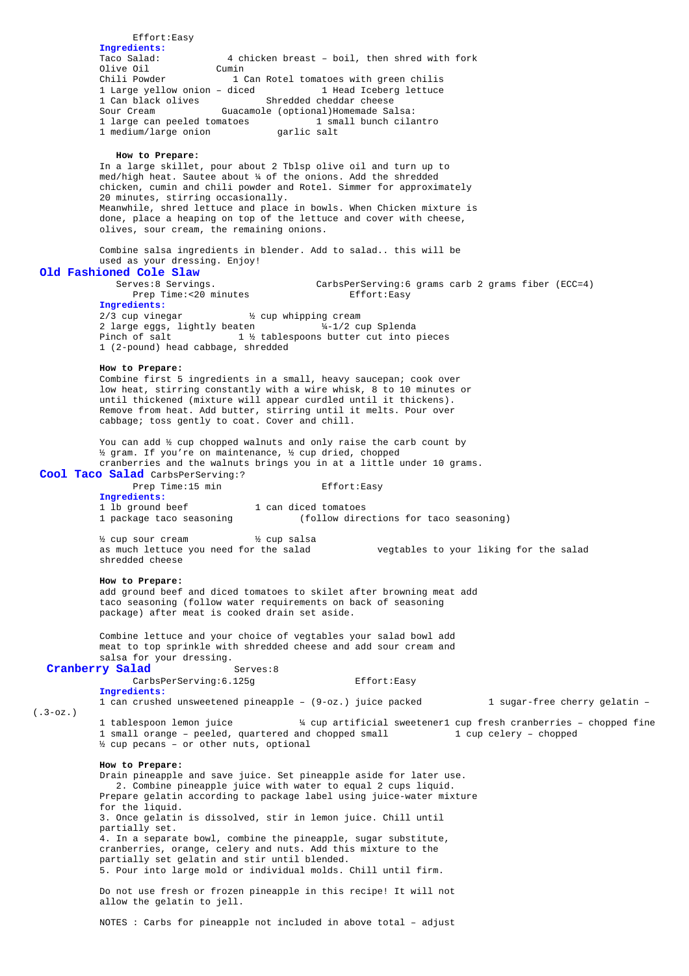Effort:Easy  **Ingredients:**  4 chicken breast – boil, then shred with fork<br>Cumin Olive Oil Cumin<br>Chili Powder 1 Can Rotel tomatoes with green chilis Chili Powder 1 Can Rotel tomatoes with green chilis 1 Large yellow onion – diced 1 Head Iceberg lettuce 1 Can black olives Shredded cheddar cheese Sour Cream Guacamole (optional)Homemade Salsa: 1 large can peeled tomatoes 1 small bunch cilantro 1 medium/large onion garlic salt  **How to Prepare:**  In a large skillet, pour about 2 Tblsp olive oil and turn up to med/high heat. Sautee about ¼ of the onions. Add the shredded chicken, cumin and chili powder and Rotel. Simmer for approximately 20 minutes, stirring occasionally. Meanwhile, shred lettuce and place in bowls. When Chicken mixture is done, place a heaping on top of the lettuce and cover with cheese, olives, sour cream, the remaining onions. Combine salsa ingredients in blender. Add to salad.. this will be used as your dressing. Enjoy! **Old Fashioned Cole Slaw**  Serves:8 Servings. CarbsPerServing:6 grams carb 2 grams fiber (ECC=4) Prep Time:<20 minutes Effort:Easy **Ingredients:**   $\frac{1}{2}$  cup whipping cream 2 large eggs, lightly beaten ¼-1/2 cup Splenda Pinch of salt 1 ½ tablespoons butter cut into pieces 1 (2-pound) head cabbage, shredded  **How to Prepare:**  Combine first 5 ingredients in a small, heavy saucepan; cook over low heat, stirring constantly with a wire whisk, 8 to 10 minutes or until thickened (mixture will appear curdled until it thickens). Remove from heat. Add butter, stirring until it melts. Pour over cabbage; toss gently to coat. Cover and chill. You can add ½ cup chopped walnuts and only raise the carb count by ½ gram. If you're on maintenance, ½ cup dried, chopped cranberries and the walnuts brings you in at a little under 10 grams. **Cool Taco Salad** CarbsPerServing:? Prep Time:15 min Effort:Easy **Ingredients:**  1 lb ground beef 1 can diced tomatoes 1 package taco seasoning (follow directions for taco seasoning) ½ cup sour cream ½ cup salsa as much lettuce you need for the salad vegtables to your liking for the salad shredded cheese  **How to Prepare:**  add ground beef and diced tomatoes to skilet after browning meat add taco seasoning (follow water requirements on back of seasoning package) after meat is cooked drain set aside. Combine lettuce and your choice of vegtables your salad bowl add meat to top sprinkle with shredded cheese and add sour cream and salsa for your dressing. **Cranberry Salad** Serves:8 CarbsPerServing:6.125g Effort:Easy  **Ingredients:**  1 can crushed unsweetened pineapple – (9-oz.) juice packed 1 sugar-free cherry gelatin –  $(3-0z.)$  1 tablespoon lemon juice ¼ cup artificial sweetener1 cup fresh cranberries – chopped fine 1 small orange – peeled, quartered and chopped small 1 cup celery – chopped ½ cup pecans – or other nuts, optional **How to Prepare:**  Drain pineapple and save juice. Set pineapple aside for later use. 2. Combine pineapple juice with water to equal 2 cups liquid. Prepare gelatin according to package label using juice-water mixture for the liquid. 3. Once gelatin is dissolved, stir in lemon juice. Chill until partially set. 4. In a separate bowl, combine the pineapple, sugar substitute, cranberries, orange, celery and nuts. Add this mixture to the partially set gelatin and stir until blended. 5. Pour into large mold or individual molds. Chill until firm. Do not use fresh or frozen pineapple in this recipe! It will not allow the gelatin to jell.

NOTES : Carbs for pineapple not included in above total – adjust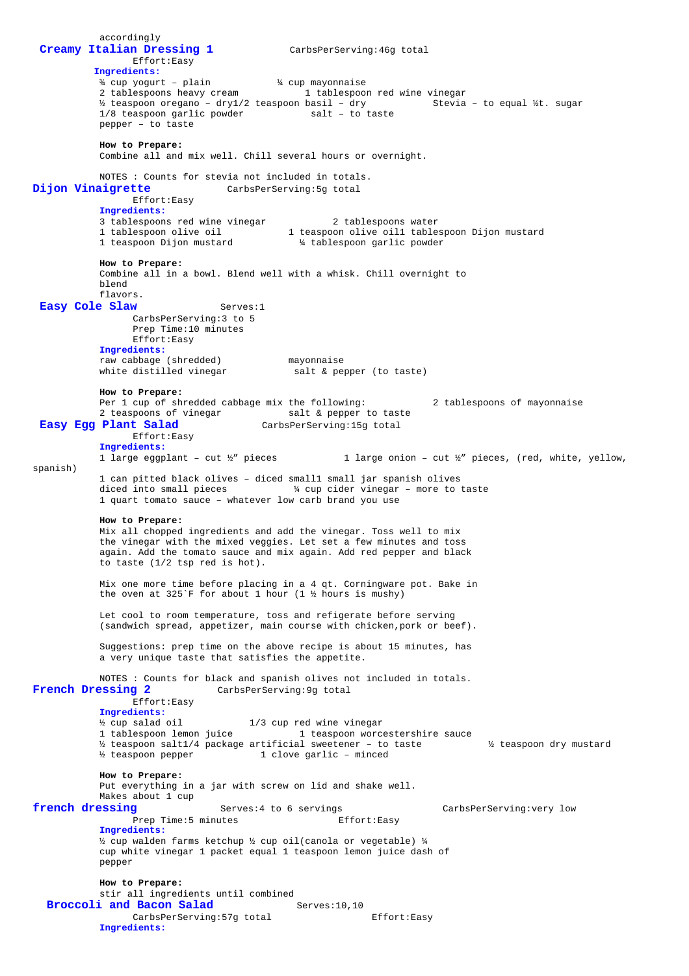accordingly Creamy Italian Dressing 1 CarbsPerServing: 46g total Effort:Easy  **Ingredients:**  ¾ cup yogurt – plain ¼ cup mayonnaise 2 tablespoons heavy cream 1 tablespoon red wine vinegar  $\frac{1}{2}$  teaspoon oregano – dry1/2 teaspoon basil – dry Stevia – to equal  $\frac{1}{8}$ teaspoon qarlic powder salt – to taste  $1/8$  teaspoon garlic powder pepper – to taste  **How to Prepare:**  Combine all and mix well. Chill several hours or overnight. NOTES : Counts for stevia not included in totals. Dijon Vinaigrette CarbsPerServing:5g total Effort:Easy  **Ingredients:**  3 tablespoons red wine vinegar 2 tablespoons water 1 tablespoon olive oil 1 teaspoon olive oil1 tablespoon Dijon mustard 1 teaspoon Dijon mustard ¼ tablespoon garlic powder **How to Prepare:**  Combine all in a bowl. Blend well with a whisk. Chill overnight to blend flavors. **Easy Cole Slaw** Serves:1 CarbsPerServing:3 to 5 Prep Time:10 minutes  $Fffort:Facev$  **Ingredients:**  raw cabbage (shredded) mayonnaise white distilled vinegar salt & pepper (to taste)  **How to Prepare:**  Per 1 cup of shredded cabbage mix the following: 2 tablespoons of mayonnaise 2 teaspoons of vinegar salt & pepper to taste **Easy Egg Plant Salad** CarbsPerServing:15g total Effort:Easy  **Ingredients:**  1 large eggplant – cut ½" pieces 1 large onion – cut ½" pieces, (red, white, yellow, spanish) 1 can pitted black olives – diced small1 small jar spanish olives diced into small pieces  $\frac{1}{4}$  cup cider vinegar – more to taste 1 quart tomato sauce – whatever low carb brand you use **How to Prepare:**  Mix all chopped ingredients and add the vinegar. Toss well to mix the vinegar with the mixed veggies. Let set a few minutes and toss again. Add the tomato sauce and mix again. Add red pepper and black to taste (1/2 tsp red is hot). Mix one more time before placing in a 4 qt. Corningware pot. Bake in the oven at  $325$ `F for about 1 hour (1 % hours is mushy) Let cool to room temperature, toss and refigerate before serving (sandwich spread, appetizer, main course with chicken,pork or beef). Suggestions: prep time on the above recipe is about 15 minutes, has a very unique taste that satisfies the appetite. NOTES : Counts for black and spanish olives not included in totals. French Dressing 2 CarbsPerServing: 9g total Effort:Easy  **Ingredients:**  ½ cup salad oil 1/3 cup red wine vinegar 1 tablespoon lemon juice 1 teaspoon worcestershire sauce ½ teaspoon salt1/4 package artificial sweetener – to taste ½ teaspoon dry mustard ½ teaspoon pepper 1 clove garlic – minced  **How to Prepare:**  Put everything in a jar with screw on lid and shake well. Makes about 1 cup<br>french dressing **frach Serves:4** to 6 servings **frach derive CarbsPerServing:very low**<br>Effort:Easy Prep Time:5 minutes **Ingredients:**  ½ cup walden farms ketchup ½ cup oil(canola or vegetable) ¼ cup white vinegar 1 packet equal 1 teaspoon lemon juice dash of pepper  **How to Prepare:**  stir all ingredients until combined **Broccoli and Bacon Salad** Serves:10,10 CarbsPerServing:57g total Effort:Easy **Ingredients:**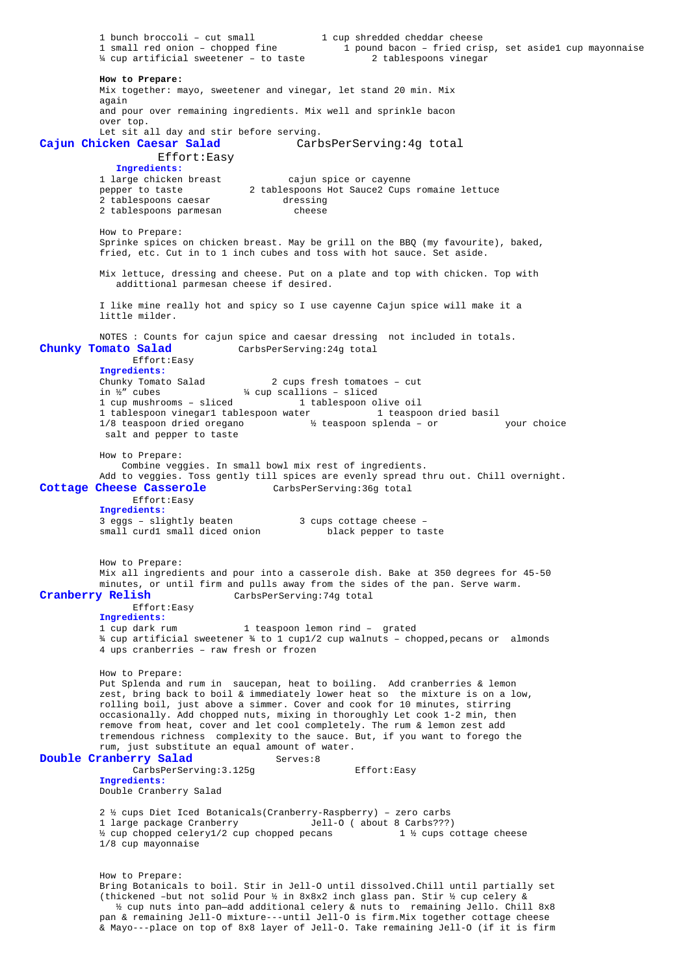```
 1 bunch broccoli – cut small 1 cup shredded cheddar cheese 
 1 small red onion – chopped fine 1 pound bacon – fried crisp, set aside1 cup mayonnaise 
 ¼ cup artificial sweetener – to taste 2 tablespoons vinegar 
           How to Prepare: 
           Mix together: mayo, sweetener and vinegar, let stand 20 min. Mix 
            again 
            and pour over remaining ingredients. Mix well and sprinkle bacon 
            over top. 
            Let sit all day and stir before serving. 
Cajun Chicken Caesar Salad CarbsPerServing:4g total 
                     Effort:Easy 
           Ingredients: 
 1 large chicken breast cajun spice or cayenne 
 pepper to taste 2 tablespoons Hot Sauce2 Cups romaine lettuce 
2 tablespoons caesar b dressing
2 tablespoons parmesan between the cheese
            How to Prepare: 
            Sprinke spices on chicken breast. May be grill on the BBQ (my favourite), baked, 
            fried, etc. Cut in to 1 inch cubes and toss with hot sauce. Set aside. 
           Mix lettuce, dressing and cheese. Put on a plate and top with chicken. Top with 
              addittional parmesan cheese if desired. 
            I like mine really hot and spicy so I use cayenne Cajun spice will make it a 
           little milder. 
           NOTES : Counts for cajun spice and caesar dressing not included in totals. 
Chunky Tomato Salad CarbsPerServing: 24g total
                 Effort:Easy 
           Ingredients: 
 Chunky Tomato Salad 2 cups fresh tomatoes – cut 
 in ½" cubes ¼ cup scallions – sliced 
 1 cup mushrooms – sliced 1 tablespoon olive oil 
           1 tablespoon vinegar1 tablespoon water 1 teaspoon dried basil<br>1/8 teaspoon dried oregano 1 teaspoon splenda - or 1 teaspoon vour choice
           1/8 teaspoon dried oregano \frac{1}{2} teaspoon splenda – or
            salt and pepper to taste 
            How to Prepare: 
              Combine veggies. In small bowl mix rest of ingredients. 
            Add to veggies. Toss gently till spices are evenly spread thru out. Chill overnight. 
Cottage Cheese Casserole CarbsPerServing: 36g total
                 Effort:Easy 
            Ingredients: 
 3 eggs – slightly beaten 3 cups cottage cheese – 
 small curd1 small diced onion black pepper to taste 
            How to Prepare: 
            Mix all ingredients and pour into a casserole dish. Bake at 350 degrees for 45-50 
           minutes, or until firm and pulls away from the sides of the pan. Serve warm. 
Cranberry Relish CarbsPerServing:74g total
                 Effort:Easy 
            Ingredients: 
                         1 teaspoon lemon rind - grated
            ¾ cup artificial sweetener ¾ to 1 cup1/2 cup walnuts – chopped,pecans or almonds 
            4 ups cranberries – raw fresh or frozen 
            How to Prepare: 
            Put Splenda and rum in saucepan, heat to boiling. Add cranberries & lemon 
            zest, bring back to boil & immediately lower heat so the mixture is on a low, 
            rolling boil, just above a simmer. Cover and cook for 10 minutes, stirring 
            occasionally. Add chopped nuts, mixing in thoroughly Let cook 1-2 min, then 
            remove from heat, cover and let cool completely. The rum & lemon zest add 
            tremendous richness complexity to the sauce. But, if you want to forego the 
            rum, just substitute an equal amount of water. 
Double Cranberry Salad Serves:8
                CarbsPerServing:3.125g Effort:Easy
            Ingredients: 
           Double Cranberry Salad 
            2 ½ cups Diet Iced Botanicals(Cranberry-Raspberry) – zero carbs 
           1 large package Cranberry
            ½ cup chopped celery1/2 cup chopped pecans 1 ½ cups cottage cheese 
            1/8 cup mayonnaise 
           How to Prepare: 
            Bring Botanicals to boil. Stir in Jell-O until dissolved.Chill until partially set 
            (thickened –but not solid Pour ½ in 8x8x2 inch glass pan. Stir ½ cup celery & 
              ½ cup nuts into pan—add additional celery & nuts to remaining Jello. Chill 8x8 
            pan & remaining Jell-O mixture---until Jell-O is firm.Mix together cottage cheese 
            & Mayo---place on top of 8x8 layer of Jell-O. Take remaining Jell-O (if it is firm
```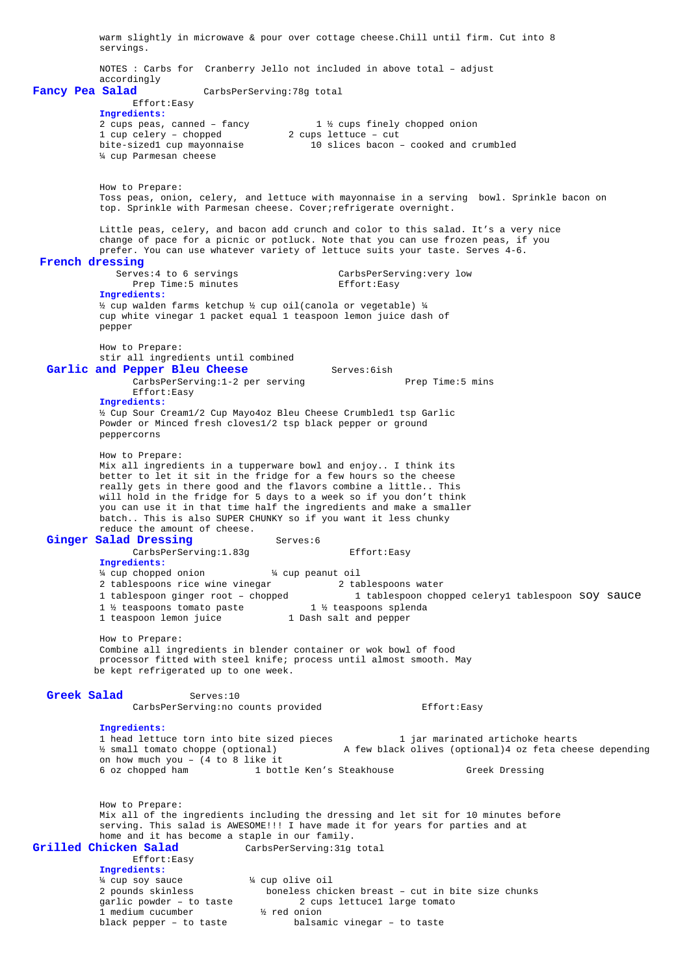warm slightly in microwave & pour over cottage cheese.Chill until firm. Cut into 8 servings. NOTES : Carbs for Cranberry Jello not included in above total – adjust accordingly Fancy Pea Salad CarbsPerServing:78g total Effort:Easy **Ingredients:**  2 cups peas, canned – fancy 1 ½ cups finely chopped onion 1 cup celery – chopped 2 cups lettuce – cut bite-sized1 cup mayonnaise 10 slices bacon – cooked and crumbled ¼ cup Parmesan cheese How to Prepare: Toss peas, onion, celery, and lettuce with mayonnaise in a serving bowl. Sprinkle bacon on top. Sprinkle with Parmesan cheese. Cover; refrigerate overnight. Little peas, celery, and bacon add crunch and color to this salad. It's a very nice change of pace for a picnic or potluck. Note that you can use frozen peas, if you prefer. You can use whatever variety of lettuce suits your taste. Serves 4-6. **French dressing**  Serves:4 to 6 servings CarbsPerServing:very low Prep Time:5 minutes Effort:Easy **Ingredients:**  ½ cup walden farms ketchup ½ cup oil(canola or vegetable) ¼ cup white vinegar 1 packet equal 1 teaspoon lemon juice dash of pepper How to Prepare: stir all ingredients until combined Garlic and Pepper Bleu Cheese Serves:6ish CarbsPerServing:1-2 per serving Prep Time:5 mins Effort:Easy **Ingredients:**  ½ Cup Sour Cream1/2 Cup Mayo4oz Bleu Cheese Crumbled1 tsp Garlic Powder or Minced fresh cloves1/2 tsp black pepper or ground peppercorns How to Prepare: Mix all ingredients in a tupperware bowl and enjoy.. I think its better to let it sit in the fridge for a few hours so the cheese really gets in there good and the flavors combine a little.. This will hold in the fridge for 5 days to a week so if you don't think you can use it in that time half the ingredients and make a smaller batch.. This is also SUPER CHUNKY so if you want it less chunky reduce the amount of cheese. Ginger Salad Dressing Serves:6 CarbsPerServing:1.83g Effort:Easy **Ingredients:**  Ingredients:<br>  $\frac{1}{4}$  cup chopped onion<br>  $\frac{1}{4}$  cup peanut oil<br>  $\frac{1}{2}$ 2 tablespoons rice wine vinegar 2 tablespoons water 1 tablespoon ginger root – chopped 1 tablespoon chopped celery1 tablespoon soy sauce 1 ½ teaspoons tomato paste 1 ½ teaspoons splenda 1 teaspoon lemon juice 1 Dash salt and pepper How to Prepare: Combine all ingredients in blender container or wok bowl of food processor fitted with steel knife; process until almost smooth. May be kept refrigerated up to one week. Greek Salad Serves:10 CarbsPerServing:no counts provided examples and Effort:Easy **Ingredients:**  1 head lettuce torn into bite sized pieces 1 jar marinated artichoke hearts<br>  $\frac{1}{2}$  small tomato choppe (optional) 2 A few black olives (optional) 4 oz feta cheen A few black olives (optional) 4 oz feta cheese depending on how much you -  $(4 \text{ to } 8 \text{ like it})$ <br>6 oz chopped ham 1 bot 1 bottle Ken's Steakhouse Greek Dressing How to Prepare: Mix all of the ingredients including the dressing and let sit for 10 minutes before serving. This salad is AWESOME!!! I have made it for years for parties and at home and it has become a staple in our family. Grilled Chicken Salad CarbsPerServing:31g total Effort:Easy<br> **Ingredients: Ingredients:**  ¼ cup soy sauce ¼ cup olive oil 2 pounds skinless boneless chicken breast – cut in bite size chunks 2 cups lettuce1 large tomato 1 medium cucumber ½ red onion black pepper – to taste balsamic vinegar – to taste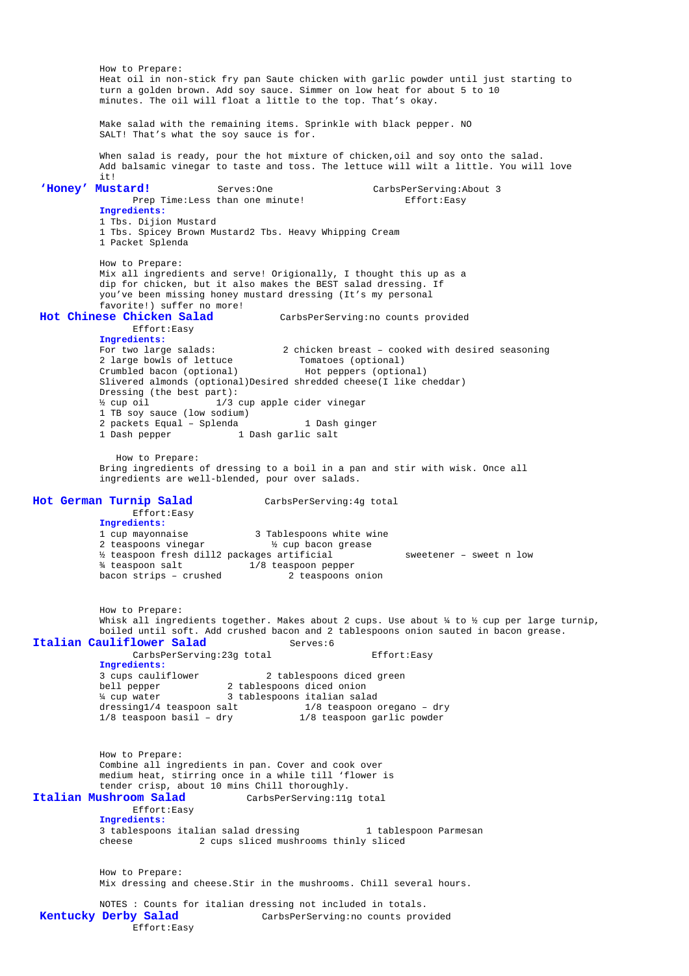How to Prepare: Heat oil in non-stick fry pan Saute chicken with garlic powder until just starting to turn a golden brown. Add soy sauce. Simmer on low heat for about 5 to 10 minutes. The oil will float a little to the top. That's okay. Make salad with the remaining items. Sprinkle with black pepper. NO SALT! That's what the soy sauce is for. When salad is ready, pour the hot mixture of chicken,oil and soy onto the salad. Add balsamic vinegar to taste and toss. The lettuce will wilt a little. You will love  $i + 1$ **'Honey' Mustard!** Serves: One CarbsPerServing: About 3 Prep Time: Less than one minute! Effort: Easy **Ingredients:**  1 Tbs. Dijion Mustard 1 Tbs. Spicey Brown Mustard2 Tbs. Heavy Whipping Cream 1 Packet Splenda How to Prepare: Mix all ingredients and serve! Origionally, I thought this up as a dip for chicken, but it also makes the BEST salad dressing. If you've been missing honey mustard dressing (It's my personal favorite!) suffer no more! Hot Chinese Chicken Salad CarbsPerServing:no counts provided Effort:Easy **Ingredients:**<br>For two large salads: 2 chicken breast - cooked with desired seasoning 2 large bowls of lettuce Tomatoes (optional) Crumbled bacon (optional) Hot peppers (optional) Slivered almonds (optional)Desired shredded cheese(I like cheddar) Dressing (the best part):<br> $\frac{1}{2}$  cup oil  $\frac{1}{3}$  c 1/3 cup apple cider vinegar 1 TB soy sauce (low sodium) 2 packets Equal – Splenda 1 Dash ginger 1 Dash pepper 1 Dash garlic salt How to Prepare: Bring ingredients of dressing to a boil in a pan and stir with wisk. Once all ingredients are well-blended, pour over salads. Hot German Turnip Salad CarbsPerServing: 4g total Effort:Easy<br> **Ingredients: Ingredients:**  1 cup mayonnaise 3 Tablespoons white wine 2 teaspoons vinegar ½ cup bacon grease ½ teaspoon fresh dill2 packages artificial sweetener – sweet n low ¾ teaspoon salt 1/8 teaspoon pepper bacon strips - crushed 2 teaspoons onion How to Prepare: Whisk all ingredients together. Makes about 2 cups. Use about ¼ to ½ cup per large turnip, boiled until soft. Add crushed bacon and 2 tablespoons onion sauted in bacon grease. **Italian Cauliflower Salad** Serves:6 CarbsPerServing:23g total Effort:Easy **Ingredients:**  2 tablespoons diced green bell pepper 2 tablespoons diced onion ¼ cup water 3 tablespoons italian salad dressing1/4 teaspoon salt 1/8 teaspoon oregano – dry  $1/8$  teaspoon basil - dry  $1/8$  teaspoon garlic powder How to Prepare: Combine all ingredients in pan. Cover and cook over medium heat, stirring once in a while till 'flower is tender crisp, about 10 mins Chill thoroughly. **Italian Mushroom Salad** CarbsPerServing:11g total Effort:Easy **Ingredients:**  3 tablespoons italian salad dressing 1 tablespoon Parmesan cheese 2 cups sliced mushrooms thinly sliced How to Prepare: Mix dressing and cheese.Stir in the mushrooms. Chill several hours. NOTES : Counts for italian dressing not included in totals. **Kentucky Derby Salad** CarbsPerServing:no counts provided Effort:Easy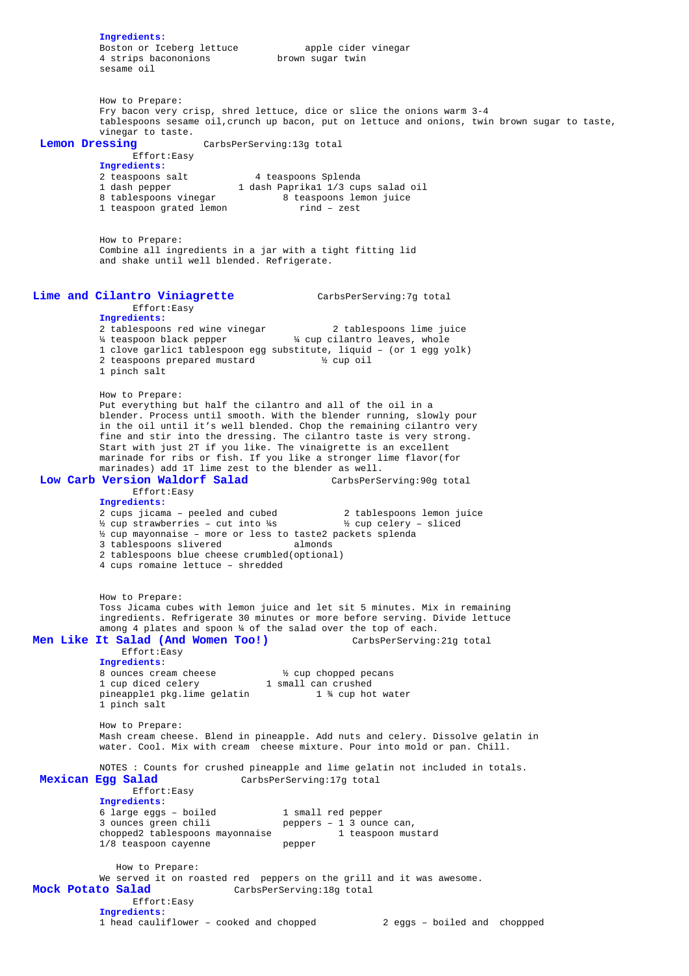**Ingredients:**  Boston or Iceberg lettuce apple cider vinegar 4 strips bacononions brown sugar twin sesame oil How to Prepare: Fry bacon very crisp, shred lettuce, dice or slice the onions warm 3-4 tablespoons sesame oil,crunch up bacon, put on lettuce and onions, twin brown sugar to taste, vinegar to taste. **Lemon Dressing** CarbsPerServing:13g total Effort:Easy  **Ingredients:**  2 teaspoons salt 4 teaspoons Splenda 1 dash pepper 1 dash Paprikal 1/3 cups salad oil<br>8 tablespoons vinegar 8 teaspoons lemon juice 8 teaspoons lemon juice<br>rind - zest 1 teaspoon grated lemon How to Prepare: Combine all ingredients in a jar with a tight fitting lid and shake until well blended. Refrigerate. **Lime and Cilantro Viniagrette** CarbsPerServing:7g total Effort:Easy<br> **Ingredients: Ingredients:**  2 tablespoons red wine vinegar 2 tablespoons lime juice ¼ teaspoon black pepper ¼ cup cilantro leaves, whole 1 clove garlic1 tablespoon egg substitute, liquid - (or 1 egg yolk)<br>2 teaspoons prepared mustard  $\frac{1}{2}$  cup oil 2 teaspoons prepared mustard 1 pinch salt How to Prepare: Put everything but half the cilantro and all of the oil in a blender. Process until smooth. With the blender running, slowly pour in the oil until it's well blended. Chop the remaining cilantro very fine and stir into the dressing. The cilantro taste is very strong. Start with just 2T if you like. The vinaigrette is an excellent marinade for ribs or fish. If you like a stronger lime flavor(for marinades) add 1T lime zest to the blender as well. **Low Carb Version Waldorf Salad** CarbsPerServing:90g total Effort:Easy **Ingredients:**  2 cups jicama – peeled and cubed 2 tablespoons lemon juice ½ cup strawberries – cut into ¼s ½ cup celery – sliced ½ cup mayonnaise – more or less to taste2 packets splenda 3 tablespoons slivered almonds 2 tablespoons blue cheese crumbled(optional) 4 cups romaine lettuce – shredded How to Prepare: Toss Jicama cubes with lemon juice and let sit 5 minutes. Mix in remaining ingredients. Refrigerate 30 minutes or more before serving. Divide lettuce among 4 plates and spoon ¼ of the salad over the top of each. **Men Like It Salad (And Women Too!)** CarbsPerServing:21g total Effort:Easy  **Ingredients**: 8 ounces cream cheese ½ cup chopped pecans 1 cup diced celery 1 small can crushed pineapple1 pkg.lime gelatin 1 ¾ cup hot water 1 pinch salt How to Prepare: Mash cream cheese. Blend in pineapple. Add nuts and celery. Dissolve gelatin in water. Cool. Mix with cream cheese mixture. Pour into mold or pan. Chill. NOTES : Counts for crushed pineapple and lime gelatin not included in totals. Mexican Egg Salad CarbsPerServing:17g total Effort:Easy  **Ingredients**: 6 large eggs – boiled 1 small red pepper<br>2 superce researchili 3 ounces green chili peppers – 1 3 ounce can, chopped2 tablespoons mayonnaise 1 teaspoon mustard 1/8 teaspoon cayenne pepper How to Prepare: We served it on roasted red peppers on the grill and it was awesome. **Mock Potato Salad** CarbsPerServing:18g total Effort:Easy **Ingredients:**  1 head cauliflower – cooked and chopped 2 eggs – boiled and choppped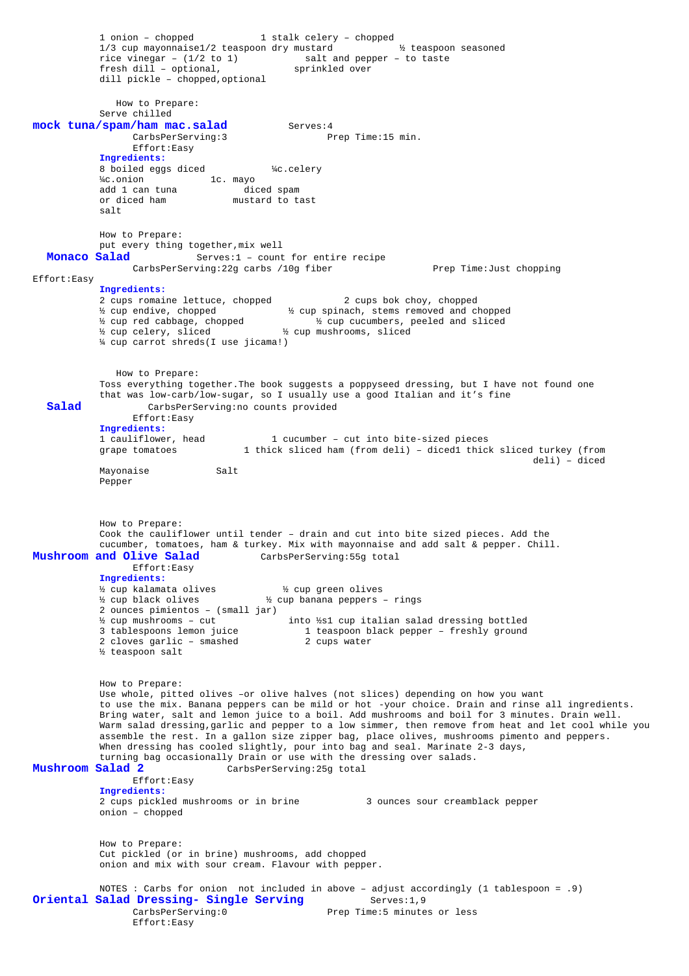```
1 onion – chopped 1 stalk celery – chopped<br>1/3 cup mayonnaise1/2 teaspoon dry mustard \frac{1}{2} teaspoon seasoned
          1/3 cup mayonnaise1/2 teaspoon dry mustard
 rice vinegar – (1/2 to 1) salt and pepper – to taste 
fresh dill - optional, sprinkled over
           dill pickle – chopped,optional 
             How to Prepare: 
           Serve chilled 
mock tuna/spam/ham mac.salad Serves:4<br>CarbsPerServing:3
                                       Prep Time:15 min.
                Effort:Easy 
           Ingredients: 
          8 boiled eggs diced \frac{1}{4}c.celery
           ¼c.onion 1c. mayo 
 add 1 can tuna diced spam 
 or diced ham mustard to tast 
           salt 
           How to Prepare: 
           put every thing together,mix well 
   Monaco Salad Serves:1 – count for entire recipe 
             CarbsPerServing:22g carbs /10g fiber Prep Time:Just chopping
Effort:Easy<br>
Ingredients:
 Ingredients: 
 2 cups romaine lettuce, chopped 2 cups bok choy, chopped 
 ½ cup endive, chopped ½ cup spinach, stems removed and chopped 
 ½ cup red cabbage, chopped ½ cup cucumbers, peeled and sliced 
 ½ cup celery, sliced ½ cup mushrooms, sliced 
           ¼ cup carrot shreds(I use jicama!) 
             How to Prepare: 
           Toss everything together.The book suggests a poppyseed dressing, but I have not found one 
           that was low-carb/low-sugar, so I usually use a good Italian and it's fine 
   Salad CarbsPerServing:no counts provided 
                Effort:Easy 
           Ingredients: 
 1 cauliflower, head 1 cucumber – cut into bite-sized pieces 
 grape tomatoes 1 thick sliced ham (from deli) – diced1 thick sliced turkey (from 
 deli) – diced 
           Mayonaise Salt 
           Pepper 
           How to Prepare: 
           Cook the cauliflower until tender – drain and cut into bite sized pieces. Add the 
           cucumber, tomatoes, ham & turkey. Mix with mayonnaise and add salt & pepper. Chill. 
Mushroom and Olive Salad CarbsPerServing:55g total
                Effort:Easy 
           Ingredients: 
 ½ cup kalamata olives ½ cup green olives 
 ½ cup black olives ½ cup banana peppers – rings 
 2 ounces pimientos – (small jar) 
 ½ cup mushrooms – cut into ½s1 cup italian salad dressing bottled 
 3 tablespoons lemon juice 1 teaspoon black pepper – freshly ground 
2 cloves garlic - smashed 2 cups water
           ½ teaspoon salt 
           How to Prepare: 
           Use whole, pitted olives –or olive halves (not slices) depending on how you want 
           to use the mix. Banana peppers can be mild or hot -your choice. Drain and rinse all ingredients. 
           Bring water, salt and lemon juice to a boil. Add mushrooms and boil for 3 minutes. Drain well. 
           Warm salad dressing,garlic and pepper to a low simmer, then remove from heat and let cool while you 
           assemble the rest. In a gallon size zipper bag, place olives, mushrooms pimento and peppers. 
          When dressing has cooled slightly, pour into bag and seal. Marinate 2-3 days,
           turning bag occasionally Drain or use with the dressing over salads. 
Mushroom Salad 2 CarbsPerServing:25g total 
                Effort:Easy 
           Ingredients: 
           2 cups pickled mushrooms or in brine 3 ounces sour creamblack pepper 
           onion – chopped 
           How to Prepare: 
           Cut pickled (or in brine) mushrooms, add chopped 
           onion and mix with sour cream. Flavour with pepper. 
           NOTES : Carbs for onion not included in above – adjust accordingly (1 tablespoon = .9) 
Oriental Salad Dressing- Single Serving Serves:1,9
               CarbsPerServing:0 Prep Time:5 minutes or less
                Effort:Easy
```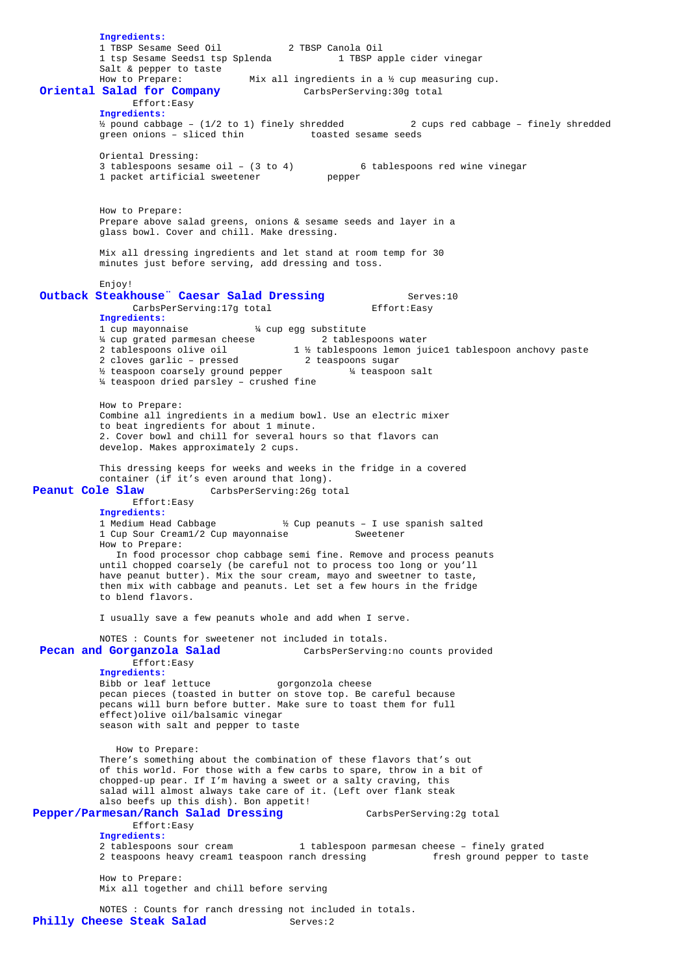**Ingredients:**  1 TBSP Sesame Seed Oil 2 TBSP Canola Oil 1 tsp Sesame Seeds1 tsp Splenda 1 TBSP apple cider vinegar Salt & pepper to taste How to Prepare: Mix all ingredients in a ½ cup measuring cup. **Oriental Salad for Company** CarbsPerServing:30g total Effort:Easy  **Ingredients:**   $\frac{1}{2}$  pound cabbage – (1/2 to 1) finely shredded 2 cups red cabbage – finely shredded green onions – sliced thin toasted sesame seeds  $green onions - sliceed thin$  Oriental Dressing: 3 tablespoons sesame oil – (3 to 4) 6 tablespoons red wine vinegar 1 packet artificial sweetener bepper How to Prepare: Prepare above salad greens, onions & sesame seeds and layer in a glass bowl. Cover and chill. Make dressing. Mix all dressing ingredients and let stand at room temp for 30 minutes just before serving, add dressing and toss. Enjoy! **Outback Steakhouse" Caesar Salad Dressing** Serves:10 CarbsPerServing:17g total Effort:Easy **Ingredients:**  1/4 cup egg substitute ¼ cup grated parmesan cheese 2 tablespoons water 2 tablespoons olive oil 1 ½ tablespoons lemon juice1 tablespoon anchovy paste 2 cloves garlic – pressed 2 teaspoons sugar % teaspoons lemon jui<br>
2 cloves garlic - pressed<br>  $\frac{1}{2}$  teaspoons sugar<br>  $\frac{1}{2}$  teaspoon coarsely ground pepper<br>  $\frac{1}{2}$  teaspoon salt<br>  $\frac{1}{2}$  teaspoon salt ¼ teaspoon dried parsley – crushed fine How to Prepare: Combine all ingredients in a medium bowl. Use an electric mixer to beat ingredients for about 1 minute. 2. Cover bowl and chill for several hours so that flavors can develop. Makes approximately 2 cups. This dressing keeps for weeks and weeks in the fridge in a covered container (if it's even around that long). **Peanut Cole Slaw** CarbsPerServing: 26g total Effort:Easy **Ingredients:**  1 Medium Head Cabbage ½ Cup peanuts – I use spanish salted 1 Cup Sour Cream1/2 Cup mayonnaise Sweetener How to Prepare: In food processor chop cabbage semi fine. Remove and process peanuts until chopped coarsely (be careful not to process too long or you'll have peanut butter). Mix the sour cream, mayo and sweetner to taste, then mix with cabbage and peanuts. Let set a few hours in the fridge to blend flavors. I usually save a few peanuts whole and add when I serve. NOTES : Counts for sweetener not included in totals. Pecan and Gorganzola Salad CarbsPerServing:no counts provided Effort:Easy  **Ingredients:**  Bibb or leaf lettuce gorgonzola cheese pecan pieces (toasted in butter on stove top. Be careful because pecans will burn before butter. Make sure to toast them for full effect)olive oil/balsamic vinegar season with salt and pepper to taste How to Prepare: There's something about the combination of these flavors that's out of this world. For those with a few carbs to spare, throw in a bit of chopped-up pear. If I'm having a sweet or a salty craving, this salad will almost always take care of it. (Left over flank steak also beefs up this dish). Bon appetit! **Pepper/Parmesan/Ranch Salad Dressing CarbsPerServing:2g total**  Effort:Easy  **Ingredients:**  2 tablespoons sour cream 1 tablespoon parmesan cheese - finely grated<br>2 teaspoons heavy creaml teaspoon ranch dressing fresh ground pepper to taste 2 teaspoons heavy cream1 teaspoon ranch dressing How to Prepare: Mix all together and chill before serving NOTES : Counts for ranch dressing not included in totals. **Philly Cheese Steak Salad** Serves:2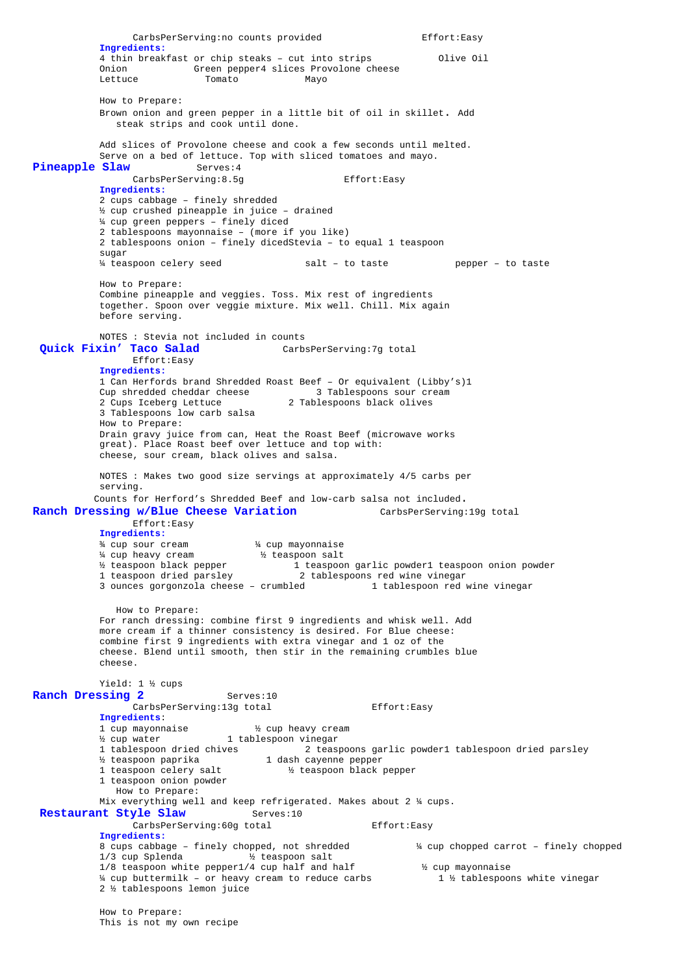CarbsPerServing: no counts provided entitled Effort: Easy  **Ingredients:**  4 thin breakfast or chip steaks – cut into strips 01ive Oil<br>Onion Green pepper4 slices Provolone cheese Green pepper4 slices Provolone cheese Lettuce Tomato Mayo How to Prepare: Brown onion and green pepper in a little bit of oil in skillet. Add steak strips and cook until done. Add slices of Provolone cheese and cook a few seconds until melted. Serve on a bed of lettuce. Top with sliced tomatoes and mayo. **Pineapple Slaw** Serves:4 CarbsPerServing:8.5g Effort:Easy  **Ingredients:**  2 cups cabbage – finely shredded ½ cup crushed pineapple in juice – drained ¼ cup green peppers – finely diced 2 tablespoons mayonnaise – (more if you like) 2 tablespoons onion – finely dicedStevia – to equal 1 teaspoon sugar ¼ teaspoon celery seed salt – to taste pepper – to taste How to Prepare: Combine pineapple and veggies. Toss. Mix rest of ingredients together. Spoon over veggie mixture. Mix well. Chill. Mix again before serving. NOTES : Stevia not included in counts **Quick Fixin' Taco Salad** CarbsPerServing:7g total Effort:Easy  **Ingredients:**  1 Can Herfords brand Shredded Roast Beef – Or equivalent (Libby's)1 Cup shredded cheddar cheese 3 Tablespoons sour cream 2 Cups Iceberg Lettuce 3 Tablespoons low carb salsa How to Prepare: Drain gravy juice from can, Heat the Roast Beef (microwave works great). Place Roast beef over lettuce and top with: cheese, sour cream, black olives and salsa. NOTES : Makes two good size servings at approximately 4/5 carbs per serving. Counts for Herford's Shredded Beef and low-carb salsa not included. **Ranch Dressing w/Blue Cheese Variation** CarbsPerServing:19g total Effort:Easy **Ingredients:**  ¾ cup sour cream ¼ cup mayonnaise ¼ cup heavy cream ½ teaspoon salt ½ teaspoon black pepper 1 teaspoon garlic powder1 teaspoon onion powder 1 teaspoon dried parsley 2 tablespoons red wine vinegar 3 ounces gorgonzola cheese – crumbled 1 tablespoon red wine vinegar How to Prepare: For ranch dressing: combine first 9 ingredients and whisk well. Add more cream if a thinner consistency is desired. For Blue cheese: combine first 9 ingredients with extra vinegar and 1 oz of the cheese. Blend until smooth, then stir in the remaining crumbles blue cheese. Yield: 1 ½ cups **Ranch Dressing 2** Serves:10 CarbsPerServing:13g total Effort:Easy  **Ingredients**: 1 cup mayonnaise ½ cup heavy cream ½ cup water 1 tablespoon vinegar 1 tablespoon dried chives 2 teaspoons garlic powder1 tablespoon dried parsley<br>  $\frac{1}{2}$  teaspoon paprika 2 dash cayenne pepper ½ teaspoon paprika 1 dash cayenne pepper 1 teaspoon celery salt ½ teaspoon black pepper 1 teaspoon onion powder How to Prepare: Mix everything well and keep refrigerated. Makes about 2 ¼ cups. **Restaurant Style Slaw** Serves:10 CarbsPerServing:60g total Effort:Easy  **Ingredients:**  8 cups cabbage – finely chopped, not shredded ¼ cup chopped carrot – finely chopped 1/3 cup Splenda ½ teaspoon salt 1/8 teaspoon white pepper1/4 cup half and half ½ cup mayonnaise ¼ cup buttermilk – or heavy cream to reduce carbs 1 ½ tablespoons white vinegar 2 ½ tablespoons lemon juice How to Prepare: This is not my own recipe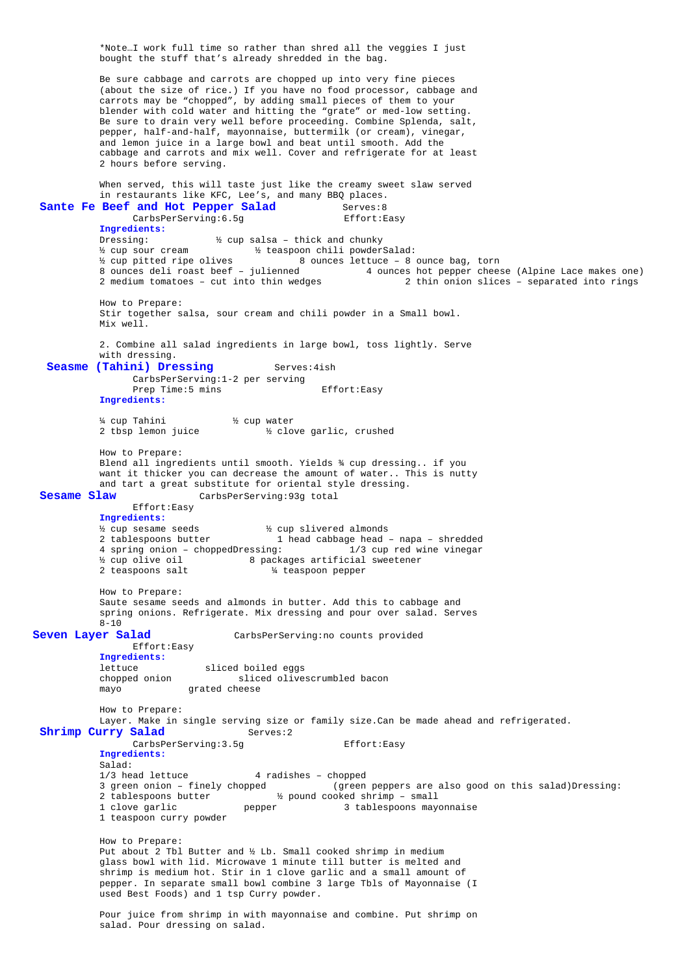\*Note…I work full time so rather than shred all the veggies I just bought the stuff that's already shredded in the bag. Be sure cabbage and carrots are chopped up into very fine pieces (about the size of rice.) If you have no food processor, cabbage and carrots may be "chopped", by adding small pieces of them to your blender with cold water and hitting the "grate" or med-low setting. Be sure to drain very well before proceeding. Combine Splenda, salt, pepper, half-and-half, mayonnaise, buttermilk (or cream), vinegar, and lemon juice in a large bowl and beat until smooth. Add the cabbage and carrots and mix well. Cover and refrigerate for at least 2 hours before serving. When served, this will taste just like the creamy sweet slaw served in restaurants like KFC, Lee's, and many BBQ places. Sante Fe Beef and Hot Pepper Salad Serves:8 CarbsPerServing:6.5g Effort:Easy **Ingredients:**  Dressing: ½ cup salsa – thick and chunky ½ cup sour cream ½ teaspoon chili powderSalad: % cup sour cream<br>
% cup sour cream<br>
% cup pitted ripe olives<br>
% cup pitted ripe olives<br>
% 8 ounces lettuce - 8 ounce bag, torn 8 ounces deli roast beef – julienned 4 ounces hot pepper cheese (Alpine Lace makes one) 2 medium tomatoes – cut into thin wedges 2 thin onion slices – separated into rings How to Prepare: Stir together salsa, sour cream and chili powder in a Small bowl. Mix well. 2. Combine all salad ingredients in large bowl, toss lightly. Serve with dressing. **Seasme (Tahini) Dressing** Serves: 4ish CarbsPerServing:1-2 per serving Prep Time:5 mins Effort:Easy **Ingredients:**  ¼ cup Tahini ½ cup water 2 tbsp lemon juice ½ clove garlic, crushed How to Prepare: Blend all ingredients until smooth. Yields ¾ cup dressing.. if you want it thicker you can decrease the amount of water.. This is nutty and tart a great substitute for oriental style dressing. Sesame Slaw CarbsPerServing:93g total Effort:Easy **Ingredients:**  ½ cup sesame seeds ½ cup slivered almonds 2 tablespoons butter 1 head cabbage head – napa – shredded 4 spring onion – choppedDressing: 1/3 cup red wine vinegar ½ cup olive oil 8 packages artificial sweetener 2 teaspoons salt ¼ teaspoon pepper How to Prepare: Saute sesame seeds and almonds in butter. Add this to cabbage and spring onions. Refrigerate. Mix dressing and pour over salad. Serves  $8 - 10$ Seven Layer Salad CarbsPerServing:no counts provided Effort:Easy **Ingredients:**  1131 eurones.<br>
lettuce sliced boiled eggs<br>
chopped onion sliced oliver sliced olivescrumbled bacon mayo grated cheese How to Prepare: Layer. Make in single serving size or family size.Can be made ahead and refrigerated. **Shrimp Curry Salad** Serves:2 CarbsPerServing: 3.5g Effort: Easy **Ingredients:**  Salad:  $1/3$  head lettuce  $4$  radishes - chopped 3 green onion – finely chopped (green peppers are also good on this salad)Dressing: 2 tablespoons butter ½ pound cooked shrimp – small 1 clove garlic pepper 3 tablespoons mayonnaise 1 teaspoon curry powder How to Prepare: Put about 2 Tbl Butter and ½ Lb. Small cooked shrimp in medium glass bowl with lid. Microwave 1 minute till butter is melted and shrimp is medium hot. Stir in 1 clove garlic and a small amount of pepper. In separate small bowl combine 3 large Tbls of Mayonnaise (I used Best Foods) and 1 tsp Curry powder. Pour juice from shrimp in with mayonnaise and combine. Put shrimp on salad. Pour dressing on salad.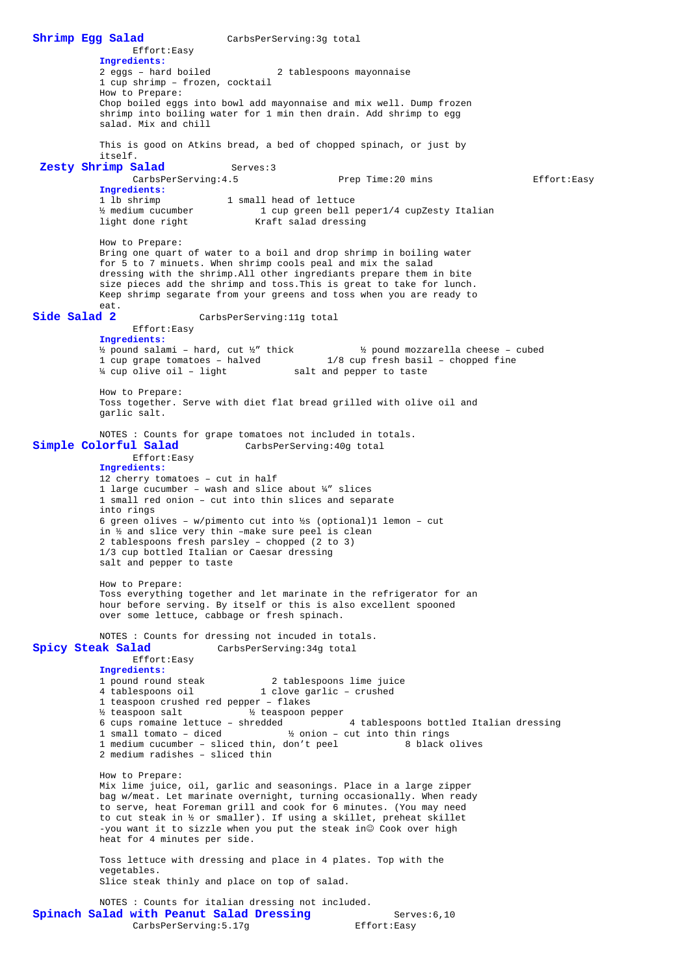Shrimp Egg Salad CarbsPerServing: 3g total Effort:Easy **Ingredients:**  2 eggs – hard boiled 2 tablespoons mayonnaise 1 cup shrimp – frozen, cocktail How to Prepare: Chop boiled eggs into bowl add mayonnaise and mix well. Dump frozen shrimp into boiling water for 1 min then drain. Add shrimp to egg salad. Mix and chill This is good on Atkins bread, a bed of chopped spinach, or just by itself. **Zesty Shrimp Salad** Serves:3 CarbsPerServing:4.5 Prep Time:20 mins Effort:Easy **Ingredients:**  1 lb shrimp 1 small head of lettuce ½ medium cucumber 1 cup green bell peper1/4 cupZesty Italian kraft salad dressing How to Prepare: Bring one quart of water to a boil and drop shrimp in boiling water for 5 to 7 minuets. When shrimp cools peal and mix the salad dressing with the shrimp.All other ingrediants prepare them in bite size pieces add the shrimp and toss.This is great to take for lunch. Keep shrimp segarate from your greens and toss when you are ready to eat.<br>Side Salad 2 **Side Salad 2** CarbsPerServing:11g total Effort:Easy **Ingredients:**  ½ pound salami – hard, cut ½" thick ½ pound mozzarella cheese – cubed 1 cup grape tomatoes – halved 1/8 cup fresh basil – chopped fine ¼ cup olive oil – light salt and pepper to taste How to Prepare: Toss together. Serve with diet flat bread grilled with olive oil and garlic salt. NOTES : Counts for grape tomatoes not included in totals. Simple Colorful Salad CarbsPerServing:40g total Effort:Easy **Ingredients:**  12 cherry tomatoes – cut in half 1 large cucumber – wash and slice about ¼" slices 1 small red onion – cut into thin slices and separate into rings 6 green olives – w/pimento cut into ½s (optional)1 lemon – cut in ½ and slice very thin –make sure peel is clean 2 tablespoons fresh parsley – chopped (2 to 3) 1/3 cup bottled Italian or Caesar dressing salt and pepper to taste How to Prepare: Toss everything together and let marinate in the refrigerator for an hour before serving. By itself or this is also excellent spooned over some lettuce, cabbage or fresh spinach. NOTES : Counts for dressing not incuded in totals. Spicy Steak Salad CarbsPerServing: 34g total Effort:Easy  **Ingredients:**  1 pound round steak 2 tablespoons lime juice 4 tablespoons oil 1 clove garlic – crushed 1 teaspoon crushed red pepper – flakes  $\frac{1}{2}$  teaspoon salt<br>6 cups romaine lettuce - shredded er<br>4 tablespoons bottled Italian dressing 0 cups romanne received with the small tomato – different method of the part of the part of the part of the diverse cut into thin rings and the medium cucumber – sliced thin don't peel 1 medium cucumber - sliced thin, don't peel 2 medium radishes – sliced thin How to Prepare: Mix lime juice, oil, garlic and seasonings. Place in a large zipper bag w/meat. Let marinate overnight, turning occasionally. When ready to serve, heat Foreman grill and cook for 6 minutes. (You may need to cut steak in ½ or smaller). If using a skillet, preheat skillet -you want it to sizzle when you put the steak in☺ Cook over high heat for 4 minutes per side. Toss lettuce with dressing and place in 4 plates. Top with the vegetables. Slice steak thinly and place on top of salad. NOTES : Counts for italian dressing not included. **Spinach Salad with Peanut Salad Dressing Serves:6,10** CarbsPerServing:5.17g Effort:Easy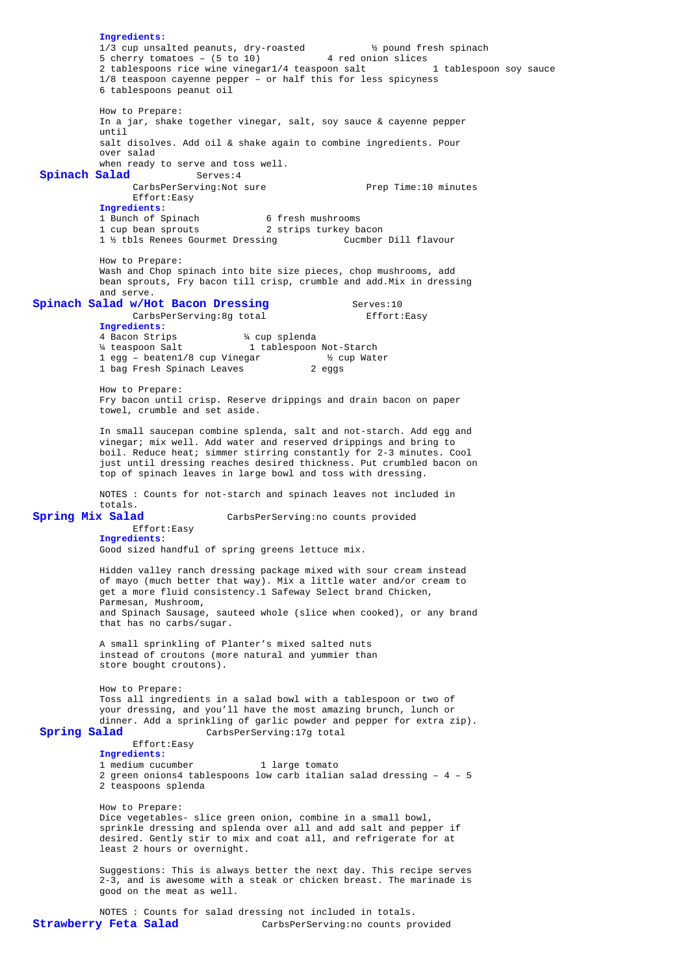**Ingredients:**  1/3 cup unsalted peanuts, dry-roasted ½ pound fresh spinach 5 cherry tomatoes - (5 to 10) 4 red onion slices 2 tablespoons rice wine vinegar1/4 teaspoon salt 1 tablespoon soy sauce 1/8 teaspoon cayenne pepper – or half this for less spicyness 6 tablespoons peanut oil How to Prepare: In a jar, shake together vinegar, salt, soy sauce & cayenne pepper until salt disolves. Add oil & shake again to combine ingredients. Pour over salad when ready to serve and toss well. **Spinach Salad** Serves:4 CarbsPerServing:Not sure The Prep Time:10 minutes Effort:Easy **Ingredients:**  1 Bunch of Spinach 6 fresh mushrooms 1 cup bean sprouts 2 strips turkey bacon 1 ½ tbls Renees Gourmet Dressing Cucmber Dill flavour How to Prepare: Wash and Chop spinach into bite size pieces, chop mushrooms, add bean sprouts, Fry bacon till crisp, crumble and add.Mix in dressing and serve. **Spinach Salad w/Hot Bacon Dressing** Serves:10<br>CarbsPerServing:8q total Bifort:Easy CarbsPerServing: 8g total  **Ingredients:**  4 Bacon Strips  $\frac{1}{4}$  cup splenda<br>  $\frac{1}{4}$  teaspoon Salt 1 tablespoon Not-Starch ¼ teaspoon Salt 1 tablespoon Not-Starch 1 egg – beaten1/8 cup Vinegar ½ cup Water 1 bag Fresh Spinach Leaves 2 eggs How to Prepare: Fry bacon until crisp. Reserve drippings and drain bacon on paper towel, crumble and set aside. In small saucepan combine splenda, salt and not-starch. Add egg and vinegar; mix well. Add water and reserved drippings and bring to boil. Reduce heat; simmer stirring constantly for 2-3 minutes. Cool just until dressing reaches desired thickness. Put crumbled bacon on top of spinach leaves in large bowl and toss with dressing. NOTES : Counts for not-starch and spinach leaves not included in totals. **Spring Mix Salad** CarbsPerServing:no counts provided Effort:Easy  **Ingredients**: Good sized handful of spring greens lettuce mix. Hidden valley ranch dressing package mixed with sour cream instead of mayo (much better that way). Mix a little water and/or cream to get a more fluid consistency.1 Safeway Select brand Chicken, Parmesan, Mushroom, and Spinach Sausage, sauteed whole (slice when cooked), or any brand that has no carbs/sugar. A small sprinkling of Planter's mixed salted nuts instead of croutons (more natural and yummier than store bought croutons). How to Prepare: Toss all ingredients in a salad bowl with a tablespoon or two of your dressing, and you'll have the most amazing brunch, lunch or dinner. Add a sprinkling of garlic powder and pepper for extra zip).<br>Spring Salad CarbsPerServing:17q total **Spring Salad** CarbsPerServing:17g total Effort:Easy **Ingredients:**  1 medium cucumber 1 large tomato 2 green onions4 tablespoons low carb italian salad dressing – 4 – 5 2 teaspoons splenda How to Prepare: Dice vegetables- slice green onion, combine in a small bowl, sprinkle dressing and splenda over all and add salt and pepper if desired. Gently stir to mix and coat all, and refrigerate for at least 2 hours or overnight. Suggestions: This is always better the next day. This recipe serves 2-3, and is awesome with a steak or chicken breast. The marinade is good on the meat as well.

 NOTES : Counts for salad dressing not included in totals. **Strawberry Feta Salad** CarbsPerServing:no counts provided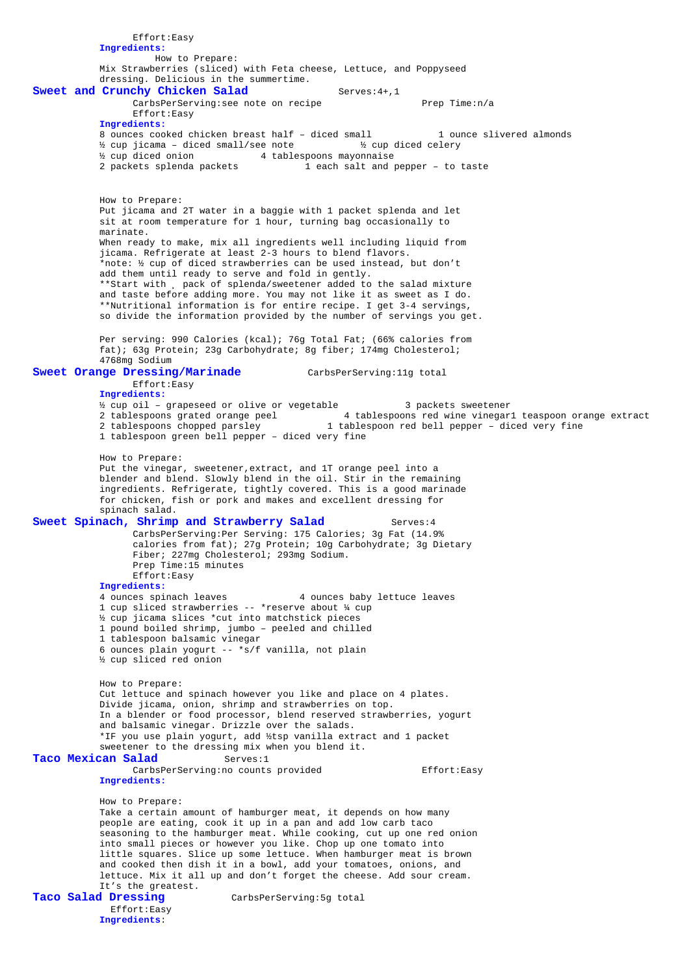Effort:Easy  **Ingredients:**  How to Prepare: Mix Strawberries (sliced) with Feta cheese, Lettuce, and Poppyseed dressing. Delicious in the summertime. **Sweet and Crunchy Chicken Salad** Serves: 4+,1 CarbsPerServing: see note on recipe entitled by Prep Time: n/a Effort:Easy **Ingredients:**  8 ounces cooked chicken breast half - diced small 1 ounce slivered almonds ½ cup jicama – diced small/see note ½ cup diced celery % cup diced onion  $\frac{1}{2}$  cup diced onion  $\frac{4}{4}$  tablespoons mayonnaise<br>2 packets splenda packets  $\frac{1}{4}$  each salt and p  $1$  each salt and pepper – to taste How to Prepare: Put jicama and 2T water in a baggie with 1 packet splenda and let sit at room temperature for 1 hour, turning bag occasionally to marinate. When ready to make, mix all ingredients well including liquid from jicama. Refrigerate at least 2-3 hours to blend flavors. \*note: ½ cup of diced strawberries can be used instead, but don't add them until ready to serve and fold in gently. \*\*Start with , pack of splenda/sweetener added to the salad mixture and taste before adding more. You may not like it as sweet as I do. \*\*Nutritional information is for entire recipe. I get 3-4 servings, so divide the information provided by the number of servings you get. Per serving: 990 Calories (kcal); 76g Total Fat; (66% calories from fat); 63g Protein; 23g Carbohydrate; 8g fiber; 174mg Cholesterol; 4768mg Sodium **Sweet Orange Dressing/Marinade** CarbsPerServing:11g total Effort:Easy **Ingredients:**  ½ cup oil – grapeseed or olive or vegetable 3 packets sweetener 2 tablespoons grated orange peel 4 tablespoons red wine vinegar1 teaspoon orange extract 2 tablespoons chopped parsley 1 tablespoon red bell pepper – diced very fine 1 tablespoon green bell pepper – diced very fine How to Prepare: Put the vinegar, sweetener,extract, and 1T orange peel into a blender and blend. Slowly blend in the oil. Stir in the remaining ingredients. Refrigerate, tightly covered. This is a good marinade for chicken, fish or pork and makes and excellent dressing for spinach salad. **Sweet Spinach, Shrimp and Strawberry Salad** Serves:4 CarbsPerServing:Per Serving: 175 Calories; 3g Fat (14.9% calories from fat); 27g Protein; 10g Carbohydrate; 3g Dietary Fiber; 227mg Cholesterol; 293mg Sodium. Prep Time:15 minutes Effort:Easy  **Ingredients:**  4 ounces spinach leaves 4 ounces baby lettuce leaves 1 cup sliced strawberries -- \*reserve about ¼ cup ½ cup jicama slices \*cut into matchstick pieces 1 pound boiled shrimp, jumbo – peeled and chilled 1 tablespoon balsamic vinegar 6 ounces plain yogurt -- \*s/f vanilla, not plain ½ cup sliced red onion How to Prepare: Cut lettuce and spinach however you like and place on 4 plates. Divide jicama, onion, shrimp and strawberries on top. In a blender or food processor, blend reserved strawberries, yogurt and balsamic vinegar. Drizzle over the salads. \*IF you use plain yogurt, add ½tsp vanilla extract and 1 packet sweetener to the dressing mix when you blend it. **Taco Mexican Salad** Serves:1 CarbsPerServing: no counts provided example Effort: Easy  **Ingredients:**  How to Prepare: Take a certain amount of hamburger meat, it depends on how many people are eating, cook it up in a pan and add low carb taco seasoning to the hamburger meat. While cooking, cut up one red onion into small pieces or however you like. Chop up one tomato into little squares. Slice up some lettuce. When hamburger meat is brown and cooked then dish it in a bowl, add your tomatoes, onions, and lettuce. Mix it all up and don't forget the cheese. Add sour cream. It's the greatest. Taco Salad Dressing CarbsPerServing:5g total Effort:Easy  **Ingredients**: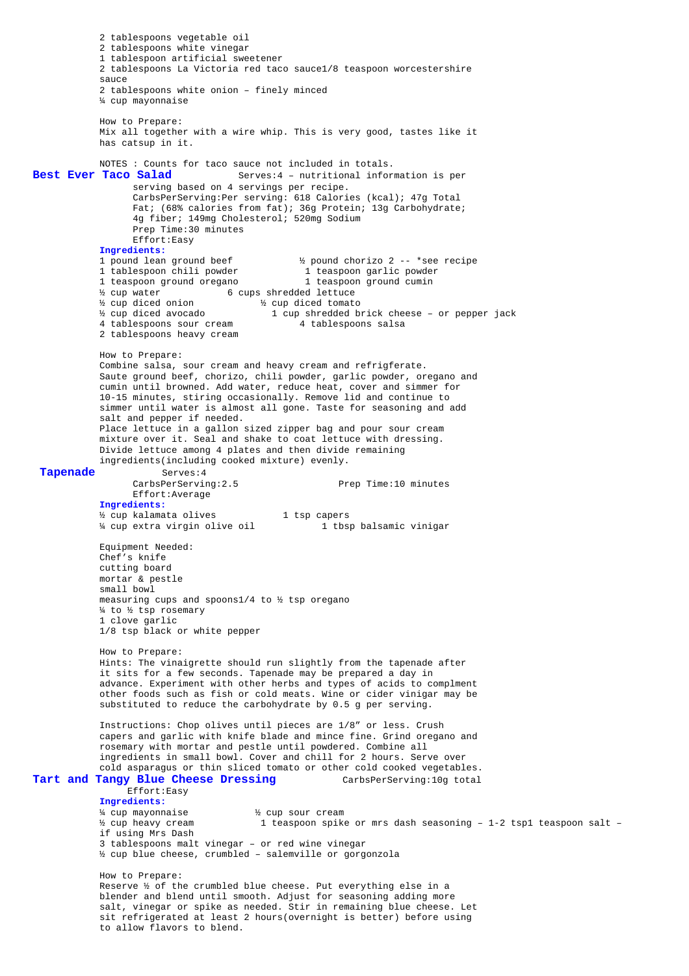2 tablespoons vegetable oil 2 tablespoons white vinegar 1 tablespoon artificial sweetener 2 tablespoons La Victoria red taco sauce1/8 teaspoon worcestershire sauce 2 tablespoons white onion – finely minced ¼ cup mayonnaise How to Prepare: Mix all together with a wire whip. This is very good, tastes like it has catsup in it. NOTES : Counts for taco sauce not included in totals. **Best Ever Taco Salad** Serves: 4 - nutritional information is per serving based on 4 servings per recipe. CarbsPerServing:Per serving: 618 Calories (kcal); 47g Total Fat; (68% calories from fat); 36g Protein; 13g Carbohydrate; 4g fiber; 149mg Cholesterol; 520mg Sodium Prep Time:30 minutes Effort:Easy Ingredients:<br>1 pound lean ground beef <sup>1</sup>/<sub>2</sub> pound chorizo 2 -- \*see recipe<br>1 teaspoon garlic powder 1 pound 1 can getter alle 1 teaspoon ground oregano 1 teaspoon ground cumin ½ cup water 6 cups shredded lettuce ½ cup diced onion ½ cup diced tomato ½ cup diced avocado 1 cup shredded brick cheese – or pepper jack 4 tablespoons sour cream 4 tablespoons salsa 2 tablespoons heavy cream How to Prepare: Combine salsa, sour cream and heavy cream and refrigferate. Saute ground beef, chorizo, chili powder, garlic powder, oregano and cumin until browned. Add water, reduce heat, cover and simmer for 10-15 minutes, stiring occasionally. Remove lid and continue to simmer until water is almost all gone. Taste for seasoning and add salt and pepper if needed. Place lettuce in a gallon sized zipper bag and pour sour cream mixture over it. Seal and shake to coat lettuce with dressing. Divide lettuce among 4 plates and then divide remaining ingredients(including cooked mixture) evenly. Tapenade Serves: 4 CarbsPerServing: 2.5 Prep Time: 10 minutes Effort:Average  **Ingredients:**  ½ cup kalamata olives 1 tsp capers ¼ cup extra virgin olive oil 1 tbsp balsamic vinigar Equipment Needed: Chef's knife cutting board mortar & pestle small bowl measuring cups and spoons1/4 to  $\frac{1}{2}$  tsp oregano ¼ to ½ tsp rosemary 1 clove garlic 1/8 tsp black or white pepper How to Prepare: Hints: The vinaigrette should run slightly from the tapenade after it sits for a few seconds. Tapenade may be prepared a day in advance. Experiment with other herbs and types of acids to complment other foods such as fish or cold meats. Wine or cider vinigar may be substituted to reduce the carbohydrate by 0.5 g per serving. Instructions: Chop olives until pieces are 1/8" or less. Crush capers and garlic with knife blade and mince fine. Grind oregano and rosemary with mortar and pestle until powdered. Combine all ingredients in small bowl. Cover and chill for 2 hours. Serve over cold asparagus or thin sliced tomato or other cold cooked vegetables. Tart and Tangy Blue Cheese Dressing CarbsPerServing:10g total Effort:Easy **Ingredients:**  ¼ cup mayonnaise ½ cup sour cream 1 teaspoon spike or mrs dash seasoning - 1-2 tsp1 teaspoon salt if using Mrs Dash 3 tablespoons malt vinegar – or red wine vinegar ½ cup blue cheese, crumbled – salemville or gorgonzola How to Prepare: Reserve ½ of the crumbled blue cheese. Put everything else in a blender and blend until smooth. Adjust for seasoning adding more salt, vinegar or spike as needed. Stir in remaining blue cheese. Let sit refrigerated at least 2 hours(overnight is better) before using to allow flavors to blend.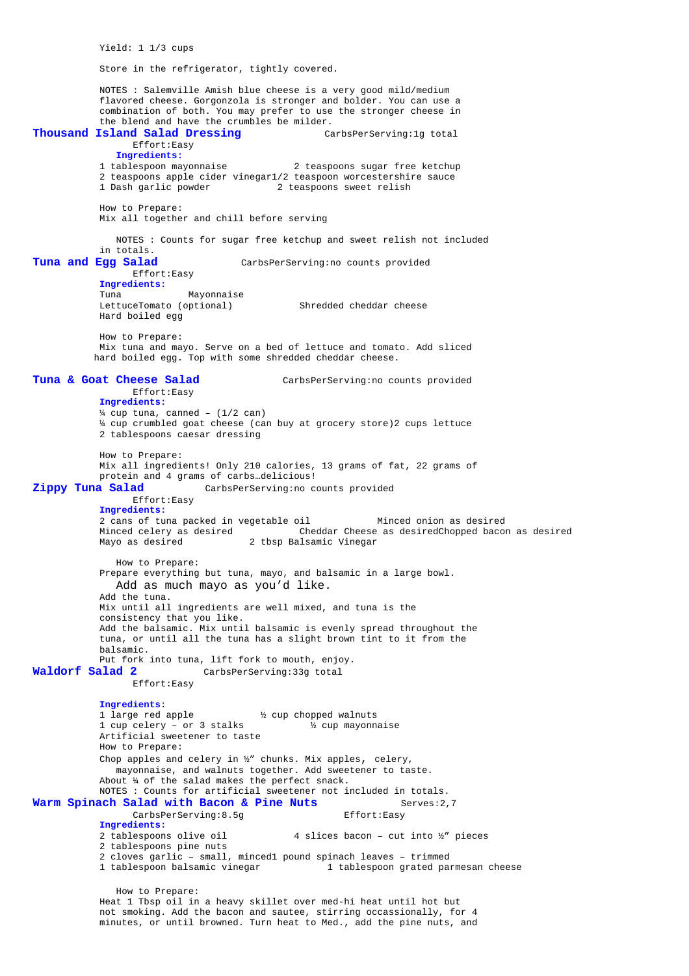Yield: 1 1/3 cups

Store in the refrigerator, tightly covered.

 NOTES : Salemville Amish blue cheese is a very good mild/medium flavored cheese. Gorgonzola is stronger and bolder. You can use a combination of both. You may prefer to use the stronger cheese in the blend and have the crumbles be milder. **Thousand Island Salad Dressing** CarbsPerServing:1g total Effort:Easy **Ingredients:**<br>1 tablespoon mayonnaise 2 teaspoons sugar free ketchup 2 teaspoons apple cider vinegar1/2 teaspoon worcestershire sauce 1 Dash garlic powder 2 teaspoons sweet relish How to Prepare: Mix all together and chill before serving NOTES : Counts for sugar free ketchup and sweet relish not included in totals. **Tuna and Egg Salad** CarbsPerServing:no counts provided Effort:Easy **Ingredients:**  Tuna Mayonnaise LettuceTomato (optional) Shredded cheddar cheese Hard boiled egg How to Prepare: Mix tuna and mayo. Serve on a bed of lettuce and tomato. Add sliced hard boiled egg. Top with some shredded cheddar cheese. **Tuna & Goat Cheese Salad** CarbsPerServing:no counts provided Effort:Easy  **Ingredients:**   $\frac{1}{4}$  cup tuna, canned -  $(1/2 \text{ can})$  ¼ cup crumbled goat cheese (can buy at grocery store)2 cups lettuce 2 tablespoons caesar dressing How to Prepare: Mix all ingredients! Only 210 calories, 13 grams of fat, 22 grams of protein and 4 grams of carbs…delicious!<br>Zippy Tuna Salad CarbsPerServing:no co CarbsPerServing:no counts provided Effort:Easy **Ingredients:**  2 cans of tuna packed in vegetable oil Minced onion as desired Minced celery as desired Cheddar Cheese as desiredChopped bacon as desired Mayo as desired 2 tbsp Balsamic Vinegar How to Prepare: Prepare everything but tuna, mayo, and balsamic in a large bowl. Add as much mayo as you'd like. Add the tuna. Mix until all ingredients are well mixed, and tuna is the consistency that you like. Add the balsamic. Mix until balsamic is evenly spread throughout the tuna, or until all the tuna has a slight brown tint to it from the balsamic. Put fork into tuna, lift fork to mouth, enjoy. Waldorf Salad 2 CarbsPerServing: 33g total Effort:Easy  **Ingredients**: 1 large red apple ½ cup chopped walnuts 1 cup celery – or 3 stalks ½ cup mayonnaise Artificial sweetener to taste How to Prepare: Chop apples and celery in  $\frac{1}{2}$ " chunks. Mix apples, celery, mayonnaise, and walnuts together. Add sweetener to taste. About ¼ of the salad makes the perfect snack. NOTES : Counts for artificial sweetener not included in totals. **Warm Spinach Salad with Bacon & Pine Nuts** Serves:2,7 CarbsPerServing:8.5g Effort:Easy  **Ingredients:**  4 slices bacon – cut into  $\frac{1}{2}$ " pieces 2 tablespoons pine nuts 2 cloves garlic – small, minced1 pound spinach leaves – trimmed 1 tablespoon balsamic vinegar 1 tablespoon grated parmesan cheese How to Prepare: Heat 1 Tbsp oil in a heavy skillet over med-hi heat until hot but not smoking. Add the bacon and sautee, stirring occassionally, for 4

minutes, or until browned. Turn heat to Med., add the pine nuts, and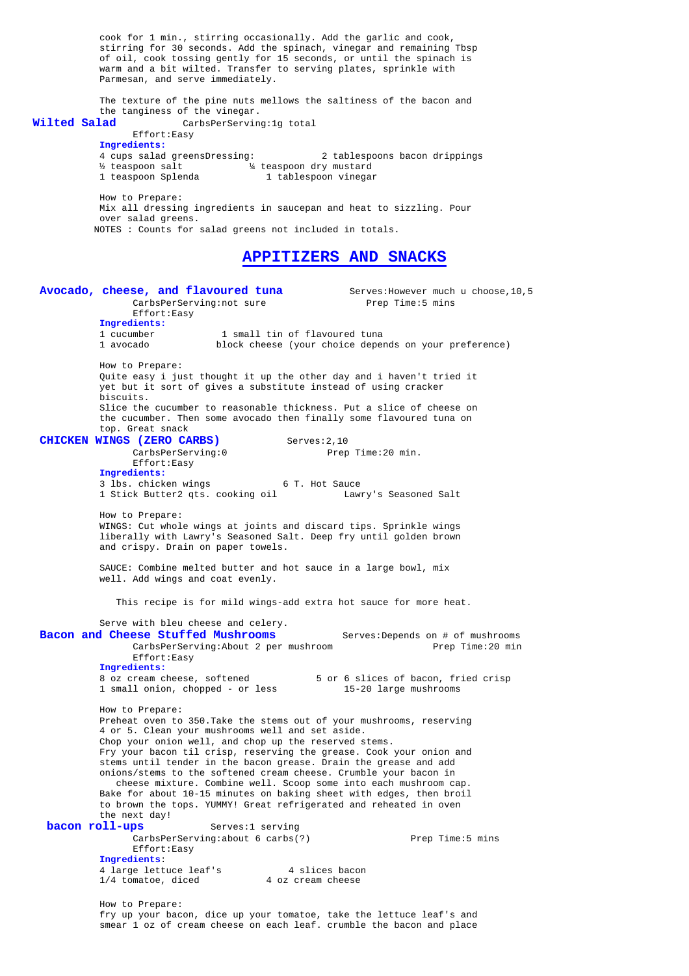cook for 1 min., stirring occasionally. Add the garlic and cook, stirring for 30 seconds. Add the spinach, vinegar and remaining Tbsp of oil, cook tossing gently for 15 seconds, or until the spinach is warm and a bit wilted. Transfer to serving plates, sprinkle with Parmesan, and serve immediately. The texture of the pine nuts mellows the saltiness of the bacon and the tanginess of the vinegar. **Wilted Salad** CarbsPerServing:1g total Effort:Easy **Ingredients:**  4 cups salad greensDressing: 2 tablespoons bacon drippings ½ teaspoon salt ¼ teaspoon dry mustard 1 tablespoon vinegar How to Prepare: Mix all dressing ingredients in saucepan and heat to sizzling. Pour over salad greens. NOTES : Counts for salad greens not included in totals. **APPITIZERS AND SNACKS** Avocado, cheese, and flavoured tuna Serves: However much u choose, 10, 5 CarbsPerServing:not sure Prep Time:5 mins Effort:Easy **Ingredients:**  1 small tin of flavoured tuna 1 avocado block cheese (your choice depends on your preference) How to Prepare: Quite easy i just thought it up the other day and i haven't tried it yet but it sort of gives a substitute instead of using cracker biscuits. Slice the cucumber to reasonable thickness. Put a slice of cheese on the cucumber. Then some avocado then finally some flavoured tuna on top. Great snack **CHICKEN WINGS (ZERO CARBS)** Serves: 2, 10 CarbsPerServing:0 Prep Time:20 min. Effort:Easy  **Ingredients:**  3 lbs. chicken wings 6 T. Hot Sauce 1 Stick Butter2 qts. cooking oil Lawry's Seasoned Salt How to Prepare: WINGS: Cut whole wings at joints and discard tips. Sprinkle wings liberally with Lawry's Seasoned Salt. Deep fry until golden brown and crispy. Drain on paper towels. SAUCE: Combine melted butter and hot sauce in a large bowl, mix well. Add wings and coat evenly. This recipe is for mild wings-add extra hot sauce for more heat. Serve with bleu cheese and celery. Bacon and Cheese Stuffed Mushrooms Serves: Depends on # of mushrooms CarbsPerServing:About 2 per mushroom Prep Time:20 min Effort:Easy **Ingredients:**  8 oz cream cheese, softened 5 or 6 slices of bacon, fried crisp 1 small onion, chopped - or less 15-20 large mushrooms How to Prepare: Preheat oven to 350.Take the stems out of your mushrooms, reserving 4 or 5. Clean your mushrooms well and set aside. Chop your onion well, and chop up the reserved stems. Fry your bacon til crisp, reserving the grease. Cook your onion and stems until tender in the bacon grease. Drain the grease and add onions/stems to the softened cream cheese. Crumble your bacon in cheese mixture. Combine well. Scoop some into each mushroom cap. Bake for about 10-15 minutes on baking sheet with edges, then broil to brown the tops. YUMMY! Great refrigerated and reheated in oven the next day! **bacon roll-ups** Serves:1 serving CarbsPerServing:about 6 carbs(?) Prep Time:5 mins Effort:Easy<br> **Ingredients: Ingredients**: 4 large lettuce leaf's 4 slices bacon 1/4 tomatoe, diced  $4$  oz cream cheese How to Prepare: fry up your bacon, dice up your tomatoe, take the lettuce leaf's and smear 1 oz of cream cheese on each leaf. crumble the bacon and place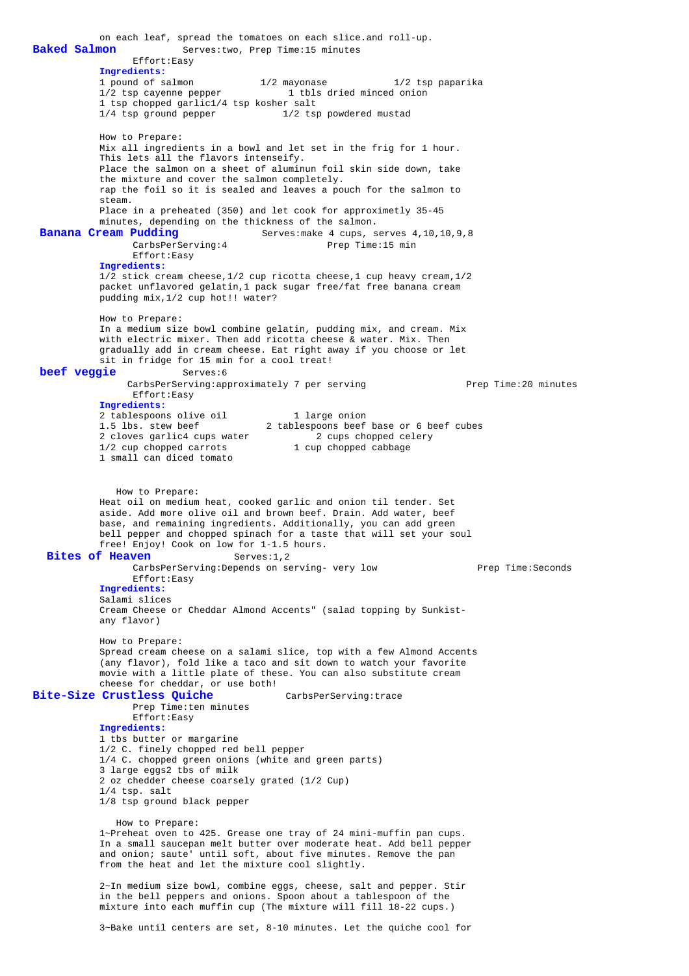on each leaf, spread the tomatoes on each slice.and roll-up. Baked Salmon Serves:two, Prep Time:15 minutes Effort:Easy **Ingredients:**  1 pound of salmon 1/2 mayonase 1/2 tsp paparika 1/2 tsp cayenne pepper 1 tbls dried minced onion 1 tsp chopped garlic1/4 tsp kosher salt<br>1/4 tsp ground pepper 1/2 tsp powdered mustad  $1/4$  tsp ground pepper How to Prepare: Mix all ingredients in a bowl and let set in the frig for 1 hour. This lets all the flavors intenseify. Place the salmon on a sheet of aluminun foil skin side down, take the mixture and cover the salmon completely. rap the foil so it is sealed and leaves a pouch for the salmon to steam. Place in a preheated (350) and let cook for approximetly 35-45 minutes, depending on the thickness of the salmon. **Banana Cream Pudding** Serves:make 4 cups, serves 4,10,10,9,8 CarbsPerServing:4 Prep Time:15 min Effort:Easy **Ingredients:**  1/2 stick cream cheese,1/2 cup ricotta cheese,1 cup heavy cream,1/2 packet unflavored gelatin,1 pack sugar free/fat free banana cream pudding mix,1/2 cup hot!! water? How to Prepare: In a medium size bowl combine gelatin, pudding mix, and cream. Mix with electric mixer. Then add ricotta cheese & water. Mix. Then gradually add in cream cheese. Eat right away if you choose or let sit in fridge for 15 min for a cool treat! **beef veggie** Serves:6 CarbsPerServing:approximately 7 per serving Prep Time:20 minutes Effort:Easy **Ingredients:**  2 tablespoons olive oil 1 large onion 1.5 lbs. stew beef 2 tablespoons beef base or 6 beef cubes 1.5 IDS. Stew Deel 2 concerned a complete celery<br>2 cloves garlic4 cups water 2 cups chopped celery 1/2 cup chopped carrots 1 cup chopped cabbage 1 small can diced tomato How to Prepare: Heat oil on medium heat, cooked garlic and onion til tender. Set aside. Add more olive oil and brown beef. Drain. Add water, beef base, and remaining ingredients. Additionally, you can add green bell pepper and chopped spinach for a taste that will set your soul free! Enjoy! Cook on low for 1-1.5 hours. **Bites of Heaven** Serves:1,2 CarbsPerServing:Depends on serving- very low Prep Time:Seconds Effort:Easy **Ingredients:**  Salami slices Cream Cheese or Cheddar Almond Accents" (salad topping by Sunkist any flavor) How to Prepare: Spread cream cheese on a salami slice, top with a few Almond Accents (any flavor), fold like a taco and sit down to watch your favorite movie with a little plate of these. You can also substitute cream cheese for cheddar, or use both! **Bite-Size Crustless Quiche** CarbsPerServing:trace Prep Time:ten minutes Effort:Easy **Ingredients:**  1 tbs butter or margarine 1/2 C. finely chopped red bell pepper 1/4 C. chopped green onions (white and green parts) 3 large eggs2 tbs of milk 2 oz chedder cheese coarsely grated (1/2 Cup) 1/4 tsp. salt 1/8 tsp ground black pepper How to Prepare: 1~Preheat oven to 425. Grease one tray of 24 mini-muffin pan cups. In a small saucepan melt butter over moderate heat. Add bell pepper and onion; saute' until soft, about five minutes. Remove the pan from the heat and let the mixture cool slightly. 2~In medium size bowl, combine eggs, cheese, salt and pepper. Stir in the bell peppers and onions. Spoon about a tablespoon of the mixture into each muffin cup (The mixture will fill 18-22 cups.) 3~Bake until centers are set, 8-10 minutes. Let the quiche cool for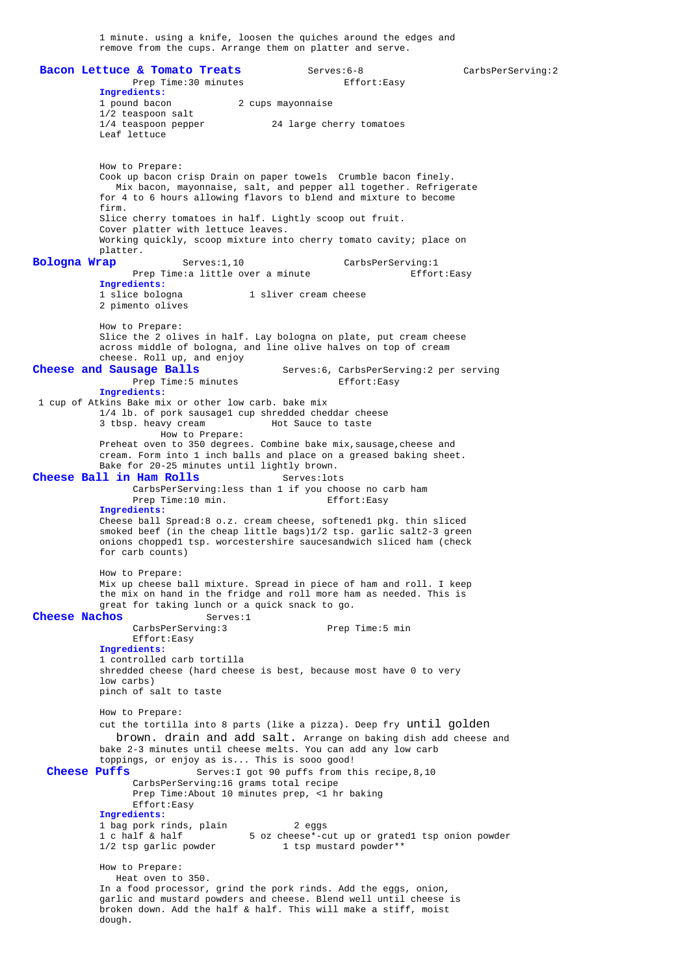1 minute. using a knife, loosen the quiches around the edges and remove from the cups. Arrange them on platter and serve.

**Bacon Lettuce & Tomato Treats** Serves:6-8 CarbsPerServing:2 Prep Time:30 minutes entitled Effort:Easy  **Ingredients:**  1 pound bacon 2 cups mayonnaise 1/2 teaspoon salt<br>1/4 teaspoon pepper 24 large cherry tomatoes Leaf lettuce How to Prepare: Cook up bacon crisp Drain on paper towels Crumble bacon finely. Mix bacon, mayonnaise, salt, and pepper all together. Refrigerate for 4 to 6 hours allowing flavors to blend and mixture to become firm. Slice cherry tomatoes in half. Lightly scoop out fruit. Cover platter with lettuce leaves. Working quickly, scoop mixture into cherry tomato cavity; place on platter. **Bologna Wrap** Serves:1,10 CarbsPerServing:1<br>Prep Time:a little over a minute Effort:Easy Prep Time: a little over a minute **Ingredients:**  1 slice bologna 1 sliver cream cheese 2 pimento olives How to Prepare: Slice the 2 olives in half. Lay bologna on plate, put cream cheese across middle of bologna, and line olive halves on top of cream cheese. Roll up, and enjoy **Cheese and Sausage Balls** Serves:6, CarbsPerServing:2 per serving Prep Time:5 minutes Effort:Easy **Ingredients:**  1 cup of Atkins Bake mix or other low carb. bake mix 1/4 lb. of pork sausage1 cup shredded cheddar cheese<br>3 tbsp. heavy cream Hot Sauce to taste 3 tbsp. heavy cream How to Prepare: Preheat oven to 350 degrees. Combine bake mix, sausage, cheese and cream. Form into 1 inch balls and place on a greased baking sheet. Bake for 20-25 minutes until lightly brown. **Cheese Ball in Ham Rolls** Serves: lots CarbsPerServing:less than 1 if you choose no carb ham<br>Prep Time:10 min. Effort:Easy Prep Time:10 min. **Ingredients:**  Cheese ball Spread:8 o.z. cream cheese, softened1 pkg. thin sliced smoked beef (in the cheap little bags)1/2 tsp. garlic salt2-3 green onions chopped1 tsp. worcestershire saucesandwich sliced ham (check for carb counts) How to Prepare: Mix up cheese ball mixture. Spread in piece of ham and roll. I keep the mix on hand in the fridge and roll more ham as needed. This is great for taking lunch or a quick snack to go. **Cheese Nachos** Serves:1 CarbsPerServing:3 Prep Time:5 min Effort:Easy **Ingredients:**  1 controlled carb tortilla shredded cheese (hard cheese is best, because most have 0 to very low carbs) pinch of salt to taste How to Prepare: cut the tortilla into 8 parts (like a pizza). Deep fry until golden brown. drain and add salt. Arrange on baking dish add cheese and bake 2-3 minutes until cheese melts. You can add any low carb toppings, or enjoy as is... This is sooo good! **Cheese Puffs** Serves: I got 90 puffs from this recipe, 8, 10 CarbsPerServing:16 grams total recipe Prep Time:About 10 minutes prep, <1 hr baking Effort:Easy **Ingredients:**  1 bag pork rinds, plain 2 eggs<br>1 c half & half 5 oz cheese\*-cu 1 c half & half 5 oz cheese\*-cut up or grated1 tsp onion powder<br>1/2 tsp garlic powder 1 tsp mustard powder\*\* 1 tsp mustard powder\*\* How to Prepare: Heat oven to 350. In a food processor, grind the pork rinds. Add the eggs, onion, garlic and mustard powders and cheese. Blend well until cheese is broken down. Add the half & half. This will make a stiff, moist dough.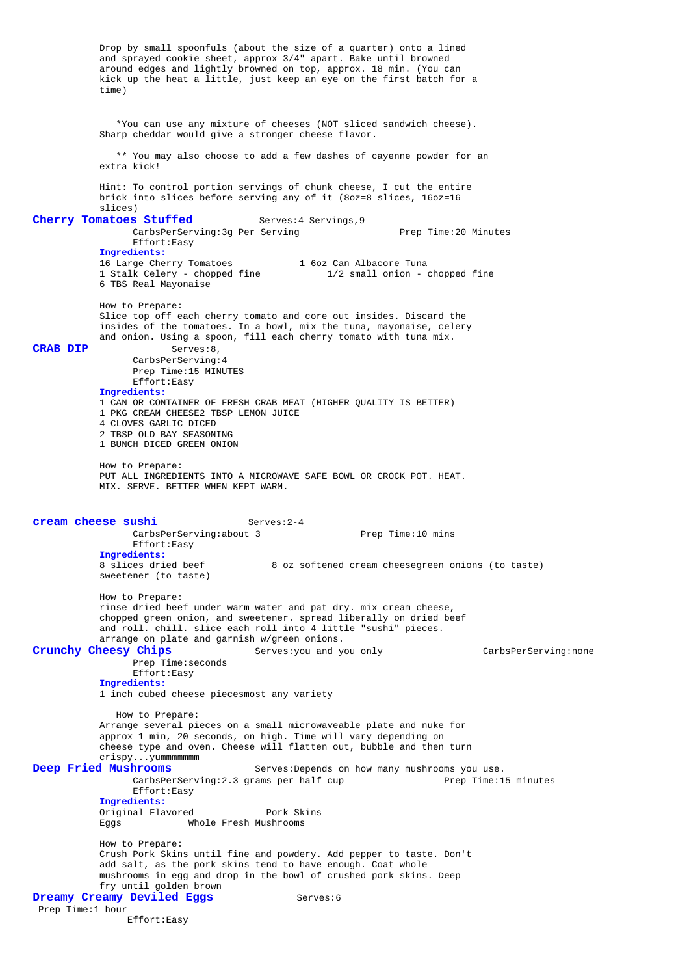Drop by small spoonfuls (about the size of a quarter) onto a lined and sprayed cookie sheet, approx 3/4" apart. Bake until browned around edges and lightly browned on top, approx. 18 min. (You can kick up the heat a little, just keep an eye on the first batch for a time) \*You can use any mixture of cheeses (NOT sliced sandwich cheese). Sharp cheddar would give a stronger cheese flavor. \*\* You may also choose to add a few dashes of cayenne powder for an extra kick! Hint: To control portion servings of chunk cheese, I cut the entire brick into slices before serving any of it (8oz=8 slices, 16oz=16 slices) **Cherry Tomatoes Stuffed** Serves: 4 Servings, 9 CarbsPerServing:3g Per Serving Prep Time:20 Minutes Effort:Easy  **Ingredients:**  16 Large Cherry Tomatoes 1 6oz Can Albacore Tuna 1 Stalk Celery - chopped fine 1/2 small onion - chopped fine 6 TBS Real Mayonaise How to Prepare: Slice top off each cherry tomato and core out insides. Discard the insides of the tomatoes. In a bowl, mix the tuna, mayonaise, celery and onion. Using a spoon, fill each cherry tomato with tuna mix.<br> **CRAB DIP** Serves:8, Serves:8, CarbsPerServing:4 Prep Time:15 MINUTES Effort:Easy **Ingredients:**  1 CAN OR CONTAINER OF FRESH CRAB MEAT (HIGHER QUALITY IS BETTER) 1 PKG CREAM CHEESE2 TBSP LEMON JUICE 4 CLOVES GARLIC DICED 2 TBSP OLD BAY SEASONING 1 BUNCH DICED GREEN ONION How to Prepare: PUT ALL INGREDIENTS INTO A MICROWAVE SAFE BOWL OR CROCK POT. HEAT. MIX. SERVE. BETTER WHEN KEPT WARM. **cream cheese sushi** Serves: 2-4 CarbsPerServing:about 3 Prep Time:10 mins Effort:Easy  **Ingredients:** 8 oz softened cream cheesegreen onions (to taste) sweetener (to taste) How to Prepare: rinse dried beef under warm water and pat dry. mix cream cheese, chopped green onion, and sweetener. spread liberally on dried beef and roll. chill. slice each roll into 4 little "sushi" pieces. arrange on plate and garnish w/green onions. **Crunchy Cheesy Chips** Serves: you and you only CarbsPerServing: none Prep Time:seconds Effort:Easy **Ingredients:**  1 inch cubed cheese piecesmost any variety How to Prepare: Arrange several pieces on a small microwaveable plate and nuke for approx 1 min, 20 seconds, on high. Time will vary depending on cheese type and oven. Cheese will flatten out, bubble and then turn crispy...yummmmmmm **Deep Fried Mushrooms** Serves: Depends on how many mushrooms you use. CarbsPerServing:2.3 grams per half cup Prep Time:15 minutes Effort:Easy **Ingredients:**  Original Flavored Pork Skins Eggs Whole Fresh Mushrooms How to Prepare: Crush Pork Skins until fine and powdery. Add pepper to taste. Don't add salt, as the pork skins tend to have enough. Coat whole mushrooms in egg and drop in the bowl of crushed pork skins. Deep fry until golden brown **Dreamy Creamy Deviled Eggs** Serves:6 Prep Time:1 hour Effort:Easy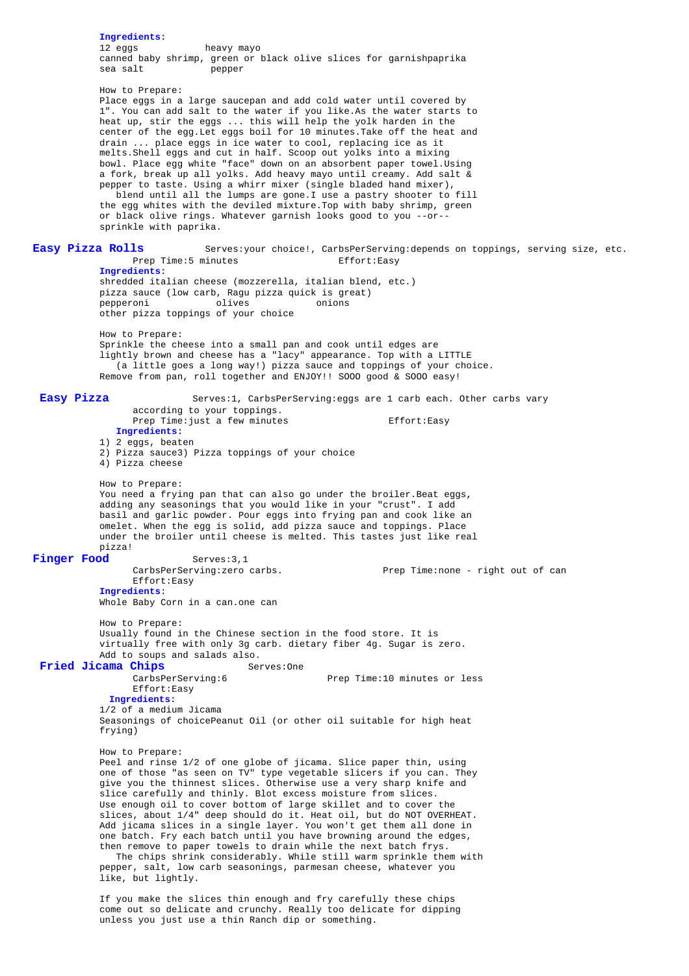**Ingredients:**  12 eggs heavy mayo canned baby shrimp, green or black olive slices for garnishpaprika sea salt pepper How to Prepare: Place eggs in a large saucepan and add cold water until covered by 1". You can add salt to the water if you like.As the water starts to heat up, stir the eggs ... this will help the yolk harden in the center of the egg.Let eggs boil for 10 minutes.Take off the heat and drain ... place eggs in ice water to cool, replacing ice as it melts.Shell eggs and cut in half. Scoop out yolks into a mixing bowl. Place egg white "face" down on an absorbent paper towel.Using a fork, break up all yolks. Add heavy mayo until creamy. Add salt & pepper to taste. Using a whirr mixer (single bladed hand mixer), blend until all the lumps are gone.I use a pastry shooter to fill the egg whites with the deviled mixture.Top with baby shrimp, green or black olive rings. Whatever garnish looks good to you --or- sprinkle with paprika. **Easy Pizza Rolls** Serves:your choice!, CarbsPerServing:depends on toppings, serving size, etc. Prep Time:5 minutes example Effort:Easy  **Ingredients:**  shredded italian cheese (mozzerella, italian blend, etc.) pizza sauce (low carb, Ragu pizza quick is great) olives onions other pizza toppings of your choice How to Prepare: Sprinkle the cheese into a small pan and cook until edges are lightly brown and cheese has a "lacy" appearance. Top with a LITTLE (a little goes a long way!) pizza sauce and toppings of your choice. Remove from pan, roll together and ENJOY!! SOOO good & SOOO easy! **Easy Pizza** Serves:1, CarbsPerServing:eggs are 1 carb each. Other carbs vary according to your toppings. Prep Time: just a few minutes The Subsett Basy **Ingredients:**  1) 2 eggs, beaten 2) Pizza sauce3) Pizza toppings of your choice 4) Pizza cheese How to Prepare: You need a frying pan that can also go under the broiler.Beat eggs, adding any seasonings that you would like in your "crust". I add basil and garlic powder. Pour eggs into frying pan and cook like an omelet. When the egg is solid, add pizza sauce and toppings. Place under the broiler until cheese is melted. This tastes just like real pizza! Finger Food Serves: 3, 1 CarbsPerServing:zero carbs. Prep Time:none - right out of can Effort:Easy  **Ingredients**: Whole Baby Corn in a can.one can How to Prepare: Usually found in the Chinese section in the food store. It is virtually free with only 3g carb. dietary fiber 4g. Sugar is zero. Add to soups and salads also. Fried Jicama Chips Serves: One CarbsPerServing:6 Prep Time:10 minutes or less Effort:Easy **Ingredients:**  1/2 of a medium Jicama Seasonings of choicePeanut Oil (or other oil suitable for high heat frying) How to Prepare: Peel and rinse 1/2 of one globe of jicama. Slice paper thin, using one of those "as seen on TV" type vegetable slicers if you can. They give you the thinnest slices. Otherwise use a very sharp knife and slice carefully and thinly. Blot excess moisture from slices. Use enough oil to cover bottom of large skillet and to cover the slices, about 1/4" deep should do it. Heat oil, but do NOT OVERHEAT. Add jicama slices in a single layer. You won't get them all done in one batch. Fry each batch until you have browning around the edges, then remove to paper towels to drain while the next batch frys. The chips shrink considerably. While still warm sprinkle them with pepper, salt, low carb seasonings, parmesan cheese, whatever you like, but lightly.

> If you make the slices thin enough and fry carefully these chips come out so delicate and crunchy. Really too delicate for dipping unless you just use a thin Ranch dip or something.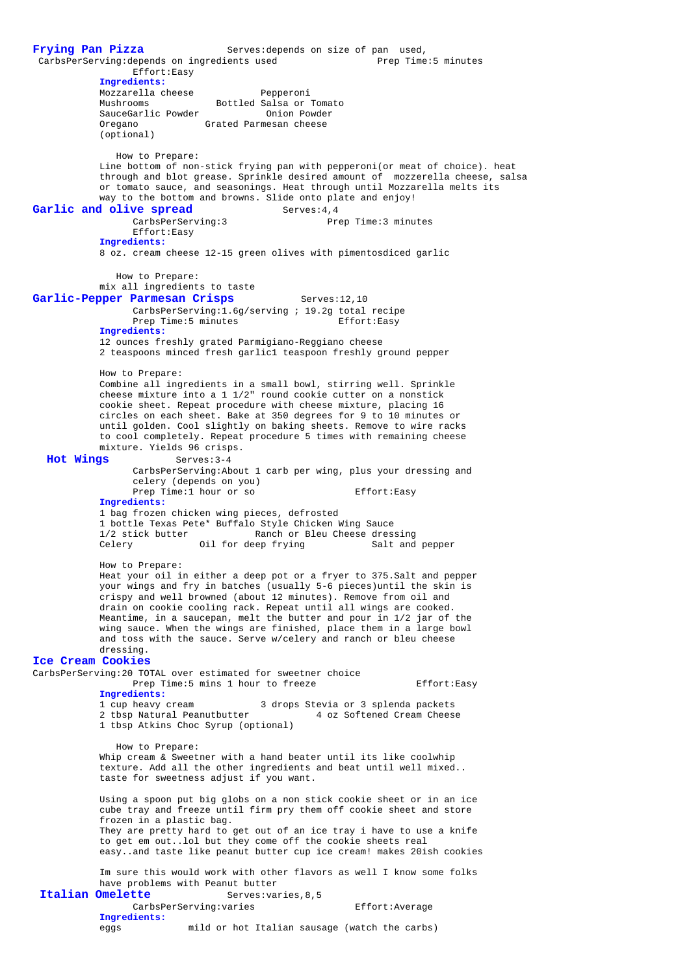**Frying Pan Pizza** Serves: depends on size of pan used, CarbsPerServing:depends on ingredients used Prep Time:5 minutes Effort:Easy **Ingredients:**  Mozzarella cheese Pepperoni Mushrooms Bottled Salsa or Tomato SauceGarlic Powder **Onion Powder**  Oregano Grated Parmesan cheese (optional) How to Prepare: Line bottom of non-stick frying pan with pepperoni(or meat of choice). heat through and blot grease. Sprinkle desired amount of mozzerella cheese, salsa or tomato sauce, and seasonings. Heat through until Mozzarella melts its way to the bottom and browns. Slide onto plate and enjoy! Garlic and olive spread Serves:4,4<br>CarbsPerServing:3 Pre Prep Time:3 minutes Effort:Easy **Ingredients:**  8 oz. cream cheese 12-15 green olives with pimentosdiced garlic How to Prepare: mix all ingredients to taste Garlic-Pepper Parmesan Crisps Serves:12,10 CarbsPerServing:1.6g/serving ; 19.2g total recipe<br>Prep Time:5 minutes Effort:Easy Prep Time:5 minutes  **Ingredients:**  12 ounces freshly grated Parmigiano-Reggiano cheese 2 teaspoons minced fresh garlic1 teaspoon freshly ground pepper How to Prepare: Combine all ingredients in a small bowl, stirring well. Sprinkle cheese mixture into a 1 1/2" round cookie cutter on a nonstick cookie sheet. Repeat procedure with cheese mixture, placing 16 circles on each sheet. Bake at 350 degrees for 9 to 10 minutes or until golden. Cool slightly on baking sheets. Remove to wire racks to cool completely. Repeat procedure 5 times with remaining cheese mixture. Yields 96 crisps. **Hot Wings** Serves: 3-4 CarbsPerServing:About 1 carb per wing, plus your dressing and celery (depends on you) Prep Time:1 hour or so effort:Easy  **Ingredients:**  1 bag frozen chicken wing pieces, defrosted 1 bottle Texas Pete\* Buffalo Style Chicken Wing Sauce 1/2 stick butter Ranch or Bleu Cheese dressing<br>Celery 0il for deep frying Salt and Oil for deep frying Salt and pepper How to Prepare: Heat your oil in either a deep pot or a fryer to 375.Salt and pepper your wings and fry in batches (usually 5-6 pieces) until the skin is crispy and well browned (about 12 minutes). Remove from oil and drain on cookie cooling rack. Repeat until all wings are cooked. Meantime, in a saucepan, melt the butter and pour in 1/2 jar of the wing sauce. When the wings are finished, place them in a large bowl and toss with the sauce. Serve w/celery and ranch or bleu cheese dressing. **Ice Cream Cookies** CarbsPerServing:20 TOTAL over estimated for sweetner choice Prep Time:5 mins 1 hour to freeze The Effort:Easy **Ingredients:**  1 cup heavy cream 3 drops Stevia or 3 splenda packets<br>2 tbsp Natural Peanutbutter 4 oz Softened Cream Cheese 2 tbsp Natural Peanutbutter 1 tbsp Atkins Choc Syrup (optional) How to Prepare: Whip cream & Sweetner with a hand beater until its like coolwhip texture. Add all the other ingredients and beat until well mixed.. taste for sweetness adjust if you want. Using a spoon put big globs on a non stick cookie sheet or in an ice cube tray and freeze until firm pry them off cookie sheet and store frozen in a plastic bag. They are pretty hard to get out of an ice tray i have to use a knife to get em out..lol but they come off the cookie sheets real easy..and taste like peanut butter cup ice cream! makes 20ish cookies Im sure this would work with other flavors as well I know some folks have problems with Peanut butter **Italian Omelette** Serves: varies, 8, 5 CarbsPerServing: varies entitled and the Effort: Average **Ingredients:**  eggs mild or hot Italian sausage (watch the carbs)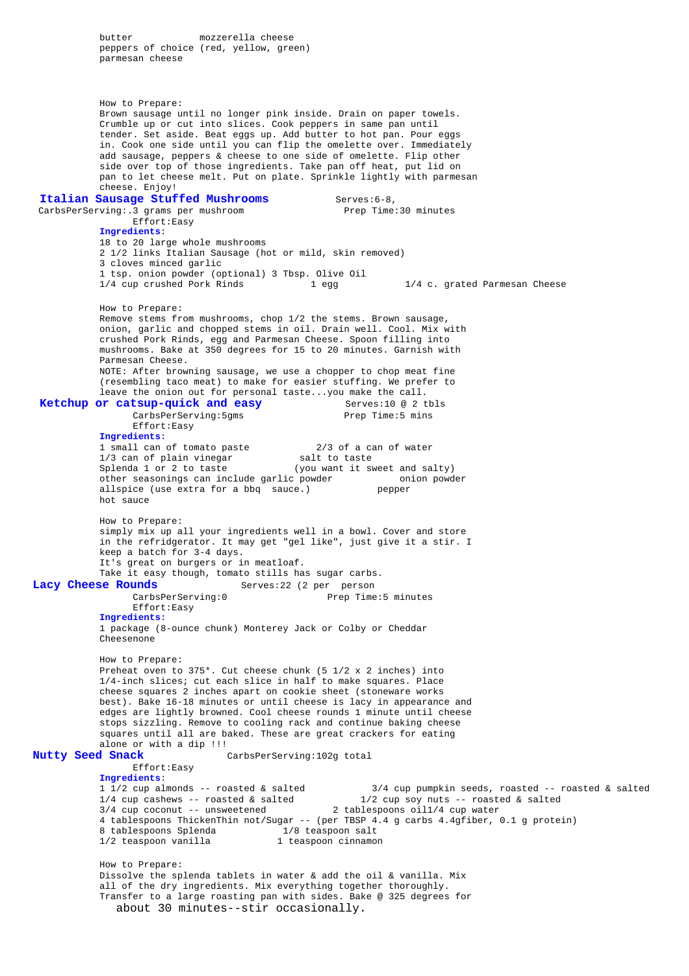butter mozzerella cheese peppers of choice (red, yellow, green) parmesan cheese

 How to Prepare: Brown sausage until no longer pink inside. Drain on paper towels. Crumble up or cut into slices. Cook peppers in same pan until tender. Set aside. Beat eggs up. Add butter to hot pan. Pour eggs in. Cook one side until you can flip the omelette over. Immediately add sausage, peppers & cheese to one side of omelette. Flip other side over top of those ingredients. Take pan off heat, put lid on pan to let cheese melt. Put on plate. Sprinkle lightly with parmesan cheese. Enjoy! **Italian Sausage Stuffed Mushrooms** Serves:6-8,<br>CarbsPerServing:.3 grams per mushroom Prep Time:30 minutes CarbsPerServing: .3 grams per mushroom Effort:Easy  **Ingredients**: 18 to 20 large whole mushrooms 2 1/2 links Italian Sausage (hot or mild, skin removed) 3 cloves minced garlic 1 tsp. onion powder (optional) 3 Tbsp. Olive Oil 1/4 cup crushed Pork Rinds 1 egg 1/4 c. grated Parmesan Cheese How to Prepare: Remove stems from mushrooms, chop 1/2 the stems. Brown sausage, onion, garlic and chopped stems in oil. Drain well. Cool. Mix with crushed Pork Rinds, egg and Parmesan Cheese. Spoon filling into mushrooms. Bake at 350 degrees for 15 to 20 minutes. Garnish with Parmesan Cheese. NOTE: After browning sausage, we use a chopper to chop meat fine (resembling taco meat) to make for easier stuffing. We prefer to leave the onion out for personal taste...you make the call. **Ketchup or catsup-quick and easy** Serves:10 @ 2 tbls CarbsPerServing:5gms Prep Time:5 mins Effort:Easy **Ingredients:**  1 small can of tomato paste 2/3 of a can of water 1/3 can of plain vinegar salt to taste Splenda 1 or 2 to taste (you want it sweet and salty) other seasonings can include garlic powder onion powder allspice (use extra for a bbq sauce.) pepper hot sauce How to Prepare: simply mix up all your ingredients well in a bowl. Cover and store in the refridgerator. It may get "gel like", just give it a stir. I keep a batch for 3-4 days. It's great on burgers or in meatloaf. Take it easy though, tomato stills has sugar carbs. Lacy Cheese Rounds Serves: 22 (2 per person CarbsPerServing:0 Prep Time:5 minutes Effort:Easy **Ingredients:**  1 package (8-ounce chunk) Monterey Jack or Colby or Cheddar Cheesenone How to Prepare: Preheat oven to 375\*. Cut cheese chunk (5 1/2 x 2 inches) into 1/4-inch slices; cut each slice in half to make squares. Place cheese squares 2 inches apart on cookie sheet (stoneware works best). Bake 16-18 minutes or until cheese is lacy in appearance and edges are lightly browned. Cool cheese rounds 1 minute until cheese stops sizzling. Remove to cooling rack and continue baking cheese squares until all are baked. These are great crackers for eating alone or with a dip !!!<br>Nutty Seed Snack **Nutty Seed Snack** CarbsPerServing:102g total Effort:Easy  **Ingredients**: 1 1/2 cup almonds -- roasted & salted 3/4 cup pumpkin seeds, roasted -- roasted & salted 1/4 cup cashews -- roasted & salted 1/2 cup soy nuts -- roasted & salted 3/4 cup coconut -- unsweetened 2 tablespoons oil1/4 cup water 4 tablespoons ThickenThin not/Sugar -- (per TBSP 4.4 g carbs 4.4gfiber, 0.1 g protein)<br>8 tablespoons Splenda 1/8 teaspoon salt 8 tablespoons Splenda 1/8 teaspoon salt  $1/2$  teaspoon vanilla How to Prepare: Dissolve the splenda tablets in water & add the oil & vanilla. Mix all of the dry ingredients. Mix everything together thoroughly. Transfer to a large roasting pan with sides. Bake @ 325 degrees for about 30 minutes--stir occasionally.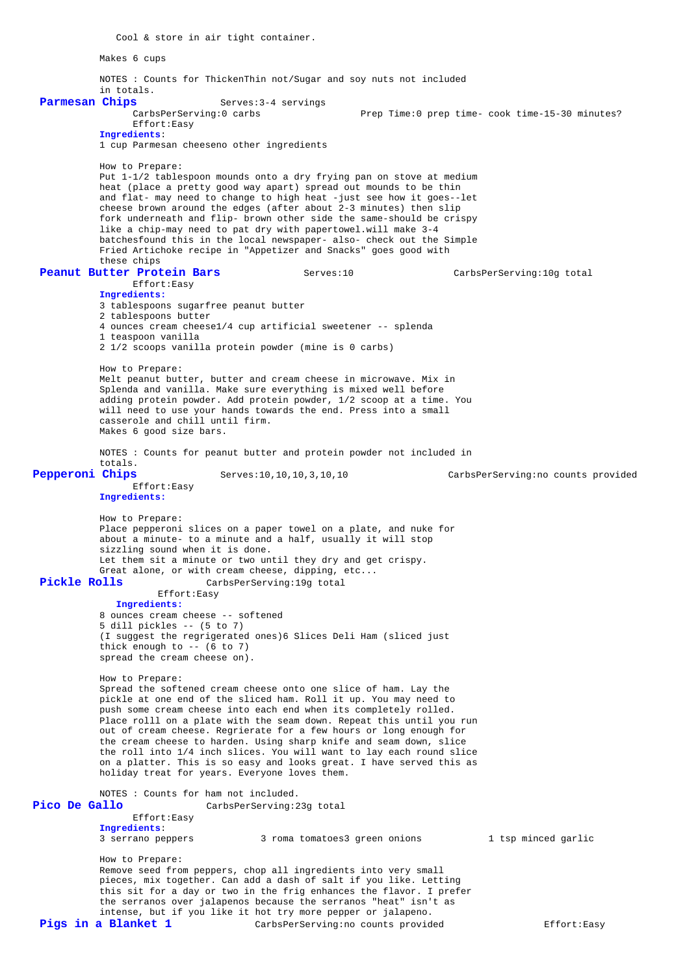Cool & store in air tight container. Makes 6 cups NOTES : Counts for ThickenThin not/Sugar and soy nuts not included in totals. **Parmesan Chips** Serves: 3-4 servings<br>CarbsPerServing: 0 carbs Prep Time:0 prep time- cook time-15-30 minutes? Effort:Easy  **Ingredients**: 1 cup Parmesan cheeseno other ingredients How to Prepare: Put 1-1/2 tablespoon mounds onto a dry frying pan on stove at medium heat (place a pretty good way apart) spread out mounds to be thin and flat- may need to change to high heat -just see how it goes--let cheese brown around the edges (after about 2-3 minutes) then slip fork underneath and flip- brown other side the same-should be crispy like a chip-may need to pat dry with papertowel.will make 3-4 batchesfound this in the local newspaper- also- check out the Simple Fried Artichoke recipe in "Appetizer and Snacks" goes good with these chips **Peanut Butter Protein Bars** Serves:10 CarbsPerServing:10g total Effort:Easy **Ingredients:**  3 tablespoons sugarfree peanut butter 2 tablespoons butter 4 ounces cream cheese1/4 cup artificial sweetener -- splenda 1 teaspoon vanilla 2 1/2 scoops vanilla protein powder (mine is 0 carbs) How to Prepare: Melt peanut butter, butter and cream cheese in microwave. Mix in Splenda and vanilla. Make sure everything is mixed well before adding protein powder. Add protein powder, 1/2 scoop at a time. You will need to use your hands towards the end. Press into a small casserole and chill until firm. Makes 6 good size bars. NOTES : Counts for peanut butter and protein powder not included in totals. **Pepperoni Chips** Serves:10,10,10,3,10,10 CarbsPerServing:no counts provided Effort:Easy  **Ingredients:**  How to Prepare: Place pepperoni slices on a paper towel on a plate, and nuke for about a minute- to a minute and a half, usually it will stop sizzling sound when it is done. Let them sit a minute or two until they dry and get crispy. Great alone, or with cream cheese, dipping, etc... **Pickle Rolls** CarbsPerServing:19g total Effort:Easy **Ingredients:**  8 ounces cream cheese -- softened 5 dill pickles -- (5 to 7) (I suggest the regrigerated ones)6 Slices Deli Ham (sliced just thick enough to  $--$  (6 to 7) spread the cream cheese on). How to Prepare: Spread the softened cream cheese onto one slice of ham. Lay the pickle at one end of the sliced ham. Roll it up. You may need to push some cream cheese into each end when its completely rolled. Place rolll on a plate with the seam down. Repeat this until you run out of cream cheese. Regrierate for a few hours or long enough for the cream cheese to harden. Using sharp knife and seam down, slice the roll into 1/4 inch slices. You will want to lay each round slice on a platter. This is so easy and looks great. I have served this as holiday treat for years. Everyone loves them. NOTES : Counts for ham not included. Pico De Gallo CarbsPerServing:23g total Effort:Easy  **Ingredients**: 3 serrano peppers 3 roma tomatoes3 green onions 1 tsp minced garlic How to Prepare: Remove seed from peppers, chop all ingredients into very small pieces, mix together. Can add a dash of salt if you like. Letting this sit for a day or two in the frig enhances the flavor. I prefer the serranos over jalapenos because the serranos "heat" isn't as intense, but if you like it hot try more pepper or jalapeno. **Pigs in a Blanket 1** CarbsPerServing:no counts provided Effort:Easy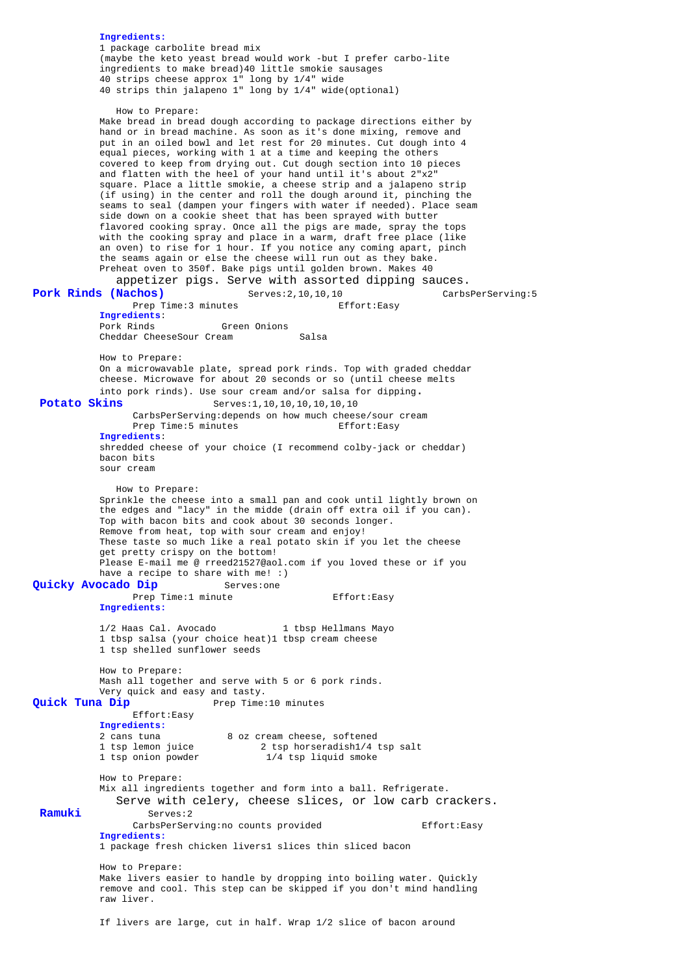**Ingredients:**  1 package carbolite bread mix (maybe the keto yeast bread would work -but I prefer carbo-lite ingredients to make bread)40 little smokie sausages 40 strips cheese approx 1" long by 1/4" wide 40 strips thin jalapeno 1" long by 1/4" wide(optional) How to Prepare: Make bread in bread dough according to package directions either by hand or in bread machine. As soon as it's done mixing, remove and put in an oiled bowl and let rest for 20 minutes. Cut dough into 4 equal pieces, working with 1 at a time and keeping the others covered to keep from drying out. Cut dough section into 10 pieces and flatten with the heel of your hand until it's about 2"x2" square. Place a little smokie, a cheese strip and a jalapeno strip (if using) in the center and roll the dough around it, pinching the seams to seal (dampen your fingers with water if needed). Place seam side down on a cookie sheet that has been sprayed with butter flavored cooking spray. Once all the pigs are made, spray the tops with the cooking spray and place in a warm, draft free place (like an oven) to rise for 1 hour. If you notice any coming apart, pinch the seams again or else the cheese will run out as they bake. Preheat oven to 350f. Bake pigs until golden brown. Makes 40 appetizer pigs. Serve with assorted dipping sauces. **Pork Rinds (Nachos)** Serves:2,10,10,10 CarbsPerServing:5<br>Prep Time:3 minutes Effort:Easy Prep Time: 3 minutes  **Ingredients**: Green Onions Cheddar CheeseSour Cream Salsa How to Prepare: On a microwavable plate, spread pork rinds. Top with graded cheddar cheese. Microwave for about 20 seconds or so (until cheese melts into pork rinds). Use sour cream and/or salsa for dipping. **Potato Skins** Serves:1,10,10,10,10,10,10 CarbsPerServing:depends on how much cheese/sour cream<br>Prep Time:5 minutes Effort:Easy Prep Time: 5 minutes  **Ingredients**: shredded cheese of your choice (I recommend colby-jack or cheddar) bacon bits sour cream How to Prepare: Sprinkle the cheese into a small pan and cook until lightly brown on the edges and "lacy" in the midde (drain off extra oil if you can). Top with bacon bits and cook about 30 seconds longer. Remove from heat, top with sour cream and enjoy! These taste so much like a real potato skin if you let the cheese get pretty crispy on the bottom! Please E-mail me @ rreed21527@aol.com if you loved these or if you have a recipe to share with me! :) Quicky Avocado Dip Serves: one Prep Time:1 minute Effort:Easy **Ingredients:**  1/2 Haas Cal. Avocado 1 tbsp Hellmans Mayo 1 tbsp salsa (your choice heat)1 tbsp cream cheese 1 tsp shelled sunflower seeds How to Prepare: Mash all together and serve with 5 or 6 pork rinds. Very quick and easy and tasty. **Quick Tuna Dip** Prep Time:10 minutes Effort:Easy **Ingredients:**  8 oz cream cheese, softened 1 tsp lemon juice 2 tsp horseradish1/4 tsp salt<br>1 tsp onion powder 1/4 tsp liquid smoke  $1/4$  tsp liquid smoke How to Prepare: Mix all ingredients together and form into a ball. Refrigerate. Serve with celery, cheese slices, or low carb crackers. **Ramuki** Serves:2 CarbsPerServing:no counts provided Effort:Easy **Ingredients:**  1 package fresh chicken livers1 slices thin sliced bacon How to Prepare: Make livers easier to handle by dropping into boiling water. Quickly remove and cool. This step can be skipped if you don't mind handling raw liver. If livers are large, cut in half. Wrap 1/2 slice of bacon around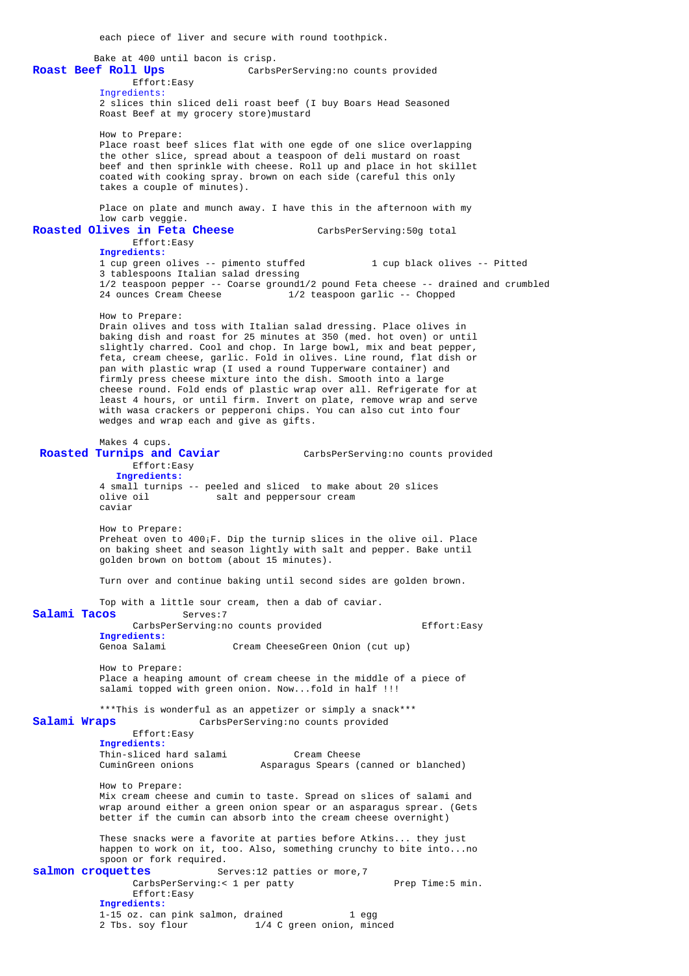each piece of liver and secure with round toothpick.

 Bake at 400 until bacon is crisp. **Roast Beef Roll Ups** CarbsPerServing:no counts provided Effort:Easy Ingredients: 2 slices thin sliced deli roast beef (I buy Boars Head Seasoned Roast Beef at my grocery store)mustard How to Prepare: Place roast beef slices flat with one egde of one slice overlapping the other slice, spread about a teaspoon of deli mustard on roast beef and then sprinkle with cheese. Roll up and place in hot skillet coated with cooking spray. brown on each side (careful this only takes a couple of minutes). Place on plate and munch away. I have this in the afternoon with my low carb veggie. **Roasted Olives in Feta Cheese** CarbsPerServing:50g total Effort:Easy **Ingredients:**  1 cup green olives -- pimento stuffed 1 cup black olives -- Pitted 3 tablespoons Italian salad dressing 1/2 teaspoon pepper -- Coarse ground1/2 pound Feta cheese -- drained and crumbled 24 ounces Cream Cheese 1/2 teaspoon garlic -- Chopped How to Prepare: Drain olives and toss with Italian salad dressing. Place olives in baking dish and roast for 25 minutes at 350 (med. hot oven) or until slightly charred. Cool and chop. In large bowl, mix and beat pepper, feta, cream cheese, garlic. Fold in olives. Line round, flat dish or pan with plastic wrap (I used a round Tupperware container) and firmly press cheese mixture into the dish. Smooth into a large cheese round. Fold ends of plastic wrap over all. Refrigerate for at least 4 hours, or until firm. Invert on plate, remove wrap and serve with wasa crackers or pepperoni chips. You can also cut into four wedges and wrap each and give as gifts. Makes 4 cups. **Roasted Turnips and Caviar** CarbsPerServing:no counts provided Effort:Easy **Ingredients:**  4 small turnips -- peeled and sliced to make about 20 slices olive oil salt and peppersour cream caviar How to Prepare: Preheat oven to 400¡F. Dip the turnip slices in the olive oil. Place on baking sheet and season lightly with salt and pepper. Bake until golden brown on bottom (about 15 minutes). Turn over and continue baking until second sides are golden brown. Top with a little sour cream, then a dab of caviar. Salami Tacos Serves:7 CarbsPerServing: no counts provided entitled Effort: Easy **Ingredients:**  Genoa Salami Cream CheeseGreen Onion (cut up) How to Prepare: Place a heaping amount of cream cheese in the middle of a piece of salami topped with green onion. Now...fold in half !!! \*\*\*This is wonderful as an appetizer or simply a snack\*\*\* **Salami Wraps** CarbsPerServing:no counts provided Effort:Easy<br>Ingredients: **Ingredients:**  Thin-sliced hard salami Cream Cheese CuminGreen onions Asparagus Spears (canned or blanched) How to Prepare: Mix cream cheese and cumin to taste. Spread on slices of salami and wrap around either a green onion spear or an asparagus sprear. (Gets better if the cumin can absorb into the cream cheese overnight) These snacks were a favorite at parties before Atkins... they just happen to work on it, too. Also, something crunchy to bite into...no spoon or fork required. **salmon croquettes** Serves:12 patties or more, 7 CarbsPerServing:< 1 per patty Prep Time:5 min. Effort:Easy **Ingredients:**  1-15 oz. can pink salmon, drained 1 egg 2 Tbs. soy flour 1/4 C green onion, minced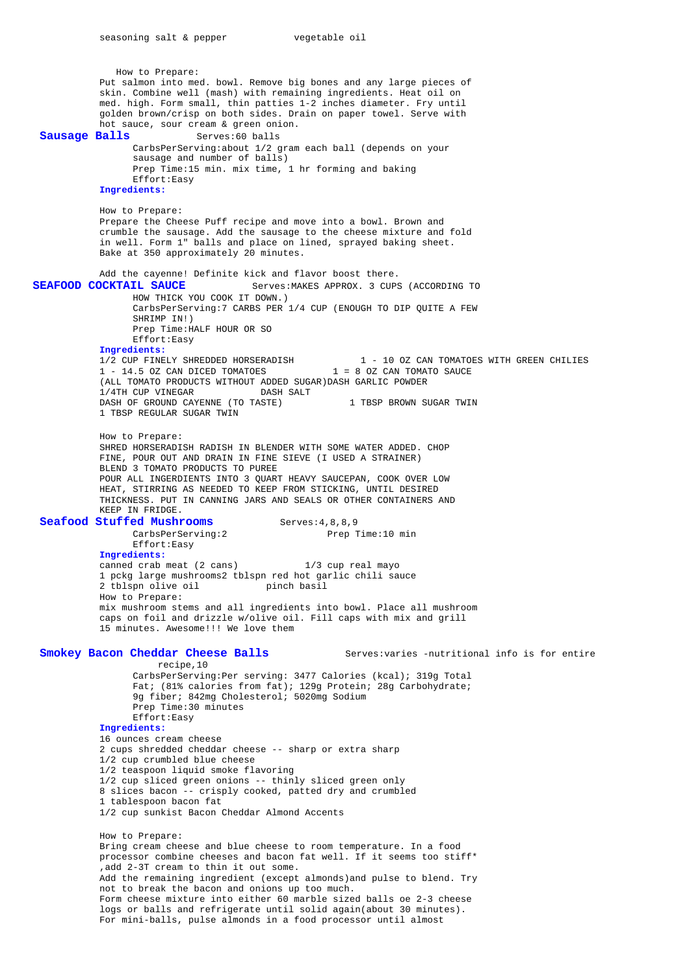How to Prepare: Put salmon into med. bowl. Remove big bones and any large pieces of skin. Combine well (mash) with remaining ingredients. Heat oil on med. high. Form small, thin patties 1-2 inches diameter. Fry until golden brown/crisp on both sides. Drain on paper towel. Serve with hot sauce, sour cream & green onion. Sausage Balls Serves:60 balls CarbsPerServing:about 1/2 gram each ball (depends on your sausage and number of balls) Prep Time:15 min. mix time, 1 hr forming and baking Effort:Easy **Ingredients:**  How to Prepare: Prepare the Cheese Puff recipe and move into a bowl. Brown and crumble the sausage. Add the sausage to the cheese mixture and fold in well. Form 1" balls and place on lined, sprayed baking sheet. Bake at 350 approximately 20 minutes. Add the cayenne! Definite kick and flavor boost there. **SEAFOOD COCKTAIL SAUCE** Serves: MAKES APPROX. 3 CUPS (ACCORDING TO HOW THICK YOU COOK IT DOWN.) CarbsPerServing:7 CARBS PER 1/4 CUP (ENOUGH TO DIP QUITE A FEW SHRIMP IN!) Prep Time:HALF HOUR OR SO Effort:Easy<br> **Ingredients: Ingredients:**  1/2 CUP FINELY SHREDDED HORSERADISH 1 - 10 OZ CAN TOMATOES WITH GREEN CHILIES  $1 - 14.5$  OZ CAN DICED TOMATOES  $1 = 8$  OZ CAN TOMATO SAUCE (ALL TOMATO PRODUCTS WITHOUT ADDED SUGAR)DASH GARLIC POWDER 1/4TH CUP VINEGAR DASH SALT DASH OF GROUND CAYENNE (TO TASTE) 1 TBSP BROWN SUGAR TWIN 1 TBSP REGULAR SUGAR TWIN How to Prepare: SHRED HORSERADISH RADISH IN BLENDER WITH SOME WATER ADDED. CHOP FINE, POUR OUT AND DRAIN IN FINE SIEVE (I USED A STRAINER) BLEND 3 TOMATO PRODUCTS TO PUREE POUR ALL INGERDIENTS INTO 3 QUART HEAVY SAUCEPAN, COOK OVER LOW HEAT, STIRRING AS NEEDED TO KEEP FROM STICKING, UNTIL DESIRED THICKNESS. PUT IN CANNING JARS AND SEALS OR OTHER CONTAINERS AND KEEP IN FRIDGE. Seafood Stuffed Mushrooms Serves: 4, 8, 8, 9 CarbsPerServing:2 Prep Time:10 min Effort:Easy  **Ingredients:**  canned crab meat (2 cans) 1/3 cup real mayo 1 pckg large mushrooms2 tblspn red hot garlic chili sauce 2 tblspn olive oil How to Prepare: mix mushroom stems and all ingredients into bowl. Place all mushroom caps on foil and drizzle w/olive oil. Fill caps with mix and grill 15 minutes. Awesome!!! We love them **Smokey Bacon Cheddar Cheese Balls** Serves: varies -nutritional info is for entire recipe,10 CarbsPerServing:Per serving: 3477 Calories (kcal); 319g Total Fat; (81% calories from fat); 129g Protein; 28g Carbohydrate; 9g fiber; 842mg Cholesterol; 5020mg Sodium Prep Time:30 minutes Effort:Easy **Ingredients:**  16 ounces cream cheese 2 cups shredded cheddar cheese -- sharp or extra sharp 1/2 cup crumbled blue cheese 1/2 teaspoon liquid smoke flavoring 1/2 cup sliced green onions -- thinly sliced green only 8 slices bacon -- crisply cooked, patted dry and crumbled 1 tablespoon bacon fat 1/2 cup sunkist Bacon Cheddar Almond Accents How to Prepare: Bring cream cheese and blue cheese to room temperature. In a food processor combine cheeses and bacon fat well. If it seems too stiff\* ,add 2-3T cream to thin it out some. Add the remaining ingredient (except almonds)and pulse to blend. Try not to break the bacon and onions up too much. Form cheese mixture into either 60 marble sized balls oe 2-3 cheese logs or balls and refrigerate until solid again(about 30 minutes).

For mini-balls, pulse almonds in a food processor until almost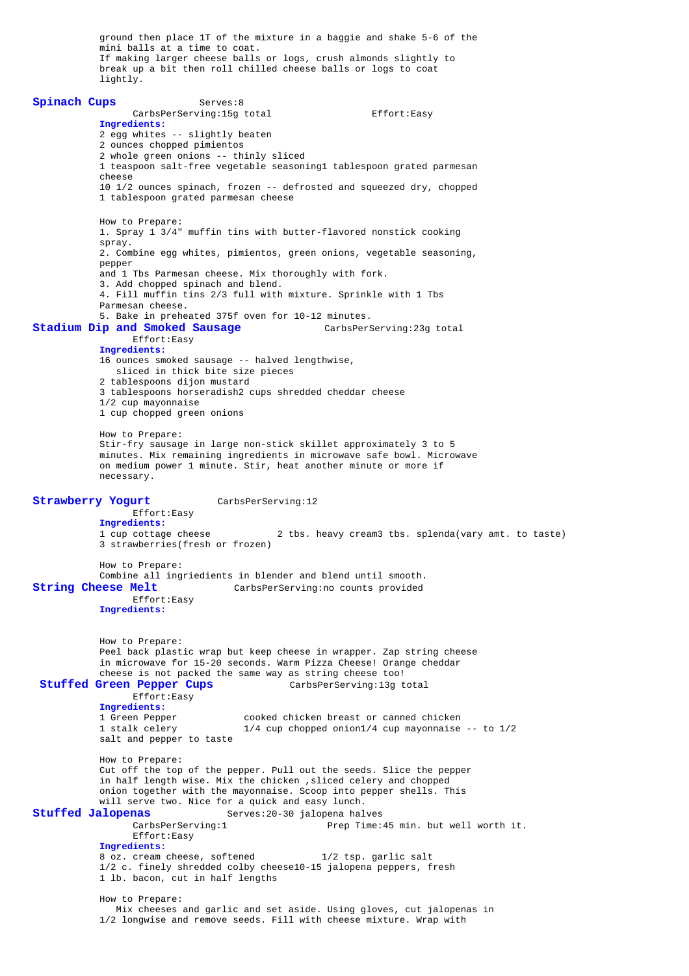ground then place 1T of the mixture in a baggie and shake 5-6 of the mini balls at a time to coat. If making larger cheese balls or logs, crush almonds slightly to break up a bit then roll chilled cheese balls or logs to coat lightly. **Spinach Cups** Serves:8 CarbsPerServing:15g total Effort:Easy  **Ingredients:**  2 egg whites -- slightly beaten 2 ounces chopped pimientos 2 whole green onions -- thinly sliced 1 teaspoon salt-free vegetable seasoning1 tablespoon grated parmesan cheese 10 1/2 ounces spinach, frozen -- defrosted and squeezed dry, chopped 1 tablespoon grated parmesan cheese How to Prepare: 1. Spray 1 3/4" muffin tins with butter-flavored nonstick cooking spray. 2. Combine egg whites, pimientos, green onions, vegetable seasoning, pepper and 1 Tbs Parmesan cheese. Mix thoroughly with fork. 3. Add chopped spinach and blend. 4. Fill muffin tins 2/3 full with mixture. Sprinkle with 1 Tbs Parmesan cheese. 5. Bake in preheated 375f oven for 10-12 minutes. Stadium Dip and Smoked Sausage CarbsPerServing:23g total Effort:Easy  **Ingredients:**  16 ounces smoked sausage -- halved lengthwise, sliced in thick bite size pieces 2 tablespoons dijon mustard 3 tablespoons horseradish2 cups shredded cheddar cheese 1/2 cup mayonnaise 1 cup chopped green onions How to Prepare: Stir-fry sausage in large non-stick skillet approximately 3 to 5 minutes. Mix remaining ingredients in microwave safe bowl. Microwave on medium power 1 minute. Stir, heat another minute or more if necessary. **Strawberry Yogurt** CarbsPerServing:12 Effort:Easy  **Ingredients:**  1 cup cottage cheese 2 tbs. heavy cream3 tbs. splenda(vary amt. to taste) 3 strawberries(fresh or frozen) How to Prepare: Combine all ingriedients in blender and blend until smooth. **String Cheese Melt** CarbsPerServing:no counts provided Effort:Easy **Ingredients:**  How to Prepare: Peel back plastic wrap but keep cheese in wrapper. Zap string cheese in microwave for 15-20 seconds. Warm Pizza Cheese! Orange cheddar cheese is not packed the same way as string cheese too! **Stuffed Green Pepper Cups** CarbsPerServing:13g total Effort:Easy **Ingredients:**  1 Green Pepper cooked chicken breast or canned chicken 1 stalk celery 1/4 cup chopped onion1/4 cup mayonnaise -- to 1/2 salt and pepper to taste How to Prepare: Cut off the top of the pepper. Pull out the seeds. Slice the pepper in half length wise. Mix the chicken ,sliced celery and chopped onion together with the mayonnaise. Scoop into pepper shells. This will serve two. Nice for a quick and easy lunch. **Stuffed Jalopenas** Serves: 20-30 jalopena halves CarbsPerServing:1 Prep Time:45 min. but well worth it. Effort:Easy **Ingredients:**  8 oz. cream cheese, softened 1/2 tsp. garlic salt 1/2 c. finely shredded colby cheese10-15 jalopena peppers, fresh 1 lb. bacon, cut in half lengths How to Prepare: Mix cheeses and garlic and set aside. Using gloves, cut jalopenas in 1/2 longwise and remove seeds. Fill with cheese mixture. Wrap with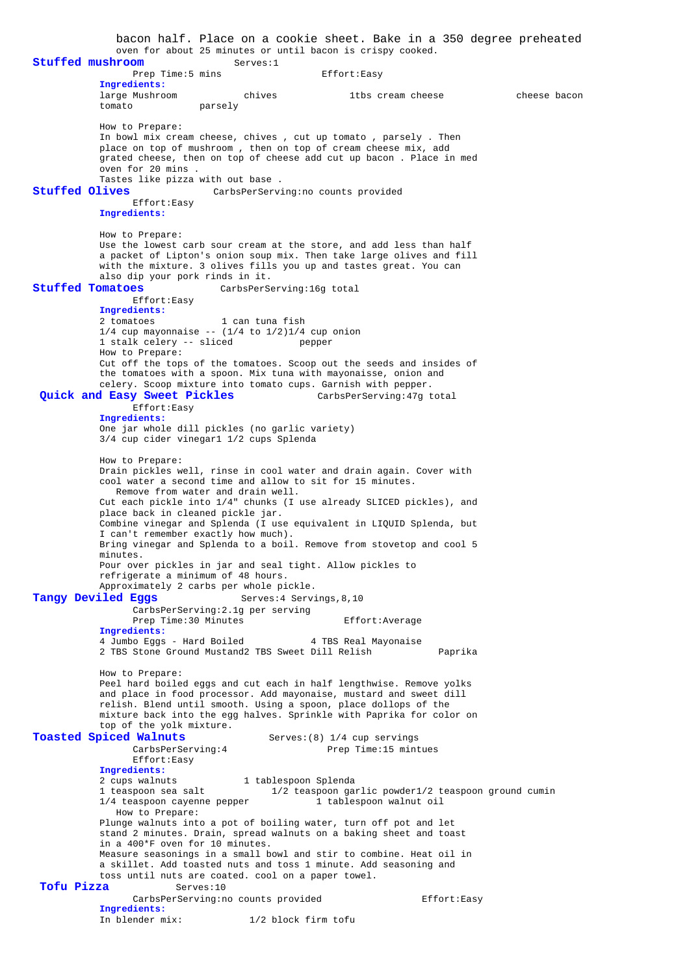bacon half. Place on a cookie sheet. Bake in a 350 degree preheated oven for about 25 minutes or until bacon is crispy cooked. **Stuffed mushroom** Serves:1 Prep Time:5 mins Effort:Easy  **Ingredients:**  chives 1tbs cream cheese cheese bacon tomato parsely How to Prepare: In bowl mix cream cheese, chives , cut up tomato , parsely . Then place on top of mushroom , then on top of cream cheese mix, add grated cheese, then on top of cheese add cut up bacon . Place in med oven for 20 mins . Tastes like pizza with out base . **Stuffed Olives** CarbsPerServing:no counts provided Effort:Easy  **Ingredients:**  How to Prepare: Use the lowest carb sour cream at the store, and add less than half a packet of Lipton's onion soup mix. Then take large olives and fill with the mixture. 3 olives fills you up and tastes great. You can also dip your pork rinds in it. **Stuffed Tomatoes** CarbsPerServing:16g total Effort:Easy  **Ingredients:**  2 tomatoes 1 can tuna fish  $1/4$  cup mayonnaise  $- - (1/4$  to  $1/2)1/4$  cup onion 1 stalk celery -- sliced pepper How to Prepare: Cut off the tops of the tomatoes. Scoop out the seeds and insides of the tomatoes with a spoon. Mix tuna with mayonaisse, onion and celery. Scoop mixture into tomato cups. Garnish with pepper. **Quick and Easy Sweet Pickles** CarbsPerServing: 47g total Effort:Easy **Ingredients:**  One jar whole dill pickles (no garlic variety) 3/4 cup cider vinegar1 1/2 cups Splenda How to Prepare: Drain pickles well, rinse in cool water and drain again. Cover with cool water a second time and allow to sit for 15 minutes. Remove from water and drain well. Cut each pickle into 1/4" chunks (I use already SLICED pickles), and place back in cleaned pickle jar. Combine vinegar and Splenda (I use equivalent in LIQUID Splenda, but I can't remember exactly how much). Bring vinegar and Splenda to a boil. Remove from stovetop and cool 5 minutes. Pour over pickles in jar and seal tight. Allow pickles to refrigerate a minimum of 48 hours. Approximately 2 carbs per whole pickle. **Tangy Deviled Eggs** Serves: 4 Servings, 8, 10 CarbsPerServing:2.1g per serving Prep Time:30 Minutes Effort:Average **Ingredients:**  4 TBS Real Mayonaise 2 TBS Stone Ground Mustand2 TBS Sweet Dill Relish Paprika How to Prepare: Peel hard boiled eggs and cut each in half lengthwise. Remove yolks and place in food processor. Add mayonaise, mustard and sweet dill relish. Blend until smooth. Using a spoon, place dollops of the mixture back into the egg halves. Sprinkle with Paprika for color on top of the yolk mixture. **Toasted Spiced Walnuts** Serves: (8) 1/4 cup servings CarbsPerServing:4 Prep Time:15 mintues Effort:Easy<br> **Ingredients: Ingredients:**  2 cups walnuts 1 tablespoon Splenda  $1/2$  teaspoon garlic powder1/2 teaspoon ground cumin<br>r  $1$  tablespoon walnut oil 1/4 teaspoon cayenne pepper 1 tablespoon walnut oil How to Prepare: Plunge walnuts into a pot of boiling water, turn off pot and let stand 2 minutes. Drain, spread walnuts on a baking sheet and toast in a 400\*F oven for 10 minutes. Measure seasonings in a small bowl and stir to combine. Heat oil in a skillet. Add toasted nuts and toss 1 minute. Add seasoning and toss until nuts are coated. cool on a paper towel. **Tofu Pizza** Serves:10 CarbsPerServing: no counts provided example effort: Easy **Ingredients:**  1/2 block firm tofu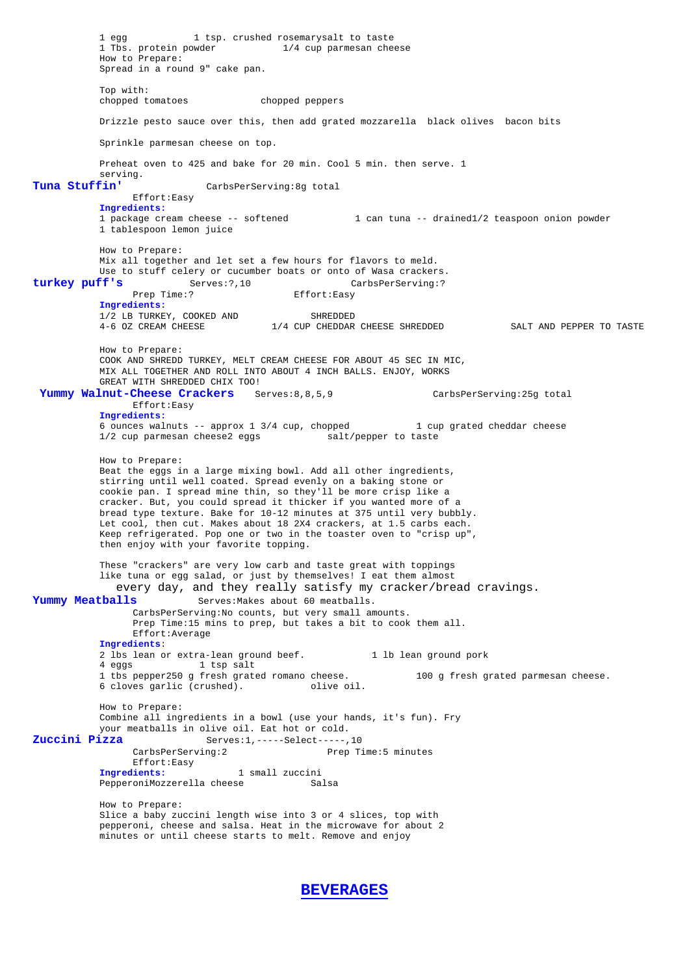1 egg 1 tsp. crushed rosemarysalt to taste<br>1 Tbs. protein powder 1/4 cup parmesan chee  $1/4$  cup parmesan cheese How to Prepare: Spread in a round 9" cake pan. Top with: chopped tomatoes chopped peppers Drizzle pesto sauce over this, then add grated mozzarella black olives bacon bits Sprinkle parmesan cheese on top. Preheat oven to 425 and bake for 20 min. Cool 5 min. then serve. 1 serving. **Tuna Stuffin'** CarbsPerServing:8g total Effort:Easy **Ingredients:**  1 can tuna -- drained1/2 teaspoon onion powder 1 tablespoon lemon juice How to Prepare: Mix all together and let set a few hours for flavors to meld. Use to stuff celery or cucumber boats or onto of Wasa crackers. **turkey puff's** Serves:?,10 CarbsPerServing:? Prep Time:? Effort:Easy **Ingredients:**  1/2 LB TURKEY, COOKED AND SHREDDED<br>4-6 OZ CREAM CHEESE 1/4 CUP CHEDDAR 4-6 OZ CREAM CHEESE 1/4 CUP CHEDDAR CHEESE SHREDDED SALT AND PEPPER TO TASTE How to Prepare: COOK AND SHREDD TURKEY, MELT CREAM CHEESE FOR ABOUT 45 SEC IN MIC, MIX ALL TOGETHER AND ROLL INTO ABOUT 4 INCH BALLS. ENJOY, WORKS GREAT WITH SHREDDED CHIX TOO! **Yummy Walnut-Cheese Crackers** Serves: 8, 8, 5, 9 CarbsPerServing: 25q total Effort:Easy **Ingredients:**  6 ounces walnuts -- approx  $1 \frac{3}{4}$  cup, chopped  $1 \frac{1}{4}$  cup grated cheddar cheese  $1/2$  cup parmesan cheese2 eggs  $1/2$  $1/2$  cup parmesan cheese2 eggs How to Prepare: Beat the eggs in a large mixing bowl. Add all other ingredients, stirring until well coated. Spread evenly on a baking stone or cookie pan. I spread mine thin, so they'll be more crisp like a cracker. But, you could spread it thicker if you wanted more of a bread type texture. Bake for 10-12 minutes at 375 until very bubbly. Let cool, then cut. Makes about 18 2X4 crackers, at 1.5 carbs each. Keep refrigerated. Pop one or two in the toaster oven to "crisp up", then enjoy with your favorite topping. These "crackers" are very low carb and taste great with toppings like tuna or egg salad, or just by themselves! I eat them almost every day, and they really satisfy my cracker/bread cravings. Yummy Meatballs Serves: Makes about 60 meatballs. CarbsPerServing:No counts, but very small amounts. Prep Time:15 mins to prep, but takes a bit to cook them all. Effort:Average  **Ingredients**: 2 lbs lean or extra-lean ground beef. 1 lb lean ground pork 4 eggs 1 tsp salt 1 tbs pepper250 g fresh grated romano cheese. 100 g fresh grated parmesan cheese. 6 cloves garlic (crushed). olive oil. How to Prepare: Combine all ingredients in a bowl (use your hands, it's fun). Fry your meatballs in olive oil. Eat hot or cold. **Zuccini Pizza** Serves:1,-----Select-----,10 CarbsPerServing:2 Prep Time:5 minutes Effort:Easy  **Ingredients:** 1 small zuccini PepperoniMozzerella cheese Salsa How to Prepare: Slice a baby zuccini length wise into 3 or 4 slices, top with pepperoni, cheese and salsa. Heat in the microwave for about 2 minutes or until cheese starts to melt. Remove and enjoy

**BEVERAGES**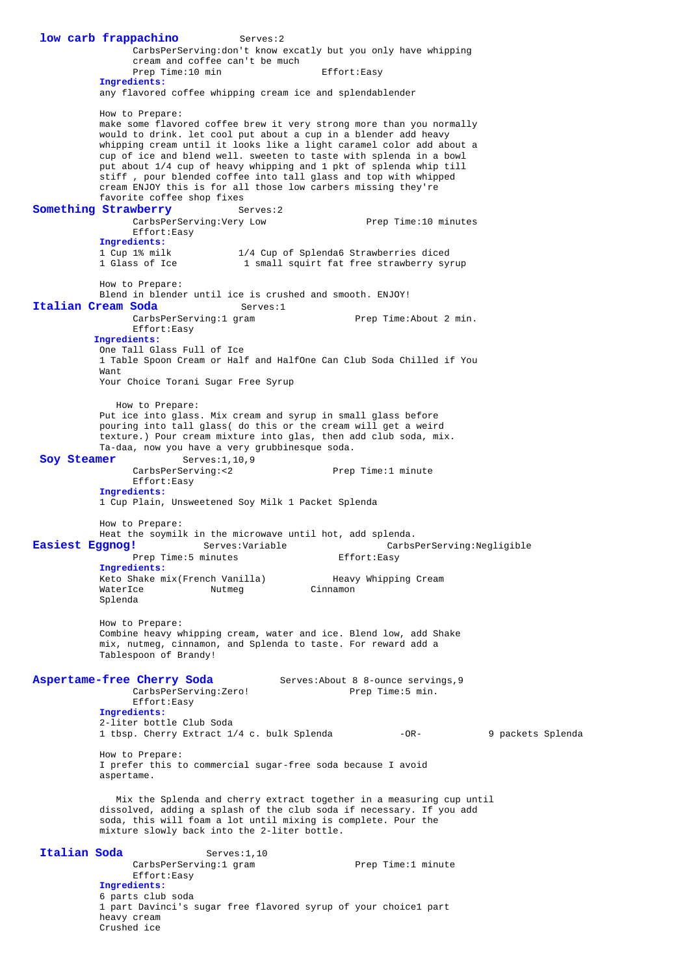**low carb frappachino** Serves: 2 CarbsPerServing:don't know excatly but you only have whipping cream and coffee can't be much Prep Time:10 min Effort:Easy **Ingredients:**  any flavored coffee whipping cream ice and splendablender How to Prepare: make some flavored coffee brew it very strong more than you normally would to drink. let cool put about a cup in a blender add heavy whipping cream until it looks like a light caramel color add about a cup of ice and blend well. sweeten to taste with splenda in a bowl put about 1/4 cup of heavy whipping and 1 pkt of splenda whip till stiff , pour blended coffee into tall glass and top with whipped cream ENJOY this is for all those low carbers missing they're favorite coffee shop fixes **Something Strawberry** Serves:2 CarbsPerServing:Very Low Prep Time:10 minutes Effort:Easy  **Ingredients:**  1 Cup 1% milk 1/4 Cup of Splenda6 Strawberries diced 1 Glass of Ice 1 small squirt fat free strawberry syrup How to Prepare: Blend in blender until ice is crushed and smooth. ENJOY! **Italian Cream Soda** Serves:1 CarbsPerServing:1 gram Prep Time:About 2 min. Effort:Easy **Ingredients:**  One Tall Glass Full of Ice 1 Table Spoon Cream or Half and HalfOne Can Club Soda Chilled if You Want Your Choice Torani Sugar Free Syrup How to Prepare: Put ice into glass. Mix cream and syrup in small glass before pouring into tall glass( do this or the cream will get a weird texture.) Pour cream mixture into glas, then add club soda, mix. Ta-daa, now you have a very grubbinesque soda. **Soy Steamer** Serves: 1, 10, 9 CarbsPerServing:<2 Prep Time:1 minute Effort:Easy **Ingredients:**  1 Cup Plain, Unsweetened Soy Milk 1 Packet Splenda How to Prepare: Heat the soymilk in the microwave until hot, add splenda.<br>
Serves:Variable Carbs! Easiest Eggnog! Serves:Variable CarbsPerServing:Negligible<br>
Prep Time:5 minutes Bercent:Easy Prep Time:5 minutes **Ingredients:**  Keto Shake mix(French Vanilla) Heavy Whipping Cream WaterIce Mutmeg Cinnamon Splenda How to Prepare: Combine heavy whipping cream, water and ice. Blend low, add Shake mix, nutmeg, cinnamon, and Splenda to taste. For reward add a Tablespoon of Brandy! Aspertame-free Cherry Soda Serves:About 8 8-ounce servings, 9 CarbsPerServing:Zero! Prep Time:5 min. Effort:Easy **Ingredients:**  2-liter bottle Club Soda 1 tbsp. Cherry Extract 1/4 c. bulk Splenda - - OR- 9 packets Splenda How to Prepare: I prefer this to commercial sugar-free soda because I avoid aspertame. Mix the Splenda and cherry extract together in a measuring cup until dissolved, adding a splash of the club soda if necessary. If you add soda, this will foam a lot until mixing is complete. Pour the mixture slowly back into the 2-liter bottle. Italian Soda<br>
Serves:1,10 CarbsPerServing:1 gram Prep Time:1 minute Effort:Easy **Ingredients:**  6 parts club soda 1 part Davinci's sugar free flavored syrup of your choice1 part heavy cream Crushed ice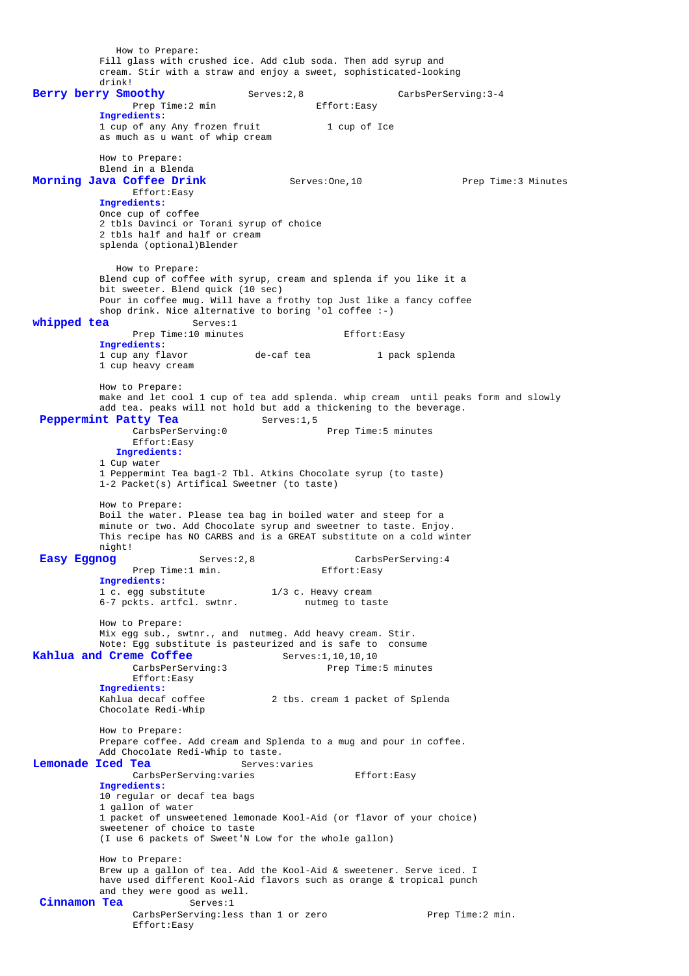How to Prepare: Fill glass with crushed ice. Add club soda. Then add syrup and cream. Stir with a straw and enjoy a sweet, sophisticated-looking drink! **Berry berry Smoothy** Serves:2,8 CarbsPerServing:3-4 Prep Time:2 min  **Ingredients**: 1 cup of any Any frozen fruit 1 cup of Ice as much as u want of whip cream How to Prepare: Blend in a Blenda **Morning Java Coffee Drink** Serves: One, 10 Prep Time: 3 Minutes Effort:Easy **Ingredients:**  Once cup of coffee 2 tbls Davinci or Torani syrup of choice 2 tbls half and half or cream splenda (optional)Blender How to Prepare: Blend cup of coffee with syrup, cream and splenda if you like it a bit sweeter. Blend quick (10 sec) Pour in coffee mug. Will have a frothy top Just like a fancy coffee shop drink. Nice alternative to boring 'ol coffee :-) **whipped tea** Serves:1 Prep Time:10 minutes Effort:Easy  **Ingredients**: de-caf tea 1 pack splenda 1 cup heavy cream How to Prepare: make and let cool 1 cup of tea add splenda. whip cream until peaks form and slowly add tea. peaks will not hold but add a thickening to the beverage. **Peppermint Patty Tea** Serves:1,5 CarbsPerServing:0 Prep Time:5 minutes Effort:Easy **Ingredients:**  1 Cup water 1 Peppermint Tea bag1-2 Tbl. Atkins Chocolate syrup (to taste) 1-2 Packet(s) Artifical Sweetner (to taste) How to Prepare: Boil the water. Please tea bag in boiled water and steep for a minute or two. Add Chocolate syrup and sweetner to taste. Enjoy. This recipe has NO CARBS and is a GREAT substitute on a cold winter night! Easy Eggnog Serves:2,8 CarbsPerServing:4<br>Prep Time:1 min. Effort:Easy Prep Time:1 min.  **Ingredients:**  1 c. egg substitute 1/3 c. Heavy cream 6-7 pckts. artfcl. swtnr. nutmeg to taste How to Prepare: Mix egg sub., swtnr., and nutmeg. Add heavy cream. Stir. Note: Egg substitute is pasteurized and is safe to consume **Kahlua and Creme Coffee** Serves:1,10,10,10<br>CarbsPerServing:3 Prep Time:5 minutes CarbsPerServing:3 Effort:Easy **Ingredients:**  2 tbs. cream 1 packet of Splenda Chocolate Redi-Whip How to Prepare: Prepare coffee. Add cream and Splenda to a mug and pour in coffee. Add Chocolate Redi-Whip to taste. **Lemonade Iced Tea** Serves: varies CarbsPerServing: varies Effort: Easy **Ingredients:**  10 regular or decaf tea bags 1 gallon of water 1 packet of unsweetened lemonade Kool-Aid (or flavor of your choice) sweetener of choice to taste (I use 6 packets of Sweet'N Low for the whole gallon) How to Prepare: Brew up a gallon of tea. Add the Kool-Aid & sweetener. Serve iced. I have used different Kool-Aid flavors such as orange & tropical punch and they were good as well. **Cinnamon Tea** Serves:1 CarbsPerServing: less than 1 or zero Prep Time: 2 min. Effort:Easy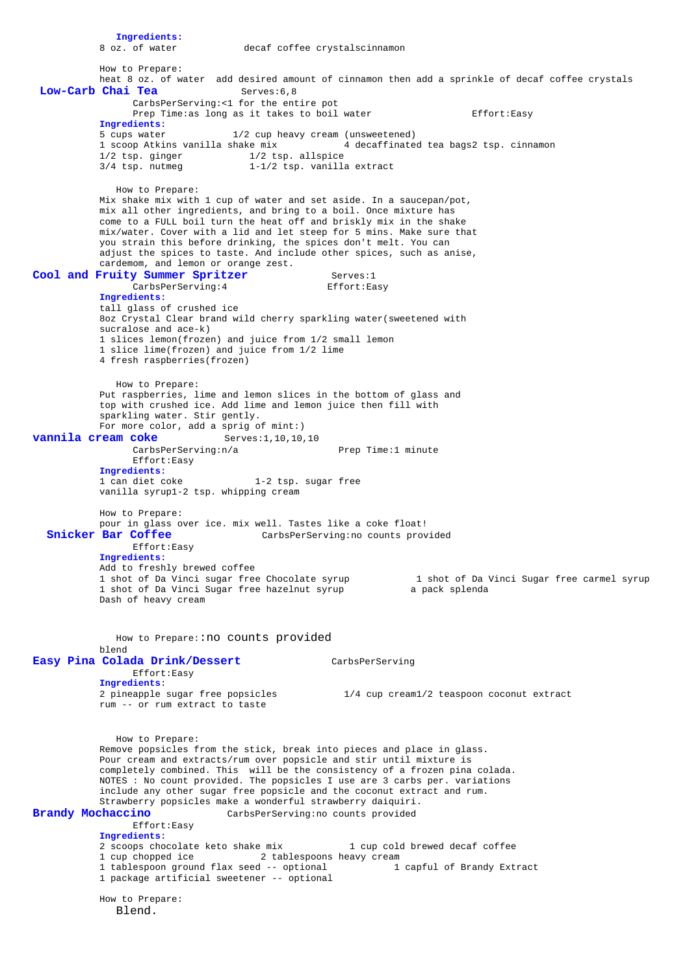```
Ingredients:<br>8 oz. of water
                                   decaf coffee crystalscinnamon
            How to Prepare: 
            heat 8 oz. of water add desired amount of cinnamon then add a sprinkle of decaf coffee crystals
 Low-Carb Chai Tea Serves:6,8
                  CarbsPerServing:<1 for the entire pot 
                 Prep Time:as long as it takes to boil water Fiftort:Easy
            Ingredients: 
                                 1/2 cup heavy cream (unsweetened)
           1 scoop Atkins vanilla shake mix 4 decaffinated tea bags2 tsp. cinnamon
           \frac{1}{2} tsp. ginger \frac{1}{2} tsp. allspice
            3/4 tsp. nutmeg 1-1/2 tsp. vanilla extract 
              How to Prepare: 
            Mix shake mix with 1 cup of water and set aside. In a saucepan/pot, 
            mix all other ingredients, and bring to a boil. Once mixture has 
            come to a FULL boil turn the heat off and briskly mix in the shake 
            mix/water. Cover with a lid and let steep for 5 mins. Make sure that 
            you strain this before drinking, the spices don't melt. You can 
            adjust the spices to taste. And include other spices, such as anise, 
            cardemom, and lemon or orange zest. 
Cool and Fruity Summer Spritzer Serves:1<br>CarbsPerServing:4 Bifort:Easy
                CarbsPerServing:4
            Ingredients: 
            tall glass of crushed ice 
            8oz Crystal Clear brand wild cherry sparkling water(sweetened with 
            sucralose and ace-k) 
           1 slices lemon(frozen) and juice from 1/2 small lemon
            1 slice lime(frozen) and juice from 1/2 lime 
            4 fresh raspberries(frozen) 
              How to Prepare: 
            Put raspberries, lime and lemon slices in the bottom of glass and 
            top with crushed ice. Add lime and lemon juice then fill with 
            sparkling water. Stir gently. 
            For more color, add a sprig of mint:) 
vannila cream coke Serves:1,10,10,10
                 CarbsPerServing:n/a Prep Time:1 minute
                  Effort:Easy 
            Ingredients: 
            1 can diet coke 1-2 tsp. sugar free 
            vanilla syrup1-2 tsp. whipping cream 
            How to Prepare: 
            pour in glass over ice. mix well. Tastes like a coke float! 
  Snicker Bar Coffee CarbsPerServing:no counts provided
                  Effort:Easy 
            Ingredients: 
            Add to freshly brewed coffee 
 1 shot of Da Vinci sugar free Chocolate syrup 1 shot of Da Vinci Sugar free carmel syrup 
1 shot of Da Vinci Sugar free hazelnut syrup a pack splenda
            Dash of heavy cream 
             How to Prepare:: no counts provided
            blend 
Easy Pina Colada Drink/Dessert CarbsPerServing
                Effort:Easy 
            Ingredients: 
                                                1/4 cup cream1/2 teaspoon coconut extract
            rum -- or rum extract to taste 
              How to Prepare: 
            Remove popsicles from the stick, break into pieces and place in glass. 
            Pour cream and extracts/rum over popsicle and stir until mixture is 
            completely combined. This will be the consistency of a frozen pina colada. 
            NOTES : No count provided. The popsicles I use are 3 carbs per. variations 
            include any other sugar free popsicle and the coconut extract and rum. 
            Strawberry popsicles make a wonderful strawberry daiquiri. 
Brandy Mochaccino CarbsPerServing:no counts provided 
                  Effort:Easy 
            Ingredients: 
           2 scoops chocolate keto shake mix 1 cup cold brewed decaf coffee
           1 cup chopped ice 2 tablespoons heavy cream<br>1 tablespoon ground flax seed -- optional 1 capful of Brandy Extract
           1 tablespoon ground flax seed -- optional
            1 package artificial sweetener -- optional 
            How to Prepare: 
               Blend.
```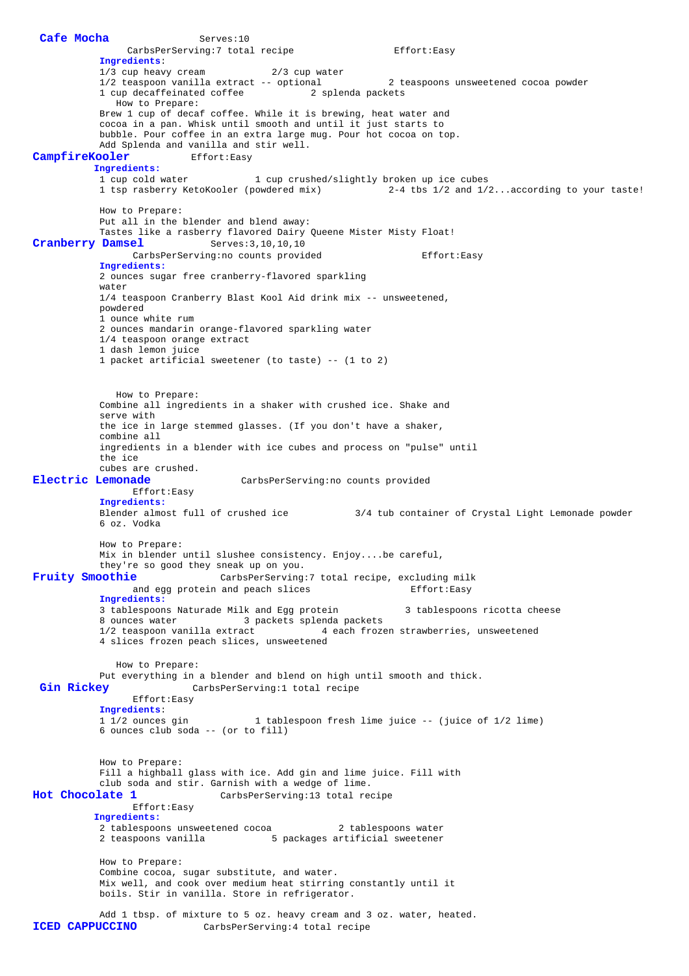```
Cafe Mocha Serves:10
                 CarbsPerServing:7 total recipe Fileral Reffort:Easy
             Ingredients: 
             1/3 cup heavy cream 2/3 cup water 
            1/2 teaspoon vanilla extract -- optional 2 teaspoons unsweetened cocoa powder
            1 cup decaffeinated coffee 2 splenda packets <br>
How to Prepare:
             Brew 1 cup of decaf coffee. While it is brewing, heat water and 
 cocoa in a pan. Whisk until smooth and until it just starts to 
 bubble. Pour coffee in an extra large mug. Pour hot cocoa on top. 
            Add Splenda and vanilla and stir well.<br>
ooler Effort:Easy
CampfireKooler
            Ingredients: 
            1 cup cold water 1 cup crushed/slightly broken up ice cubes<br>1 tsp rasberry KetoKooler (powdered mix) 2-4 tbs 1/2 and 1/2...according to your taste!
            1 tsp rasberry KetoKooler (powdered mix)
             How to Prepare: 
             Put all in the blender and blend away: 
             Tastes like a rasberry flavored Dairy Queene Mister Misty Float! 
Cranberry Damsel Serves: 3, 10, 10, 10
                 CarbsPerServing:no counts provided example Effort:Easy
             Ingredients: 
             2 ounces sugar free cranberry-flavored sparkling 
             water 
             1/4 teaspoon Cranberry Blast Kool Aid drink mix -- unsweetened, 
             powdered 
             1 ounce white rum 
             2 ounces mandarin orange-flavored sparkling water 
             1/4 teaspoon orange extract 
             1 dash lemon juice 
             1 packet artificial sweetener (to taste) -- (1 to 2) 
               How to Prepare: 
             Combine all ingredients in a shaker with crushed ice. Shake and 
             serve with 
             the ice in large stemmed glasses. (If you don't have a shaker, 
             combine all 
             ingredients in a blender with ice cubes and process on "pulse" until 
             the ice 
             cubes are crushed. 
Electric Lemonade CarbsPerServing:no counts provided 
                  Effort:Easy 
             Ingredients: 
             Blender almost full of crushed ice 3/4 tub container of Crystal Light Lemonade powder 
             6 oz. Vodka 
             How to Prepare: 
             Mix in blender until slushee consistency. Enjoy....be careful, 
             they're so good they sneak up on you. 
Fruity Smoothie CarbsPerServing:7 total recipe, excluding milk<br>and egg protein and peach slices Fifort:Easy
                 and egg protein and peach slices
             Ingredients: 
             3 tablespoons Naturade Milk and Egg protein 3 tablespoons ricotta cheese 
             8 ounces water 3 packets splenda packets 
                                                  4 each frozen strawberries, unsweetened
             4 slices frozen peach slices, unsweetened 
               How to Prepare: 
 Put everything in a blender and blend on high until smooth and thick.<br>Gin Rickey CarbsPerServing:1 total recipe
                            Gin Rickey CarbsPerServing:1 total recipe 
                  Effort:Easy 
             Ingredients: 
             1 1/2 ounces gin 1 tablespoon fresh lime juice -- (juice of 1/2 lime) 
             6 ounces club soda -- (or to fill) 
             How to Prepare: 
             Fill a highball glass with ice. Add gin and lime juice. Fill with 
             club soda and stir. Garnish with a wedge of lime. 
Hot Chocolate 1 CarbsPerServing:13 total recipe
                   Effort:Easy 
            Ingredients: 
             2 tablespoons unsweetened cocoa 2 tablespoons water 
            2 teaspoons vanilla 5 packages artificial sweetener
             How to Prepare: 
             Combine cocoa, sugar substitute, and water. 
             Mix well, and cook over medium heat stirring constantly until it 
             boils. Stir in vanilla. Store in refrigerator. 
             Add 1 tbsp. of mixture to 5 oz. heavy cream and 3 oz. water, heated. 
ICED CAPPUCCINO CarbsPerServing:4 total recipe
```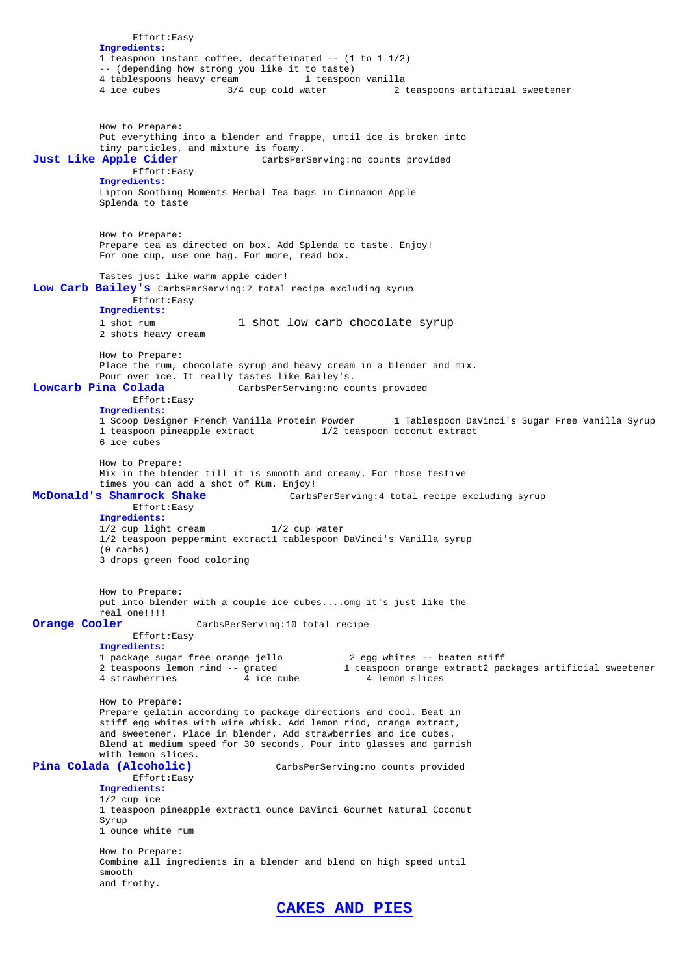Effort:Easy **Ingredients:**  1 teaspoon instant coffee, decaffeinated -- (1 to 1 1/2) -- (depending how strong you like it to taste)<br>4 tablespoons heavy cream 1 teaspoon vanilla 4 tablespoons heavy cream 4 ice cubes 3/4 cup cold water 2 teaspoons artificial sweetener How to Prepare: Put everything into a blender and frappe, until ice is broken into tiny particles, and mixture is foamy. **Just Like Apple Cider** CarbsPerServing:no counts provided Effort:Easy **Ingredients:**  Lipton Soothing Moments Herbal Tea bags in Cinnamon Apple Splenda to taste How to Prepare: Prepare tea as directed on box. Add Splenda to taste. Enjoy! For one cup, use one bag. For more, read box. Tastes just like warm apple cider! Low Carb Bailey's CarbsPerServing:2 total recipe excluding syrup Effort:Easy **Ingredients:**  1 shot rum 1 shot low carb chocolate syrup 2 shots heavy cream How to Prepare: Place the rum, chocolate syrup and heavy cream in a blender and mix. Pour over ice. It really tastes like Bailey's. Lowcarb Pina Colada **CarbsPerServing:no counts provided**  Effort:Easy **Ingredients:**  1 Scoop Designer French Vanilla Protein Powder 1 Tablespoon DaVinci's Sugar Free Vanilla Syrup 1 teaspoon pineapple extract 1/2 teaspoon coconut extract 6 ice cubes How to Prepare: Mix in the blender till it is smooth and creamy. For those festive times you can add a shot of Rum. Enjoy! **McDonald's Shamrock Shake** CarbsPerServing:4 total recipe excluding syrup Effort:Easy  **Ingredients:**  1/2 cup light cream 1/2 cup water 1/2 teaspoon peppermint extract1 tablespoon DaVinci's Vanilla syrup (0 carbs) 3 drops green food coloring How to Prepare: put into blender with a couple ice cubes....omg it's just like the real one!!!! **Orange Cooler** CarbsPerServing:10 total recipe Effort:Easy **Ingredients:**  1 package sugar free orange jello 2 egg whites -- beaten stiff 2 teaspoon orange extract2 packages artificial sweetener 4 strawberries 4 ice cube 4 lemon slices How to Prepare: Prepare gelatin according to package directions and cool. Beat in stiff egg whites with wire whisk. Add lemon rind, orange extract, and sweetener. Place in blender. Add strawberries and ice cubes. Blend at medium speed for 30 seconds. Pour into glasses and garnish with lemon slices. **Pina Colada (Alcoholic)** CarbsPerServing:no counts provided Effort:Easy **Ingredients:**  1/2 cup ice 1 teaspoon pineapple extract1 ounce DaVinci Gourmet Natural Coconut Syrup 1 ounce white rum How to Prepare: Combine all ingredients in a blender and blend on high speed until smooth and frothy.

**CAKES AND PIES**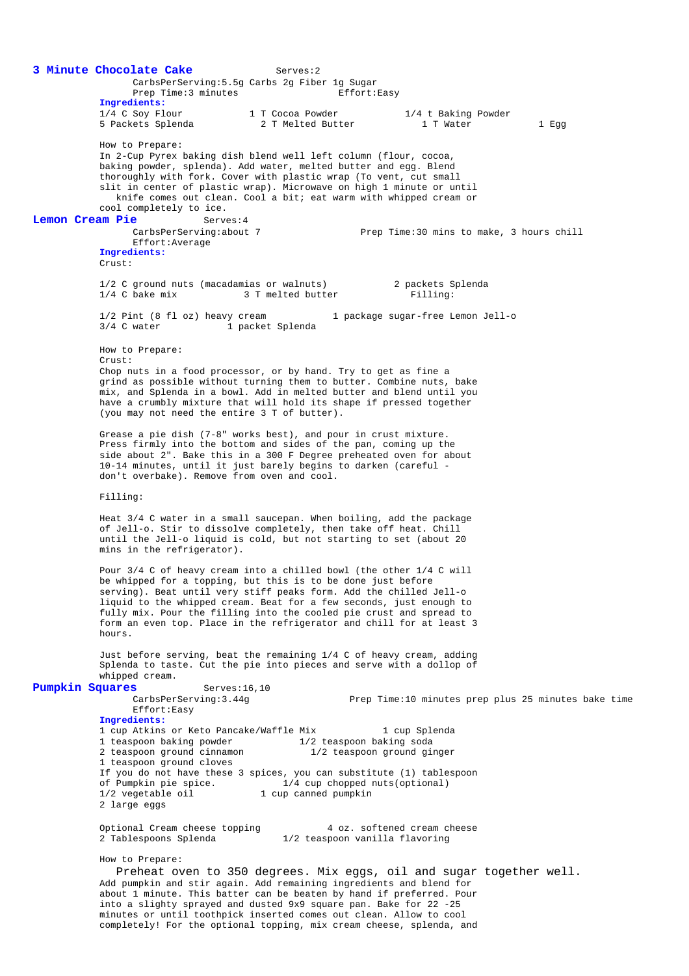**3 Minute Chocolate Cake** Serves: 2 CarbsPerServing:5.5g Carbs 2g Fiber 1g Sugar Prep Time: 3 minutes Effort: Easy **Ingredients:**  1/4 C Soy Flour 1 T Cocoa Powder 1/4 t Baking Powder 5 Packets Splenda 2 T Melted Butter 1 T Water 1 Egg How to Prepare: In 2-Cup Pyrex baking dish blend well left column (flour, cocoa, baking powder, splenda). Add water, melted butter and egg. Blend thoroughly with fork. Cover with plastic wrap (To vent, cut small slit in center of plastic wrap). Microwave on high 1 minute or until knife comes out clean. Cool a bit; eat warm with whipped cream or cool completely to ice. **Lemon Cream Pie** Serves: 4<br>CarbsPerServing:about 7 Prep Time:30 mins to make, 3 hours chill Effort:Average **Ingredients:**  Crust: 1/2 C ground nuts (macadamias or walnuts) 2 packets Splenda 1/4 C bake mix 3 T melted butter Filling: 1/2 Pint (8 fl oz) heavy cream 1 package sugar-free Lemon Jell-o 3/4 C water 1 packet Splenda How to Prepare: Crust: Chop nuts in a food processor, or by hand. Try to get as fine a grind as possible without turning them to butter. Combine nuts, bake mix, and Splenda in a bowl. Add in melted butter and blend until you have a crumbly mixture that will hold its shape if pressed together (you may not need the entire 3 T of butter). Grease a pie dish (7-8" works best), and pour in crust mixture. Press firmly into the bottom and sides of the pan, coming up the side about 2". Bake this in a 300 F Degree preheated oven for about 10-14 minutes, until it just barely begins to darken (careful don't overbake). Remove from oven and cool. Filling: Heat 3/4 C water in a small saucepan. When boiling, add the package of Jell-o. Stir to dissolve completely, then take off heat. Chill until the Jell-o liquid is cold, but not starting to set (about 20 mins in the refrigerator). Pour 3/4 C of heavy cream into a chilled bowl (the other 1/4 C will be whipped for a topping, but this is to be done just before serving). Beat until very stiff peaks form. Add the chilled Jell-o liquid to the whipped cream. Beat for a few seconds, just enough to fully mix. Pour the filling into the cooled pie crust and spread to form an even top. Place in the refrigerator and chill for at least 3 hours. Just before serving, beat the remaining 1/4 C of heavy cream, adding Splenda to taste. Cut the pie into pieces and serve with a dollop of whipped cream. **Pumpkin Squares** Serves:16,10<br>CarbsPerServing:3.44g Prep Time:10 minutes prep plus 25 minutes bake time Effort:Easy **Ingredients:**  1 cup Atkins or Keto Pancake/Waffle Mix 1 cup Splenda 1 teaspoon baking powder 1/2 teaspoon baking soda<br>2 teaspoon ground cinnamon 1/2 teaspoon ground gi 1/2 teaspoon ground ginger 1 teaspoon ground cloves If you do not have these 3 spices, you can substitute (1) tablespoon of Pumpkin pie spice.  $1/4$  cup chopped nuts(optional)  $1/2$  vegetable oil  $1$  cup canned pumpkin 1 cup canned pumpkin 2 large eggs Optional Cream cheese topping 4 oz. softened cream cheese 2 Tablespoons Splenda 1/2 teaspoon vanilla flavoring How to Prepare: Preheat oven to 350 degrees. Mix eggs, oil and sugar together well. Add pumpkin and stir again. Add remaining ingredients and blend for about 1 minute. This batter can be beaten by hand if preferred. Pour into a slighty sprayed and dusted 9x9 square pan. Bake for 22 -25 minutes or until toothpick inserted comes out clean. Allow to cool completely! For the optional topping, mix cream cheese, splenda, and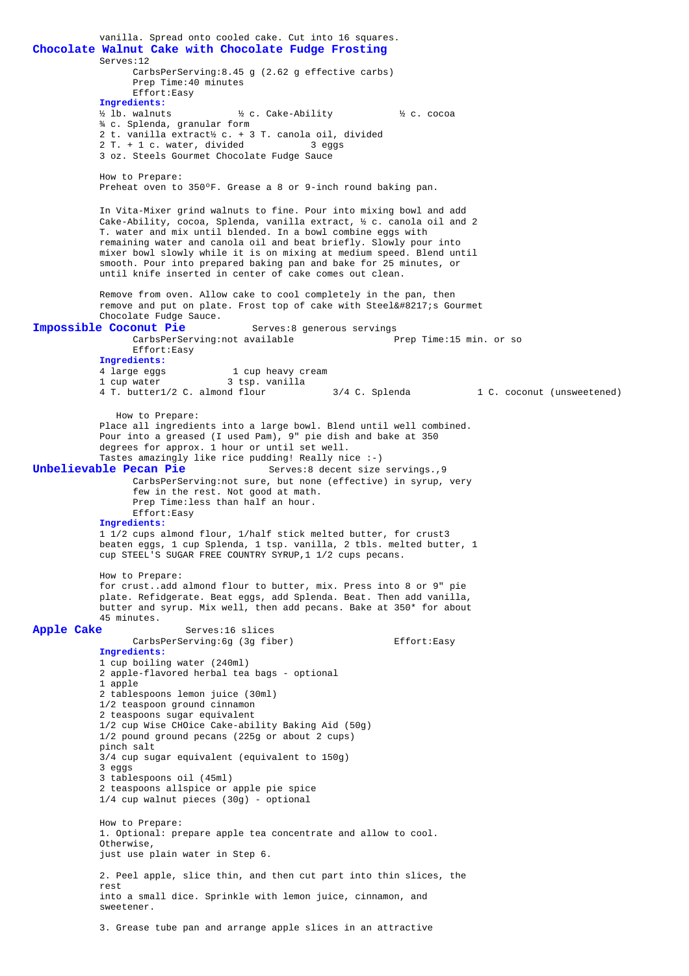vanilla. Spread onto cooled cake. Cut into 16 squares. **Chocolate Walnut Cake with Chocolate Fudge Frosting**  Serves:12 CarbsPerServing:8.45 g (2.62 g effective carbs) Prep Time:40 minutes Effort:Easy  **Ingredients:**   $\frac{1}{2}$  lb. walnuts  $\frac{1}{2}$  c. Cake-Ability  $\frac{1}{2}$  c. cocoa ¾ c. Splenda, granular form 2 t. vanilla extract½ c. + 3 T. canola oil, divided 2 T. + 1 c. water, divided 3 eggs 3 oz. Steels Gourmet Chocolate Fudge Sauce How to Prepare: Preheat oven to 350ºF. Grease a 8 or 9-inch round baking pan. In Vita-Mixer grind walnuts to fine. Pour into mixing bowl and add Cake-Ability, cocoa, Splenda, vanilla extract, ½ c. canola oil and 2 T. water and mix until blended. In a bowl combine eggs with remaining water and canola oil and beat briefly. Slowly pour into mixer bowl slowly while it is on mixing at medium speed. Blend until smooth. Pour into prepared baking pan and bake for 25 minutes, or until knife inserted in center of cake comes out clean. Remove from oven. Allow cake to cool completely in the pan, then remove and put on plate. Frost top of cake with Steel's Gourmet Chocolate Fudge Sauce. **Impossible Coconut Pie** Serves:8 generous servings CarbsPerServing:not available Effort:Easy **Ingredients:**  4 large eggs 1 cup heavy cream 1 cup water 3 tsp. vanilla 4 T. butter1/2 C. almond flour 3/4 C. Splenda 1 C. coconut (unsweetened) How to Prepare: Place all ingredients into a large bowl. Blend until well combined. Pour into a greased (I used Pam), 9" pie dish and bake at 350 degrees for approx. 1 hour or until set well. Tastes amazingly like rice pudding! Really nice :-)<br>Unbelievable Pecan Pie Serves:8 decent size Serves:8 decent size servings.,9 CarbsPerServing:not sure, but none (effective) in syrup, very few in the rest. Not good at math. Prep Time:less than half an hour. Effort:Easy **Ingredients:**  1 1/2 cups almond flour, 1/half stick melted butter, for crust3 beaten eggs, 1 cup Splenda, 1 tsp. vanilla, 2 tbls. melted butter, 1 cup STEEL'S SUGAR FREE COUNTRY SYRUP,1 1/2 cups pecans. How to Prepare: for crust..add almond flour to butter, mix. Press into 8 or 9" pie plate. Refidgerate. Beat eggs, add Splenda. Beat. Then add vanilla, butter and syrup. Mix well, then add pecans. Bake at 350\* for about 45 minutes. **Apple Cake** Serves:16 slices CarbsPerServing:6g (3g fiber) Effort:Easy  **Ingredients:**  1 cup boiling water (240ml) 2 apple-flavored herbal tea bags - optional 1 apple 2 tablespoons lemon juice (30ml) 1/2 teaspoon ground cinnamon 2 teaspoons sugar equivalent 1/2 cup Wise CHOice Cake-ability Baking Aid (50g) 1/2 pound ground pecans (225g or about 2 cups) pinch salt 3/4 cup sugar equivalent (equivalent to 150g) 3 eggs 3 tablespoons oil (45ml) 2 teaspoons allspice or apple pie spice 1/4 cup walnut pieces (30g) - optional How to Prepare: 1. Optional: prepare apple tea concentrate and allow to cool. Otherwise, just use plain water in Step 6. 2. Peel apple, slice thin, and then cut part into thin slices, the rest into a small dice. Sprinkle with lemon juice, cinnamon, and sweetener. 3. Grease tube pan and arrange apple slices in an attractive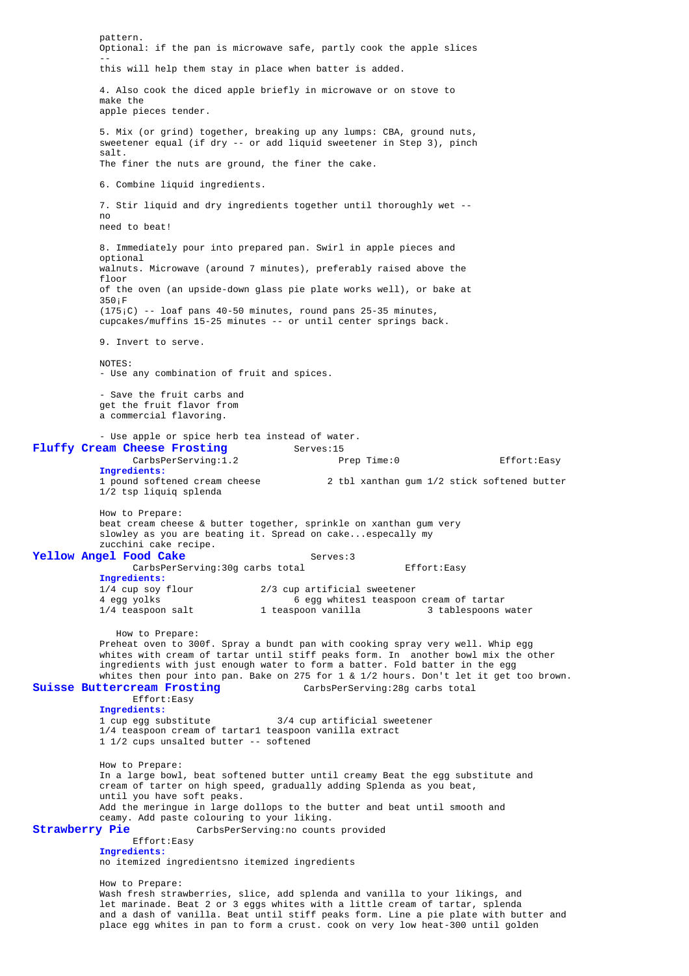pattern. Optional: if the pan is microwave safe, partly cook the apple slices - this will help them stay in place when batter is added. 4. Also cook the diced apple briefly in microwave or on stove to make the apple pieces tender. 5. Mix (or grind) together, breaking up any lumps: CBA, ground nuts, sweetener equal (if dry -- or add liquid sweetener in Step 3), pinch salt. The finer the nuts are ground, the finer the cake. 6. Combine liquid ingredients. 7. Stir liquid and dry ingredients together until thoroughly wet - no need to beat! 8. Immediately pour into prepared pan. Swirl in apple pieces and optional walnuts. Microwave (around 7 minutes), preferably raised above the floor of the oven (an upside-down glass pie plate works well), or bake at 350¡F (175¡C) -- loaf pans 40-50 minutes, round pans 25-35 minutes, cupcakes/muffins 15-25 minutes -- or until center springs back. 9. Invert to serve. NOTES: - Use any combination of fruit and spices. - Save the fruit carbs and get the fruit flavor from a commercial flavoring. - Use apple or spice herb tea instead of water.<br> **Serves:15** Serves:15 Fluffy Cream Cheese Frosting CarbsPerServing:1.2 Prep Time:0 Effort:Easy **Ingredients:**  2 tbl xanthan gum 1/2 stick softened butter 1/2 tsp liquiq splenda How to Prepare: beat cream cheese & butter together, sprinkle on xanthan gum very slowley as you are beating it. Spread on cake...especally my zucchini cake recipe. **Yellow Angel Food Cake** Serves:3 CarbsPerServing:30g carbs total Effort:Easy  **Ingredients:**  1/4 cup soy flour 2/3 cup artificial sweetener<br>4 egg yolks 6 egg whites1 teaspoon 4 egg yolks 6 egg whites1 teaspoon cream of tartar 1 teaspoon vanilla 3 tablespoons water How to Prepare: Preheat oven to 300f. Spray a bundt pan with cooking spray very well. Whip egg whites with cream of tartar until stiff peaks form. In another bowl mix the other ingredients with just enough water to form a batter. Fold batter in the egg whites then pour into pan. Bake on 275 for 1 & 1/2 hours. Don't let it get too brown. **Suisse Buttercream Frosting CarbsPerServing: 28g carbs total**  Effort:Easy **Ingredients:**  1 cup egg substitute 3/4 cup artificial sweetener 1/4 teaspoon cream of tartar1 teaspoon vanilla extract 1 1/2 cups unsalted butter -- softened How to Prepare: In a large bowl, beat softened butter until creamy Beat the egg substitute and cream of tarter on high speed, gradually adding Splenda as you beat, until you have soft peaks. Add the meringue in large dollops to the butter and beat until smooth and ceamy. Add paste colouring to your liking.<br>Strawberry Pie CarbsPerServing:no counts CarbsPerServing:no counts provided Effort:Easy **Ingredients:**  no itemized ingredientsno itemized ingredients How to Prepare: Wash fresh strawberries, slice, add splenda and vanilla to your likings, and let marinade. Beat 2 or 3 eggs whites with a little cream of tartar, splenda and a dash of vanilla. Beat until stiff peaks form. Line a pie plate with butter and place egg whites in pan to form a crust. cook on very low heat-300 until golden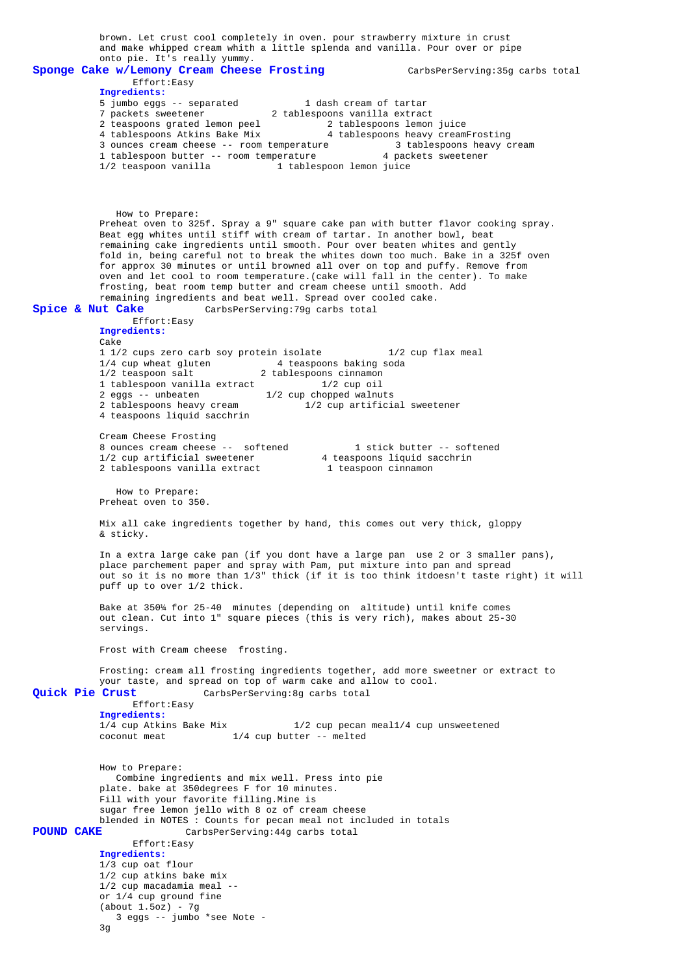```
 brown. Let crust cool completely in oven. pour strawberry mixture in crust 
            and make whipped cream whith a little splenda and vanilla. Pour over or pipe 
            onto pie. It's really yummy. 
Sponge Cake w/Lemony Cream Cheese Frosting CarbsPerServing:35g carbs total
                 Effort:Easy 
            Ingredients: 
 5 jumbo eggs -- separated 1 dash cream of tartar 
 7 packets sweetener 2 tablespoons vanilla extract 
 2 teaspoons grated lemon peel 2 tablespoons lemon juice 
 4 tablespoons Atkins Bake Mix 4 tablespoons heavy creamFrosting 
           3 ounces cream cheese -- room temperature 3 tablespoons heavy cream 1 tablespoon butter -- room temperature 4 packets sweetener
           1 tablespoon butter -- room temperature 1/2 teaspoon vanilla 1 tablespo
                                 1 tablespoon lemon juice
              How to Prepare: 
            Preheat oven to 325f. Spray a 9" square cake pan with butter flavor cooking spray. 
            Beat egg whites until stiff with cream of tartar. In another bowl, beat 
            remaining cake ingredients until smooth. Pour over beaten whites and gently 
            fold in, being careful not to break the whites down too much. Bake in a 325f oven 
            for approx 30 minutes or until browned all over on top and puffy. Remove from 
            oven and let cool to room temperature.(cake will fall in the center). To make 
            frosting, beat room temp butter and cream cheese until smooth. Add 
            remaining ingredients and beat well. Spread over cooled cake. 
Spice & Nut Cake CarbsPerServing:79g carbs total
                 Effort:Easy 
            Ingredients: 
            Cake 
            1 1/2 cups zero carb soy protein isolate 1/2 cup flax meal 
 1/4 cup wheat gluten 4 teaspoons baking soda 
 1/2 teaspoon salt 2 tablespoons cinnamon 
 1 tablespoon vanilla extract 1/2 cup oil 
 2 eggs -- unbeaten 1/2 cup chopped walnuts 
            2 tablespoons heavy cream 1/2 cup artificial sweetener 
            4 teaspoons liquid sacchrin 
 Cream Cheese Frosting 
8 ounces cream cheese -- softened 1 stick butter -- softened
 1/2 cup artificial sweetener 4 teaspoons liquid sacchrin 
2 tablespoons vanilla extract 1 teaspoon cinnamon
              How to Prepare: 
            Preheat oven to 350. 
            Mix all cake ingredients together by hand, this comes out very thick, gloppy 
            & sticky. 
            In a extra large cake pan (if you dont have a large pan use 2 or 3 smaller pans), 
            place parchement paper and spray with Pam, put mixture into pan and spread 
            out so it is no more than 1/3" thick (if it is too think itdoesn't taste right) it will 
            puff up to over 1/2 thick. 
 Bake at 350¼ for 25-40 minutes (depending on altitude) until knife comes 
 out clean. Cut into 1" square pieces (this is very rich), makes about 25-30 
            servings. 
            Frost with Cream cheese frosting. 
            Frosting: cream all frosting ingredients together, add more sweetner or extract to 
            your taste, and spread on top of warm cake and allow to cool. 
Quick Pie Crust CarbsPerServing:8g carbs total
           Effort:Easy<br>
Ingredients:
 Ingredients: 
 1/4 cup Atkins Bake Mix 1/2 cup pecan meal1/4 cup unsweetened 
 coconut meat 1/4 cup butter -- melted 
            How to Prepare: 
              Combine ingredients and mix well. Press into pie 
            plate. bake at 350degrees F for 10 minutes. 
            Fill with your favorite filling.Mine is 
            sugar free lemon jello with 8 oz of cream cheese 
            blended in NOTES : Counts for pecan meal not included in totals 
POUND CAKE CarbsPerServing:44g carbs total
                 Effort:Easy 
            Ingredients: 
            1/3 cup oat flour 
            1/2 cup atkins bake mix 
            1/2 cup macadamia meal -- 
            or 1/4 cup ground fine 
           (about 1.5oz) - 7g 3 eggs -- jumbo *see Note - 
           3<sub>q</sub>
```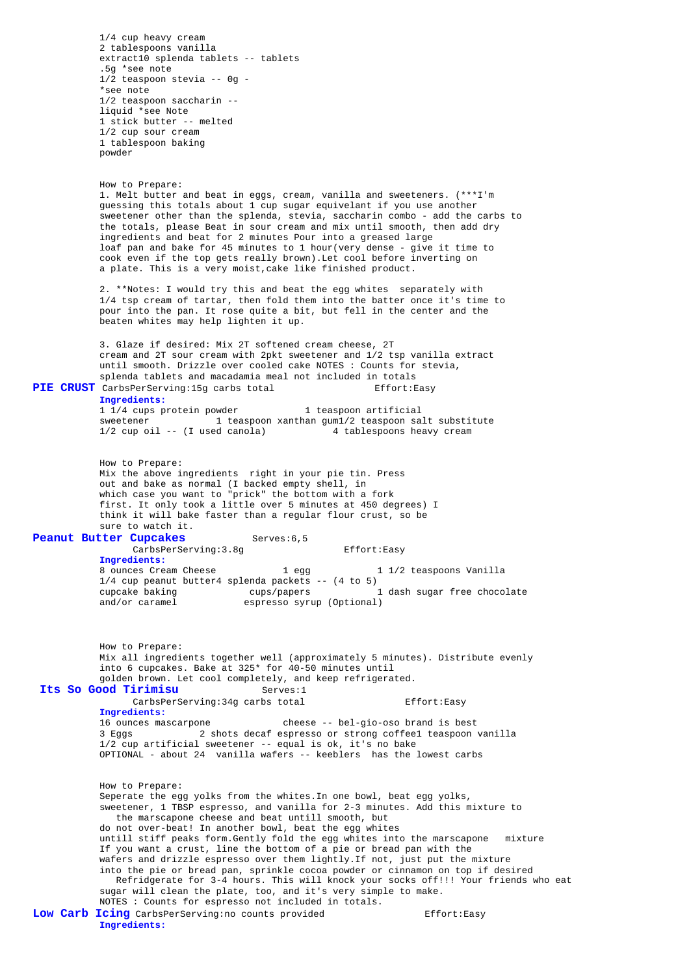1/4 cup heavy cream 2 tablespoons vanilla extract10 splenda tablets -- tablets .5g \*see note 1/2 teaspoon stevia -- 0g - \*see note 1/2 teaspoon saccharin - liquid \*see Note 1 stick butter -- melted 1/2 cup sour cream 1 tablespoon baking powder How to Prepare: 1. Melt butter and beat in eggs, cream, vanilla and sweeteners. (\*\*\*I'm guessing this totals about 1 cup sugar equivelant if you use another sweetener other than the splenda, stevia, saccharin combo - add the carbs to the totals, please Beat in sour cream and mix until smooth, then add dry ingredients and beat for 2 minutes Pour into a greased large loaf pan and bake for 45 minutes to 1 hour(very dense - give it time to cook even if the top gets really brown).Let cool before inverting on a plate. This is a very moist,cake like finished product. 2. \*\*Notes: I would try this and beat the egg whites separately with 1/4 tsp cream of tartar, then fold them into the batter once it's time to pour into the pan. It rose quite a bit, but fell in the center and the beaten whites may help lighten it up. 3. Glaze if desired: Mix 2T softened cream cheese, 2T cream and 2T sour cream with 2pkt sweetener and 1/2 tsp vanilla extract until smooth. Drizzle over cooled cake NOTES : Counts for stevia, splenda tablets and macadamia meal not included in totals PIE CRUST CarbsPerServing:15g carbs total **Example Effort:Easy Ingredients:**  1 1/4 cups protein powder 1 teaspoon artificial sweetener 1 teaspoon xanthan gum1/2 teaspoon salt substitute 1/2 cup oil -- (I used canola) 4 tablespoons heavy cream How to Prepare: Mix the above ingredients right in your pie tin. Press out and bake as normal (I backed empty shell, in which case you want to "prick" the bottom with a fork first. It only took a little over 5 minutes at 450 degrees) I think it will bake faster than a regular flour crust, so be sure to watch it. **Peanut Butter Cupcakes** Serves: 6, 5 CarbsPerServing:3.8g Effort:Easy **Ingredients:**  8 ounces Cream Cheese 1 egg 1 1/2 teaspoons Vanilla 1/4 cup peanut butter4 splenda packets -- (4 to 5) cupcake baking cups/papers 1 dash sugar free chocolate and/or caramel espresso syrup (Optional) How to Prepare: Mix all ingredients together well (approximately 5 minutes). Distribute evenly into 6 cupcakes. Bake at 325\* for 40-50 minutes until golden brown. Let cool completely, and keep refrigerated. **Its So Good Tirimisu** Serves:1 CarbsPerServing: 34g carbs total Effort: Easy **Ingredients:**  cheese -- bel-gio-oso brand is best 3 Eggs 2 shots decaf espresso or strong coffee1 teaspoon vanilla 1/2 cup artificial sweetener -- equal is ok, it's no bake OPTIONAL - about 24 vanilla wafers -- keeblers has the lowest carbs How to Prepare: Seperate the egg yolks from the whites.In one bowl, beat egg yolks, sweetener, 1 TBSP espresso, and vanilla for 2-3 minutes. Add this mixture to the marscapone cheese and beat untill smooth, but do not over-beat! In another bowl, beat the egg whites untill stiff peaks form.Gently fold the egg whites into the marscapone mixture If you want a crust, line the bottom of a pie or bread pan with the wafers and drizzle espresso over them lightly.If not, just put the mixture into the pie or bread pan, sprinkle cocoa powder or cinnamon on top if desired Refridgerate for 3-4 hours. This will knock your socks off!!! Your friends who eat sugar will clean the plate, too, and it's very simple to make. NOTES : Counts for espresso not included in totals. **Low Carb Icing** CarbsPerServing:no counts provided Effort:Easy  **Ingredients:**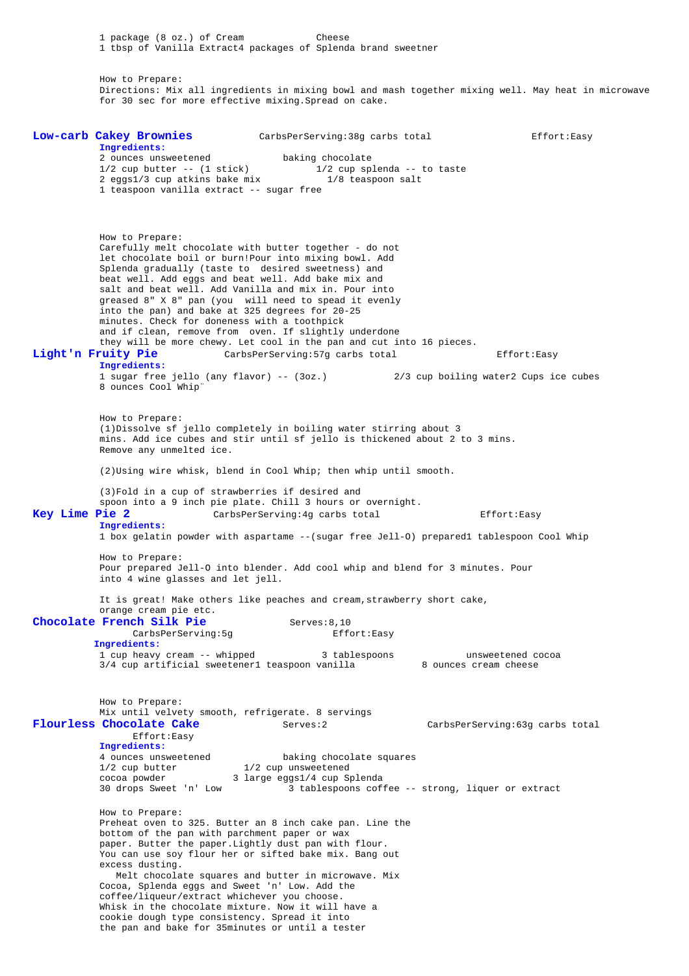How to Prepare: Directions: Mix all ingredients in mixing bowl and mash together mixing well. May heat in microwave for 30 sec for more effective mixing.Spread on cake. **Low-carb Cakey Brownies** CarbsPerServing:38g carbs total Effort:Easy **Ingredients:**<br>
2 ounces unsweetened<br>  $1/2$  cup butter -- (1 stick)<br>
2 equation 112 cup 2 ounces unsweetened baking chocolate  $1/2$  cup butter  $--$  (1 stick)  $1/2$  cup splenda  $--$  to taste 2 eggs1/3 cup atkins bake mix 1/8 teaspoon salt 1 teaspoon vanilla extract -- sugar free How to Prepare: Carefully melt chocolate with butter together - do not let chocolate boil or burn!Pour into mixing bowl. Add Splenda gradually (taste to desired sweetness) and beat well. Add eggs and beat well. Add bake mix and salt and beat well. Add Vanilla and mix in. Pour into greased 8" X 8" pan (you will need to spead it evenly into the pan) and bake at 325 degrees for 20-25 minutes. Check for doneness with a toothpick and if clean, remove from oven. If slightly underdone they will be more chewy. Let cool in the pan and cut into 16 pieces. **Light'n Fruity Pie** CarbsPerServing:57g carbs total Effort:Easy  **Ingredients:**  1 sugar free jello (any flavor) -- (3oz.) 2/3 cup boiling water2 Cups ice cubes 8 ounces Cool Whip¨ How to Prepare: (1)Dissolve sf jello completely in boiling water stirring about 3 mins. Add ice cubes and stir until sf jello is thickened about 2 to 3 mins. Remove any unmelted ice. (2)Using wire whisk, blend in Cool Whip; then whip until smooth. (3)Fold in a cup of strawberries if desired and spoon into a 9 inch pie plate. Chill 3 hours or overnight. **Key Lime Pie 2** CarbsPerServing: 4g carbs total Effort: Easy  **Ingredients:**  1 box gelatin powder with aspartame --(sugar free Jell-O) prepared1 tablespoon Cool Whip How to Prepare: Pour prepared Jell-O into blender. Add cool whip and blend for 3 minutes. Pour into 4 wine glasses and let jell. It is great! Make others like peaches and cream,strawberry short cake, orange cream pie etc. **Chocolate French Silk Pie** Serves: 8,10 CarbsPerServing:5g<br>
CarbsPerServing:5g<br>
ients: **Ingredients:**  1 cup heavy cream -- whipped 3 tablespoons unsweetened cocoa<br>3/4 cup artificial sweetener1 teaspoon vanilla 8 ounces cream cheese 3/4 cup artificial sweetener1 teaspoon vanilla How to Prepare: Mix until velvety smooth, refrigerate. 8 servings **Flourless Chocolate Cake** Serves:2 CarbsPerServing:63g carbs total Effort:Easy **Ingredients:**<br>4 ounces unsweetened baking cnown<br>that 1/2 cup unsweetened<br>5 or 1/4 cup St 4 ounces unsweetened baking chocolate squares 1/2 cup butter 1/2 cup unsweetened cocoa powder 3 large eggs1/4 cup Splenda 30 drops Sweet 'n' Low 3 tablespoons coffee -- strong, liquer or extract How to Prepare: Preheat oven to 325. Butter an 8 inch cake pan. Line the bottom of the pan with parchment paper or wax paper. Butter the paper.Lightly dust pan with flour. You can use soy flour her or sifted bake mix. Bang out excess dusting. Melt chocolate squares and butter in microwave. Mix Cocoa, Splenda eggs and Sweet 'n' Low. Add the coffee/liqueur/extract whichever you choose. Whisk in the chocolate mixture. Now it will have a cookie dough type consistency. Spread it into the pan and bake for 35minutes or until a tester

1 package (8 oz.) of Cream Cheese

1 tbsp of Vanilla Extract4 packages of Splenda brand sweetner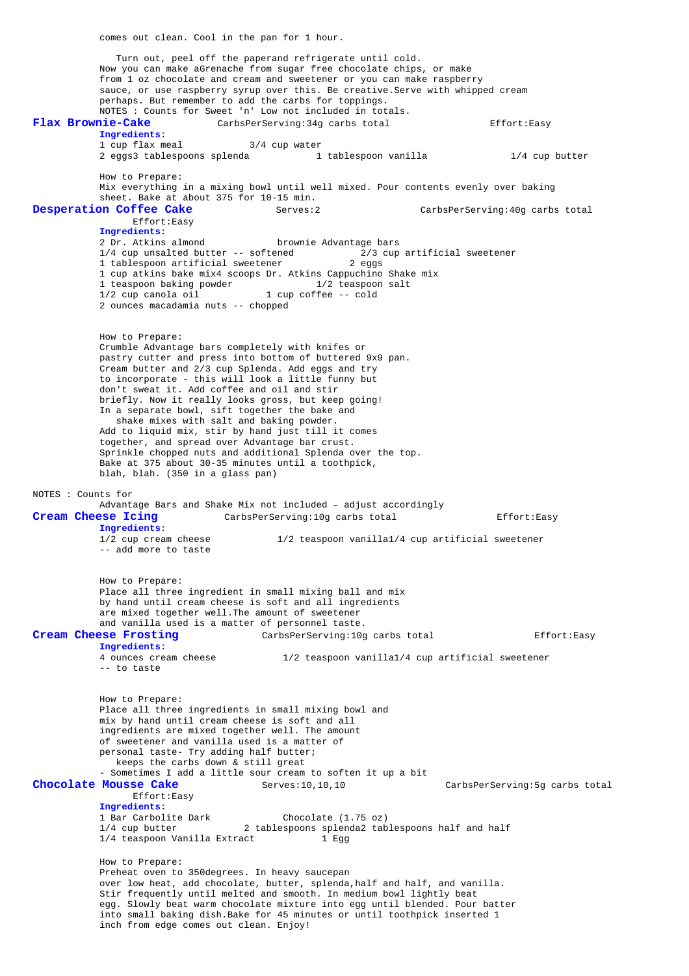comes out clean. Cool in the pan for 1 hour.

 Turn out, peel off the paperand refrigerate until cold. Now you can make aGrenache from sugar free chocolate chips, or make from 1 oz chocolate and cream and sweetener or you can make raspberry sauce, or use raspberry syrup over this. Be creative.Serve with whipped cream perhaps. But remember to add the carbs for toppings. NOTES : Counts for Sweet 'n' Low not included in totals. **Flax Brownie-Cake** CarbsPerServing:34g carbs total **Effort:Easy Ingredients:**  1 cup flax meal 3/4 cup water<br>2 eggs3 tablespoons splenda 1 tablespoon vanilla 2 eggs3 tablespoons splenda 1 tablespoon vanilla 1/4 cup butter How to Prepare: Mix everything in a mixing bowl until well mixed. Pour contents evenly over baking sheet. Bake at about 375 for 10-15 min. **Desperation Coffee Cake** Serves:2 CarbsPerServing:40g carbs total Effort:Easy **Ingredients:**  2 Dr. Atkins almond brownie Advantage bars 1/4 cup unsalted butter -- softened 2/3 cup artificial sweetener 1 tablespoon artificial sweetener 2 eggs 1 cup atkins bake mix4 scoops Dr. Atkins Cappuchino Shake mix 1 teaspoon baking powder 1/2 teaspoon salt 1/2 cup canola oil 1 cup coffee -- cold 2 ounces macadamia nuts -- chopped How to Prepare: Crumble Advantage bars completely with knifes or pastry cutter and press into bottom of buttered 9x9 pan. Cream butter and 2/3 cup Splenda. Add eggs and try to incorporate - this will look a little funny but don't sweat it. Add coffee and oil and stir briefly. Now it really looks gross, but keep going! In a separate bowl, sift together the bake and shake mixes with salt and baking powder. Add to liquid mix, stir by hand just till it comes together, and spread over Advantage bar crust. Sprinkle chopped nuts and additional Splenda over the top. Bake at 375 about 30-35 minutes until a toothpick, blah, blah. (350 in a glass pan) NOTES : Counts for Advantage Bars and Shake Mix not included - adjust accordingly Cream Cheese Icing CarbsPerServing:10g carbs total Effort:Easy **Ingredients:**  1/2 cup cream cheese 1/2 teaspoon vanilla1/4 cup artificial sweetener -- add more to taste How to Prepare: Place all three ingredient in small mixing ball and mix by hand until cream cheese is soft and all ingredients are mixed together well.The amount of sweetener and vanilla used is a matter of personnel taste.<br>Cream Cheese Frosting and vanilly carbsPerServing:10 CarbsPerServing:10g carbs total **Effort:Easy Ingredients:**   $1/2$  teaspoon vanilla $1/4$  cup artificial sweetener -- to taste How to Prepare: Place all three ingredients in small mixing bowl and mix by hand until cream cheese is soft and all ingredients are mixed together well. The amount of sweetener and vanilla used is a matter of personal taste- Try adding half butter; keeps the carbs down & still great - Sometimes I add a little sour cream to soften it up a bit **Chocolate Mousse Cake** Serves:10,10,10 CarbsPerServing:5g carbs total Effort:Easy **Ingredients:**  1 Bar Carbolite Dark Chocolate (1.75 oz) 1/4 cup butter 2 tablespoons splenda2 tablespoons half and half 1/4 teaspoon Vanilla Extract 1 Egg How to Prepare: Preheat oven to 350degrees. In heavy saucepan over low heat, add chocolate, butter, splenda,half and half, and vanilla. Stir frequently until melted and smooth. In medium bowl lightly beat egg. Slowly beat warm chocolate mixture into egg until blended. Pour batter into small baking dish.Bake for 45 minutes or until toothpick inserted 1 inch from edge comes out clean. Enjoy!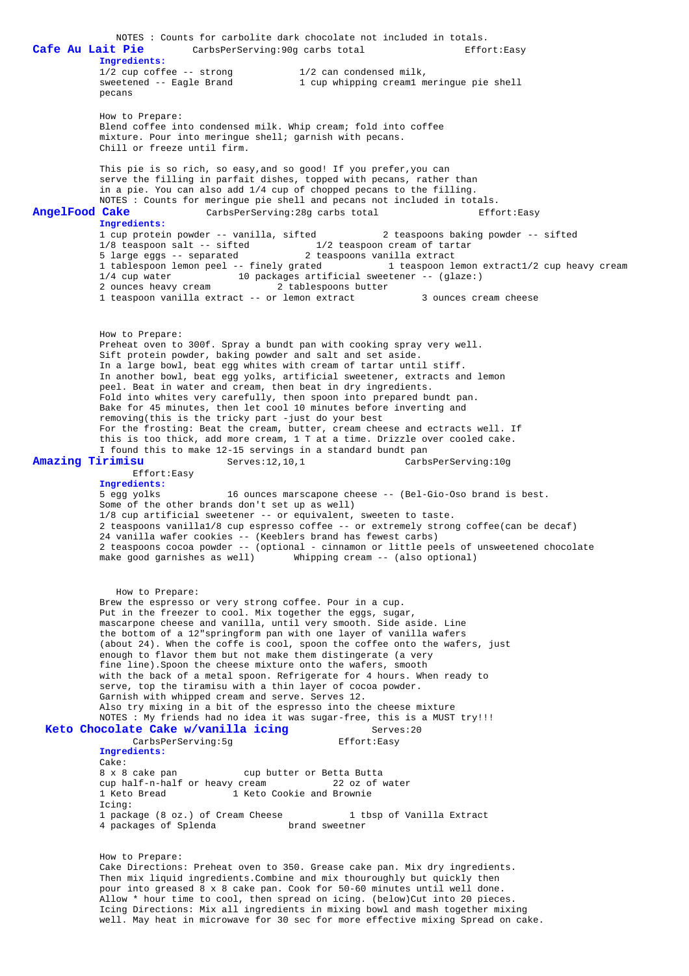NOTES : Counts for carbolite dark chocolate not included in totals. **Cafe Au Lait Pie** CarbsPerServing:90g carbs total **Effort:Easy Ingredients:**  1/2 cup coffee -- strong 1/2 can condensed milk, sweetened -- Eagle Brand 1 cup whipping cream1 meringue pie shell pecans How to Prepare: Blend coffee into condensed milk. Whip cream; fold into coffee mixture. Pour into meringue shell; garnish with pecans. Chill or freeze until firm. This pie is so rich, so easy,and so good! If you prefer,you can serve the filling in parfait dishes, topped with pecans, rather than in a pie. You can also add 1/4 cup of chopped pecans to the filling. NOTES : Counts for meringue pie shell and pecans not included in totals. **AngelFood Cake** CarbsPerServing:28g carbs total Effort:Easy **Ingredients:**  1 cup protein powder -- vanilla, sifted 2 teaspoons baking powder -- sifted 1/8 teaspoon salt -- sifted 1/2 teaspoon cream of tartar 5 large eggs -- separated 2 teaspoons vanilla extract 1 tablespoon lemon peel -- finely grated 1 teaspoon lemon extract1/2 cup heavy cream 1/4 cup water 10 packages artificial sweetener -- (glaze:) 2 ounces heavy cream 2 tablespoons butter 1 teaspoon vanilla extract -- or lemon extract 3 ounces cream cheese How to Prepare: Preheat oven to 300f. Spray a bundt pan with cooking spray very well. Sift protein powder, baking powder and salt and set aside. In a large bowl, beat egg whites with cream of tartar until stiff. In another bowl, beat egg yolks, artificial sweetener, extracts and lemon peel. Beat in water and cream, then beat in dry ingredients. Fold into whites very carefully, then spoon into prepared bundt pan. Bake for 45 minutes, then let cool 10 minutes before inverting and removing(this is the tricky part -just do your best For the frosting: Beat the cream, butter, cream cheese and ectracts well. If this is too thick, add more cream, 1 T at a time. Drizzle over cooled cake. I found this to make 12-15 servings in a standard bundt pan **Amazing Tirimisu** Serves:12,10,1 CarbsPerServing:10g Effort:Easy  **Ingredients:**  16 ounces marscapone cheese -- (Bel-Gio-Oso brand is best. Some of the other brands don't set up as well) 1/8 cup artificial sweetener -- or equivalent, sweeten to taste. 2 teaspoons vanilla1/8 cup espresso coffee -- or extremely strong coffee(can be decaf) 24 vanilla wafer cookies -- (Keeblers brand has fewest carbs) 2 teaspoons cocoa powder -- (optional - cinnamon or little peels of unsweetened chocolate make good garnishes as well) Whipping cream -- (also optional) How to Prepare: Brew the espresso or very strong coffee. Pour in a cup. Put in the freezer to cool. Mix together the eggs, sugar, mascarpone cheese and vanilla, until very smooth. Side aside. Line the bottom of a 12"springform pan with one layer of vanilla wafers (about 24). When the coffe is cool, spoon the coffee onto the wafers, just enough to flavor them but not make them distingerate (a very fine line).Spoon the cheese mixture onto the wafers, smooth with the back of a metal spoon. Refrigerate for 4 hours. When ready to serve, top the tiramisu with a thin layer of cocoa powder. Garnish with whipped cream and serve. Serves 12. Also try mixing in a bit of the espresso into the cheese mixture NOTES : My friends had no idea it was sugar-free, this is a MUST try!!! **Keto Chocolate Cake w/vanilla icing** Serves: 20 CarbsPerServing:5g Effort:Easy **Ingredients:**  Cake: 8 x 8 cake pan cup butter or Betta Butta cup half-n-half or heavy cream 22 oz of water 1 Keto Cookie and Brownie Icing: 1 package (8 oz.) of Cream Cheese 1 tbsp of Vanilla Extract 4 packages of Splenda brand sweetner 4 packages of Splenda How to Prepare: Cake Directions: Preheat oven to 350. Grease cake pan. Mix dry ingredients. Then mix liquid ingredients.Combine and mix thouroughly but quickly then pour into greased 8 x 8 cake pan. Cook for 50-60 minutes until well done. Allow \* hour time to cool, then spread on icing. (below)Cut into 20 pieces. Icing Directions: Mix all ingredients in mixing bowl and mash together mixing well. May heat in microwave for 30 sec for more effective mixing Spread on cake.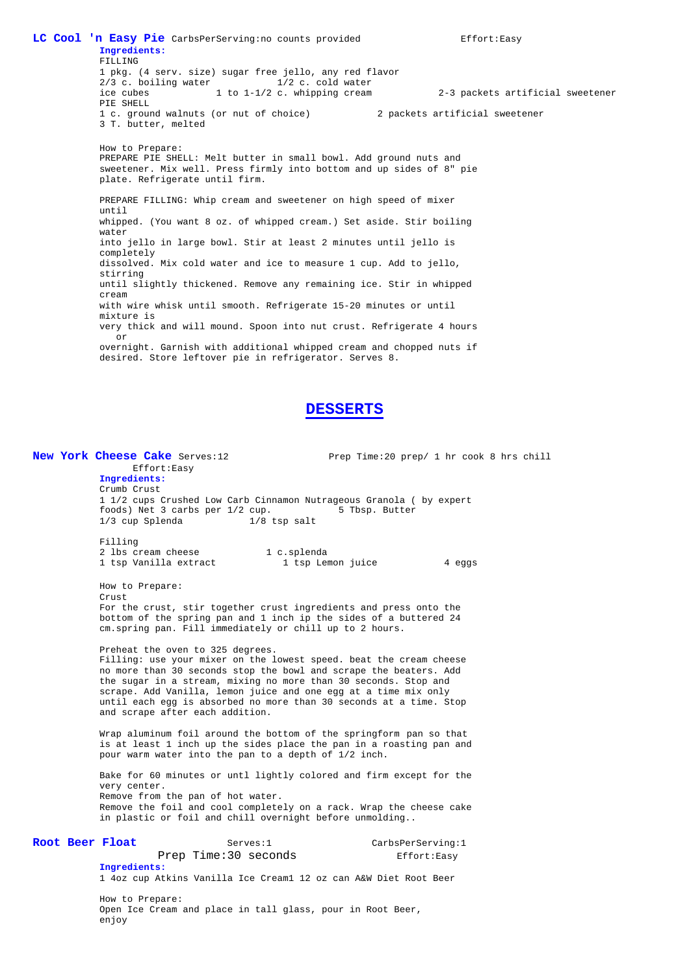LC Cool 'n Easy Pie CarbsPerServing:no counts provided Effort:Easy  **Ingredients:**  FILLING 1 pkg. (4 serv. size) sugar free jello, any red flavor  $2/3$  c. boiling water  $1/2$  c. cold water  $2/3$  c. boiling water ice cubes 1 to 1-1/2 c. whipping cream 2-3 packets artificial sweetener DIE SHELL 1 c. ground walnuts (or nut of choice) 2 packets artificial sweetener 3 T. butter, melted How to Prepare: PREPARE PIE SHELL: Melt butter in small bowl. Add ground nuts and sweetener. Mix well. Press firmly into bottom and up sides of 8" pie plate. Refrigerate until firm. PREPARE FILLING: Whip cream and sweetener on high speed of mixer until whipped. (You want 8 oz. of whipped cream.) Set aside. Stir boiling water into jello in large bowl. Stir at least 2 minutes until jello is completely dissolved. Mix cold water and ice to measure 1 cup. Add to jello, stirring until slightly thickened. Remove any remaining ice. Stir in whipped cream with wire whisk until smooth. Refrigerate 15-20 minutes or until mixture is very thick and will mound. Spoon into nut crust. Refrigerate 4 hours or overnight. Garnish with additional whipped cream and chopped nuts if desired. Store leftover pie in refrigerator. Serves 8.

## **DESSERTS**

**New York Cheese Cake** Serves:12 **Prep Time:20 prep/ 1 hr cook 8 hrs chill**  Effort:Easy **Ingredients:**  Crumb Crust 1 1/2 cups Crushed Low Carb Cinnamon Nutrageous Granola ( by expert foods) Net 3 carbs per 1/2 cup. 5 Tbsp. Butter 1/3 cup Splenda 1/8 tsp salt  $1/3$  cup Splenda Filling 2 lbs cream cheese 1 c.splenda<br>1 tsp Vanilla extract 1 tsp Lemon juice 1 tsp Vanilla extract 1 tsp Lemon juice 4 eggs How to Prepare: Crust<sup>1</sup> For the crust, stir together crust ingredients and press onto the bottom of the spring pan and 1 inch ip the sides of a buttered 24 cm.spring pan. Fill immediately or chill up to 2 hours. Preheat the oven to 325 degrees. Filling: use your mixer on the lowest speed. beat the cream cheese no more than 30 seconds stop the bowl and scrape the beaters. Add the sugar in a stream, mixing no more than 30 seconds. Stop and scrape. Add Vanilla, lemon juice and one egg at a time mix only until each egg is absorbed no more than 30 seconds at a time. Stop and scrape after each addition. Wrap aluminum foil around the bottom of the springform pan so that is at least 1 inch up the sides place the pan in a roasting pan and pour warm water into the pan to a depth of 1/2 inch. Bake for 60 minutes or untl lightly colored and firm except for the very center. Remove from the pan of hot water. Remove the foil and cool completely on a rack. Wrap the cheese cake in plastic or foil and chill overnight before unmolding.. **Root Beer Float** Serves:1 CarbsPerServing:1 Prep Time: 30 seconds Effort: Easy **Ingredients:**  1 4oz cup Atkins Vanilla Ice Cream1 12 oz can A&W Diet Root Beer How to Prepare: Open Ice Cream and place in tall glass, pour in Root Beer, enjoy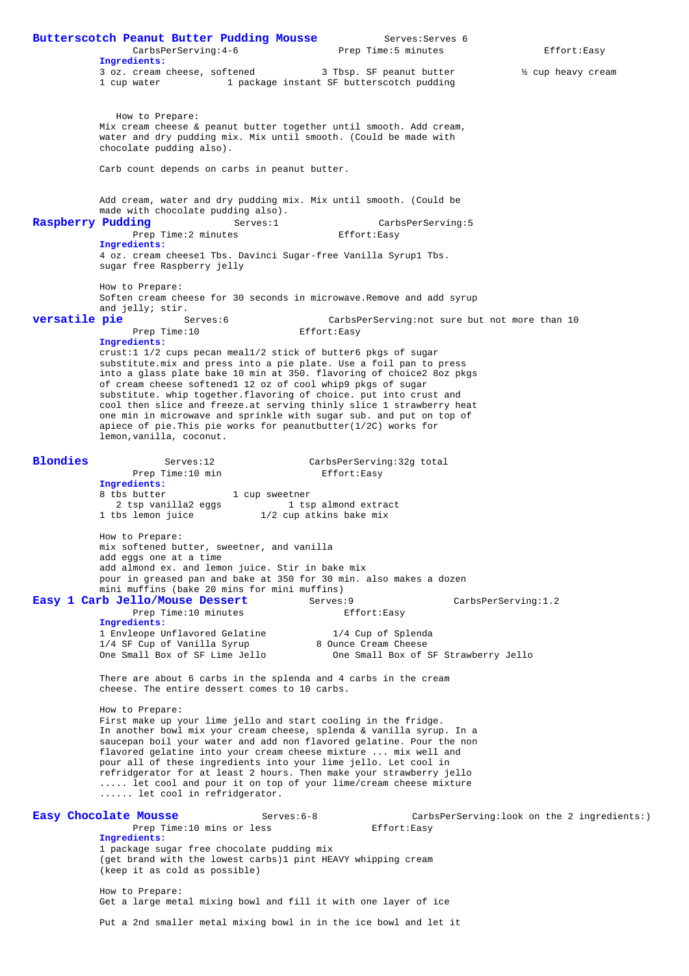Butterscotch Peanut Butter Pudding Mousse Serves: Serves 6 CarbsPerServing:4-6 Prep Time:5 minutes Effort:Easy  **Ingredients:**  3 oz. cream cheese, softened 3 Tbsp. SF peanut butter ½ cup heavy cream 1 cup water 1 package instant SF butterscotch pudding How to Prepare: Mix cream cheese & peanut butter together until smooth. Add cream, water and dry pudding mix. Mix until smooth. (Could be made with chocolate pudding also). Carb count depends on carbs in peanut butter. Add cream, water and dry pudding mix. Mix until smooth. (Could be made with chocolate pudding also). **Raspberry Pudding** Serves:1 CarbsPerServing:5<br>
Prep Time:2 minutes Bifort:Easy Prep Time: 2 minutes **Ingredients:**  4 oz. cream cheese1 Tbs. Davinci Sugar-free Vanilla Syrup1 Tbs. sugar free Raspberry jelly How to Prepare: Soften cream cheese for 30 seconds in microwave.Remove and add syrup and jelly; stir. **versatile pie** Serves:6 CarbsPerServing:not sure but not more than 10 Prep Time:10 Effort:Easy **Ingredients:**  crust:1 1/2 cups pecan meal1/2 stick of butter6 pkgs of sugar substitute.mix and press into a pie plate. Use a foil pan to press into a glass plate bake 10 min at 350. flavoring of choice2 8oz pkgs of cream cheese softened1 12 oz of cool whip9 pkgs of sugar substitute. whip together.flavoring of choice. put into crust and cool then slice and freeze.at serving thinly slice 1 strawberry heat one min in microwave and sprinkle with sugar sub. and put on top of apiece of pie.This pie works for peanutbutter(1/2C) works for lemon,vanilla, coconut. **Blondies** Serves:12 CarbsPerServing:32g total Prep Time:10 min Effort:Easy **Ingredients:**  8 tbs butter 1 cup sweetner 2 tsp vanilla2 eggs 1 tsp almond extract 1 tbs lemon juice 1/2 cup atkins bake mix How to Prepare: mix softened butter, sweetner, and vanilla add eggs one at a time add almond ex. and lemon juice. Stir in bake mix pour in greased pan and bake at 350 for 30 min. also makes a dozen mini muffins (bake 20 mins for mini muffins) Easy 1 Carb Jello/Mouse Dessert Serves: 9 CarbsPerServing:1.2 Prep Time:10 minutes Effort:Easy **Ingredients:**  1 Envleope Unflavored Gelatine 1/4 Cup of Splenda 1/4 SF Cup of Vanilla Syrup 8 Ounce Cream Cheese One Small Box of SF Lime Jello One Small Box of SF Strawberry Jello There are about 6 carbs in the splenda and 4 carbs in the cream cheese. The entire dessert comes to 10 carbs. How to Prepare: First make up your lime jello and start cooling in the fridge. In another bowl mix your cream cheese, splenda & vanilla syrup. In a saucepan boil your water and add non flavored gelatine. Pour the non flavored gelatine into your cream cheese mixture ... mix well and pour all of these ingredients into your lime jello. Let cool in refridgerator for at least 2 hours. Then make your strawberry jello ..... let cool and pour it on top of your lime/cream cheese mixture ...... let cool in refridgerator. **Easy Chocolate Mousse** Serves:6-8 CarbsPerServing:look on the 2 ingredients:)<br>Prep Time:10 mins or less Effort:Easy Prep Time:10 mins or less  **Ingredients:**  1 package sugar free chocolate pudding mix (get brand with the lowest carbs)1 pint HEAVY whipping cream (keep it as cold as possible) How to Prepare: Get a large metal mixing bowl and fill it with one layer of ice Put a 2nd smaller metal mixing bowl in in the ice bowl and let it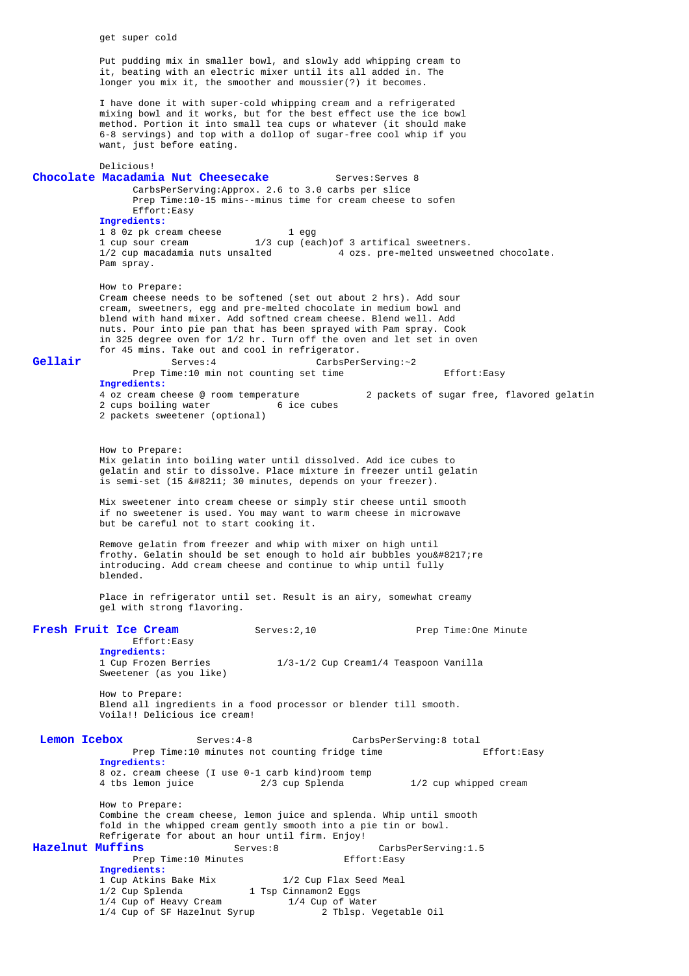Put pudding mix in smaller bowl, and slowly add whipping cream to it, beating with an electric mixer until its all added in. The longer you mix it, the smoother and moussier(?) it becomes. I have done it with super-cold whipping cream and a refrigerated mixing bowl and it works, but for the best effect use the ice bowl method. Portion it into small tea cups or whatever (it should make 6-8 servings) and top with a dollop of sugar-free cool whip if you want, just before eating. Delicious! **Chocolate Macadamia Nut Cheesecake** Serves: Serves 8 CarbsPerServing:Approx. 2.6 to 3.0 carbs per slice Prep Time:10-15 mins--minus time for cream cheese to sofen Effort:Easy **Ingredients:**  1 8 0z pk cream cheese 1 egg 1 cup sour cream 1/3 cup (each)of 3 artifical sweetners. 1/2 cup macadamia nuts unsalted 4 ozs. pre-melted unsweetned chocolate. Pam spray. How to Prepare: Cream cheese needs to be softened (set out about 2 hrs). Add sour cream, sweetners, egg and pre-melted chocolate in medium bowl and blend with hand mixer. Add softned cream cheese. Blend well. Add nuts. Pour into pie pan that has been sprayed with Pam spray. Cook in 325 degree oven for 1/2 hr. Turn off the oven and let set in oven for 45 mins. Take out and cool in refrigerator.<br>Gellair Serves:4 CarbsPer Serves:4 CarbsPerServing:~2 Prep Time:10 min not counting set time Effort:Easy **Ingredients:**  4 rature 2 packets of sugar free, flavored gelatin<br>6 ice cubes 2 cups boiling water 2 packets sweetener (optional) How to Prepare: Mix gelatin into boiling water until dissolved. Add ice cubes to gelatin and stir to dissolve. Place mixture in freezer until gelatin is semi-set (15  $–$ ; 30 minutes, depends on your freezer). Mix sweetener into cream cheese or simply stir cheese until smooth if no sweetener is used. You may want to warm cheese in microwave but be careful not to start cooking it. Remove gelatin from freezer and whip with mixer on high until frothy. Gelatin should be set enough to hold air bubbles you' re introducing. Add cream cheese and continue to whip until fully blended. Place in refrigerator until set. Result is an airy, somewhat creamy gel with strong flavoring. **Fresh Fruit Ice Cream** Serves: 2,10 Prep Time: One Minute Effort:Easy **Ingredients:**  1 Cup Frozen Berries 1/3-1/2 Cup Cream1/4 Teaspoon Vanilla Sweetener (as you like) How to Prepare: Blend all ingredients in a food processor or blender till smooth. Voila!! Delicious ice cream! **Lemon Icebox** Serves: 4-8 CarbsPerServing:8 total Prep Time:10 minutes not counting fridge time The Effort:Easy **Ingredients:**  8 oz. cream cheese (I use 0-1 carb kind)room temp 4 tbs lemon juice 2/3 cup Splenda 1/2 cup whipped cream How to Prepare: Combine the cream cheese, lemon juice and splenda. Whip until smooth fold in the whipped cream gently smooth into a pie tin or bowl. Refrigerate for about an hour until firm. Enjoy! **Hazelnut Muffins** Serves:8 CarbsPerServing:1.5<br>Prep Time:10 Minutes Bffort:Easy Effort:Easy Prep Time: 10 Minutes  **Ingredients:**  1 Cup Atkins Bake Mix 1/2 Cup Flax Seed Meal 1/2 Cup Splenda 1 Tsp Cinnamon2 Eggs

 1/4 Cup of Heavy Cream 1/4 Cup of Water 1/4 Cup of SF Hazelnut Syrup 2 Tblsp. Vegetable Oil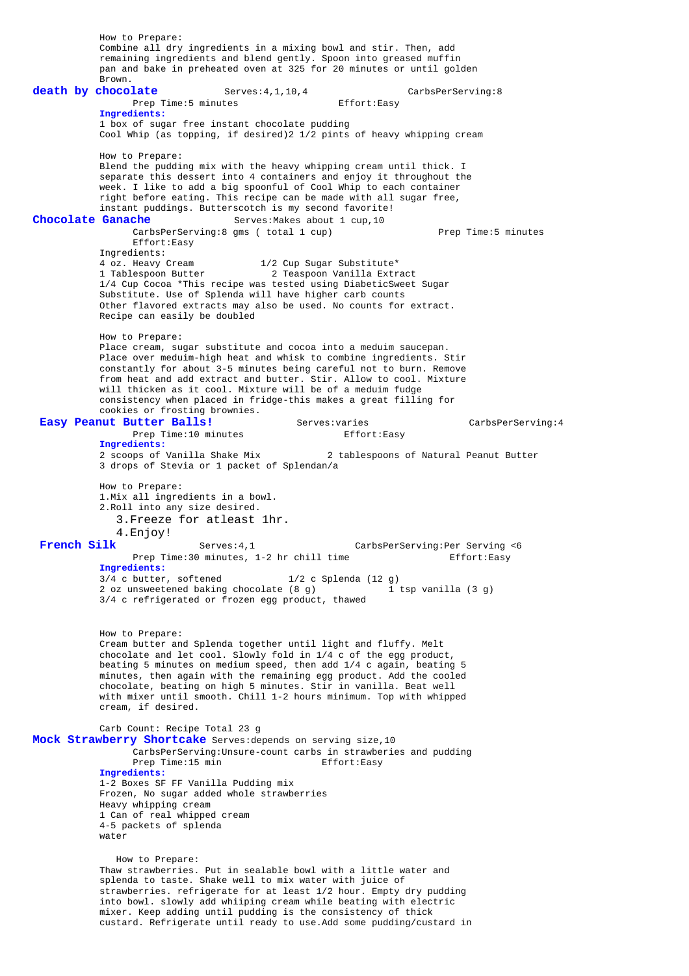How to Prepare: Combine all dry ingredients in a mixing bowl and stir. Then, add remaining ingredients and blend gently. Spoon into greased muffin pan and bake in preheated oven at 325 for 20 minutes or until golden Brown. **death by chocolate** Serves: 4, 1, 10, 4 CarbsPerServing: 8 Prep Time:5 minutes Effort:Easy  **Ingredients:**  1 box of sugar free instant chocolate pudding Cool Whip (as topping, if desired)2 1/2 pints of heavy whipping cream How to Prepare: Blend the pudding mix with the heavy whipping cream until thick. I separate this dessert into 4 containers and enjoy it throughout the week. I like to add a big spoonful of Cool Whip to each container right before eating. This recipe can be made with all sugar free, instant puddings. Butterscotch is my second favorite! Chocolate Ganache Serves: Makes about 1 cup, 10 CarbsPerServing:8 gms ( total 1 cup) Prep Time:5 minutes Effort:Easy Ingredients: 4 oz. Heavy Cream 1/2 Cup Sugar Substitute\* 1 Tablespoon Butter 2 Teaspoon Vanilla Extract 1/4 Cup Cocoa \*This recipe was tested using DiabeticSweet Sugar Substitute. Use of Splenda will have higher carb counts Other flavored extracts may also be used. No counts for extract. Recipe can easily be doubled How to Prepare: Place cream, sugar substitute and cocoa into a meduim saucepan. Place over meduim-high heat and whisk to combine ingredients. Stir constantly for about 3-5 minutes being careful not to burn. Remove from heat and add extract and butter. Stir. Allow to cool. Mixture will thicken as it cool. Mixture will be of a meduim fudge consistency when placed in fridge-this makes a great filling for cookies or frosting brownies. Easy Peanut Butter Balls! Serves:varies Serves:varies CarbsPerServing:4 Prep Time:10 minutes Effort:Easy  **Ingredients:**  2 tablespoons of Natural Peanut Butter 3 drops of Stevia or 1 packet of Splendan/a How to Prepare: 1.Mix all ingredients in a bowl. 2.Roll into any size desired. 3.Freeze for atleast 1hr. 4.Enjoy! **French Silk** Serves:4,1 CarbsPerServing:Per Serving <6 Prep Time:30 minutes, 1-2 hr chill time Effort:Easy **Ingredients:**   $1/2$  c Splenda (12 g)<br>(8 g) 1 tsp vanilla (3 g) 2 oz unsweetened baking chocolate  $(8 q)$  3/4 c refrigerated or frozen egg product, thawed How to Prepare: Cream butter and Splenda together until light and fluffy. Melt chocolate and let cool. Slowly fold in 1/4 c of the egg product, beating 5 minutes on medium speed, then add 1/4 c again, beating 5 minutes, then again with the remaining egg product. Add the cooled chocolate, beating on high 5 minutes. Stir in vanilla. Beat well with mixer until smooth. Chill 1-2 hours minimum. Top with whipped cream, if desired. Carb Count: Recipe Total 23 g **Mock Strawberry Shortcake** Serves:depends on serving size,10 CarbsPerServing:Unsure-count carbs in strawberies and pudding Prep Time:15 min Effort:Easy **Ingredients:**  1-2 Boxes SF FF Vanilla Pudding mix Frozen, No sugar added whole strawberries Heavy whipping cream 1 Can of real whipped cream 4-5 packets of splenda water How to Prepare: Thaw strawberries. Put in sealable bowl with a little water and splenda to taste. Shake well to mix water with juice of strawberries. refrigerate for at least 1/2 hour. Empty dry pudding into bowl. slowly add whiiping cream while beating with electric mixer. Keep adding until pudding is the consistency of thick custard. Refrigerate until ready to use.Add some pudding/custard in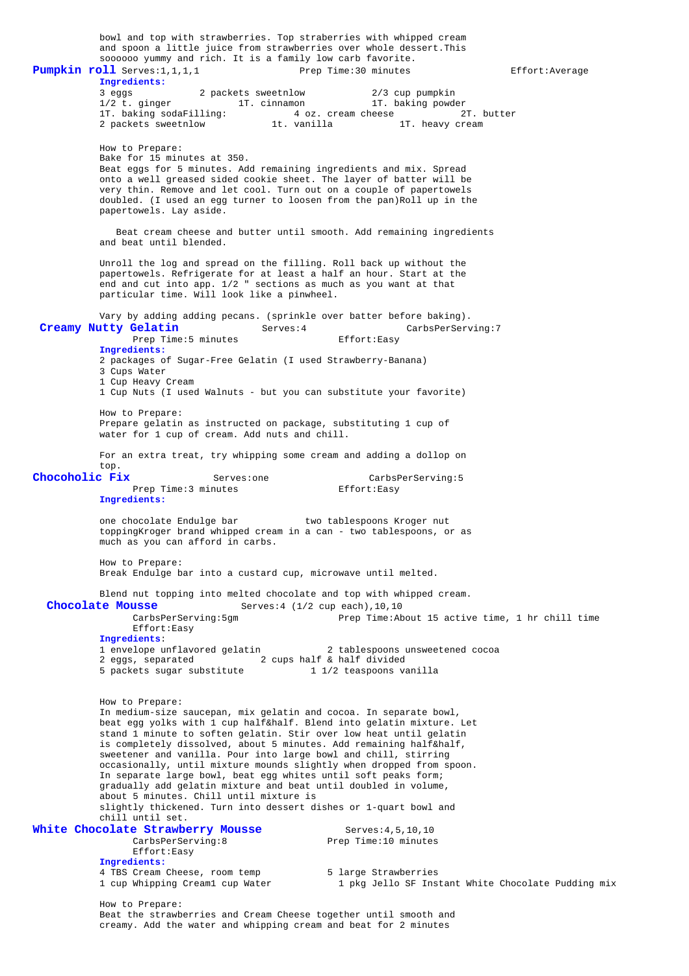bowl and top with strawberries. Top straberries with whipped cream and spoon a little juice from strawberries over whole dessert.This soooooo yummy and rich. It is a family low carb favorite. **Pumpkin roll** Serves:1,1,1,1 Prep Time:30 minutes Effort:Average **Ingredients:**  3 eggs 2 packets sweetnlow 2/3 cup pumpkin<br>1/2 t. ginger 11. cinnamon 11. baking powder 1/2 t. ginger 1T. cinnamon 1T. baking powder 1T. baking sodaFilling: 4 oz. cream cheese 2T. butter 2 packets sweetnlow 1t. vanilla 1T. heavy cream How to Prepare: Bake for 15 minutes at 350. Beat eggs for 5 minutes. Add remaining ingredients and mix. Spread onto a well greased sided cookie sheet. The layer of batter will be very thin. Remove and let cool. Turn out on a couple of papertowels doubled. (I used an egg turner to loosen from the pan)Roll up in the papertowels. Lay aside. Beat cream cheese and butter until smooth. Add remaining ingredients and beat until blended. Unroll the log and spread on the filling. Roll back up without the papertowels. Refrigerate for at least a half an hour. Start at the end and cut into app. 1/2 " sections as much as you want at that particular time. Will look like a pinwheel. Vary by adding adding pecans. (sprinkle over batter before baking). **Creamy Nutty Gelatin** Serves:4 CarbsPerServing:7<br>Prep Time:5 minutes Fffort:Fasy Prep Time:5 minutes **Ingredients:**  2 packages of Sugar-Free Gelatin (I used Strawberry-Banana) 3 Cups Water 1 Cup Heavy Cream 1 Cup Nuts (I used Walnuts - but you can substitute your favorite) How to Prepare: Prepare gelatin as instructed on package, substituting 1 cup of water for 1 cup of cream. Add nuts and chill. For an extra treat, try whipping some cream and adding a dollop on top. **Chocoholic Fix** Serves:one CarbsPerServing:5 Prep Time:3 minutes Effort:Easy  **Ingredients:**  one chocolate Endulge bar two tablespoons Kroger nut toppingKroger brand whipped cream in a can - two tablespoons, or as much as you can afford in carbs. How to Prepare: Break Endulge bar into a custard cup, microwave until melted. Blend nut topping into melted chocolate and top with whipped cream.  **Chocolate Mousse** Serves:4 (1/2 cup each),10,10 Prep Time: About 15 active time, 1 hr chill time Effort:Easy  **Ingredients**: 1 envelope unflavored gelatin 2 tablespoons unsweetened cocoa 2 eggs, separated 2 cups half & half divided 5 packets sugar substitute 1 1/2 teaspoons vanilla How to Prepare: In medium-size saucepan, mix gelatin and cocoa. In separate bowl, beat egg yolks with 1 cup half&half. Blend into gelatin mixture. Let stand 1 minute to soften gelatin. Stir over low heat until gelatin is completely dissolved, about 5 minutes. Add remaining half&half, sweetener and vanilla. Pour into large bowl and chill, stirring occasionally, until mixture mounds slightly when dropped from spoon. In separate large bowl, beat egg whites until soft peaks form; gradually add gelatin mixture and beat until doubled in volume, about 5 minutes. Chill until mixture is slightly thickened. Turn into dessert dishes or 1-quart bowl and chill until set. **White Chocolate Strawberry Mousse** Serves: 4, 5, 10, 10<br>CarbsPerServing: 8 Prep Time: 10 minute Prep Time:10 minutes Effort:Easy **Ingredients:**  4 TBS Cream Cheese, room temp 5 large Strawberries<br>1 cup Whipping Cream1 cup Water 1 pkg Jello SF Inst 1 pkg Jello SF Instant White Chocolate Pudding mix How to Prepare: Beat the strawberries and Cream Cheese together until smooth and creamy. Add the water and whipping cream and beat for 2 minutes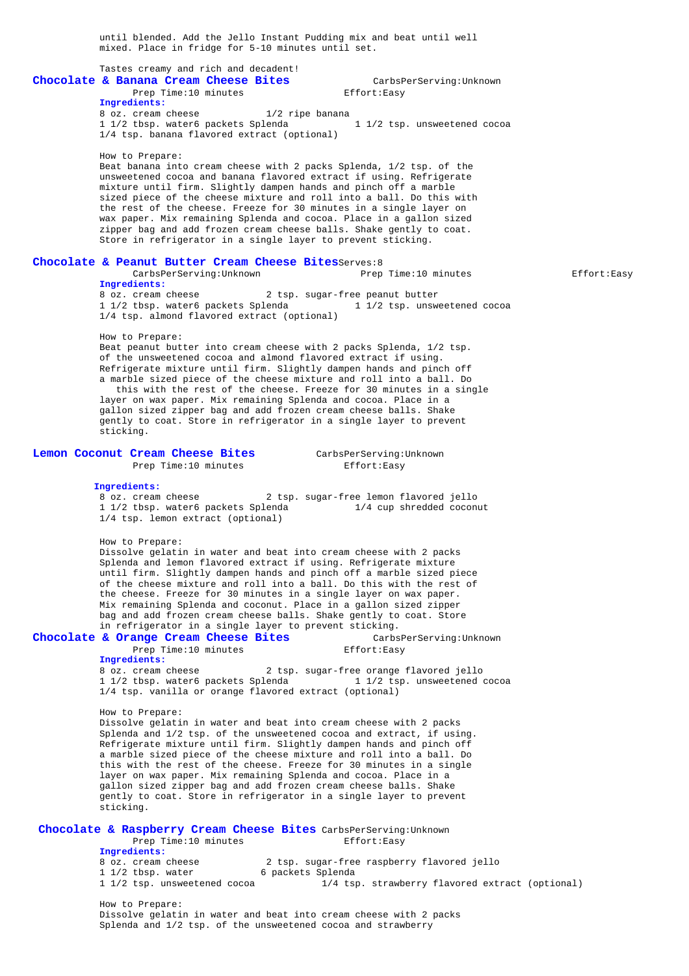until blended. Add the Jello Instant Pudding mix and beat until well mixed. Place in fridge for 5-10 minutes until set.

## Tastes creamy and rich and decadent! **Chocolate & Banana Cream Cheese Bites** CarbsPerServing:Unknown<br>Prep Time:10 minutes Effort:Easy Prep Time:10 minutes **Ingredients:**  8 oz. cream cheese 1/2 ripe banana 1 1/2 tbsp. water6 packets Splenda 1 1/2 tsp. unsweetened cocoa 1/4 tsp. banana flavored extract (optional) How to Prepare: Beat banana into cream cheese with 2 packs Splenda, 1/2 tsp. of the unsweetened cocoa and banana flavored extract if using. Refrigerate mixture until firm. Slightly dampen hands and pinch off a marble sized piece of the cheese mixture and roll into a ball. Do this with the rest of the cheese. Freeze for 30 minutes in a single layer on wax paper. Mix remaining Splenda and cocoa. Place in a gallon sized zipper bag and add frozen cream cheese balls. Shake gently to coat. Store in refrigerator in a single layer to prevent sticking. **Chocolate & Peanut Butter Cream Cheese Bites**Serves:8 CarbsPerServing:Unknown Prep Time:10 minutes Effort:Easy **Ingredients:**  8 oz. cream cheese 2 tsp. sugar-free peanut butter 1 1/2 tbsp. water6 packets Splenda 1 1/2 tsp. unsweetened cocoa 1/4 tsp. almond flavored extract (optional) How to Prepare: Beat peanut butter into cream cheese with 2 packs Splenda, 1/2 tsp. of the unsweetened cocoa and almond flavored extract if using. Refrigerate mixture until firm. Slightly dampen hands and pinch off a marble sized piece of the cheese mixture and roll into a ball. Do this with the rest of the cheese. Freeze for 30 minutes in a single layer on wax paper. Mix remaining Splenda and cocoa. Place in a gallon sized zipper bag and add frozen cream cheese balls. Shake gently to coat. Store in refrigerator in a single layer to prevent sticking. **Lemon Coconut Cream Cheese Bites** CarbsPerServing:Unknown<br>
Prep Time:10 minutes Effort:Easy Prep Time:10 minutes  **Ingredients:**  8 oz. cream cheese 2 tsp. sugar-free lemon flavored jello<br>1 1/2 tbsp. water6 packets Splenda 1/4 cup shredded coconut 1 1/2 tbsp. water6 packets Splenda 1/4 tsp. lemon extract (optional) How to Prepare: Dissolve gelatin in water and beat into cream cheese with 2 packs Splenda and lemon flavored extract if using. Refrigerate mixture until firm. Slightly dampen hands and pinch off a marble sized piece of the cheese mixture and roll into a ball. Do this with the rest of the cheese. Freeze for 30 minutes in a single layer on wax paper. Mix remaining Splenda and coconut. Place in a gallon sized zipper bag and add frozen cream cheese balls. Shake gently to coat. Store in refrigerator in a single layer to prevent sticking. Chocolate & Orange Cream Cheese Bites CarbsPerServing: Unknown Prep Time:10 minutes Effort:Easy  **Ingredients:**  8 oz. cream cheese 2 tsp. sugar-free orange flavored jello 1 1/2 tbsp. water6 packets Splenda 1 1/2 tsp. unsweetened cocoa 1/4 tsp. vanilla or orange flavored extract (optional) How to Prepare: Dissolve gelatin in water and beat into cream cheese with 2 packs Splenda and 1/2 tsp. of the unsweetened cocoa and extract, if using. Refrigerate mixture until firm. Slightly dampen hands and pinch off a marble sized piece of the cheese mixture and roll into a ball. Do this with the rest of the cheese. Freeze for 30 minutes in a single layer on wax paper. Mix remaining Splenda and cocoa. Place in a gallon sized zipper bag and add frozen cream cheese balls. Shake gently to coat. Store in refrigerator in a single layer to prevent sticking. **Chocolate & Raspberry Cream Cheese Bites** CarbsPerServing:Unknown Prep Time:10 minutes Effort:Easy **Ingredients:**  8 oz. cream cheese 2 tsp. sugar-free raspberry flavored jello 1 1/2 tbsp. water 6 packets Splenda 1 1/2 tsp. unsweetened cocoa 1/4 tsp. strawberry flavored extract (optional) How to Prepare: Dissolve gelatin in water and beat into cream cheese with 2 packs Splenda and 1/2 tsp. of the unsweetened cocoa and strawberry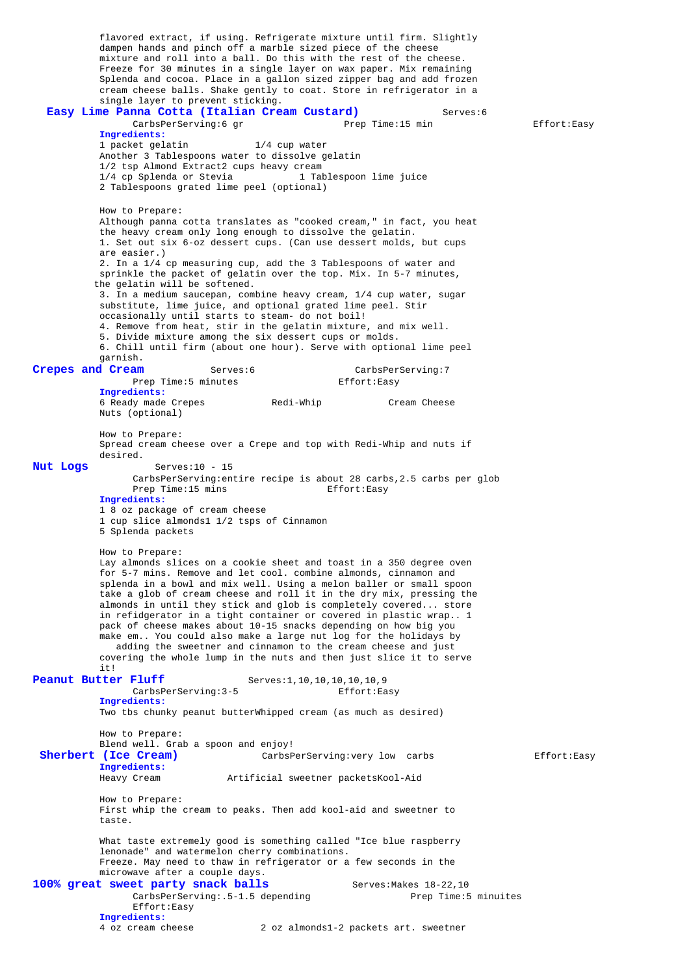flavored extract, if using. Refrigerate mixture until firm. Slightly dampen hands and pinch off a marble sized piece of the cheese mixture and roll into a ball. Do this with the rest of the cheese. Freeze for 30 minutes in a single layer on wax paper. Mix remaining Splenda and cocoa. Place in a gallon sized zipper bag and add frozen cream cheese balls. Shake gently to coat. Store in refrigerator in a single layer to prevent sticking. **Easy Lime Panna Cotta (Italian Cream Custard)** Serves:6<br>CarbsPerServing:6 gr Prep Time:15 min CarbsPerServing:6 gr entitled by Prep Time:15 min Effort:Easy **Ingredients:**  1 packet gelatin 1/4 cup water Another 3 Tablespoons water to dissolve gelatin 1/2 tsp Almond Extract2 cups heavy cream 1/4 cp Splenda or Stevia 1 Tablespoon lime juice 2 Tablespoons grated lime peel (optional) How to Prepare: Although panna cotta translates as "cooked cream," in fact, you heat the heavy cream only long enough to dissolve the gelatin. 1. Set out six 6-oz dessert cups. (Can use dessert molds, but cups are easier.) 2. In a 1/4 cp measuring cup, add the 3 Tablespoons of water and sprinkle the packet of gelatin over the top. Mix. In 5-7 minutes, the gelatin will be softened. 3. In a medium saucepan, combine heavy cream, 1/4 cup water, sugar substitute, lime juice, and optional grated lime peel. Stir occasionally until starts to steam- do not boil! 4. Remove from heat, stir in the gelatin mixture, and mix well. 5. Divide mixture among the six dessert cups or molds. 6. Chill until firm (about one hour). Serve with optional lime peel garnish. **Crepes and Cream** Serves:6 CarbsPerServing:7 Prep Time:5 minutes Effort:Easy **Ingredients:**  6 Ready made Crepes Redi-Whip Cream Cheese Nuts (optional) How to Prepare: Spread cream cheese over a Crepe and top with Redi-Whip and nuts if desired. **Nut Logs** Serves: 10 - 15 CarbsPerServing:entire recipe is about 28 carbs,2.5 carbs per glob Prep Time:15 mins Effort:Easy **Ingredients:**  1 8 oz package of cream cheese 1 cup slice almonds1 1/2 tsps of Cinnamon 5 Splenda packets How to Prepare: Lay almonds slices on a cookie sheet and toast in a 350 degree oven for 5-7 mins. Remove and let cool. combine almonds, cinnamon and splenda in a bowl and mix well. Using a melon baller or small spoon take a glob of cream cheese and roll it in the dry mix, pressing the almonds in until they stick and glob is completely covered... store in refidgerator in a tight container or covered in plastic wrap.. 1 pack of cheese makes about 10-15 snacks depending on how big you make em.. You could also make a large nut log for the holidays by adding the sweetner and cinnamon to the cream cheese and just covering the whole lump in the nuts and then just slice it to serve it! **Peanut Butter Fluff** Serves:1,10,10,10,10,10,9 CarbsPerServing: 3-5 Effort: Easy **Ingredients:**  Two tbs chunky peanut butterWhipped cream (as much as desired) How to Prepare: Blend well. Grab a spoon and enjoy! Sherbert (Ice Cream) CarbsPerServing:very low carbs Effort:Easy **Ingredients:**  Artificial sweetner packetsKool-Aid How to Prepare: First whip the cream to peaks. Then add kool-aid and sweetner to taste. What taste extremely good is something called "Ice blue raspberry lenonade" and watermelon cherry combinations. Freeze. May need to thaw in refrigerator or a few seconds in the microwave after a couple days. 100% great sweet party snack balls Serves: Makes 18-22, 10 CarbsPerServing: 5-1.5 depending Prep Time:5 minuites Effort:Easy  **Ingredients:**  4 oz cream cheese 2 oz almonds1-2 packets art. sweetner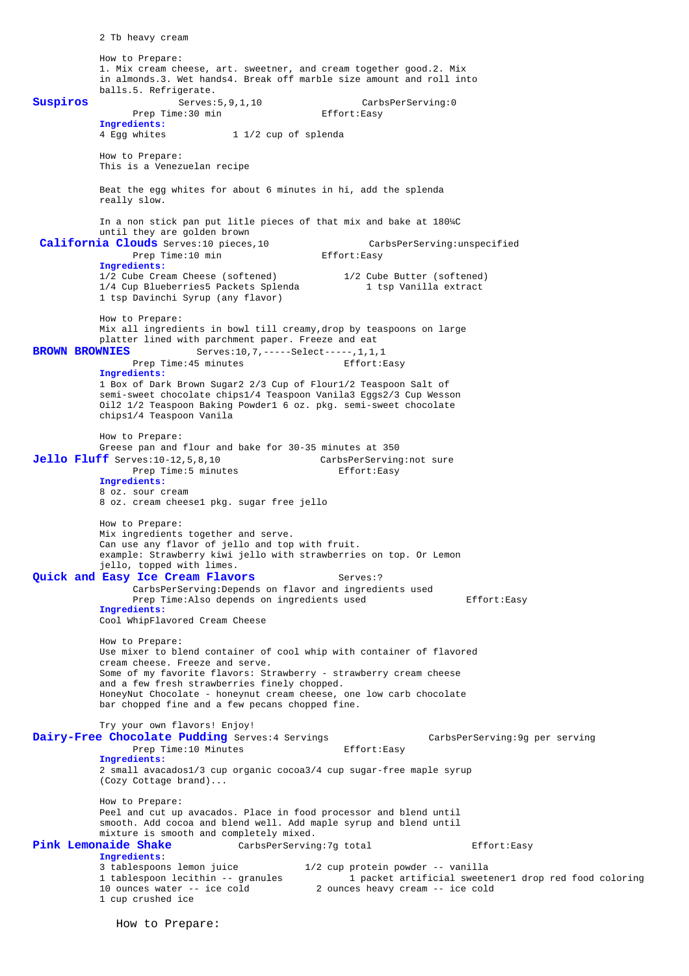```
 How to Prepare: 
            1. Mix cream cheese, art. sweetner, and cream together good.2. Mix 
            in almonds.3. Wet hands4. Break off marble size amount and roll into 
            balls.5. Refrigerate. 
Suspiros Serves:5,9,1,10 CarbsPerServing:0<br>Prep Time:30 min Effort:Easy
                Prep Time:30 min
            Ingredients: 
                               1 \frac{1}{2} cup of splenda
            How to Prepare: 
            This is a Venezuelan recipe 
            Beat the egg whites for about 6 minutes in hi, add the splenda 
            really slow. 
            In a non stick pan put litle pieces of that mix and bake at 180¼C 
            until they are golden brown 
 California Clouds Serves:10 pieces,10 CarbsPerServing:unspecified
                Prep Time:10 min Effort:Easy
            Ingredients: 
           1/2 Cube Cream Cheese (softened) 1/2 Cube Butter (softened)<br>1/4 Cup Blueberries5 Packets Splenda 1 tsp Vanilla extract
           1/4 Cup Blueberries5 Packets Splenda
            1 tsp Davinchi Syrup (any flavor) 
            How to Prepare: 
            Mix all ingredients in bowl till creamy,drop by teaspoons on large 
            platter lined with parchment paper. Freeze and eat 
BROWN BROWNIES Serves:10,7,-----Select-----,1,1,1
                Prep Time: 45 minutes Effort: Easy
            Ingredients: 
            1 Box of Dark Brown Sugar2 2/3 Cup of Flour1/2 Teaspoon Salt of 
            semi-sweet chocolate chips1/4 Teaspoon Vanila3 Eggs2/3 Cup Wesson 
            Oil2 1/2 Teaspoon Baking Powder1 6 oz. pkg. semi-sweet chocolate 
            chips1/4 Teaspoon Vanila 
            How to Prepare: 
            Greese pan and flour and bake for 30-35 minutes at 350 
Jello Fluff Serves:10-12,5,8,10 CarbsPerServing:not sure
Prep Time:5 minutes entitled and the effort:Easy
            Ingredients: 
            8 oz. sour cream 
            8 oz. cream cheese1 pkg. sugar free jello 
            How to Prepare: 
            Mix ingredients together and serve. 
            Can use any flavor of jello and top with fruit. 
            example: Strawberry kiwi jello with strawberries on top. Or Lemon 
            jello, topped with limes. 
Quick and Easy Ice Cream Flavors Serves:?
                 CarbsPerServing:Depends on flavor and ingredients used 
                Prep Time:Also depends on ingredients used Effort:Easy
            Ingredients: 
            Cool WhipFlavored Cream Cheese 
            How to Prepare: 
            Use mixer to blend container of cool whip with container of flavored 
            cream cheese. Freeze and serve. 
            Some of my favorite flavors: Strawberry - strawberry cream cheese 
            and a few fresh strawberries finely chopped. 
            HoneyNut Chocolate - honeynut cream cheese, one low carb chocolate 
            bar chopped fine and a few pecans chopped fine. 
            Try your own flavors! Enjoy! 
Dairy-Free Chocolate Pudding Serves: 4 Servings CarbsPerServing: 9g per serving
                Prep Time:10 Minutes Effort:Easy
            Ingredients: 
            2 small avacados1/3 cup organic cocoa3/4 cup sugar-free maple syrup 
            (Cozy Cottage brand)... 
            How to Prepare: 
            Peel and cut up avacados. Place in food processor and blend until 
            smooth. Add cocoa and blend well. Add maple syrup and blend until 
            mixture is smooth and completely mixed. 
Pink Lemonaide Shake CarbsPerServing:7g total Effort:Easy
            Ingredients: 
 3 tablespoons lemon juice 1/2 cup protein powder -- vanilla 
 1 tablespoon lecithin -- granules 1 packet artificial sweetener1 drop red food coloring 
 10 ounces water -- ice cold 2 ounces heavy cream -- ice cold 
            1 cup crushed ice 
               How to Prepare:
```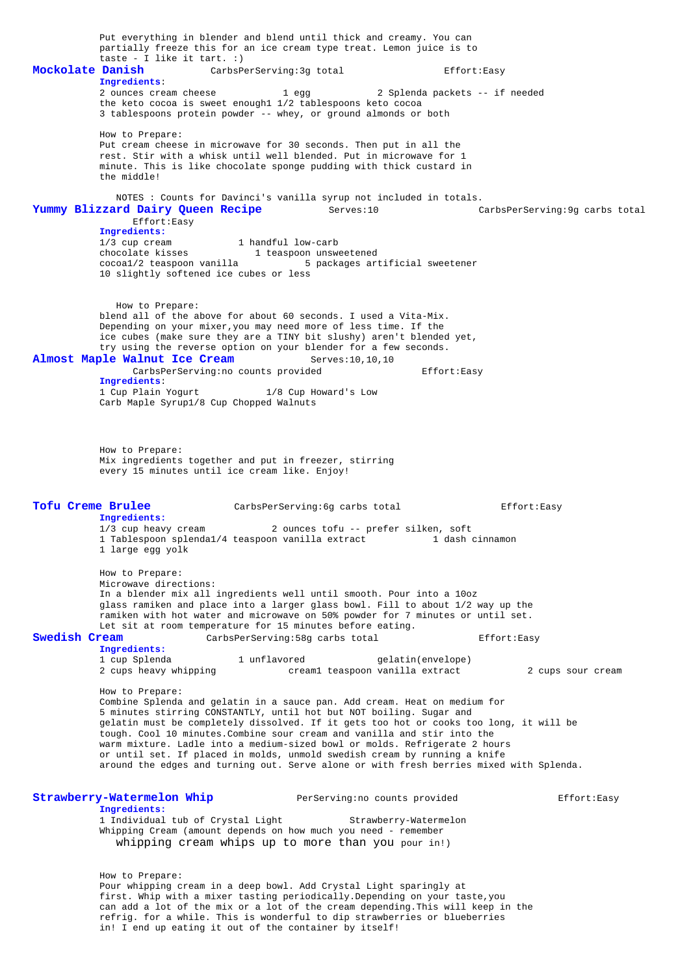Put everything in blender and blend until thick and creamy. You can partially freeze this for an ice cream type treat. Lemon juice is to taste - I like it tart. :) **Mockolate Danish** CarbsPerServing:3g total Effort:Easy  **Ingredients**: 2 ounces cream cheese 1 egg 2 Splenda packets -- if needed the keto cocoa is sweet enough1 1/2 tablespoons keto cocoa 3 tablespoons protein powder -- whey, or ground almonds or both How to Prepare: Put cream cheese in microwave for 30 seconds. Then put in all the rest. Stir with a whisk until well blended. Put in microwave for 1 minute. This is like chocolate sponge pudding with thick custard in the middle! NOTES : Counts for Davinci's vanilla syrup not included in totals. **Yummy Blizzard Dairy Queen Recipe** Serves:10 Serves:10 CarbsPerServing:9g carbs total Effort:Easy **Ingredients:**  1/3 cup cream 1 handful low-carb chocolate kisses 1 teaspoon unsweetened cocoa1/2 teaspoon vanilla 5 packages artificial sweetener 10 slightly softened ice cubes or less How to Prepare: blend all of the above for about 60 seconds. I used a Vita-Mix. Depending on your mixer,you may need more of less time. If the ice cubes (make sure they are a TINY bit slushy) aren't blended yet, try using the reverse option on your blender for a few seconds. **Almost Maple Walnut Ice Cream** Serves:10,10,10 CarbsPerServing:no counts provided example effort:Easy  **Ingredients**: 1 Cup Plain Yogurt 1/8 Cup Howard's Low Carb Maple Syrup1/8 Cup Chopped Walnuts How to Prepare: Mix ingredients together and put in freezer, stirring every 15 minutes until ice cream like. Enjoy! Tofu Creme Brulee CarbsPerServing:6g carbs total **Effort:Easy Ingredients:**  11911 11911 11912<br>1/3 cup heavy cream 2 ounces tofu -- prefer silken, soft<br>1 Tablespoon splenda1/4 teaspoon vanilla extract 1 dash cinnamon 1 Tablespoon splenda1/4 teaspoon vanilla extract 1 large egg yolk How to Prepare: Microwave directions: In a blender mix all ingredients well until smooth. Pour into a 10oz glass ramiken and place into a larger glass bowl. Fill to about 1/2 way up the ramiken with hot water and microwave on 50% powder for 7 minutes or until set. Let sit at room temperature for 15 minutes before eating. **Swedish Cream** CarbsPerServing:58g carbs total Effort:Easy **Ingredients:**  Ingredients:<br>1 cup Splenda 1 unflavored gelatin(envelope)<br>2 cups heavy whipping creaml teaspoon vanilla extract cream1 teaspoon vanilla extract 2 cups sour cream How to Prepare: Combine Splenda and gelatin in a sauce pan. Add cream. Heat on medium for 5 minutes stirring CONSTANTLY, until hot but NOT boiling. Sugar and gelatin must be completely dissolved. If it gets too hot or cooks too long, it will be tough. Cool 10 minutes.Combine sour cream and vanilla and stir into the warm mixture. Ladle into a medium-sized bowl or molds. Refrigerate 2 hours or until set. If placed in molds, unmold swedish cream by running a knife around the edges and turning out. Serve alone or with fresh berries mixed with Splenda. **Strawberry-Watermelon Whip** PerServing:no counts provided **Particular Effort:Easy**<br> **Example Effort:Easy Ingredients:**  1 Individual tub of Crystal Light Strawberry-Watermelon Whipping Cream (amount depends on how much you need - remember whipping cream whips up to more than you pour in!) How to Prepare: Pour whipping cream in a deep bowl. Add Crystal Light sparingly at first. Whip with a mixer tasting periodically.Depending on your taste,you can add a lot of the mix or a lot of the cream depending.This will keep in the

refrig. for a while. This is wonderful to dip strawberries or blueberries

in! I end up eating it out of the container by itself!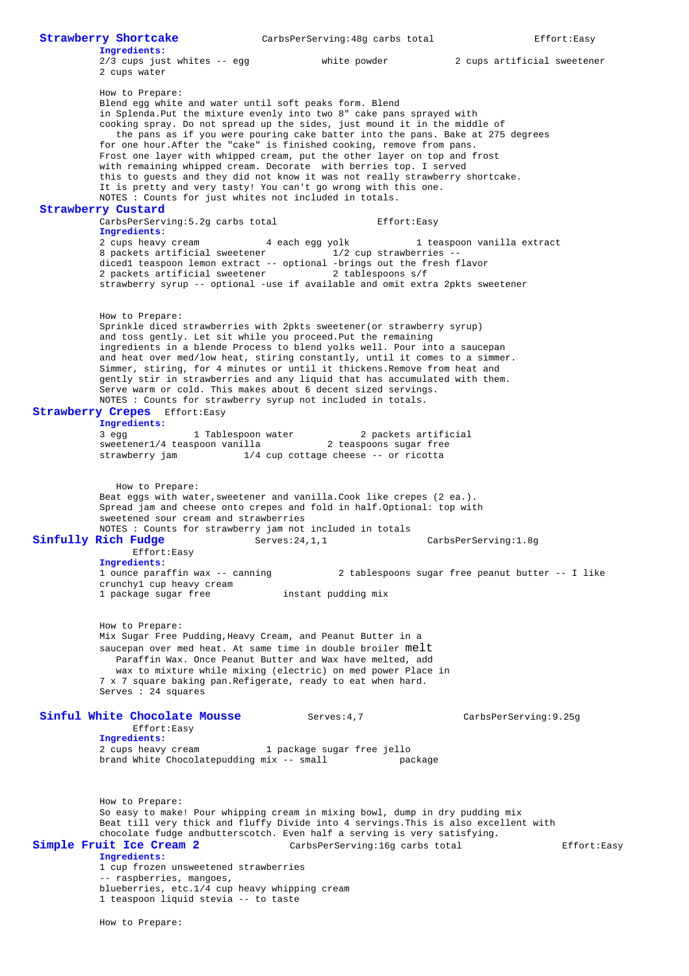```
 Ingredients:
```
2 cups water

**Strawberry Shortcake** CarbsPerServing:48g carbs total Effort:Easy

2/3 cups just whites -- egg white powder 2 cups artificial sweetener

 How to Prepare: Blend egg white and water until soft peaks form. Blend in Splenda.Put the mixture evenly into two 8" cake pans sprayed with cooking spray. Do not spread up the sides, just mound it in the middle of the pans as if you were pouring cake batter into the pans. Bake at 275 degrees for one hour.After the "cake" is finished cooking, remove from pans. Frost one layer with whipped cream, put the other layer on top and frost with remaining whipped cream. Decorate with berries top. I served this to guests and they did not know it was not really strawberry shortcake. It is pretty and very tasty! You can't go wrong with this one. NOTES : Counts for just whites not included in totals. **Strawberry Custard**<br>
CarbsPerServing:5.2g carbs total Effort:Easy  **Ingredients**: 2 cups heavy cream 4 each egg yolk 1 teaspoon vanilla extract<br>8 packets artificial sweetener 1/2 cup strawberries --8 packets artificial sweetener diced1 teaspoon lemon extract -- optional -brings out the fresh flavor 2 packets artificial sweetener 2 tablespoons s/f strawberry syrup -- optional -use if available and omit extra 2pkts sweetener How to Prepare: Sprinkle diced strawberries with 2pkts sweetener(or strawberry syrup) and toss gently. Let sit while you proceed.Put the remaining ingredients in a blende Process to blend yolks well. Pour into a saucepan and heat over med/low heat, stiring constantly, until it comes to a simmer. Simmer, stiring, for 4 minutes or until it thickens.Remove from heat and gently stir in strawberries and any liquid that has accumulated with them. Serve warm or cold. This makes about 6 decent sized servings. NOTES : Counts for strawberry syrup not included in totals. **Strawberry Crepes** Effort:Easy **Ingredients:**  3 egg 1 Tablespoon water 2 packets artificial sweetener1/4 teaspoon vanilla 2 teaspoons sugar free strawberry jam 1/4 cup cottage cheese -- or ricotta How to Prepare: Beat eggs with water, sweetener and vanilla. Cook like crepes (2 ea.). Spread jam and cheese onto crepes and fold in half.Optional: top with sweetened sour cream and strawberries NOTES : Counts for strawberry jam not included in totals **Sinfully Rich Fudge** Serves:24,1,1 CarbsPerServing:1.8g Effort:Easy **Ingredients:**<br>1 ounce paraffin wax -- canning 2 tablespoons sugar free peanut butter  $-$  I like crunchy1 cup heavy cream 1 package sugar free instant pudding mix How to Prepare: Mix Sugar Free Pudding,Heavy Cream, and Peanut Butter in a saucepan over med heat. At same time in double broiler melt Paraffin Wax. Once Peanut Butter and Wax have melted, add wax to mixture while mixing (electric) on med power Place in 7 x 7 square baking pan.Refigerate, ready to eat when hard. Serves : 24 squares Sinful White Chocolate Mousse Serves: 4,7 CarbsPerServing: 9.25g Effort:Easy  **Ingredients:**  2 cups heavy cream 1 package sugar free jello<br>brand White Chocolatepudding mix -- small package brand White Chocolatepudding mix -- small How to Prepare: So easy to make! Pour whipping cream in mixing bowl, dump in dry pudding mix Beat till very thick and fluffy Divide into 4 servings.This is also excellent with chocolate fudge andbutterscotch. Even half a serving is very satisfying. **Simple Fruit Ice Cream 2 CarbsPerServing:16g carbs total Beam ProperTiessy Ingredients:**  1 cup frozen unsweetened strawberries -- raspberries, mangoes, blueberries, etc.1/4 cup heavy whipping cream 1 teaspoon liquid stevia -- to taste How to Prepare: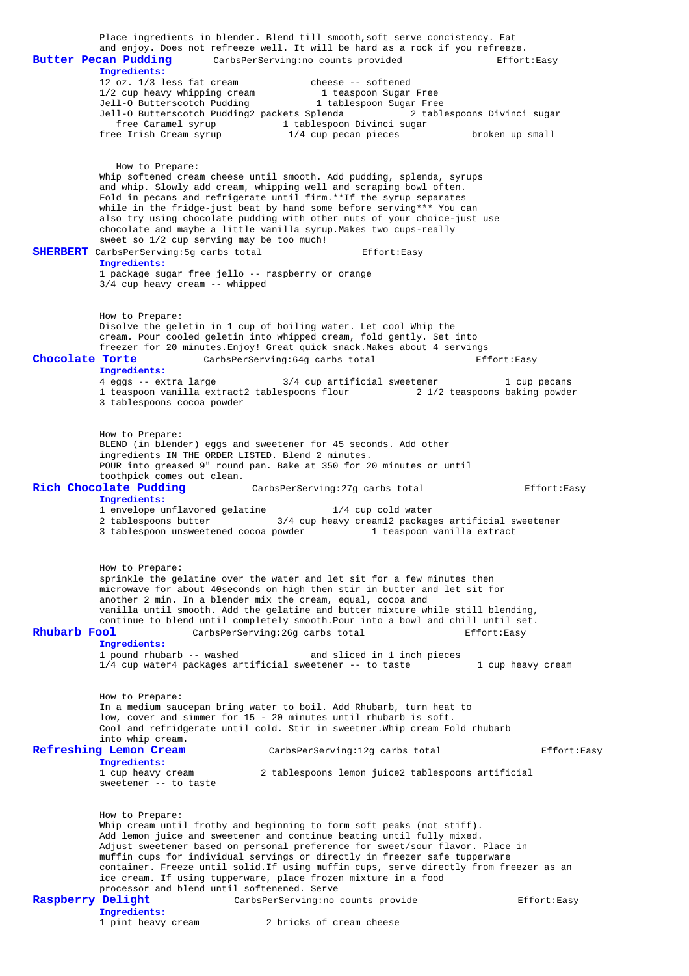Place ingredients in blender. Blend till smooth,soft serve concistency. Eat and enjoy. Does not refreeze well. It will be hard as a rock if you refreeze. **Butter Pecan Pudding** CarbsPerServing:no counts provided Effort:Easy  **Ingredients:**  12 oz. 1/3 less fat cream cheese -- softened 1/2 cup heavy whipping cream 1 teaspoon Sugar Free Jell-O Butterscotch Pudding 1 tablespoon Sugar Free Jell-O Butterscotch Pudding2 packets Splenda 2 tablespoons Divinci sugar free Caramel syrup 1 tablespoon Divinci sugar free Irish Cream syrup 1/4 cup pecan pieces broken up small How to Prepare: Whip softened cream cheese until smooth. Add pudding, splenda, syrups and whip. Slowly add cream, whipping well and scraping bowl often. Fold in pecans and refrigerate until firm.\*\*If the syrup separates while in the fridge-just beat by hand some before serving\*\*\* You can also try using chocolate pudding with other nuts of your choice-just use chocolate and maybe a little vanilla syrup.Makes two cups-really sweet so 1/2 cup serving may be too much! SHERBERT CarbsPerServing:5g carbs total Effort:Easy **Ingredients:**  1 package sugar free jello -- raspberry or orange 3/4 cup heavy cream -- whipped How to Prepare: Disolve the geletin in 1 cup of boiling water. Let cool Whip the cream. Pour cooled geletin into whipped cream, fold gently. Set into freezer for 20 minutes.Enjoy! Great quick snack.Makes about 4 servings **Chocolate Torte** CarbsPerServing: 64g carbs total Effort: Easy **Ingredients:**  4 eggs -- extra large 3/4 cup artificial sweetener 1 cup pecans<br>1 teaspoon vanilla extract2 tablespoons flour 2 1/2 teaspoons baking powder 1 teaspoon vanilla extract2 tablespoons flour 3 tablespoons cocoa powder How to Prepare: BLEND (in blender) eggs and sweetener for 45 seconds. Add other ingredients IN THE ORDER LISTED. Blend 2 minutes. POUR into greased 9" round pan. Bake at 350 for 20 minutes or until toothpick comes out clean.<br>Rich Chocolate Pudding CarbsPerServing:27g carbs total **Effort:Easy Ingredients:**  1 envelope unflavored gelatine 1/4 cup cold water 2 tablespoons butter 3/4 cup heavy cream12 packages artificial sweetener 3 tablespoon unsweetened cocoa powder 1 teaspoon vanilla extract How to Prepare: sprinkle the gelatine over the water and let sit for a few minutes then microwave for about 40seconds on high then stir in butter and let sit for another 2 min. In a blender mix the cream, equal, cocoa and vanilla until smooth. Add the gelatine and butter mixture while still blending, continue to blend until completely smooth.Pour into a bowl and chill until set.<br>
Rhubarb Fool CarbsPerServing:26g carbs total Effort:Easy CarbsPerServing:26g carbs total **Effort:Easy Ingredients:**  and sliced in 1 inch pieces 1/4 cup water4 packages artificial sweetener -- to taste 1 cup heavy cream How to Prepare: In a medium saucepan bring water to boil. Add Rhubarb, turn heat to low, cover and simmer for 15 - 20 minutes until rhubarb is soft. Cool and refridgerate until cold. Stir in sweetner.Whip cream Fold rhubarb into whip cream. **Refreshing Lemon Cream** CarbsPerServing:12g carbs total Effort:Easy  **Ingredients:**  1 cup heavy cream 2 tablespoons lemon juice2 tablespoons artificial sweetener -- to taste How to Prepare: Whip cream until frothy and beginning to form soft peaks (not stiff). Add lemon juice and sweetener and continue beating until fully mixed. Adjust sweetener based on personal preference for sweet/sour flavor. Place in muffin cups for individual servings or directly in freezer safe tupperware container. Freeze until solid.If using muffin cups, serve directly from freezer as an ice cream. If using tupperware, place frozen mixture in a food processor and blend until softenened. Serve **Raspberry Delight** CarbsPerServing:no counts provide Effort:Easy **Ingredients:**  2 bricks of cream cheese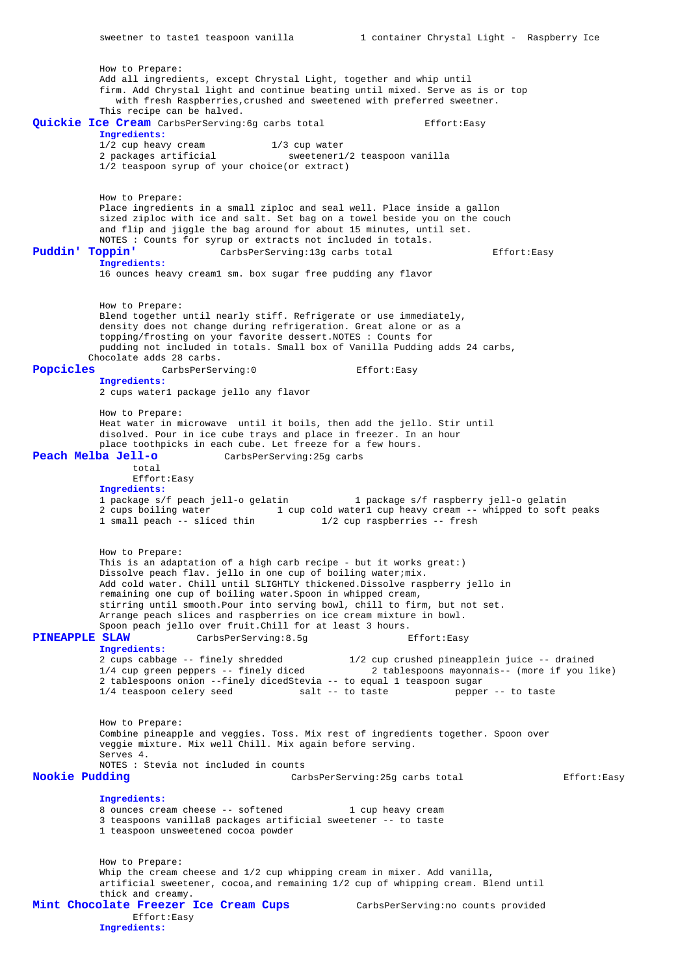How to Prepare: Add all ingredients, except Chrystal Light, together and whip until firm. Add Chrystal light and continue beating until mixed. Serve as is or top with fresh Raspberries, crushed and sweetened with preferred sweetner. This recipe can be halved. **Ouickie Ice Cream** CarbsPerServing:6g carbs total Fifort:Easy **Ingredients:**  1/2 cup heavy cream 1/3 cup water 2 packages artificial sweetener1/2 teaspoon vanilla 1/2 teaspoon syrup of your choice(or extract) How to Prepare: Place ingredients in a small ziploc and seal well. Place inside a gallon sized ziploc with ice and salt. Set bag on a towel beside you on the couch and flip and jiggle the bag around for about 15 minutes, until set. NOTES : Counts for syrup or extracts not included in totals. Puddin' Toppin' CarbsPerServing:13g carbs total Effort:Easy  **Ingredients:**  16 ounces heavy cream1 sm. box sugar free pudding any flavor How to Prepare: Blend together until nearly stiff. Refrigerate or use immediately, density does not change during refrigeration. Great alone or as a topping/frosting on your favorite dessert.NOTES : Counts for pudding not included in totals. Small box of Vanilla Pudding adds 24 carbs, Chocolate adds 28 carbs. **Popcicles** CarbsPerServing:0 Effort:Easy  **Ingredients:**  2 cups water1 package jello any flavor How to Prepare: Heat water in microwave until it boils, then add the jello. Stir until disolved. Pour in ice cube trays and place in freezer. In an hour place toothpicks in each cube. Let freeze for a few hours. **Peach Melba Jell-o** CarbsPerServing:25g carbs total Effort:Easy  **Ingredients:**  1 package s/f peach jell-o gelatin 1 package s/f raspberry jell-o gelatin 2 cups boiling water 1 cup cold water1 cup heavy cream -- whipped to soft peaks 1 small peach -- sliced thin 1/2 cup raspberries -- fresh How to Prepare: This is an adaptation of a high carb recipe - but it works great:) Dissolve peach flav. jello in one cup of boiling water;mix. Add cold water. Chill until SLIGHTLY thickened.Dissolve raspberry jello in remaining one cup of boiling water.Spoon in whipped cream, stirring until smooth.Pour into serving bowl, chill to firm, but not set. Arrange peach slices and raspberries on ice cream mixture in bowl. Spoon peach jello over fruit.Chill for at least 3 hours. **PINEAPPLE SLAW** CarbsPerServing:8.5g Effort:Easy  **Ingredients:**  2 cups cabbage -- finely shredded 1/2 cup crushed pineapplein juice -- drained 1/4 cup green peppers -- finely diced 2 tablespoons mayonnais-- (more if you like) 2 tablespoons onion --finely dicedStevia -- to equal 1 teaspoon sugar<br>1/4 teaspoon celery seed salt -- to taste 1/4 teaspoon celery seed salt -- to taste pepper -- to taste How to Prepare: Combine pineapple and veggies. Toss. Mix rest of ingredients together. Spoon over veggie mixture. Mix well Chill. Mix again before serving. Serves 4. NOTES : Stevia not included in counts **Nookie Pudding CarbsPerServing:25g carbs total Effort:Easy Ingredients:**  8 ounces cream cheese -- softened 1 cup heavy cream 3 teaspoons vanilla8 packages artificial sweetener -- to taste 1 teaspoon unsweetened cocoa powder How to Prepare: Whip the cream cheese and 1/2 cup whipping cream in mixer. Add vanilla, artificial sweetener, cocoa,and remaining 1/2 cup of whipping cream. Blend until thick and creamy. **Mint Chocolate Freezer Ice Cream Cups** CarbsPerServing:no counts provided Effort:Easy **Ingredients:**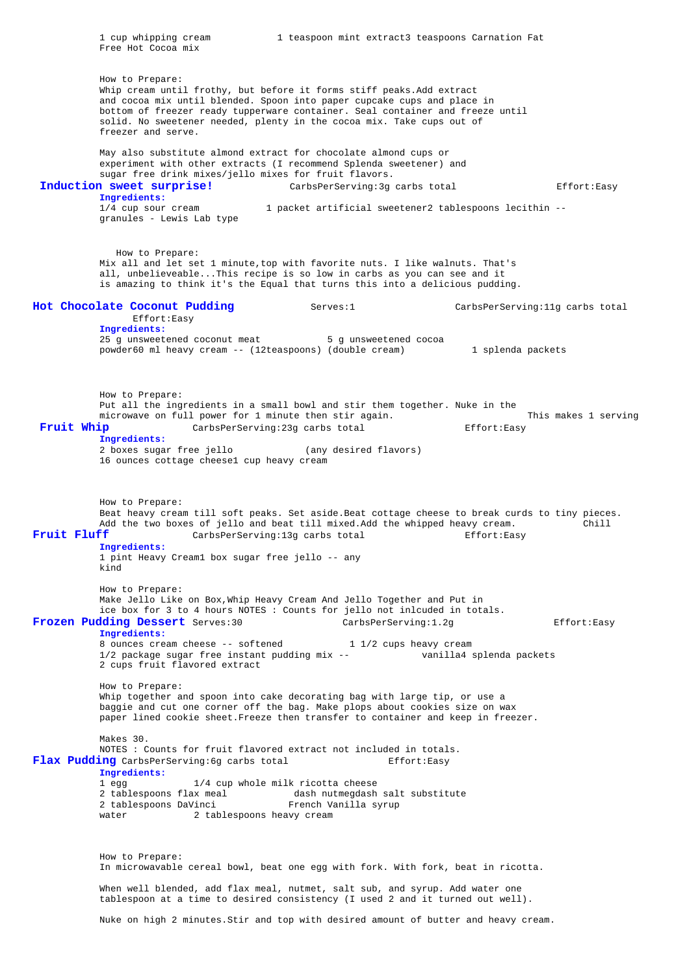1 cup whipping cream 1 teaspoon mint extract3 teaspoons Carnation Fat Free Hot Cocoa mix How to Prepare: Whip cream until frothy, but before it forms stiff peaks.Add extract and cocoa mix until blended. Spoon into paper cupcake cups and place in bottom of freezer ready tupperware container. Seal container and freeze until solid. No sweetener needed, plenty in the cocoa mix. Take cups out of freezer and serve. May also substitute almond extract for chocolate almond cups or experiment with other extracts (I recommend Splenda sweetener) and sugar free drink mixes/jello mixes for fruit flavors. **Induction sweet surprise!** CarbsPerServing:3g carbs total Effort:Easy **Ingredients:**  1 packet artificial sweetener2 tablespoons lecithin - granules - Lewis Lab type How to Prepare: Mix all and let set 1 minute,top with favorite nuts. I like walnuts. That's all, unbelieveable...This recipe is so low in carbs as you can see and it is amazing to think it's the Equal that turns this into a delicious pudding. **Hot Chocolate Coconut Pudding** Serves:1 Serves:1 CarbsPerServing:11g carbs total Effort:Easy  **Ingredients:**  25 g unsweetened coconut meat 5 g unsweetened cocoa powder60 ml heavy cream -- (12teaspoons) (double cream) 1 splenda packets How to Prepare: Put all the ingredients in a small bowl and stir them together. Nuke in the microwave on full power for 1 minute then stir again.<br> **Fruit Whip** CarbsPerServing:23g carbs total Effort:Easy CarbsPerServing:23g carbs total Effort:Easy  **Ingredients:**  2 boxes sugar free jello (any desired flavors) 16 ounces cottage cheese1 cup heavy cream How to Prepare: Beat heavy cream till soft peaks. Set aside.Beat cottage cheese to break curds to tiny pieces. Add the two boxes of jello and beat till mixed.Add the whipped heavy cream. Chill **Fruit Fluff** CarbsPerServing:13g carbs total Effort:Easy  **Ingredients:**  1 pint Heavy Cream1 box sugar free jello -- any kind How to Prepare: Make Jello Like on Box,Whip Heavy Cream And Jello Together and Put in ice box for 3 to 4 hours NOTES : Counts for jello not inlcuded in totals. **Frozen Pudding Dessert** Serves:30 CarbsPerServing:1.2g Effort:Easy  **Ingredients:**  8 ounces cream cheese -- softened<br>1/2 cups heavy cream<br>1/2 package sugar free instant pudding mix -- vanilla4 splenda packets  $1/2$  package sugar free instant pudding mix -- 2 cups fruit flavored extract How to Prepare: Whip together and spoon into cake decorating bag with large tip, or use a baggie and cut one corner off the bag. Make plops about cookies size on wax paper lined cookie sheet.Freeze then transfer to container and keep in freezer. Makes 30. NOTES : Counts for fruit flavored extract not included in totals. **Flax Pudding** CarbsPerServing:6g carbs total Effort:Easy  **Ingredients:**  1 egg 1/4 cup whole milk ricotta cheese 2 tablespoons flax meal dash nutmegdash salt substitute 2 tablespoons DaVinci French Vanilla syrup water 2 tablespoons heavy cream How to Prepare: In microwavable cereal bowl, beat one egg with fork. With fork, beat in ricotta. When well blended, add flax meal, nutmet, salt sub, and syrup. Add water one tablespoon at a time to desired consistency (I used 2 and it turned out well). Nuke on high 2 minutes.Stir and top with desired amount of butter and heavy cream.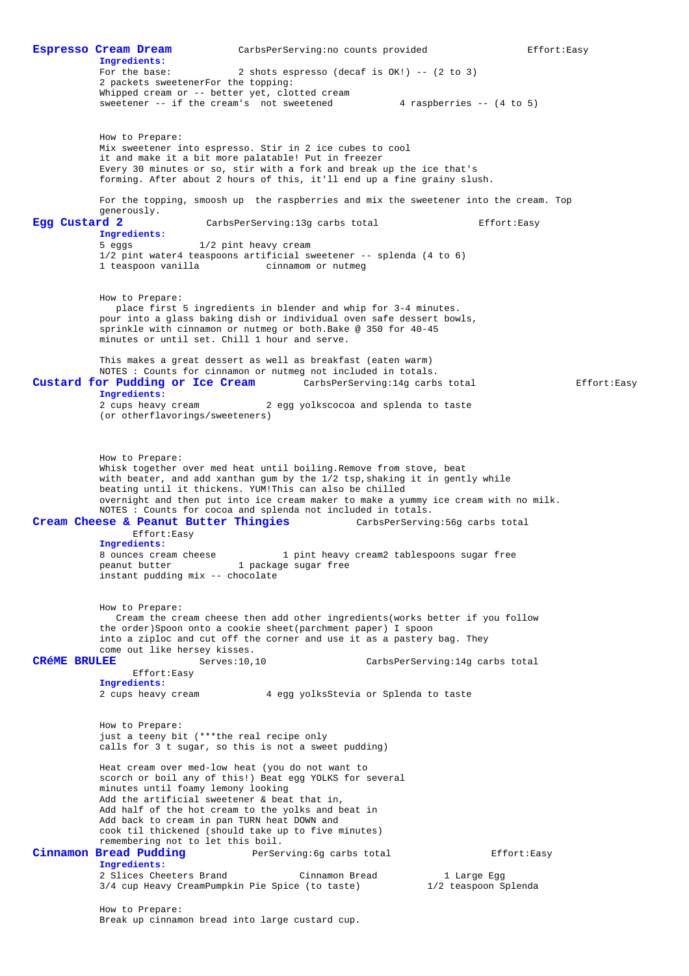**Espresso Cream Dream** CarbsPerServing:no counts provided Effort:Easy **Ingredients:**  2 shots espresso (decaf is  $OK!)$  -- (2 to 3) 2 packets sweetenerFor the topping: Whipped cream or -- better yet, clotted cream sweetener -- if the cream's not sweetened 4 raspberries -- (4 to 5) How to Prepare: Mix sweetener into espresso. Stir in 2 ice cubes to cool it and make it a bit more palatable! Put in freezer Every 30 minutes or so, stir with a fork and break up the ice that's forming. After about 2 hours of this, it'll end up a fine grainy slush. For the topping, smoosh up the raspberries and mix the sweetener into the cream. Top generously.<br>Egg Custard 2 CarbsPerServing:13g carbs total **Effort:Easy Ingredients:**  5 eggs 1/2 pint heavy cream 1/2 pint water4 teaspoons artificial sweetener -- splenda (4 to 6) 1 teaspoon vanilla cinnamom or nutmeg How to Prepare: place first 5 ingredients in blender and whip for 3-4 minutes. pour into a glass baking dish or individual oven safe dessert bowls, sprinkle with cinnamon or nutmeg or both.Bake @ 350 for 40-45 minutes or until set. Chill 1 hour and serve. This makes a great dessert as well as breakfast (eaten warm) NOTES : Counts for cinnamon or nutmeg not included in totals. Custard for Pudding or Ice Cream CarbsPerServing:14g carbs total Effort:Easy **Ingredients:**  2 cups heavy cream 2 egg yolkscocoa and splenda to taste (or otherflavorings/sweeteners) How to Prepare: Whisk together over med heat until boiling.Remove from stove, beat with beater, and add xanthan gum by the 1/2 tsp,shaking it in gently while beating until it thickens. YUM!This can also be chilled overnight and then put into ice cream maker to make a yummy ice cream with no milk. NOTES : Counts for cocoa and splenda not included in totals. **Cream Cheese & Peanut Butter Thingies** CarbsPerServing:56g carbs total Effort:Easy<br> **Ingredients: Ingredients:**  8 ounces cream cheese 1 pint heavy cream2 tablespoons sugar free peanut butter 1 package sugar free instant pudding mix -- chocolate How to Prepare: Cream the cream cheese then add other ingredients(works better if you follow the order)Spoon onto a cookie sheet(parchment paper) I spoon into a ziploc and cut off the corner and use it as a pastery bag. They come out like hersey kisses.<br>CREME BRULEE Serves:10, Serves:10,10 CarbsPerServing:14g carbs total Effort:Easy **Ingredients:**  2 cups heavy cream 4 egg yolksStevia or Splenda to taste How to Prepare: just a teeny bit (\*\*\*the real recipe only calls for 3 t sugar, so this is not a sweet pudding) Heat cream over med-low heat (you do not want to scorch or boil any of this!) Beat egg YOLKS for several minutes until foamy lemony looking Add the artificial sweetener & beat that in, Add half of the hot cream to the yolks and beat in Add back to cream in pan TURN heat DOWN and cook til thickened (should take up to five minutes) remembering not to let this boil. Cinnamon Bread Pudding **PerServing:6g carbs total** Effort:Easy **Ingredients:**  2 Slices Cheeters Brand Cinnamon Bread 1 Large Egg<br>3/4 cup Heavy CreamPumpkin Pie Spice (to taste) 1/2 teaspoon Splenda 3/4 cup Heavy CreamPumpkin Pie Spice (to taste) How to Prepare: Break up cinnamon bread into large custard cup.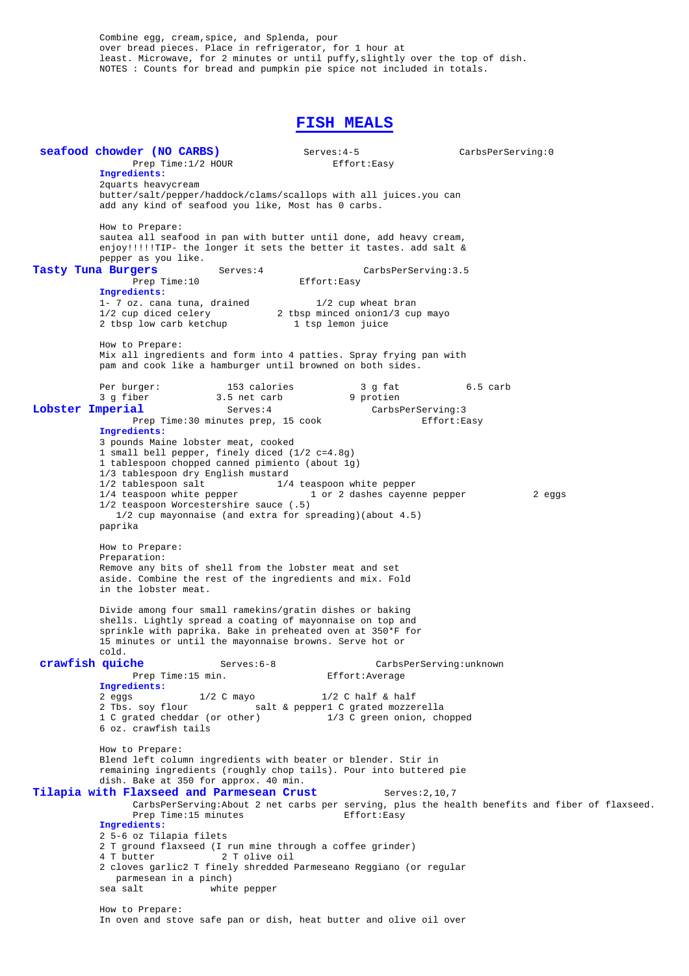Combine egg, cream,spice, and Splenda, pour over bread pieces. Place in refrigerator, for 1 hour at least. Microwave, for 2 minutes or until puffy,slightly over the top of dish. NOTES : Counts for bread and pumpkin pie spice not included in totals.

## **FISH MEALS**

**seafood chowder (NO CARBS)** Serves:4-5 CarbsPerServing:0 Prep Time: 1/2 HOUR Effort: Easy **Ingredients:**  2quarts heavycream butter/salt/pepper/haddock/clams/scallops with all juices.you can add any kind of seafood you like, Most has 0 carbs. How to Prepare: sautea all seafood in pan with butter until done, add heavy cream, enjoy!!!!!TIP- the longer it sets the better it tastes. add salt & pepper as you like. Tasty Tuna Burgers Serves: 4 CarbsPerServing: 3.5 Prep Time:10 Effort:Easy **Ingredients:**  1- 7 oz. cana tuna, drained  $1/2$  cup wheat bran  $1/2$  cup diced celery 2 tbsp minced onion1/3 cup 2 tbsp minced onion1/3 cup mayo 2 tbsp low carb ketchup 1 tsp lemon juice How to Prepare: Mix all ingredients and form into 4 patties. Spray frying pan with pam and cook like a hamburger until browned on both sides. Per burger: 153 calories 3 g fat 6.5 carb<br>3 g fiber 3.5 net carb 9 protien 3.5 net carb **Lobster Imperial** Serves:4 CarbsPerServing:3 Prep Time:30 minutes prep, 15 cook Fffort:Easy **Ingredients:**  3 pounds Maine lobster meat, cooked 1 small bell pepper, finely diced (1/2 c=4.8g) 1 tablespoon chopped canned pimiento (about 1g) 1/3 tablespoon dry English mustard<br>1/2 tablespoon salt 1/4 teaspoon white pepper 1/2 tablespoon salt 1/4 teaspoon white pepper 1/4 teaspoon white pepper 1 or 2 dashes cayenne pepper 2 eggs 1/2 teaspoon Worcestershire sauce (.5) 1/2 cup mayonnaise (and extra for spreading)(about 4.5) paprika How to Prepare: Preparation: Remove any bits of shell from the lobster meat and set aside. Combine the rest of the ingredients and mix. Fold in the lobster meat. Divide among four small ramekins/gratin dishes or baking shells. Lightly spread a coating of mayonnaise on top and sprinkle with paprika. Bake in preheated oven at 350\*F for 15 minutes or until the mayonnaise browns. Serve hot or cold. **crawfish quiche** Serves:6-8 CarbsPerServing:unknown<br>Prep Time:15 min. Effort:Average Prep Time:15 min. **Ingredients:**  2 eggs 1/2 C mayo 1/2 C half & half 2 Tbs. soy flour salt & pepper1 C grated mozzerella 1 C grated cheddar (or other) 1/3 C green onion, chopped 6 oz. crawfish tails How to Prepare: Blend left column ingredients with beater or blender. Stir in remaining ingredients (roughly chop tails). Pour into buttered pie dish. Bake at 350 for approx. 40 min. **Tilapia with Flaxseed and Parmesean Crust** Serves: 2, 10, 7 CarbsPerServing:About 2 net carbs per serving, plus the health benefits and fiber of flaxseed. Prep Time:15 minutes Effort:Easy **Ingredients:**  2 5-6 oz Tilapia filets 2 T ground flaxseed (I run mine through a coffee grinder)<br>4 T butter  $2$  T olive oil 2 T olive oil 2 cloves garlic2 T finely shredded Parmeseano Reggiano (or regular parmesean in a pinch) sea salt white pepper How to Prepare: In oven and stove safe pan or dish, heat butter and olive oil over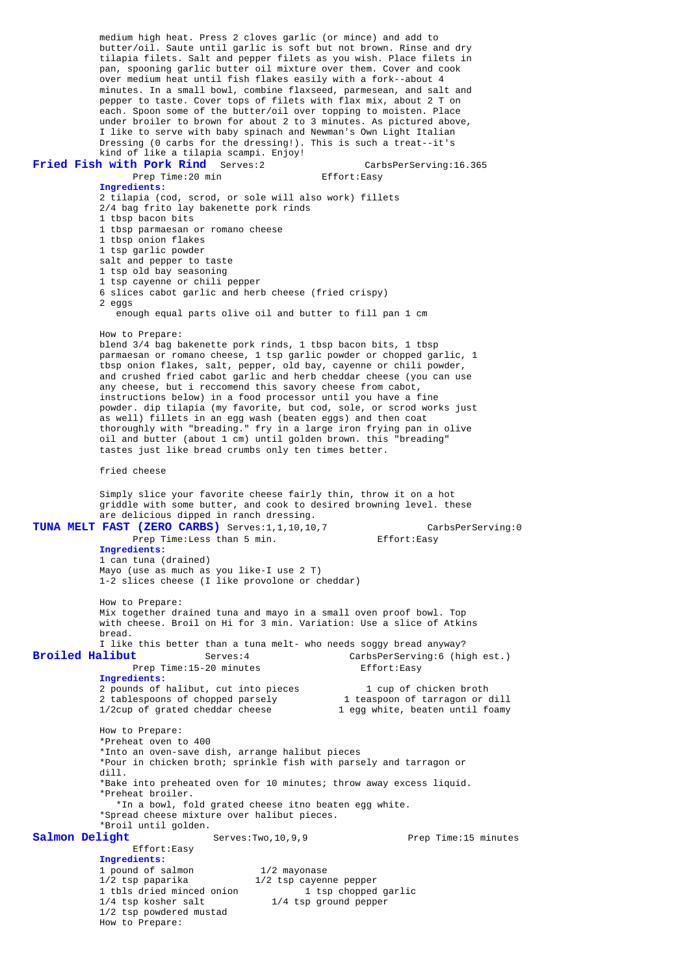```
 medium high heat. Press 2 cloves garlic (or mince) and add to 
            butter/oil. Saute until garlic is soft but not brown. Rinse and dry 
             tilapia filets. Salt and pepper filets as you wish. Place filets in 
            pan, spooning garlic butter oil mixture over them. Cover and cook 
             over medium heat until fish flakes easily with a fork--about 4 
            minutes. In a small bowl, combine flaxseed, parmesean, and salt and 
            pepper to taste. Cover tops of filets with flax mix, about 2 T on 
             each. Spoon some of the butter/oil over topping to moisten. Place 
            under broiler to brown for about 2 to 3 minutes. As pictured above, 
             I like to serve with baby spinach and Newman's Own Light Italian 
             Dressing (0 carbs for the dressing!). This is such a treat--it's 
            kind of like a tilapia scampi. Enjoy! 
Fried Fish with Pork Rind Serves:2 CarbsPerServing:16.365<br>Prep Time:20 min Effort:Easy
                 Prep Time: 20 min
            Ingredients: 
             2 tilapia (cod, scrod, or sole will also work) fillets 
             2/4 bag frito lay bakenette pork rinds 
             1 tbsp bacon bits 
             1 tbsp parmaesan or romano cheese 
            1 tbsp onion flakes 
            1 tsp garlic powder 
            salt and pepper to taste 
            1 tsp old bay seasoning 
            1 tsp cayenne or chili pepper 
             6 slices cabot garlic and herb cheese (fried crispy) 
             2 eggs 
               enough equal parts olive oil and butter to fill pan 1 cm 
            How to Prepare: 
            blend 3/4 bag bakenette pork rinds, 1 tbsp bacon bits, 1 tbsp 
            parmaesan or romano cheese, 1 tsp garlic powder or chopped garlic, 1 
             tbsp onion flakes, salt, pepper, old bay, cayenne or chili powder, 
             and crushed fried cabot garlic and herb cheddar cheese (you can use 
             any cheese, but i reccomend this savory cheese from cabot, 
             instructions below) in a food processor until you have a fine 
            powder. dip tilapia (my favorite, but cod, sole, or scrod works just 
             as well) fillets in an egg wash (beaten eggs) and then coat 
 thoroughly with "breading." fry in a large iron frying pan in olive 
 oil and butter (about 1 cm) until golden brown. this "breading" 
            tastes just like bread crumbs only ten times better. 
            fried cheese 
             Simply slice your favorite cheese fairly thin, throw it on a hot 
            griddle with some butter, and cook to desired browning level. these 
            are delicious dipped in ranch dressing. 
TUNA MELT FAST (ZERO CARBS) Serves:1,1,10,10,7 CarbsPerServing:0
                 Prep Time: Less than 5 min. The effort: Easy
             Ingredients: 
             1 can tuna (drained) 
            Mayo (use as much as you like-I use 2 T) 
            1-2 slices cheese (I like provolone or cheddar) 
            How to Prepare: 
            Mix together drained tuna and mayo in a small oven proof bowl. Top 
            with cheese. Broil on Hi for 3 min. Variation: Use a slice of Atkins 
            bread. 
            I like this better than a tuna melt- who needs soggy bread anyway? 
Broiled Halibut Serves:4 CarbsPerServing:6 (high est.)<br>
Prep Time:15-20 minutes Effort:Easy
           Prep Time:15-20 minutes<br>
Ingredients:
 Ingredients: 
2 pounds of halibut, cut into pieces 1 cup of chicken broth
 2 tablespoons of chopped parsely 1 teaspoon of tarragon or dill 
 1/2cup of grated cheddar cheese 1 egg white, beaten until foamy 
            How to Prepare: 
             *Preheat oven to 400 
             *Into an oven-save dish, arrange halibut pieces 
             *Pour in chicken broth; sprinkle fish with parsely and tarragon or 
            dill. 
             *Bake into preheated oven for 10 minutes; throw away excess liquid. 
             *Preheat broiler. 
               *In a bowl, fold grated cheese itno beaten egg white. 
             *Spread cheese mixture over halibut pieces. 
             *Broil until golden. 
Salmon Delight Serves: Two, 10, 9, 9 Prep Time: 15 minutes
                  Effort:Easy 
            Ingredients: 
1 pound of salmon 1/2 mayonase
 1/2 tsp paparika 1/2 tsp cayenne pepper 
            1 tbls dried minced onion<br>1/4 tsp chopped garlic<br>1/4 tsp kosher salt 1/4 tsp ground pepper
                                        1/4 tsp ground pepper
             1/2 tsp powdered mustad 
            How to Prepare:
```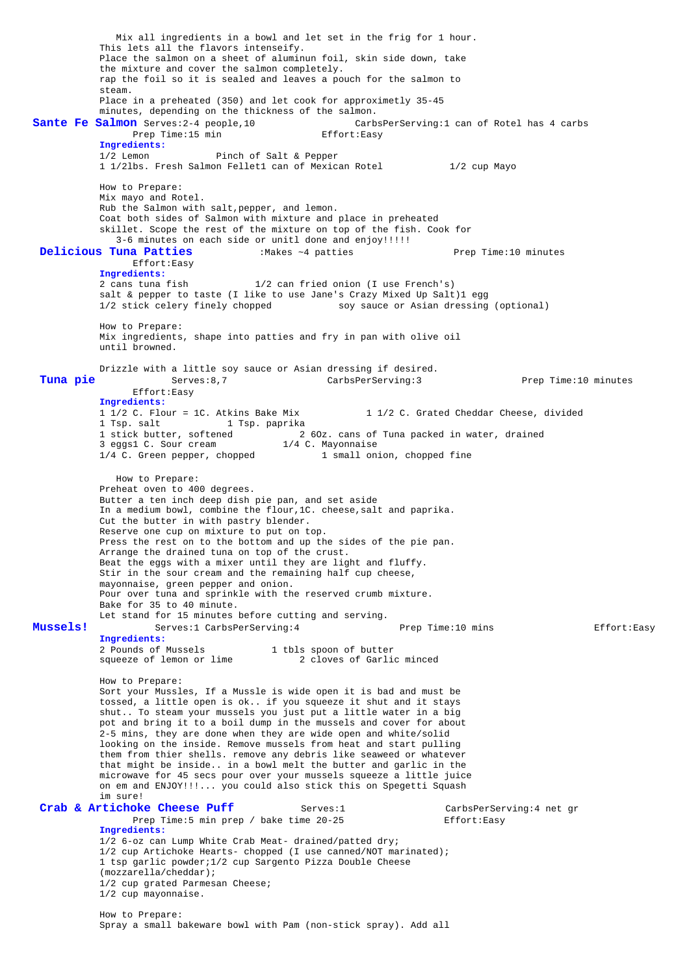Mix all ingredients in a bowl and let set in the frig for 1 hour. This lets all the flavors intenseify. Place the salmon on a sheet of aluminun foil, skin side down, take the mixture and cover the salmon completely. rap the foil so it is sealed and leaves a pouch for the salmon to steam. Place in a preheated (350) and let cook for approximetly 35-45 minutes, depending on the thickness of the salmon. **Sante Fe Salmon** Serves: 2-4 people, 10 CarbsPerServing: 1 can of Rotel has 4 carbs Prep Time:15 min  **Ingredients:**  1/2 Lemon Pinch of Salt & Pepper 1 1/2lbs. Fresh Salmon Fellet1 can of Mexican Rotel 1/2 cup Mayo How to Prepare: Mix mayo and Rotel. Rub the Salmon with salt,pepper, and lemon. Coat both sides of Salmon with mixture and place in preheated skillet. Scope the rest of the mixture on top of the fish. Cook for 3-6 minutes on each side or unitl done and enjoy!!!!! **Delicious Tuna Patties** :Makes ~4 patties Prep Time:10 minutes Effort:Easy **Ingredients:**  2 cans tuna fish 1/2 can fried onion (I use French's) salt & pepper to taste (I like to use Jane's Crazy Mixed Up Salt)1 egg 1/2 stick celery finely chopped soy sauce or Asian dressing soy sauce or Asian dressing (optional) How to Prepare: Mix ingredients, shape into patties and fry in pan with olive oil until browned. Drizzle with a little soy sauce or Asian dressing if desired. **Tuna pie** Serves:8,7 CarbsPerServing:3 Prep Time:10 minutes Effort:Easy **Ingredients:**  1 1/2 C. Flour = 1C. Atkins Bake Mix 1 1/2 C. Grated Cheddar Cheese, divided 1 Tsp. salt 1 Tsp. paprika 1 stick butter, softened 2 6Oz. cans of Tuna packed in water, drained 3 eggs1 C. Sour cream 1/4 C. Mayonnaise 1/4 C. Green pepper, chopped 1 small onion, chopped fine How to Prepare: Preheat oven to 400 degrees. Butter a ten inch deep dish pie pan, and set aside In a medium bowl, combine the flour,1C. cheese,salt and paprika. Cut the butter in with pastry blender. Reserve one cup on mixture to put on top. Press the rest on to the bottom and up the sides of the pie pan. Arrange the drained tuna on top of the crust. Beat the eggs with a mixer until they are light and fluffy. Stir in the sour cream and the remaining half cup cheese, mayonnaise, green pepper and onion. Pour over tuna and sprinkle with the reserved crumb mixture. Bake for 35 to 40 minute. Let stand for 15 minutes before cutting and serving. **Mussels!** Serves:1 CarbsPerServing:4 Prep Time:10 mins Effort:Easy<br> **Ingredients: Ingredients:**  2 Pounds of Mussels 1 tbls spoon of butter squeeze of lemon or lime 2 cloves of Garlic minced How to Prepare: Sort your Mussles, If a Mussle is wide open it is bad and must be tossed, a little open is ok.. if you squeeze it shut and it stays shut.. To steam your mussels you just put a little water in a big pot and bring it to a boil dump in the mussels and cover for about 2-5 mins, they are done when they are wide open and white/solid looking on the inside. Remove mussels from heat and start pulling them from thier shells. remove any debris like seaweed or whatever that might be inside.. in a bowl melt the butter and garlic in the microwave for 45 secs pour over your mussels squeeze a little juice on em and ENJOY!!!... you could also stick this on Spegetti Squash im sure! **Crab & Artichoke Cheese Puff** Serves:1 CarbsPerServing:4 net gr<br>Prep Time:5 min prep / bake time 20-25 Effort:Easy Prep Time:5 min prep / bake time  $20-25$  **Ingredients:**  1/2 6-oz can Lump White Crab Meat- drained/patted dry; 1/2 cup Artichoke Hearts- chopped (I use canned/NOT marinated); 1 tsp garlic powder;1/2 cup Sargento Pizza Double Cheese (mozzarella/cheddar); 1/2 cup grated Parmesan Cheese; 1/2 cup mayonnaise. How to Prepare: Spray a small bakeware bowl with Pam (non-stick spray). Add all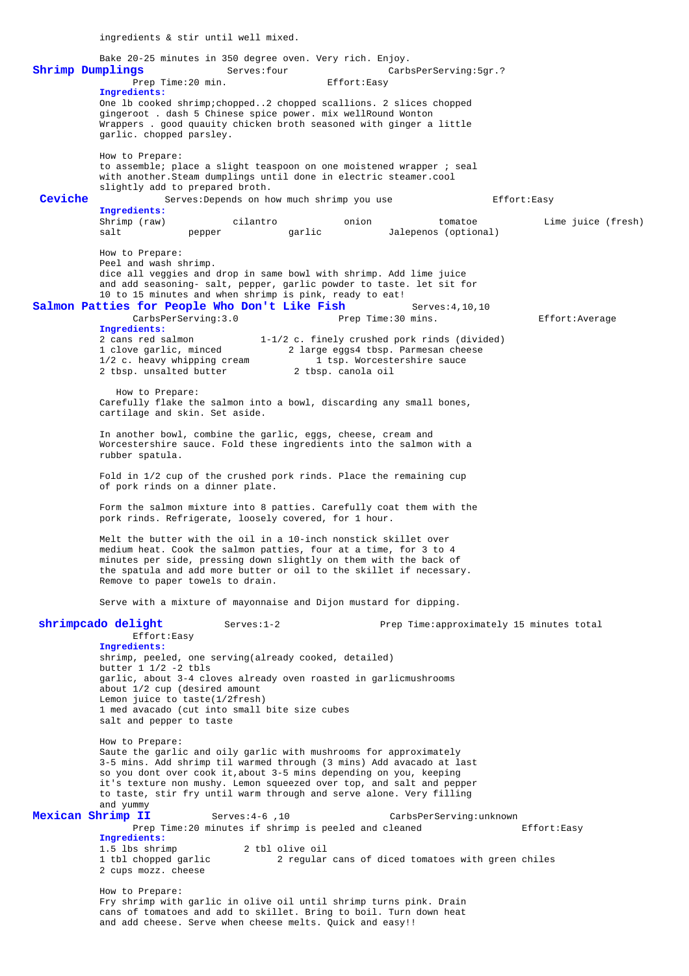ingredients & stir until well mixed.

 Bake 20-25 minutes in 350 degree oven. Very rich. Enjoy. **Shrimp Dumplings** Serves:four CarbsPerServing:5gr.?<br>Prep Time:20 min. Effort:Easy Effort:Reserving:5gr.? Prep Time: 20 min. **Ingredients:**  One lb cooked shrimp;chopped..2 chopped scallions. 2 slices chopped gingeroot . dash 5 Chinese spice power. mix wellRound Wonton Wrappers . good quauity chicken broth seasoned with ginger a little garlic. chopped parsley. How to Prepare: to assemble; place a slight teaspoon on one moistened wrapper ; seal with another.Steam dumplings until done in electric steamer.cool slightly add to prepared broth. **Ceviche** Serves:Depends on how much shrimp you use Effort:Easy **Ingredients:**  cilantro onion tomatoe Lime juice (fresh)<br>pepper garlic Jalepenos (optional) salt pepper garlic Jalepenos (optional) How to Prepare: Peel and wash shrimp. dice all veggies and drop in same bowl with shrimp. Add lime juice and add seasoning- salt, pepper, garlic powder to taste. let sit for 10 to 15 minutes and when shrimp is pink, ready to eat! **Salmon Patties for People Who Don't Like Fish** Serves:4,10,10<br>CarbsPerServing:3.0 Prep Time:30 mins. CarbsPerServing:3.0 Prep Time:30 mins. Effort:Average Ingredients: **Ingredients:**  2 cans red salmon 1-1/2 c. finely crushed pork rinds (divided) 1 clove garlic, minced 2 large eggs4 tbsp. Parmesan cheese 1/2 c. heavy whipping cream 1 tsp. Worcestershire sauce 2 tbsp. unsalted butter 2 tbsp. canola oil How to Prepare: Carefully flake the salmon into a bowl, discarding any small bones, cartilage and skin. Set aside. In another bowl, combine the garlic, eggs, cheese, cream and Worcestershire sauce. Fold these ingredients into the salmon with a rubber spatula. Fold in 1/2 cup of the crushed pork rinds. Place the remaining cup of pork rinds on a dinner plate. Form the salmon mixture into 8 patties. Carefully coat them with the pork rinds. Refrigerate, loosely covered, for 1 hour. Melt the butter with the oil in a 10-inch nonstick skillet over medium heat. Cook the salmon patties, four at a time, for 3 to 4 minutes per side, pressing down slightly on them with the back of the spatula and add more butter or oil to the skillet if necessary. Remove to paper towels to drain. Serve with a mixture of mayonnaise and Dijon mustard for dipping. **shrimpcado delight** Serves:1-2 Prep Time:approximately 15 minutes total Effort:Easy **Ingredients:**  shrimp, peeled, one serving(already cooked, detailed) butter  $1/2$  -2 tbls garlic, about 3-4 cloves already oven roasted in garlicmushrooms about 1/2 cup (desired amount Lemon juice to taste(1/2fresh) 1 med avacado (cut into small bite size cubes salt and pepper to taste How to Prepare: Saute the garlic and oily garlic with mushrooms for approximately 3-5 mins. Add shrimp til warmed through (3 mins) Add avacado at last so you dont over cook it,about 3-5 mins depending on you, keeping it's texture non mushy. Lemon squeezed over top, and salt and pepper to taste, stir fry until warm through and serve alone. Very filling and yummy **Mexican Shrimp II** Serves:4-6 ,10 CarbsPerServing:unknown Prep Time:20 minutes if shrimp is peeled and cleaned exact effort:Easy  **Ingredients:**  2 tbl olive oil 1 tbl chopped garlic 2 regular cans of diced tomatoes with green chiles 2 cups mozz. cheese How to Prepare: Fry shrimp with garlic in olive oil until shrimp turns pink. Drain cans of tomatoes and add to skillet. Bring to boil. Turn down heat and add cheese. Serve when cheese melts. Quick and easy!!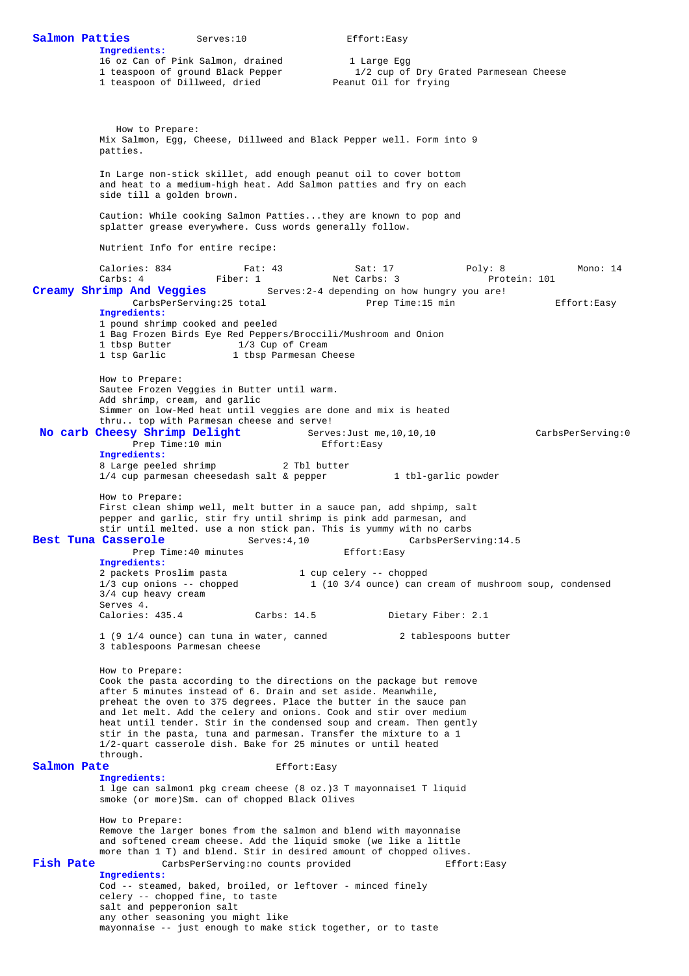**Salmon Patties** Serves:10 **Effort:Easy Ingredients:**  16 oz Can of Pink Salmon, drained 1 Large Egg<br>1 teaspoon of ground Black Pepper 1/2 cup of Dry Grated Parmesean Cheese 1 teaspoon of ground Black Pepper 1/2 cup of Dry Grated Parmesean Cheese 1 teaspoon of Dillweed, dried Peanut Oil for frying How to Prepare: Mix Salmon, Egg, Cheese, Dillweed and Black Pepper well. Form into 9 patties. In Large non-stick skillet, add enough peanut oil to cover bottom and heat to a medium-high heat. Add Salmon patties and fry on each side till a golden brown. Caution: While cooking Salmon Patties...they are known to pop and splatter grease everywhere. Cuss words generally follow. Nutrient Info for entire recipe: Calories: 834 Fat: 43 Sat: 17 Poly: 8 Mono: 14 Carbs: 4 Fiber: 1 Net Carbs: 3 Protein: 101 Creamy Shrimp And Veggies Serves: 2-4 depending on how hungry you are! CarbsPerServing:25 total Prep Time:15 min Effort:Easy **Ingredients:**  1 pound shrimp cooked and peeled 1 Bag Frozen Birds Eye Red Peppers/Broccili/Mushroom and Onion 1 tbsp Butter 1/3 Cup of Cream 1 tsp Garlic 1 tbsp Parmesan Cheese How to Prepare: Sautee Frozen Veggies in Butter until warm. Add shrimp, cream, and garlic Simmer on low-Med heat until veggies are done and mix is heated thru.. top with Parmesan cheese and serve! **No carb Cheesy Shrimp Delight** Serves: Just me, 10, 10, 10 CarbsPerServing: 0 Prep Time:10 min Effort:Easy<br> **Ingredients: Ingredients:**  8 Large peeled shrimp 12 Tbl butter 1/4 cup parmesan cheesedash salt & pepper 1 tbl-garlic powder How to Prepare: First clean shimp well, melt butter in a sauce pan, add shpimp, salt pepper and garlic, stir fry until shrimp is pink add parmesan, and stir until melted. use a non stick pan. This is yummy with no carbs **Best Tuna Casserole** Serves: 4,10 CarbsPerServing: 14.5 Prep Time:40 minutes Effort:Easy  **Ingredients:**  2 packets Proslim pasta 1 cup celery -- chopped 1/3 cup onions -- chopped 1 (10 3/4 ounce) can cream of mushroom soup, condensed 3/4 cup heavy cream Serves 4.<br>Calories: 435.4 Carbs: 14.5 Dietary Fiber: 2.1 1 (9 1/4 ounce) can tuna in water, canned 2 tablespoons butter 3 tablespoons Parmesan cheese How to Prepare: Cook the pasta according to the directions on the package but remove after 5 minutes instead of 6. Drain and set aside. Meanwhile, preheat the oven to 375 degrees. Place the butter in the sauce pan and let melt. Add the celery and onions. Cook and stir over medium heat until tender. Stir in the condensed soup and cream. Then gently stir in the pasta, tuna and parmesan. Transfer the mixture to a 1 1/2-quart casserole dish. Bake for 25 minutes or until heated through. Salmon Pate **Example 2018** Effort: Easy **Ingredients:**  1 lge can salmon1 pkg cream cheese (8 oz.)3 T mayonnaise1 T liquid smoke (or more)Sm. can of chopped Black Olives How to Prepare: Remove the larger bones from the salmon and blend with mayonnaise and softened cream cheese. Add the liquid smoke (we like a little more than 1 T) and blend. Stir in desired amount of chopped olives.<br>Fish Pate CarbsPerServing:no counts provided Effor CarbsPerServing:no counts provided extended Effort:Easy **Ingredients:**  Cod -- steamed, baked, broiled, or leftover - minced finely celery -- chopped fine, to taste salt and pepperonion salt any other seasoning you might like mayonnaise -- just enough to make stick together, or to taste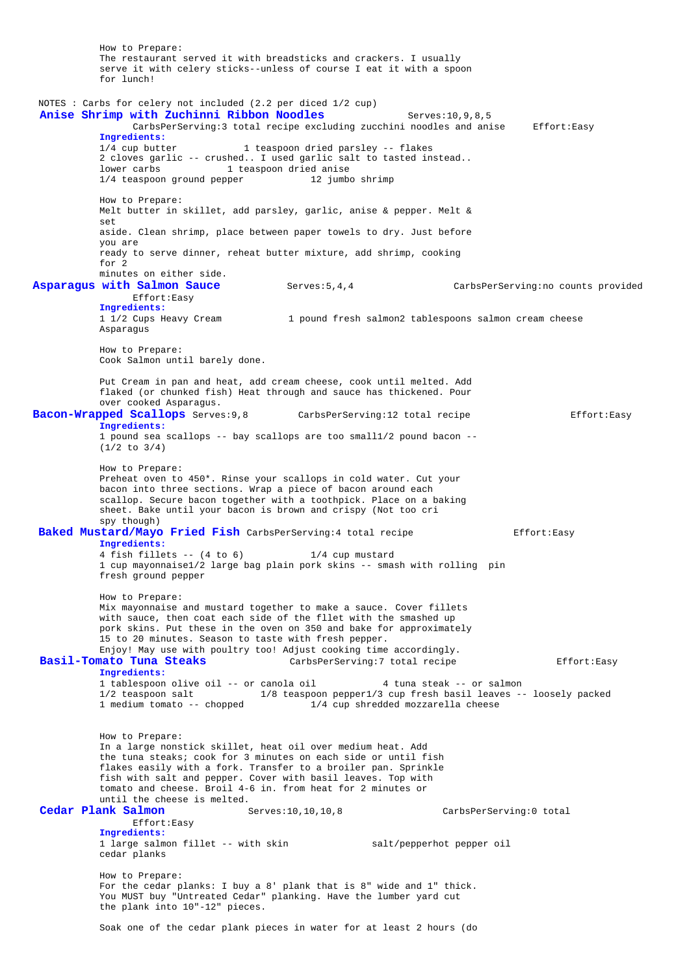How to Prepare: The restaurant served it with breadsticks and crackers. I usually serve it with celery sticks--unless of course I eat it with a spoon for lunch! NOTES : Carbs for celery not included (2.2 per diced 1/2 cup) NOTES : Carbs for celery not included (2.2 per diced 1/2 cup)<br>**Anise Shrimp with Zuchinni Ribbon Noodles** Serves:10,9,8,5 CarbsPerServing:3 total recipe excluding zucchini noodles and anise Effort:Easy **Ingredients:**  1/4 cup butter 1 teaspoon dried parsley -- flakes 2 cloves garlic -- crushed.. I used garlic salt to tasted instead.. lower carbs 1 teaspoon dried anise<br>1/4 teaspoon ground pepper 12 jumbo shrimp 1/4 teaspoon ground pepper How to Prepare: Melt butter in skillet, add parsley, garlic, anise & pepper. Melt & set aside. Clean shrimp, place between paper towels to dry. Just before you are ready to serve dinner, reheat butter mixture, add shrimp, cooking for 2 minutes on either side. Asparagus with Salmon Sauce Serves: 5, 4, 4 CarbsPerServing: no counts provided Effort:Easy **Ingredients:**  1 1/2 Cups Heavy Cream 1 pound fresh salmon2 tablespoons salmon cream cheese Asparagus How to Prepare: Cook Salmon until barely done. Put Cream in pan and heat, add cream cheese, cook until melted. Add flaked (or chunked fish) Heat through and sauce has thickened. Pour over cooked Asparagus. **Bacon-Wrapped Scallops** Serves: 9,8 CarbsPerServing: 12 total recipe Effort: Easy  **Ingredients:**  1 pound sea scallops -- bay scallops are too small1/2 pound bacon -- (1/2 to 3/4) How to Prepare: Preheat oven to 450\*. Rinse your scallops in cold water. Cut your bacon into three sections. Wrap a piece of bacon around each scallop. Secure bacon together with a toothpick. Place on a baking sheet. Bake until your bacon is brown and crispy (Not too cri spy though) **Baked Mustard/Mayo Fried Fish** CarbsPerServing:4 total recipe Effort:Easy  **Ingredients:**   $4$  fish fillets  $- - (4$  to 6)  $1/4$  cup mustard 1 cup mayonnaise1/2 large bag plain pork skins -- smash with rolling pin fresh ground pepper How to Prepare: Mix mayonnaise and mustard together to make a sauce. Cover fillets with sauce, then coat each side of the fllet with the smashed up pork skins. Put these in the oven on 350 and bake for approximately 15 to 20 minutes. Season to taste with fresh pepper. Enjoy! May use with poultry too! Adjust cooking time accordingly. **Basil-Tomato Tuna Steaks** CarbsPerServing:7 total recipe Effort:Easy  **Ingredients:**  1 tablespoon olive oil -- or canola oil 4 tuna steak -- or salmon 1/2 teaspoon salt 1/8 teaspoon pepper1/3 cup fresh basil leaves -- loosely packed 1 medium tomato -- chopped 1/4 cup shredded mozzarella cheese How to Prepare: In a large nonstick skillet, heat oil over medium heat. Add the tuna steaks; cook for 3 minutes on each side or until fish flakes easily with a fork. Transfer to a broiler pan. Sprinkle fish with salt and pepper. Cover with basil leaves. Top with tomato and cheese. Broil 4-6 in. from heat for 2 minutes or until the cheese is melted. **Cedar Plank Salmon** Serves:10,10,10,8 CarbsPerServing:0 total Effort:Easy **Ingredients:**  1 large salmon fillet -- with skin salt/pepperhot pepper oil cedar planks How to Prepare: For the cedar planks: I buy a 8' plank that is 8" wide and 1" thick. You MUST buy "Untreated Cedar" planking. Have the lumber yard cut the plank into 10"-12" pieces. Soak one of the cedar plank pieces in water for at least 2 hours (do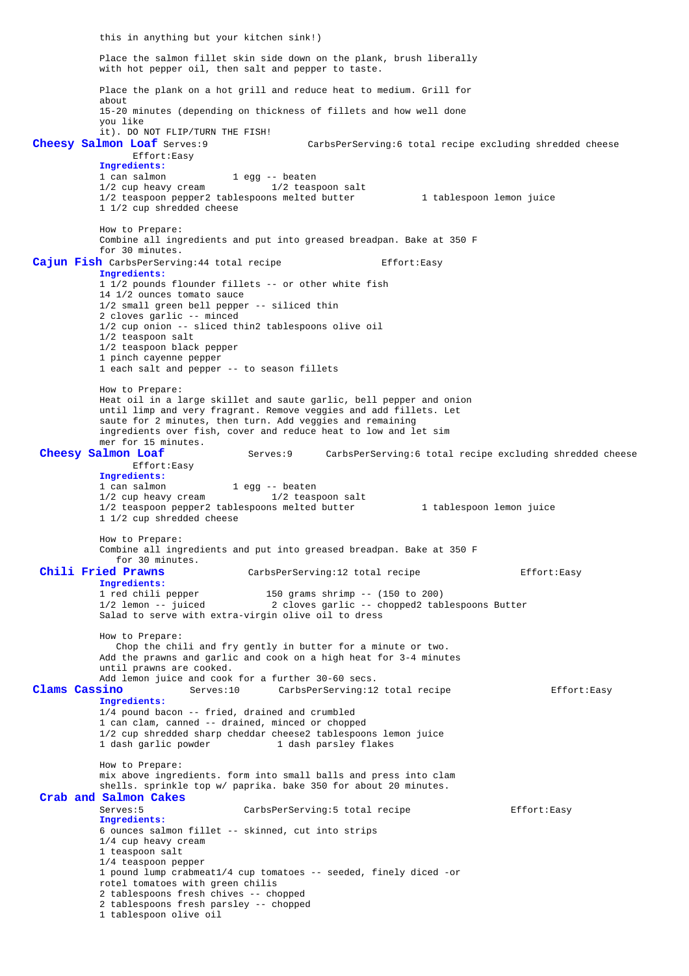this in anything but your kitchen sink!) Place the salmon fillet skin side down on the plank, brush liberally with hot pepper oil, then salt and pepper to taste. Place the plank on a hot grill and reduce heat to medium. Grill for about 15-20 minutes (depending on thickness of fillets and how well done you like it). DO NOT FLIP/TURN THE FISH! **Cheesy Salmon Loaf** Serves: 9 CarbsPerServing:6 total recipe excluding shredded cheese Effort:Easy  **Ingredients:**  1 can salmon 1 egg -- beaten 1/2 cup heavy cream 1/2 teaspoon salt 1/2 teaspoon pepper2 tablespoons melted butter 1 tablespoon lemon juice 1 1/2 cup shredded cheese How to Prepare: Combine all ingredients and put into greased breadpan. Bake at 350 F for 30 minutes. **Cajun Fish** CarbsPerServing:44 total recipe Effort:Easy  **Ingredients:**  1 1/2 pounds flounder fillets -- or other white fish 14 1/2 ounces tomato sauce 1/2 small green bell pepper -- siliced thin 2 cloves garlic -- minced 1/2 cup onion -- sliced thin2 tablespoons olive oil 1/2 teaspoon salt 1/2 teaspoon black pepper 1 pinch cayenne pepper 1 each salt and pepper -- to season fillets How to Prepare: Heat oil in a large skillet and saute garlic, bell pepper and onion until limp and very fragrant. Remove veggies and add fillets. Let saute for 2 minutes, then turn. Add veggies and remaining ingredients over fish, cover and reduce heat to low and let sim mer for 15 minutes.<br>Cheesy Salmon Loaf Serves:9 CarbsPerServing:6 total recipe excluding shredded cheese Effort:Easy **Ingredients:**  1 can salmon 1 egg -- beaten 1/2 cup heavy cream 1/2 teaspoon salt 1/2 teaspoon pepper2 tablespoons melted butter 1 tablespoon lemon juice 1 1/2 cup shredded cheese How to Prepare: Combine all ingredients and put into greased breadpan. Bake at 350 F for 30 minutes.<br>Chili Fried Prawns CarbsPerServing:12 total recipe **Effort:Easy Ingredients:**  150 grams shrimp  $- -$  (150 to 200) 2 cloves garlic -- chopped2 tablespoons Butter Salad to serve with extra-virgin olive oil to dress How to Prepare: Chop the chili and fry gently in butter for a minute or two. Add the prawns and garlic and cook on a high heat for 3-4 minutes until prawns are cooked. Add lemon juice and cook for a further 30-60 secs. **Clams Cassino** Serves:10 CarbsPerServing:12 total recipe **Effort:Easy Ingredients:**  1/4 pound bacon -- fried, drained and crumbled 1 can clam, canned -- drained, minced or chopped 1/2 cup shredded sharp cheddar cheese2 tablespoons lemon juice 1 dash garlic powder 1 dash parsley flakes How to Prepare: mix above ingredients. form into small balls and press into clam shells. sprinkle top w/ paprika. bake 350 for about 20 minutes. **Crab and Salmon Cakes** CarbsPerServing:5 total recipe Effort:Easy **Ingredients:**  6 ounces salmon fillet -- skinned, cut into strips 1/4 cup heavy cream 1 teaspoon salt 1/4 teaspoon pepper 1 pound lump crabmeat1/4 cup tomatoes -- seeded, finely diced -or rotel tomatoes with green chilis 2 tablespoons fresh chives -- chopped 2 tablespoons fresh parsley -- chopped 1 tablespoon olive oil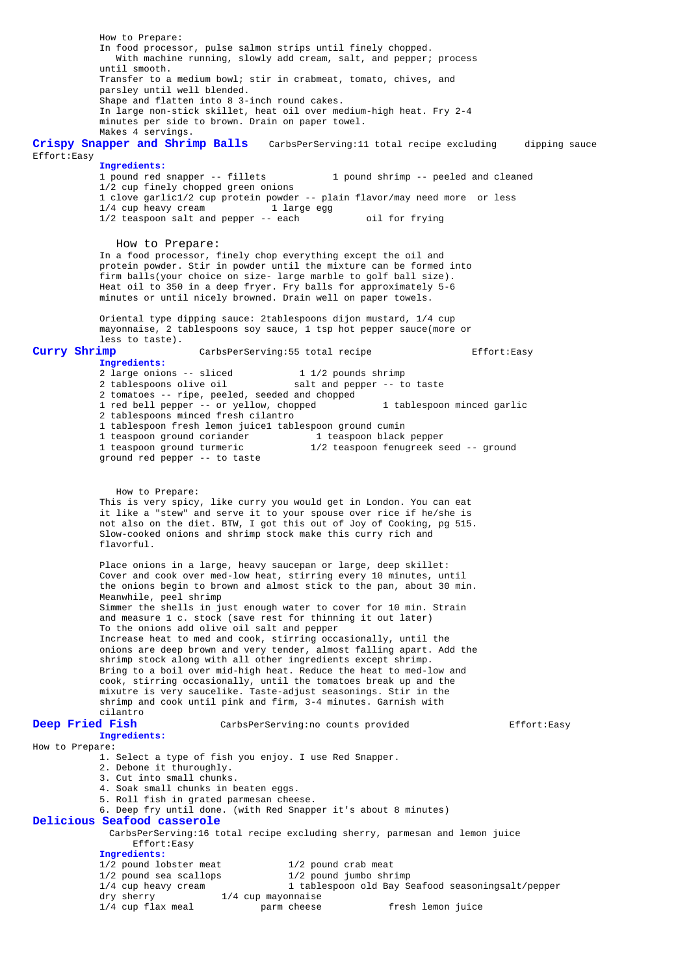How to Prepare: In food processor, pulse salmon strips until finely chopped. With machine running, slowly add cream, salt, and pepper; process until smooth. Transfer to a medium bowl; stir in crabmeat, tomato, chives, and parsley until well blended. Shape and flatten into 8 3-inch round cakes. In large non-stick skillet, heat oil over medium-high heat. Fry 2-4 minutes per side to brown. Drain on paper towel. Makes 4 servings. **Crispy Snapper and Shrimp Balls** CarbsPerServing:11 total recipe excluding dipping sauce Effort:Easy  **Ingredients:**  1 pound red snapper -- fillets 1 pound shrimp -- peeled and cleaned 1/2 cup finely chopped green onions 1 clove garlic1/2 cup protein powder -- plain flavor/may need more or less 1/4 cup heavy cream 1 large eqq eavenue of the read of the read of the read of the read of the read of the read of the read of the read of the read of the read of the read of the read of the read of the read of the read of the read of the read of the rea 1/2 teaspoon salt and pepper -- each oil for frying How to Prepare: In a food processor, finely chop everything except the oil and protein powder. Stir in powder until the mixture can be formed into firm balls(your choice on size- large marble to golf ball size). Heat oil to 350 in a deep fryer. Fry balls for approximately 5-6 minutes or until nicely browned. Drain well on paper towels. Oriental type dipping sauce: 2tablespoons dijon mustard, 1/4 cup mayonnaise, 2 tablespoons soy sauce, 1 tsp hot pepper sauce(more or less to taste). **Curry Shrimp** CarbsPerServing:55 total recipe Effort:Easy  **Ingredients:**  2 large onions -- sliced 1 1/2 pounds shrimp 2 tablespoons olive oil salt and pepper -- to taste 2 tomatoes -- ripe, peeled, seeded and chopped 1 red bell pepper -- or yellow, chopped 1 tablespoon minced garlic 2 tablespoons minced fresh cilantro 1 tablespoon fresh lemon juice1 tablespoon ground cumin 1 teaspoon ground coriander 1 teaspoon black pepper 1 teaspoon ground turmeric 1/2 teaspoon fenugreek seed -- ground ground red pepper -- to taste How to Prepare: This is very spicy, like curry you would get in London. You can eat it like a "stew" and serve it to your spouse over rice if he/she is not also on the diet. BTW, I got this out of Joy of Cooking, pg 515. Slow-cooked onions and shrimp stock make this curry rich and flavorful. Place onions in a large, heavy saucepan or large, deep skillet: Cover and cook over med-low heat, stirring every 10 minutes, until the onions begin to brown and almost stick to the pan, about 30 min. Meanwhile, peel shrimp Simmer the shells in just enough water to cover for 10 min. Strain and measure 1 c. stock (save rest for thinning it out later) To the onions add olive oil salt and pepper Increase heat to med and cook, stirring occasionally, until the onions are deep brown and very tender, almost falling apart. Add the shrimp stock along with all other ingredients except shrimp. Bring to a boil over mid-high heat. Reduce the heat to med-low and cook, stirring occasionally, until the tomatoes break up and the mixutre is very saucelike. Taste-adjust seasonings. Stir in the shrimp and cook until pink and firm, 3-4 minutes. Garnish with cilantro **Deep Fried Fish** CarbsPerServing:no counts provided Effort:Easy **Ingredients:**  How to Prepare: 1. Select a type of fish you enjoy. I use Red Snapper. 2. Debone it thuroughly. 3. Cut into small chunks. 4. Soak small chunks in beaten eggs. 5. Roll fish in grated parmesan cheese. 6. Deep fry until done. (with Red Snapper it's about 8 minutes) **Delicious Seafood casserole**  CarbsPerServing:16 total recipe excluding sherry, parmesan and lemon juice Effort:Easy **Ingredients:**  1/2 pound lobster meat 1/2 pound crab meat 1/2 pound sea scallops 1/2 pound jumbo shrimp 1/2 pound jumbo shrimp<br>1/2 pound jumbo shrimp<br>1 tablespoon old Bay Seafood seasoningsalt/pepper dry sherry 1/4 cup mayonnaise 1/4 cup flax meal parm cheese fresh lemon juice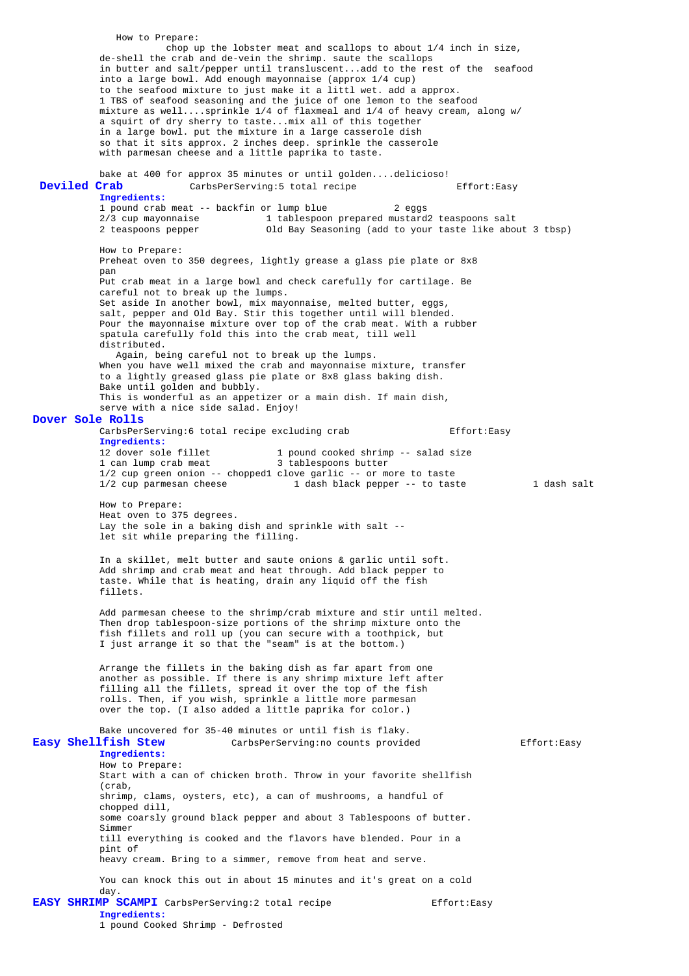How to Prepare: chop up the lobster meat and scallops to about 1/4 inch in size, de-shell the crab and de-vein the shrimp. saute the scallops in butter and salt/pepper until transluscent...add to the rest of the seafood into a large bowl. Add enough mayonnaise (approx 1/4 cup) to the seafood mixture to just make it a littl wet. add a approx. 1 TBS of seafood seasoning and the juice of one lemon to the seafood mixture as well....sprinkle 1/4 of flaxmeal and 1/4 of heavy cream, along w/ a squirt of dry sherry to taste...mix all of this together in a large bowl. put the mixture in a large casserole dish so that it sits approx. 2 inches deep. sprinkle the casserole with parmesan cheese and a little paprika to taste. bake at 400 for approx 35 minutes or until golden....delicioso!<br>Deviled Crab (CarbsPerServing:5 total recipe CarbsPerServing:5 total recipe **Effort:Easy Ingredients:**  1 pound crab meat -- backfin or lump blue 2 eggs 2/3 cup mayonnaise 1 tablespoon prepared mustard2 teaspoons salt 2 teaspoons pepper Old Bay Seasoning (add to your taste like about 3 tbsp) How to Prepare: Preheat oven to 350 degrees, lightly grease a glass pie plate or 8x8 pan Put crab meat in a large bowl and check carefully for cartilage. Be careful not to break up the lumps. Set aside In another bowl, mix mayonnaise, melted butter, eggs, salt, pepper and Old Bay. Stir this together until will blended. Pour the mayonnaise mixture over top of the crab meat. With a rubber spatula carefully fold this into the crab meat, till well distributed. Again, being careful not to break up the lumps. When you have well mixed the crab and mayonnaise mixture, transfer to a lightly greased glass pie plate or 8x8 glass baking dish. Bake until golden and bubbly. This is wonderful as an appetizer or a main dish. If main dish, serve with a nice side salad. Enjoy! **Dover Sole Rolls**  CarbsPerServing:6 total recipe excluding crab Fffort:Easy  **Ingredients:**  1 pound cooked shrimp -- salad size<br>3 tablespoons butter 1 can lump crab meat 3 tablespoons butter 1/2 cup green onion -- chopped1 clove garlic -- or more to taste 1/2 cup parmesan cheese 1 dash black pepper -- to taste 1 dash salt How to Prepare: Heat oven to 375 degrees. Lay the sole in a baking dish and sprinkle with salt - let sit while preparing the filling. In a skillet, melt butter and saute onions & garlic until soft. Add shrimp and crab meat and heat through. Add black pepper to taste. While that is heating, drain any liquid off the fish fillets. Add parmesan cheese to the shrimp/crab mixture and stir until melted. Then drop tablespoon-size portions of the shrimp mixture onto the fish fillets and roll up (you can secure with a toothpick, but I just arrange it so that the "seam" is at the bottom.) Arrange the fillets in the baking dish as far apart from one another as possible. If there is any shrimp mixture left after filling all the fillets, spread it over the top of the fish rolls. Then, if you wish, sprinkle a little more parmesan over the top. (I also added a little paprika for color.) Bake uncovered for 35-40 minutes or until fish is flaky. **Easy Shellfish Stew** CarbsPerServing:no counts provided Effort:Easy **Ingredients:**  How to Prepare: Start with a can of chicken broth. Throw in your favorite shellfish (crab, shrimp, clams, oysters, etc), a can of mushrooms, a handful of chopped dill, some coarsly ground black pepper and about 3 Tablespoons of butter. Simmer till everything is cooked and the flavors have blended. Pour in a pint of heavy cream. Bring to a simmer, remove from heat and serve. You can knock this out in about 15 minutes and it's great on a cold day. EASY SHRIMP SCAMPI CarbsPerServing:2 total recipe Effort:Easy **Ingredients:**  1 pound Cooked Shrimp - Defrosted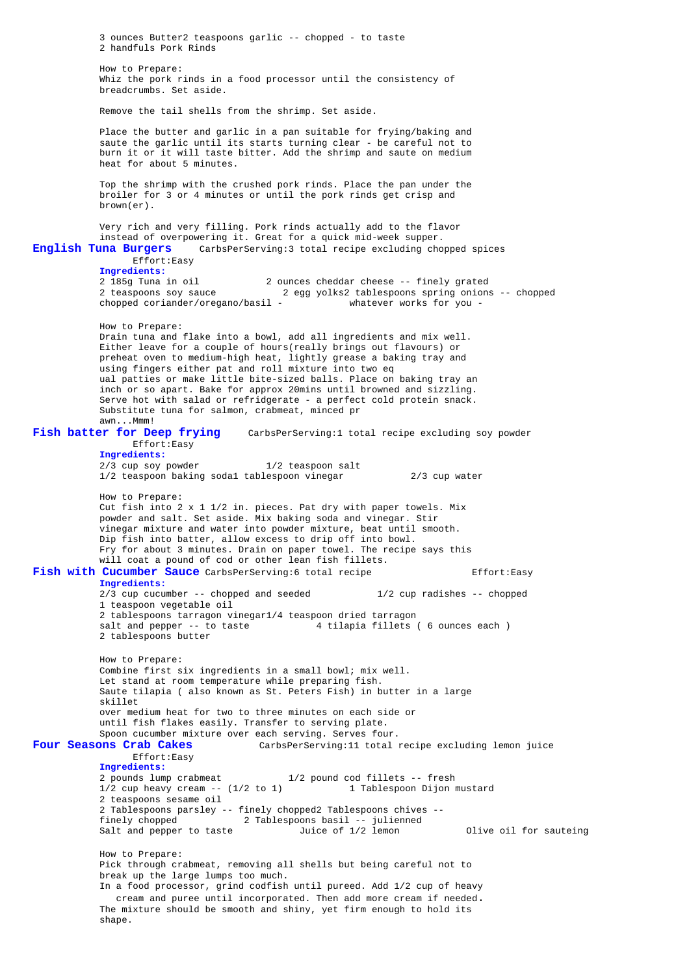```
 3 ounces Butter2 teaspoons garlic -- chopped - to taste 
             2 handfuls Pork Rinds 
            How to Prepare: 
            Whiz the pork rinds in a food processor until the consistency of
             breadcrumbs. Set aside. 
            Remove the tail shells from the shrimp. Set aside. 
             Place the butter and garlic in a pan suitable for frying/baking and 
             saute the garlic until its starts turning clear - be careful not to 
             burn it or it will taste bitter. Add the shrimp and saute on medium 
            heat for about 5 minutes. 
             Top the shrimp with the crushed pork rinds. Place the pan under the 
             broiler for 3 or 4 minutes or until the pork rinds get crisp and 
            brown(er). 
            Very rich and very filling. Pork rinds actually add to the flavor 
            instead of overpowering it. Great for a quick mid-week supper. 
English Tuna Burgers CarbsPerServing:3 total recipe excluding chopped spices 
           Effort:Easy<br>
Ingredients:
 Ingredients: 
 2 185g Tuna in oil 2 ounces cheddar cheese -- finely grated 
 2 teaspoons soy sauce 2 egg yolks2 tablespoons spring onions -- chopped 
            chopped coriander/oregano/basil - whatever works for you - 
            How to Prepare: 
            Drain tuna and flake into a bowl, add all ingredients and mix well. 
             Either leave for a couple of hours(really brings out flavours) or 
            preheat oven to medium-high heat, lightly grease a baking tray and 
            using fingers either pat and roll mixture into two eq 
             ual patties or make little bite-sized balls. Place on baking tray an 
             inch or so apart. Bake for approx 20mins until browned and sizzling. 
             Serve hot with salad or refridgerate - a perfect cold protein snack. 
             Substitute tuna for salmon, crabmeat, minced pr 
            awn...Mmm! 
Fish batter for Deep frying CarbsPerServing:1 total recipe excluding soy powder 
                 Effort:Easy 
             Ingredients: 
            2/3 cup soy powder 1/2 teaspoon salt
             1/2 teaspoon baking soda1 tablespoon vinegar 2/3 cup water 
            How to Prepare: 
 Cut fish into 2 x 1 1/2 in. pieces. Pat dry with paper towels. Mix 
 powder and salt. Set aside. Mix baking soda and vinegar. Stir 
             vinegar mixture and water into powder mixture, beat until smooth. 
             Dip fish into batter, allow excess to drip off into bowl. 
             Fry for about 3 minutes. Drain on paper towel. The recipe says this 
            will coat a pound of cod or other lean fish fillets. 
Fish with Cucumber Sauce CarbsPerServing:6 total recipe Effort:Easy
            Ingredients: 
             2/3 cup cucumber -- chopped and seeded 1/2 cup radishes -- chopped 
             1 teaspoon vegetable oil 
             2 tablespoons tarragon vinegar1/4 teaspoon dried tarragon 
            salt and pepper -- to taste 4 tilapia fillets (6 ounces each )
             2 tablespoons butter 
            How to Prepare: 
             Combine first six ingredients in a small bowl; mix well. 
             Let stand at room temperature while preparing fish. 
             Saute tilapia ( also known as St. Peters Fish) in butter in a large 
             skillet 
             over medium heat for two to three minutes on each side or 
             until fish flakes easily. Transfer to serving plate. 
             Spoon cucumber mixture over each serving. Serves four. 
Four Seasons Crab Cakes CarbsPerServing:11 total recipe excluding lemon juice
                  Effort:Easy 
            Ingredients: 
             2 pounds lump crabmeat 1/2 pound cod fillets -- fresh 
            1/2 cup heavy cream -- (1/2 to 1) 1 Tablespoon Dijon mustard
             2 teaspoons sesame oil 
             2 Tablespoons parsley -- finely chopped2 Tablespoons chives -- 
                                    2 Tablespoons basil -- julienned<br>Juice of 1/2 lemon
           Salt and pepper to taste Juice of 1/2 lemon Olive oil for sauteing
             How to Prepare: 
             Pick through crabmeat, removing all shells but being careful not to 
             break up the large lumps too much. 
             In a food processor, grind codfish until pureed. Add 1/2 cup of heavy 
             cream and puree until incorporated. Then add more cream if needed. The mixture should be smooth and shiny, yet firm enough to hold its 
             shape.
```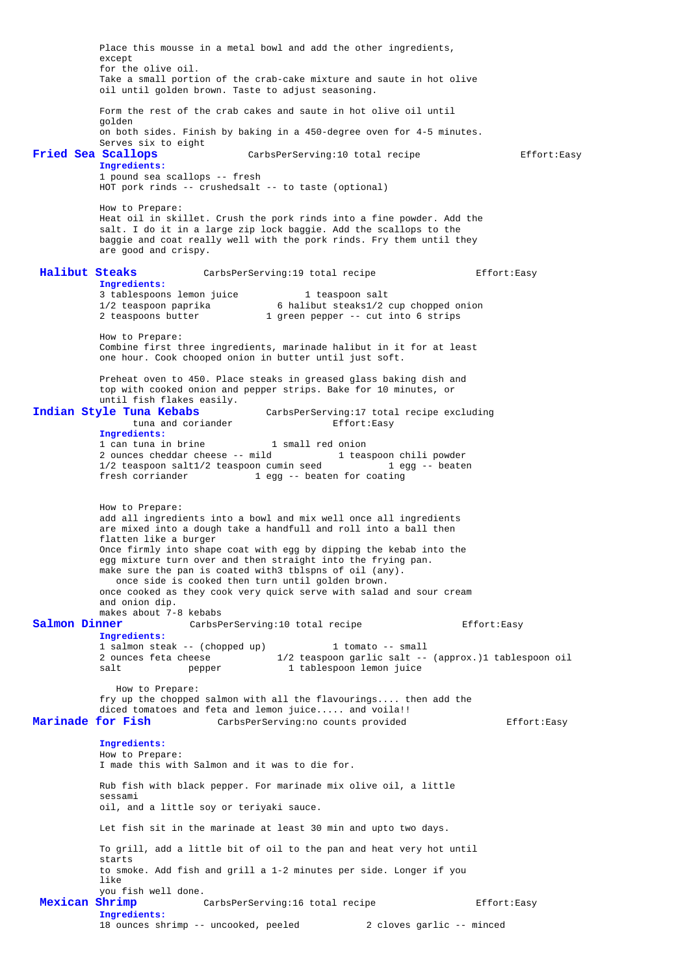Place this mousse in a metal bowl and add the other ingredients, except for the olive oil. Take a small portion of the crab-cake mixture and saute in hot olive oil until golden brown. Taste to adjust seasoning. Form the rest of the crab cakes and saute in hot olive oil until golden on both sides. Finish by baking in a 450-degree oven for 4-5 minutes. Serves six to eight<br>Fried Sea Scallops CarbsPerServing:10 total recipe **Effort:Easy Ingredients:**  1 pound sea scallops -- fresh HOT pork rinds -- crushedsalt -- to taste (optional) How to Prepare: Heat oil in skillet. Crush the pork rinds into a fine powder. Add the salt. I do it in a large zip lock baggie. Add the scallops to the baggie and coat really well with the pork rinds. Fry them until they are good and crispy. **Halibut Steaks** CarbsPerServing:19 total recipe Effort:Easy<br> **Ingredients: Ingredients:**  3 tablespoons lemon juice 1 teaspoon salt 1/2 teaspoon paprika 6 halibut steaks1/2 cup chopped onion 2 teaspoons butter 1 green pepper -- cut into 6 strips How to Prepare: Combine first three ingredients, marinade halibut in it for at least one hour. Cook chooped onion in butter until just soft. Preheat oven to 450. Place steaks in greased glass baking dish and top with cooked onion and pepper strips. Bake for 10 minutes, or until fish flakes easily. **Indian Style Tuna Kebabs** CarbsPerServing:17 total recipe excluding<br>tuna and coriander Effort:Easy luna Kebabs<br>tuna and coriander **Ingredients:**  1 can tuna in brine 1 small red onion 2 ounces cheddar cheese -- mild 1 teaspoon chili powder 1/2 teaspoon salt1/2 teaspoon cumin seed 1 egg -- beaten fresh corriander 1 egg -- beaten for coating How to Prepare: add all ingredients into a bowl and mix well once all ingredients are mixed into a dough take a handfull and roll into a ball then flatten like a burger Once firmly into shape coat with egg by dipping the kebab into the egg mixture turn over and then straight into the frying pan. make sure the pan is coated with3 tblspns of oil (any). once side is cooked then turn until golden brown. once cooked as they cook very quick serve with salad and sour cream and onion dip. makes about  $7-8$  kebabs **Salmon Dinner** CarbsPerServing:10 total recipe Effort:Easy **Ingredients:**  1 salmon steak -- (chopped up) 1 tomato -- small 2 ounces feta cheese 1/2 teaspoon garlic salt -- (approx.)1 tablespoon oil salt **pepper** 1 tablespoon lemon juice How to Prepare: fry up the chopped salmon with all the flavourings.... then add the diced tomatoes and feta and lemon juice..... and voila!! **Marinade for Fish** CarbsPerServing:no counts provided Effort:Easy  **Ingredients:**  How to Prepare: I made this with Salmon and it was to die for. Rub fish with black pepper. For marinade mix olive oil, a little sessami oil, and a little soy or teriyaki sauce. Let fish sit in the marinade at least 30 min and upto two days. To grill, add a little bit of oil to the pan and heat very hot until starts to smoke. Add fish and grill a 1-2 minutes per side. Longer if you like you fish well done. **Mexican Shrimp** CarbsPerServing:16 total recipe Effort:Easy **Ingredients:**  18 ounces shrimp -- uncooked, peeled 2 cloves garlic -- minced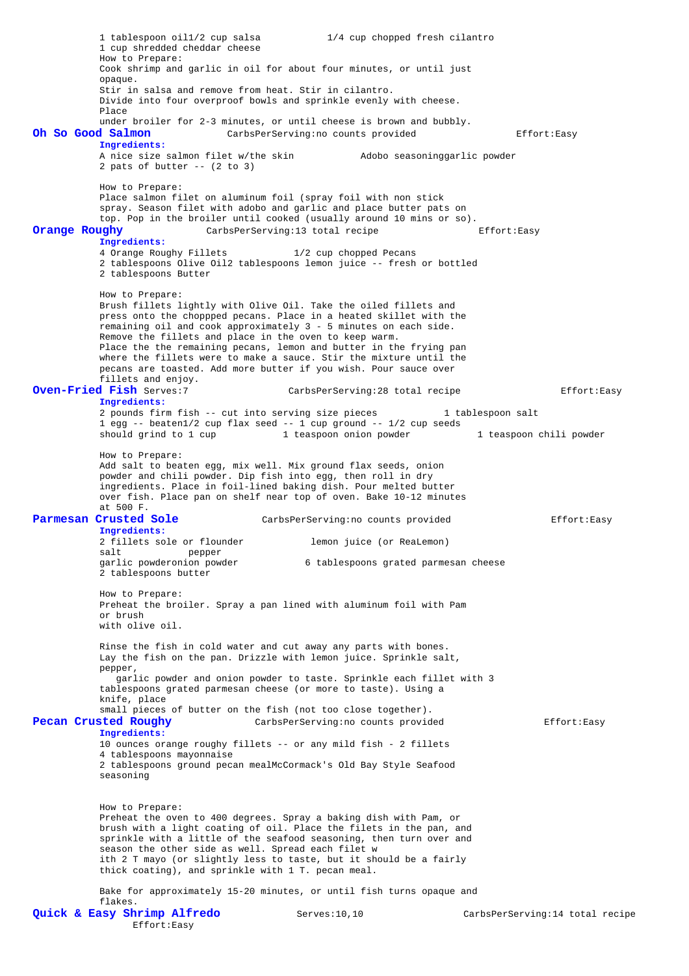1 tablespoon oil1/2 cup salsa 1/4 cup chopped fresh cilantro 1 cup shredded cheddar cheese How to Prepare: Cook shrimp and garlic in oil for about four minutes, or until just opaque. Stir in salsa and remove from heat. Stir in cilantro. Divide into four overproof bowls and sprinkle evenly with cheese. Place under broiler for 2-3 minutes, or until cheese is brown and bubbly. **Oh So Good Salmon** CarbsPerServing:no counts provided Effort:Easy **Ingredients:**  A nice size salmon filet w/the skin Adobo seasoninggarlic powder 2 pats of butter  $- - (2 \text{ to } 3)$  How to Prepare: Place salmon filet on aluminum foil (spray foil with non stick spray. Season filet with adobo and garlic and place butter pats on top. Pop in the broiler until cooked (usually around 10 mins or so). **Orange Roughy** CarbsPerServing:13 total recipe Effort:Easy  **Ingredients:**  4 Orange Roughy Fillets 1/2 cup chopped Pecans 2 tablespoons Olive Oil2 tablespoons lemon juice -- fresh or bottled 2 tablespoons Butter How to Prepare: Brush fillets lightly with Olive Oil. Take the oiled fillets and press onto the choppped pecans. Place in a heated skillet with the remaining oil and cook approximately 3 - 5 minutes on each side. Remove the fillets and place in the oven to keep warm. Place the the remaining pecans, lemon and butter in the frying pan where the fillets were to make a sauce. Stir the mixture until the pecans are toasted. Add more butter if you wish. Pour sauce over .<br>fillets and enjoy. **Oven-Fried Fish** Serves:7 CarbsPerServing:28 total recipe Effort:Easy **Ingredients:**  2 pounds firm fish -- cut into serving size pieces 1 tablespoon salt 1 egg -- beaten1/2 cup flax seed -- 1 cup ground -- 1/2 cup seeds should grind to 1 cup 1 teaspoon onion powder 1 teaspoon chili powder How to Prepare: Add salt to beaten egg, mix well. Mix ground flax seeds, onion powder and chili powder. Dip fish into egg, then roll in dry ingredients. Place in foil-lined baking dish. Pour melted butter over fish. Place pan on shelf near top of oven. Bake 10-12 minutes at 500 F. **Parmesan Crusted Sole** CarbsPerServing:no counts provided Effort:Easy  **Ingredients:**  2 fillets sole or flounder lemon juice (or ReaLemon) salt pepper<br>garlic powderonion powder 6 tablespoons grated parmesan cheese 2 tablespoons butter How to Prepare: Preheat the broiler. Spray a pan lined with aluminum foil with Pam or brush with olive oil. Rinse the fish in cold water and cut away any parts with bones. Lay the fish on the pan. Drizzle with lemon juice. Sprinkle salt, pepper, garlic powder and onion powder to taste. Sprinkle each fillet with 3 tablespoons grated parmesan cheese (or more to taste). Using a knife, place small pieces of butter on the fish (not too close together). **Pecan Crusted Roughy** CarbsPerServing:no counts provided Effort:Easy  **Ingredients:**  10 ounces orange roughy fillets -- or any mild fish - 2 fillets 4 tablespoons mayonnaise 2 tablespoons ground pecan mealMcCormack's Old Bay Style Seafood seasoning How to Prepare: Preheat the oven to 400 degrees. Spray a baking dish with Pam, or brush with a light coating of oil. Place the filets in the pan, and sprinkle with a little of the seafood seasoning, then turn over and season the other side as well. Spread each filet w ith 2 T mayo (or slightly less to taste, but it should be a fairly thick coating), and sprinkle with 1 T. pecan meal. Bake for approximately 15-20 minutes, or until fish turns opaque and flakes. **Quick & Easy Shrimp Alfredo** Serves:10,10 CarbsPerServing:14 total recipe Effort:Easy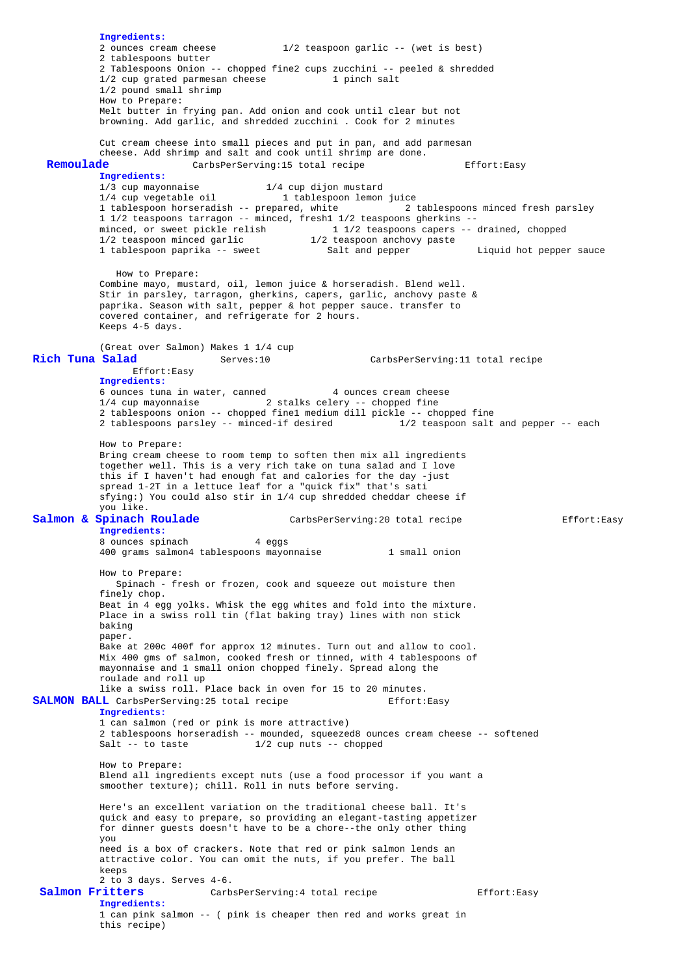**Ingredients:**  2 ounces cream cheese 1/2 teaspoon garlic -- (wet is best) 2 tablespoons butter 2 Tablespoons Onion -- chopped fine2 cups zucchini -- peeled & shredded 1/2 cup grated parmesan cheese 1 pinch salt 1/2 pound small shrimp How to Prepare: Melt butter in frying pan. Add onion and cook until clear but not browning. Add garlic, and shredded zucchini . Cook for 2 minutes Cut cream cheese into small pieces and put in pan, and add parmesan cheese. Add shrimp and salt and cook until shrimp are done. **Remoulade** CarbsPerServing:15 total recipe Effort:Easy **Ingredients:**  1/3 cup mayonnaise 1/4 cup dijon mustard 1/4 cup vegetable oil 1 tablespoon lemon juice 1 tablespoon horseradish -- prepared, white 2 tablespoons minced fresh parsley 1 1/2 teaspoons tarragon -- minced, fresh1 1/2 teaspoons gherkins --<br>minced, or sweet pickle relish 1 1/2 teaspoons capers -- drained, chopped minced, or sweet pickle relish 1 1/2 teaspoons capers -- drained, chopped 1/2 teaspoon minced garlic 1/2 teaspoon anchovy paste 1 tablespoon paprika -- sweet Salt and pepper Liquid hot pepper sauce How to Prepare: Combine mayo, mustard, oil, lemon juice & horseradish. Blend well. Stir in parsley, tarragon, gherkins, capers, garlic, anchovy paste & paprika. Season with salt, pepper & hot pepper sauce. transfer to covered container, and refrigerate for 2 hours. Keeps 4-5 days. (Great over Salmon) Makes 1 1/4 cup<br>Rich Tuna Salad Serves:10 **Rich Tuna Salad** Serves:10 CarbsPerServing:11 total recipe Effort:Easy **Ingredients:**  6 ounces tuna in water, canned 4 ounces cream cheese 1/4 cup mayonnaise 2 stalks celery -- chopped fine 2 tablespoons onion -- chopped fine1 medium dill pickle -- chopped fine 2 tablespoons parsley -- minced-if desired 1/2 teaspoon salt and pepper -- each How to Prepare: Bring cream cheese to room temp to soften then mix all ingredients together well. This is a very rich take on tuna salad and I love this if I haven't had enough fat and calories for the day -just spread 1-2T in a lettuce leaf for a "quick fix" that's sati sfying:) You could also stir in 1/4 cup shredded cheddar cheese if you like. Salmon & Spinach Roulade **CarbsPerServing:20** total recipe **Effort:Easy Ingredients: Ingredients:**<br>8 ounces spinach 4 eggs 400 grams salmon4 tablespoons mayonnaise 1 small onion How to Prepare: Spinach - fresh or frozen, cook and squeeze out moisture then finely chop. Beat in 4 egg yolks. Whisk the egg whites and fold into the mixture. Place in a swiss roll tin (flat baking tray) lines with non stick baking paper. Bake at 200c 400f for approx 12 minutes. Turn out and allow to cool. Mix 400 gms of salmon, cooked fresh or tinned, with 4 tablespoons of mayonnaise and 1 small onion chopped finely. Spread along the roulade and roll up like a swiss roll. Place back in oven for 15 to 20 minutes. SALMON BALL CarbsPerServing:25 total recipe Fffort:Easy **Ingredients:**  1 can salmon (red or pink is more attractive) 2 tablespoons horseradish -- mounded, squeezed8 ounces cream cheese -- softened Salt  $--$  to taste  $1/2$  cup nuts  $--$  chopped How to Prepare: Blend all ingredients except nuts (use a food processor if you want a smoother texture); chill. Roll in nuts before serving. Here's an excellent variation on the traditional cheese ball. It's quick and easy to prepare, so providing an elegant-tasting appetizer for dinner guests doesn't have to be a chore--the only other thing you need is a box of crackers. Note that red or pink salmon lends an attractive color. You can omit the nuts, if you prefer. The ball keeps 2 to 3 days. Serves 4-6. Salmon Fritters **CarbsPerServing:4** total recipe **Effort:Easy Ingredients:**  1 can pink salmon -- ( pink is cheaper then red and works great in this recipe)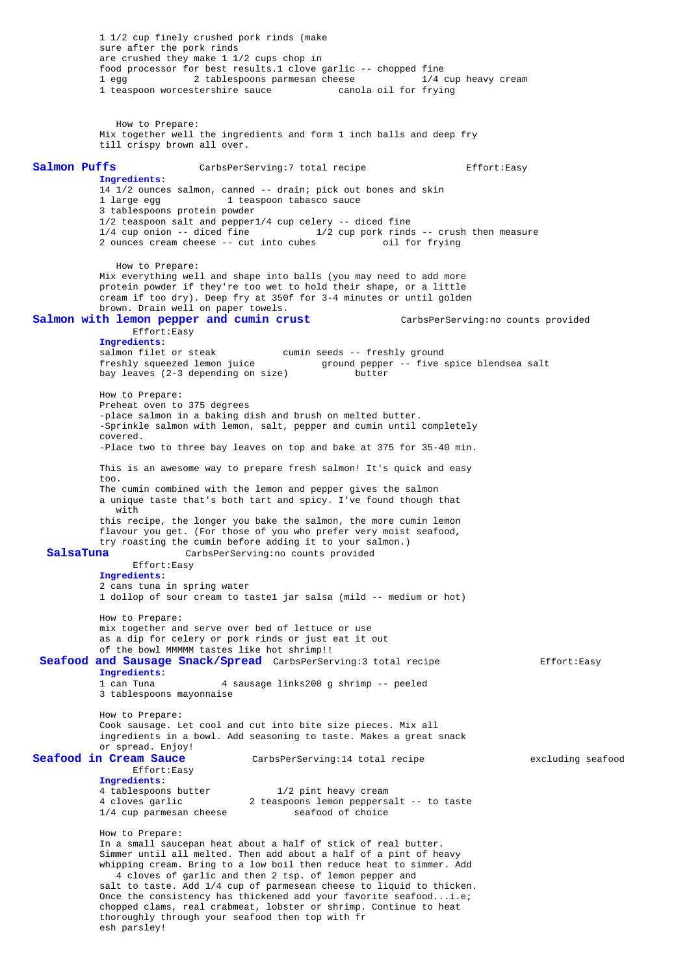1 1/2 cup finely crushed pork rinds (make sure after the pork rinds are crushed they make 1 1/2 cups chop in food processor for best results.1 clove garlic -- chopped fine 1 egg 2 tablespoons parmesan cheese 1/4 cup heavy cream 1 teaspoon worcestershire sauce canola oil for frying How to Prepare: Mix together well the ingredients and form 1 inch balls and deep fry till crispy brown all over. **Salmon Puffs** CarbsPerServing:7 total recipe Effort:Easy  **Ingredients:**  14 1/2 ounces salmon, canned -- drain; pick out bones and skin 1 large egg 1 teaspoon tabasco sauce 3 tablespoons protein powder 1/2 teaspoon salt and pepper1/4 cup celery -- diced fine 1/4 cup onion -- diced fine 1/2 cup pork rinds -- crush then measure 2 ounces cream cheese -- cut into cubes oil for frying How to Prepare: Mix everything well and shape into balls (you may need to add more protein powder if they're too wet to hold their shape, or a little cream if too dry). Deep fry at 350f for 3-4 minutes or until golden brown. Drain well on paper towels. Salmon with lemon pepper and cumin crust **CarbsPerServing:no counts provided**  Effort:Easy **INCREDIENT CONTROLS 2018 COMMANDER SQUEEZED SQUEEZED DAY leaves** (2-3 Acres 1) salmon filet or steak cumin seeds -- freshly ground freshly squeezed lemon juice ground pepper -- five spice blendsea salt bay leaves (2-3 depending on size) butter How to Prepare: Preheat oven to 375 degrees -place salmon in a baking dish and brush on melted butter. -Sprinkle salmon with lemon, salt, pepper and cumin until completely covered. -Place two to three bay leaves on top and bake at 375 for 35-40 min. This is an awesome way to prepare fresh salmon! It's quick and easy too. The cumin combined with the lemon and pepper gives the salmon a unique taste that's both tart and spicy. I've found though that with this recipe, the longer you bake the salmon, the more cumin lemon flavour you get. (For those of you who prefer very moist seafood, try roasting the cumin before adding it to your salmon.) **SalsaTuna** CarbsPerServing:no counts provided Effort:Easy  **Ingredients:**  2 cans tuna in spring water 1 dollop of sour cream to taste1 jar salsa (mild -- medium or hot) How to Prepare: mix together and serve over bed of lettuce or use as a dip for celery or pork rinds or just eat it out of the bowl MMMMM tastes like hot shrimp!! Seafood and Sausage Snack/Spread CarbsPerServing:3 total recipe Effort:Easy **Ingredients:**  1 can Tuna 4 sausage links200 g shrimp -- peeled 3 tablespoons mayonnaise How to Prepare: Cook sausage. Let cool and cut into bite size pieces. Mix all ingredients in a bowl. Add seasoning to taste. Makes a great snack or spread. Enjoy! **Seafood in Cream Sauce** CarbsPerServing:14 total recipe excluding seafood Effort:Easy **Ingredients:**  4 tablespoons butter 1/2 pint heavy cream 4 cloves garlic 2 teaspoons lemon peppersalt -- to taste 1/4 cup parmesan cheese seafood of choice How to Prepare: In a small saucepan heat about a half of stick of real butter. Simmer until all melted. Then add about a half of a pint of heavy whipping cream. Bring to a low boil then reduce heat to simmer. Add 4 cloves of garlic and then 2 tsp. of lemon pepper and salt to taste. Add 1/4 cup of parmesean cheese to liquid to thicken. Once the consistency has thickened add your favorite seafood...i.e; chopped clams, real crabmeat, lobster or shrimp. Continue to heat thoroughly through your seafood then top with fr esh parsley!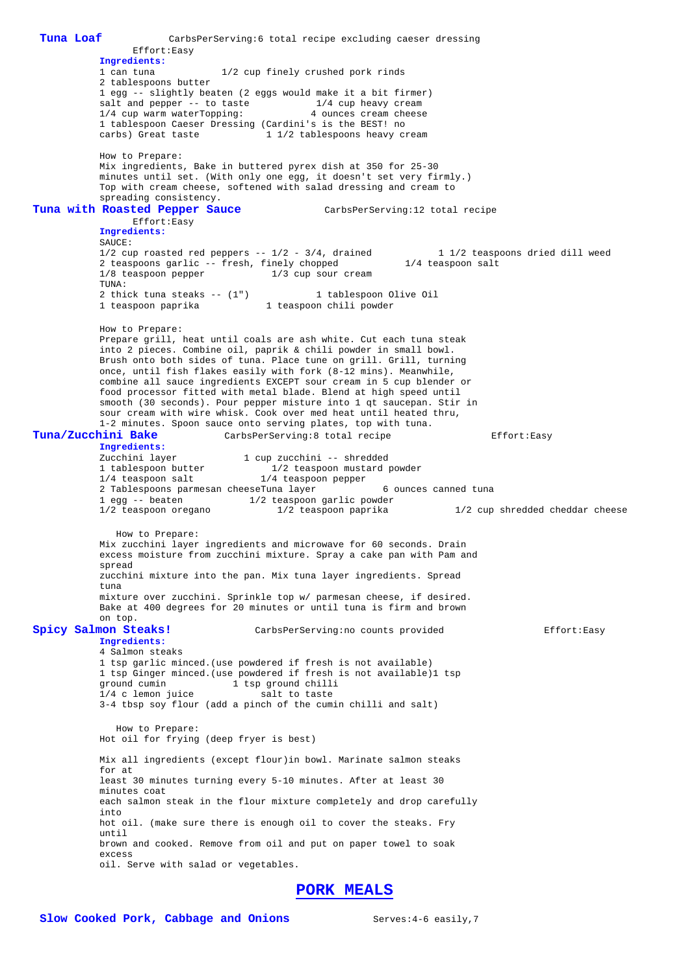**Tuna Loaf** CarbsPerServing:6 total recipe excluding caeser dressing Effort:Easy  **Ingredients:**  1/2 cup finely crushed pork rinds 2 tablespoons butter 1 egg -- slightly beaten (2 eggs would make it a bit firmer) salt and pepper -- to taste 1/4 cup heavy cream<br>salt and pepper -- to taste 1/4 cup heavy cream<br>1/4 cup warm waterTopping: 4 ounces cream cheese  $1/4$  cup warm waterTopping: 1 tablespoon Caeser Dressing (Cardini's is the BEST! no<br>carbs) Great taste 1 1/2 tablespoons beavy c 1 1/2 tablespoons heavy cream How to Prepare: Mix ingredients, Bake in buttered pyrex dish at 350 for 25-30 minutes until set. (With only one egg, it doesn't set very firmly.) Top with cream cheese, softened with salad dressing and cream to spreading consistency. **Tuna with Roasted Pepper Sauce** CarbsPerServing:12 total recipe Effort:Easy  **Ingredients:**  SAUCE:  $1/2$  cup roasted red peppers --  $1/2$  -  $3/4$ , drained 1 1/2 teaspoons dried dill weed 2 teaspoons garlic  $-$  fresh, finely chopped  $1/4$  teaspoon salt  $1/8$  teaspoon pepper  $1/3$  cup sour cream 1/8 teaspoon pepper TUNA: 2 thick tuna steaks -- (1") 1 tablespoon Olive Oil 1 teaspoon paprika 1 teaspoon chili powder How to Prepare: Prepare grill, heat until coals are ash white. Cut each tuna steak into 2 pieces. Combine oil, paprik & chili powder in small bowl. Brush onto both sides of tuna. Place tune on grill. Grill, turning once, until fish flakes easily with fork (8-12 mins). Meanwhile, combine all sauce ingredients EXCEPT sour cream in 5 cup blender or food processor fitted with metal blade. Blend at high speed until smooth (30 seconds). Pour pepper misture into 1 qt saucepan. Stir in sour cream with wire whisk. Cook over med heat until heated thru, 1-2 minutes. Spoon sauce onto serving plates, top with tuna. **Tuna/Zucchini Bake** CarbsPerServing:8 total recipe **Effort:Easy Ingredients:**  Zucchini layer 1 cup zucchini -- shredded<br>1 tablespoon butter 1/2 teaspoon mustard p<br>1/4 teaspoon pepper 1 tablespoon butter 1/2 teaspoon mustard powder<br>1/4 teaspoon salt 1/4 teaspoon pepper 1/4 teaspoon pepper 2 Tablespoons parmesan cheeseTuna layer 6 ounces canned tuna 1 egg -- beaten 1/2 teaspoon garlic powder 1/2 teaspoon oregano 1/2 teaspoon paprika 1/2 cup shredded cheddar cheese How to Prepare: Mix zucchini layer ingredients and microwave for 60 seconds. Drain excess moisture from zucchini mixture. Spray a cake pan with Pam and spread zucchini mixture into the pan. Mix tuna layer ingredients. Spread tuna mixture over zucchini. Sprinkle top w/ parmesan cheese, if desired. Bake at 400 degrees for 20 minutes or until tuna is firm and brown on top. **Spicy Salmon Steaks!** CarbsPerServing:no counts provided Effort:Easy  **Ingredients:**  4 Salmon steaks 1 tsp garlic minced.(use powdered if fresh is not available) 1 tsp Ginger minced.(use powdered if fresh is not available)1 tsp ground cumin 1 tsp ground chilli 1/4 c lemon juice salt to taste 3-4 tbsp soy flour (add a pinch of the cumin chilli and salt) How to Prepare: Hot oil for frying (deep fryer is best) Mix all ingredients (except flour)in bowl. Marinate salmon steaks for at least 30 minutes turning every 5-10 minutes. After at least 30 minutes coat each salmon steak in the flour mixture completely and drop carefully into hot oil. (make sure there is enough oil to cover the steaks. Fry until brown and cooked. Remove from oil and put on paper towel to soak excess oil. Serve with salad or vegetables.

# **PORK MEALS**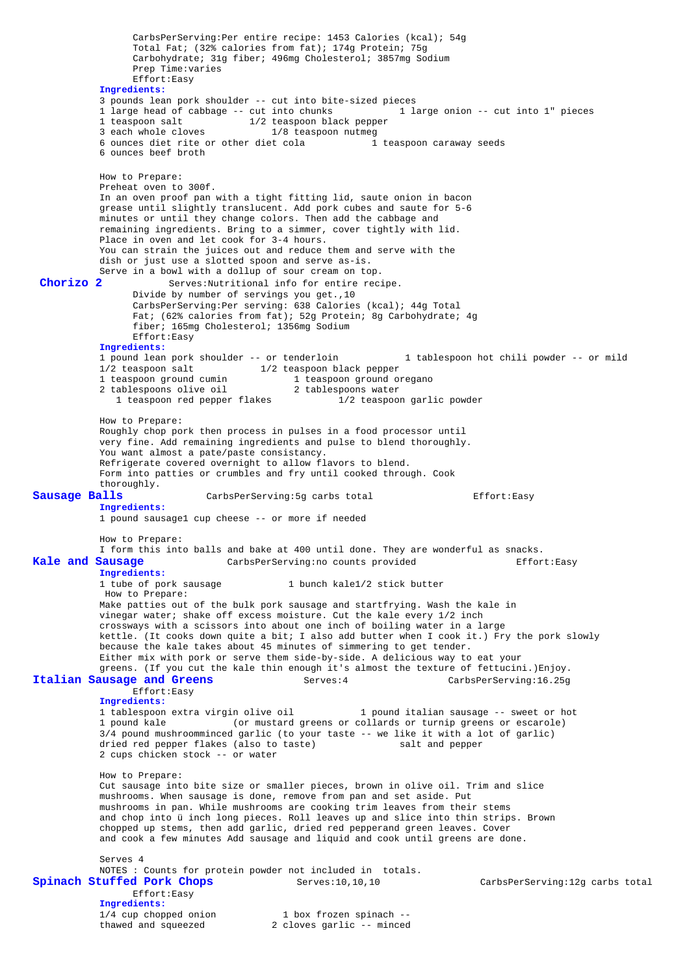```
 CarbsPerServing:Per entire recipe: 1453 Calories (kcal); 54g 
                  Total Fat; (32% calories from fat); 174g Protein; 75g 
                  Carbohydrate; 31g fiber; 496mg Cholesterol; 3857mg Sodium 
                  Prep Time:varies 
                  Effort:Easy 
            Ingredients: 
            3 pounds lean pork shoulder -- cut into bite-sized pieces 
           1 large head of cabbage -- cut into chunks 1 large onion -- cut into 1" pieces<br>1 teaspoon salt 1/2 teaspoon black pepper
                                    1/2 teaspoon black pepper
            3 each whole cloves 1/8 teaspoon nutmeg 
            6 ounces diet rite or other diet cola 1 teaspoon caraway seeds 
            6 ounces beef broth 
            How to Prepare: 
            Preheat oven to 300f. 
            In an oven proof pan with a tight fitting lid, saute onion in bacon 
           grease until slightly translucent. Add pork cubes and saute for 5-6
            minutes or until they change colors. Then add the cabbage and 
            remaining ingredients. Bring to a simmer, cover tightly with lid. 
            Place in oven and let cook for 3-4 hours. 
            You can strain the juices out and reduce them and serve with the 
            dish or just use a slotted spoon and serve as-is. 
            Serve in a bowl with a dollup of sour cream on top. 
 Chorizo 2 Serves: Nutritional info for entire recipe.
                  Divide by number of servings you get.,10 
                 CarbsPerServing:Per serving: 638 Calories (kcal); 44g Total
                  Fat; (62% calories from fat); 52g Protein; 8g Carbohydrate; 4g 
                  fiber; 165mg Cholesterol; 1356mg Sodium 
                  Effort:Easy 
            Ingredients: 
            1 pound lean pork shoulder -- or tenderloin 1 tablespoon hot chili powder -- or mild 
 1/2 teaspoon salt 1/2 teaspoon black pepper 
 1 teaspoon ground cumin 1 teaspoon ground oregano 
 2 tablespoons olive oil 2 tablespoons water 
 1 teaspoon red pepper flakes 1/2 teaspoon garlic powder 
            How to Prepare: 
            Roughly chop pork then process in pulses in a food processor until 
            very fine. Add remaining ingredients and pulse to blend thoroughly. 
            You want almost a pate/paste consistancy. 
            Refrigerate covered overnight to allow flavors to blend. 
            Form into patties or crumbles and fry until cooked through. Cook 
            thoroughly. 
Sausage Balls CarbsPerServing:5g carbs total Effort:Easy
            Ingredients: 
            1 pound sausage1 cup cheese -- or more if needed 
            How to Prepare: 
            I form this into balls and bake at 400 until done. They are wonderful as snacks. 
Kale and Sausage CarbsPerServing:no counts provided Effort:Easy
            Ingredients: 
                                             1 bunch kale1/2 stick butter
             How to Prepare: 
            Make patties out of the bulk pork sausage and startfrying. Wash the kale in 
            vinegar water; shake off excess moisture. Cut the kale every 1/2 inch 
            crossways with a scissors into about one inch of boiling water in a large 
            kettle. (It cooks down quite a bit; I also add butter when I cook it.) Fry the pork slowly 
            because the kale takes about 45 minutes of simmering to get tender. 
            Either mix with pork or serve them side-by-side. A delicious way to eat your 
            greens. (If you cut the kale thin enough it's almost the texture of fettucini.)Enjoy. 
Italian Sausage and Greens Serves:4 CarbsPerServing:16.25g
                  Effort:Easy 
            Ingredients: 
                                                         1 pound italian sausage -- sweet or hot
            1 pound kale (or mustard greens or collards or turnip greens or escarole) 
           3/4 pound mushroomminced garlic (to your taste -- we like it with a lot of garlic)<br>dried red pepper flakes (also to taste) salt and pepper
           dried red pepper flakes (also to taste)
            2 cups chicken stock -- or water 
            How to Prepare: 
            Cut sausage into bite size or smaller pieces, brown in olive oil. Trim and slice 
            mushrooms. When sausage is done, remove from pan and set aside. Put 
            mushrooms in pan. While mushrooms are cooking trim leaves from their stems 
            and chop into ü inch long pieces. Roll leaves up and slice into thin strips. Brown 
            chopped up stems, then add garlic, dried red pepperand green leaves. Cover 
            and cook a few minutes Add sausage and liquid and cook until greens are done. 
            Serves 4 
NOTES : Counts for protein powder not included in totals.<br>Spinach Stuffed Pork Chops Serves:10,10,10
                                             Serves:10,10,10 CarbsPerServing:12g carbs total
           Effort:Easy<br>
Ingredients:
 Ingredients: 
 1/4 cup chopped onion 1 box frozen spinach -- 
 thawed and squeezed 2 cloves garlic -- minced
```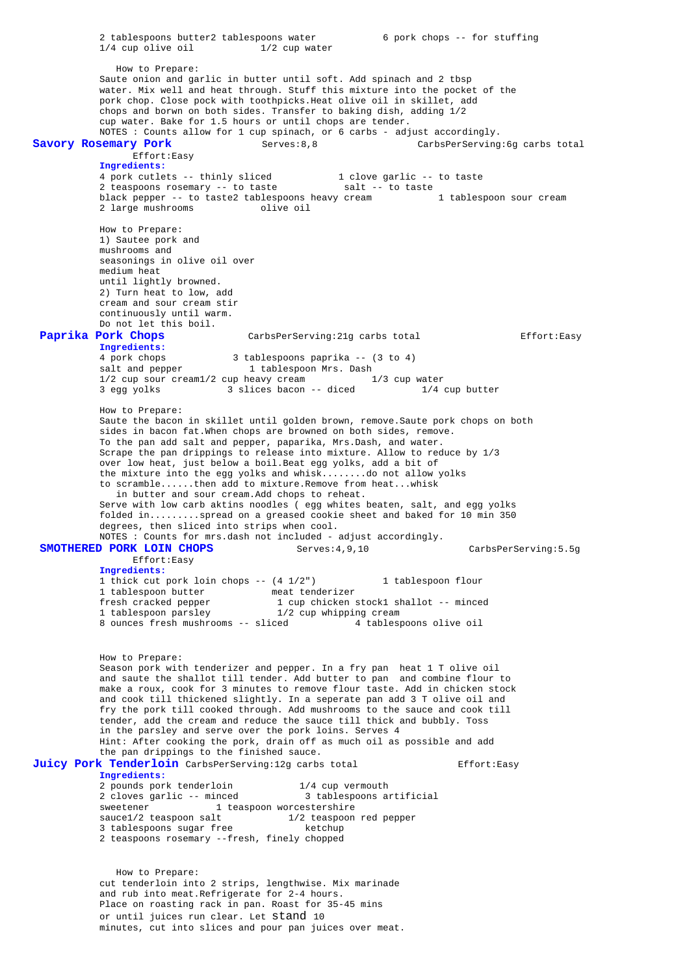2 tablespoons butter2 tablespoons water 6 pork chops -- for stuffing  $1/4$  cup olive oil  $1/2$  cup water  $1/4$  cup olive oil How to Prepare: Saute onion and garlic in butter until soft. Add spinach and 2 tbsp water. Mix well and heat through. Stuff this mixture into the pocket of the pork chop. Close pock with toothpicks.Heat olive oil in skillet, add chops and borwn on both sides. Transfer to baking dish, adding 1/2 cup water. Bake for 1.5 hours or until chops are tender. NOTES : Counts allow for 1 cup spinach, or 6 carbs - adjust accordingly.<br>
Savory Rosemary Pork Serves: 8, 8 CarbsPerServing Serves:8,8 CarbsPerServing:6g carbs total Effort:Easy  **Ingredients:**  4 pork cutlets -- thinly sliced 1 clove garlic -- to taste<br>2 teaspoons rosemary -- to taste salt -- to taste 2 teaspoons rosemary -- to taste<br>black pepper -- to taste salt -- to taste<br>black pepper -- to taste2 tablespoons heavy cream<br>1 tablespoon sour cream black pepper -- to taste2 tablespoons heavy cream<br>2 large mushrooms olive oil 2 large mushrooms How to Prepare: 1) Sautee pork and mushrooms and seasonings in olive oil over medium heat until lightly browned. 2) Turn heat to low, add cream and sour cream stir continuously until warm. Do not let this boil.<br>Paprika Pork Chops CarbsPerServing:21g carbs total **Effort:Easy Ingredients:**  4 pork chops 3 tablespoons paprika -- (3 to 4) salt and pepper 1 tablespoon Mrs. Dash 1/2 cup sour cream1/2 cup heavy cream 1/3 cup water 3 egg yolks 3 slices bacon -- diced 1/4 cup butter How to Prepare: Saute the bacon in skillet until golden brown, remove.Saute pork chops on both sides in bacon fat.When chops are browned on both sides, remove. To the pan add salt and pepper, paparika, Mrs.Dash, and water. Scrape the pan drippings to release into mixture. Allow to reduce by 1/3 over low heat, just below a boil.Beat egg yolks, add a bit of the mixture into the egg yolks and whisk........do not allow yolks to scramble......then add to mixture.Remove from heat...whisk in butter and sour cream.Add chops to reheat. Serve with low carb aktins noodles ( egg whites beaten, salt, and egg yolks folded in.........spread on a greased cookie sheet and baked for 10 min 350 degrees, then sliced into strips when cool. NOTES : Counts for mrs.dash not included - adjust accordingly. **SMOTHERED PORK LOIN CHOPS** Serves: 4, 9, 10 Serves: 4, 2, CarbsPerServing: 5.5g Effort:Easy **Ingredients:**  1 thick cut pork loin chops  $- - (4 \ 1/2")$  1 tablespoon flour 1 tablespoon butter meat tenderizer fresh cracked pepper 1 cup chicken stock1 shallot -- minced 1 tablespoon parsley 1/2 cup whipping cream 8 ounces fresh mushrooms -- sliced 4 tablespoons olive oil How to Prepare: Season pork with tenderizer and pepper. In a fry pan heat 1 T olive oil and saute the shallot till tender. Add butter to pan and combine flour to make a roux, cook for 3 minutes to remove flour taste. Add in chicken stock and cook till thickened slightly. In a seperate pan add 3 T olive oil and fry the pork till cooked through. Add mushrooms to the sauce and cook till tender, add the cream and reduce the sauce till thick and bubbly. Toss in the parsley and serve over the pork loins. Serves 4 Hint: After cooking the pork, drain off as much oil as possible and add the pan drippings to the finished sauce. **Juicy Pork Tenderloin** CarbsPerServing:12g carbs total Effort:Easy **Ingredients:**  2 pounds pork tenderloin 1/4 cup vermouth 2 cloves garlic -- minced 3 tablespoons artificial sweetener 1 teaspoon worcestershire sauce1/2 teaspoon salt 1/2 teaspoon red pepper 3 tablespoons sugar free black and ketchup 2 teaspoons rosemary --fresh, finely chopped How to Prepare: cut tenderloin into 2 strips, lengthwise. Mix marinade and rub into meat.Refrigerate for 2-4 hours. Place on roasting rack in pan. Roast for 35-45 mins or until juices run clear. Let stand 10 minutes, cut into slices and pour pan juices over meat.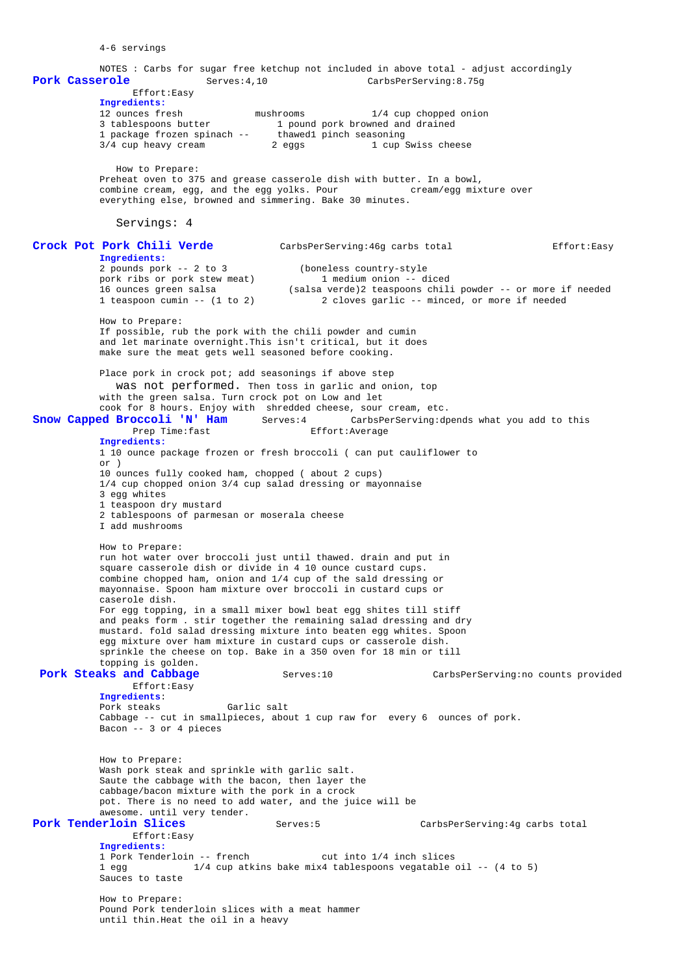4-6 servings

 NOTES : Carbs for sugar free ketchup not included in above total - adjust accordingly Pork Casserole Serves:4,10 CarbsPerServing:8.75g Effort:Easy  **Ingredients:**  12 ounces fresh mushrooms 1/4 cup chopped onion 3 tablespoons butter 1 pound pork browned and drained 1 package frozen spinach -- thawed1 pinch seasoning 3/4 cup heavy cream 2 eggs 1 cup Swiss cheese How to Prepare: Preheat oven to 375 and grease casserole dish with butter. In a bowl, combine cream, egg, and the egg yolks. Pour cream/egg mixture over everything else, browned and simmering. Bake 30 minutes. Servings: 4 **Crock Pot Pork Chili Verde** CarbsPerServing:46g carbs total Effort:Easy<br>
Ingredients: **Ingredients:**  2 pounds pork -- 2 to 3 (boneless country-style pork ribs or pork stew meat) 1 medium onion -- diced 16 ounces green salsa (salsa verde)2 teaspoons chili powder -- or more if needed 1 teaspoon cumin -- (1 to 2) 2 cloves garlic -- minced, or more if needed How to Prepare: If possible, rub the pork with the chili powder and cumin and let marinate overnight.This isn't critical, but it does make sure the meat gets well seasoned before cooking. Place pork in crock pot; add seasonings if above step was not performed. Then toss in garlic and onion, top with the green salsa. Turn crock pot on Low and let cook for 8 hours. Enjoy with shredded cheese, sour cream, etc. Snow Capped Broccoli 'N' Ham Serves:4 CarbsPerServing:dpends what you add to this Prep Time: fast Effort: Average  **Ingredients:**  1 10 ounce package frozen or fresh broccoli ( can put cauliflower to or ) 10 ounces fully cooked ham, chopped ( about 2 cups) 1/4 cup chopped onion 3/4 cup salad dressing or mayonnaise 3 egg whites 1 teaspoon dry mustard 2 tablespoons of parmesan or moserala cheese I add mushrooms How to Prepare: run hot water over broccoli just until thawed. drain and put in square casserole dish or divide in 4 10 ounce custard cups. combine chopped ham, onion and 1/4 cup of the sald dressing or mayonnaise. Spoon ham mixture over broccoli in custard cups or caserole dish. For egg topping, in a small mixer bowl beat egg shites till stiff and peaks form . stir together the remaining salad dressing and dry mustard. fold salad dressing mixture into beaten egg whites. Spoon egg mixture over ham mixture in custard cups or casserole dish. sprinkle the cheese on top. Bake in a 350 oven for 18 min or till topping is golden. **Pork Steaks and Cabbage** Serves:10 Serves:10 CarbsPerServing:no counts provided Effort:Easy  **Ingredients**: Garlic salt Cabbage -- cut in smallpieces, about 1 cup raw for every 6 ounces of pork. Bacon -- 3 or 4 pieces How to Prepare: Wash pork steak and sprinkle with garlic salt. Saute the cabbage with the bacon, then layer the cabbage/bacon mixture with the pork in a crock pot. There is no need to add water, and the juice will be awesome. until very tender. **Pork Tenderloin Slices** Serves:5 CarbsPerServing:4g carbs total Effort:Easy **Ingredients:**  1 Pork Tenderloin -- french cut into 1/4 inch slices 1 egg 1/4 cup atkins bake mix4 tablespoons vegatable oil -- (4 to 5) Sauces to taste How to Prepare: Pound Pork tenderloin slices with a meat hammer until thin.Heat the oil in a heavy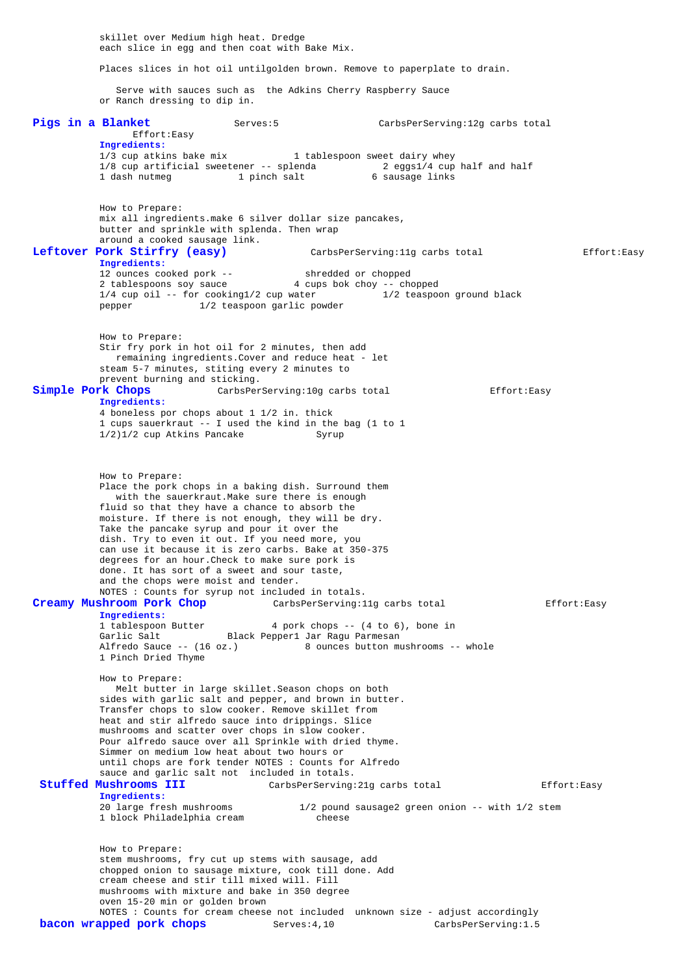skillet over Medium high heat. Dredge each slice in egg and then coat with Bake Mix. Places slices in hot oil untilgolden brown. Remove to paperplate to drain. Serve with sauces such as the Adkins Cherry Raspberry Sauce or Ranch dressing to dip in. **Pigs in a Blanket** Serves:5 CarbsPerServing:12g carbs total Effort:Easy Ingredients:<br>1/3 cup atkins bake mix 1/3 cup atkins bake mix 1 tablespoon sweet dairy whey 1/8 cup artificial sweetener -- splenda 2 eggs1/4 cup half and half 1 dash nutmeg 1 pinch salt 6 sausage links How to Prepare: mix all ingredients.make 6 silver dollar size pancakes, butter and sprinkle with splenda. Then wrap around a cooked sausage link. **Leftover Pork Stirfry (easy)** CarbsPerServing:11g carbs total Effort:Easy **Ingredients:**  12 ounces cooked pork -- shredded or chopped 2 tablespoons soy sauce 4 cups bok choy -- chopped 1/4 cup oil -- for cooking1/2 cup water 1/2 teaspoon ground black pepper 1/2 teaspoon garlic powder How to Prepare: Stir fry pork in hot oil for 2 minutes, then add remaining ingredients.Cover and reduce heat - let steam 5-7 minutes, stiting every 2 minutes to prevent burning and sticking. Simple Pork Chops **CarbsPerServing:10g carbs total** Effort:Easy  **Ingredients:**  4 boneless por chops about 1 1/2 in. thick 1 cups sauerkraut -- I used the kind in the bag (1 to 1 1/2)1/2 cup Atkins Pancake Syrup How to Prepare: Place the pork chops in a baking dish. Surround them with the sauerkraut.Make sure there is enough fluid so that they have a chance to absorb the moisture. If there is not enough, they will be dry. Take the pancake syrup and pour it over the dish. Try to even it out. If you need more, you can use it because it is zero carbs. Bake at 350-375 degrees for an hour.Check to make sure pork is done. It has sort of a sweet and sour taste, and the chops were moist and tender. NOTES : Counts for syrup not included in totals. **Creamy Mushroom Pork Chop** CarbsPerServing:11g carbs total Effort:Easy  **Ingredients:**  1 tablespoon Butter 4 pork chops -- (4 to 6), bone in Garlic Salt Black Pepper1 Jar Ragu Parmesan Alfredo Sauce -- (16 oz.) 8 ounces button mushrooms -- whole 1 Pinch Dried Thyme How to Prepare: Melt butter in large skillet.Season chops on both sides with garlic salt and pepper, and brown in butter. Transfer chops to slow cooker. Remove skillet from heat and stir alfredo sauce into drippings. Slice mushrooms and scatter over chops in slow cooker. Pour alfredo sauce over all Sprinkle with dried thyme. Simmer on medium low heat about two hours or until chops are fork tender NOTES : Counts for Alfredo sauce and garlic salt not included in totals.<br>Stuffed Mushrooms III CarbsPerServing CarbsPerServing:21g carbs total **Effort:Easy Ingredients:**   $1/2$  pound sausage2 green onion -- with  $1/2$  stem  $\begin{tabular}{lllllllll} \multicolumn{3}{l}{} & $\text{$\texttt{1}$} & $\texttt{2}$ & $\texttt{1}$ & $\texttt{1}$ & $\texttt{2}$ & $\texttt{1}$ & $\texttt{1}$ & $\texttt{1}$ & $\texttt{1}$ & $\texttt{1}$ & $\texttt{1}$ & $\texttt{1}$ & $\texttt{1}$ & $\texttt{1}$ & $\texttt{1}$ & $\texttt{1}$ & $\texttt{1}$ & $\texttt{1}$ & $\texttt{1}$ & $\texttt{1}$ & $\texttt{1}$ & $\texttt{1}$ & $\texttt{1}$ & $\texttt{1}$ & $\texttt{1}$ & $\texttt{1}$ & $\texttt{1}$ & $\texttt{$  How to Prepare: stem mushrooms, fry cut up stems with sausage, add chopped onion to sausage mixture, cook till done. Add cream cheese and stir till mixed will. Fill mushrooms with mixture and bake in 350 degree oven 15-20 min or golden brown NOTES : Counts for cream cheese not included unknown size - adjust accordingly **bacon wrapped pork chops** Serves:4,10 Serves:4,10 CarbsPerServing:1.5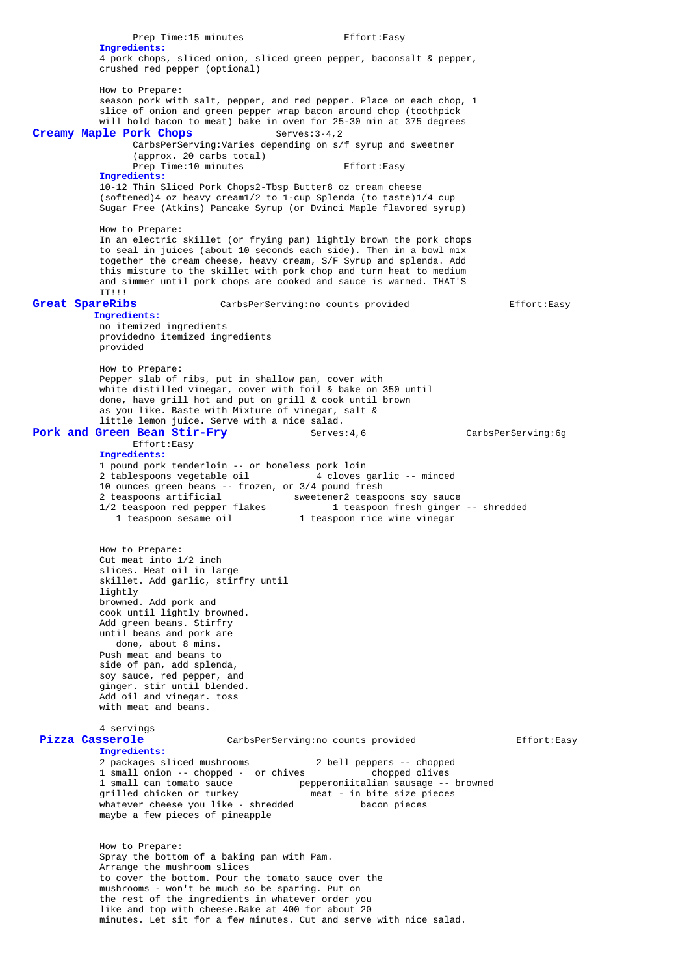```
Prep Time:15 minutes Effort:Easy
            Ingredients: 
            4 pork chops, sliced onion, sliced green pepper, baconsalt & pepper, 
            crushed red pepper (optional) 
            How to Prepare: 
            season pork with salt, pepper, and red pepper. Place on each chop, 1 
            slice of onion and green pepper wrap bacon around chop (toothpick 
           will hold bacon to meat) bake in oven for 25-30 min at 375 degrees
Creamy Maple Pork Chops Serves: 3-4, 2
                  CarbsPerServing:Varies depending on s/f syrup and sweetner 
                  (approx. 20 carbs total) 
                 Prep Time:10 minutes Effort:Easy
            Ingredients: 
            10-12 Thin Sliced Pork Chops2-Tbsp Butter8 oz cream cheese 
            (softened)4 oz heavy cream1/2 to 1-cup Splenda (to taste)1/4 cup 
            Sugar Free (Atkins) Pancake Syrup (or Dvinci Maple flavored syrup) 
            How to Prepare: 
            In an electric skillet (or frying pan) lightly brown the pork chops 
            to seal in juices (about 10 seconds each side). Then in a bowl mix 
            together the cream cheese, heavy cream, S/F Syrup and splenda. Add 
            this misture to the skillet with pork chop and turn heat to medium 
            and simmer until pork chops are cooked and sauce is warmed. THAT'S 
IT!!!<br>Great SpareRibs
                                CarbsPerServing:no counts provided entitled Effort:Easy
           Ingredients: 
            no itemized ingredients 
            providedno itemized ingredients 
            provided 
            How to Prepare: 
            Pepper slab of ribs, put in shallow pan, cover with 
            white distilled vinegar, cover with foil & bake on 350 until 
            done, have grill hot and put on grill & cook until brown 
            as you like. Baste with Mixture of vinegar, salt & 
            little lemon juice. Serve with a nice salad. 
Pork and Green Bean Stir-Fry Serves:4,6 CarbsPerServing:6g
                  Effort:Easy 
            Ingredients: 
            1 pound pork tenderloin -- or boneless pork loin 
           2 tablespoons vegetable oil 4 cloves garlic -- minced
            10 ounces green beans -- frozen, or 3/4 pound fresh 
 2 teaspoons artificial sweetener2 teaspoons soy sauce 
 1/2 teaspoon red pepper flakes 1 teaspoon fresh ginger -- shredded 
 1 teaspoon sesame oil 1 teaspoon rice wine vinegar 
            How to Prepare: 
            Cut meat into 1/2 inch 
            slices. Heat oil in large 
            skillet. Add garlic, stirfry until 
            lightly 
            browned. Add pork and 
            cook until lightly browned. 
            Add green beans. Stirfry 
            until beans and pork are 
               done, about 8 mins. 
            Push meat and beans to 
            side of pan, add splenda, 
            soy sauce, red pepper, and 
            ginger. stir until blended. 
            Add oil and vinegar. toss 
           with meat and beans
            4 servings 
 Pizza Casserole CarbsPerServing:no counts provided Effort:Easy
 Ingredients: 
 2 packages sliced mushrooms 2 bell peppers -- chopped 
 1 small onion -- chopped - or chives chopped olives 
           1 small can tomato sauce pepperoniitalian sausage -- browned<br>
crilled chicken or turkey<br>
most in hits circ pieces
 grilled chicken or turkey meat - in bite size pieces 
whatever cheese you like - shredded bacon pieces
 maybe a few pieces of pineapple 
            How to Prepare: 
            Spray the bottom of a baking pan with Pam. 
            Arrange the mushroom slices 
            to cover the bottom. Pour the tomato sauce over the 
            mushrooms - won't be much so be sparing. Put on 
            the rest of the ingredients in whatever order you 
            like and top with cheese.Bake at 400 for about 20 
            minutes. Let sit for a few minutes. Cut and serve with nice salad.
```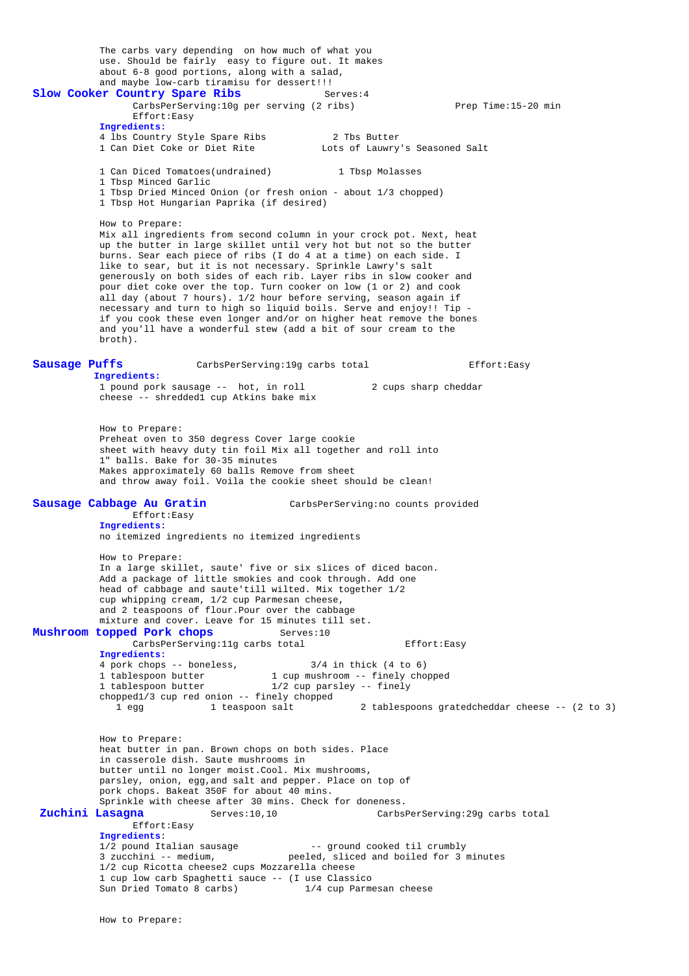The carbs vary depending on how much of what you use. Should be fairly easy to figure out. It makes about 6-8 good portions, along with a salad, and maybe low-carb tiramisu for dessert!!! **Slow Cooker Country Spare Ribs** Serves: 4 CarbsPerServing:10g per serving (2 ribs) Prep Time:15-20 min Effort:Easy  **Ingredients:**  4 lbs Country Style Spare Ribs 2 Tbs Butter 1 Can Diet Coke or Diet Rite Lots of Lauwry's Seasoned Salt 1 Can Diced Tomatoes(undrained) 1 Tbsp Molasses 1 Tbsp Minced Garlic 1 Tbsp Dried Minced Onion (or fresh onion - about 1/3 chopped) 1 Tbsp Hot Hungarian Paprika (if desired) How to Prepare: Mix all ingredients from second column in your crock pot. Next, heat up the butter in large skillet until very hot but not so the butter burns. Sear each piece of ribs (I do 4 at a time) on each side. I like to sear, but it is not necessary. Sprinkle Lawry's salt generously on both sides of each rib. Layer ribs in slow cooker and pour diet coke over the top. Turn cooker on low (1 or 2) and cook all day (about 7 hours). 1/2 hour before serving, season again if necessary and turn to high so liquid boils. Serve and enjoy!! Tip if you cook these even longer and/or on higher heat remove the bones and you'll have a wonderful stew (add a bit of sour cream to the broth). **Sausage Puffs CarbsPerServing:19g carbs total** Effort:Easy  **Ingredients:**  1 pound pork sausage -- hot, in roll 2 cups sharp cheddar cheese -- shredded1 cup Atkins bake mix How to Prepare: Preheat oven to 350 degress Cover large cookie sheet with heavy duty tin foil Mix all together and roll into 1" balls. Bake for 30-35 minutes Makes approximately 60 balls Remove from sheet and throw away foil. Voila the cookie sheet should be clean! Sausage Cabbage Au Gratin CarbsPerServing:no counts provided Effort:Easy  **Ingredients:**  no itemized ingredients no itemized ingredients How to Prepare: In a large skillet, saute' five or six slices of diced bacon. Add a package of little smokies and cook through. Add one head of cabbage and saute'till wilted. Mix together 1/2 cup whipping cream, 1/2 cup Parmesan cheese, and 2 teaspoons of flour.Pour over the cabbage mixture and cover. Leave for 15 minutes till set. **Mushroom topped Pork chops** Serves:10 CarbsPerServing:11q carbs total Effort:Easy  **Ingredients:**  4 pork chops -- boneless, 3/4 in thick (4 to 6) 1 tablespoon butter 1 cup mushroom -- finely chopped 1 tablespoon butter 1/2 cup parsley -- finely chopped1/3 cup red onion -- finely chopped 1 egg 1 teaspoon salt 2 tablespoons gratedcheddar cheese -- (2 to 3) How to Prepare: heat butter in pan. Brown chops on both sides. Place in casserole dish. Saute mushrooms in butter until no longer moist.Cool. Mix mushrooms, parsley, onion, egg,and salt and pepper. Place on top of pork chops. Bakeat 350F for about 40 mins. Sprinkle with cheese after 30 mins. Check for doneness. **Zuchini Lasagna** Serves:10,10 CarbsPerServing:29g carbs total Effort:Easy **Ingredients**: 1/2 pound Italian sausage  $\begin{array}{ccc} -- & \text{ground code } \text{til} \text{cr} \\ 3 & \text{zucchini } -- \text{ medium,} \end{array}$ peeled, sliced and boiled for 3 minutes 1/2 cup Ricotta cheese2 cups Mozzarella cheese 1 cup low carb Spaghetti sauce -- (I use Classico<br>Sun Dried Tomato 8 carbs) 1/4 cup Parmesan cheese Sun Dried Tomato 8 carbs) How to Prepare: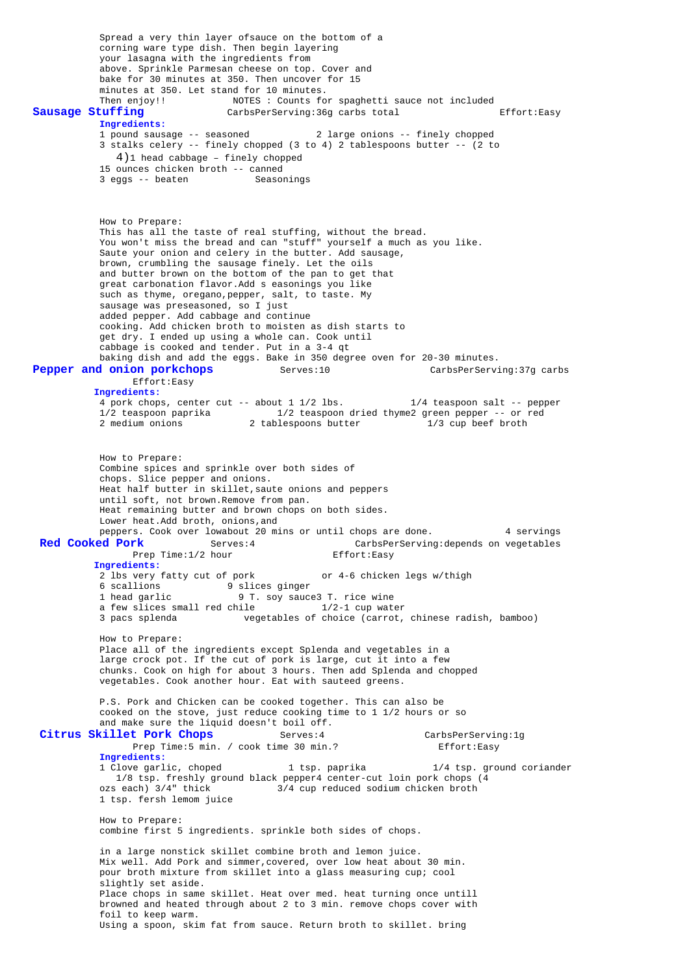```
 Spread a very thin layer ofsauce on the bottom of a 
            corning ware type dish. Then begin layering 
            your lasagna with the ingredients from 
            above. Sprinkle Parmesan cheese on top. Cover and 
            bake for 30 minutes at 350. Then uncover for 15 
            minutes at 350. Let stand for 10 minutes. 
           Then enjoy!! NOTES : Counts for spaghetti sauce not included
Sausage Stuffing CarbsPerServing:36g carbs total Effort:Easy
            Ingredients: 
                                                2 large onions -- finely chopped
            3 stalks celery -- finely chopped (3 to 4) 2 tablespoons butter -- (2 to 
               4)1 head cabbage – finely chopped 
            15 ounces chicken broth -- canned 
            3 eggs -- beaten Seasonings 
            How to Prepare: 
            This has all the taste of real stuffing, without the bread. 
            You won't miss the bread and can "stuff" yourself a much as you like. 
            Saute your onion and celery in the butter. Add sausage, 
            brown, crumbling the sausage finely. Let the oils 
            and butter brown on the bottom of the pan to get that 
            great carbonation flavor.Add s easonings you like 
            such as thyme, oregano,pepper, salt, to taste. My 
            sausage was preseasoned, so I just 
            added pepper. Add cabbage and continue 
            cooking. Add chicken broth to moisten as dish starts to 
            get dry. I ended up using a whole can. Cook until 
            cabbage is cooked and tender. Put in a 3-4 qt 
            baking dish and add the eggs. Bake in 350 degree oven for 20-30 minutes. 
Pepper and onion porkchops Serves:10 Serves:10 CarbsPerServing:37g carbs
                 Effort:Easy 
           Ingredients: 
           4 pork chops, center cut -- about 1 1/2 lbs. 1/4 teaspoon salt -- pepper 1/2 teaspoon paprika 1/2 teaspoon dried thyme2 green pepper -- or red
 1/2 teaspoon paprika 1/2 teaspoon dried thyme2 green pepper -- or red 
 2 medium onions 2 tablespoons butter 1/3 cup beef broth 
            How to Prepare: 
            Combine spices and sprinkle over both sides of 
            chops. Slice pepper and onions. 
            Heat half butter in skillet,saute onions and peppers 
            until soft, not brown.Remove from pan. 
            Heat remaining butter and brown chops on both sides. 
            Lower heat.Add broth, onions,and 
            peppers. Cook over lowabout 20 mins or until chops are done. 4 servings 
 Red Cooked Pork Serves:4 CarbsPerServing:depends on vegetables<br>Prep Time:1/2 hour Effort:Easy
                Prep Time:1/2 hour
           Ingredients: 
 2 lbs very fatty cut of pork or 4-6 chicken legs w/thigh 
 6 scallions 9 slices ginger 
 1 head garlic 9 T. soy sauce3 T. rice wine 
           a few slices small red chile 1/2-1 cup water<br>3 pacs splenda vegetables of choice (carrot,
                                   vegetables of choice (carrot, chinese radish, bamboo)
            How to Prepare: 
            Place all of the ingredients except Splenda and vegetables in a 
            large crock pot. If the cut of pork is large, cut it into a few 
            chunks. Cook on high for about 3 hours. Then add Splenda and chopped 
            vegetables. Cook another hour. Eat with sauteed greens. 
            P.S. Pork and Chicken can be cooked together. This can also be 
            cooked on the stove, just reduce cooking time to 1 1/2 hours or so 
            and make sure the liquid doesn't boil off. 
 Citrus Skillet Pork Chops Serves:4 CarbsPerServing:1g
                 Prep Time:5 min. / cook time 30 min.? The Effort:Easy
            Ingredients: 
            1 Clove garlic, choped 1 tsp. paprika 1/4 tsp. ground coriander 
              1/8 tsp. freshly ground black pepper4 center-cut loin pork chops (4 
           ozs each) 3/4" thick 3/4 cup reduced sodium chicken broth
            1 tsp. fersh lemom juice 
            How to Prepare: 
            combine first 5 ingredients. sprinkle both sides of chops. 
            in a large nonstick skillet combine broth and lemon juice. 
            Mix well. Add Pork and simmer,covered, over low heat about 30 min. 
            pour broth mixture from skillet into a glass measuring cup; cool 
            slightly set aside. 
            Place chops in same skillet. Heat over med. heat turning once untill 
            browned and heated through about 2 to 3 min. remove chops cover with 
            foil to keep warm. 
            Using a spoon, skim fat from sauce. Return broth to skillet. bring
```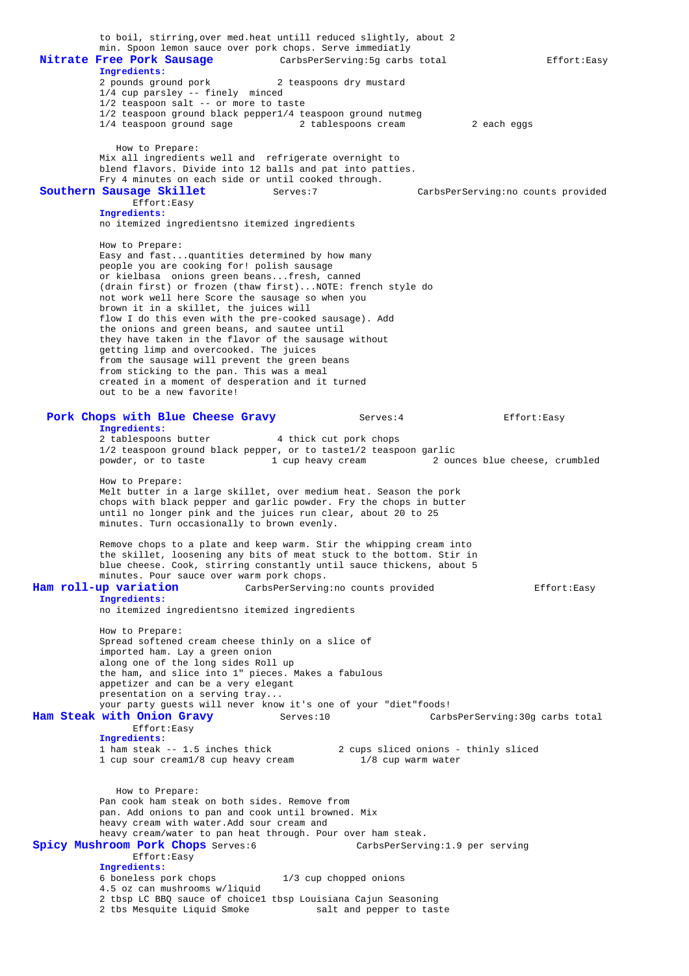to boil, stirring,over med.heat untill reduced slightly, about 2 min. Spoon lemon sauce over pork chops. Serve immediatly Nitrate Free Pork Sausage **CarbsPerServing:**5g carbs total **Example 2016** Effort:Easy **Ingredients:**  2 teaspoons dry mustard 1/4 cup parsley -- finely minced 1/2 teaspoon salt -- or more to taste 1/2 teaspoon ground black pepper1/4 teaspoon ground nutmeg 1/4 teaspoon ground sage 2 tablespoons cream 2 each eggs How to Prepare: Mix all ingredients well and refrigerate overnight to blend flavors. Divide into 12 balls and pat into patties. Fry 4 minutes on each side or until cooked through. **Southern Sausage Skillet** Serves:7 CarbsPerServing:no counts provided Effort: Easy  **Ingredients:**  no itemized ingredientsno itemized ingredients How to Prepare: Easy and fast...quantities determined by how many people you are cooking for! polish sausage or kielbasa onions green beans...fresh, canned (drain first) or frozen (thaw first)...NOTE: french style do not work well here Score the sausage so when you brown it in a skillet, the juices will flow I do this even with the pre-cooked sausage). Add the onions and green beans, and sautee until they have taken in the flavor of the sausage without getting limp and overcooked. The juices from the sausage will prevent the green beans from sticking to the pan. This was a meal created in a moment of desperation and it turned out to be a new favorite! **Pork Chops with Blue Cheese Gravy** Serves:4 **Effort:Easy Ingredients:**  4 thick cut pork chops 1/2 teaspoon ground black pepper, or to tastel/2 teaspoon garlic<br>powder, or to taste 1 cup heavy cream 2 ounces blue cheese, crumbled powder, or to taste 1 cup heavy cream How to Prepare: Melt butter in a large skillet, over medium heat. Season the pork chops with black pepper and garlic powder. Fry the chops in butter until no longer pink and the juices run clear, about 20 to 25 minutes. Turn occasionally to brown evenly. Remove chops to a plate and keep warm. Stir the whipping cream into the skillet, loosening any bits of meat stuck to the bottom. Stir in blue cheese. Cook, stirring constantly until sauce thickens, about 5 minutes. Pour sauce over warm pork chops. Ham roll-up variation **CarbsPerServing:no counts provided** Effort:Easy **Ingredients:**  no itemized ingredientsno itemized ingredients How to Prepare: Spread softened cream cheese thinly on a slice of imported ham. Lay a green onion along one of the long sides Roll up the ham, and slice into 1" pieces. Makes a fabulous appetizer and can be a very elegant presentation on a serving tray... your party guests will never know it's one of your "diet"foods! **Ham Steak with Onion Gravy** Serves:10 Serves:10 CarbsPerServing:30g carbs total Effort:Easy<br> **Ingredients: Ingredients**: 1 ham steak -- 1.5 inches thick 2 cups sliced onions - thinly sliced 1 cup sour cream1/8 cup heavy cream 1/8 cup warm water How to Prepare: Pan cook ham steak on both sides. Remove from pan. Add onions to pan and cook until browned. Mix heavy cream with water.Add sour cream and heavy cream/water to pan heat through. Pour over ham steak. **Spicy Mushroom Pork Chops** Serves:6 CarbsPerServing:1.9 per serving Effort:Easy **Ingredients:**  6 boneless pork chops 1/3 cup chopped onions 4.5 oz can mushrooms w/liquid 2 tbsp LC BBQ sauce of choice1 tbsp Louisiana Cajun Seasoning 2 tbs Mesquite Liquid Smoke salt and pepper to taste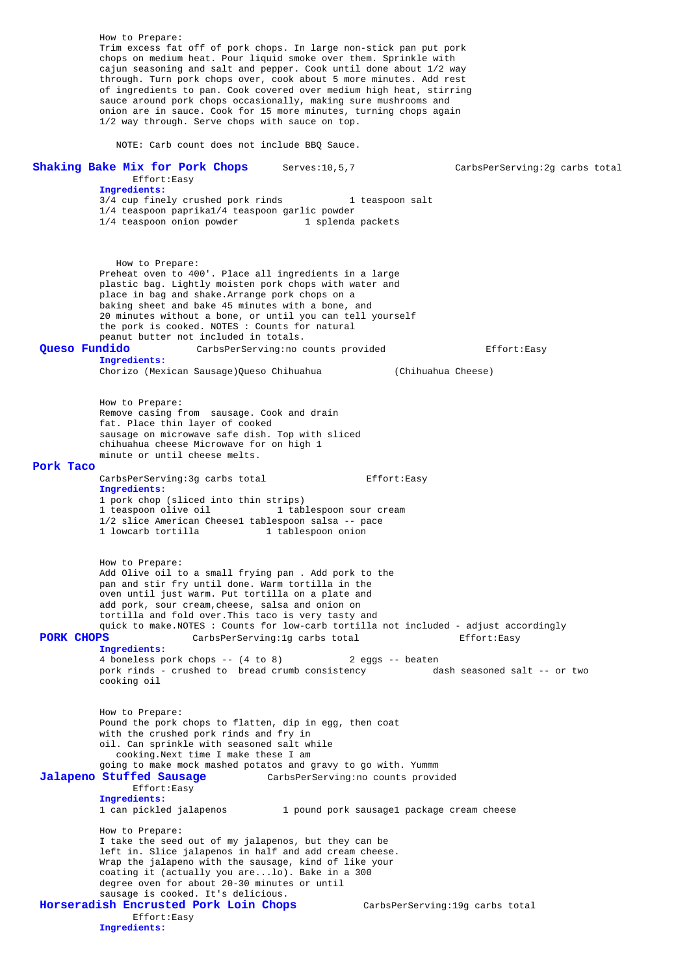How to Prepare: Trim excess fat off of pork chops. In large non-stick pan put pork chops on medium heat. Pour liquid smoke over them. Sprinkle with cajun seasoning and salt and pepper. Cook until done about 1/2 way through. Turn pork chops over, cook about 5 more minutes. Add rest of ingredients to pan. Cook covered over medium high heat, stirring sauce around pork chops occasionally, making sure mushrooms and onion are in sauce. Cook for 15 more minutes, turning chops again 1/2 way through. Serve chops with sauce on top. NOTE: Carb count does not include BBQ Sauce. **Shaking Bake Mix for Pork Chops** Serves:10,5,7 CarbsPerServing:2g carbs total Effort:Easy  **Ingredients:**  3/4 cup finely crushed pork rinds 1 teaspoon salt 1/4 teaspoon paprika1/4 teaspoon garlic powder 1/4 teaspoon onion powder 1 splenda packets How to Prepare: Preheat oven to 400'. Place all ingredients in a large plastic bag. Lightly moisten pork chops with water and place in bag and shake.Arrange pork chops on a baking sheet and bake 45 minutes with a bone, and 20 minutes without a bone, or until you can tell yourself the pork is cooked. NOTES : Counts for natural peanut butter not included in totals.<br>Oueso Fundido CarbsPerServing:no CarbsPerServing:no counts provided examples and Effort:Easy  **Ingredients:**  Chorizo (Mexican Sausage)Queso Chihuahua (Chihuahua Cheese) How to Prepare: Remove casing from sausage. Cook and drain fat. Place thin layer of cooked sausage on microwave safe dish. Top with sliced chihuahua cheese Microwave for on high 1 minute or until cheese melts. **Pork Taco**  CarbsPerServing:3g carbs total Effort:Easy  **Ingredients:**  1 pork chop (sliced into thin strips) 1 teaspoon olive oil 1 tablespoon sour cream 1/2 slice American Cheese1 tablespoon salsa -- pace 1 tablespoon onion How to Prepare: Add Olive oil to a small frying pan . Add pork to the pan and stir fry until done. Warm tortilla in the oven until just warm. Put tortilla on a plate and add pork, sour cream,cheese, salsa and onion on tortilla and fold over.This taco is very tasty and quick to make.NOTES : Counts for low-carb tortilla not included - adjust accordingly **PORK CHOPS** CarbsPerServing:1g carbs total Effort:Easy **Ingredients:**  4 boneless pork chops -- (4 to 8) 2 eggs -- beaten<br>pork rinds - crushed to bread crumb consistency dash seasoned salt -- or two pork rinds - crushed to bread crumb consistency dash seasoned salt -- or two cooking oil How to Prepare: Pound the pork chops to flatten, dip in egg, then coat with the crushed pork rinds and fry in oil. Can sprinkle with seasoned salt while cooking.Next time I make these I am going to make mock mashed potatos and gravy to go with. Yummm **Jalapeno Stuffed Sausage** CarbsPerServing:no counts provided Effort:Easy **Ingredients:**  1 can pickled jalapenos 1 pound pork sausage1 package cream cheese How to Prepare: I take the seed out of my jalapenos, but they can be left in. Slice jalapenos in half and add cream cheese. Wrap the jalapeno with the sausage, kind of like your coating it (actually you are...lo). Bake in a 300 degree oven for about 20-30 minutes or until sausage is cooked. It's delicious. **Horseradish Encrusted Pork Loin Chops** CarbsPerServing:19g carbs total Effort:Easy **Ingredients:**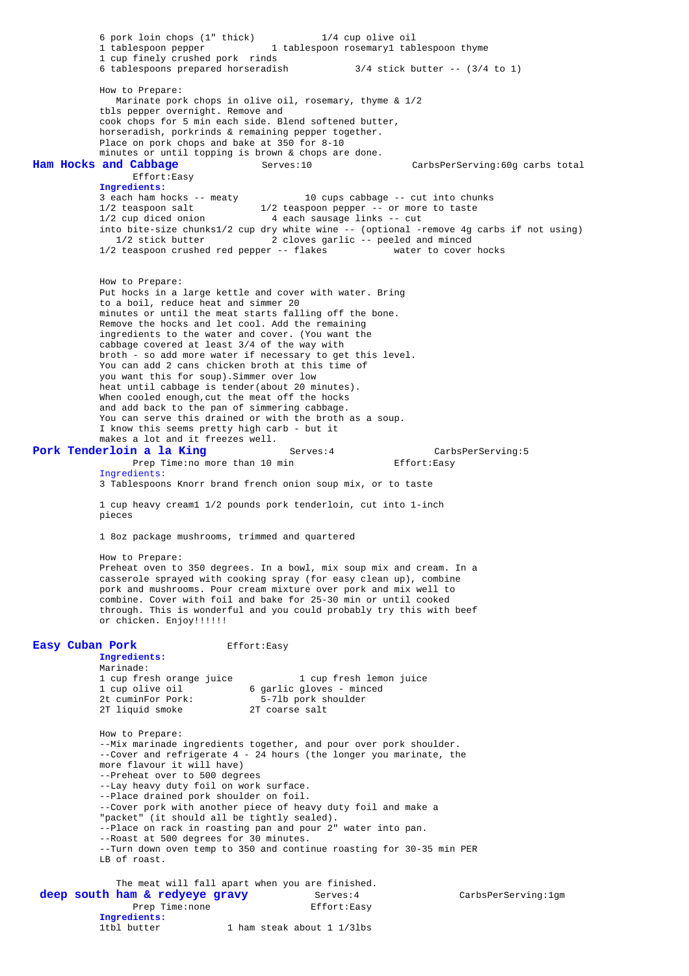6 pork loin chops (1" thick) 1/4 cup olive oil 1 tablespoon pepper 1 tablespoon rosemary1 tablespoon thyme 1 cup finely crushed pork rinds 6 tablespoons prepared horseradish 3/4 stick butter -- (3/4 to 1) How to Prepare: Marinate pork chops in olive oil, rosemary, thyme & 1/2 tbls pepper overnight. Remove and cook chops for 5 min each side. Blend softened butter, horseradish, porkrinds & remaining pepper together. Place on pork chops and bake at 350 for 8-10 minutes or until topping is brown & chops are done. Ham Hocks and Cabbage Serves:10 CarbsPerServing:60g carbs total Effort:Easy **Ingredients:**  3 each ham hocks -- meaty 10 cups cabbage -- cut into chunks 1/2 teaspoon salt 1/2 teaspoon pepper -- or more to taste 1/2 cup diced onion 4 each sausage links -- cut into bite-size chunks1/2 cup dry white wine -- (optional -remove 4g carbs if not using) 1/2 stick butter 2 cloves garlic -- peeled and minced  $1/2$  teaspoon crushed red pepper -- flakes How to Prepare: Put hocks in a large kettle and cover with water. Bring to a boil, reduce heat and simmer 20 minutes or until the meat starts falling off the bone. Remove the hocks and let cool. Add the remaining ingredients to the water and cover. (You want the cabbage covered at least 3/4 of the way with broth - so add more water if necessary to get this level. You can add 2 cans chicken broth at this time of you want this for soup).Simmer over low heat until cabbage is tender(about 20 minutes). When cooled enough, cut the meat off the hocks and add back to the pan of simmering cabbage. You can serve this drained or with the broth as a soup. I know this seems pretty high carb - but it makes a lot and it freezes well. **Pork Tenderloin a la King** Serves:4 CarbsPerServing:5<br>Prep Time:no more than 10 min Effort:Easy Prep Time:no more than 10 min Ingredients: 3 Tablespoons Knorr brand french onion soup mix, or to taste 1 cup heavy cream1 1/2 pounds pork tenderloin, cut into 1-inch pieces 1 8oz package mushrooms, trimmed and quartered How to Prepare: Preheat oven to 350 degrees. In a bowl, mix soup mix and cream. In a casserole sprayed with cooking spray (for easy clean up), combine pork and mushrooms. Pour cream mixture over pork and mix well to combine. Cover with foil and bake for 25-30 min or until cooked through. This is wonderful and you could probably try this with beef or chicken. Enjoy!!!!!! **Easy Cuban Pork Effort:Easy Ingredients:**  Marinade: 1 cup fresh orange juice 1 cup fresh lemon juice 1 cup olive oil 6 garlic gloves - minced 2t cuminFor Pork: 5-71b pork shoulder<br>2T liquid smoke 2T coarse salt 2T coarse salt How to Prepare: --Mix marinade ingredients together, and pour over pork shoulder. --Cover and refrigerate 4 - 24 hours (the longer you marinate, the more flavour it will have) --Preheat over to 500 degrees --Lay heavy duty foil on work surface. --Place drained pork shoulder on foil. --Cover pork with another piece of heavy duty foil and make a "packet" (it should all be tightly sealed). --Place on rack in roasting pan and pour 2" water into pan. --Roast at 500 degrees for 30 minutes. --Turn down oven temp to 350 and continue roasting for 30-35 min PER LB of roast. The meat will fall apart when you are finished. **deep south ham & redyeye gravy** Serves:4 CarbsPerServing:1gm<br>Prep Time:none Bifort:Easy Prep Time: none **Ingredients:**  1 ham steak about 1 1/3lbs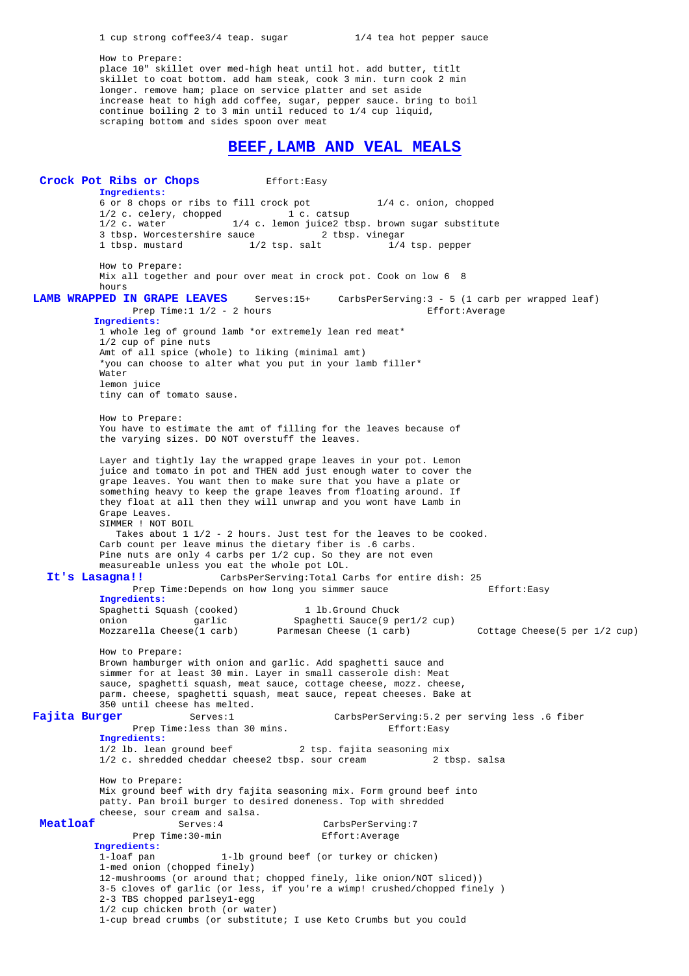How to Prepare: place 10" skillet over med-high heat until hot. add butter, titlt skillet to coat bottom. add ham steak, cook 3 min. turn cook 2 min longer. remove ham; place on service platter and set aside increase heat to high add coffee, sugar, pepper sauce. bring to boil continue boiling 2 to 3 min until reduced to 1/4 cup liquid, scraping bottom and sides spoon over meat **BEEF,LAMB AND VEAL MEALS**

**Crock Pot Ribs or Chops** Effort:Easy  **Ingredients:**  6 or 8 chops or ribs to fill crock pot 1/4 c. onion, chopped 1/2 c. celery, chopped 1 c. catsup 1/2 c. water 1/4 c. lemon juice2 tbsp. brown sugar substitute 3 tbsp. Worcestershire sauce 2 tbsp. vinegar 1 tbsp. mustard 1/2 tsp. salt 1/4 tsp. pepper How to Prepare: Mix all together and pour over meat in crock pot. Cook on low 6 8 hours **LAMB WRAPPED IN GRAPE LEAVES** Serves:15+ CarbsPerServing:3 - 5 (1 carb per wrapped leaf) Prep Time:1 1/2 - 2 hours Effort:Average **Ingredients:**  1 whole leg of ground lamb \*or extremely lean red meat\* 1/2 cup of pine nuts Amt of all spice (whole) to liking (minimal amt) \*you can choose to alter what you put in your lamb filler\* Water lemon juice tiny can of tomato sause. How to Prepare: You have to estimate the amt of filling for the leaves because of the varying sizes. DO NOT overstuff the leaves. Layer and tightly lay the wrapped grape leaves in your pot. Lemon juice and tomato in pot and THEN add just enough water to cover the grape leaves. You want then to make sure that you have a plate or something heavy to keep the grape leaves from floating around. If they float at all then they will unwrap and you wont have Lamb in Grape Leaves. SIMMER ! NOT BOIL Takes about  $1 \frac{1}{2} - 2$  hours. Just test for the leaves to be cooked. Carb count per leave minus the dietary fiber is .6 carbs. Pine nuts are only 4 carbs per 1/2 cup. So they are not even measureable unless you eat the whole pot LOL. **It's Lasagna!!** CarbsPerServing:Total Carbs for entire dish: 25<br>Prep. Time:Depends on how long you simmer sauce **Effort:Easy** Prep Time:Depends on how long you simmer sauce  **Ingredients:**  Spaghetti Squash (cooked) 1 lb.Ground Chuck onion garlic Spaghetti Sauce(9 per1/2 cup) Mozzarella Cheese(1 carb) Parmesan Cheese (1 carb) Cottage Cheese(5 per 1/2 cup) How to Prepare: Brown hamburger with onion and garlic. Add spaghetti sauce and simmer for at least 30 min. Layer in small casserole dish: Meat sauce, spaghetti squash, meat sauce, cottage cheese, mozz. cheese, parm. cheese, spaghetti squash, meat sauce, repeat cheeses. Bake at 350 until cheese has melted. **Fajita Burger** Serves:1 CarbsPerServing:5.2 per serving less .6 fiber Prep Time: less than 30 mins. The effort: Easy  **Ingredients:**  1/2 lb. lean ground beef 2 tsp. fajita seasoning mix 1/2 c. shredded cheddar cheese2 tbsp. sour cream 2 tbsp. salsa How to Prepare: Mix ground beef with dry fajita seasoning mix. Form ground beef into patty. Pan broil burger to desired doneness. Top with shredded cheese, sour cream and salsa. **Meatloaf** Serves:4 CarbsPerServing:7 Prep Time: 30-min Effort: Average **Ingredients:**  1-lb ground beef (or turkey or chicken) 1-med onion (chopped finely) 12-mushrooms (or around that; chopped finely, like onion/NOT sliced)) 3-5 cloves of garlic (or less, if you're a wimp! crushed/chopped finely ) 2-3 TBS chopped parlsey1-egg 1/2 cup chicken broth (or water) 1-cup bread crumbs (or substitute; I use Keto Crumbs but you could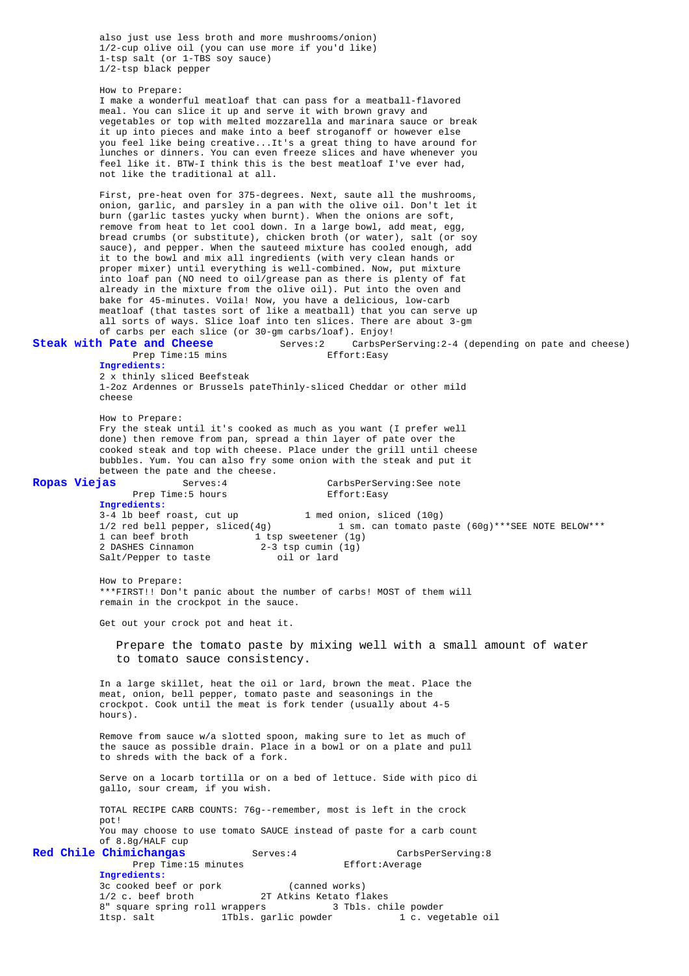also just use less broth and more mushrooms/onion) 1/2-cup olive oil (you can use more if you'd like) 1-tsp salt (or 1-TBS soy sauce) 1/2-tsp black pepper How to Prepare: I make a wonderful meatloaf that can pass for a meatball-flavored meal. You can slice it up and serve it with brown gravy and vegetables or top with melted mozzarella and marinara sauce or break it up into pieces and make into a beef stroganoff or however else you feel like being creative...It's a great thing to have around for lunches or dinners. You can even freeze slices and have whenever you feel like it. BTW-I think this is the best meatloaf I've ever had, not like the traditional at all. First, pre-heat oven for 375-degrees. Next, saute all the mushrooms, onion, garlic, and parsley in a pan with the olive oil. Don't let it burn (garlic tastes yucky when burnt). When the onions are soft, remove from heat to let cool down. In a large bowl, add meat, egg, bread crumbs (or substitute), chicken broth (or water), salt (or soy sauce), and pepper. When the sauteed mixture has cooled enough, add it to the bowl and mix all ingredients (with very clean hands or proper mixer) until everything is well-combined. Now, put mixture into loaf pan (NO need to oil/grease pan as there is plenty of fat already in the mixture from the olive oil). Put into the oven and bake for 45-minutes. Voila! Now, you have a delicious, low-carb meatloaf (that tastes sort of like a meatball) that you can serve up all sorts of ways. Slice loaf into ten slices. There are about 3-gm of carbs per each slice (or 30-gm carbs/loaf). Enjoy! **Steak with Pate and Cheese** Serves:2 CarbsPerServing:2-4 (depending on pate and cheese)<br>Prep Time:15 mins Effort:Easy Prep Time:15 mins **Ingredients:**  2 x thinly sliced Beefsteak 1-2oz Ardennes or Brussels pateThinly-sliced Cheddar or other mild cheese How to Prepare: Fry the steak until it's cooked as much as you want (I prefer well done) then remove from pan, spread a thin layer of pate over the cooked steak and top with cheese. Place under the grill until cheese bubbles. Yum. You can also fry some onion with the steak and put it between the pate and the cheese. **Ropas Viejas** Serves:4 CarbsPerServing:See note Prep Time:5 hours Effort:Easy **Ingredients:**  3-4 lb beef roast, cut up 1 med onion, sliced (10g) 1/2 red bell pepper, sliced(4g) 1 sm. can tomato paste (60g)\*\*\*SEE NOTE BELOW\*\*\* 1 can beef broth 1 tsp sweetener (1g) 2 DASHES Cinnamon 2-3 tsp cumin (1g) Salt/Pepper to taste oil or lard How to Prepare: \*\*\*FIRST!! Don't panic about the number of carbs! MOST of them will remain in the crockpot in the sauce. Get out your crock pot and heat it. Prepare the tomato paste by mixing well with a small amount of water to tomato sauce consistency. In a large skillet, heat the oil or lard, brown the meat. Place the meat, onion, bell pepper, tomato paste and seasonings in the crockpot. Cook until the meat is fork tender (usually about 4-5 hours). Remove from sauce w/a slotted spoon, making sure to let as much of the sauce as possible drain. Place in a bowl or on a plate and pull to shreds with the back of a fork. Serve on a locarb tortilla or on a bed of lettuce. Side with pico di gallo, sour cream, if you wish. TOTAL RECIPE CARB COUNTS: 76g--remember, most is left in the crock pot! You may choose to use tomato SAUCE instead of paste for a carb count of 8.8g/HALF cup **Red Chile Chimichangas** Serves: 4 Serves: CarbsPerServing: 8 Prep Time:15 minutes Effort:Average **Ingredients:**  3c cooked beef or pork (canned works) 1/2 c. beef broth 2T Atkins Ketato flakes 8" square spring roll wrappers 3 Tbls. chile powder<br>1 c. vegetable oil 117bls. garlic powder 1 c. vegetable oil 1Tbls. garlic powder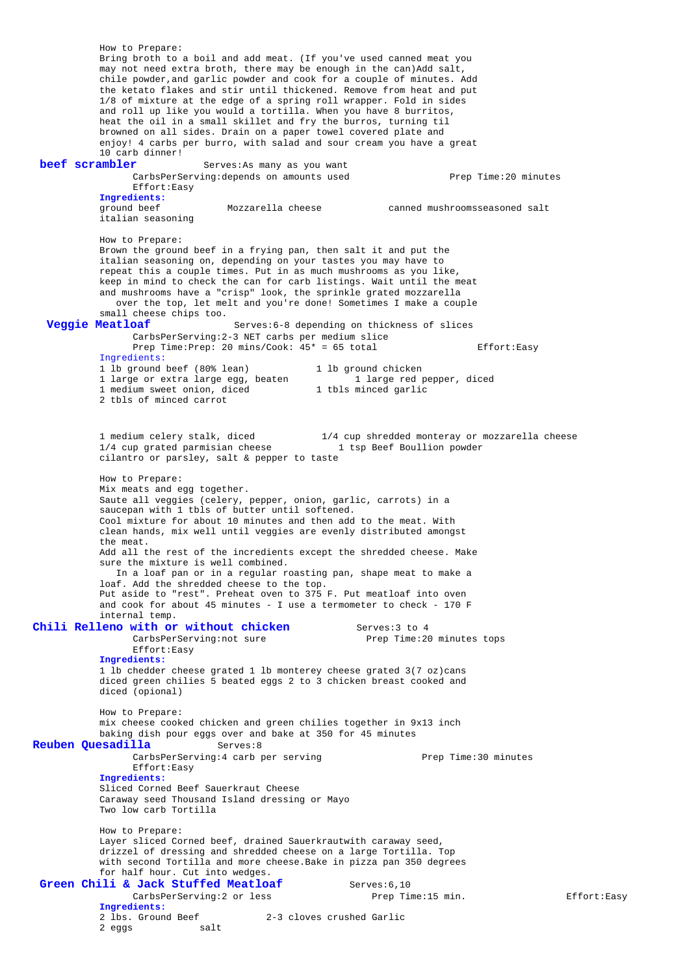How to Prepare: Bring broth to a boil and add meat. (If you've used canned meat you may not need extra broth, there may be enough in the can)Add salt, chile powder,and garlic powder and cook for a couple of minutes. Add the ketato flakes and stir until thickened. Remove from heat and put 1/8 of mixture at the edge of a spring roll wrapper. Fold in sides and roll up like you would a tortilla. When you have 8 burritos, heat the oil in a small skillet and fry the burros, turning til browned on all sides. Drain on a paper towel covered plate and enjoy! 4 carbs per burro, with salad and sour cream you have a great 10 carb dinner! **beef scrambler** Serves: As many as you want CarbsPerServing:depends on amounts used Prep Time:20 minutes Effort:Easy **Ingredients:**  Mozzarella cheese external canned mushroomsseasoned salt italian seasoning How to Prepare: Brown the ground beef in a frying pan, then salt it and put the italian seasoning on, depending on your tastes you may have to repeat this a couple times. Put in as much mushrooms as you like, keep in mind to check the can for carb listings. Wait until the meat and mushrooms have a "crisp" look, the sprinkle grated mozzarella over the top, let melt and you're done! Sometimes I make a couple small cheese chips too. **Veggie Meatloaf** Serves:6-8 depending on thickness of slices CarbsPerServing:2-3 NET carbs per medium slice Prep Time:Prep: 20 mins/Cook:  $45* = 65$  total Effort:Easy Ingredients: 1 lb ground beef (80% lean) 1 lb ground chicken 1 large or extra large egg, beaten 1 large red pepper, diced 1 medium sweet onion, diced 1 tbls minced garlic 2 tbls of minced carrot 1 medium celery stalk, diced 1/4 cup shredded monteray or mozzarella cheese 1/4 cup grated parmisian cheese 1 tsp Beef Boullion powder cilantro or parsley, salt & pepper to taste How to Prepare: Mix meats and egg together. Saute all veggies (celery, pepper, onion, garlic, carrots) in a saucepan with 1 tbls of butter until softened. Cool mixture for about 10 minutes and then add to the meat. With clean hands, mix well until veggies are evenly distributed amongst the meat. Add all the rest of the incredients except the shredded cheese. Make sure the mixture is well combined. In a loaf pan or in a regular roasting pan, shape meat to make a loaf. Add the shredded cheese to the top. Put aside to "rest". Preheat oven to 375 F. Put meatloaf into oven and cook for about 45 minutes - I use a termometer to check - 170  $F$  internal temp. **Chili Relleno with or without chicken** Serves:3 to 4 CarbsPerServing:not sure Prep Time:20 minutes tops Effort:Easy  **Ingredients:**  1 lb chedder cheese grated 1 lb monterey cheese grated 3(7 oz)cans diced green chilies 5 beated eggs 2 to 3 chicken breast cooked and diced (opional) How to Prepare: mix cheese cooked chicken and green chilies together in 9x13 inch baking dish pour eggs over and bake at 350 for 45 minutes **Reuben Ouesadilla** Serves:8 CarbsPerServing: 4 carb per serving Prep Time: 30 minutes Effort:Easy **Ingredients:**  Sliced Corned Beef Sauerkraut Cheese Caraway seed Thousand Island dressing or Mayo Two low carb Tortilla How to Prepare: Layer sliced Corned beef, drained Sauerkrautwith caraway seed, drizzel of dressing and shredded cheese on a large Tortilla. Top with second Tortilla and more cheese.Bake in pizza pan 350 degrees for half hour. Cut into wedges. Green Chili & Jack Stuffed Meatloaf Serves:6,10 CarbsPerServing:2 or less extended the Prep Time:15 min. Effort:Easy **Ingredients:**  2-3 cloves crushed Garlic 2 eggs salt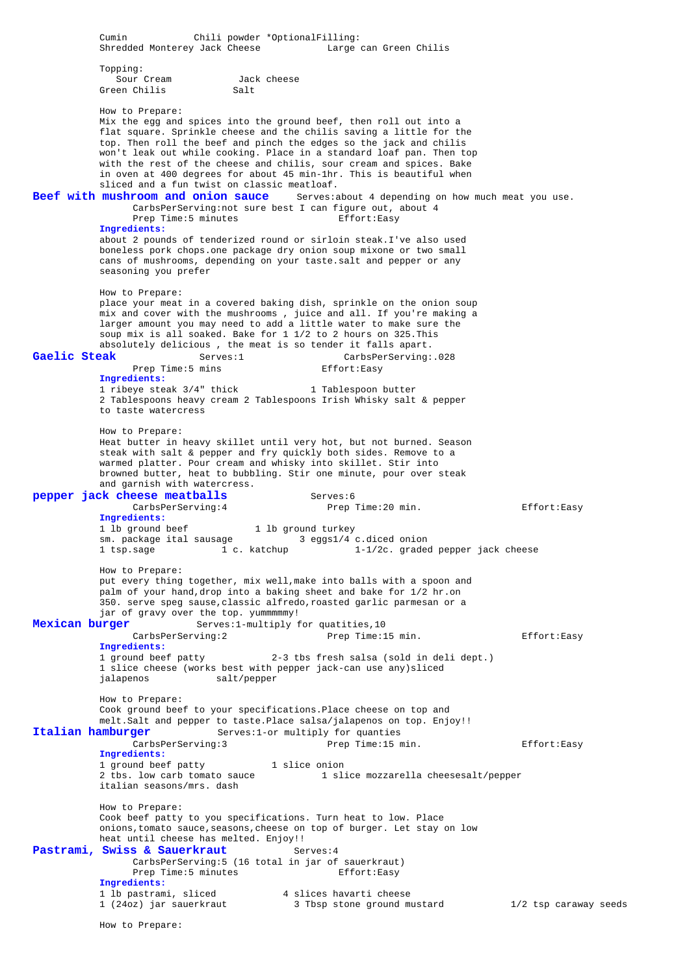Cumin Chili powder \*OptionalFilling:<br>Shredded Monterey Jack Cheese Large can Green Chilis Shredded Monterey Jack Cheese Topping: Sour Cream **Jack** cheese Green Chilis Salt How to Prepare: Mix the egg and spices into the ground beef, then roll out into a flat square. Sprinkle cheese and the chilis saving a little for the top. Then roll the beef and pinch the edges so the jack and chilis won't leak out while cooking. Place in a standard loaf pan. Then top with the rest of the cheese and chilis, sour cream and spices. Bake in oven at 400 degrees for about 45 min-1hr. This is beautiful when sliced and a fun twist on classic meatloaf. Beef with mushroom and onion sauce Serves:about 4 depending on how much meat you use. CarbsPerServing:not sure best I can figure out, about 4 Prep Time:5 minutes Effort:Easy **Ingredients:**  about 2 pounds of tenderized round or sirloin steak.I've also used boneless pork chops.one package dry onion soup mixone or two small cans of mushrooms, depending on your taste.salt and pepper or any seasoning you prefer How to Prepare: place your meat in a covered baking dish, sprinkle on the onion soup mix and cover with the mushrooms , juice and all. If you're making a larger amount you may need to add a little water to make sure the soup mix is all soaked. Bake for 1 1/2 to 2 hours on 325.This absolutely delicious , the meat is so tender it falls apart. **Gaelic Steak** Serves:1 CarbsPerServing:.028 Prep Time:5 mins Effort:Easy  **Ingredients:**  1 ribeye steak 3/4" thick 1 Tablespoon butter 2 Tablespoons heavy cream 2 Tablespoons Irish Whisky salt & pepper to taste watercress How to Prepare: Heat butter in heavy skillet until very hot, but not burned. Season steak with salt & pepper and fry quickly both sides. Remove to a warmed platter. Pour cream and whisky into skillet. Stir into browned butter, heat to bubbling. Stir one minute, pour over steak and garnish with watercress. **pepper jack cheese meatballs** Serves:6 CarbsPerServing:4 Prep Time:20 min. Effort:Easy  **Ingredients:**  1 lb ground beef 1 lb ground turkey sm. package ital sausage 3 eggs1/4 c.diced onion 1 tsp.sage 1 c. katchup 1-1/2c. graded pepper jack cheese How to Prepare: put every thing together, mix well,make into balls with a spoon and palm of your hand,drop into a baking sheet and bake for 1/2 hr.on 350. serve speg sause,classic alfredo,roasted garlic parmesan or a jar of gravy over the top. yummmmmy!<br>**Mexican burger** Serves:1-multiply f **Mexican burger** Serves:1-multiply for quatities,10 CarbsPerServing:2 Prep Time:15 min. Effort:Easy **Ingredients:**   $2-3$  tbs fresh salsa (sold in deli dept.) 1 slice cheese (works best with pepper jack-can use any)sliced jalapenos salt/pepper How to Prepare: Cook ground beef to your specifications.Place cheese on top and melt.Salt and pepper to taste.Place salsa/jalapenos on top. Enjoy!! **Italian hamburger** Serves:1-or multiply for quanties CarbsPerServing:3 Prep Time:15 min. Effort:Easy **Ingredients:**  1 ground beef patty 1 slice onion<br>2 tbs. low carb tomato sauce 1 sl: 1 slice mozzarella cheesesalt/pepper italian seasons/mrs. dash How to Prepare: Cook beef patty to you specifications. Turn heat to low. Place onions,tomato sauce,seasons,cheese on top of burger. Let stay on low heat until cheese has melted. Enjoy!! Pastrami, Swiss & Sauerkraut Serves: 4 CarbsPerServing:5 (16 total in jar of sauerkraut) Prep Time:5 minutes entitled and the Effort:Easy **Ingredients:**  1 lb pastrami, sliced 4 slices havarti cheese 1 (24oz) jar sauerkraut 3 Tbsp stone ground mustard 1/2 tsp caraway seeds How to Prepare: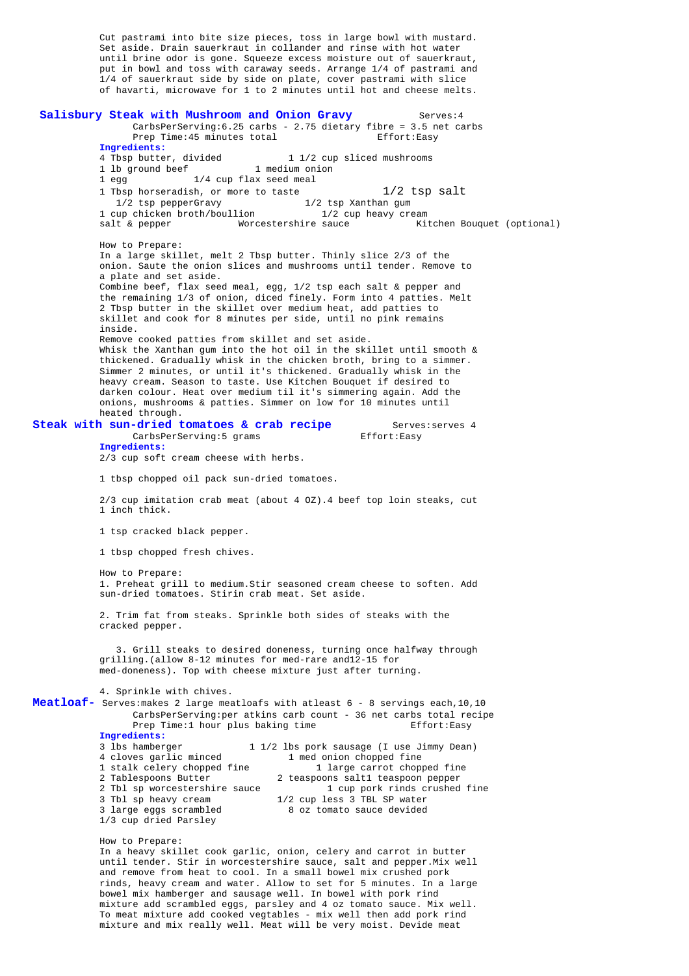Set aside. Drain sauerkraut in collander and rinse with hot water until brine odor is gone. Squeeze excess moisture out of sauerkraut, put in bowl and toss with caraway seeds. Arrange 1/4 of pastrami and 1/4 of sauerkraut side by side on plate, cover pastrami with slice of havarti, microwave for 1 to 2 minutes until hot and cheese melts. **Salisbury Steak with Mushroom and Onion Gravy** Serves: 4 CarbsPerServing:6.25 carbs - 2.75 dietary fibre = 3.5 net carbs Prep Time:45 minutes total Effort:Easy **Ingredients:**  4 Tbsp butter, divided 1 1/2 cup sliced mushrooms<br>1 lb ground beef 1 medium onion  $\frac{1}{1}$  medium onion  $1 \text{ eq}$   $1/4 \text{ cup flux seed meal}$ 1 Tbsp horseradish, or more to taste 1/2 tsp salt 1/2 tsp salt 1/2 tsp pepperGravy 1/2 tsp Xanthan gum 1 cup chicken broth/boullion 1/2 cup heavy cream salt & pepper Worcestershire sauce Kitchen Bouquet (optional) How to Prepare: In a large skillet, melt 2 Tbsp butter. Thinly slice 2/3 of the onion. Saute the onion slices and mushrooms until tender. Remove to a plate and set aside. Combine beef, flax seed meal, egg, 1/2 tsp each salt & pepper and the remaining 1/3 of onion, diced finely. Form into 4 patties. Melt 2 Tbsp butter in the skillet over medium heat, add patties to skillet and cook for 8 minutes per side, until no pink remains inside. Remove cooked patties from skillet and set aside. Whisk the Xanthan gum into the hot oil in the skillet until smooth & thickened. Gradually whisk in the chicken broth, bring to a simmer. Simmer 2 minutes, or until it's thickened. Gradually whisk in the heavy cream. Season to taste. Use Kitchen Bouquet if desired to darken colour. Heat over medium til it's simmering again. Add the onions, mushrooms & patties. Simmer on low for 10 minutes until heated through. **Steak with sun-dried tomatoes & crab recipe** Serves: Serves 4<br>CarbsPerServing:5 grams Bffort: Easy CarbsPerServing:5 grams  **Ingredients:**  2/3 cup soft cream cheese with herbs. 1 tbsp chopped oil pack sun-dried tomatoes. 2/3 cup imitation crab meat (about 4 OZ).4 beef top loin steaks, cut 1 inch thick. 1 tsp cracked black pepper. 1 tbsp chopped fresh chives. How to Prepare: 1. Preheat grill to medium.Stir seasoned cream cheese to soften. Add sun-dried tomatoes. Stirin crab meat. Set aside. 2. Trim fat from steaks. Sprinkle both sides of steaks with the cracked pepper. 3. Grill steaks to desired doneness, turning once halfway through grilling.(allow 8-12 minutes for med-rare and12-15 for med-doneness). Top with cheese mixture just after turning. 4. Sprinkle with chives. **Meatloaf-** Serves:makes 2 large meatloafs with atleast 6 - 8 servings each,10,10 CarbsPerServing:per atkins carb count - 36 net carbs total recipe Prep Time:1 hour plus baking time Effort:Easy **Ingredients:**  3 lbs hamberger 1 1/2 lbs pork sausage (I use Jimmy Dean)<br>4 cloves garlic minced 1 med onion chopped fine 4 cloves garlic minced 1 med onion chopped fine<br>1 stalk celery chopped fine 1 large carrot chop 1 stalk celery chopped fine 1 large carrot chopped fine<br>2 Tablespoons Butter 2 teaspoons saltl teaspoon pepper 2 teaspoons salt1 teaspoon pepper 1 cup pork rinds crushed fine<br>1/2 cup less 3 TBL SP water 3 Tbl sp heavy cream 1/2 cup less 3 TBL SP water 3 large eggs scrambled 8 oz tomato sauce devided 1/3 cup dried Parsley How to Prepare: In a heavy skillet cook garlic, onion, celery and carrot in butter until tender. Stir in worcestershire sauce, salt and pepper.Mix well and remove from heat to cool. In a small bowel mix crushed pork rinds, heavy cream and water. Allow to set for 5 minutes. In a large

Cut pastrami into bite size pieces, toss in large bowl with mustard.

 bowel mix hamberger and sausage well. In bowel with pork rind mixture add scrambled eggs, parsley and 4 oz tomato sauce. Mix well. To meat mixture add cooked vegtables - mix well then add pork rind mixture and mix really well. Meat will be very moist. Devide meat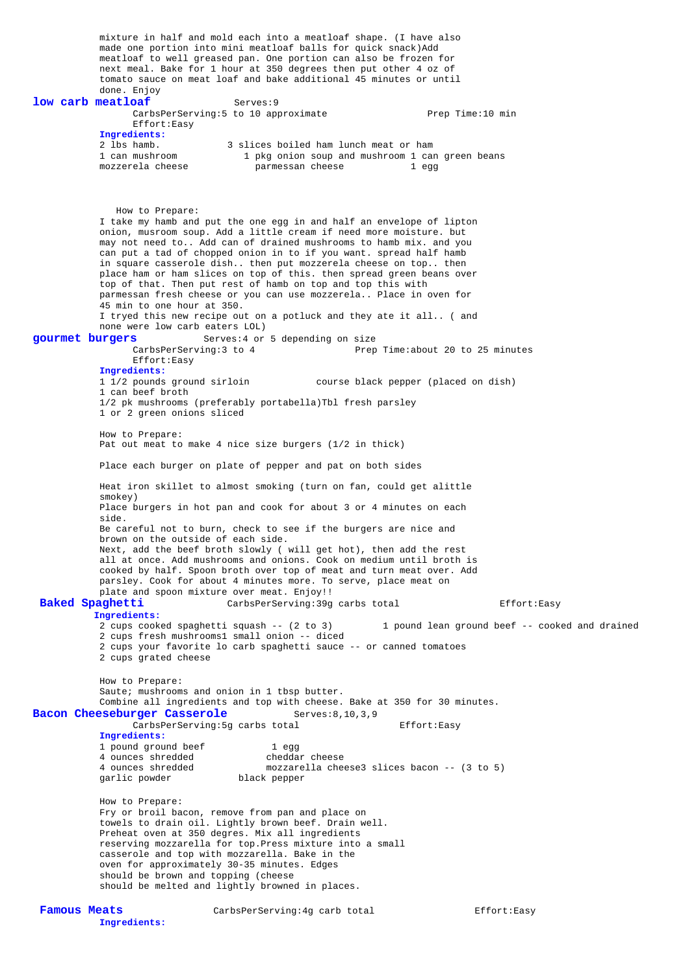mixture in half and mold each into a meatloaf shape. (I have also made one portion into mini meatloaf balls for quick snack)Add meatloaf to well greased pan. One portion can also be frozen for next meal. Bake for 1 hour at 350 degrees then put other 4 oz of tomato sauce on meat loaf and bake additional 45 minutes or until done. Enjoy **low carb meatloaf** Serves:9 CarbsPerServing:5 to 10 approximate Prep Time:10 min Effort:Easy  **Ingredients:**  2 lbs hamb. 3 slices boiled ham lunch meat or ham<br>1 can mushroom 1 pkg onion soup and mushroom 1 can<br>mozzerela cheese parmessan cheese 1 egg 1 pkg onion soup and mushroom 1 can green beans parmessan cheese 1 egg How to Prepare: I take my hamb and put the one egg in and half an envelope of lipton onion, musroom soup. Add a little cream if need more moisture. but may not need to.. Add can of drained mushrooms to hamb mix. and you can put a tad of chopped onion in to if you want. spread half hamb in square casserole dish.. then put mozzerela cheese on top.. then place ham or ham slices on top of this. then spread green beans over top of that. Then put rest of hamb on top and top this with parmessan fresh cheese or you can use mozzerela.. Place in oven for 45 min to one hour at 350. I tryed this new recipe out on a potluck and they ate it all.. ( and none were low carb eaters LOL) **gourmet burgers** Serves: 4 or 5 depending on size<br>CarbsPerServing: 3 to 4 Prep Prep Time:about 20 to 25 minutes Effort:Easy  **Ingredients:**  1 1/2 pounds ground sirloin course black pepper (placed on dish) 1 can beef broth 1/2 pk mushrooms (preferably portabella)Tbl fresh parsley 1 or 2 green onions sliced How to Prepare: Pat out meat to make 4 nice size burgers (1/2 in thick) Place each burger on plate of pepper and pat on both sides Heat iron skillet to almost smoking (turn on fan, could get alittle smokey) Place burgers in hot pan and cook for about 3 or 4 minutes on each side. Be careful not to burn, check to see if the burgers are nice and brown on the outside of each side. Next, add the beef broth slowly ( will get hot), then add the rest all at once. Add mushrooms and onions. Cook on medium until broth is cooked by half. Spoon broth over top of meat and turn meat over. Add parsley. Cook for about 4 minutes more. To serve, place meat on plate and spoon mixture over meat. Enjoy!!<br>Baked Spaghetti CarbsPerServing:39g CarbsPerServing:39g carbs total **Effort:Easy Ingredients:**  2 cups cooked spaghetti squash -- (2 to 3) 1 pound lean ground beef -- cooked and drained 2 cups fresh mushrooms1 small onion -- diced 2 cups your favorite lo carb spaghetti sauce -- or canned tomatoes 2 cups grated cheese How to Prepare: Saute; mushrooms and onion in 1 tbsp butter. Combine all ingredients and top with cheese. Bake at 350 for 30 minutes. Bacon Cheeseburger Casserole Serves: 8, 10, 3, 9 CarbsPerServing:5g carbs total Effort:Easy Ingredients:<br>1 pound ground beef 1 pound ground beef 1 egg 4 ounces shredded cheddar cheese 4 ounces shredded mozzarella cheese3 slices bacon -- (3 to 5) garlic powder black pepper How to Prepare: Fry or broil bacon, remove from pan and place on towels to drain oil. Lightly brown beef. Drain well. Preheat oven at 350 degres. Mix all ingredients reserving mozzarella for top.Press mixture into a small casserole and top with mozzarella. Bake in the oven for approximately 30-35 minutes. Edges should be brown and topping (cheese should be melted and lightly browned in places. **Famous Meats** CarbsPerServing:4g carb total Effort:Easy **Ingredients:**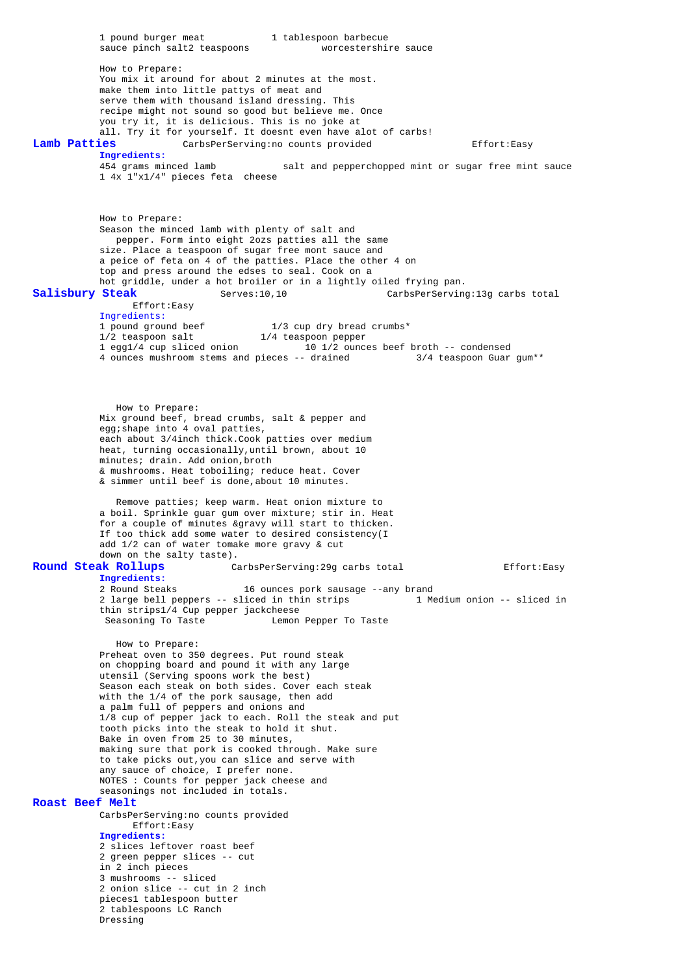```
sauce pinch salt2 teaspoons worcestershire sauce
            How to Prepare: 
             You mix it around for about 2 minutes at the most. 
             make them into little pattys of meat and 
             serve them with thousand island dressing. This 
             recipe might not sound so good but believe me. Once 
            you try it, it is delicious. This is no joke at 
            all. Try it for yourself. It doesnt even have alot of carbs! 
Lamb Patties CarbsPerServing:no counts provided Effort:Easy
             Ingredients: 
             454 grams minced lamb salt and pepperchopped mint or sugar free mint sauce 
            1 4x 1"x1/4" pieces feta cheese 
            How to Prepare: 
            Season the minced lamb with plenty of salt and 
               pepper. Form into eight 2ozs patties all the same 
             size. Place a teaspoon of sugar free mont sauce and 
             a peice of feta on 4 of the patties. Place the other 4 on 
            top and press around the edses to seal. Cook on a 
hot griddle, under a hot broiler or in a lightly oiled frying pan.<br>Salisbury Steak Serves:10,10 CarbsPerServing
                                Serves:10,10 CarbsPerServing:13g carbs total
                  Effort:Easy 
            Ingredients: 
 1 pound ground beef 1/3 cup dry bread crumbs* 
 1/2 teaspoon salt 1/4 teaspoon pepper 
 1 egg1/4 cup sliced onion 10 1/2 ounces beef broth -- condensed 
             4 ounces mushroom stems and pieces -- drained 3/4 teaspoon Guar gum** 
               How to Prepare: 
            Mix ground beef, bread crumbs, salt & pepper and 
            egg; shape into 4 oval patties,
             each about 3/4inch thick.Cook patties over medium 
            heat, turning occasionally,until brown, about 10 
            minutes; drain. Add onion,broth 
            & mushrooms. Heat toboiling; reduce heat. Cover 
            & simmer until beef is done,about 10 minutes. 
               Remove patties; keep warm. Heat onion mixture to 
             a boil. Sprinkle guar gum over mixture; stir in. Heat 
             for a couple of minutes &gravy will start to thicken. 
             If too thick add some water to desired consistency(I 
             add 1/2 can of water tomake more gravy & cut 
             down on the salty taste). 
Round Steak Rollups CarbsPerServing:29q carbs total Effort:Easy
             Ingredients: 
                                     16 ounces pork sausage --any brand
            2 large bell peppers -- sliced in thin strips 1 Medium onion -- sliced in
             thin strips1/4 Cup pepper jackcheese 
            Seasoning To Taste Lemon Pepper To Taste
               How to Prepare: 
            Preheat oven to 350 degrees. Put round steak 
             on chopping board and pound it with any large 
             utensil (Serving spoons work the best) 
             Season each steak on both sides. Cover each steak 
             with the 1/4 of the pork sausage, then add 
             a palm full of peppers and onions and 
             1/8 cup of pepper jack to each. Roll the steak and put tooth picks into the steak to hold it shut. 
             Bake in oven from 25 to 30 minutes, 
            making sure that pork is cooked through. Make sure 
             to take picks out,you can slice and serve with 
             any sauce of choice, I prefer none. 
            NOTES : Counts for pepper jack cheese and 
            seasonings not included in totals. 
Roast Beef Melt 
            CarbsPerServing:no counts provided 
                  Effort:Easy 
             Ingredients: 
             2 slices leftover roast beef 
             2 green pepper slices -- cut 
             in 2 inch pieces 
             3 mushrooms -- sliced 
             2 onion slice -- cut in 2 inch 
             pieces1 tablespoon butter 
             2 tablespoons LC Ranch 
             Dressing
```
1 pound burger meat 1 tablespoon barbecue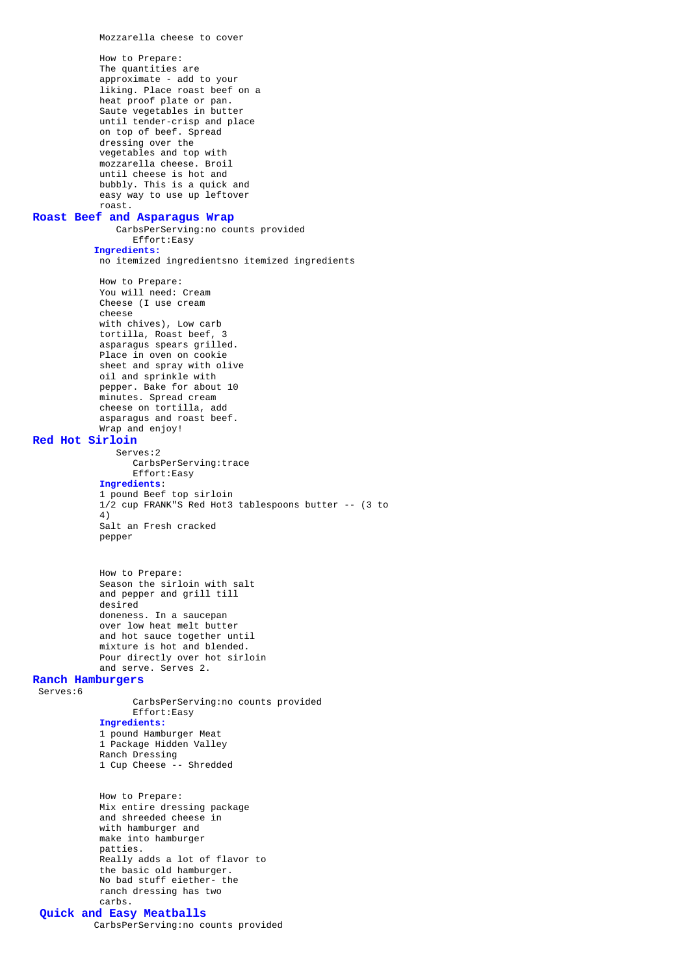```
 How to Prepare: 
            The quantities are
              approximate - add to your 
              liking. Place roast beef on a 
              heat proof plate or pan. 
              Saute vegetables in butter 
              until tender-crisp and place 
              on top of beef. Spread 
              dressing over the 
              vegetables and top with 
              mozzarella cheese. Broil 
              until cheese is hot and 
             bubbly. This is a quick and 
              easy way to use up leftover 
             roast. 
Roast Beef and Asparagus Wrap 
                 CarbsPerServing:no counts provided 
                    Effort:Easy 
             Ingredients: 
             no itemized ingredientsno itemized ingredients 
              How to Prepare: 
              You will need: Cream 
              Cheese (I use cream 
              cheese 
              with chives), Low carb 
              tortilla, Roast beef, 3 
              asparagus spears grilled. 
              Place in oven on cookie 
              sheet and spray with olive 
              oil and sprinkle with 
             pepper. Bake for about 10 
              minutes. Spread cream 
             cheese on tortilla, add 
              asparagus and roast beef. 
              Wrap and enjoy! 
Red Hot Sirloin 
                 Serves:2 
                    CarbsPerServing:trace 
                    Effort:Easy 
              Ingredients: 
              1 pound Beef top sirloin 
              1/2 cup FRANK"S Red Hot3 tablespoons butter -- (3 to 
              4) 
              Salt an Fresh cracked 
             pepper 
              How to Prepare: 
              Season the sirloin with salt 
              and pepper and grill till 
              desired 
             doneness. In a saucepan 
              over low heat melt butter 
              and hot sauce together until 
             mixture is hot and blended. 
              Pour directly over hot sirloin 
             and serve. Serves 2. 
Ranch Hamburgers 
  Serves:6 
                    CarbsPerServing:no counts provided 
                    Effort:Easy 
              Ingredients: 
              1 pound Hamburger Meat 
              1 Package Hidden Valley 
              Ranch Dressing 
              1 Cup Cheese -- Shredded 
              How to Prepare: 
              Mix entire dressing package 
              and shreeded cheese in 
              with hamburger and 
             make into hamburger 
             patties. 
              Really adds a lot of flavor to 
              the basic old hamburger. 
             No bad stuff eiether- the 
             ranch dressing has two 
             carbs. 
  Quick and Easy Meatballs 
            CarbsPerServing:no counts provided
```
Mozzarella cheese to cover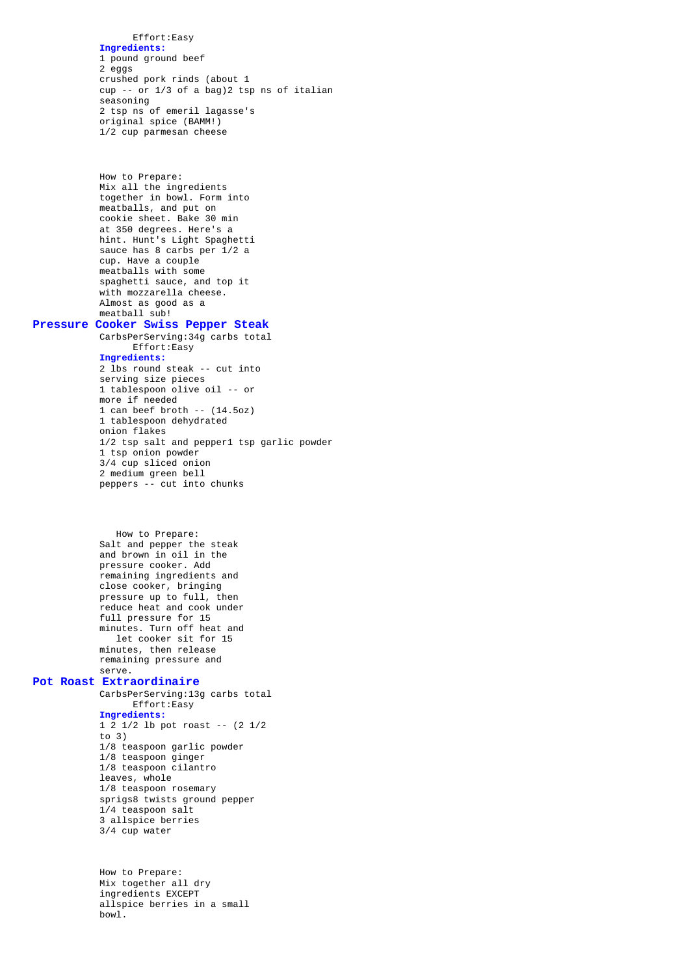Effort:Easy **Ingredients:**  1 pound ground beef  $2 \overline{e}$  eggs crushed pork rinds (about 1 cup -- or 1/3 of a bag)2 tsp ns of italian seasoning 2 tsp ns of emeril lagasse's original spice (BAMM!) 1/2 cup parmesan cheese How to Prepare: Mix all the ingredients together in bowl. Form into meatballs, and put on cookie sheet. Bake 30 min at 350 degrees. Here's a hint. Hunt's Light Spaghetti sauce has 8 carbs per 1/2 a cup. Have a couple meatballs with some spaghetti sauce, and top it with mozzarella cheese. Almost as good as a meatball sub! **Pressure Cooker Swiss Pepper Steak**  CarbsPerServing:34g carbs total Effort:Easy **Ingredients:**  2 lbs round steak -- cut into serving size pieces 1 tablespoon olive oil -- or more if needed 1 can beef broth -- (14.5oz) 1 tablespoon dehydrated onion flakes 1/2 tsp salt and pepper1 tsp garlic powder 1 tsp onion powder 3/4 cup sliced onion 2 medium green bell peppers -- cut into chunks How to Prepare: Salt and pepper the steak and brown in oil in the pressure cooker. Add remaining ingredients and close cooker, bringing pressure up to full, then reduce heat and cook under full pressure for 15 minutes. Turn off heat and let cooker sit for 15 minutes, then release remaining pressure and serve. **Pot Roast Extraordinaire**  CarbsPerServing:13g carbs total Effort:Easy **Ingredients:**  1 2 1/2 lb pot roast -- (2 1/2 to 3) 1/8 teaspoon garlic powder 1/8 teaspoon ginger 1/8 teaspoon cilantro leaves, whole 1/8 teaspoon rosemary sprigs8 twists ground pepper 1/4 teaspoon salt 3 allspice berries 3/4 cup water

> How to Prepare: Mix together all dry ingredients EXCEPT allspice berries in a small bowl.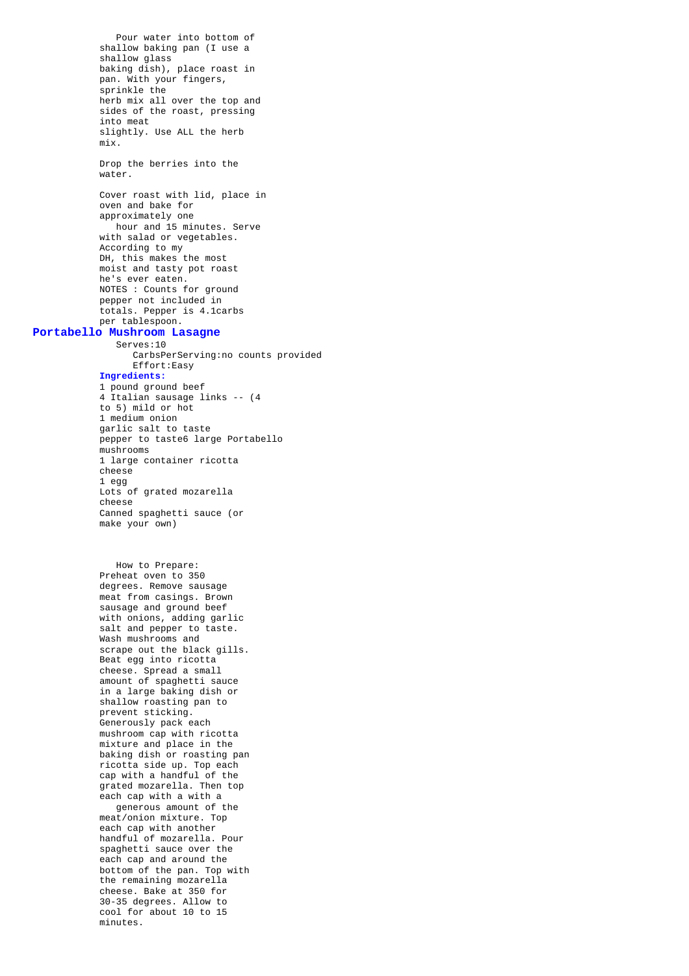Pour water into bottom of shallow baking pan (I use a shallow glass baking dish), place roast in pan. With your fingers, sprinkle the herb mix all over the top and sides of the roast, pressing into meat slightly. Use ALL the herb mix. Drop the berries into the water. Cover roast with lid, place in oven and bake for approximately one hour and 15 minutes. Serve with salad or vegetables. According to my DH, this makes the most moist and tasty pot roast he's ever eaten. NOTES : Counts for ground pepper not included in totals. Pepper is 4.1carbs per tablespoon. **Portabello Mushroom Lasagne**  Serves:10 CarbsPerServing:no counts provided Effort:Easy  **Ingredients:**  1 pound ground beef 4 Italian sausage links -- (4 to 5) mild or hot 1 medium onion garlic salt to taste pepper to taste6 large Portabello mushrooms 1 large container ricotta cheese 1 egg Lots of grated mozarella cheese Canned spaghetti sauce (or make your own) How to Prepare:

 Preheat oven to 350 degrees. Remove sausage meat from casings. Brown sausage and ground beef with onions, adding garlic salt and pepper to taste. Wash mushrooms and scrape out the black gills. Beat egg into ricotta cheese. Spread a small amount of spaghetti sauce in a large baking dish or shallow roasting pan to prevent sticking. Generously pack each mushroom cap with ricotta mixture and place in the baking dish or roasting pan ricotta side up. Top each cap with a handful of the grated mozarella. Then top each cap with a with a

 generous amount of the meat/onion mixture. Top each cap with another handful of mozarella. Pour spaghetti sauce over the each cap and around the bottom of the pan. Top with the remaining mozarella cheese. Bake at 350 for 30-35 degrees. Allow to cool for about 10 to 15 minutes.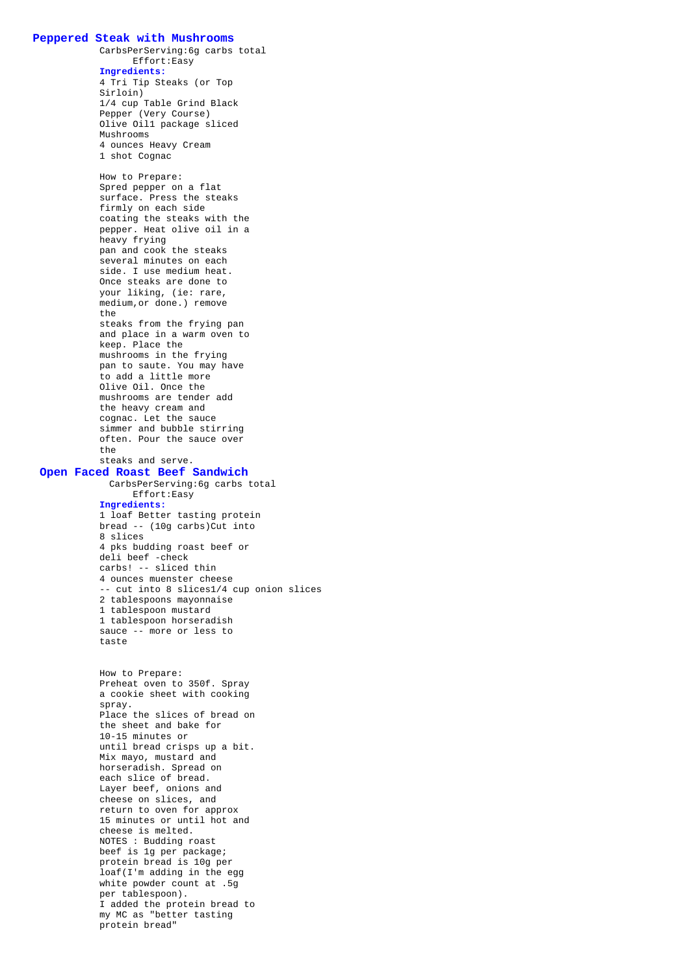### **Peppered Steak with Mushrooms**

 CarbsPerServing:6g carbs total Effort:Easy  **Ingredients:**  4 Tri Tip Steaks (or Top Sirloin) 1/4 cup Table Grind Black Pepper (Very Course) Olive Oil1 package sliced Mushrooms 4 ounces Heavy Cream 1 shot Cognac How to Prepare: Spred pepper on a flat surface. Press the steaks firmly on each side coating the steaks with the pepper. Heat olive oil in a heavy frying pan and cook the steaks several minutes on each side. I use medium heat. Once steaks are done to your liking, (ie: rare, medium,or done.) remove the steaks from the frying pan and place in a warm oven to keep. Place the mushrooms in the frying pan to saute. You may have to add a little more Olive Oil. Once the mushrooms are tender add the heavy cream and cognac. Let the sauce simmer and bubble stirring often. Pour the sauce over the steaks and serve. **Open Faced Roast Beef Sandwich**  CarbsPerServing:6g carbs total Effort:Easy **Ingredients:**  1 loaf Better tasting protein bread -- (10g carbs)Cut into 8 slices 4 pks budding roast beef or deli beef -check carbs! -- sliced thin 4 ounces muenster cheese -- cut into 8 slices1/4 cup onion slices 2 tablespoons mayonnaise 1 tablespoon mustard 1 tablespoon horseradish sauce -- more or less to taste How to Prepare: Preheat oven to 350f. Spray

 a cookie sheet with cooking spray. Place the slices of bread on the sheet and bake for 10-15 minutes or until bread crisps up a bit. Mix mayo, mustard and horseradish. Spread on each slice of bread. Layer beef, onions and cheese on slices, and return to oven for approx 15 minutes or until hot and cheese is melted. NOTES : Budding roast beef is 1g per package; protein bread is 10g per loaf(I'm adding in the egg white powder count at .5g per tablespoon). I added the protein bread to my MC as "better tasting protein bread"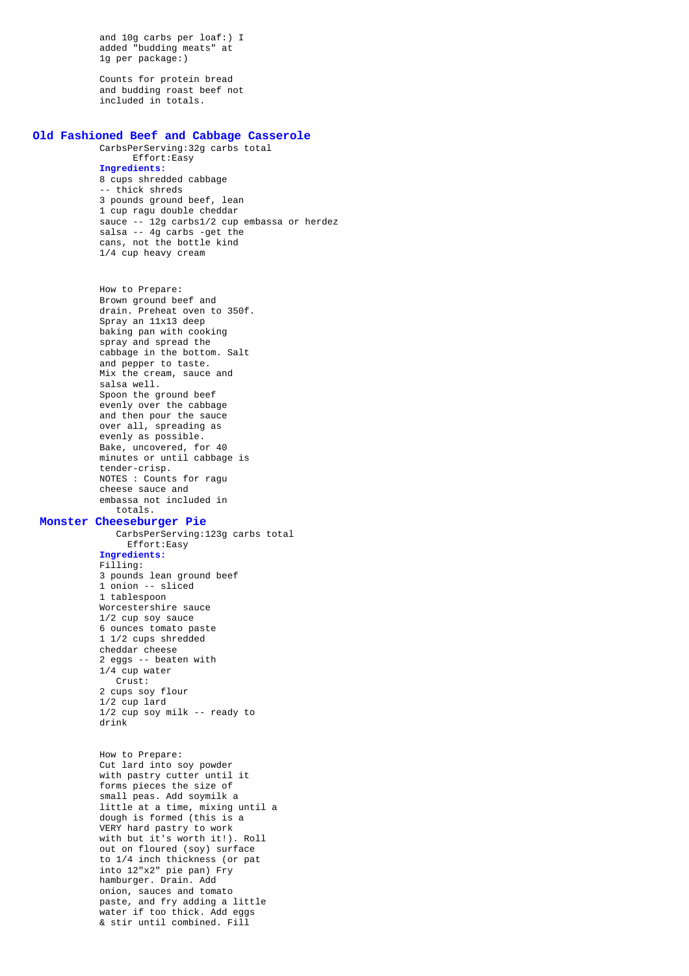and 10g carbs per loaf:) I added "budding meats" at 1g per package:)

 Counts for protein bread and budding roast beef not included in totals.

### **Old Fashioned Beef and Cabbage Casserole**

 CarbsPerServing:32g carbs total Effort:Easy **Ingredients:**  8 cups shredded cabbage -- thick shreds 3 pounds ground beef, lean 1 cup ragu double cheddar sauce -- 12g carbs1/2 cup embassa or herdez salsa -- 4g carbs -get the cans, not the bottle kind 1/4 cup heavy cream

 How to Prepare: Brown ground beef and drain. Preheat oven to 350f. Spray an 11x13 deep baking pan with cooking spray and spread the cabbage in the bottom. Salt and pepper to taste. Mix the cream, sauce and salsa well. Spoon the ground beef evenly over the cabbage and then pour the sauce over all, spreading as evenly as possible. Bake, uncovered, for 40 minutes or until cabbage is tender-crisp. NOTES : Counts for ragu cheese sauce and embassa not included in totals.

#### **Monster Cheeseburger Pie**

 CarbsPerServing:123g carbs total Effort:Easy  **Ingredients:**  Filling: 3 pounds lean ground beef 1 onion -- sliced 1 tablespoon Worcestershire sauce 1/2 cup soy sauce 6 ounces tomato paste 1 1/2 cups shredded cheddar cheese 2 eggs -- beaten with 1/4 cup water Crust: 2 cups soy flour 1/2 cup lard 1/2 cup soy milk -- ready to drink

 How to Prepare: Cut lard into soy powder with pastry cutter until it forms pieces the size of small peas. Add soymilk a little at a time, mixing until a dough is formed (this is a VERY hard pastry to work with but it's worth it!). Roll out on floured (soy) surface to 1/4 inch thickness (or pat into 12"x2" pie pan) Fry hamburger. Drain. Add onion, sauces and tomato paste, and fry adding a little water if too thick. Add eggs & stir until combined. Fill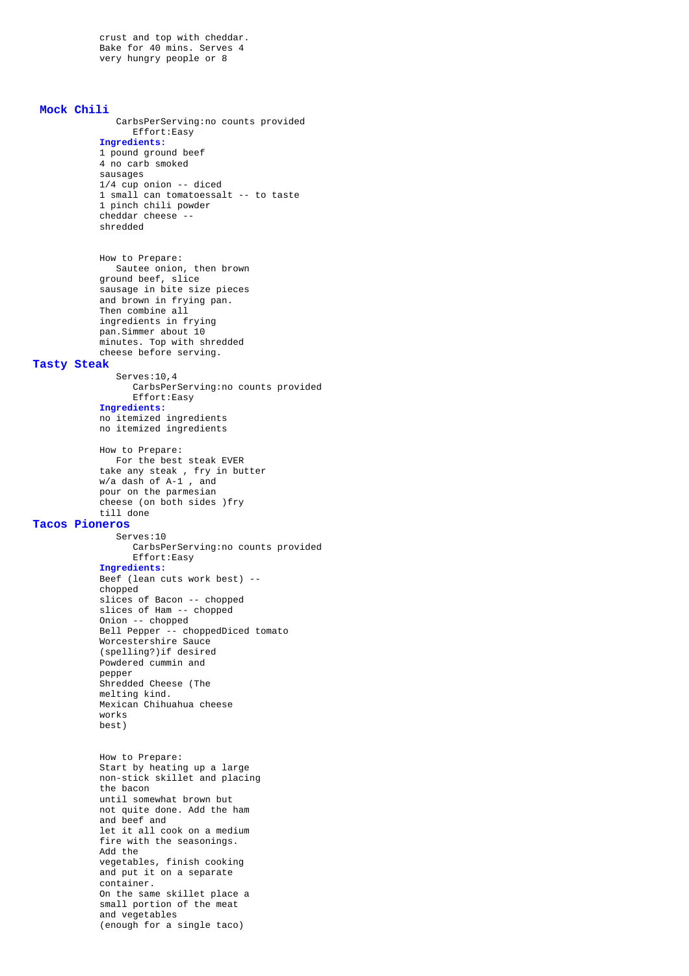crust and top with cheddar. Bake for 40 mins. Serves 4 very hungry people or 8

**Mock Chili**  CarbsPerServing:no counts provided Effort:Easy **Ingredients:**  1 pound ground beef 4 no carb smoked sausages 1/4 cup onion -- diced 1 small can tomatoessalt -- to taste 1 pinch chili powder cheddar cheese - shredded How to Prepare: Sautee onion, then brown ground beef, slice sausage in bite size pieces and brown in frying pan. Then combine all ingredients in frying pan.Simmer about 10 minutes. Top with shredded cheese before serving. **Tasty Steak**  Serves:10,4 CarbsPerServing:no counts provided Effort:Easy **Ingredients:**  no itemized ingredients no itemized ingredients How to Prepare: For the best steak EVER take any steak , fry in butter w/a dash of A-1 , and pour on the parmesian cheese (on both sides )fry till done **Tacos Pioneros**  Serves:10 CarbsPerServing:no counts provided Effort:Easy  **Ingredients:**  Beef (lean cuts work best) - chopped slices of Bacon -- chopped slices of Ham -- chopped Onion -- chopped Bell Pepper -- choppedDiced tomato Worcestershire Sauce (spelling?)if desired Powdered cummin and pepper Shredded Cheese (The melting kind. Mexican Chihuahua cheese works best) How to Prepare: Start by heating up a large non-stick skillet and placing the bacon until somewhat brown but not quite done. Add the ham and beef and let it all cook on a medium fire with the seasonings. Add the vegetables, finish cooking and put it on a separate container. On the same skillet place a small portion of the meat and vegetables (enough for a single taco)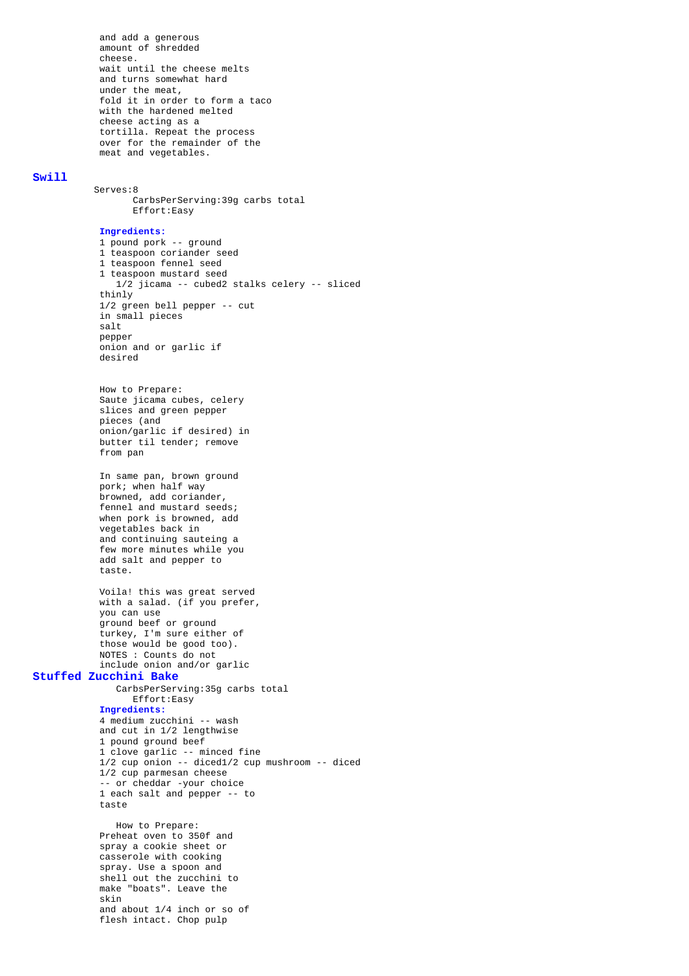```
 and add a generous 
 amount of shredded 
 cheese. 
 wait until the cheese melts 
 and turns somewhat hard 
 under the meat, 
 fold it in order to form a taco 
 with the hardened melted 
 cheese acting as a 
 tortilla. Repeat the process 
 over for the remainder of the 
 meat and vegetables.
```
### **Swill**

 Serves:8 CarbsPerServing:39g carbs total Effort:Easy **Ingredients:**  1 pound pork -- ground 1 teaspoon coriander seed 1 teaspoon fennel seed 1 teaspoon mustard seed 1/2 jicama -- cubed2 stalks celery -- sliced thinly 1/2 green bell pepper -- cut in small pieces salt pepper onion and or garlic if desired How to Prepare: Saute jicama cubes, celery slices and green pepper pieces (and

 butter til tender; remove from pan In same pan, brown ground pork; when half way browned, add coriander, fennel and mustard seeds; when pork is browned, add vegetables back in and continuing sauteing a

 few more minutes while you add salt and pepper to

onion/garlic if desired) in

 taste. Voila! this was great served with a salad. (if you prefer, you can use ground beef or ground turkey, I'm sure either of those would be good too). NOTES : Counts do not include onion and/or garlic

## **Stuffed Zucchini Bake**

 CarbsPerServing:35g carbs total Effort:Easy **Ingredients:**  4 medium zucchini -- wash and cut in 1/2 lengthwise 1 pound ground beef 1 clove garlic -- minced fine 1/2 cup onion -- diced1/2 cup mushroom -- diced 1/2 cup parmesan cheese -- or cheddar -your choice 1 each salt and pepper -- to taste

 How to Prepare: Preheat oven to 350f and spray a cookie sheet or casserole with cooking spray. Use a spoon and shell out the zucchini to make "boats". Leave the skin and about 1/4 inch or so of flesh intact. Chop pulp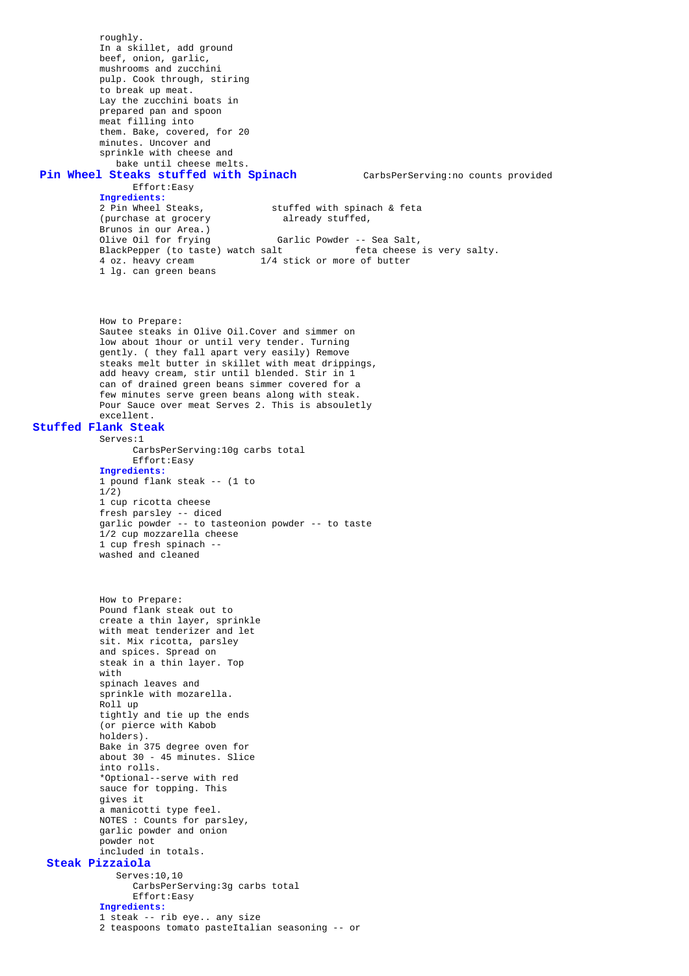```
 roughly. 
              In a skillet, add ground 
              beef, onion, garlic, 
             mushrooms and zucchini 
             pulp. Cook through, stiring 
              to break up meat. 
              Lay the zucchini boats in 
             prepared pan and spoon 
            meat filling into
              them. Bake, covered, for 20 
              minutes. Uncover and 
             sprinkle with cheese and 
                bake until cheese melts. 
 Pin Wheel Steaks stuffed with Spinach CarbsPerServing:no counts provided
                    Effort:Easy 
             Ingredients: 
                                             stuffed with spinach & feta<br>already stuffed,
             (purchase at grocery
             Brunos in our Area.) 
            Olive Oil for frying Garlic Powder -- Sea Salt,
            BlackPepper (to taste) watch salt feta cheese is very salty.<br>4 oz. heavy cream 1/4 stick or more of butter
                                           1/4 stick or more of butter
              1 lg. can green beans 
             How to Prepare: 
              Sautee steaks in Olive Oil.Cover and simmer on 
              low about 1hour or until very tender. Turning 
              gently. ( they fall apart very easily) Remove 
              steaks melt butter in skillet with meat drippings, 
              add heavy cream, stir until blended. Stir in 1 
              can of drained green beans simmer covered for a 
             few minutes serve green beans along with steak. 
             Pour Sauce over meat Serves 2. This is absouletly 
              excellent. 
Stuffed Flank Steak 
             Serves:1 
                    CarbsPerServing:10g carbs total 
                    Effort:Easy 
              Ingredients: 
              1 pound flank steak -- (1 to 
             1/2) 1 cup ricotta cheese 
              fresh parsley -- diced 
             garlic powder -- to tasteonion powder -- to taste 
              1/2 cup mozzarella cheese 
             1 cup fresh spinach -- 
             washed and cleaned 
             How to Prepare: 
             Pound flank steak out to 
             create a thin layer, sprinkle 
             with meat tenderizer and let 
             sit. Mix ricotta, parsley 
             and spices. Spread on 
             steak in a thin layer. Top 
              with 
             spinach leaves and 
             sprinkle with mozarella. 
             Roll up 
              tightly and tie up the ends 
              (or pierce with Kabob 
             holders). 
             Bake in 375 degree oven for 
              about 30 - 45 minutes. Slice 
              into rolls. 
              *Optional--serve with red 
              sauce for topping. This 
             gives it 
              a manicotti type feel. 
             NOTES : Counts for parsley, 
             garlic powder and onion 
             powder not 
             included in totals. 
   Steak Pizzaiola 
                 Serves:10,10 
                    CarbsPerServing:3g carbs total 
                    Effort:Easy 
              Ingredients: 
              1 steak -- rib eye.. any size 
              2 teaspoons tomato pasteItalian seasoning -- or
```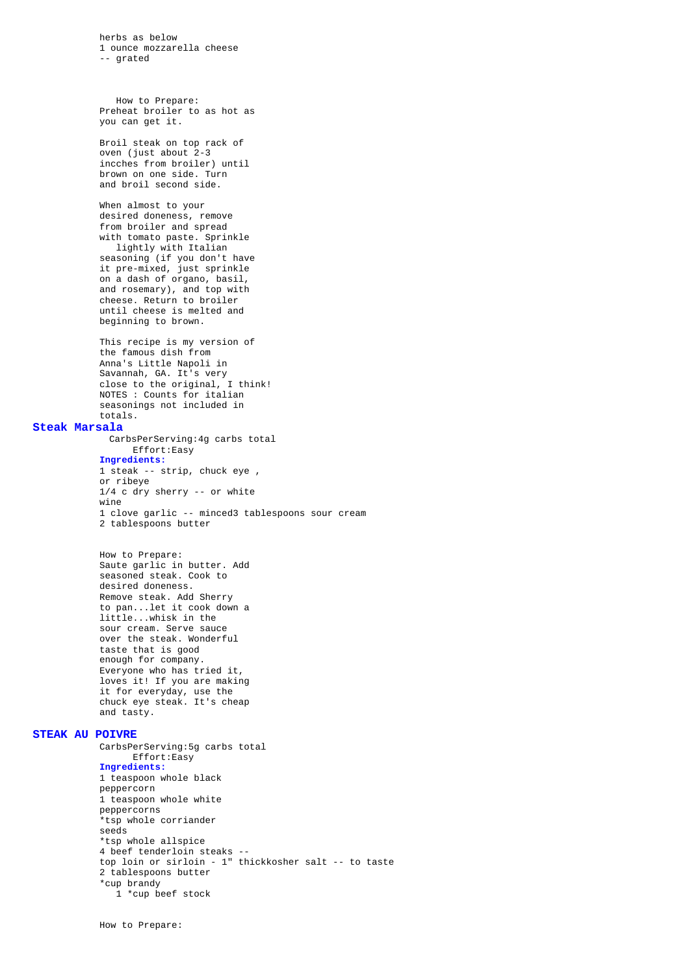herbs as below 1 ounce mozzarella cheese -- grated How to Prepare: Preheat broiler to as hot as you can get it. Broil steak on top rack of oven (just about 2-3 incches from broiler) until brown on one side. Turn and broil second side. When almost to your desired doneness, remove from broiler and spread with tomato paste. Sprinkle lightly with Italian seasoning (if you don't have it pre-mixed, just sprinkle on a dash of organo, basil, and rosemary), and top with cheese. Return to broiler until cheese is melted and beginning to brown. This recipe is my version of the famous dish from Anna's Little Napoli in Savannah, GA. It's very close to the original, I think! NOTES : Counts for italian seasonings not included in totals. **Steak Marsala**  CarbsPerServing:4g carbs total Effort:Easy  **Ingredients:**  1 steak -- strip, chuck eye , or ribeye 1/4 c dry sherry -- or white wine 1 clove garlic -- minced3 tablespoons sour cream 2 tablespoons butter How to Prepare: Saute garlic in butter. Add seasoned steak. Cook to desired doneness. Remove steak. Add Sherry to pan...let it cook down a little...whisk in the sour cream. Serve sauce over the steak. Wonderful taste that is good enough for company. Everyone who has tried it, loves it! If you are making it for everyday, use the chuck eye steak. It's cheap and tasty. **STEAK AU POIVRE**  CarbsPerServing:5g carbs total Effort:Easy **Ingredients:**  1 teaspoon whole black peppercorn 1 teaspoon whole white peppercorns . ..<br>\*tsp whole corriander seeds

How to Prepare:

\*cup brandy

\*tsp whole allspice

2 tablespoons butter

1 \*cup beef stock

4 beef tenderloin steaks --

top loin or sirloin - 1" thickkosher salt -- to taste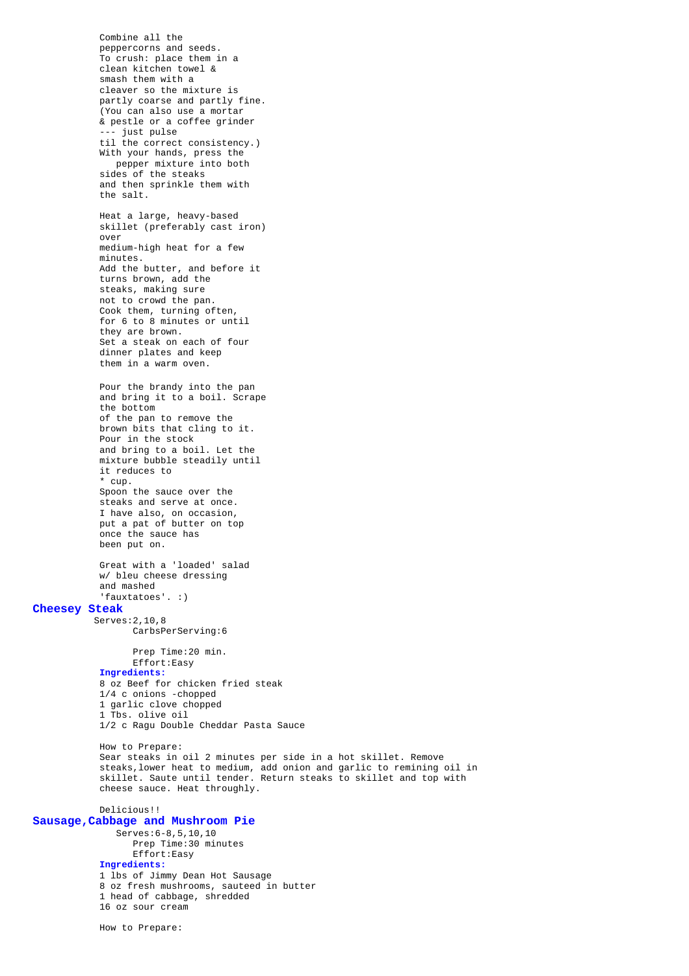Combine all the peppercorns and seeds. To crush: place them in a clean kitchen towel & smash them with a cleaver so the mixture is partly coarse and partly fine. (You can also use a mortar & pestle or a coffee grinder --- just pulse til the correct consistency.) With your hands, press the pepper mixture into both sides of the steaks and then sprinkle them with the salt. Heat a large, heavy-based skillet (preferably cast iron) over medium-high heat for a few minutes. Add the butter, and before it turns brown, add the steaks, making sure not to crowd the pan. Cook them, turning often, for 6 to 8 minutes or until they are brown. Set a steak on each of four dinner plates and keep them in a warm oven. Pour the brandy into the pan and bring it to a boil. Scrape the bottom of the pan to remove the brown bits that cling to it. Pour in the stock and bring to a boil. Let the mixture bubble steadily until it reduces to \* cup. Spoon the sauce over the steaks and serve at once. I have also, on occasion, put a pat of butter on top once the sauce has been put on. Great with a 'loaded' salad w/ bleu cheese dressing and mashed 'fauxtatoes'. :) **Cheesey Steak**  Serves:2,10,8 CarbsPerServing:6 Prep Time:20 min. Effort:Easy **Ingredients:**  8 oz Beef for chicken fried steak 1/4 c onions -chopped 1 garlic clove chopped 1 Tbs. olive oil 1/2 c Ragu Double Cheddar Pasta Sauce How to Prepare: Sear steaks in oil 2 minutes per side in a hot skillet. Remove steaks,lower heat to medium, add onion and garlic to remining oil in skillet. Saute until tender. Return steaks to skillet and top with cheese sauce. Heat throughly. Delicious!! **Sausage,Cabbage and Mushroom Pie**  Serves:6-8,5,10,10 Prep Time:30 minutes Effort:Easy  **Ingredients:**  1 lbs of Jimmy Dean Hot Sausage 8 oz fresh mushrooms, sauteed in butter 1 head of cabbage, shredded 16 oz sour cream How to Prepare: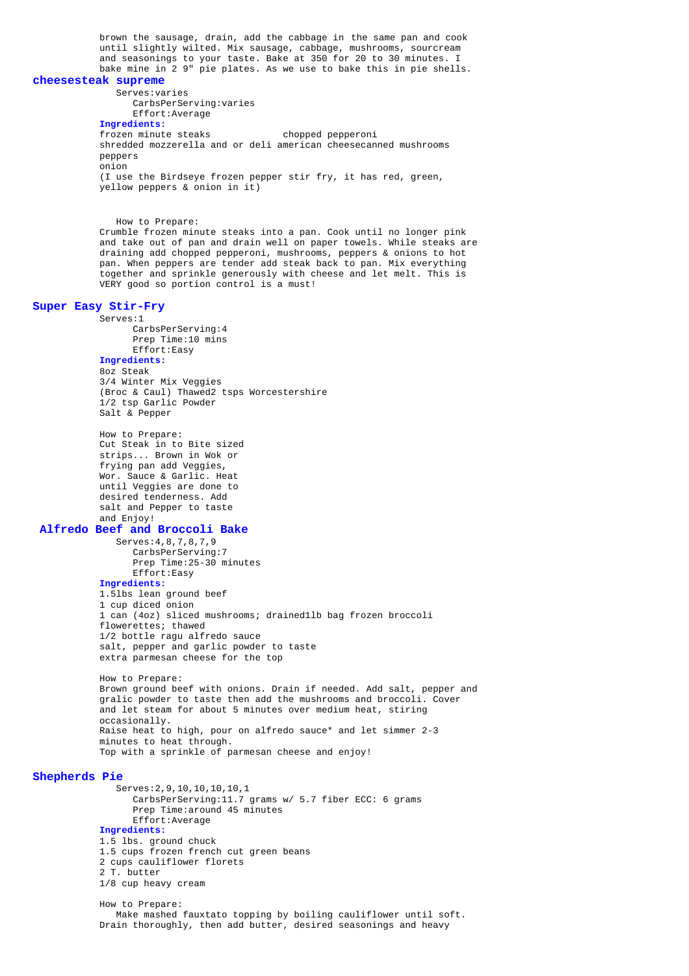brown the sausage, drain, add the cabbage in the same pan and cook until slightly wilted. Mix sausage, cabbage, mushrooms, sourcream and seasonings to your taste. Bake at 350 for 20 to 30 minutes. I bake mine in 2 9" pie plates. As we use to bake this in pie shells. **cheesesteak supreme**  Serves:varies CarbsPerServing:varies Effort:Average **Ingredients:**  frozen minute steaks chopped pepperoni shredded mozzerella and or deli american cheesecanned mushrooms peppers onion (I use the Birdseye frozen pepper stir fry, it has red, green, yellow peppers & onion in it) How to Prepare: Crumble frozen minute steaks into a pan. Cook until no longer pink and take out of pan and drain well on paper towels. While steaks are draining add chopped pepperoni, mushrooms, peppers & onions to hot pan. When peppers are tender add steak back to pan. Mix everything together and sprinkle generously with cheese and let melt. This is VERY good so portion control is a must! **Super Easy Stir-Fry**  Serves:1 CarbsPerServing:4 Prep Time:10 mins Effort:Easy  **Ingredients:**  8oz Steak 3/4 Winter Mix Veggies (Broc & Caul) Thawed2 tsps Worcestershire 1/2 tsp Garlic Powder Salt & Pepper How to Prepare: Cut Steak in to Bite sized strips... Brown in Wok or frying pan add Veggies, Wor. Sauce & Garlic. Heat until Veggies are done to desired tenderness. Add salt and Pepper to taste and Enjoy! **Alfredo Beef and Broccoli Bake**  Serves:4,8,7,8,7,9 CarbsPerServing:7 Prep Time:25-30 minutes Effort:Easy  **Ingredients:**  1.5lbs lean ground beef 1 cup diced onion 1 can (4oz) sliced mushrooms; drained1lb bag frozen broccoli flowerettes; thawed 1/2 bottle ragu alfredo sauce salt, pepper and garlic powder to taste extra parmesan cheese for the top How to Prepare: Brown ground beef with onions. Drain if needed. Add salt, pepper and gralic powder to taste then add the mushrooms and broccoli. Cover and let steam for about 5 minutes over medium heat, stiring occasionally. Raise heat to high, pour on alfredo sauce\* and let simmer 2-3 minutes to heat through. Top with a sprinkle of parmesan cheese and enjoy! **Shepherds Pie**  Serves:2,9,10,10,10,10,1 CarbsPerServing:11.7 grams w/ 5.7 fiber ECC: 6 grams Prep Time:around 45 minutes Effort:Average **Ingredients:**  1.5 lbs. ground chuck 1.5 cups frozen french cut green beans 2 cups cauliflower florets 2 T. butter 1/8 cup heavy cream How to Prepare: Make mashed fauxtato topping by boiling cauliflower until soft. Drain thoroughly, then add butter, desired seasonings and heavy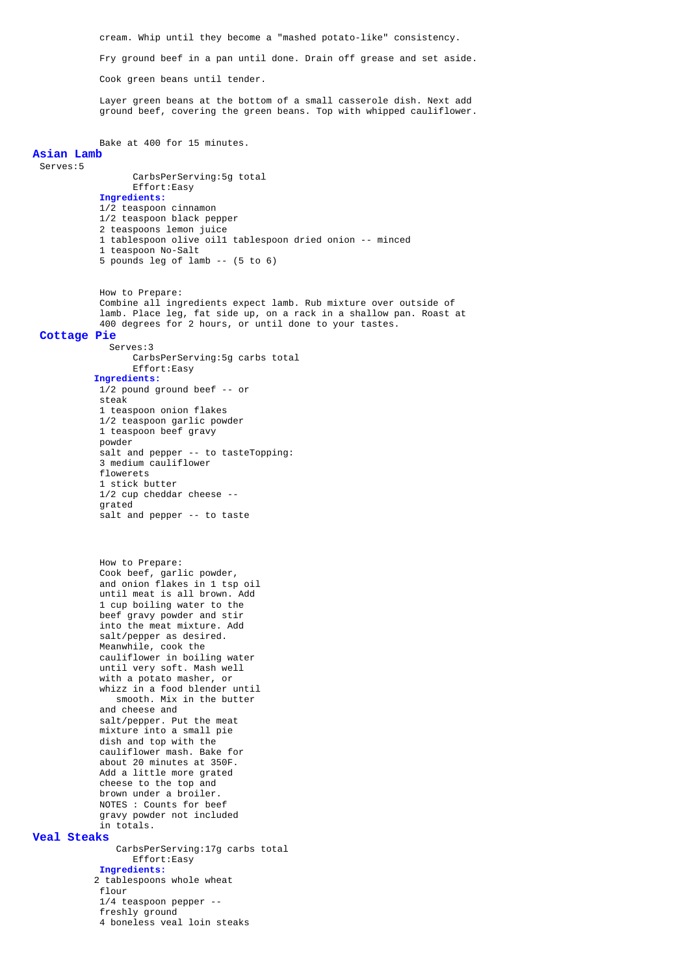cream. Whip until they become a "mashed potato-like" consistency.

Fry ground beef in a pan until done. Drain off grease and set aside.

Cook green beans until tender.

 Layer green beans at the bottom of a small casserole dish. Next add ground beef, covering the green beans. Top with whipped cauliflower.

Bake at 400 for 15 minutes.

# **Asian Lamb**

#### Serves:5

 CarbsPerServing:5g total Effort:Easy  **Ingredients:**  1/2 teaspoon cinnamon 1/2 teaspoon black pepper 2 teaspoons lemon juice 1 tablespoon olive oil1 tablespoon dried onion -- minced 1 teaspoon No-Salt 5 pounds leg of lamb -- (5 to 6)

 How to Prepare: Combine all ingredients expect lamb. Rub mixture over outside of lamb. Place leg, fat side up, on a rack in a shallow pan. Roast at 400 degrees for 2 hours, or until done to your tastes.

#### **Cottage Pie**

 Serves:3 CarbsPerServing:5g carbs total Effort:Easy  **Ingredients:**  1/2 pound ground beef -- or steak 1 teaspoon onion flakes 1/2 teaspoon garlic powder 1 teaspoon beef gravy powder .<br>salt and pepper -- to tasteTopping: 3 medium cauliflower flowerets 1 stick butter 1/2 cup cheddar cheese - grated salt and pepper -- to taste

 How to Prepare: Cook beef, garlic powder, and onion flakes in 1 tsp oil until meat is all brown. Add 1 cup boiling water to the beef gravy powder and stir into the meat mixture. Add salt/pepper as desired. Meanwhile, cook the cauliflower in boiling water until very soft. Mash well with a potato masher, or whizz in a food blender until smooth. Mix in the butter and cheese and salt/pepper. Put the meat mixture into a small pie dish and top with the cauliflower mash. Bake for about 20 minutes at 350F. Add a little more grated cheese to the top and brown under a broiler. NOTES : Counts for beef gravy powder not included in totals. **Veal Steaks**  CarbsPerServing:17g carbs total

 Effort:Easy  **Ingredients:**  2 tablespoons whole wheat flour 1/4 teaspoon pepper - freshly ground 4 boneless veal loin steaks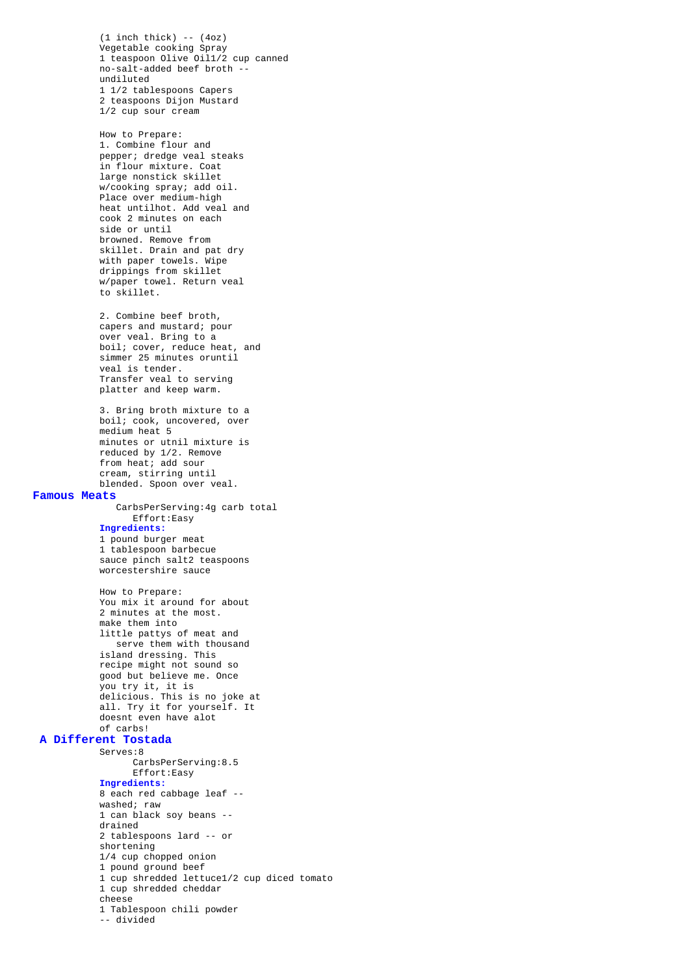(1 inch thick) -- (4oz) Vegetable cooking Spray 1 teaspoon Olive Oil1/2 cup canned no-salt-added beef broth - undiluted 1 1/2 tablespoons Capers 2 teaspoons Dijon Mustard 1/2 cup sour cream How to Prepare: 1. Combine flour and pepper; dredge veal steaks in flour mixture. Coat large nonstick skillet w/cooking spray; add oil. Place over medium-high heat untilhot. Add veal and cook 2 minutes on each side or until browned. Remove from skillet. Drain and pat dry with paper towels. Wipe drippings from skillet w/paper towel. Return veal to skillet. 2. Combine beef broth, capers and mustard; pour over veal. Bring to a boil; cover, reduce heat, and simmer 25 minutes oruntil veal is tender. Transfer veal to serving platter and keep warm. 3. Bring broth mixture to a boil; cook, uncovered, over medium heat 5 minutes or utnil mixture is reduced by 1/2. Remove from heat; add sour cream, stirring until blended. Spoon over veal. **Famous Meats**  CarbsPerServing:4g carb total Effort:Easy  **Ingredients:**  1 pound burger meat 1 tablespoon barbecue sauce pinch salt2 teaspoons worcestershire sauce How to Prepare: You mix it around for about 2 minutes at the most. make them into little pattys of meat and serve them with thousand island dressing. This recipe might not sound so good but believe me. Once you try it, it is delicious. This is no joke at all. Try it for yourself. It doesnt even have alot of carbs!  **A Different Tostada**  Serves:8 CarbsPerServing:8.5 Effort:Easy **Ingredients:**  8 each red cabbage leaf - washed; raw 1 can black soy beans - drained 2 tablespoons lard -- or shortening 1/4 cup chopped onion 1 pound ground beef 1 cup shredded lettuce1/2 cup diced tomato 1 cup shredded cheddar cheese 1 Tablespoon chili powder -- divided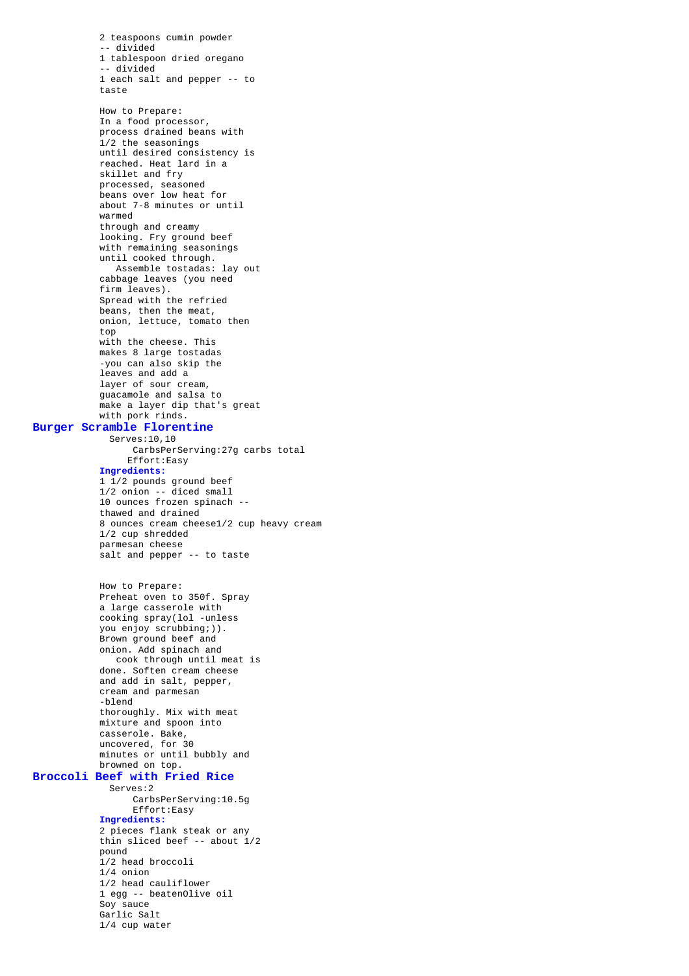2 teaspoons cumin powder -- divided 1 tablespoon dried oregano -- divided 1 each salt and pepper -- to taste How to Prepare: In a food processor, process drained beans with 1/2 the seasonings until desired consistency is reached. Heat lard in a skillet and fry processed, seasoned beans over low heat for about 7-8 minutes or until warmed through and creamy looking. Fry ground beef with remaining seasonings until cooked through. Assemble tostadas: lay out cabbage leaves (you need firm leaves). Spread with the refried beans, then the meat, onion, lettuce, tomato then top with the cheese. This makes 8 large tostadas -you can also skip the leaves and add a layer of sour cream, guacamole and salsa to make a layer dip that's great with pork rinds. **Burger Scramble Florentine**  Serves:10,10 CarbsPerServing:27g carbs total Effort:Easy  **Ingredients:**  1 1/2 pounds ground beef 1/2 onion -- diced small 10 ounces frozen spinach - thawed and drained 8 ounces cream cheese1/2 cup heavy cream 1/2 cup shredded parmesan cheese salt and pepper -- to taste How to Prepare: Preheat oven to 350f. Spray a large casserole with cooking spray(lol -unless you enjoy scrubbing;)). Brown ground beef and onion. Add spinach and cook through until meat is done. Soften cream cheese and add in salt, pepper, cream and parmesan -blend thoroughly. Mix with meat mixture and spoon into casserole. Bake, uncovered, for 30 minutes or until bubbly and browned on top. **Broccoli Beef with Fried Rice**  Serves: 2 CarbsPerServing:10.5g Effort:Easy  **Ingredients:**  2 pieces flank steak or any thin sliced beef -- about 1/2 pound 1/2 head broccoli 1/4 onion 1/2 head cauliflower 1 egg -- beatenOlive oil Soy sauce Garlic Salt 1/4 cup water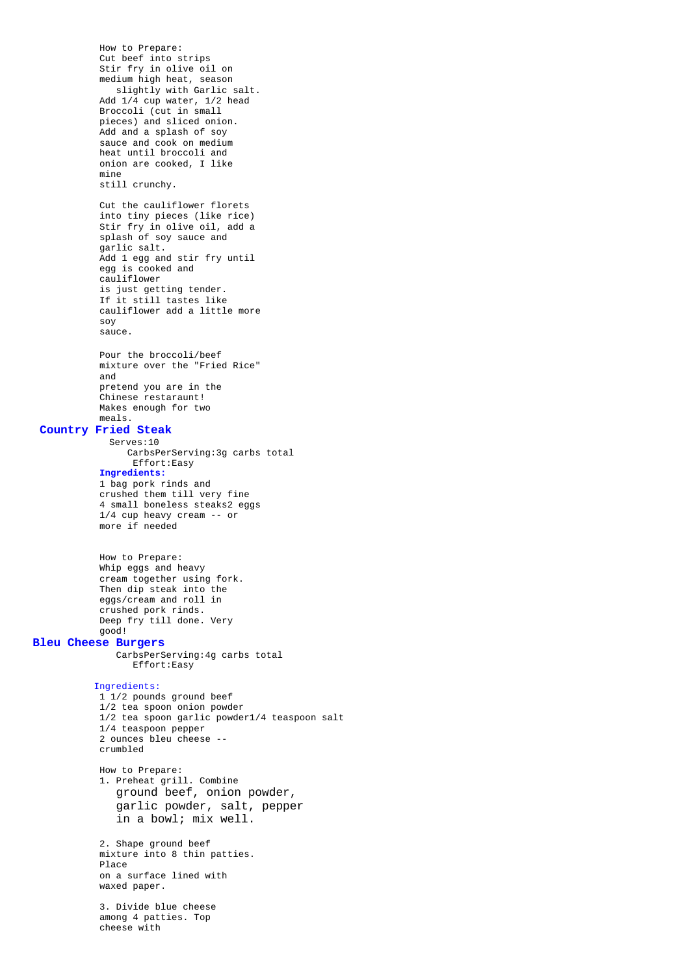How to Prepare: Cut beef into strips Stir fry in olive oil on medium high heat, season slightly with Garlic salt. Add 1/4 cup water, 1/2 head Broccoli (cut in small pieces) and sliced onion. Add and a splash of soy sauce and cook on medium heat until broccoli and onion are cooked, I like mine still crunchy. Cut the cauliflower florets into tiny pieces (like rice) Stir fry in olive oil, add a splash of soy sauce and garlic salt. Add 1 egg and stir fry until egg is cooked and cauliflower is just getting tender. If it still tastes like cauliflower add a little more soy sauce. Pour the broccoli/beef mixture over the "Fried Rice" and pretend you are in the Chinese restaraunt! Makes enough for two meals.  **Country Fried Steak**  Serves:10 CarbsPerServing:3g carbs total Effort:Easy **Ingredients:**  1 bag pork rinds and crushed them till very fine 4 small boneless steaks2 eggs 1/4 cup heavy cream -- or more if needed How to Prepare: Whip eggs and heavy cream together using fork. Then dip steak into the eggs/cream and roll in crushed pork rinds. Deep fry till done. Very good! **Bleu Cheese Burgers**  CarbsPerServing:4g carbs total Effort:Easy Ingredients: 1 1/2 pounds ground beef 1/2 tea spoon onion powder 1/2 tea spoon garlic powder1/4 teaspoon salt 1/4 teaspoon pepper 2 ounces bleu cheese - crumbled How to Prepare: 1. Preheat grill. Combine ground beef, onion powder, garlic powder, salt, pepper in a bowl; mix well. 2. Shape ground beef mixture into 8 thin patties. Place on a surface lined with waxed paper. 3. Divide blue cheese among 4 patties. Top cheese with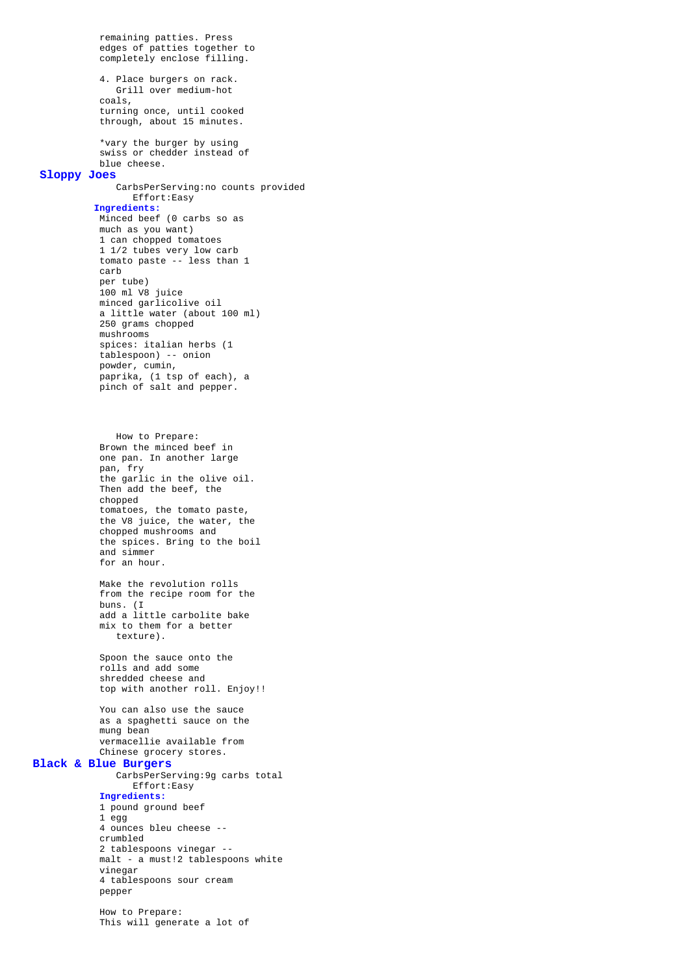```
 remaining patties. Press 
              edges of patties together to 
              completely enclose filling. 
              4. Place burgers on rack. 
                 Grill over medium-hot 
              coals, 
              turning once, until cooked 
              through, about 15 minutes. 
              *vary the burger by using 
              swiss or chedder instead of 
              blue cheese. 
  Sloppy Joes 
                 CarbsPerServing:no counts provided 
                    Effort:Easy 
             Ingredients: 
              Minced beef (0 carbs so as 
              much as you want) 
              1 can chopped tomatoes 
              1 1/2 tubes very low carb 
              tomato paste -- less than 1 
              carb 
              per tube) 
              100 ml V8 juice 
              minced garlicolive oil 
              a little water (about 100 ml) 
              250 grams chopped 
              mushrooms 
              spices: italian herbs (1 
              tablespoon) -- onion 
              powder, cumin, 
              paprika, (1 tsp of each), a 
              pinch of salt and pepper. 
                 How to Prepare: 
              Brown the minced beef in 
              one pan. In another large 
              pan, fry 
              the garlic in the olive oil. 
              Then add the beef, the 
              chopped 
              tomatoes, the tomato paste, 
              the V8 juice, the water, the 
              chopped mushrooms and 
              the spices. Bring to the boil 
              and simmer 
              for an hour. 
              Make the revolution rolls 
              from the recipe room for the 
              buns. (I 
              add a little carbolite bake 
              mix to them for a better 
                 texture). 
              Spoon the sauce onto the 
              rolls and add some 
              shredded cheese and 
              top with another roll. Enjoy!! 
              You can also use the sauce 
              as a spaghetti sauce on the 
              mung bean 
              vermacellie available from 
              Chinese grocery stores. 
Black & Blue Burgers 
                 CarbsPerServing:9g carbs total 
                    Effort:Easy 
              Ingredients: 
              1 pound ground beef 
              1 egg 
              4 ounces bleu cheese -- 
              crumbled 
              2 tablespoons vinegar -- 
              malt - a must!2 tablespoons white 
              vinegar 
              4 tablespoons sour cream 
              pepper 
              How to Prepare:
```
This will generate a lot of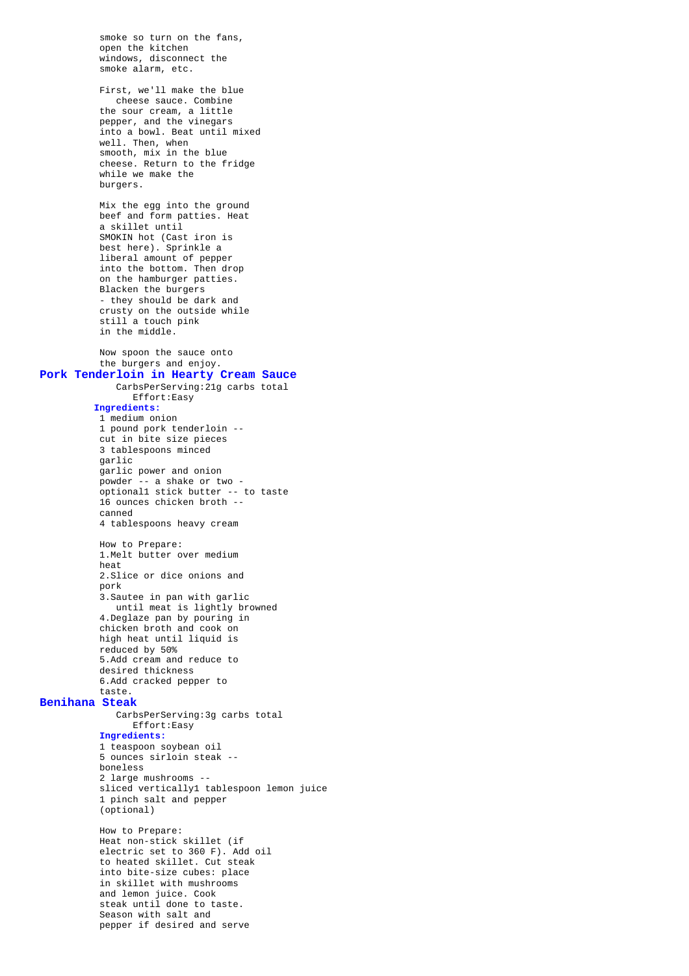```
 smoke so turn on the fans, 
            open the kitchen 
            windows, disconnect the 
            smoke alarm, etc. 
            First, we'll make the blue 
               cheese sauce. Combine 
            the sour cream, a little 
            pepper, and the vinegars 
            into a bowl. Beat until mixed 
            well. Then, when 
            smooth, mix in the blue 
            cheese. Return to the fridge 
            while we make the 
            burgers. 
            Mix the egg into the ground 
            beef and form patties. Heat 
            a skillet until 
            SMOKIN hot (Cast iron is 
            best here). Sprinkle a 
            liberal amount of pepper 
            into the bottom. Then drop 
            on the hamburger patties. 
            Blacken the burgers 
            - they should be dark and 
            crusty on the outside while 
            still a touch pink 
            in the middle. 
            Now spoon the sauce onto 
            the burgers and enjoy. 
 Pork Tenderloin in Hearty Cream Sauce 
               CarbsPerServing:21g carbs total 
                   Effort:Easy 
           Ingredients: 
            1 medium onion 
            1 pound pork tenderloin -- 
            cut in bite size pieces 
            3 tablespoons minced 
            garlic 
            garlic power and onion 
            powder -- a shake or two - 
            optional1 stick butter -- to taste 
            16 ounces chicken broth -- 
            canned 
            4 tablespoons heavy cream 
            How to Prepare: 
            1.Melt butter over medium 
            heat 
            2.Slice or dice onions and 
            pork 
            3.Sautee in pan with garlic 
               until meat is lightly browned 
            4.Deglaze pan by pouring in 
            chicken broth and cook on 
            high heat until liquid is 
            reduced by 50% 
            5.Add cream and reduce to 
            desired thickness 
            6.Add cracked pepper to 
            taste. 
 Benihana Steak 
               CarbsPerServing:3g carbs total 
                  Effort:Easy 
            Ingredients: 
            1 teaspoon soybean oil 
            5 ounces sirloin steak -- 
            boneless 
            2 large mushrooms -- 
            sliced vertically1 tablespoon lemon juice 
            1 pinch salt and pepper 
            (optional) 
            How to Prepare: 
            Heat non-stick skillet (if 
            electric set to 360 F). Add oil 
            to heated skillet. Cut steak 
            into bite-size cubes: place 
            in skillet with mushrooms 
            and lemon juice. Cook 
            steak until done to taste. 
            Season with salt and 
            pepper if desired and serve
```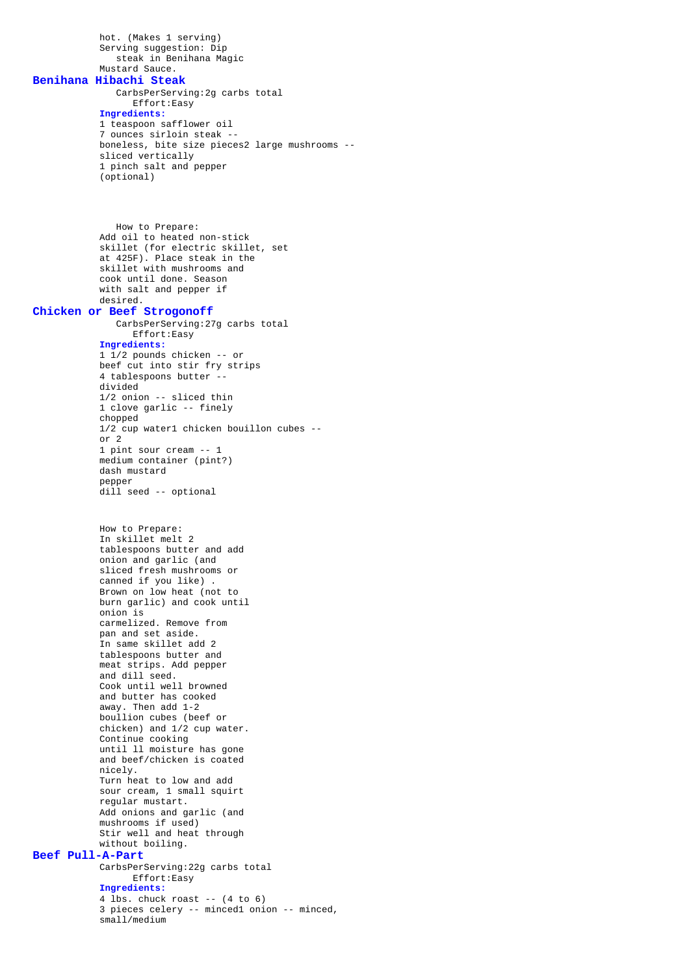```
 hot. (Makes 1 serving) 
              Serving suggestion: Dip 
                 steak in Benihana Magic 
              Mustard Sauce. 
Benihana Hibachi Steak 
                CarbsPerServing:2g carbs total 
                    Effort:Easy 
              Ingredients: 
              1 teaspoon safflower oil 
              7 ounces sirloin steak -- 
              boneless, bite size pieces2 large mushrooms -- 
              sliced vertically 
              1 pinch salt and pepper 
              (optional) 
                 How to Prepare: 
              Add oil to heated non-stick 
              skillet (for electric skillet, set 
              at 425F). Place steak in the 
              skillet with mushrooms and 
              cook until done. Season 
             with salt and pepper if 
             desired. 
Chicken or Beef Strogonoff 
                 CarbsPerServing:27g carbs total 
                    Effort:Easy 
              Ingredients: 
              1 1/2 pounds chicken -- or 
             beef cut into stir fry strips 
              4 tablespoons butter -- 
              divided 
              1/2 onion -- sliced thin 
              1 clove garlic -- finely 
              chopped 
              1/2 cup water1 chicken bouillon cubes -- 
              or 2 
              1 pint sour cream -- 1 
              medium container (pint?) 
              dash mustard 
              pepper 
              dill seed -- optional 
             How to Prepare: 
              In skillet melt 2 
              tablespoons butter and add 
              onion and garlic (and 
              sliced fresh mushrooms or 
              canned if you like) . 
              Brown on low heat (not to 
             burn garlic) and cook until 
              onion is 
              carmelized. Remove from 
             pan and set aside. 
              In same skillet add 2 
              tablespoons butter and 
              meat strips. Add pepper 
              and dill seed. 
              Cook until well browned 
              and butter has cooked 
              away. Then add 1-2 
              boullion cubes (beef or 
              chicken) and 1/2 cup water. 
              Continue cooking 
              until ll moisture has gone 
              and beef/chicken is coated 
              nicely. 
              Turn heat to low and add 
              sour cream, 1 small squirt 
              regular mustart. 
              Add onions and garlic (and 
             mushrooms if used) 
              Stir well and heat through 
             without boiling. 
Beef Pull-A-Part 
             CarbsPerServing:22g carbs total 
                    Effort:Easy 
              Ingredients: 
              4 lbs. chuck roast -- (4 to 6) 
              3 pieces celery -- minced1 onion -- minced, 
              small/medium
```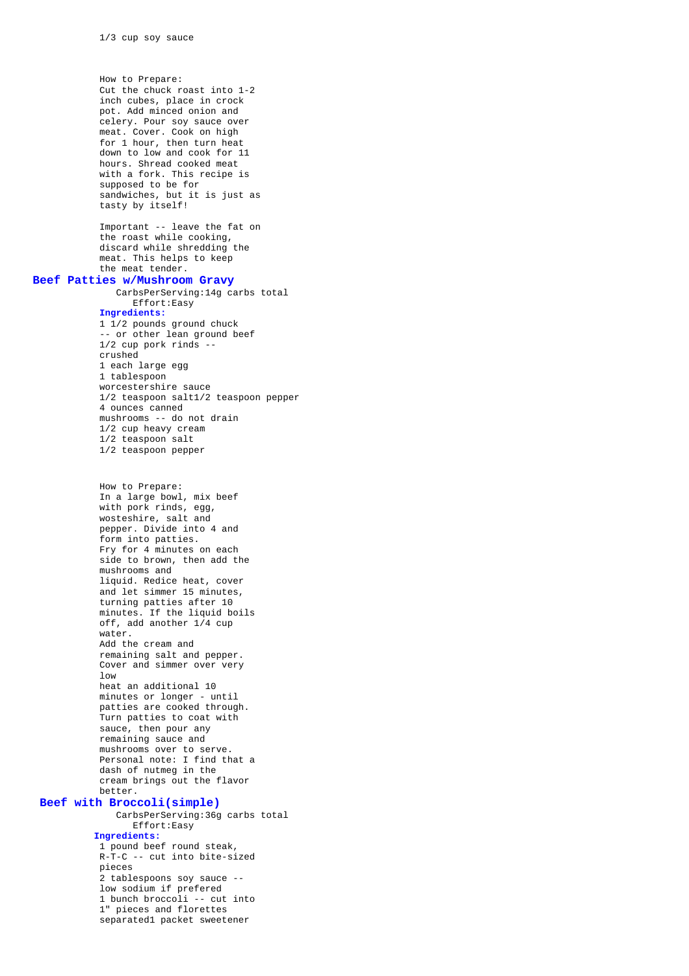How to Prepare: Cut the chuck roast into 1-2 inch cubes, place in crock pot. Add minced onion and celery. Pour soy sauce over meat. Cover. Cook on high for 1 hour, then turn heat down to low and cook for 11 hours. Shread cooked meat with a fork. This recipe is supposed to be for sandwiches, but it is just as tasty by itself! Important -- leave the fat on the roast while cooking, discard while shredding the meat. This helps to keep the meat tender. **Beef Patties w/Mushroom Gravy**  CarbsPerServing:14g carbs total Effort:Easy  **Ingredients:**  1 1/2 pounds ground chuck -- or other lean ground beef 1/2 cup pork rinds - crushed 1 each large egg 1 tablespoon worcestershire sauce 1/2 teaspoon salt1/2 teaspoon pepper 4 ounces canned mushrooms -- do not drain 1/2 cup heavy cream 1/2 teaspoon salt 1/2 teaspoon pepper How to Prepare: In a large bowl, mix beef with pork rinds, egg, wosteshire, salt and pepper. Divide into 4 and form into patties. Fry for 4 minutes on each side to brown, then add the mushrooms and liquid. Redice heat, cover and let simmer 15 minutes, turning patties after 10 minutes. If the liquid boils off, add another 1/4 cup water. Add the cream and remaining salt and pepper. Cover and simmer over very low heat an additional 10 minutes or longer - until patties are cooked through. Turn patties to coat with sauce, then pour any remaining sauce and mushrooms over to serve. Personal note: I find that a dash of nutmeg in the cream brings out the flavor better.  **Beef with Broccoli(simple)** 

 CarbsPerServing:36g carbs total Effort:Easy **Ingredients:**  1 pound beef round steak, R-T-C -- cut into bite-sized pieces 2 tablespoons soy sauce - low sodium if prefered 1 bunch broccoli -- cut into 1" pieces and florettes separated1 packet sweetener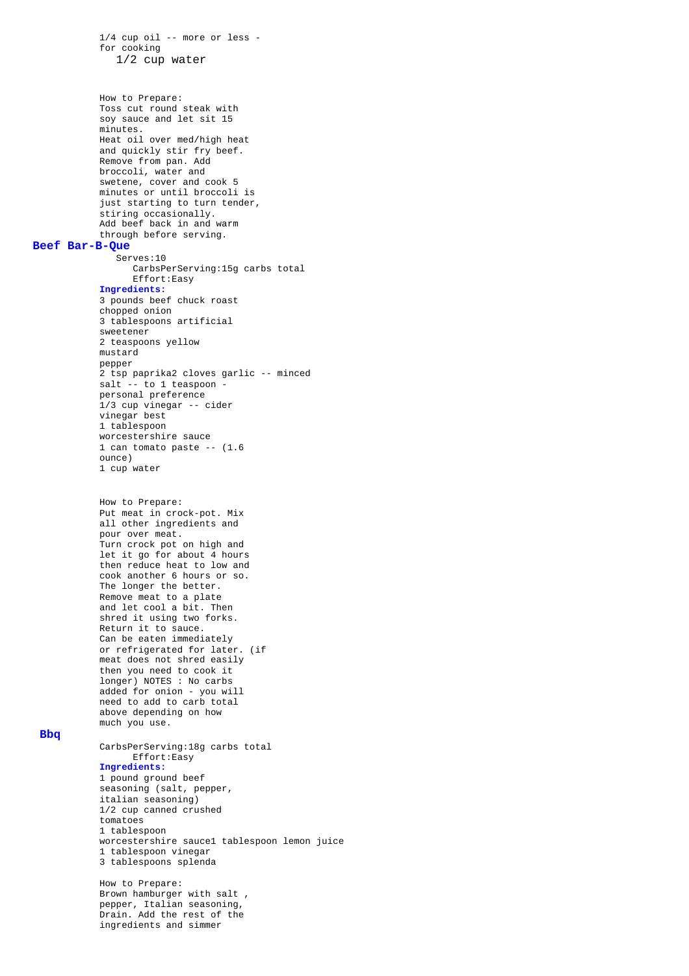```
 1/4 cup oil -- more or less - 
              for cooking 
                 1/2 cup water 
              How to Prepare: 
              Toss cut round steak with 
              soy sauce and let sit 15 
              minutes. 
              Heat oil over med/high heat 
              and quickly stir fry beef. 
              Remove from pan. Add 
              broccoli, water and 
              swetene, cover and cook 5 
              minutes or until broccoli is 
              just starting to turn tender, 
              stiring occasionally. 
              Add beef back in and warm 
              through before serving. 
Beef Bar-B-Que 
                 Serves:10 
                    CarbsPerServing:15g carbs total 
                    Effort:Easy 
              Ingredients: 
              3 pounds beef chuck roast 
              chopped onion 
              3 tablespoons artificial 
              sweetener 
              2 teaspoons yellow 
              mustard 
              pepper 
              2 tsp paprika2 cloves garlic -- minced 
              salt -- to 1 teaspoon - 
              personal preference 
              1/3 cup vinegar -- cider 
              vinegar best 
              1 tablespoon 
              worcestershire sauce 
              1 can tomato paste -- (1.6 
              ounce) 
              1 cup water 
              How to Prepare: 
              Put meat in crock-pot. Mix 
              all other ingredients and 
              pour over meat. 
              Turn crock pot on high and 
              let it go for about 4 hours 
              then reduce heat to low and 
              cook another 6 hours or so. 
              The longer the better. 
              Remove meat to a plate 
              and let cool a bit. Then 
              shred it using two forks. 
              Return it to sauce. 
              Can be eaten immediately 
              or refrigerated for later. (if 
              meat does not shred easily 
              then you need to cook it 
              longer) NOTES : No carbs 
              added for onion - you will 
              need to add to carb total 
              above depending on how 
              much you use. 
 Bbq 
              CarbsPerServing:18g carbs total 
                    Effort:Easy 
              Ingredients: 
              1 pound ground beef 
              seasoning (salt, pepper, 
              italian seasoning) 
              1/2 cup canned crushed 
              tomatoes 
              1 tablespoon 
              worcestershire sauce1 tablespoon lemon juice 
              1 tablespoon vinegar 
              3 tablespoons splenda 
              How to Prepare: 
              Brown hamburger with salt , 
              pepper, Italian seasoning, 
              Drain. Add the rest of the 
              ingredients and simmer
```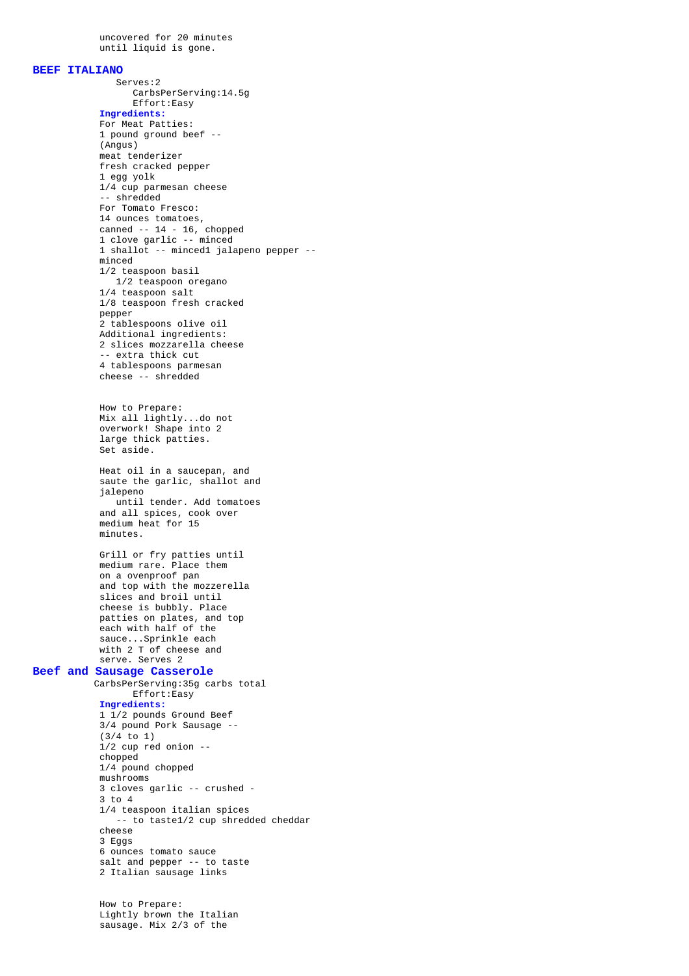uncovered for 20 minutes until liquid is gone.

#### **BEEF ITALIANO**

 Serves:2 CarbsPerServing:14.5g Effort:Easy  **Ingredients:**  For Meat Patties: 1 pound ground beef -- (Angus) meat tenderizer fresh cracked pepper 1 egg yolk 1/4 cup parmesan cheese -- shredded For Tomato Fresco: 14 ounces tomatoes, canned -- 14 - 16, chopped 1 clove garlic -- minced 1 shallot -- minced1 jalapeno pepper - minced 1/2 teaspoon basil 1/2 teaspoon oregano 1/4 teaspoon salt 1/8 teaspoon fresh cracked pepper 2 tablespoons olive oil Additional ingredients: 2 slices mozzarella cheese -- extra thick cut 4 tablespoons parmesan cheese -- shredded How to Prepare: Mix all lightly...do not overwork! Shape into 2 large thick patties. Set aside. Heat oil in a saucepan, and saute the garlic, shallot and jalepeno until tender. Add tomatoes and all spices, cook over medium heat for 15 minutes. Grill or fry patties until medium rare. Place them on a ovenproof pan and top with the mozzerella slices and broil until cheese is bubbly. Place patties on plates, and top each with half of the sauce...Sprinkle each with 2 T of cheese and serve. Serves 2 **Beef and Sausage Casserole**  CarbsPerServing:35g carbs total Effort:Easy **Ingredients:**  1 1/2 pounds Ground Beef 3/4 pound Pork Sausage --  $(3/4$  to 1) 1/2 cup red onion - chopped 1/4 pound chopped mushrooms 3 cloves garlic -- crushed - 3 to 4 1/4 teaspoon italian spices -- to tastel/2 cup shredded cheddar cheese 3 Eggs 6 ounces tomato sauce salt and pepper -- to taste 2 Italian sausage links How to Prepare:

 Lightly brown the Italian sausage. Mix 2/3 of the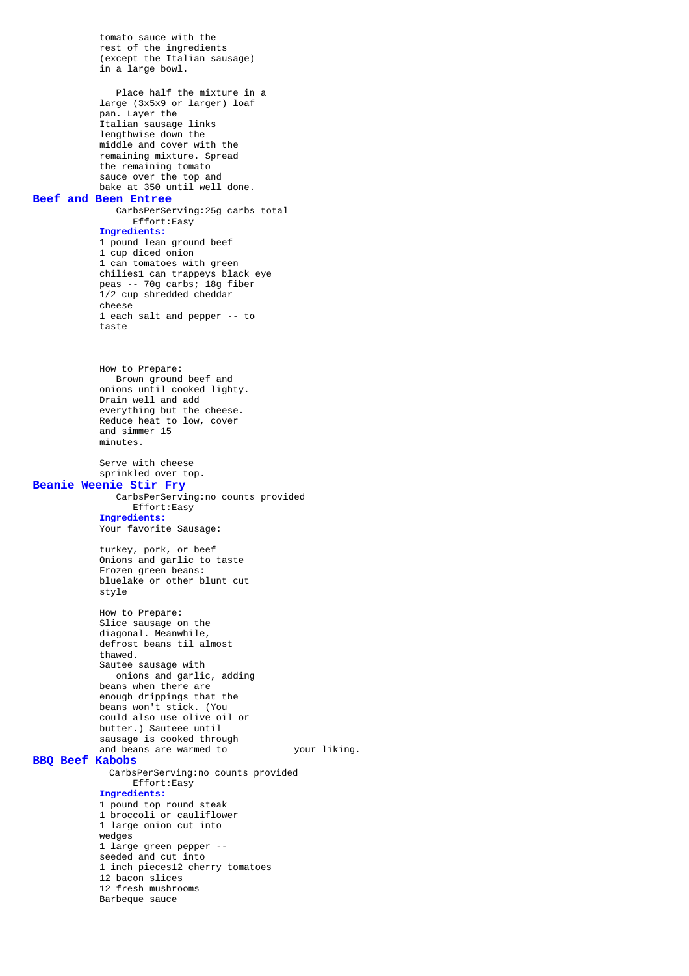```
 tomato sauce with the 
             rest of the ingredients 
              (except the Italian sausage) 
             in a large bowl. 
                 Place half the mixture in a 
             large (3x5x9 or larger) loaf 
             pan. Layer the 
              Italian sausage links 
            lengthwise down the
             middle and cover with the 
             remaining mixture. Spread 
             the remaining tomato 
             sauce over the top and 
             bake at 350 until well done. 
Beef and Been Entree 
                 CarbsPerServing:25g carbs total 
                   Effort:Easy 
             Ingredients: 
             1 pound lean ground beef 
             1 cup diced onion 
             1 can tomatoes with green 
             chilies1 can trappeys black eye 
             peas -- 70g carbs; 18g fiber 
             1/2 cup shredded cheddar 
             cheese 
             1 each salt and pepper -- to 
             taste 
             How to Prepare: 
                 Brown ground beef and 
              onions until cooked lighty. 
             Drain well and add 
              everything but the cheese. 
             Reduce heat to low, cover 
             and simmer 15 
             minutes. 
             Serve with cheese 
             sprinkled over top. 
Beanie Weenie Stir Fry 
                CarbsPerServing:no counts provided 
                    Effort:Easy 
             Ingredients: 
             Your favorite Sausage: 
             turkey, pork, or beef 
             Onions and garlic to taste 
             Frozen green beans: 
             bluelake or other blunt cut 
             style 
             How to Prepare: 
             Slice sausage on the 
              diagonal. Meanwhile, 
             defrost beans til almost 
             thawed. 
             Sautee sausage with 
                onions and garlic, adding 
             beans when there are 
             enough drippings that the 
             beans won't stick. (You 
             could also use olive oil or 
             butter.) Sauteee until 
             sausage is cooked through 
             and beans are warmed to your liking. 
BBQ Beef Kabobs 
               CarbsPerServing:no counts provided 
                   Effort:Easy 
              Ingredients: 
             1 pound top round steak 
              1 broccoli or cauliflower 
             1 large onion cut into 
              wedges 
             1 large green pepper -- 
             seeded and cut into 
             1 inch pieces12 cherry tomatoes 
             12 bacon slices 
             12 fresh mushrooms 
             Barbeque sauce
```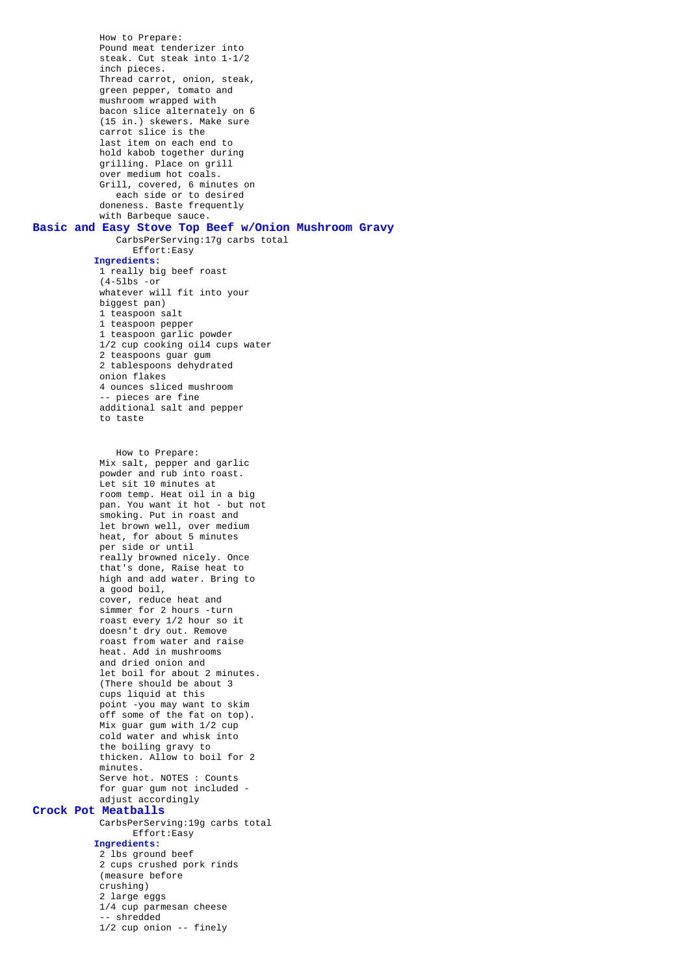How to Prepare: Pound meat tenderizer into steak. Cut steak into 1-1/2 inch pieces. Thread carrot, onion, steak, green pepper, tomato and mushroom wrapped with bacon slice alternately on 6 (15 in.) skewers. Make sure carrot slice is the last item on each end to hold kabob together during grilling. Place on grill over medium hot coals. Grill, covered, 6 minutes on each side or to desired doneness. Baste frequently with Barbeque sauce. **Basic and Easy Stove Top Beef w/Onion Mushroom Gravy**  CarbsPerServing:17g carbs total Effort:Easy  **Ingredients:**  1 really big beef roast (4-5lbs -or whatever will fit into your biggest pan) 1 teaspoon salt 1 teaspoon pepper 1 teaspoon garlic powder 1/2 cup cooking oil4 cups water 2 teaspoons guar gum 2 tablespoons dehydrated onion flakes 4 ounces sliced mushroom -- pieces are fine additional salt and pepper to taste How to Prepare: Mix salt, pepper and garlic powder and rub into roast. Let sit 10 minutes at room temp. Heat oil in a big pan. You want it hot - but not smoking. Put in roast and let brown well, over medium heat, for about 5 minutes per side or until really browned nicely. Once that's done, Raise heat to high and add water. Bring to a good boil, cover, reduce heat and simmer for 2 hours -turn roast every 1/2 hour so it doesn't dry out. Remove roast from water and raise heat. Add in mushrooms and dried onion and let boil for about 2 minutes. (There should be about 3 cups liquid at this point -you may want to skim off some of the fat on top). Mix guar gum with 1/2 cup cold water and whisk into the boiling gravy to thicken. Allow to boil for 2 minutes. Serve hot. NOTES : Counts for guar gum not included adjust accordingly **Crock Pot Meatballs**  CarbsPerServing:19g carbs total Effort:Easy  **Ingredients:**  2 lbs ground beef 2 cups crushed pork rinds (measure before crushing) 2 large eggs 1/4 cup parmesan cheese -- shredded 1/2 cup onion -- finely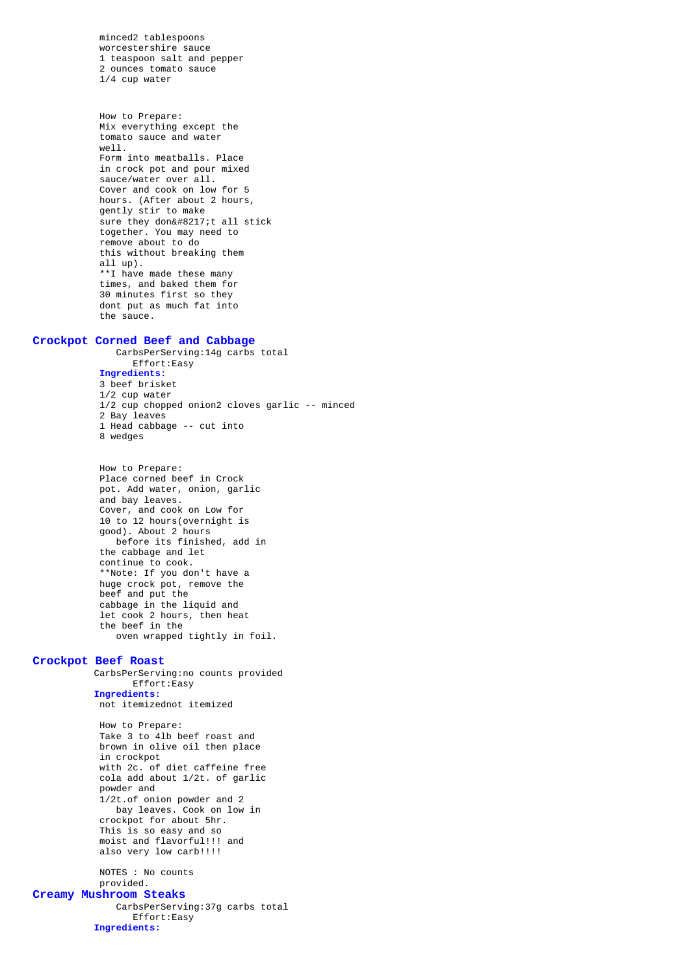minced2 tablespoons worcestershire sauce 1 teaspoon salt and pepper 2 ounces tomato sauce 1/4 cup water

 How to Prepare: Mix everything except the tomato sauce and water well. Form into meatballs. Place in crock pot and pour mixed sauce/water over all. Cover and cook on low for 5 hours. (After about 2 hours, gently stir to make sure they don't all stick together. You may need to remove about to do this without breaking them all up). \*\*I have made these many times, and baked them for 30 minutes first so they dont put as much fat into the sauce.

#### **Crockpot Corned Beef and Cabbage**

 CarbsPerServing:14g carbs total Effort:Easy **Ingredients:**  3 beef brisket 1/2 cup water 1/2 cup chopped onion2 cloves garlic -- minced 2 Bay leaves 1 Head cabbage -- cut into 8 wedges

```
 How to Prepare: 
 Place corned beef in Crock 
 pot. Add water, onion, garlic 
 and bay leaves. 
 Cover, and cook on Low for 
 10 to 12 hours(overnight is 
 good). About 2 hours 
    before its finished, add in 
 the cabbage and let 
 continue to cook. 
 **Note: If you don't have a 
 huge crock pot, remove the 
 beef and put the 
 cabbage in the liquid and 
 let cook 2 hours, then heat 
 the beef in the 
    oven wrapped tightly in foil.
```
# **Crockpot Beef Roast**

 CarbsPerServing:no counts provided Effort:Easy **Ingredients:** not itemizednot itemized

 How to Prepare: Take 3 to 4lb beef roast and brown in olive oil then place in crockpot with 2c. of diet caffeine free cola add about 1/2t. of garlic powder and 1/2t.of onion powder and 2 bay leaves. Cook on low in crockpot for about 5hr. This is so easy and so moist and flavorful!!! and also very low carb!!!!

NOTES : No counts

```
 provided. 
Creamy Mushroom Steaks 
                CarbsPerServing:37g carbs total 
                   Effort:Easy 
            Ingredients:
```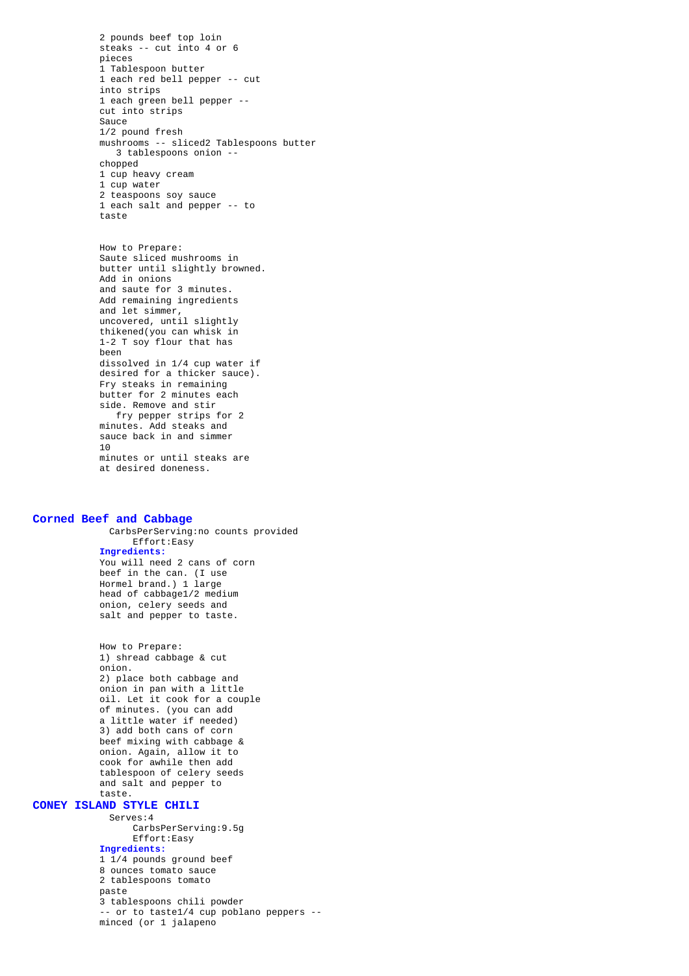```
 2 pounds beef top loin 
 steaks -- cut into 4 or 6 
 pieces 
 1 Tablespoon butter 
 1 each red bell pepper -- cut 
 into strips 
 1 each green bell pepper -- 
 cut into strips 
 Sauce 
 1/2 pound fresh 
 mushrooms -- sliced2 Tablespoons butter
   3 tablespoons onion -- 
 chopped 
 1 cup heavy cream 
 1 cup water 
 2 teaspoons soy sauce 
 1 each salt and pepper -- to 
 taste 
 How to Prepare: 
 Saute sliced mushrooms in 
 butter until slightly browned. 
 Add in onions 
 and saute for 3 minutes. 
 Add remaining ingredients 
 and let simmer, 
 uncovered, until slightly 
 thikened(you can whisk in 
 1-2 T soy flour that has 
 been 
 dissolved in 1/4 cup water if 
 desired for a thicker sauce). 
 Fry steaks in remaining 
 butter for 2 minutes each
```

```
 side. Remove and stir 
    fry pepper strips for 2 
 minutes. Add steaks and 
 sauce back in and simmer 
 10 
 minutes or until steaks are 
 at desired doneness.
```
# **Corned Beef and Cabbage**

 CarbsPerServing:no counts provided Effort:Easy **Ingredients:**  You will need 2 cans of corn beef in the can. (I use Hormel brand.) 1 large head of cabbage1/2 medium onion, celery seeds and salt and pepper to taste.

```
 How to Prepare: 
              1) shread cabbage & cut 
             onion. 
              2) place both cabbage and 
              onion in pan with a little 
             oil. Let it cook for a couple 
             of minutes. (you can add 
              a little water if needed) 
              3) add both cans of corn 
             beef mixing with cabbage & 
             onion. Again, allow it to 
              cook for awhile then add 
             tablespoon of celery seeds 
             and salt and pepper to 
             taste. 
CONEY ISLAND STYLE CHILI 
               Serves:4
```
 CarbsPerServing:9.5g Effort:Easy  **Ingredients:**  1 1/4 pounds ground beef 8 ounces tomato sauce 2 tablespoons tomato paste 3 tablespoons chili powder -- or to taste1/4 cup poblano peppers - minced (or 1 jalapeno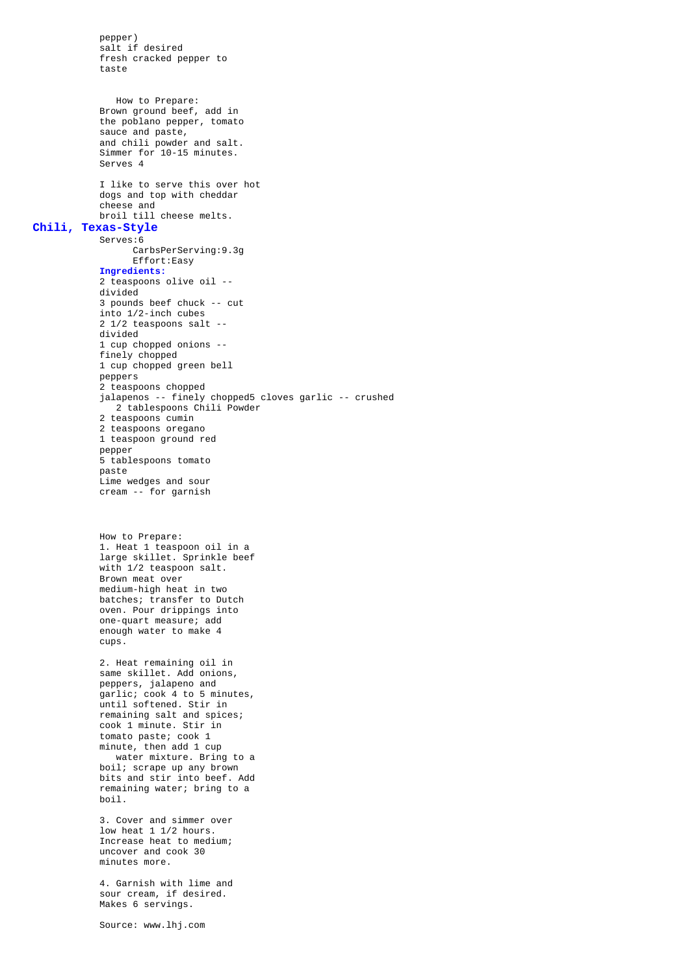```
 pepper) 
              salt if desired 
              fresh cracked pepper to 
              taste 
                 How to Prepare: 
              Brown ground beef, add in 
              the poblano pepper, tomato 
              sauce and paste, 
              and chili powder and salt. 
              Simmer for 10-15 minutes. 
              Serves 4 
              I like to serve this over hot 
              dogs and top with cheddar 
              cheese and 
              broil till cheese melts. 
Chili, Texas-Style 
              Serves:6 
                    CarbsPerServing:9.3g 
                    Effort:Easy 
              Ingredients: 
              2 teaspoons olive oil -- 
              divided 
              3 pounds beef chuck -- cut 
              into 1/2-inch cubes 
              2 1/2 teaspoons salt -- 
              divided 
              1 cup chopped onions -- 
              finely chopped 
              1 cup chopped green bell 
              peppers 
              2 teaspoons chopped 
              jalapenos -- finely chopped5 cloves garlic -- crushed 
                 2 tablespoons Chili Powder 
              2 teaspoons cumin 
              2 teaspoons oregano 
              1 teaspoon ground red 
              pepper 
              5 tablespoons tomato 
              paste 
              Lime wedges and sour 
              cream -- for garnish 
              How to Prepare: 
              1. Heat 1 teaspoon oil in a 
              large skillet. Sprinkle beef 
              with 1/2 teaspoon salt. 
              Brown meat over 
              medium-high heat in two 
              batches; transfer to Dutch 
              oven. Pour drippings into 
              one-quart measure; add 
              enough water to make 4 
              cups. 
              2. Heat remaining oil in 
              same skillet. Add onions, 
              peppers, jalapeno and 
              garlic; cook 4 to 5 minutes, 
              until softened. Stir in 
              remaining salt and spices; 
              cook 1 minute. Stir in 
              tomato paste; cook 1 
              minute, then add 1 cup 
                 water mixture. Bring to a 
              boil; scrape up any brown 
              bits and stir into beef. Add 
              remaining water; bring to a 
              boil. 
              3. Cover and simmer over 
              low heat 1 1/2 hours. 
              Increase heat to medium; 
              uncover and cook 30 
              minutes more. 
              4. Garnish with lime and 
              sour cream, if desired. 
              Makes 6 servings.
```
Source: www.lhj.com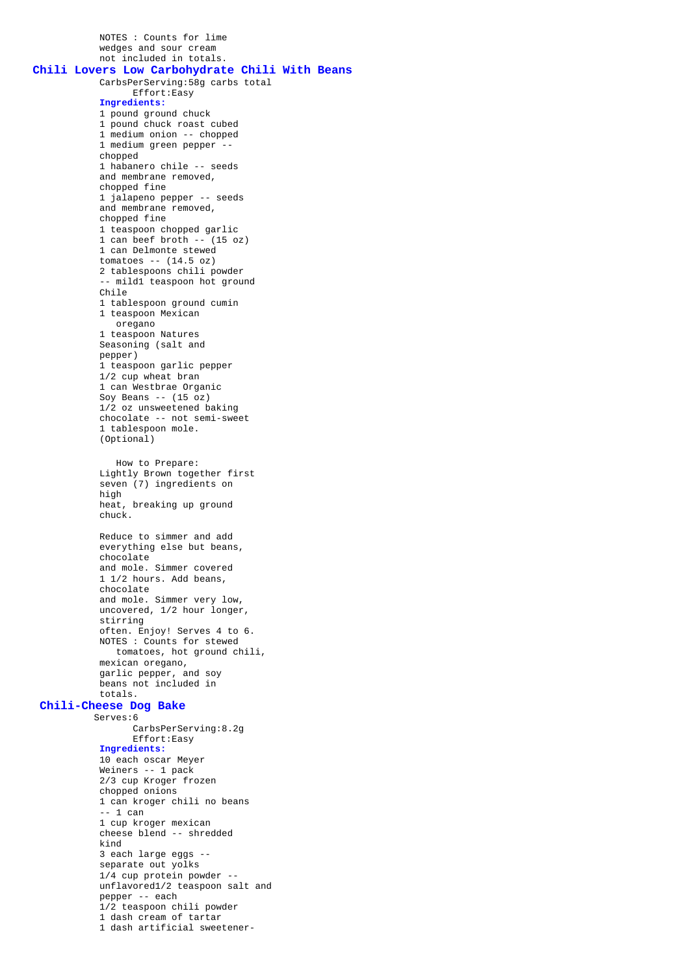NOTES : Counts for lime wedges and sour cream not included in totals. **Chili Lovers Low Carbohydrate Chili With Beans**  CarbsPerServing:58g carbs total Effort:Easy **Ingredients:**  1 pound ground chuck 1 pound chuck roast cubed 1 medium onion -- chopped 1 medium green pepper - chopped 1 habanero chile -- seeds and membrane removed, chopped fine 1 jalapeno pepper -- seeds and membrane removed, chopped fine 1 teaspoon chopped garlic 1 can beef broth  $--$  (15 oz) 1 can Delmonte stewed tomatoes  $- - (14.5 \text{ oz})$  2 tablespoons chili powder -- mild1 teaspoon hot ground Chile 1 tablespoon ground cumin 1 teaspoon Mexican oregano 1 teaspoon Natures Seasoning (salt and pepper) 1 teaspoon garlic pepper 1/2 cup wheat bran 1 can Westbrae Organic Soy Beans  $- - (15 \text{ oz})$  1/2 oz unsweetened baking chocolate -- not semi-sweet 1 tablespoon mole. (Optional) How to Prepare: Lightly Brown together first seven (7) ingredients on high heat, breaking up ground chuck. Reduce to simmer and add everything else but beans, chocolate and mole. Simmer covered 1 1/2 hours. Add beans, chocolate and mole. Simmer very low, uncovered, 1/2 hour longer, stirring often. Enjoy! Serves 4 to 6. NOTES : Counts for stewed tomatoes, hot ground chili, mexican oregano, garlic pepper, and soy beans not included in totals. **Chili-Cheese Dog Bake**  Serves:6 CarbsPerServing:8.2g Effort:Easy **Ingredients:**  10 each oscar Meyer Weiners -- 1 pack 2/3 cup Kroger frozen chopped onions 1 can kroger chili no beans -- 1 can 1 cup kroger mexican cheese blend -- shredded kind 3 each large eggs - separate out yolks 1/4 cup protein powder - unflavored1/2 teaspoon salt and pepper -- each 1/2 teaspoon chili powder 1 dash cream of tartar 1 dash artificial sweetener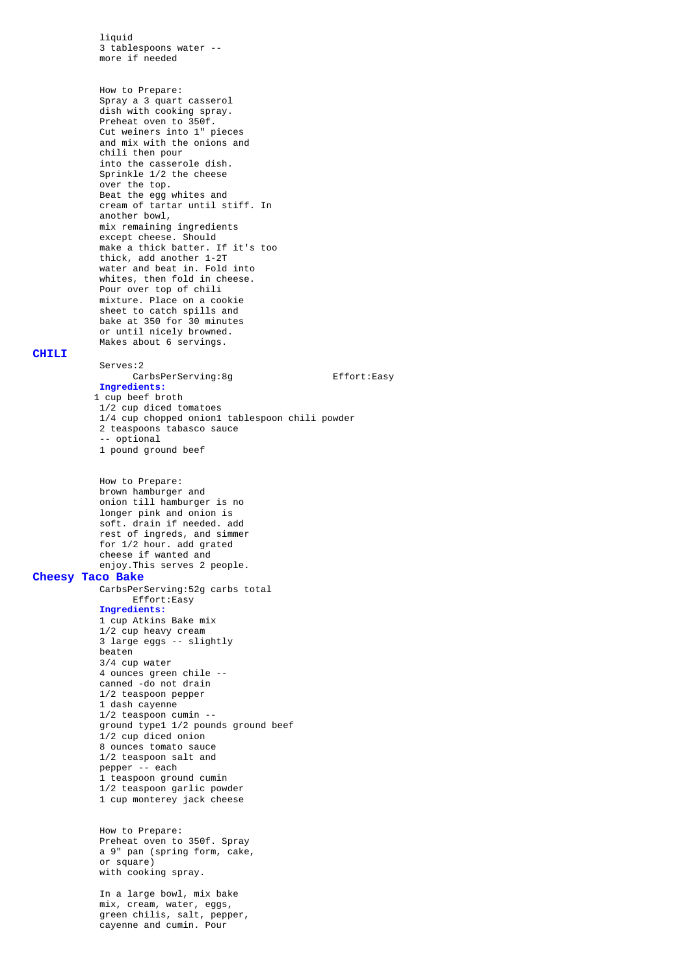liquid 3 tablespoons water - more if needed

 How to Prepare: Spray a 3 quart casserol dish with cooking spray. Preheat oven to 350f. Cut weiners into 1" pieces and mix with the onions and chili then pour into the casserole dish. Sprinkle 1/2 the cheese over the top. Beat the egg whites and cream of tartar until stiff. In another bowl, mix remaining ingredients except cheese. Should make a thick batter. If it's too thick, add another 1-2T water and beat in. Fold into whites, then fold in cheese. Pour over top of chili mixture. Place on a cookie sheet to catch spills and bake at 350 for 30 minutes or until nicely browned. Makes about 6 servings.

**CHILI** 

Serves: 2 **Ingredients:** 

1 cup beef broth

1/2 cup diced tomatoes

2 teaspoons tabasco sauce

1/4 cup chopped onion1 tablespoon chili powder

CarbsPerServing:8g Effort:Easy

 -- optional 1 pound ground beef How to Prepare: brown hamburger and onion till hamburger is no longer pink and onion is soft. drain if needed. add rest of ingreds, and simmer for 1/2 hour. add grated cheese if wanted and enjoy.This serves 2 people. **Cheesy Taco Bake**  CarbsPerServing:52g carbs total Effort:Easy **Ingredients:**  1 cup Atkins Bake mix 1/2 cup heavy cream 3 large eggs -- slightly beaten 3/4 cup water 4 ounces green chile - canned -do not drain 1/2 teaspoon pepper 1 dash cayenne 1/2 teaspoon cumin - ground type1 1/2 pounds ground beef 1/2 cup diced onion 8 ounces tomato sauce 1/2 teaspoon salt and pepper -- each 1 teaspoon ground cumin 1/2 teaspoon garlic powder 1 cup monterey jack cheese How to Prepare: Preheat oven to 350f. Spray a 9" pan (spring form, cake, or square) with cooking spray.

> In a large bowl, mix bake mix, cream, water, eggs, green chilis, salt, pepper, cayenne and cumin. Pour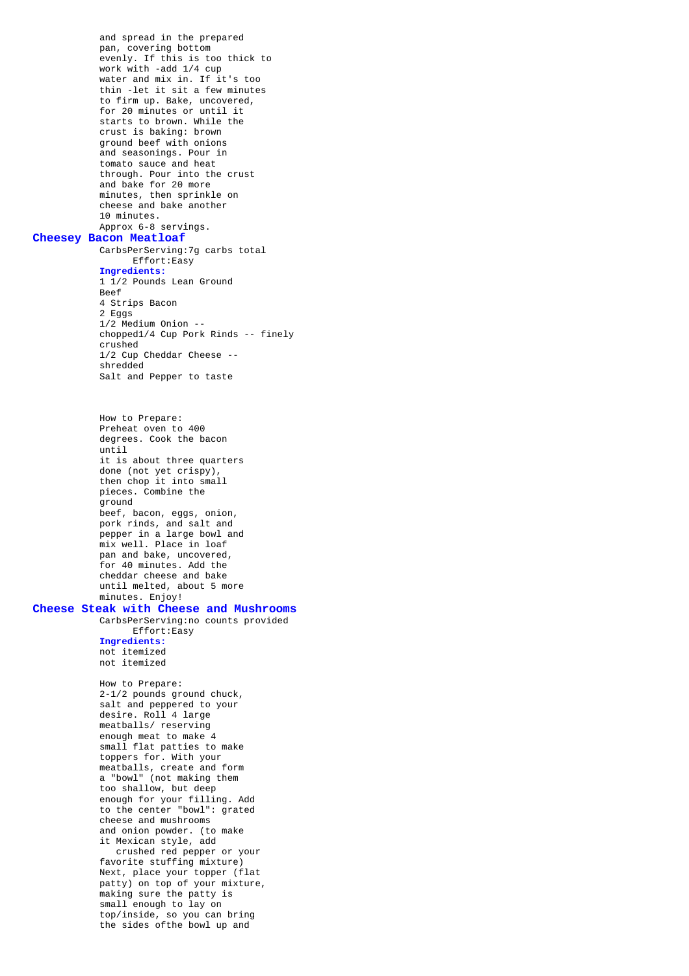and spread in the prepared pan, covering bottom evenly. If this is too thick to work with -add 1/4 cup water and mix in. If it's too thin -let it sit a few minutes to firm up. Bake, uncovered, for 20 minutes or until it starts to brown. While the crust is baking: brown ground beef with onions and seasonings. Pour in tomato sauce and heat through. Pour into the crust and bake for 20 more minutes, then sprinkle on cheese and bake another 10 minutes. Approx 6-8 servings. **Cheesey Bacon Meatloaf**  CarbsPerServing:7g carbs total Effort:Easy **Ingredients:**  1 1/2 Pounds Lean Ground Beef 4 Strips Bacon 2 Eggs 1/2 Medium Onion - chopped1/4 Cup Pork Rinds -- finely crushed 1/2 Cup Cheddar Cheese - shredded Salt and Pepper to taste How to Prepare: Preheat oven to 400 degrees. Cook the bacon until it is about three quarters done (not yet crispy), then chop it into small pieces. Combine the ground beef, bacon, eggs, onion, pork rinds, and salt and pepper in a large bowl and mix well. Place in loaf pan and bake, uncovered, for 40 minutes. Add the cheddar cheese and bake until melted, about 5 more minutes. Enjoy! **Cheese Steak with Cheese and Mushrooms**  CarbsPerServing:no counts provided Effort:Easy  **Ingredients:**  not itemized not itemized How to Prepare: 2-1/2 pounds ground chuck, salt and peppered to your desire. Roll 4 large meatballs/ reserving enough meat to make 4 small flat patties to make toppers for. With your meatballs, create and form a "bowl" (not making them too shallow, but deep enough for your filling. Add to the center "bowl": grated cheese and mushrooms and onion powder. (to make it Mexican style, add crushed red pepper or your favorite stuffing mixture) Next, place your topper (flat patty) on top of your mixture, making sure the patty is small enough to lay on top/inside, so you can bring the sides ofthe bowl up and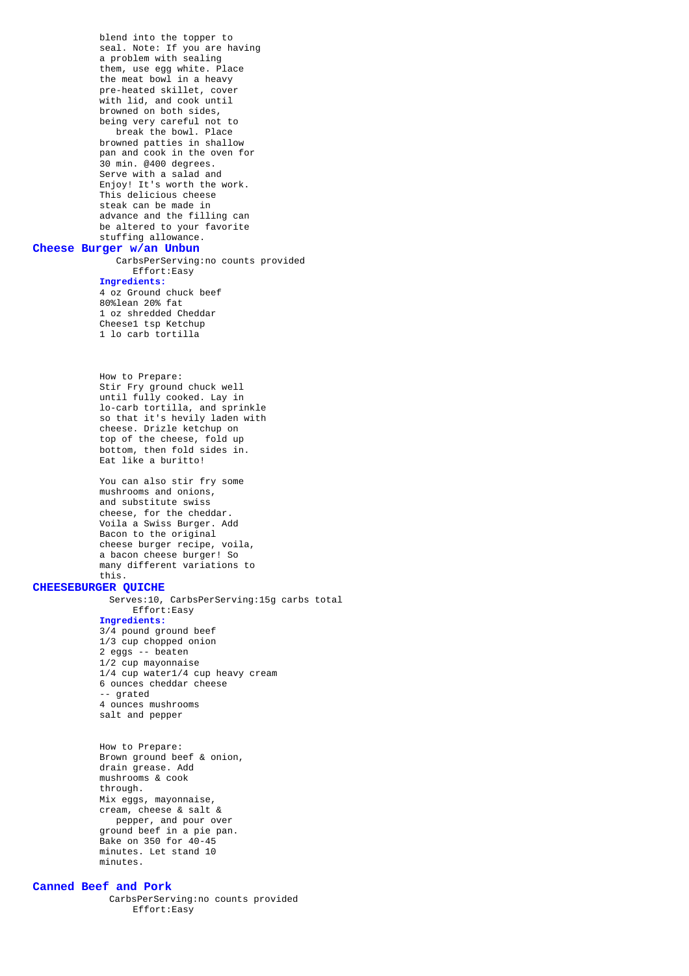blend into the topper to seal. Note: If you are having a problem with sealing them, use egg white. Place the meat bowl in a heavy pre-heated skillet, cover with lid, and cook until browned on both sides, being very careful not to break the bowl. Place browned patties in shallow pan and cook in the oven for 30 min. @400 degrees. Serve with a salad and Enjoy! It's worth the work. This delicious cheese steak can be made in advance and the filling can be altered to your favorite stuffing allowance. **Cheese Burger w/an Unbun**  CarbsPerServing:no counts provided Effort:Easy  **Ingredients:**  4 oz Ground chuck beef 80%lean 20% fat 1 oz shredded Cheddar Cheese1 tsp Ketchup 1 lo carb tortilla How to Prepare: Stir Fry ground chuck well until fully cooked. Lay in lo-carb tortilla, and sprinkle so that it's hevily laden with cheese. Drizle ketchup on top of the cheese, fold up bottom, then fold sides in. Eat like a buritto! You can also stir fry some mushrooms and onions, and substitute swiss cheese, for the cheddar. Voila a Swiss Burger. Add Bacon to the original cheese burger recipe, voila, a bacon cheese burger! So many different variations to this. **CHEESEBURGER QUICHE**  Serves:10, CarbsPerServing:15g carbs total Effort:Easy  **Ingredients:**  3/4 pound ground beef 1/3 cup chopped onion 2 eggs -- beaten 1/2 cup mayonnaise 1/4 cup water1/4 cup heavy cream 6 ounces cheddar cheese -- grated 4 ounces mushrooms salt and pepper How to Prepare: Brown ground beef & onion, drain grease. Add mushrooms & cook through. Mix eggs, mayonnaise, cream, cheese & salt & pepper, and pour over ground beef in a pie pan. Bake on 350 for 40-45 minutes. Let stand 10 minutes.

# **Canned Beef and Pork**

 CarbsPerServing:no counts provided Effort:Easy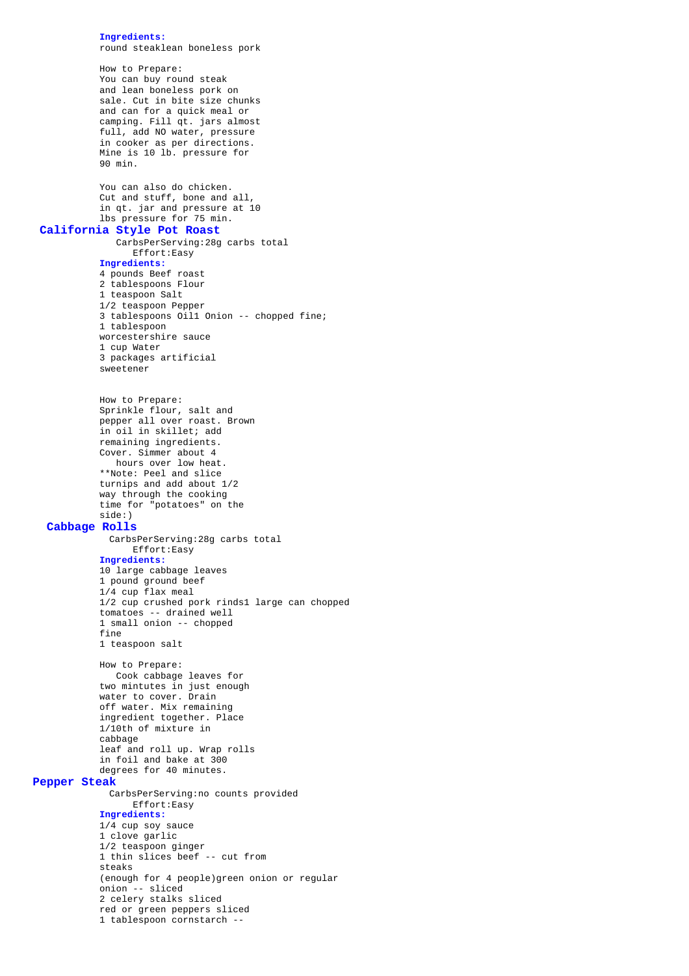```
 Ingredients: 
              round steaklean boneless pork 
             How to Prepare: 
             You can buy round steak 
             and lean boneless pork on 
              sale. Cut in bite size chunks 
              and can for a quick meal or 
             camping. Fill qt. jars almost 
              full, add NO water, pressure 
              in cooker as per directions. 
             Mine is 10 lb. pressure for 
             90 min. 
             You can also do chicken. 
             Cut and stuff, bone and all, 
              in qt. jar and pressure at 10 
             lbs pressure for 75 min. 
  California Style Pot Roast 
                 CarbsPerServing:28g carbs total 
                    Effort:Easy 
             Ingredients: 
              4 pounds Beef roast 
              2 tablespoons Flour 
             1 teaspoon Salt 
             1/2 teaspoon Pepper 
             3 tablespoons Oil1 Onion -- chopped fine; 
             1 tablespoon 
             worcestershire sauce 
             1 cup Water 
              3 packages artificial 
             sweetener 
             How to Prepare: 
            Sprinkle flour, salt and
             pepper all over roast. Brown 
              in oil in skillet; add 
              remaining ingredients. 
             Cover. Simmer about 4 
                hours over low heat. 
              **Note: Peel and slice 
             turnips and add about 1/2 
             way through the cooking 
             time for "potatoes" on the 
             side:) 
   Cabbage Rolls 
               CarbsPerServing:28g carbs total 
                  Effort:Easy 
              Ingredients: 
             10 large cabbage leaves 
              1 pound ground beef 
             1/4 cup flax meal 
             1/2 cup crushed pork rinds1 large can chopped 
             tomatoes -- drained well 
             1 small onion -- chopped 
             fine 
             1 teaspoon salt 
             How to Prepare: 
                Cook cabbage leaves for 
              two mintutes in just enough 
             water to cover. Drain 
             off water. Mix remaining 
             ingredient together. Place 
             1/10th of mixture in 
             cabbage 
             leaf and roll up. Wrap rolls 
             in foil and bake at 300 
             degrees for 40 minutes. 
Pepper Steak 
               CarbsPerServing:no counts provided 
                   Effort:Easy 
             Ingredients: 
             1/4 cup soy sauce 
             1 clove garlic 
 1/2 teaspoon ginger 
 1 thin slices beef -- cut from 
              steaks 
              (enough for 4 people)green onion or regular 
             onion -- sliced 
             2 celery stalks sliced 
             red or green peppers sliced 
             1 tablespoon cornstarch --
```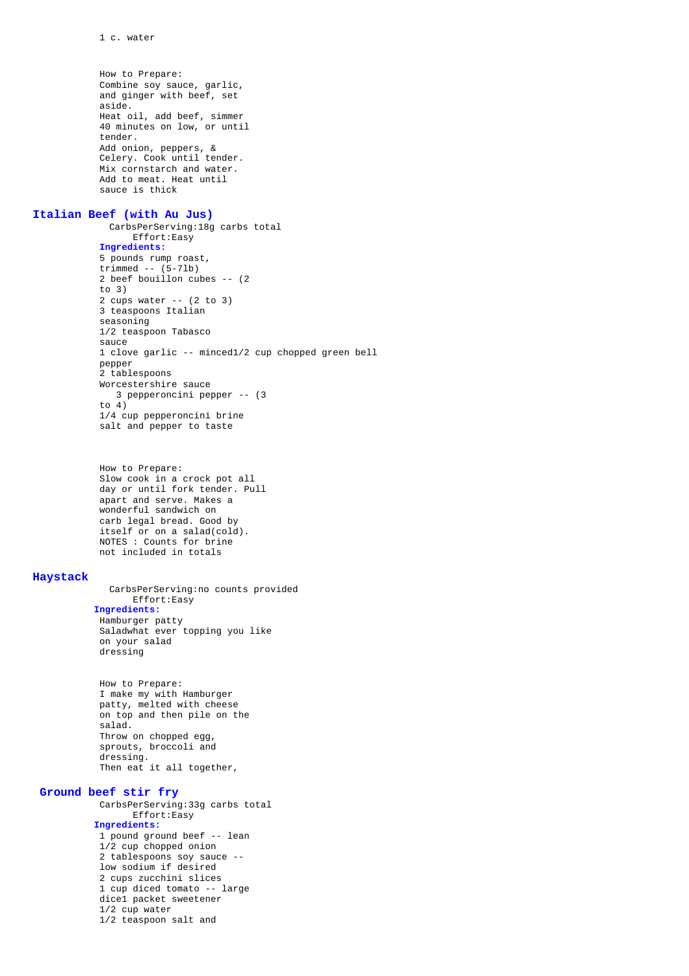How to Prepare: Combine soy sauce, garlic, and ginger with beef, set aside. Heat oil, add beef, simmer 40 minutes on low, or until tender. Add onion, peppers, & Celery. Cook until tender. Mix cornstarch and water. Add to meat. Heat until sauce is thick

#### **Italian Beef (with Au Jus)**

 CarbsPerServing:18g carbs total Effort:Easy  **Ingredients:**  5 pounds rump roast, trimmed -- (5-7lb) 2 beef bouillon cubes -- (2 to 3) 2 cups water  $- -$  (2 to 3) 3 teaspoons Italian seasoning 1/2 teaspoon Tabasco sauce 1 clove garlic -- minced1/2 cup chopped green bell pepper 2 tablespoons Worcestershire sauce 3 pepperoncini pepper -- (3 to 4) 1/4 cup pepperoncini brine salt and pepper to taste

 How to Prepare: Slow cook in a crock pot all day or until fork tender. Pull apart and serve. Makes a wonderful sandwich on carb legal bread. Good by itself or on a salad(cold). NOTES : Counts for brine not included in totals

# **Haystack**

 CarbsPerServing:no counts provided Effort:Easy  **Ingredients:**  Hamburger patty Saladwhat ever topping you like on your salad dressing

 How to Prepare: I make my with Hamburger patty, melted with cheese on top and then pile on the salad. Throw on chopped egg, sprouts, broccoli and dressing. Then eat it all together,

# **Ground beef stir fry**

 CarbsPerServing:33g carbs total Effort:Easy **Ingredients:**  1 pound ground beef -- lean 1/2 cup chopped onion 2 tablespoons soy sauce - low sodium if desired 2 cups zucchini slices 1 cup diced tomato -- large dice1 packet sweetener 1/2 cup water 1/2 teaspoon salt and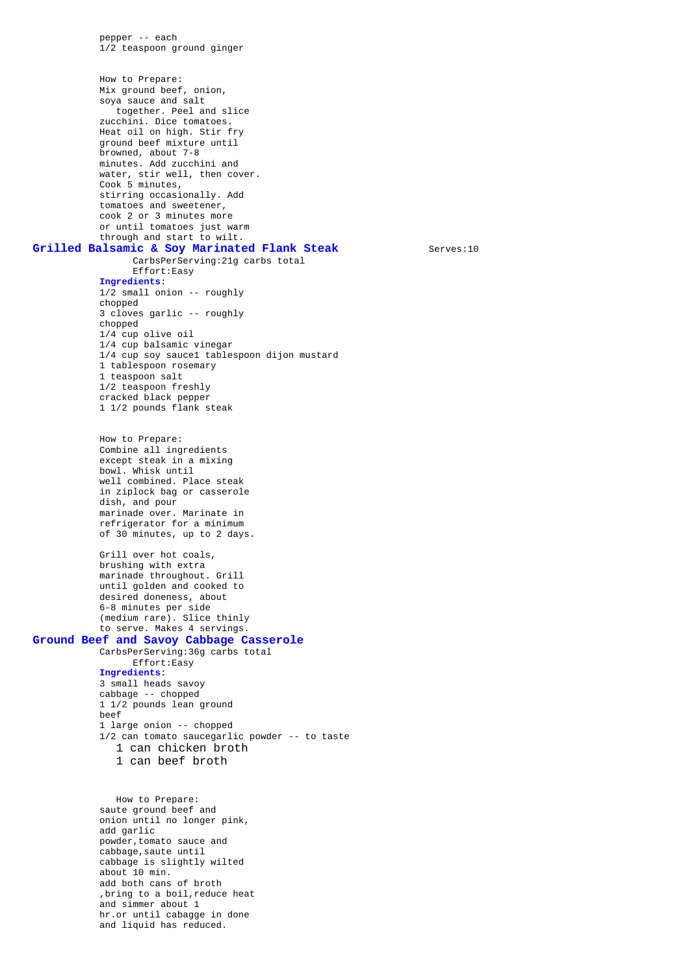pepper -- each 1/2 teaspoon ground ginger How to Prepare: Mix ground beef, onion, soya sauce and salt together. Peel and slice zucchini. Dice tomatoes. Heat oil on high. Stir fry ground beef mixture until browned, about 7-8 minutes. Add zucchini and water, stir well, then cover. Cook 5 minutes, stirring occasionally. Add tomatoes and sweetener, cook 2 or 3 minutes more or until tomatoes just warm through and start to wilt. Grilled Balsamic & Soy Marinated Flank Steak **Serves:10**  CarbsPerServing:21g carbs total Effort:Easy **Ingredients:**  1/2 small onion -- roughly chopped 3 cloves garlic -- roughly chopped 1/4 cup olive oil 1/4 cup balsamic vinegar 1/4 cup soy sauce1 tablespoon dijon mustard 1 tablespoon rosemary 1 teaspoon salt 1/2 teaspoon freshly cracked black pepper 1 1/2 pounds flank steak How to Prepare: Combine all ingredients except steak in a mixing bowl. Whisk until well combined. Place steak in ziplock bag or casserole dish, and pour marinade over. Marinate in refrigerator for a minimum of 30 minutes, up to 2 days. Grill over hot coals, brushing with extra marinade throughout. Grill until golden and cooked to desired doneness, about 6-8 minutes per side (medium rare). Slice thinly to serve. Makes 4 servings. **Ground Beef and Savoy Cabbage Casserole**  CarbsPerServing:36g carbs total Effort:Easy  **Ingredients:**  3 small heads savoy cabbage -- chopped 1 1/2 pounds lean ground beef 1 large onion -- chopped 1/2 can tomato saucegarlic powder -- to taste 1 can chicken broth 1 can beef broth How to Prepare: saute ground beef and onion until no longer pink, add garlic powder, tomato sauce and cabbage,saute until cabbage is slightly wilted about 10 min. add both cans of broth ,bring to a boil,reduce heat

and simmer about 1

 hr.or until cabagge in done and liquid has reduced.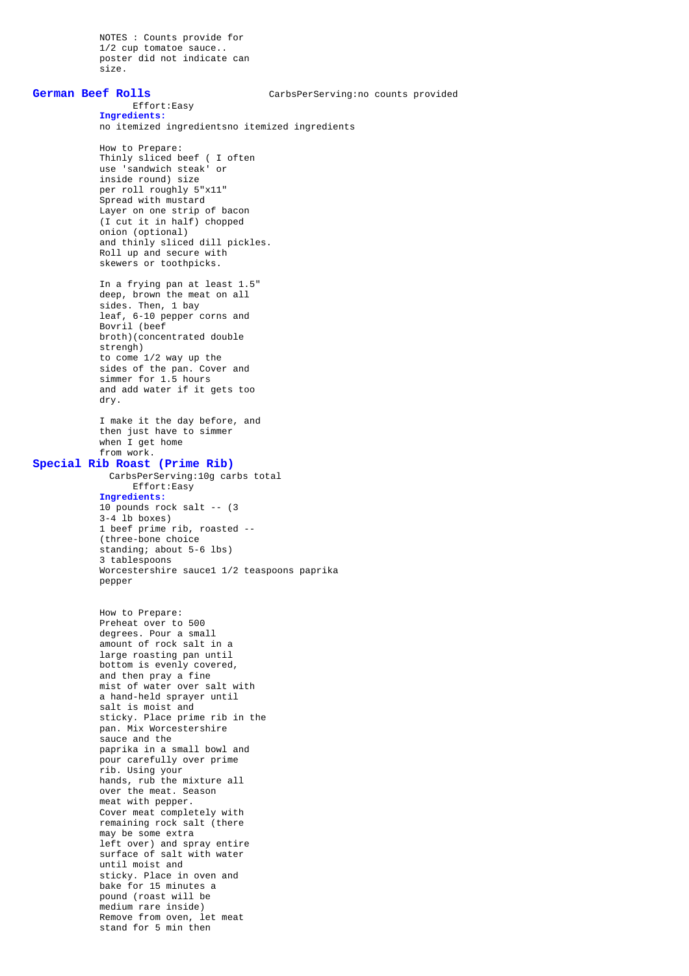NOTES : Counts provide for 1/2 cup tomatoe sauce.. poster did not indicate can size.

**German Beef Rolls** CarbsPerServing:no counts provided

 Effort:Easy  **Ingredients:**  no itemized ingredientsno itemized ingredients

 How to Prepare: Thinly sliced beef ( I often use 'sandwich steak' or inside round) size per roll roughly 5"x11" Spread with mustard Layer on one strip of bacon (I cut it in half) chopped onion (optional) and thinly sliced dill pickles. Roll up and secure with skewers or toothpicks.

 In a frying pan at least 1.5" deep, brown the meat on all sides. Then, 1 bay leaf, 6-10 pepper corns and Bovril (beef broth)(concentrated double strengh) to come 1/2 way up the sides of the pan. Cover and simmer for 1.5 hours and add water if it gets too dry.

 I make it the day before, and then just have to simmer when I get home from work.

### **Special Rib Roast (Prime Rib)**

 CarbsPerServing:10g carbs total Effort:Easy **Ingredients:**  10 pounds rock salt -- (3 3-4 lb boxes) 1 beef prime rib, roasted -- (three-bone choice standing; about 5-6 lbs) 3 tablespoons Worcestershire sauce1 1/2 teaspoons paprika pepper

 How to Prepare: Preheat over to 500 degrees. Pour a small amount of rock salt in a large roasting pan until bottom is evenly covered, and then pray a fine mist of water over salt with a hand-held sprayer until salt is moist and sticky. Place prime rib in the pan. Mix Worcestershire sauce and the paprika in a small bowl and pour carefully over prime rib. Using your hands, rub the mixture all over the meat. Season meat with pepper. Cover meat completely with remaining rock salt (there may be some extra left over) and spray entire surface of salt with water until moist and sticky. Place in oven and bake for 15 minutes a pound (roast will be medium rare inside) Remove from oven, let meat stand for 5 min then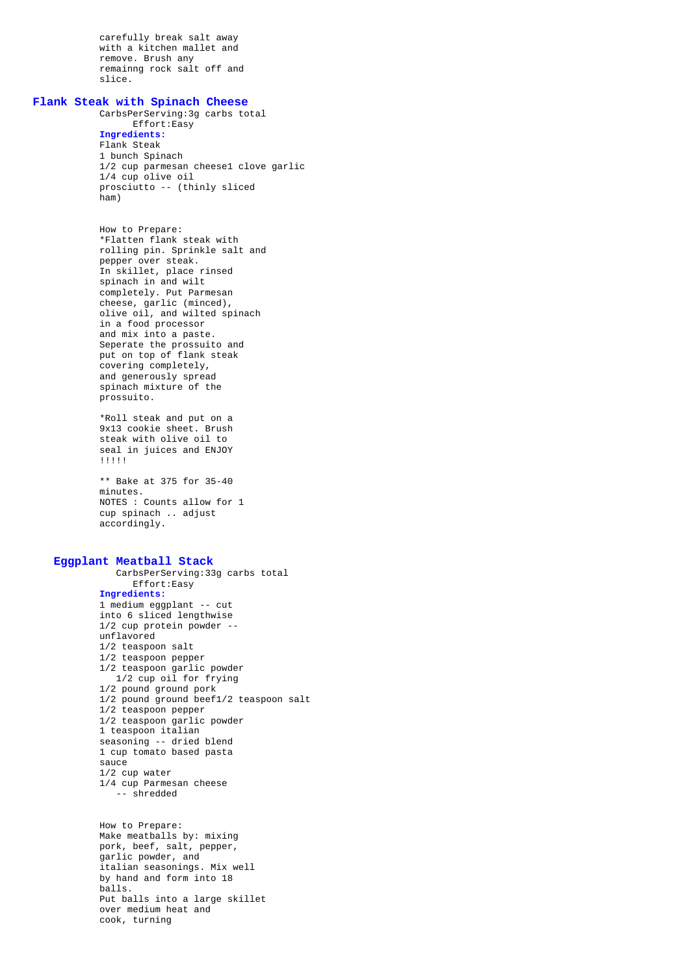carefully break salt away with a kitchen mallet and remove. Brush any remainng rock salt off and slice.

# **Flank Steak with Spinach Cheese**

 CarbsPerServing:3g carbs total Effort:Easy **Ingredients:**  Flank Steak 1 bunch Spinach 1/2 cup parmesan cheese1 clove garlic 1/4 cup olive oil prosciutto -- (thinly sliced ham)

 How to Prepare: \*Flatten flank steak with rolling pin. Sprinkle salt and pepper over steak. In skillet, place rinsed spinach in and wilt completely. Put Parmesan cheese, garlic (minced), olive oil, and wilted spinach in a food processor and mix into a paste. Seperate the prossuito and put on top of flank steak covering completely, and generously spread spinach mixture of the prossuito.

 \*Roll steak and put on a 9x13 cookie sheet. Brush steak with olive oil to seal in juices and ENJOY !!!!!

 \*\* Bake at 375 for 35-40 minutes. NOTES : Counts allow for 1 cup spinach .. adjust accordingly.

#### **Eggplant Meatball Stack**

CarbsPerServing:33g carbs total Effort:Easy **Ingredients:**  1 medium eggplant -- cut into 6 sliced lengthwise 1/2 cup protein powder - unflavored 1/2 teaspoon salt 1/2 teaspoon pepper 1/2 teaspoon garlic powder 1/2 cup oil for frying 1/2 pound ground pork 1/2 pound ground beef1/2 teaspoon salt 1/2 teaspoon pepper 1/2 teaspoon garlic powder 1 teaspoon italian seasoning -- dried blend 1 cup tomato based pasta sauce 1/2 cup water 1/4 cup Parmesan cheese -- shredded

 How to Prepare: Make meatballs by: mixing pork, beef, salt, pepper, garlic powder, and italian seasonings. Mix well by hand and form into 18 balls. Put balls into a large skillet over medium heat and cook, turning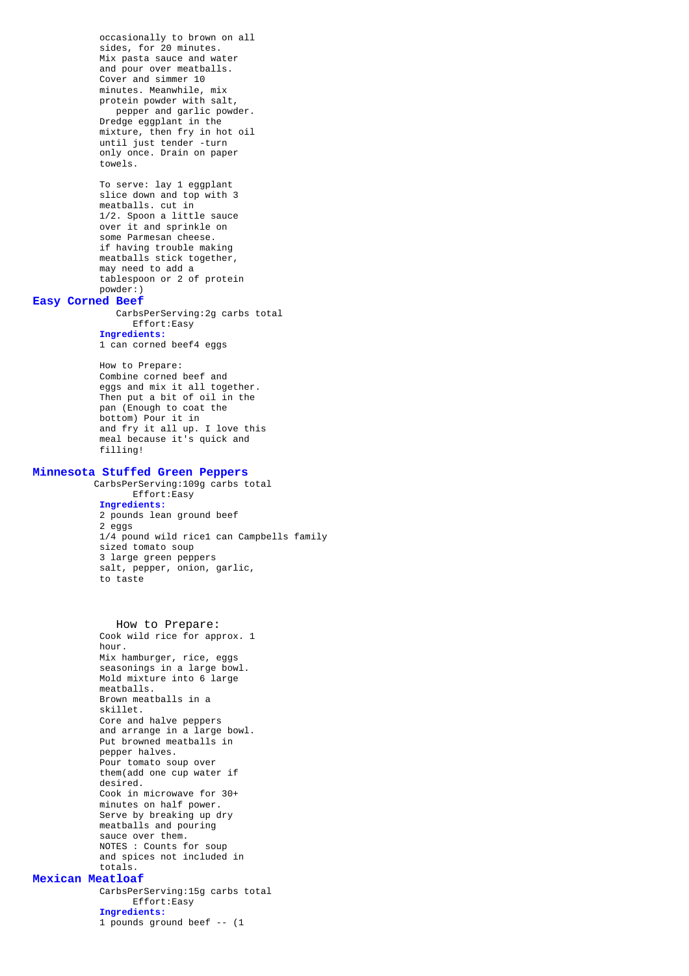occasionally to brown on all sides, for 20 minutes. Mix pasta sauce and water and pour over meatballs. Cover and simmer 10 minutes. Meanwhile, mix protein powder with salt, pepper and garlic powder. Dredge eggplant in the mixture, then fry in hot oil until just tender -turn only once. Drain on paper towels. To serve: lay 1 eggplant slice down and top with 3 meatballs. cut in 1/2. Spoon a little sauce over it and sprinkle on some Parmesan cheese. if having trouble making meatballs stick together, may need to add a tablespoon or 2 of protein powder:) **Easy Corned Beef**  CarbsPerServing:2g carbs total Effort:Easy **Ingredients:**  1 can corned beef4 eggs How to Prepare: Combine corned beef and eggs and mix it all together. Then put a bit of oil in the pan (Enough to coat the bottom) Pour it in and fry it all up. I love this meal because it's quick and filling! **Minnesota Stuffed Green Peppers**  CarbsPerServing:109g carbs total Effort:Easy  **Ingredients:**  2 pounds lean ground beef 2 eggs 1/4 pound wild rice1 can Campbells family sized tomato soup 3 large green peppers salt, pepper, onion, garlic, to taste How to Prepare:

 Cook wild rice for approx. 1 hour. Mix hamburger, rice, eggs seasonings in a large bowl. Mold mixture into 6 large meatballs. Brown meatballs in a skillet. Core and halve peppers and arrange in a large bowl. Put browned meatballs in pepper halves. Pour tomato soup over them(add one cup water if desired. Cook in microwave for 30+ minutes on half power. Serve by breaking up dry meatballs and pouring sauce over them. NOTES : Counts for soup and spices not included in totals. **Mexican Meatloaf**  CarbsPerServing:15g carbs total

## Effort:Easy  **Ingredients:**  1 pounds ground beef -- (1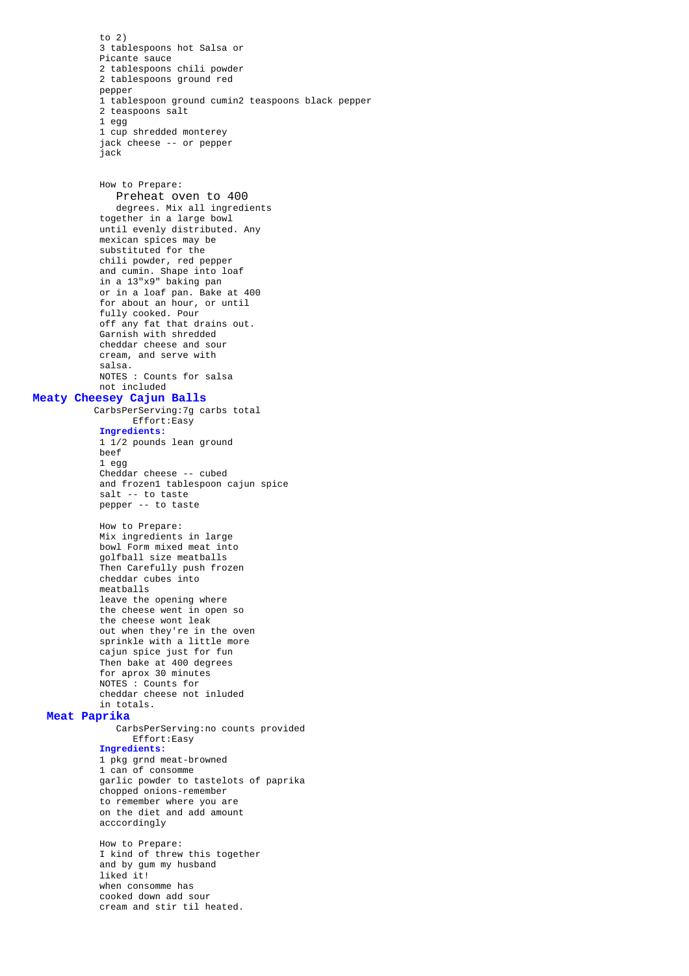```
 to 2) 
              3 tablespoons hot Salsa or 
              Picante sauce 
              2 tablespoons chili powder 
              2 tablespoons ground red 
              pepper 
              1 tablespoon ground cumin2 teaspoons black pepper 
              2 teaspoons salt 
             1 egg
              1 cup shredded monterey 
              jack cheese -- or pepper 
              jack 
              How to Prepare: 
                 Preheat oven to 400 
                 degrees. Mix all ingredients 
              together in a large bowl 
              until evenly distributed. Any 
              mexican spices may be 
              substituted for the 
              chili powder, red pepper 
              and cumin. Shape into loaf 
              in a 13"x9" baking pan 
              or in a loaf pan. Bake at 400 
              for about an hour, or until 
              fully cooked. Pour 
              off any fat that drains out. 
              Garnish with shredded 
              cheddar cheese and sour 
              cream, and serve with 
              salsa. 
              NOTES : Counts for salsa 
             not included 
Meaty Cheesey Cajun Balls 
             CarbsPerServing:7g carbs total 
                    Effort:Easy 
              Ingredients: 
              1 1/2 pounds lean ground 
              beef 
              1 egg 
              Cheddar cheese -- cubed 
              and frozen1 tablespoon cajun spice 
              salt -- to taste 
              pepper -- to taste 
              How to Prepare: 
              Mix ingredients in large 
              bowl Form mixed meat into 
              golfball size meatballs 
              Then Carefully push frozen 
              cheddar cubes into 
              meatballs 
              leave the opening where 
              the cheese went in open so 
              the cheese wont leak 
              out when they're in the oven 
              sprinkle with a little more 
              cajun spice just for fun 
              Then bake at 400 degrees 
              for aprox 30 minutes 
              NOTES : Counts for 
              cheddar cheese not inluded 
              in totals. 
   Meat Paprika CarbsPerServing:no counts provided 
                    Effort:Easy 
              Ingredients: 
              1 pkg grnd meat-browned 
              1 can of consomme 
              garlic powder to tastelots of paprika 
              chopped onions-remember 
              to remember where you are 
              on the diet and add amount 
              acccordingly 
              How to Prepare: 
              I kind of threw this together 
              and by gum my husband 
              liked it! 
              when consomme has 
              cooked down add sour 
              cream and stir til heated.
```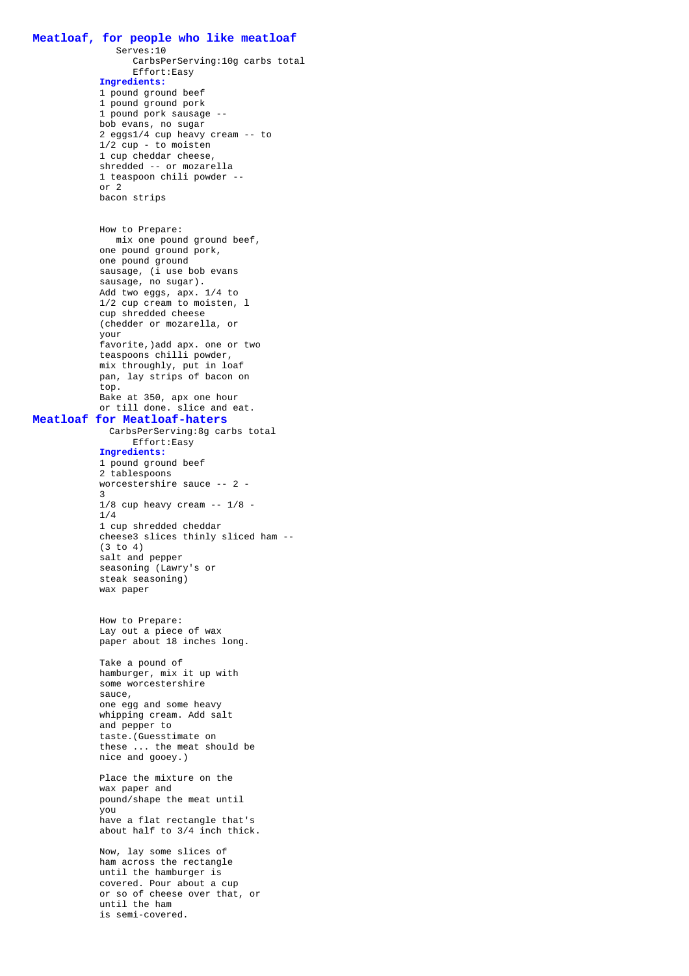```
Meatloaf, for people who like meatloaf 
                 Serves:10 
                    CarbsPerServing:10g carbs total 
                    Effort:Easy 
              Ingredients: 
              1 pound ground beef 
              1 pound ground pork 
              1 pound pork sausage -- 
 bob evans, no sugar 
 2 eggs1/4 cup heavy cream -- to 
             1/2 cup - to moisten 
              1 cup cheddar cheese, 
             shredded -- or mozarella 
             1 teaspoon chili powder -- 
             or 2 
             bacon strips 
             How to Prepare: 
                mix one pound ground beef, 
             one pound ground pork, 
              one pound ground 
             sausage, (i use bob evans 
              sausage, no sugar). 
              Add two eggs, apx. 1/4 to 
            1/2 cup cream to moisten, 1
              cup shredded cheese 
             (chedder or mozarella, or 
             your 
              favorite,)add apx. one or two 
             teaspoons chilli powder, 
             mix throughly, put in loaf 
             pan, lay strips of bacon on 
             top. 
             Bake at 350, apx one hour 
             or till done. slice and eat. 
Meatloaf for Meatloaf-haters 
               CarbsPerServing:8g carbs total 
                   Effort:Easy 
              Ingredients: 
              1 pound ground beef 
              2 tablespoons 
             worcestershire sauce -- 2 - 
 3 
            1/8 cup heavy cream -1/8 -
             1/4 
             1 cup shredded cheddar 
             cheese3 slices thinly sliced ham -- 
              (3 to 4) 
             salt and pepper 
             seasoning (Lawry's or 
              steak seasoning) 
             wax paper 
             How to Prepare: 
             Lay out a piece of wax 
             paper about 18 inches long. 
             Take a pound of 
             hamburger, mix it up with 
             some worcestershire 
             sauce, 
              one egg and some heavy 
              whipping cream. Add salt 
             and pepper to 
             taste.(Guesstimate on 
             these ... the meat should be 
             nice and gooey.) 
             Place the mixture on the 
             wax paper and 
              pound/shape the meat until 
             you 
             have a flat rectangle that's 
             about half to 3/4 inch thick. 
             Now, lay some slices of 
             ham across the rectangle 
             until the hamburger is 
             covered. Pour about a cup 
              or so of cheese over that, or 
              until the ham 
             is semi-covered.
```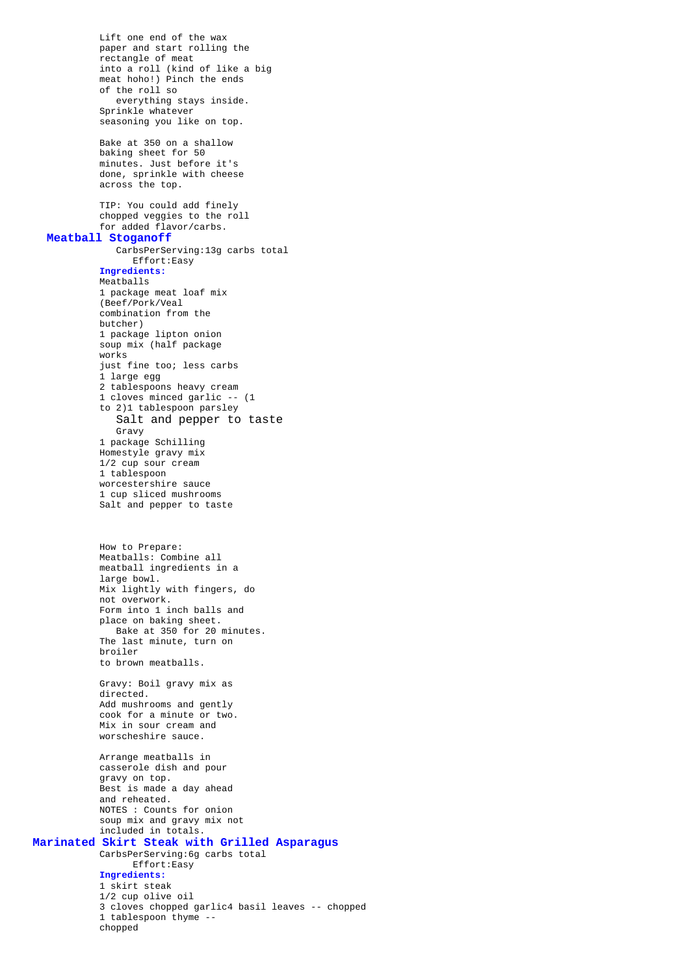Lift one end of the wax paper and start rolling the rectangle of meat into a roll (kind of like a big meat hoho!) Pinch the ends of the roll so everything stays inside. Sprinkle whatever seasoning you like on top. Bake at 350 on a shallow baking sheet for 50 minutes. Just before it's done, sprinkle with cheese across the top. TIP: You could add finely chopped veggies to the roll for added flavor/carbs.  **Meatball Stoganoff**  CarbsPerServing:13g carbs total Effort:Easy **Ingredients:**  Meatballs 1 package meat loaf mix (Beef/Pork/Veal combination from the butcher) 1 package lipton onion soup mix (half package works just fine too; less carbs 1 large egg 2 tablespoons heavy cream 1 cloves minced garlic -- (1 to 2)1 tablespoon parsley Salt and pepper to taste Gravy 1 package Schilling Homestyle gravy mix 1/2 cup sour cream 1 tablespoon worcestershire sauce 1 cup sliced mushrooms Salt and pepper to taste How to Prepare: Meatballs: Combine all meatball ingredients in a large bowl. Mix lightly with fingers, do not overwork. Form into 1 inch balls and place on baking sheet. Bake at 350 for 20 minutes. The last minute, turn on broiler to brown meatballs. Gravy: Boil gravy mix as directed. Add mushrooms and gently cook for a minute or two. Mix in sour cream and worscheshire sauce. Arrange meatballs in casserole dish and pour gravy on top. Best is made a day ahead and reheated. NOTES : Counts for onion soup mix and gravy mix not included in totals. **Marinated Skirt Steak with Grilled Asparagus**  CarbsPerServing:6g carbs total Effort:Easy  **Ingredients:**  1 skirt steak 1/2 cup olive oil 3 cloves chopped garlic4 basil leaves -- chopped 1 tablespoon thyme --

chopped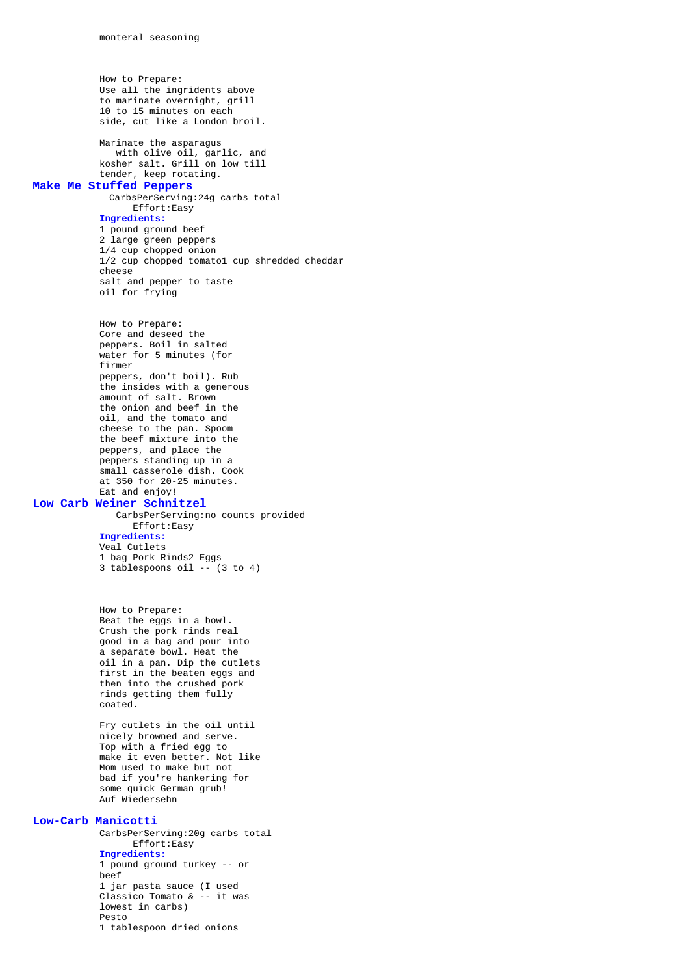How to Prepare: Use all the ingridents above to marinate overnight, grill 10 to 15 minutes on each side, cut like a London broil. Marinate the asparagus with olive oil, garlic, and kosher salt. Grill on low till tender, keep rotating. **Make Me Stuffed Peppers**  CarbsPerServing:24g carbs total Effort:Easy  **Ingredients:**  1 pound ground beef 2 large green peppers 1/4 cup chopped onion 1/2 cup chopped tomato1 cup shredded cheddar cheese salt and pepper to taste oil for frying How to Prepare: Core and deseed the peppers. Boil in salted water for 5 minutes (for firmer peppers, don't boil). Rub the insides with a generous amount of salt. Brown the onion and beef in the oil, and the tomato and cheese to the pan. Spoom the beef mixture into the peppers, and place the peppers standing up in a small casserole dish. Cook at 350 for 20-25 minutes. Eat and enjoy! **Low Carb Weiner Schnitzel**  CarbsPerServing:no counts provided Effort:Easy **Ingredients:**  Veal Cutlets 1 bag Pork Rinds2 Eggs 3 tablespoons oil -- (3 to 4) How to Prepare: Beat the eggs in a bowl. Crush the pork rinds real good in a bag and pour into a separate bowl. Heat the oil in a pan. Dip the cutlets first in the beaten eggs and then into the crushed pork rinds getting them fully coated. Fry cutlets in the oil until nicely browned and serve. Top with a fried egg to make it even better. Not like Mom used to make but not bad if you're hankering for some quick German grub! Auf Wiedersehn **Low-Carb Manicotti**  CarbsPerServing:20g carbs total Effort:Easy **Ingredients:**  1 pound ground turkey -- or beef 1 jar pasta sauce (I used Classico Tomato & -- it was lowest in carbs) Pesto 1 tablespoon dried onions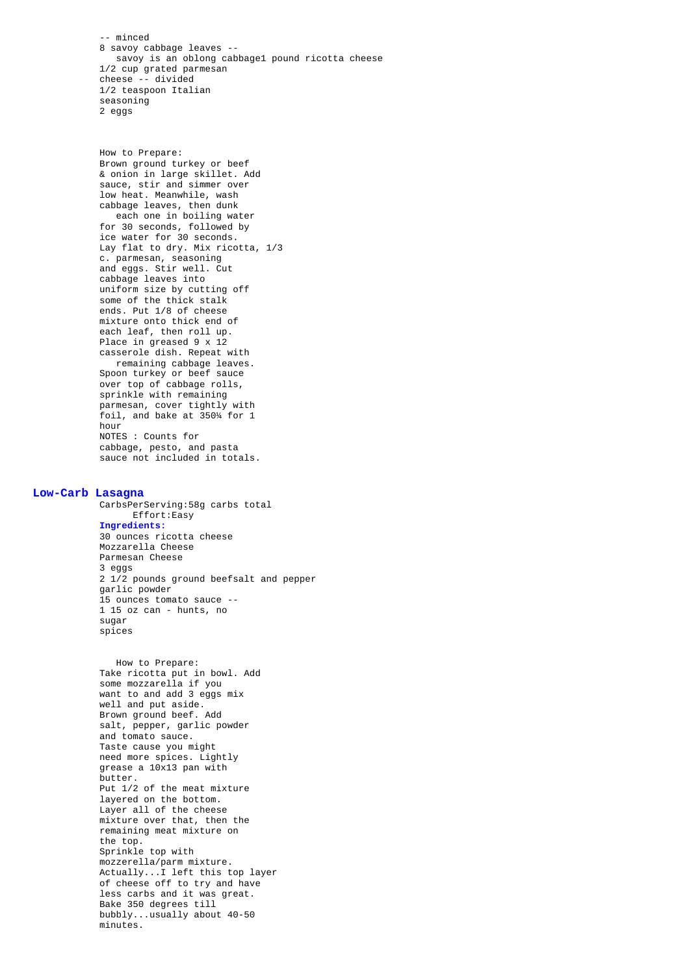-- minced 8 savoy cabbage leaves - savoy is an oblong cabbage1 pound ricotta cheese 1/2 cup grated parmesan cheese -- divided 1/2 teaspoon Italian seasoning 2 eggs

 How to Prepare: Brown ground turkey or beef & onion in large skillet. Add sauce, stir and simmer over low heat. Meanwhile, wash cabbage leaves, then dunk each one in boiling water for 30 seconds, followed by ice water for 30 seconds. Lay flat to dry. Mix ricotta, 1/3 c. parmesan, seasoning and eggs. Stir well. Cut cabbage leaves into uniform size by cutting off some of the thick stalk ends. Put 1/8 of cheese mixture onto thick end of each leaf, then roll up. Place in greased 9 x 12 casserole dish. Repeat with remaining cabbage leaves. Spoon turkey or beef sauce over top of cabbage rolls, sprinkle with remaining parmesan, cover tightly with foil, and bake at 350¼ for 1 hour NOTES : Counts for cabbage, pesto, and pasta sauce not included in totals.

#### **Low-Carb Lasagna**

 CarbsPerServing:58g carbs total Effort:Easy **Ingredients:**  30 ounces ricotta cheese Mozzarella Cheese Parmesan Cheese 3 eggs 2 1/2 pounds ground beefsalt and pepper garlic powder 15 ounces tomato sauce -- 1 15 oz can - hunts, no sugar spices

 How to Prepare: Take ricotta put in bowl. Add some mozzarella if you want to and add 3 eggs mix well and put aside. Brown ground beef. Add salt, pepper, garlic powder and tomato sauce. Taste cause you might need more spices. Lightly grease a 10x13 pan with butter. Put 1/2 of the meat mixture layered on the bottom. Layer all of the cheese mixture over that, then the remaining meat mixture on the top. Sprinkle top with mozzerella/parm mixture. Actually...I left this top layer of cheese off to try and have less carbs and it was great. Bake 350 degrees till bubbly...usually about 40-50 minutes.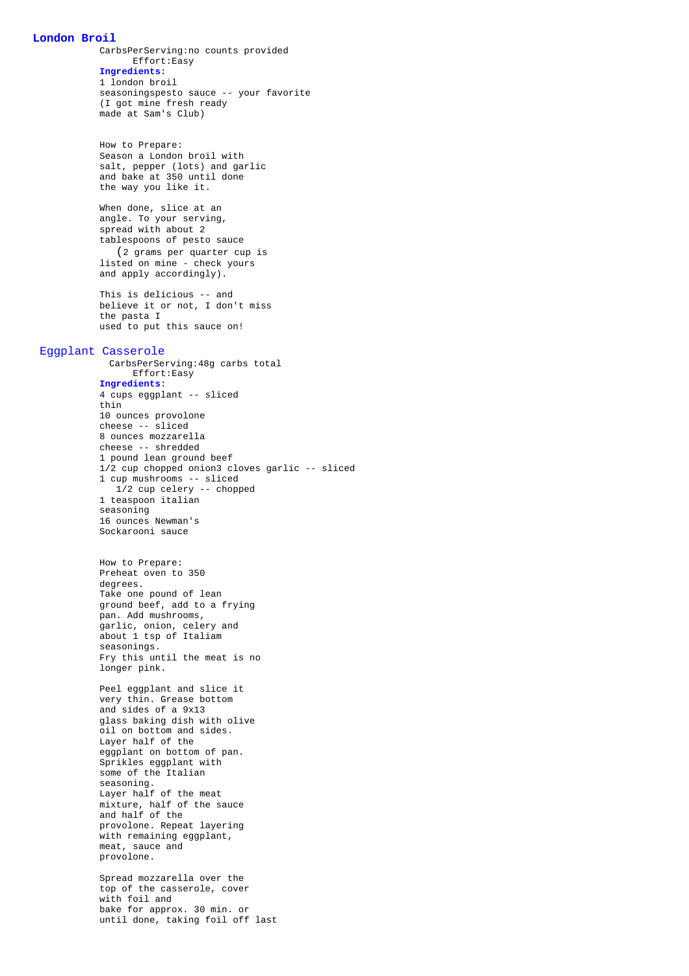# **London Broil**

 CarbsPerServing:no counts provided Effort:Easy  **Ingredients:**  1 london broil seasoningspesto sauce -- your favorite (I got mine fresh ready made at Sam's Club)

 How to Prepare: Season a London broil with salt, pepper (lots) and garlic and bake at 350 until done the way you like it.

 When done, slice at an angle. To your serving, spread with about 2 tablespoons of pesto sauce (2 grams per quarter cup is listed on mine - check yours and apply accordingly).

 This is delicious -- and believe it or not, I don't miss the pasta I used to put this sauce on!

# Eggplant Casserole

 CarbsPerServing:48g carbs total Effort:Easy **Ingredients:**  4 cups eggplant -- sliced thin 10 ounces provolone cheese -- sliced 8 ounces mozzarella cheese -- shredded 1 pound lean ground beef 1/2 cup chopped onion3 cloves garlic -- sliced 1 cup mushrooms -- sliced 1/2 cup celery -- chopped 1 teaspoon italian seasoning 16 ounces Newman's Sockarooni sauce

 How to Prepare: Preheat oven to 350 degrees. Take one pound of lean ground beef, add to a frying pan. Add mushrooms, garlic, onion, celery and about 1 tsp of Italiam seasonings. Fry this until the meat is no longer pink.

 Peel eggplant and slice it very thin. Grease bottom and sides of a 9x13 glass baking dish with olive oil on bottom and sides. Layer half of the eggplant on bottom of pan. Sprikles eggplant with some of the Italian seasoning. Layer half of the meat mixture, half of the sauce and half of the provolone. Repeat layering with remaining eggplant, meat, sauce and provolone.

> Spread mozzarella over the top of the casserole, cover with foil and bake for approx. 30 min. or until done, taking foil off last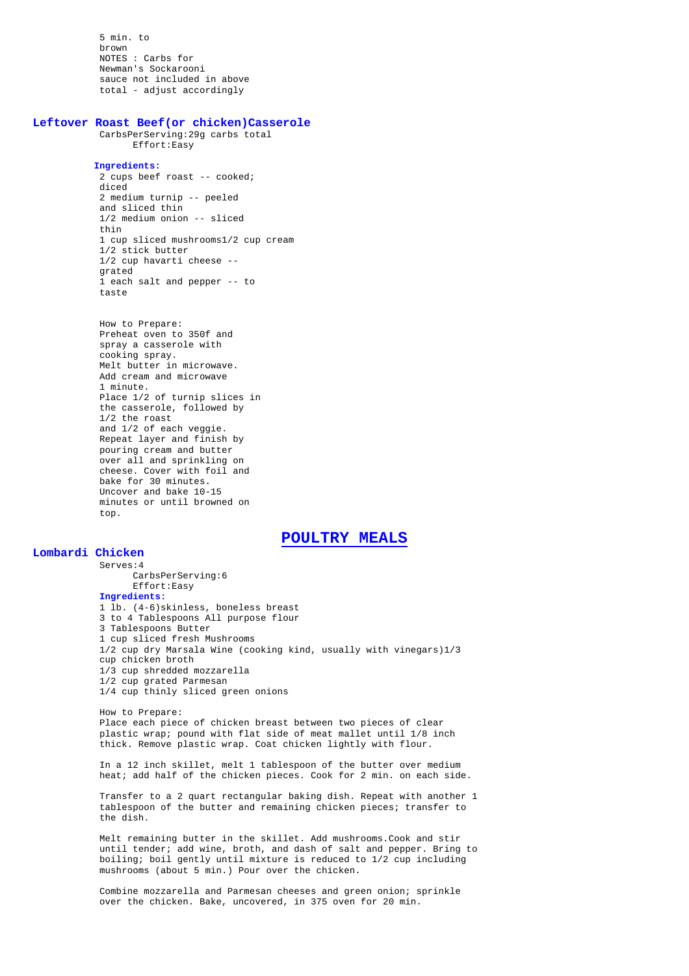5 min. to brown NOTES : Carbs for Newman's Sockarooni sauce not included in above total - adjust accordingly

#### **Leftover Roast Beef(or chicken)Casserole**

 CarbsPerServing:29g carbs total Effort:Easy

#### **Ingredients:**

 2 cups beef roast -- cooked; diced 2 medium turnip -- peeled and sliced thin 1/2 medium onion -- sliced thin 1 cup sliced mushrooms1/2 cup cream 1/2 stick butter 1/2 cup havarti cheese - grated 1 each salt and pepper -- to taste

 How to Prepare: Preheat oven to 350f and spray a casserole with cooking spray. Melt butter in microwave. Add cream and microwave 1 minute. Place 1/2 of turnip slices in the casserole, followed by 1/2 the roast and 1/2 of each veggie. Repeat layer and finish by pouring cream and butter over all and sprinkling on cheese. Cover with foil and bake for 30 minutes. Uncover and bake 10-15 minutes or until browned on top.

# **POULTRY MEALS**

# **Lombardi Chicken**

 Serves:4 CarbsPerServing:6 Effort:Easy  **Ingredients:**  1 lb. (4-6)skinless, boneless breast 3 to 4 Tablespoons All purpose flour 3 Tablespoons Butter 1 cup sliced fresh Mushrooms 1/2 cup dry Marsala Wine (cooking kind, usually with vinegars)1/3 cup chicken broth 1/3 cup shredded mozzarella 1/2 cup grated Parmesan

1/4 cup thinly sliced green onions

 How to Prepare: Place each piece of chicken breast between two pieces of clear plastic wrap; pound with flat side of meat mallet until 1/8 inch thick. Remove plastic wrap. Coat chicken lightly with flour.

 In a 12 inch skillet, melt 1 tablespoon of the butter over medium heat; add half of the chicken pieces. Cook for 2 min. on each side.

 Transfer to a 2 quart rectangular baking dish. Repeat with another 1 tablespoon of the butter and remaining chicken pieces; transfer to the dish.

 Melt remaining butter in the skillet. Add mushrooms.Cook and stir until tender; add wine, broth, and dash of salt and pepper. Bring to boiling; boil gently until mixture is reduced to 1/2 cup including mushrooms (about 5 min.) Pour over the chicken.

 Combine mozzarella and Parmesan cheeses and green onion; sprinkle over the chicken. Bake, uncovered, in 375 oven for 20 min.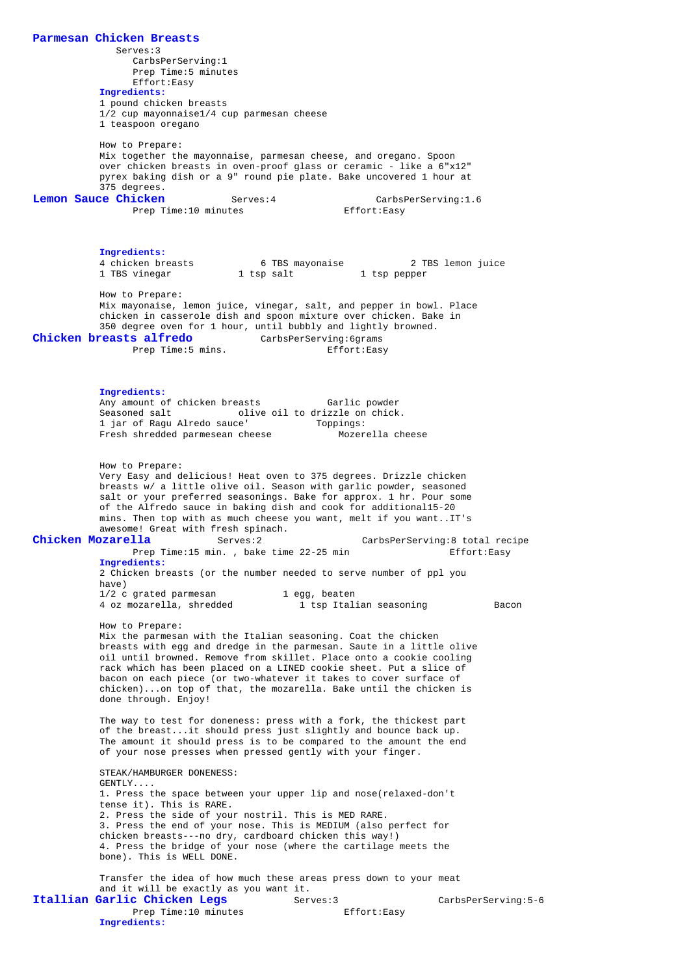**Parmesan Chicken Breasts**  Serves:3 CarbsPerServing:1 Prep Time:5 minutes Effort:Easy **Ingredients:**  1 pound chicken breasts 1/2 cup mayonnaise1/4 cup parmesan cheese 1 teaspoon oregano How to Prepare: Mix together the mayonnaise, parmesan cheese, and oregano. Spoon over chicken breasts in oven-proof glass or ceramic - like a 6"x12" pyrex baking dish or a 9" round pie plate. Bake uncovered 1 hour at 375 degrees. 375 degrees.<br> **Lemon Sauce Chicken** Serves:4 CarbsPerServing:1.6<br>
Prep Time:10 minutes Effort:Easy Prep Time:10 minutes  **Ingredients:**  1191 curence.<br>
4 chicken breasts 6 TBS mayonaise 2 TBS lemon juice<br>
1 TBS vineqar 1 tsp salt<br>
1 tsp pepper 1 tsp salt 1 tsp pepper How to Prepare: Mix mayonaise, lemon juice, vinegar, salt, and pepper in bowl. Place chicken in casserole dish and spoon mixture over chicken. Bake in 350 degree oven for 1 hour, until bubbly and lightly browned. Chicken breasts alfredo CarbsPerServing:6grams<br>Prep Time:5 mins. Effort:Easy Prep Time:5 mins.  **Ingredients:**  Any amount of chicken breasts Garlic powder seasoned salt olive oil to drizzle on chick. 1 jar of Ragu Alredo sauce' Toppings: Fresh shredded parmesean cheese Mozerella cheese How to Prepare: Very Easy and delicious! Heat oven to 375 degrees. Drizzle chicken breasts w/ a little olive oil. Season with garlic powder, seasoned salt or your preferred seasonings. Bake for approx. 1 hr. Pour some of the Alfredo sauce in baking dish and cook for additional15-20 mins. Then top with as much cheese you want, melt if you want..IT's awesome! Great with fresh spinach. **Chicken Mozarella** Serves:2 CarbsPerServing:8 total recipe Prep Time:15 min., bake time 22-25 min Effort:Easy  **Ingredients:**  2 Chicken breasts (or the number needed to serve number of ppl you have) 1/2 c grated parmesan 1 egg, beaten<br>4 oz mozarella, shredded 1 tsp Ital. 1 tsp Italian seasoning and Bacon How to Prepare: Mix the parmesan with the Italian seasoning. Coat the chicken breasts with egg and dredge in the parmesan. Saute in a little olive oil until browned. Remove from skillet. Place onto a cookie cooling rack which has been placed on a LINED cookie sheet. Put a slice of bacon on each piece (or two-whatever it takes to cover surface of chicken)...on top of that, the mozarella. Bake until the chicken is done through. Enjoy! The way to test for doneness: press with a fork, the thickest part of the breast...it should press just slightly and bounce back up. The amount it should press is to be compared to the amount the end of your nose presses when pressed gently with your finger. STEAK/HAMBURGER DONENESS: GENTLY.... 1. Press the space between your upper lip and nose(relaxed-don't tense it). This is RARE. 2. Press the side of your nostril. This is MED RARE. 3. Press the end of your nose. This is MEDIUM (also perfect for chicken breasts---no dry, cardboard chicken this way!) 4. Press the bridge of your nose (where the cartilage meets the bone). This is WELL DONE. Transfer the idea of how much these areas press down to your meat and it will be exactly as you want it. **Itallian Garlic Chicken Legs** Serves:3 Servest CarbsPerServing:5-6 Prep Time:10 minutes effort:Easy  **Ingredients:**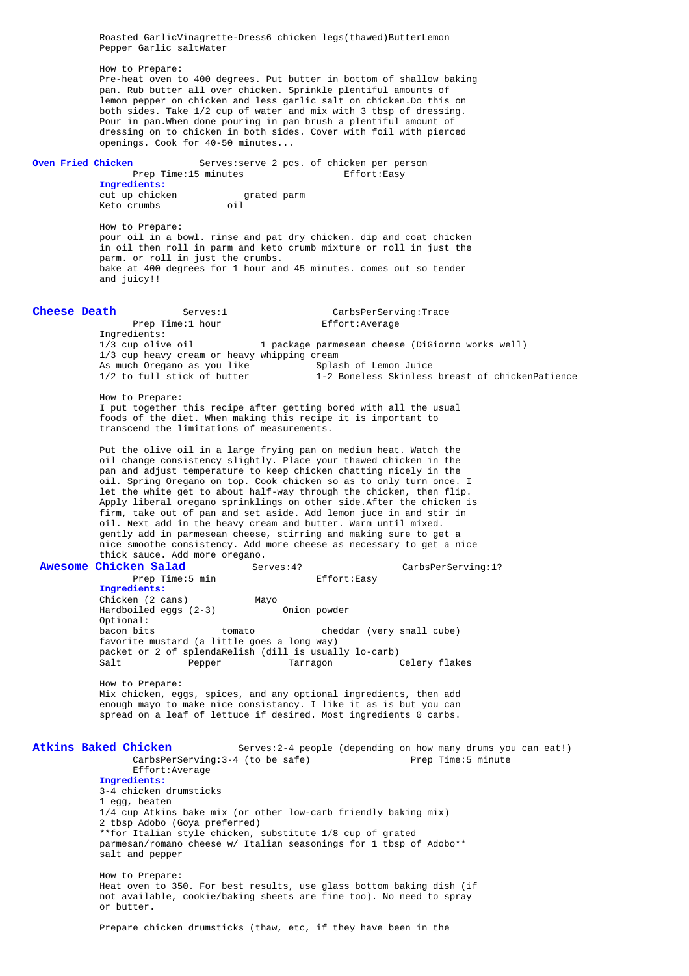Roasted GarlicVinagrette-Dress6 chicken legs(thawed)ButterLemon Pepper Garlic saltWater How to Prepare: Pre-heat oven to 400 degrees. Put butter in bottom of shallow baking pan. Rub butter all over chicken. Sprinkle plentiful amounts of lemon pepper on chicken and less garlic salt on chicken.Do this on both sides. Take 1/2 cup of water and mix with 3 tbsp of dressing. Pour in pan.When done pouring in pan brush a plentiful amount of dressing on to chicken in both sides. Cover with foil with pierced openings. Cook for 40-50 minutes... **Oven Fried Chicken** Serves:serve 2 pcs. of chicken per person Prep Time:15 minutes Effort:Easy  **Ingredients:**  cut up chicken grated parm<br>Keto crumbs oil Keto crumbs How to Prepare: pour oil in a bowl. rinse and pat dry chicken. dip and coat chicken in oil then roll in parm and keto crumb mixture or roll in just the parm. or roll in just the crumbs. bake at 400 degrees for 1 hour and 45 minutes. comes out so tender and juicy!! **Cheese Death** Serves:1 CarbsPerServing:Trace Prep Time:1 hour Effort:Average Ingredients: 1/3 cup olive oil 1 package parmesean cheese (DiGiorno works well) 1/3 cup heavy cream or heavy whipping cream As much Oregano as you like Splash of Lemon Juice 1/2 to full stick of butter 1-2 Boneless Skinless breast of chickenPatience How to Prepare: I put together this recipe after getting bored with all the usual foods of the diet. When making this recipe it is important to transcend the limitations of measurements. Put the olive oil in a large frying pan on medium heat. Watch the oil change consistency slightly. Place your thawed chicken in the pan and adjust temperature to keep chicken chatting nicely in the oil. Spring Oregano on top. Cook chicken so as to only turn once. I let the white get to about half-way through the chicken, then flip. Apply liberal oregano sprinklings on other side.After the chicken is firm, take out of pan and set aside. Add lemon juce in and stir in oil. Next add in the heavy cream and butter. Warm until mixed. gently add in parmesean cheese, stirring and making sure to get a nice smoothe consistency. Add more cheese as necessary to get a nice thick sauce. Add more oregano.<br>**Chicken Salad** Serves:4? **Awesome Chicken Salad** Serves:4? CarbsPerServing:1?<br>Prep Time:5 min Bffort:Easy Prep Time:5 min<br> **Ingredients: Ingredients:**  Chicken (2 cans) Mayo Hardboiled eggs (2-3) Onion powder Optional:<br>bacon bits tomato cheddar (very small cube) favorite mustard (a little goes a long way) packet or 2 of splendaRelish (dill is usually lo-carb) Salt **Pepper Tarragon Celery flakes**  How to Prepare: Mix chicken, eggs, spices, and any optional ingredients, then add enough mayo to make nice consistancy. I like it as is but you can spread on a leaf of lettuce if desired. Most ingredients 0 carbs. Atkins Baked Chicken Serves: 2-4 people (depending on how many drums you can eat!) CarbsPerServing: 3-4 (to be safe) Prep Time: 5 minute Effort:Average  **Ingredients:**  3-4 chicken drumsticks 1 egg, beaten 1/4 cup Atkins bake mix (or other low-carb friendly baking mix) 2 tbsp Adobo (Goya preferred) \*\*for Italian style chicken, substitute 1/8 cup of grated parmesan/romano cheese w/ Italian seasonings for 1 tbsp of Adobo\*\* salt and pepper How to Prepare: Heat oven to 350. For best results, use glass bottom baking dish (if not available, cookie/baking sheets are fine too). No need to spray or butter. Prepare chicken drumsticks (thaw, etc, if they have been in the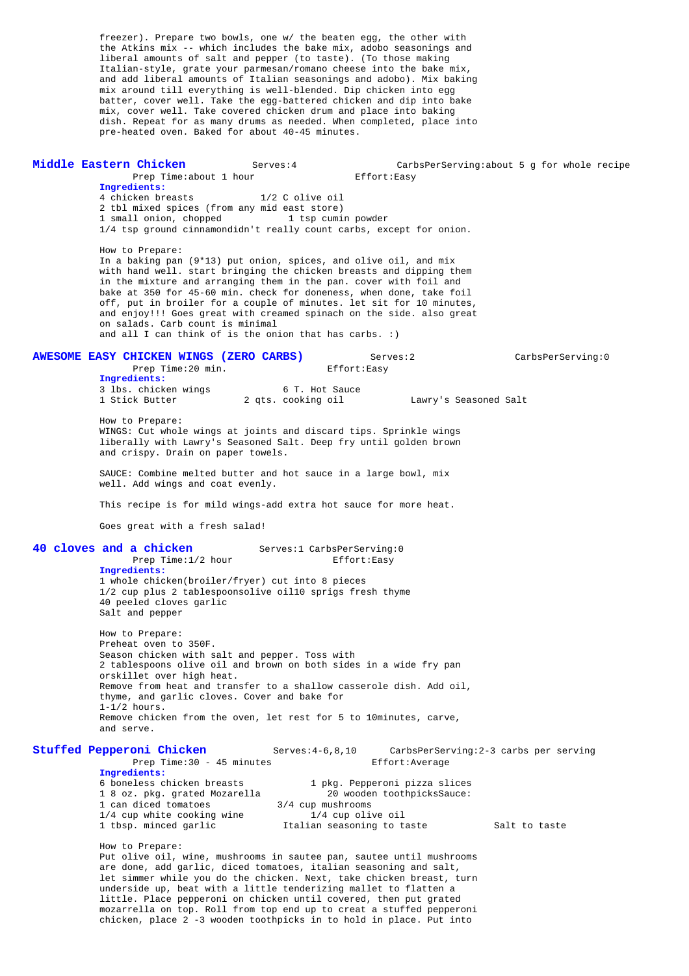freezer). Prepare two bowls, one w/ the beaten egg, the other with the Atkins mix -- which includes the bake mix, adobo seasonings and liberal amounts of salt and pepper (to taste). (To those making Italian-style, grate your parmesan/romano cheese into the bake mix, and add liberal amounts of Italian seasonings and adobo). Mix baking mix around till everything is well-blended. Dip chicken into egg batter, cover well. Take the egg-battered chicken and dip into bake mix, cover well. Take covered chicken drum and place into baking dish. Repeat for as many drums as needed. When completed, place into pre-heated oven. Baked for about 40-45 minutes.

**Middle Eastern Chicken** Serves:4 CarbsPerServing:about 5 g for whole recipe<br>Prep Time:about 1 hour Effort:Easy Prep Time:about 1 hour **Ingredients:**  4 chicken breasts 1/2 C olive oil 2 tbl mixed spices (from any mid east store) 1 small onion, chopped 1 tsp cumin powder 1/4 tsp ground cinnamondidn't really count carbs, except for onion. How to Prepare: In a baking pan (9\*13) put onion, spices, and olive oil, and mix with hand well. start bringing the chicken breasts and dipping them in the mixture and arranging them in the pan. cover with foil and bake at 350 for 45-60 min. check for doneness, when done, take foil off, put in broiler for a couple of minutes. let sit for 10 minutes, and enjoy!!! Goes great with creamed spinach on the side. also great on salads. Carb count is minimal and all I can think of is the onion that has carbs. :) **AWESOME EASY CHICKEN WINGS (ZERO CARBS)** Serves:2 CarbsPerServing:0 Prep Time:20 min. Effort:Easy<br> **Ingredients: Ingredients:**  3 lbs. chicken wings 6 T. Hot Sauce 1 Stick Butter 2 qts. cooking oil Lawry's Seasoned Salt How to Prepare: WINGS: Cut whole wings at joints and discard tips. Sprinkle wings liberally with Lawry's Seasoned Salt. Deep fry until golden brown and crispy. Drain on paper towels. SAUCE: Combine melted butter and hot sauce in a large bowl, mix well. Add wings and coat evenly. This recipe is for mild wings-add extra hot sauce for more heat. Goes great with a fresh salad! **40 cloves and a chicken** Serves:1 CarbsPerServing:0<br>Prep Time:1/2 hour Effort:Easy Prep Time: $1/2$  hour  **Ingredients:**  1 whole chicken(broiler/fryer) cut into 8 pieces 1/2 cup plus 2 tablespoonsolive oil10 sprigs fresh thyme 40 peeled cloves garlic Salt and pepper How to Prepare: Preheat oven to 350F. Season chicken with salt and pepper. Toss with 2 tablespoons olive oil and brown on both sides in a wide fry pan orskillet over high heat. Remove from heat and transfer to a shallow casserole dish. Add oil, thyme, and garlic cloves. Cover and bake for  $1-1/2$  hours. Remove chicken from the oven, let rest for 5 to 10minutes, carve, and serve. **Stuffed Pepperoni Chicken** Serves: 4-6, 8, 10 CarbsPerServing: 2-3 carbs per serving Prep Time: 30 - 45 minutes Effort:Average **Ingredients:**  6 boneless chicken breasts 1 pkg. Pepperoni pizza slices 1 8 oz. pkg. grated Mozarella 20 wooden toothpicksSauce: 1 can diced tomatoes 3/4 cup mushrooms 1/4 cup white cooking wine 1/4 cup olive oil 1 tbsp. minced garlic Italian seasoning to taste Salt to taste How to Prepare: Put olive oil, wine, mushrooms in sautee pan, sautee until mushrooms are done, add garlic, diced tomatoes, italian seasoning and salt, let simmer while you do the chicken. Next, take chicken breast, turn underside up, beat with a little tenderizing mallet to flatten a little. Place pepperoni on chicken until covered, then put grated

 mozarrella on top. Roll from top end up to creat a stuffed pepperoni chicken, place 2 -3 wooden toothpicks in to hold in place. Put into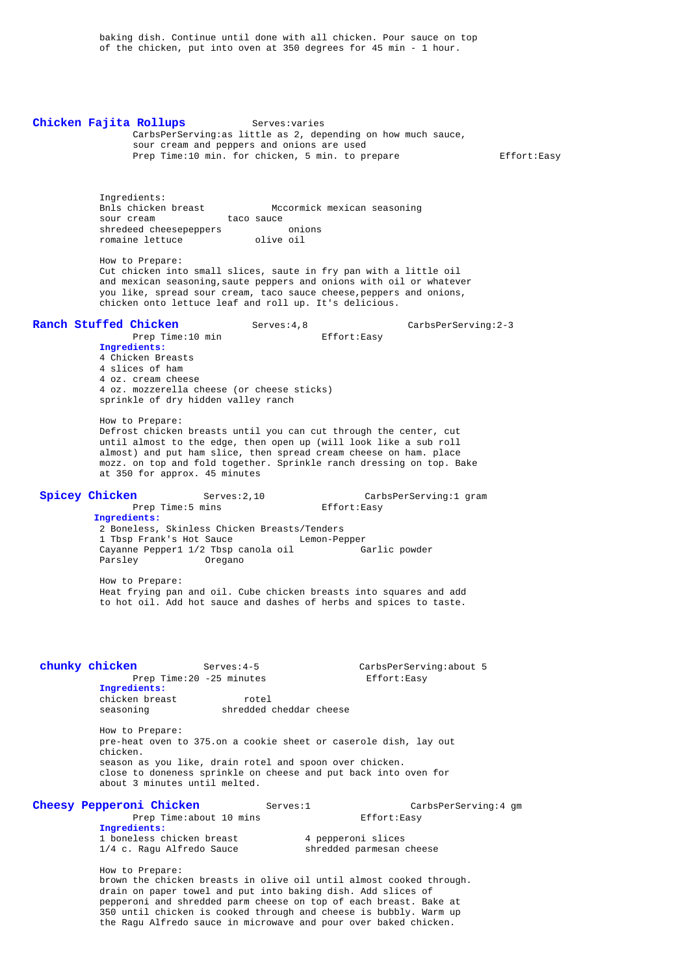# **Chicken Fajita Rollups** Serves: varies

 CarbsPerServing:as little as 2, depending on how much sauce, sour cream and peppers and onions are used Prep Time:10 min. for chicken, 5 min. to prepare Fileral Effort:Easy

 Ingredients: Bnls chicken breast Mccormick mexican seasoning sour cream baco sauce shredeed cheesepeppers onions romaine lettuce olive oil How to Prepare: Cut chicken into small slices, saute in fry pan with a little oil and mexican seasoning,saute peppers and onions with oil or whatever you like, spread sour cream, taco sauce cheese,peppers and onions, chicken onto lettuce leaf and roll up. It's delicious. **Ranch Stuffed Chicken** Serves:4,8 CarbsPerServing:2-3 Prep Time:10 min Effort:Easy Prep Time:10 min **Ingredients:**  4 Chicken Breasts 4 slices of ham 4 oz. cream cheese 4 oz. mozzerella cheese (or cheese sticks) sprinkle of dry hidden valley ranch How to Prepare: Defrost chicken breasts until you can cut through the center, cut until almost to the edge, then open up (will look like a sub roll almost) and put ham slice, then spread cream cheese on ham. place mozz. on top and fold together. Sprinkle ranch dressing on top. Bake at 350 for approx. 45 minutes **Spicey Chicken** Serves: 2,10 CarbsPerServing: 1 gram Prep Time:5 mins erves:2,10 cark<br>
Prep Time:5 mins Effort:Easy **Ingredients:**  2 Boneless, Skinless Chicken Breasts/Tenders 1 Tbsp Frank's Hot Sauce Lemon-Pepper Cayanne Pepper1 1/2 Tbsp canola oil Garlic powder Parsley Oregano How to Prepare: Heat frying pan and oil. Cube chicken breasts into squares and add to hot oil. Add hot sauce and dashes of herbs and spices to taste. **chunky chicken** Serves: 4-5 CarbsPerServing: about 5 Prep Time: 20 - 25 minutes Effort: Easy  **Ingredients:**  chicken breast rotel<br>seasoning rotel shredded shredded cheddar cheese How to Prepare: pre-heat oven to 375.on a cookie sheet or caserole dish, lay out chicken. season as you like, drain rotel and spoon over chicken. close to doneness sprinkle on cheese and put back into oven for about 3 minutes until melted. **Cheesy Pepperoni Chicken** Serves:1 CarbsPerServing:4 gm Prep Time:about 10 mins Effort:Easy **Ingredients:**  1 boneless chicken breast 1 apepperoni slices 1/4 c. Ragu Alfredo Sauce shredded parmesan cheese How to Prepare: brown the chicken breasts in olive oil until almost cooked through. drain on paper towel and put into baking dish. Add slices of pepperoni and shredded parm cheese on top of each breast. Bake at 350 until chicken is cooked through and cheese is bubbly. Warm up

the Ragu Alfredo sauce in microwave and pour over baked chicken.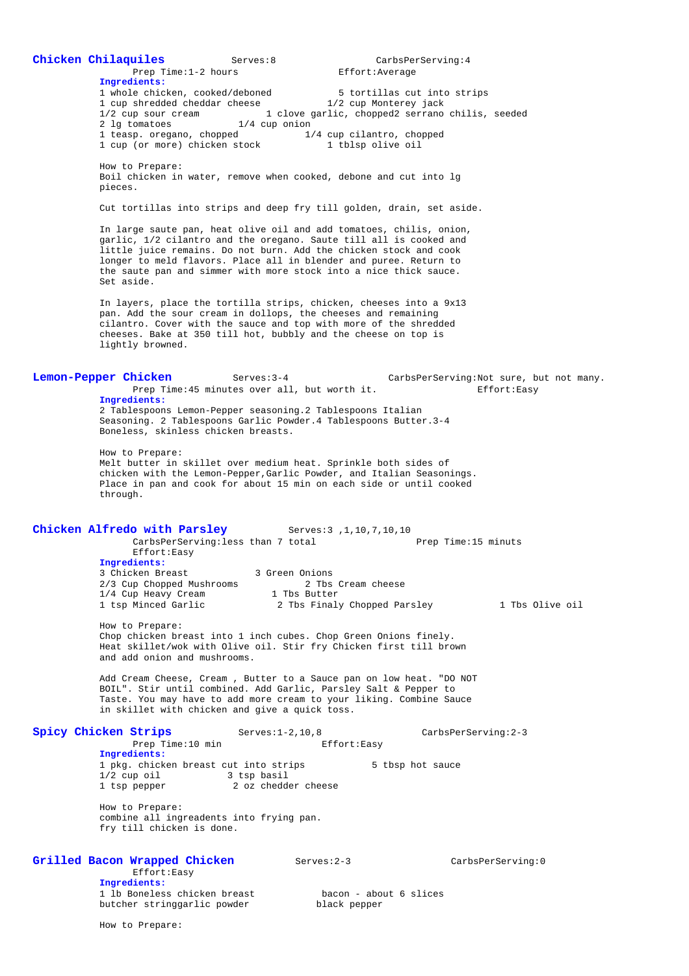**Chicken Chilaquiles** Serves:8 CarbsPerServing:4 Prep Time:1-2 hours The extended that the effort: Average  **Ingredients:**  1 whole chicken, cooked/deboned 5 tortillas cut into strips 1 cup shredded cheddar cheese 1/2 cup Monterey jack 1/2 cup sour cream 1 clove garlic, chopped2 serrano chilis, seeded 2 lg tomatoes 1/4 cup onion 1 teasp. oregano, chopped 1/4 cup cilantro, chopped 1 cup (or more) chicken stock 1 tblsp olive oil How to Prepare: Boil chicken in water, remove when cooked, debone and cut into lg pieces. Cut tortillas into strips and deep fry till golden, drain, set aside. In large saute pan, heat olive oil and add tomatoes, chilis, onion, garlic, 1/2 cilantro and the oregano. Saute till all is cooked and little juice remains. Do not burn. Add the chicken stock and cook longer to meld flavors. Place all in blender and puree. Return to the saute pan and simmer with more stock into a nice thick sauce. Set aside. In layers, place the tortilla strips, chicken, cheeses into a 9x13 pan. Add the sour cream in dollops, the cheeses and remaining cilantro. Cover with the sauce and top with more of the shredded cheeses. Bake at 350 till hot, bubbly and the cheese on top is lightly browned. **Lemon-Pepper Chicken** Serves: 3-4 CarbsPerServing: Not sure, but not many. Prep Time:45 minutes over all, but worth it. Effort:Easy  **Ingredients:**  2 Tablespoons Lemon-Pepper seasoning.2 Tablespoons Italian Seasoning. 2 Tablespoons Garlic Powder.4 Tablespoons Butter.3-4 Boneless, skinless chicken breasts. How to Prepare: Melt butter in skillet over medium heat. Sprinkle both sides of chicken with the Lemon-Pepper,Garlic Powder, and Italian Seasonings. Place in pan and cook for about 15 min on each side or until cooked through. **Chicken Alfredo with Parsley** Serves:3, 1, 10, 7, 10, 10 CarbsPerServing: less than 7 total Prep Time: 15 minuts Effort:Easy<br> **Ingredients: Ingredients:**  3 Chicken Breast 3 Green Onions 2/3 Cup Chopped Mushrooms 2 Tbs Cream cheese 1/4 Cup Heavy Cream 1 Tbs Butter 1 tsp Minced Garlic 2 Tbs Finaly Chopped Parsley 1 Tbs Olive oil How to Prepare: Chop chicken breast into 1 inch cubes. Chop Green Onions finely. Heat skillet/wok with Olive oil. Stir fry Chicken first till brown and add onion and mushrooms. Add Cream Cheese, Cream , Butter to a Sauce pan on low heat. "DO NOT BOIL". Stir until combined. Add Garlic, Parsley Salt & Pepper to Taste. You may have to add more cream to your liking. Combine Sauce in skillet with chicken and give a quick toss. **Spicy Chicken Strips** Serves: 1-2, 10, 8 CarbsPerServing: 2-3 Prep Time:10 min Effort:Easy  **Ingredients:**  1 pkg. chicken breast cut into strips 5 tbsp hot sauce 1/2 cup oil 3 tsp basil 1 tsp pepper 2 oz chedder cheese How to Prepare: combine all ingreadents into frying pan. fry till chicken is done. Grilled Bacon Wrapped Chicken Serves: 2-3 CarbsPerServing: 0 Effort:Easy  **Ingredients:**  1 lb Boneless chicken breast bacon - about 6 slices butcher stringgarlic powder black pepper How to Prepare: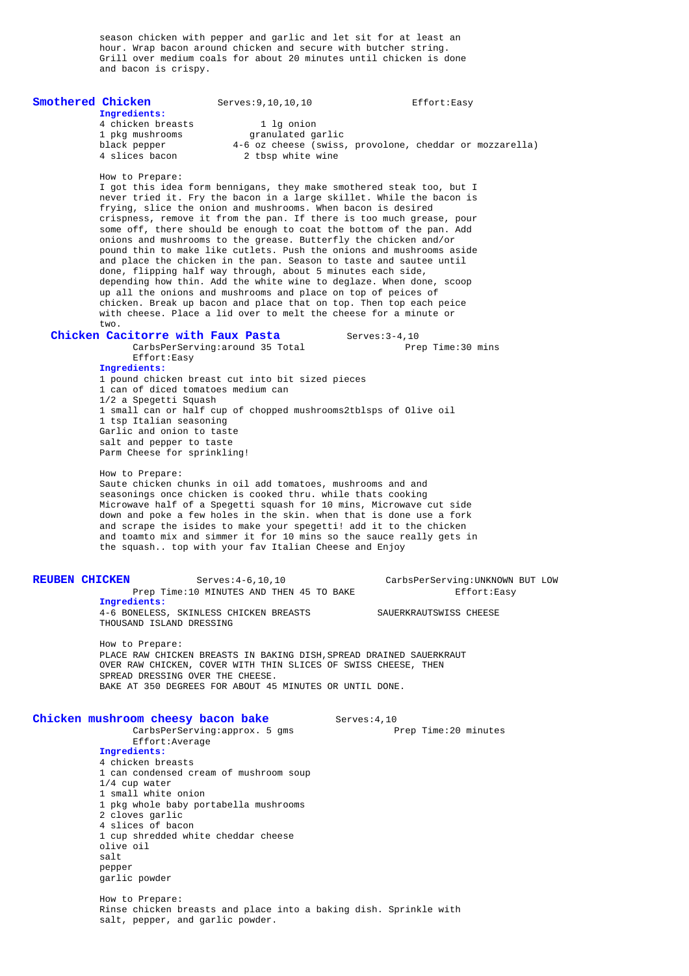season chicken with pepper and garlic and let sit for at least an hour. Wrap bacon around chicken and secure with butcher string. Grill over medium coals for about 20 minutes until chicken is done and bacon is crispy.

**Smothered Chicken** Serves: 9, 10, 10, 10 Effort: Easy **Ingredients:**  4 chicken breasts 1 lg onion 1 pkg mushrooms granulated garlic black pepper 4-6 oz cheese (swiss, provolone, cheddar or mozzarella) 4 slices bacon 2 tbsp white wine How to Prepare: I got this idea form bennigans, they make smothered steak too, but I never tried it. Fry the bacon in a large skillet. While the bacon is frying, slice the onion and mushrooms. When bacon is desired crispness, remove it from the pan. If there is too much grease, pour some off, there should be enough to coat the bottom of the pan. Add onions and mushrooms to the grease. Butterfly the chicken and/or pound thin to make like cutlets. Push the onions and mushrooms aside -<br>and place the chicken in the pan. Season to taste and sautee until done, flipping half way through, about 5 minutes each side, depending how thin. Add the white wine to deglaze. When done, scoop up all the onions and mushrooms and place on top of peices of chicken. Break up bacon and place that on top. Then top each peice with cheese. Place a lid over to melt the cheese for a minute or two. **Chicken Cacitorre with Faux Pasta** Serves: 3-4, 10<br>CarbsPerServing: around 35 Total Prep Time: 30 mins CarbsPerServing: around 35 Total Effort:Easy  **Ingredients:**  1 pound chicken breast cut into bit sized pieces 1 can of diced tomatoes medium can 1/2 a Spegetti Squash 1 small can or half cup of chopped mushrooms2tblsps of Olive oil 1 tsp Italian seasoning Garlic and onion to taste salt and pepper to taste Parm Cheese for sprinkling! How to Prepare: Saute chicken chunks in oil add tomatoes, mushrooms and and seasonings once chicken is cooked thru. while thats cooking Microwave half of a Spegetti squash for 10 mins, Microwave cut side down and poke a few holes in the skin. when that is done use a fork and scrape the isides to make your spegetti! add it to the chicken and toamto mix and simmer it for 10 mins so the sauce really gets in the squash.. top with your fav Italian Cheese and Enjoy **REUBEN CHICKEN** Serves:4-6,10,10 CarbsPerServing:UNKNOWN BUT LOW<br>Prep Time:10 MINUTES AND THEN 45 TO BAKE Effort:Easy Prep Time:10 MINUTES AND THEN 45 TO BAKE **Ingredients:**  4-6 BONELESS, SKINLESS CHICKEN BREASTS SAUERKRAUTSWISS CHEESE THOUSAND ISLAND DRESSING How to Prepare: PLACE RAW CHICKEN BREASTS IN BAKING DISH,SPREAD DRAINED SAUERKRAUT OVER RAW CHICKEN, COVER WITH THIN SLICES OF SWISS CHEESE, THEN SPREAD DRESSING OVER THE CHEESE. BAKE AT 350 DEGREES FOR ABOUT 45 MINUTES OR UNTIL DONE. **Chicken mushroom cheesy bacon bake** Serves: 4,10 CarbsPerServing:approx. 5 gms Prep Time:20 minutes Effort:Average  **Ingredients:**  4 chicken breasts 1 can condensed cream of mushroom soup 1/4 cup water 1 small white onion 1 pkg whole baby portabella mushrooms 2 cloves garlic 4 slices of bacon 1 cup shredded white cheddar cheese olive oil salt pepper garlic powder How to Prepare: Rinse chicken breasts and place into a baking dish. Sprinkle with salt, pepper, and garlic powder.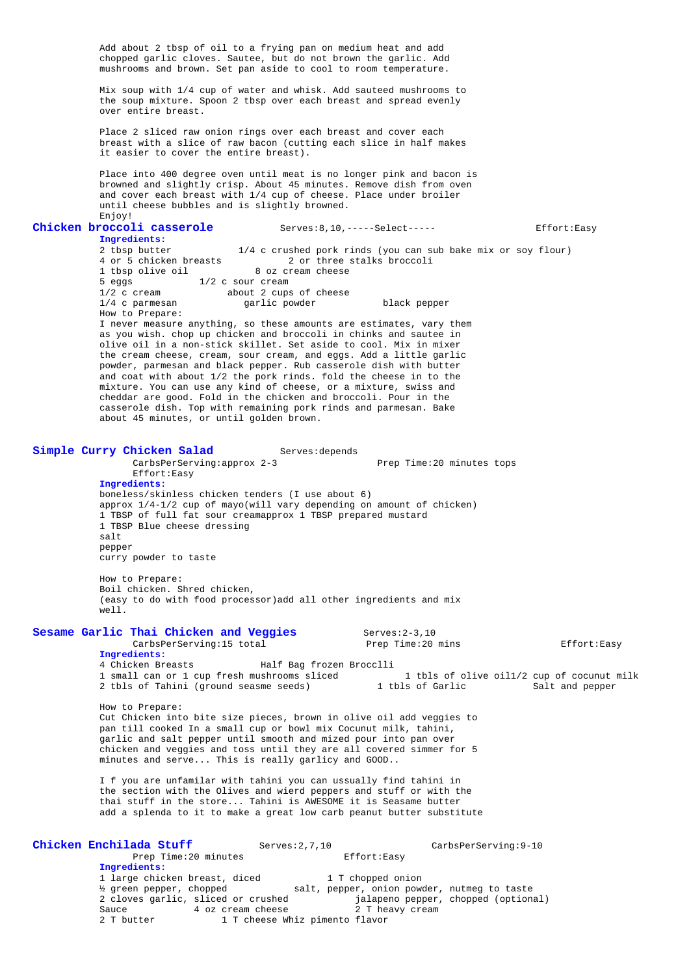Add about 2 tbsp of oil to a frying pan on medium heat and add chopped garlic cloves. Sautee, but do not brown the garlic. Add mushrooms and brown. Set pan aside to cool to room temperature. Mix soup with 1/4 cup of water and whisk. Add sauteed mushrooms to the soup mixture. Spoon 2 tbsp over each breast and spread evenly over entire breast. Place 2 sliced raw onion rings over each breast and cover each breast with a slice of raw bacon (cutting each slice in half makes it easier to cover the entire breast). Place into 400 degree oven until meat is no longer pink and bacon is browned and slightly crisp. About 45 minutes. Remove dish from oven and cover each breast with 1/4 cup of cheese. Place under broiler until cheese bubbles and is slightly browned. Enjoy! **Chicken broccoli casserole** Serves:8,10,-----Select----- **Example 2016** Effort:Easy  **Ingredients:**  2 tbsp butter 1/4 c crushed pork rinds (you can sub bake mix or soy flour) 4 or 5 chicken breasts 2 or three stalks broccoli 1 tbsp olive oil 8 oz cream cheese 5 eggs 1/2 c sour cream 1/2 c cream about 2 cups of cheese 1/2 c cream about 2 cups of cheese<br>1/4 c parmesan garlic powder black pepper How to Prepare: I never measure anything, so these amounts are estimates, vary them as you wish. chop up chicken and broccoli in chinks and sautee in olive oil in a non-stick skillet. Set aside to cool. Mix in mixer the cream cheese, cream, sour cream, and eggs. Add a little garlic powder, parmesan and black pepper. Rub casserole dish with butter and coat with about 1/2 the pork rinds. fold the cheese in to the mixture. You can use any kind of cheese, or a mixture, swiss and cheddar are good. Fold in the chicken and broccoli. Pour in the casserole dish. Top with remaining pork rinds and parmesan. Bake about 45 minutes, or until golden brown. Simple Curry Chicken Salad Serves: depends CarbsPerServing:approx 2-3 Prep Time:20 minutes tops Effort:Easy  **Ingredients:**  boneless/skinless chicken tenders (I use about 6) approx  $1/4$ -1/2 cup of mayo(will vary depending on amount of chicken) 1 TBSP of full fat sour creamapprox 1 TBSP prepared mustard 1 TBSP Blue cheese dressing salt pepper curry powder to taste How to Prepare: Boil chicken. Shred chicken, (easy to do with food processor)add all other ingredients and mix well. **Sesame Garlic Thai Chicken and Veggies** Serves: 2-3,10 CarbsPerServing:15 total Prep Time:20 mins Effort:Easy **Ingredients:**  4 Chicken Breasts Half Bag frozen Brocclli Half Bag frozen Brocclli<br>Annons sliced 1 tbls of olive oil1/2 cup of cocunut milk<br>Calf and pepper 2 tbls of Tahini (ground seasme seeds) 1 tbls of Garlic Salt and pepper How to Prepare: Cut Chicken into bite size pieces, brown in olive oil add veggies to pan till cooked In a small cup or bowl mix Cocunut milk, tahini, garlic and salt pepper until smooth and mized pour into pan over chicken and veggies and toss until they are all covered simmer for 5 minutes and serve... This is really garlicy and GOOD.. I f you are unfamilar with tahini you can ussually find tahini in the section with the Olives and wierd peppers and stuff or with the thai stuff in the store... Tahini is AWESOME it is Seasame butter add a splenda to it to make a great low carb peanut butter substitute **Chicken Enchilada Stuff** Serves:2,7,10 CarbsPerServing:9-10<br>Prep Time:20 minutes Refort:Easy Research Prep Time: 20 minutes **Ingredients:**  1 large chicken breast, diced 1 T chopped onion ½ green pepper, chopped salt, pepper, onion powder, nutmeg to taste 2 cloves garlic, sliced or crushed jalapeno pepper, chopped (optional) Sauce 3 and 4 oz cream cheese 3 T heavy cream 2 T butter 1 T cheese Whiz pimento flavor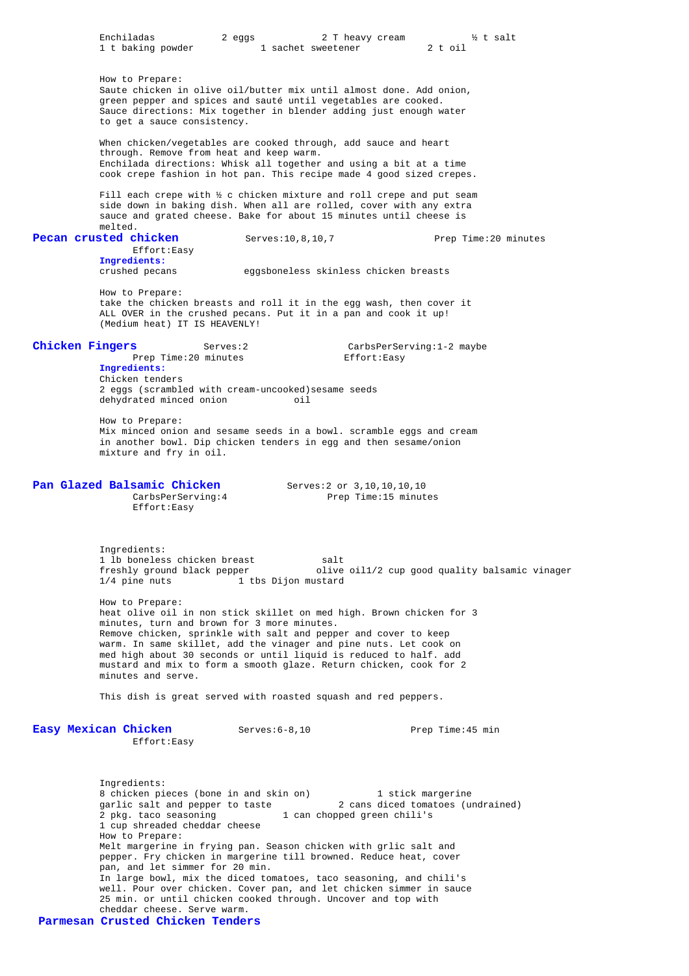Enchiladas 2 eggs 2 T heavy cream ½ t salt 1 t baking powder 1 sachet sweetener 2 t oil How to Prepare: Saute chicken in olive oil/butter mix until almost done. Add onion, green pepper and spices and sauté until vegetables are cooked. Sauce directions: Mix together in blender adding just enough water to get a sauce consistency. When chicken/vegetables are cooked through, add sauce and heart through. Remove from heat and keep warm. Enchilada directions: Whisk all together and using a bit at a time cook crepe fashion in hot pan. This recipe made 4 good sized crepes. Fill each crepe with  $\frac{1}{2}$  c chicken mixture and roll crepe and put seam side down in baking dish. When all are rolled, cover with any extra sauce and grated cheese. Bake for about 15 minutes until cheese is melted. Pecan crusted chicken Serves:10,8,10,7 Prep Time:20 minutes Effort:Easy  **Ingredients:**  crushed pecans eggsboneless skinless chicken breasts How to Prepare: take the chicken breasts and roll it in the egg wash, then cover it ALL OVER in the crushed pecans. Put it in a pan and cook it up! (Medium heat) IT IS HEAVENLY! **Chicken Fingers** Serves:2 CarbsPerServing:1-2 maybe Prep Time: 20 minutes Effort: Easy **Ingredients:**  Chicken tenders 2 eggs (scrambled with cream-uncooked)sesame seeds dehydrated minced onion oil How to Prepare: Mix minced onion and sesame seeds in a bowl. scramble eggs and cream in another bowl. Dip chicken tenders in egg and then sesame/onion mixture and fry in oil. Pan Glazed Balsamic Chicken Serves:2 or 3,10,10,10,10 CarbsPerServing:4 Prep Time:15 minutes Effort:Easy Ingredients: 1 lb boneless chicken breast salt freshly ground black pepper olive oil1/2 cup good quality balsamic vinager 1/4 pine nuts 1 tbs Dijon mustard How to Prepare: heat olive oil in non stick skillet on med high. Brown chicken for 3 minutes, turn and brown for 3 more minutes. Remove chicken, sprinkle with salt and pepper and cover to keep warm. In same skillet, add the vinager and pine nuts. Let cook on med high about 30 seconds or until liquid is reduced to half. add mustard and mix to form a smooth glaze. Return chicken, cook for 2 minutes and serve. This dish is great served with roasted squash and red peppers. **Easy Mexican Chicken** Serves: 6-8,10 Prep Time: 45 min Effort:Easy Ingredients: 8 chicken pieces (bone in and skin on) 1 stick margerine garlic salt and pepper to taste 2 cans diced tomatoes (undrained) 2 pkg. taco seasoning 1 can chopped green chili's 1 cup shreaded cheddar cheese How to Prepare: Melt margerine in frying pan. Season chicken with grlic salt and pepper. Fry chicken in margerine till browned. Reduce heat, cover pan, and let simmer for 20 min. In large bowl, mix the diced tomatoes, taco seasoning, and chili's

 well. Pour over chicken. Cover pan, and let chicken simmer in sauce 25 min. or until chicken cooked through. Uncover and top with cheddar cheese. Serve warm.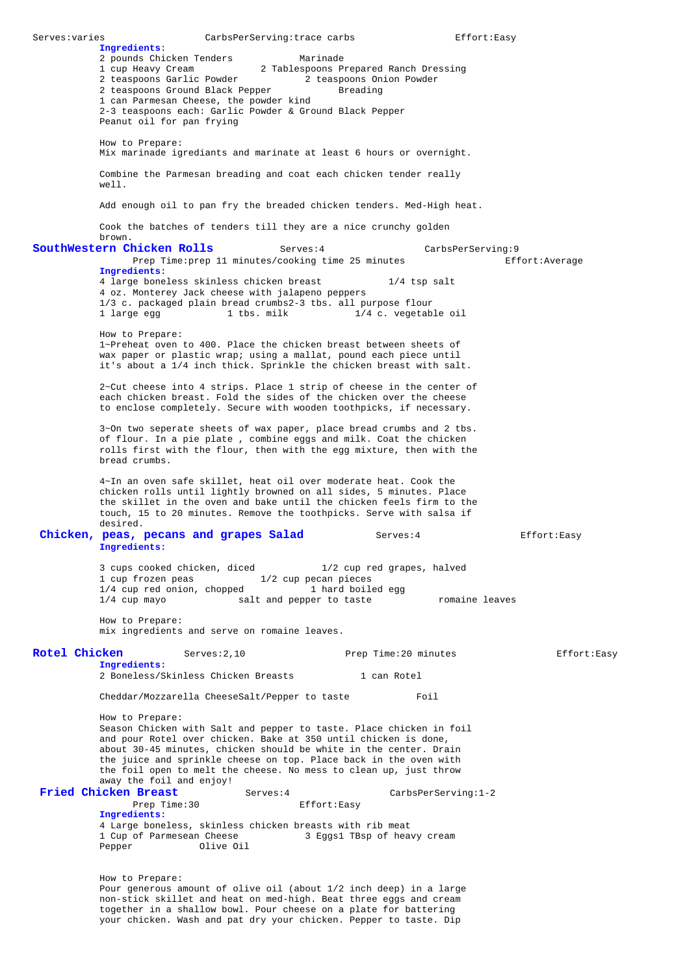Serves: varies CarbsPerServing:trace carbs Effort:Easy **Ingredients**: 2 pounds Chicken Tenders Marinade 1 cup Heavy Cream 2 Tablespoons Prepared Ranch Dressing 2 teaspoons Garlic Powder 2 teaspoons Onion Powder 2 teaspoons Ground Black Pepper Breading 1 can Parmesan Cheese, the powder kind 2-3 teaspoons each: Garlic Powder & Ground Black Pepper Peanut oil for pan frying How to Prepare: Mix marinade igrediants and marinate at least 6 hours or overnight. Combine the Parmesan breading and coat each chicken tender really well. Add enough oil to pan fry the breaded chicken tenders. Med-High heat. Cook the batches of tenders till they are a nice crunchy golden brown. **SouthWestern Chicken Rolls** Serves:4 CarbsPerServing:9 Prep Time:prep 11 minutes/cooking time 25 minutes entitled and Effort:Average **Ingredients:**  4 large boneless skinless chicken breast 1/4 tsp salt 4 oz. Monterey Jack cheese with jalapeno peppers 1/3 c. packaged plain bread crumbs2-3 tbs. all purpose flour<br>1 large egg a 1 tbs. milk 1/4 c. vegetab 1 large egg 1 tbs. milk 1/4 c. vegetable oil How to Prepare: 1~Preheat oven to 400. Place the chicken breast between sheets of wax paper or plastic wrap; using a mallat, pound each piece until it's about a 1/4 inch thick. Sprinkle the chicken breast with salt. 2~Cut cheese into 4 strips. Place 1 strip of cheese in the center of each chicken breast. Fold the sides of the chicken over the cheese to enclose completely. Secure with wooden toothpicks, if necessary. 3~On two seperate sheets of wax paper, place bread crumbs and 2 tbs. of flour. In a pie plate , combine eggs and milk. Coat the chicken rolls first with the flour, then with the egg mixture, then with the bread crumbs. 4~In an oven safe skillet, heat oil over moderate heat. Cook the chicken rolls until lightly browned on all sides, 5 minutes. Place the skillet in the oven and bake until the chicken feels firm to the touch, 15 to 20 minutes. Remove the toothpicks. Serve with salsa if desired. **Chicken, peas, pecans and grapes Salad** Serves:4 Serverses Effort:Easy  **Ingredients:**  3 cups cooked chicken, diced 1/2 cup red grapes, halved 1 cup frozen peas 1/2 cup pecan pieces 1/4 cup red onion, chopped 1 hard boiled egg 1/4 cup mayo salt and pepper to taste romaine leaves How to Prepare: mix ingredients and serve on romaine leaves. **Rotel Chicken** Serves: 2,10 Prep Time: 20 minutes Effort: Easy  **Ingredients:**  2 Boneless/Skinless Chicken Breasts 1 can Rotel Cheddar/Mozzarella CheeseSalt/Pepper to taste Foil How to Prepare: Season Chicken with Salt and pepper to taste. Place chicken in foil and pour Rotel over chicken. Bake at 350 until chicken is done, about 30-45 minutes, chicken should be white in the center. Drain the juice and sprinkle cheese on top. Place back in the oven with the foil open to melt the cheese. No mess to clean up, just throw away the foil and enjoy!<br> **icken Breast** Serves:4  **Fried Chicken Breast** Serves:4 CarbsPerServing:1-2 Prep Time:30 Effort:Easy  **Ingredients:**  4 Large boneless, skinless chicken breasts with rib meat 1 Cup of Parmesean Cheese 3 Eggs1 TBsp of heavy cream Pepper **Olive Oil**  How to Prepare: Pour generous amount of olive oil (about 1/2 inch deep) in a large non-stick skillet and heat on med-high. Beat three eggs and cream together in a shallow bowl. Pour cheese on a plate for battering your chicken. Wash and pat dry your chicken. Pepper to taste. Dip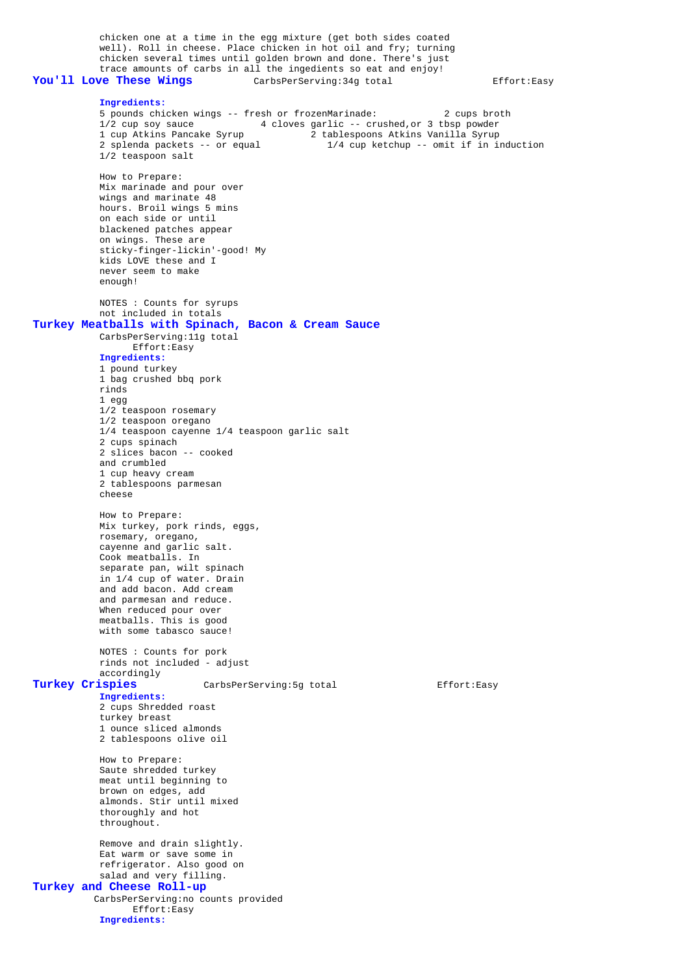chicken one at a time in the egg mixture (get both sides coated well). Roll in cheese. Place chicken in hot oil and fry; turning chicken several times until golden brown and done. There's just trace amounts of carbs in all the ingedients so eat and enjoy! You'll Love These Wings **CarbsPerServing:34g total** Effort:Easy  **Ingredients:**  5 pounds chicken wings -- fresh or frozenMarinade: 2 cups broth 1/2 cup soy sauce 4 cloves garlic -- crushed,or 3 tbsp powder 1 cup Atkins Pancake Syrup 2 tablespoons Atkins Vanilla Syrup 2 splenda packets -- or equal  $1/4$  cup ketchup -- omit if in induction  $1/2$  teasoon salt 1/2 teaspoon salt How to Prepare: Mix marinade and pour over wings and marinate 48 hours. Broil wings 5 mins on each side or until blackened patches appear on wings. These are sticky-finger-lickin'-good! My kids LOVE these and I never seem to make enough! NOTES : Counts for syrups not included in totals **Turkey Meatballs with Spinach, Bacon & Cream Sauce**  CarbsPerServing:11g total Effort:Easy  **Ingredients:**  1 pound turkey 1 bag crushed bbq pork rinds 1 egg 1/2 teaspoon rosemary 1/2 teaspoon oregano 1/4 teaspoon cayenne 1/4 teaspoon garlic salt 2 cups spinach 2 slices bacon -- cooked and crumbled 1 cup heavy cream 2 tablespoons parmesan cheese How to Prepare: Mix turkey, pork rinds, eggs, rosemary, oregano, cayenne and garlic salt. Cook meatballs. In separate pan, wilt spinach in 1/4 cup of water. Drain and add bacon. Add cream and parmesan and reduce. When reduced pour over meatballs. This is good with some tabasco sauce! NOTES : Counts for pork rinds not included - adjust accordingly **Turkey Crispies** CarbsPerServing:5g total **Effort:Easy Ingredients:**  2 cups Shredded roast turkey breast 1 ounce sliced almonds 2 tablespoons olive oil How to Prepare: Saute shredded turkey meat until beginning to brown on edges, add almonds. Stir until mixed thoroughly and hot throughout. Remove and drain slightly. Eat warm or save some in refrigerator. Also good on salad and very filling. **Turkey and Cheese Roll-up**  CarbsPerServing:no counts provided Effort:Easy  **Ingredients:**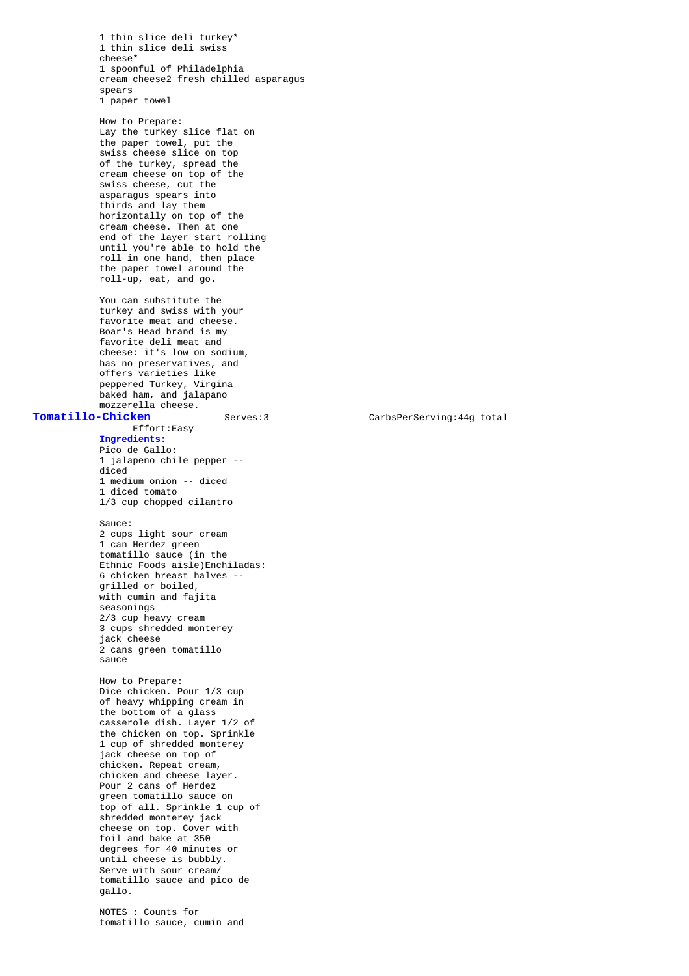1 thin slice deli turkey\* 1 thin slice deli swiss cheese\* 1 spoonful of Philadelphia cream cheese2 fresh chilled asparagus spears 1 paper towel How to Prepare: Lay the turkey slice flat on the paper towel, put the swiss cheese slice on top of the turkey, spread the cream cheese on top of the swiss cheese, cut the asparagus spears into thirds and lay them horizontally on top of the cream cheese. Then at one end of the layer start rolling until you're able to hold the roll in one hand, then place the paper towel around the roll-up, eat, and go. You can substitute the turkey and swiss with your favorite meat and cheese. Boar's Head brand is my favorite deli meat and cheese: it's low on sodium, has no preservatives, and offers varieties like peppered Turkey, Virgina baked ham, and jalapano mozzerella cheese. **Tomatillo-Chicken** Serves:3 CarbsPerServing:44g total Effort:Easy **Ingredients:**  Pico de Gallo: 1 jalapeno chile pepper - diced 1 medium onion -- diced 1 diced tomato 1/3 cup chopped cilantro Sauce: 2 cups light sour cream 1 can Herdez green tomatillo sauce (in the Ethnic Foods aisle)Enchiladas: 6 chicken breast halves - grilled or boiled, with cumin and fajita seasonings 2/3 cup heavy cream 3 cups shredded monterey jack cheese 2 cans green tomatillo sauce How to Prepare: Dice chicken. Pour 1/3 cup of heavy whipping cream in the bottom of a glass casserole dish. Layer 1/2 of the chicken on top. Sprinkle 1 cup of shredded monterey jack cheese on top of chicken. Repeat cream, chicken and cheese layer. Pour 2 cans of Herdez green tomatillo sauce on top of all. Sprinkle 1 cup of shredded monterey jack cheese on top. Cover with foil and bake at 350 degrees for 40 minutes or until cheese is bubbly. Serve with sour cream/ tomatillo sauce and pico de gallo. NOTES : Counts for

tomatillo sauce, cumin and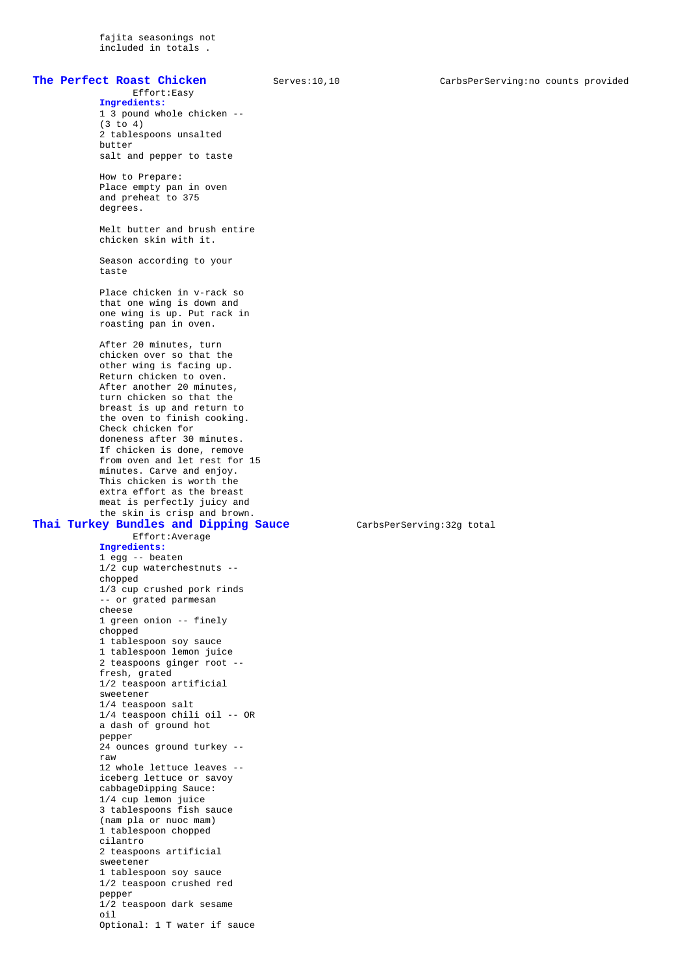fajita seasonings not included in totals .

The Perfect Roast Chicken Serves:10,10 CarbsPerServing:no counts provided Effort:Easy  **Ingredients:**  1 3 pound whole chicken --  $(3 \text{ to } 4)$  2 tablespoons unsalted butter salt and pepper to taste How to Prepare: Place empty pan in oven and preheat to 375 degrees. Melt butter and brush entire chicken skin with it. Season according to your taste Place chicken in v-rack so that one wing is down and one wing is up. Put rack in roasting pan in oven. After 20 minutes, turn chicken over so that the other wing is facing up. Return chicken to oven. After another 20 minutes, turn chicken so that the breast is up and return to the oven to finish cooking. Check chicken for doneness after 30 minutes. If chicken is done, remove from oven and let rest for 15 minutes. Carve and enjoy. This chicken is worth the extra effort as the breast meat is perfectly juicy and the skin is crisp and brown. Thai Turkey Bundles and Dipping Sauce CarbsPerServing: 32g total Effort:Average **Ingredients:**  1 egg -- beaten 1/2 cup waterchestnuts - chopped 1/3 cup crushed pork rinds -- or grated parmesan cheese 1 green onion -- finely chopped 1 tablespoon soy sauce 1 tablespoon lemon juice 2 teaspoons ginger root - fresh, grated 1/2 teaspoon artificial sweetener 1/4 teaspoon salt 1/4 teaspoon chili oil -- OR a dash of ground hot pepper 24 ounces ground turkey - raw 12 whole lettuce leaves - iceberg lettuce or savoy cabbageDipping Sauce: 1/4 cup lemon juice 3 tablespoons fish sauce (nam pla or nuoc mam) 1 tablespoon chopped cilantro 2 teaspoons artificial sweetener 1 tablespoon soy sauce 1/2 teaspoon crushed red pepper 1/2 teaspoon dark sesame oil Optional: 1 T water if sauce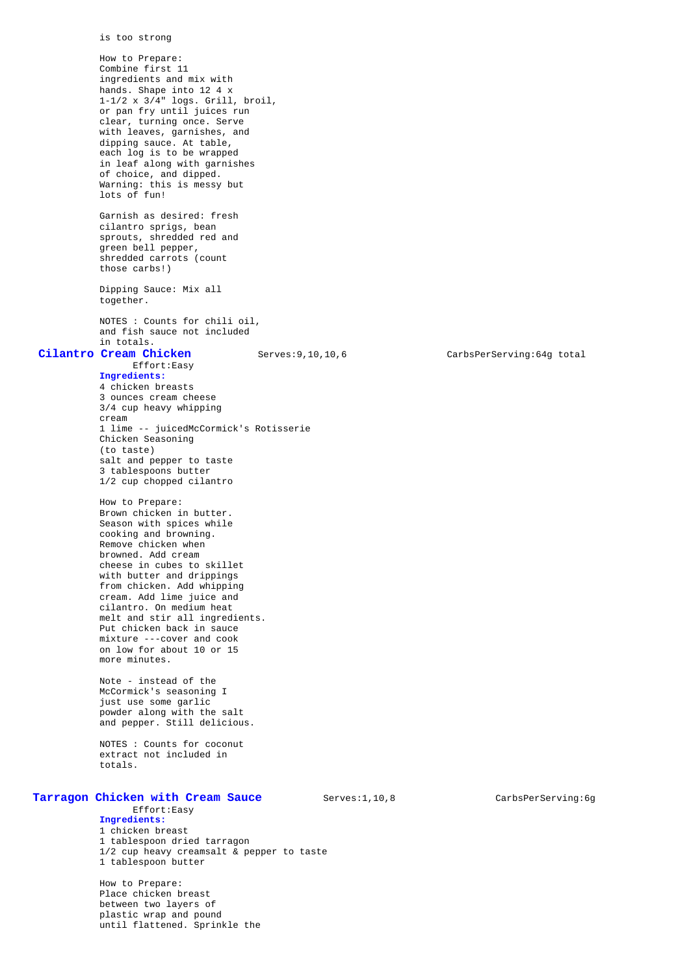```
 How to Prepare: 
             Combine first 11 
             ingredients and mix with 
             hands. Shape into 12 4 x 
            1-1/2 x 3/4" logs. Grill, broil,
             or pan fry until juices run 
             clear, turning once. Serve 
             with leaves, garnishes, and 
             dipping sauce. At table, 
             each log is to be wrapped 
             in leaf along with garnishes 
             of choice, and dipped. 
             Warning: this is messy but 
             lots of fun! 
             Garnish as desired: fresh 
             cilantro sprigs, bean 
             sprouts, shredded red and 
             green bell pepper, 
             shredded carrots (count 
             those carbs!) 
             Dipping Sauce: Mix all 
             together. 
             NOTES : Counts for chili oil, 
             and fish sauce not included 
             in totals. 
Cilantro Cream Chicken Serves:9,10,10,6 CarbsPerServing:64g total 
                   Effort:Easy 
             Ingredients: 
             4 chicken breasts 
             3 ounces cream cheese 
             3/4 cup heavy whipping 
             cream 
             1 lime -- juicedMcCormick's Rotisserie 
             Chicken Seasoning 
             (to taste) 
             salt and pepper to taste 
             3 tablespoons butter 
             1/2 cup chopped cilantro 
             How to Prepare: 
             Brown chicken in butter. 
             Season with spices while 
             cooking and browning. 
             Remove chicken when 
             browned. Add cream 
             cheese in cubes to skillet 
             with butter and drippings 
             from chicken. Add whipping 
             cream. Add lime juice and 
             cilantro. On medium heat 
             melt and stir all ingredients. 
             Put chicken back in sauce 
             mixture ---cover and cook 
             on low for about 10 or 15 
             more minutes. 
             Note - instead of the 
             McCormick's seasoning I 
             just use some garlic 
             powder along with the salt 
             and pepper. Still delicious. 
             NOTES : Counts for coconut 
             extract not included in 
             totals. 
Tarragon Chicken with Cream Sauce Serves:1,10,8 CarbsPerServing:6g
                   Effort:Easy 
             Ingredients: 
             1 chicken breast 
             1 tablespoon dried tarragon 
             1/2 cup heavy creamsalt & pepper to taste 
             1 tablespoon butter 
             How to Prepare: 
             Place chicken breast
```
is too strong

 between two layers of plastic wrap and pound until flattened. Sprinkle the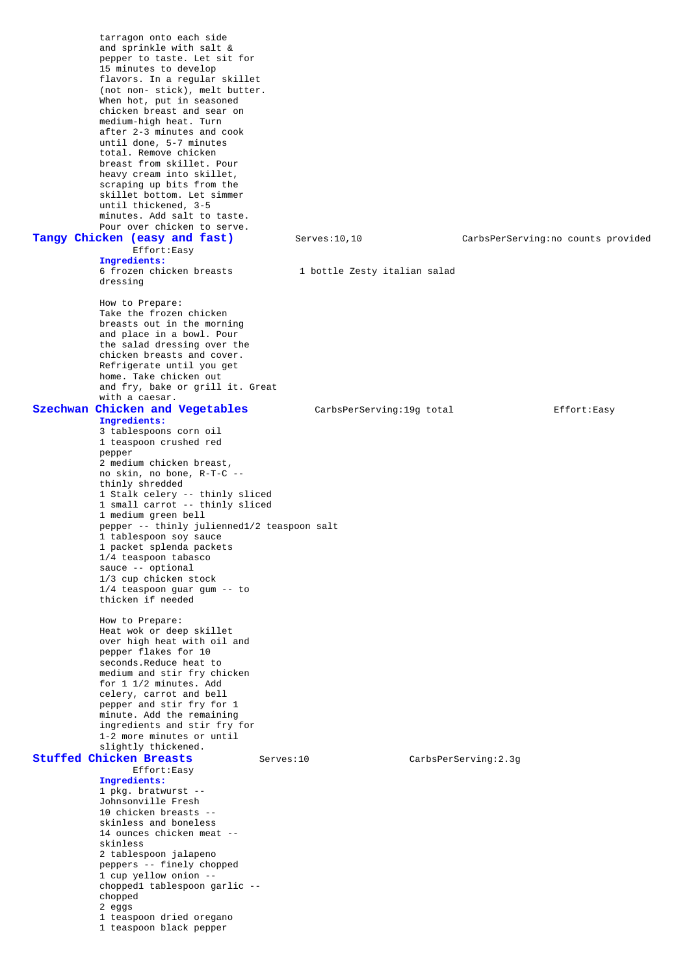tarragon onto each side and sprinkle with salt & pepper to taste. Let sit for 15 minutes to develop flavors. In a regular skillet (not non- stick), melt butter. When hot, put in seasoned chicken breast and sear on medium-high heat. Turn after 2-3 minutes and cook until done, 5-7 minutes total. Remove chicken breast from skillet. Pour heavy cream into skillet, scraping up bits from the skillet bottom. Let simmer until thickened, 3-5 minutes. Add salt to taste. Pour over chicken to serve. **Tangy Chicken (easy and fast)** Serves:10,10 CarbsPerServing:no counts provided Effort:Easy  **Ingredients:**  6 frozen chicken breasts 1 bottle Zesty italian salad dressing How to Prepare: Take the frozen chicken breasts out in the morning and place in a bowl. Pour the salad dressing over the chicken breasts and cover. Refrigerate until you get home. Take chicken out and fry, bake or grill it. Great with a caesar. **Szechwan Chicken and Vegetables** CarbsPerServing:19g total **Example Effort:Easy Ingredients:**  3 tablespoons corn oil 1 teaspoon crushed red pepper 2 medium chicken breast, no skin, no bone, R-T-C - thinly shredded 1 Stalk celery -- thinly sliced 1 small carrot -- thinly sliced 1 medium green bell pepper -- thinly julienned1/2 teaspoon salt 1 tablespoon soy sauce 1 packet splenda packets 1/4 teaspoon tabasco sauce -- optional 1/3 cup chicken stock 1/4 teaspoon guar gum -- to thicken if needed How to Prepare: Heat wok or deep skillet over high heat with oil and pepper flakes for 10 seconds.Reduce heat to medium and stir fry chicken for 1 1/2 minutes. Add celery, carrot and bell pepper and stir fry for 1 minute. Add the remaining ingredients and stir fry for 1-2 more minutes or until slightly thickened. **Stuffed Chicken Breasts** Serves:10 CarbsPerServing:2.3g Effort:Easy  **Ingredients:**  1 pkg. bratwurst -- Johnsonville Fresh 10 chicken breasts - skinless and boneless 14 ounces chicken meat - skinless 2 tablespoon jalapeno peppers -- finely chopped 1 cup yellow onion - chopped1 tablespoon garlic - chopped 2 eggs 1 teaspoon dried oregano 1 teaspoon black pepper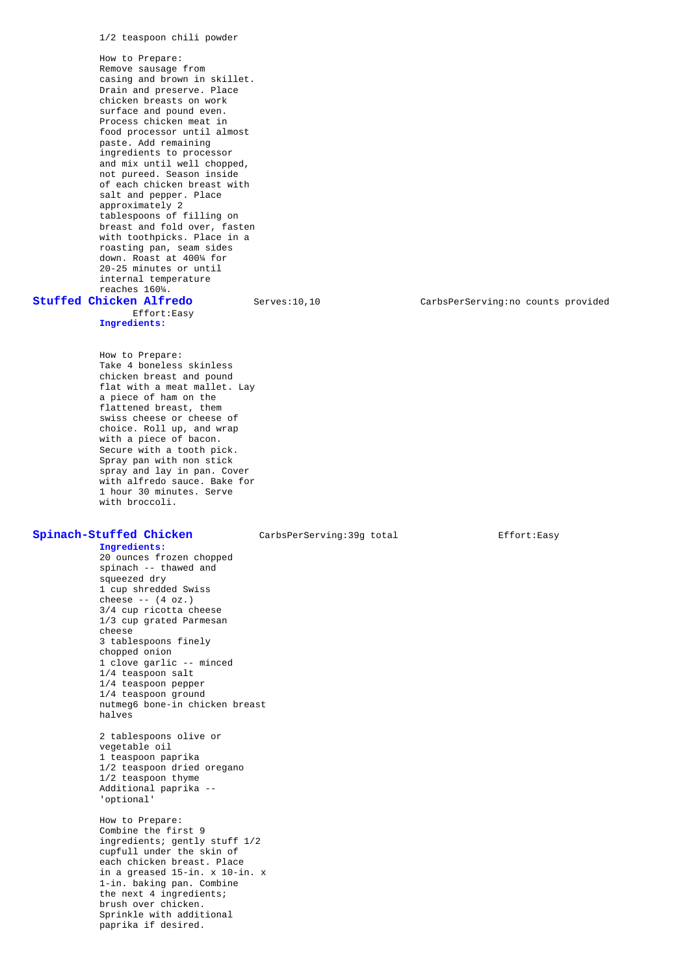How to Prepare: Remove sausage from casing and brown in skillet. Drain and preserve. Place chicken breasts on work surface and pound even. Process chicken meat in food processor until almost paste. Add remaining ingredients to processor and mix until well chopped, not pureed. Season inside of each chicken breast with salt and pepper. Place approximately 2 tablespoons of filling on breast and fold over, fasten with toothpicks. Place in a roasting pan, seam sides down. Roast at 400¼ for 20-25 minutes or until internal temperature reaches 160¼. **Stuffed Chicken Alfredo** Serves:10,10 CarbsPerServing:no counts provided

1/2 teaspoon chili powder

#### Effort:Easy

 **Ingredients:** 

 How to Prepare: Take 4 boneless skinless chicken breast and pound flat with a meat mallet. Lay a piece of ham on the flattened breast, them swiss cheese or cheese of choice. Roll up, and wrap with a piece of bacon. Secure with a tooth pick. Spray pan with non stick spray and lay in pan. Cover with alfredo sauce. Bake for 1 hour 30 minutes. Serve with broccoli.

### Spinach-Stuffed Chicken CarbsPerServing:39g total Effort:Easy

 **Ingredients:**  20 ounces frozen chopped spinach -- thawed and squeezed dry 1 cup shredded Swiss cheese  $- - (4 \text{ oz.})$  3/4 cup ricotta cheese 1/3 cup grated Parmesan cheese 3 tablespoons finely chopped onion 1 clove garlic -- minced 1/4 teaspoon salt 1/4 teaspoon pepper 1/4 teaspoon ground nutmeg6 bone-in chicken breast halves

 2 tablespoons olive or vegetable oil 1 teaspoon paprika 1/2 teaspoon dried oregano 1/2 teaspoon thyme Additional paprika -- 'optional'

 How to Prepare: Combine the first 9 ingredients; gently stuff 1/2 cupfull under the skin of each chicken breast. Place in a greased 15-in. x 10-in. x 1-in. baking pan. Combine the next 4 ingredients; brush over chicken. Sprinkle with additional paprika if desired.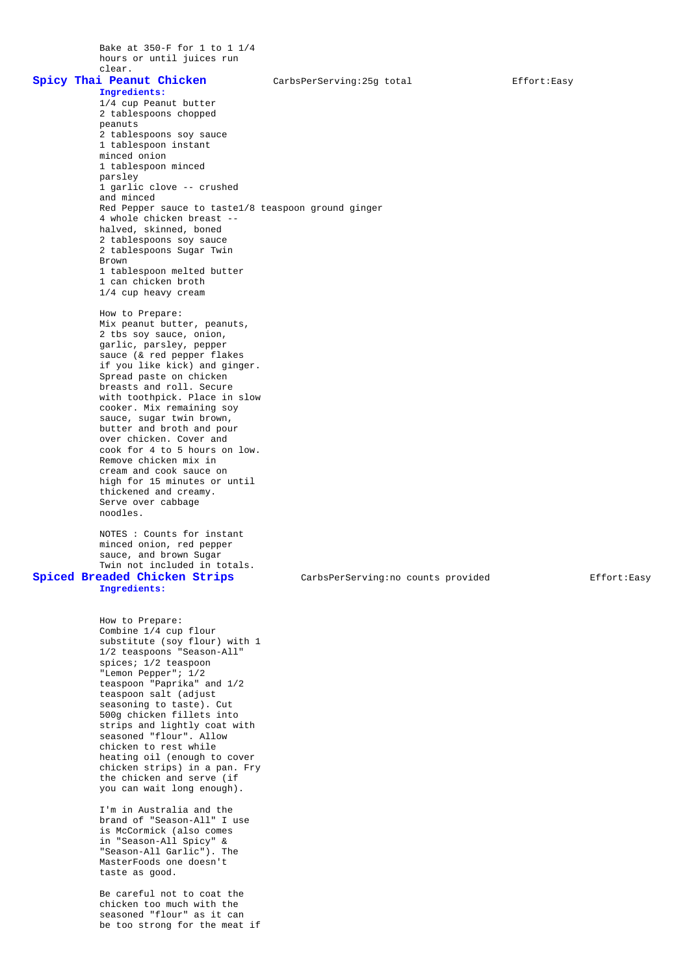Bake at 350-F for 1 to 1 1/4 hours or until juices run clear. **Spicy Thai Peanut Chicken** CarbsPerServing:25g total Effort:Easy **Ingredients:**  1/4 cup Peanut butter 2 tablespoons chopped peanuts 2 tablespoons soy sauce 1 tablespoon instant minced onion 1 tablespoon minced parsley 1 garlic clove -- crushed and minced Red Pepper sauce to taste1/8 teaspoon ground ginger 4 whole chicken breast - halved, skinned, boned 2 tablespoons soy sauce 2 tablespoons Sugar Twin Brown 1 tablespoon melted butter 1 can chicken broth 1/4 cup heavy cream How to Prepare: Mix peanut butter, peanuts, 2 tbs soy sauce, onion, garlic, parsley, pepper sauce (& red pepper flakes if you like kick) and ginger. Spread paste on chicken breasts and roll. Secure with toothpick. Place in slow cooker. Mix remaining soy sauce, sugar twin brown, butter and broth and pour over chicken. Cover and cook for 4 to 5 hours on low. Remove chicken mix in cream and cook sauce on high for 15 minutes or until thickened and creamy. Serve over cabbage noodles. NOTES : Counts for instant minced onion, red pepper sauce, and brown Sugar Twin not included in totals. **Spiced Breaded Chicken Strips** CarbsPerServing:no counts provided Effort:Easy **Ingredients:**  How to Prepare: Combine 1/4 cup flour substitute (soy flour) with 1 1/2 teaspoons "Season-All" spices; 1/2 teaspoon "Lemon Pepper"; 1/2 teaspoon "Paprika" and 1/2 teaspoon salt (adjust seasoning to taste). Cut 500g chicken fillets into strips and lightly coat with seasoned "flour". Allow chicken to rest while heating oil (enough to cover chicken strips) in a pan. Fry the chicken and serve (if you can wait long enough). I'm in Australia and the brand of "Season-All" I use is McCormick (also comes in "Season-All Spicy" &

> Be careful not to coat the chicken too much with the seasoned "flour" as it can be too strong for the meat if

 "Season-All Garlic"). The MasterFoods one doesn't

taste as good.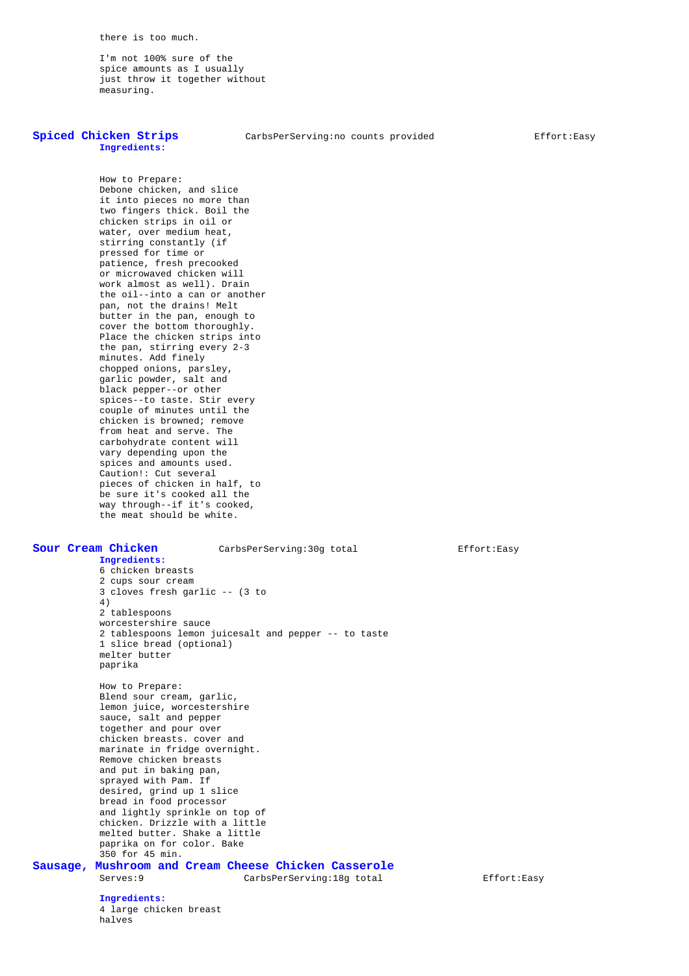I'm not 100% sure of the spice amounts as I usually just throw it together without measuring.

# **Ingredients:**

**Spiced Chicken Strips** CarbsPerServing:no counts provided Effort:Easy

 How to Prepare: Debone chicken, and slice it into pieces no more than two fingers thick. Boil the chicken strips in oil or water, over medium heat, stirring constantly (if pressed for time or patience, fresh precooked or microwaved chicken will work almost as well). Drain the oil--into a can or another pan, not the drains! Melt butter in the pan, enough to cover the bottom thoroughly. Place the chicken strips into the pan, stirring every 2-3 minutes. Add finely chopped onions, parsley, garlic powder, salt and black pepper--or other spices--to taste. Stir every couple of minutes until the chicken is browned; remove from heat and serve. The carbohydrate content will vary depending upon the spices and amounts used. Caution!: Cut several pieces of chicken in half, to be sure it's cooked all the way through--if it's cooked, the meat should be white.

**Sour Cream Chicken** CarbsPerServing:30g total Effort:Easy

 **Ingredients:**  6 chicken breasts 2 cups sour cream 3 cloves fresh garlic -- (3 to 4) 2 tablespoons worcestershire sauce 2 tablespoons lemon juicesalt and pepper -- to taste 1 slice bread (optional) melter butter paprika

 How to Prepare: Blend sour cream, garlic, lemon juice, worcestershire sauce, salt and pepper together and pour over chicken breasts. cover and marinate in fridge overnight. Remove chicken breasts and put in baking pan, sprayed with Pam. If desired, grind up 1 slice bread in food processor and lightly sprinkle on top of chicken. Drizzle with a little melted butter. Shake a little paprika on for color. Bake 350 for 45 min.

# **Sausage, Mushroom and Cream Cheese Chicken Casserole**

Serves:9 CarbsPerServing:18g total Effort:Easy

 **Ingredients:**  4 large chicken breast

halves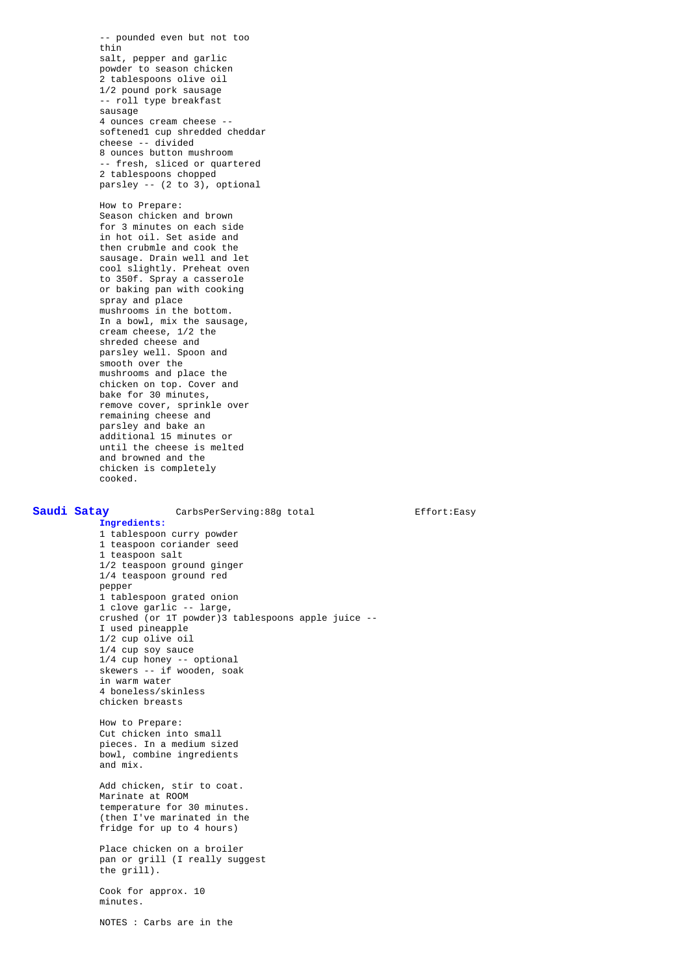-- pounded even but not too thin salt, pepper and garlic powder to season chicken 2 tablespoons olive oil 1/2 pound pork sausage -- roll type breakfast sausage 4 ounces cream cheese - softened1 cup shredded cheddar cheese -- divided 8 ounces button mushroom -- fresh, sliced or quartered 2 tablespoons chopped parsley -- (2 to 3), optional How to Prepare: Season chicken and brown for 3 minutes on each side in hot oil. Set aside and then crubmle and cook the sausage. Drain well and let cool slightly. Preheat oven to 350f. Spray a casserole or baking pan with cooking spray and place mushrooms in the bottom. In a bowl, mix the sausage, cream cheese, 1/2 the shreded cheese and parsley well. Spoon and smooth over the mushrooms and place the chicken on top. Cover and bake for 30 minutes, remove cover, sprinkle over remaining cheese and parsley and bake an additional 15 minutes or until the cheese is melted and browned and the chicken is completely cooked.

### **Saudi Satay** CarbsPerServing:88g total Effort:Easy

## **Ingredients:**

 1 tablespoon curry powder 1 teaspoon coriander seed 1 teaspoon salt 1/2 teaspoon ground ginger 1/4 teaspoon ground red pepper 1 tablespoon grated onion 1 clove garlic -- large, crushed (or 1T powder)3 tablespoons apple juice -- I used pineapple 1/2 cup olive oil 1/4 cup soy sauce 1/4 cup honey -- optional skewers -- if wooden, soak in warm water 4 boneless/skinless chicken breasts How to Prepare: Cut chicken into small pieces. In a medium sized bowl, combine ingredients and mix. Add chicken, stir to coat. Marinate at ROOM temperature for 30 minutes. (then I've marinated in the fridge for up to 4 hours) Place chicken on a broiler pan or grill (I really suggest the grill). Cook for approx. 10

minutes.

NOTES : Carbs are in the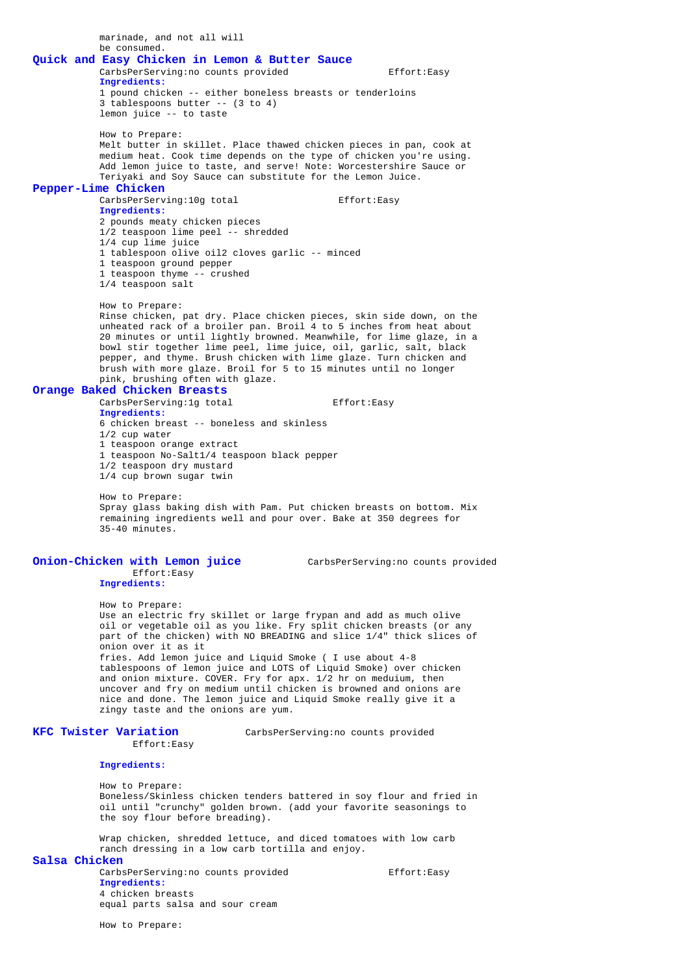marinade, and not all will be consumed. **Quick and Easy Chicken in Lemon & Butter Sauce**  CarbsPerServing: no counts provided Effort: Easy  **Ingredients:**  1 pound chicken -- either boneless breasts or tenderloins 3 tablespoons butter -- (3 to 4) lemon juice -- to taste How to Prepare: Melt butter in skillet. Place thawed chicken pieces in pan, cook at medium heat. Cook time depends on the type of chicken you're using. Add lemon juice to taste, and serve! Note: Worcestershire Sauce or Teriyaki and Soy Sauce can substitute for the Lemon Juice. **Pepper-Lime Chicken**  CarbsPerServing:10g total Effort:Easy  **Ingredients:**  2 pounds meaty chicken pieces 1/2 teaspoon lime peel -- shredded 1/4 cup lime juice 1 tablespoon olive oil2 cloves garlic -- minced 1 teaspoon ground pepper 1 teaspoon thyme -- crushed 1/4 teaspoon salt How to Prepare: Rinse chicken, pat dry. Place chicken pieces, skin side down, on the unheated rack of a broiler pan. Broil 4 to 5 inches from heat about 20 minutes or until lightly browned. Meanwhile, for lime glaze, in a bowl stir together lime peel, lime juice, oil, garlic, salt, black pepper, and thyme. Brush chicken with lime glaze. Turn chicken and brush with more glaze. Broil for 5 to 15 minutes until no longer pink, brushing often with glaze. **Orange Baked Chicken Breasts** CarbsPerServing:1g total Effort:Easy  **Ingredients:**  6 chicken breast -- boneless and skinless 1/2 cup water 1 teaspoon orange extract 1 teaspoon No-Salt1/4 teaspoon black pepper 1/2 teaspoon dry mustard 1/4 cup brown sugar twin How to Prepare: Spray glass baking dish with Pam. Put chicken breasts on bottom. Mix remaining ingredients well and pour over. Bake at 350 degrees for 35-40 minutes. **Onion-Chicken with Lemon juice** CarbsPerServing:no counts provided Effort:Easy  **Ingredients:**  How to Prepare: Use an electric fry skillet or large frypan and add as much olive oil or vegetable oil as you like. Fry split chicken breasts (or any part of the chicken) with NO BREADING and slice 1/4" thick slices of onion over it as it fries. Add lemon juice and Liquid Smoke ( I use about 4-8 tablespoons of lemon juice and LOTS of Liquid Smoke) over chicken and onion mixture. COVER. Fry for apx. 1/2 hr on meduium, then uncover and fry on medium until chicken is browned and onions are nice and done. The lemon juice and Liquid Smoke really give it a zingy taste and the onions are yum. **KFC Twister Variation** CarbsPerServing:no counts provided Effort:Easy  **Ingredients:**  How to Prepare: Boneless/Skinless chicken tenders battered in soy flour and fried in oil until "crunchy" golden brown. (add your favorite seasonings to the soy flour before breading). Wrap chicken, shredded lettuce, and diced tomatoes with low carb ranch dressing in a low carb tortilla and enjoy. **Salsa Chicken**  CarbsPerServing: no counts provided example example effort: Easy **Ingredients:**  4 chicken breasts

How to Prepare:

equal parts salsa and sour cream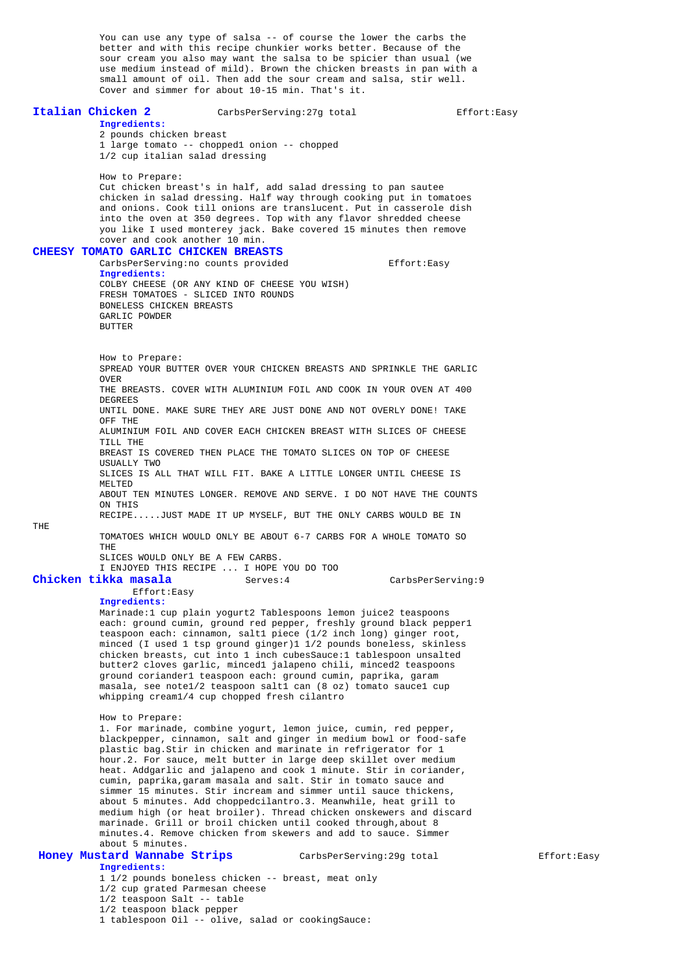You can use any type of salsa -- of course the lower the carbs the better and with this recipe chunkier works better. Because of the sour cream you also may want the salsa to be spicier than usual (we use medium instead of mild). Brown the chicken breasts in pan with a small amount of oil. Then add the sour cream and salsa, stir well. Cover and simmer for about 10-15 min. That's it. **Italian Chicken 2** CarbsPerServing: 27g total Effort:Easy **Ingredients:**  2 pounds chicken breast 1 large tomato -- chopped1 onion -- chopped 1/2 cup italian salad dressing How to Prepare: Cut chicken breast's in half, add salad dressing to pan sautee chicken in salad dressing. Half way through cooking put in tomatoes and onions. Cook till onions are translucent. Put in casserole dish into the oven at 350 degrees. Top with any flavor shredded cheese you like I used monterey jack. Bake covered 15 minutes then remove cover and cook another 10 min. **CHEESY TOMATO GARLIC CHICKEN BREASTS**  CarbsPerServing:no counts provided example Effort:Easy  **Ingredients:**  COLBY CHEESE (OR ANY KIND OF CHEESE YOU WISH) FRESH TOMATOES - SLICED INTO ROUNDS BONELESS CHICKEN BREASTS GARLIC POWDER BUTTER How to Prepare: SPREAD YOUR BUTTER OVER YOUR CHICKEN BREASTS AND SPRINKLE THE GARLIC OVER THE BREASTS. COVER WITH ALUMINIUM FOIL AND COOK IN YOUR OVEN AT 400 DEGREES UNTIL DONE. MAKE SURE THEY ARE JUST DONE AND NOT OVERLY DONE! TAKE OFF THE ALUMINIUM FOIL AND COVER EACH CHICKEN BREAST WITH SLICES OF CHEESE TILL THE BREAST IS COVERED THEN PLACE THE TOMATO SLICES ON TOP OF CHEESE USUALLY TWO SLICES IS ALL THAT WILL FIT. BAKE A LITTLE LONGER UNTIL CHEESE IS MELTED ABOUT TEN MINUTES LONGER. REMOVE AND SERVE. I DO NOT HAVE THE COUNTS ON THIS RECIPE.....JUST MADE IT UP MYSELF, BUT THE ONLY CARBS WOULD BE IN THE TOMATOES WHICH WOULD ONLY BE ABOUT 6-7 CARBS FOR A WHOLE TOMATO SO THE SLICES WOULD ONLY BE A FEW CARBS. I ENJOYED THIS RECIPE ... I HOPE YOU DO TOO **Chicken tikka masala** Serves:4 CarbsPerServing:9 Effort:Easy  **Ingredients:** Marinade:1 cup plain yogurt2 Tablespoons lemon juice2 teaspoons each: ground cumin, ground red pepper, freshly ground black pepper1 teaspoon each: cinnamon, salt1 piece (1/2 inch long) ginger root, minced (I used 1 tsp ground ginger)1 1/2 pounds boneless, skinless chicken breasts, cut into 1 inch cubesSauce:1 tablespoon unsalted butter2 cloves garlic, minced1 jalapeno chili, minced2 teaspoons ground coriander1 teaspoon each: ground cumin, paprika, garam masala, see note1/2 teaspoon salt1 can (8 oz) tomato sauce1 cup whipping cream1/4 cup chopped fresh cilantro How to Prepare: 1. For marinade, combine yogurt, lemon juice, cumin, red pepper, blackpepper, cinnamon, salt and ginger in medium bowl or food-safe plastic bag.Stir in chicken and marinate in refrigerator for 1 hour.2. For sauce, melt butter in large deep skillet over medium heat. Addgarlic and jalapeno and cook 1 minute. Stir in coriander, cumin, paprika,garam masala and salt. Stir in tomato sauce and simmer 15 minutes. Stir incream and simmer until sauce thickens, about 5 minutes. Add choppedcilantro.3. Meanwhile, heat grill to medium high (or heat broiler). Thread chicken onskewers and discard marinade. Grill or broil chicken until cooked through,about 8 minutes.4. Remove chicken from skewers and add to sauce. Simmer about 5 minutes. **Honey Mustard Wannabe Strips** CarbsPerServing:29g total Effort:Easy **Ingredients:**  1 1/2 pounds boneless chicken -- breast, meat only 1/2 cup grated Parmesan cheese 1/2 teaspoon Salt -- table 1/2 teaspoon black pepper

1 tablespoon Oil -- olive, salad or cookingSauce: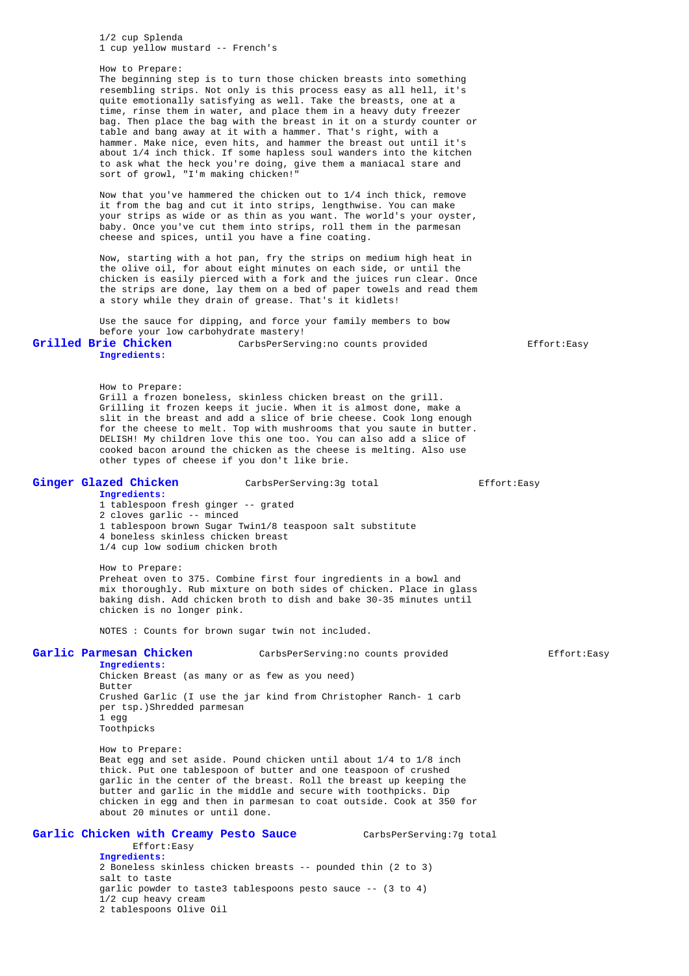1/2 cup Splenda 1 cup yellow mustard -- French's

How to Prepare:

 The beginning step is to turn those chicken breasts into something resembling strips. Not only is this process easy as all hell, it's quite emotionally satisfying as well. Take the breasts, one at a time, rinse them in water, and place them in a heavy duty freezer bag. Then place the bag with the breast in it on a sturdy counter or table and bang away at it with a hammer. That's right, with a hammer. Make nice, even hits, and hammer the breast out until it's about 1/4 inch thick. If some hapless soul wanders into the kitchen to ask what the heck you're doing, give them a maniacal stare and sort of growl, "I'm making chicken!"

 Now that you've hammered the chicken out to 1/4 inch thick, remove it from the bag and cut it into strips, lengthwise. You can make your strips as wide or as thin as you want. The world's your oyster, baby. Once you've cut them into strips, roll them in the parmesan cheese and spices, until you have a fine coating.

 Now, starting with a hot pan, fry the strips on medium high heat in the olive oil, for about eight minutes on each side, or until the chicken is easily pierced with a fork and the juices run clear. Once the strips are done, lay them on a bed of paper towels and read them a story while they drain of grease. That's it kidlets!

 Use the sauce for dipping, and force your family members to bow before your low carbohydrate mastery!

Grilled Brie Chicken **CarbsPerServing:no counts provided** Effort:Easy **Ingredients:** 

> How to Prepare: Grill a frozen boneless, skinless chicken breast on the grill. Grilling it frozen keeps it jucie. When it is almost done, make a slit in the breast and add a slice of brie cheese. Cook long enough for the cheese to melt. Top with mushrooms that you saute in butter. DELISH! My children love this one too. You can also add a slice of cooked bacon around the chicken as the cheese is melting. Also use other types of cheese if you don't like brie.

Ginger Glazed Chicken **CarbsPerServing:3g total** Effort:Easy

 **Ingredients:** 

- 1 tablespoon fresh ginger -- grated 2 cloves garlic -- minced
- 1 tablespoon brown Sugar Twin1/8 teaspoon salt substitute
- 4 boneless skinless chicken breast
- 1/4 cup low sodium chicken broth

 How to Prepare: Preheat oven to 375. Combine first four ingredients in a bowl and mix thoroughly. Rub mixture on both sides of chicken. Place in glass baking dish. Add chicken broth to dish and bake 30-35 minutes until chicken is no longer pink.

NOTES : Counts for brown sugar twin not included.

## Garlic Parmesan Chicken **CarbsPerServing:no counts provided** Effort:Easy

 **Ingredients:**  Chicken Breast (as many or as few as you need) Butter Crushed Garlic (I use the jar kind from Christopher Ranch- 1 carb per tsp.)Shredded parmesan 1 egg Toothpicks

 How to Prepare: Beat egg and set aside. Pound chicken until about 1/4 to 1/8 inch thick. Put one tablespoon of butter and one teaspoon of crushed garlic in the center of the breast. Roll the breast up keeping the butter and garlic in the middle and secure with toothpicks. Dip chicken in egg and then in parmesan to coat outside. Cook at 350 for about 20 minutes or until done.

Garlic Chicken with Creamy Pesto Sauce CarbsPerServing:7g total

 Effort:Easy  **Ingredients:**  2 Boneless skinless chicken breasts -- pounded thin (2 to 3) salt to taste garlic powder to taste3 tablespoons pesto sauce -- (3 to 4) 1/2 cup heavy cream 2 tablespoons Olive Oil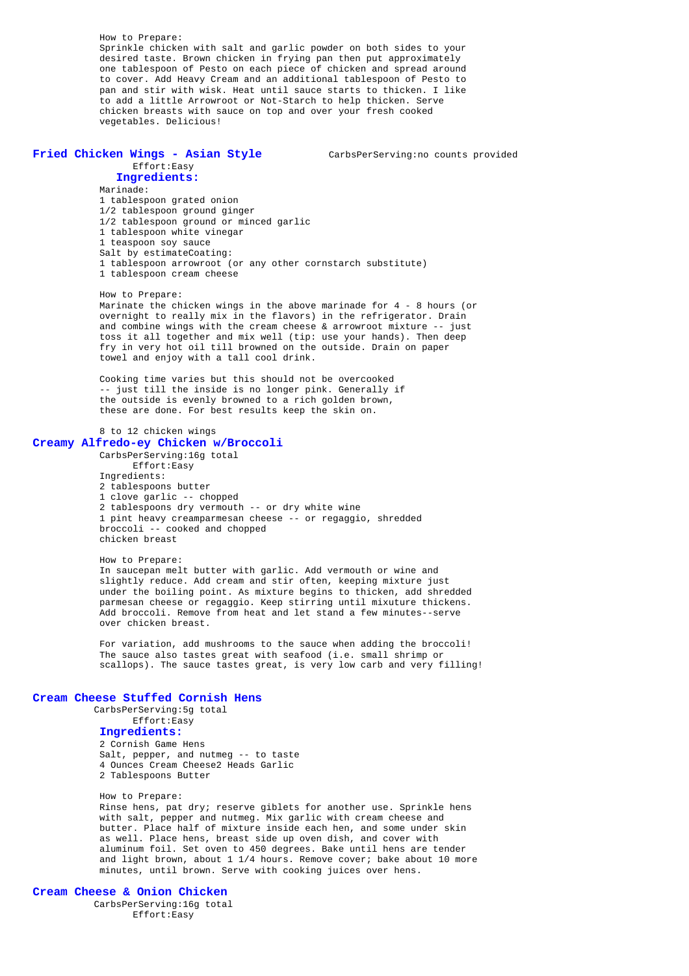How to Prepare: Sprinkle chicken with salt and garlic powder on both sides to your desired taste. Brown chicken in frying pan then put approximately one tablespoon of Pesto on each piece of chicken and spread around to cover. Add Heavy Cream and an additional tablespoon of Pesto to pan and stir with wisk. Heat until sauce starts to thicken. I like to add a little Arrowroot or Not-Starch to help thicken. Serve chicken breasts with sauce on top and over your fresh cooked vegetables. Delicious!

**Fried Chicken Wings - Asian Style** CarbsPerServing:no counts provided

### Effort:Easy  **Ingredients:** Marinade: 1 tablespoon grated onion 1/2 tablespoon ground ginger 1/2 tablespoon ground or minced garlic 1 tablespoon white vinegar 1 teaspoon soy sauce Salt by estimateCoating: 1 tablespoon arrowroot (or any other cornstarch substitute) 1 tablespoon cream cheese How to Prepare: Marinate the chicken wings in the above marinade for 4 - 8 hours (or overnight to really mix in the flavors) in the refrigerator. Drain and combine wings with the cream cheese  $\&$  arrowroot mixture  $-$  just toss it all together and mix well (tip: use your hands). Then deep fry in very hot oil till browned on the outside. Drain on paper towel and enjoy with a tall cool drink. Cooking time varies but this should not be overcooked -- just till the inside is no longer pink. Generally if the outside is evenly browned to a rich golden brown, these are done. For best results keep the skin on. 8 to 12 chicken wings **Creamy Alfredo-ey Chicken w/Broccoli** CarbsPerServing:16g total Effort:Easy Ingredients: 2 tablespoons butter 1 clove garlic -- chopped 2 tablespoons dry vermouth -- or dry white wine 1 pint heavy creamparmesan cheese -- or regaggio, shredded broccoli -- cooked and chopped chicken breast How to Prepare:

 In saucepan melt butter with garlic. Add vermouth or wine and slightly reduce. Add cream and stir often, keeping mixture just under the boiling point. As mixture begins to thicken, add shredded parmesan cheese or regaggio. Keep stirring until mixuture thickens. Add broccoli. Remove from heat and let stand a few minutes--serve over chicken breast.

 For variation, add mushrooms to the sauce when adding the broccoli! The sauce also tastes great with seafood (i.e. small shrimp or scallops). The sauce tastes great, is very low carb and very filling!

### **Cream Cheese Stuffed Cornish Hens**

2 Tablespoons Butter

 CarbsPerServing:5g total Effort:Easy **Ingredients:**  2 Cornish Game Hens Salt, pepper, and nutmeg -- to taste 4 Ounces Cream Cheese2 Heads Garlic

 How to Prepare: Rinse hens, pat dry; reserve giblets for another use. Sprinkle hens with salt, pepper and nutmeg. Mix garlic with cream cheese and butter. Place half of mixture inside each hen, and some under skin as well. Place hens, breast side up oven dish, and cover with aluminum foil. Set oven to 450 degrees. Bake until hens are tender and light brown, about 1 1/4 hours. Remove cover; bake about 10 more minutes, until brown. Serve with cooking juices over hens.

#### **Cream Cheese & Onion Chicken**

 CarbsPerServing:16g total Effort:Easy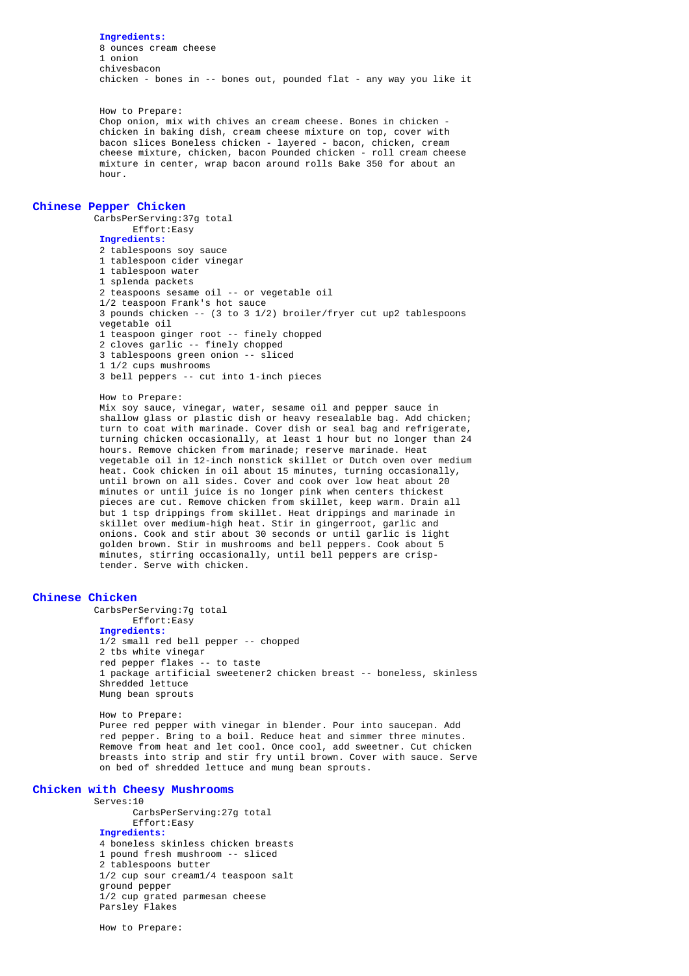**Ingredients:**  8 ounces cream cheese 1 onion chivesbacon chicken - bones in -- bones out, pounded flat - any way you like it

 How to Prepare: Chop onion, mix with chives an cream cheese. Bones in chicken chicken in baking dish, cream cheese mixture on top, cover with bacon slices Boneless chicken - layered - bacon, chicken, cream cheese mixture, chicken, bacon Pounded chicken - roll cream cheese mixture in center, wrap bacon around rolls Bake 350 for about an hour.

#### **Chinese Pepper Chicken**

 CarbsPerServing:37g total Effort:Easy **Ingredients:**  2 tablespoons soy sauce 1 tablespoon cider vinegar 1 tablespoon water 1 splenda packets 2 teaspoons sesame oil -- or vegetable oil 1/2 teaspoon Frank's hot sauce 3 pounds chicken -- (3 to 3 1/2) broiler/fryer cut up2 tablespoons vegetable oil 1 teaspoon ginger root -- finely chopped 2 cloves garlic -- finely chopped 3 tablespoons green onion -- sliced 1 1/2 cups mushrooms 3 bell peppers -- cut into 1-inch pieces

#### How to Prepare:

 Mix soy sauce, vinegar, water, sesame oil and pepper sauce in shallow glass or plastic dish or heavy resealable bag. Add chicken; turn to coat with marinade. Cover dish or seal bag and refrigerate, turning chicken occasionally, at least 1 hour but no longer than 24 hours. Remove chicken from marinade; reserve marinade. Heat vegetable oil in 12-inch nonstick skillet or Dutch oven over medium heat. Cook chicken in oil about 15 minutes, turning occasionally, until brown on all sides. Cover and cook over low heat about 20 minutes or until juice is no longer pink when centers thickest pieces are cut. Remove chicken from skillet, keep warm. Drain all but 1 tsp drippings from skillet. Heat drippings and marinade in skillet over medium-high heat. Stir in gingerroot, garlic and onions. Cook and stir about 30 seconds or until garlic is light golden brown. Stir in mushrooms and bell peppers. Cook about 5 minutes, stirring occasionally, until bell peppers are crisp tender. Serve with chicken.

#### **Chinese Chicken**

 CarbsPerServing:7g total Effort:Easy

## **Ingredients:**

 1/2 small red bell pepper -- chopped 2 tbs white vinegar red pepper flakes -- to taste 1 package artificial sweetener2 chicken breast -- boneless, skinless Shredded lettuce Mung bean sprouts

 How to Prepare: Puree red pepper with vinegar in blender. Pour into saucepan. Add red pepper. Bring to a boil. Reduce heat and simmer three minutes. Remove from heat and let cool. Once cool, add sweetner. Cut chicken breasts into strip and stir fry until brown. Cover with sauce. Serve on bed of shredded lettuce and mung bean sprouts.

#### **Chicken with Cheesy Mushrooms**

 Serves:10 CarbsPerServing:27g total Effort:Easy  **Ingredients:**  4 boneless skinless chicken breasts 1 pound fresh mushroom -- sliced 2 tablespoons butter 1/2 cup sour cream1/4 teaspoon salt ground pepper 1/2 cup grated parmesan cheese Parsley Flakes

How to Prepare: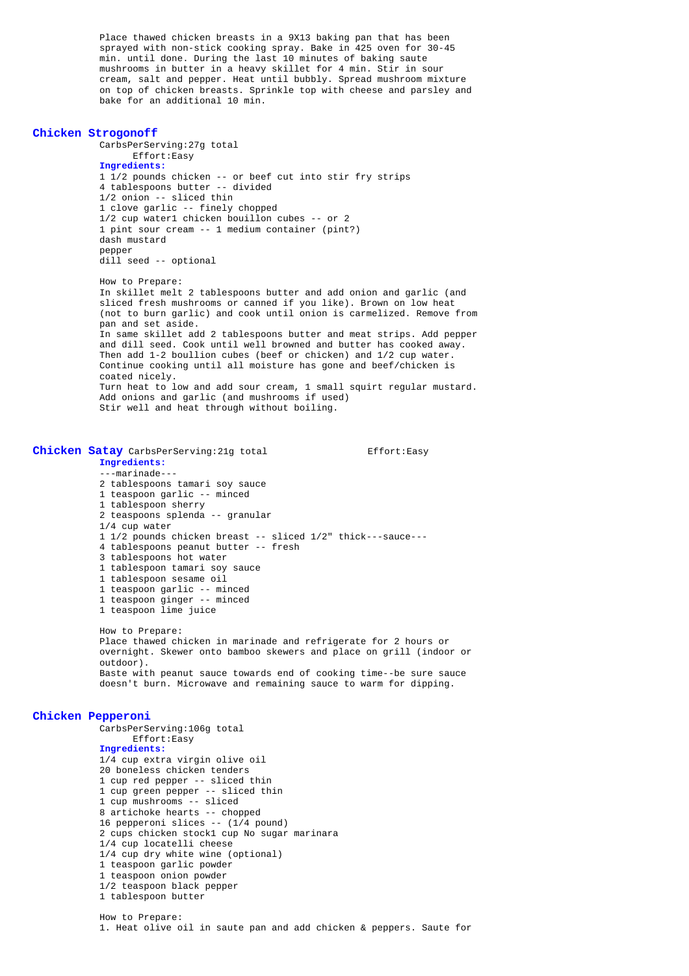Place thawed chicken breasts in a 9X13 baking pan that has been sprayed with non-stick cooking spray. Bake in 425 oven for 30-45 min. until done. During the last 10 minutes of baking saute mushrooms in butter in a heavy skillet for 4 min. Stir in sour cream, salt and pepper. Heat until bubbly. Spread mushroom mixture on top of chicken breasts. Sprinkle top with cheese and parsley and bake for an additional 10 min.

### **Chicken Strogonoff**

 CarbsPerServing:27g total Effort:Easy  **Ingredients:**  1 1/2 pounds chicken -- or beef cut into stir fry strips 4 tablespoons butter -- divided 1/2 onion -- sliced thin 1 clove garlic -- finely chopped 1/2 cup water1 chicken bouillon cubes -- or 2 1 pint sour cream -- 1 medium container (pint?) dash mustard pepper dill seed -- optional

> How to Prepare: In skillet melt 2 tablespoons butter and add onion and garlic (and sliced fresh mushrooms or canned if you like). Brown on low heat (not to burn garlic) and cook until onion is carmelized. Remove from pan and set aside. In same skillet add 2 tablespoons butter and meat strips. Add pepper and dill seed. Cook until well browned and butter has cooked away. Then add 1-2 boullion cubes (beef or chicken) and 1/2 cup water. Continue cooking until all moisture has gone and beef/chicken is coated nicely. Turn heat to low and add sour cream, 1 small squirt regular mustard. Add onions and garlic (and mushrooms if used) Stir well and heat through without boiling.

**Chicken Satay** CarbsPerServing: 21g total Effort: Easy **Ingredients:**  ---marinade--- 2 tablespoons tamari soy sauce 1 teaspoon garlic -- minced 1 tablespoon sherry 2 teaspoons splenda -- granular 1/4 cup water 1 1/2 pounds chicken breast -- sliced 1/2" thick---sauce--- 4 tablespoons peanut butter -- fresh 3 tablespoons hot water 1 tablespoon tamari soy sauce 1 tablespoon sesame oil 1 teaspoon garlic -- minced 1 teaspoon ginger -- minced 1 teaspoon lime juice How to Prepare: Place thawed chicken in marinade and refrigerate for 2 hours or overnight. Skewer onto bamboo skewers and place on grill (indoor or outdoor). Baste with peanut sauce towards end of cooking time--be sure sauce doesn't burn. Microwave and remaining sauce to warm for dipping. **Chicken Pepperoni**  CarbsPerServing:106g total Effort:Easy **Ingredients:**  1/4 cup extra virgin olive oil 20 boneless chicken tenders 1 cup red pepper -- sliced thin 1 cup green pepper -- sliced thin 1 cup mushrooms -- sliced 8 artichoke hearts -- chopped 16 pepperoni slices  $-$  (1/4 pound) 2 cups chicken stock1 cup No sugar marinara 1/4 cup locatelli cheese 1/4 cup dry white wine (optional)

 1 teaspoon garlic powder 1 teaspoon onion powder 1/2 teaspoon black pepper 1 tablespoon butter

 How to Prepare: 1. Heat olive oil in saute pan and add chicken & peppers. Saute for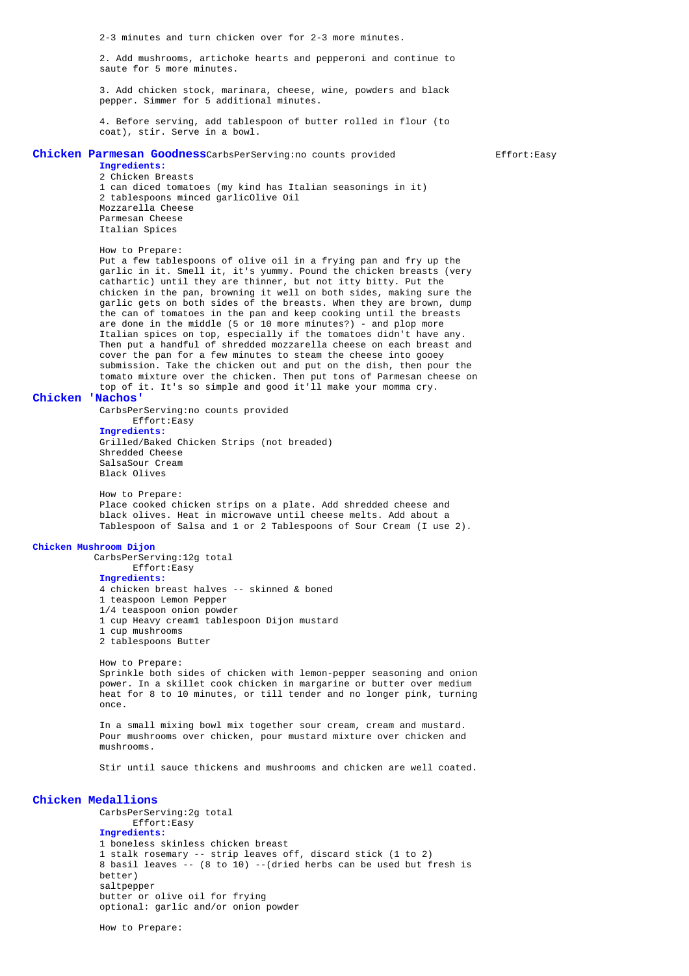2-3 minutes and turn chicken over for 2-3 more minutes.

 2. Add mushrooms, artichoke hearts and pepperoni and continue to saute for 5 more minutes.

 3. Add chicken stock, marinara, cheese, wine, powders and black pepper. Simmer for 5 additional minutes.

 4. Before serving, add tablespoon of butter rolled in flour (to coat), stir. Serve in a bowl.

### **Chicken Parmesan Goodness**CarbsPerServing:no counts provided Effort:Easy

 **Ingredients:** 

 2 Chicken Breasts 1 can diced tomatoes (my kind has Italian seasonings in it) 2 tablespoons minced garlicOlive Oil Mozzarella Cheese Parmesan Cheese Italian Spices

 How to Prepare: Put a few tablespoons of olive oil in a frying pan and fry up the garlic in it. Smell it, it's yummy. Pound the chicken breasts (very cathartic) until they are thinner, but not itty bitty. Put the chicken in the pan, browning it well on both sides, making sure the garlic gets on both sides of the breasts. When they are brown, dump the can of tomatoes in the pan and keep cooking until the breasts are done in the middle (5 or 10 more minutes?) - and plop more Italian spices on top, especially if the tomatoes didn't have any. Then put a handful of shredded mozzarella cheese on each breast and cover the pan for a few minutes to steam the cheese into gooey submission. Take the chicken out and put on the dish, then pour the tomato mixture over the chicken. Then put tons of Parmesan cheese on top of it. It's so simple and good it'll make your momma cry.

#### **Chicken 'Nachos'**

 CarbsPerServing:no counts provided Effort:Easy **Ingredients:**  Grilled/Baked Chicken Strips (not breaded) Shredded Cheese SalsaSour Cream Black Olives

 How to Prepare: Place cooked chicken strips on a plate. Add shredded cheese and black olives. Heat in microwave until cheese melts. Add about a Tablespoon of Salsa and 1 or 2 Tablespoons of Sour Cream (I use 2).

#### **Chicken Mushroom Dijon**

 CarbsPerServing:12g total Effort:Easy **Ingredients:**  4 chicken breast halves -- skinned & boned 1 teaspoon Lemon Pepper 1/4 teaspoon onion powder 1 cup Heavy cream1 tablespoon Dijon mustard

- 
- 1 cup mushrooms
- 2 tablespoons Butter

 How to Prepare: Sprinkle both sides of chicken with lemon-pepper seasoning and onion power. In a skillet cook chicken in margarine or butter over medium heat for 8 to 10 minutes, or till tender and no longer pink, turning once.

 In a small mixing bowl mix together sour cream, cream and mustard. Pour mushrooms over chicken, pour mustard mixture over chicken and mushrooms.

Stir until sauce thickens and mushrooms and chicken are well coated.

#### **Chicken Medallions**

 CarbsPerServing:2g total Effort:Easy  **Ingredients:**  1 boneless skinless chicken breast 1 stalk rosemary -- strip leaves off, discard stick (1 to 2) 8 basil leaves -- (8 to 10) --(dried herbs can be used but fresh is better) saltpepper butter or olive oil for frying optional: garlic and/or onion powder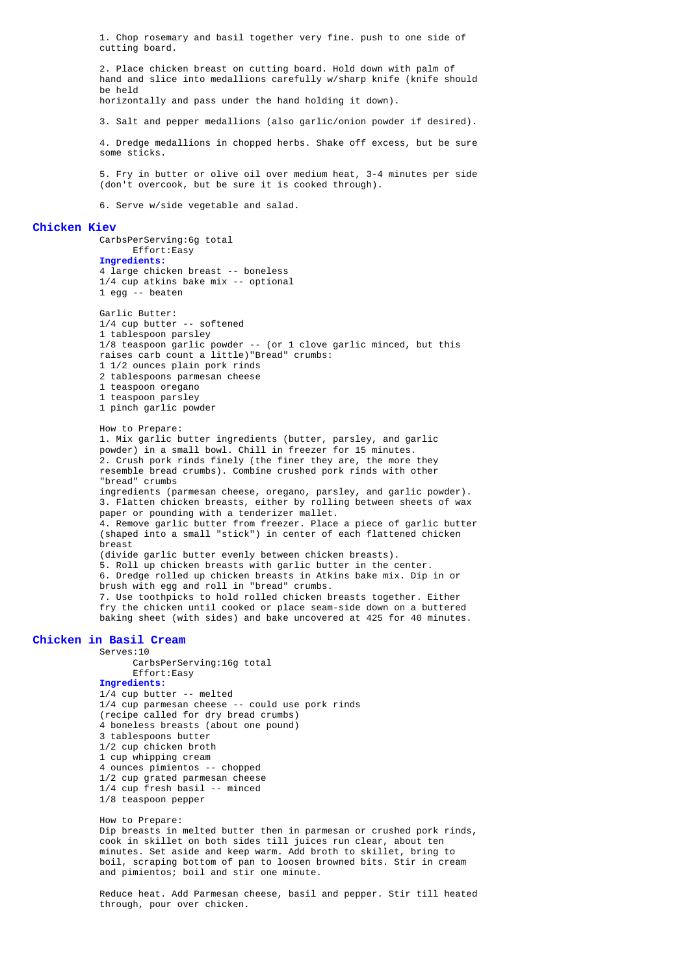1. Chop rosemary and basil together very fine. push to one side of cutting board.

 2. Place chicken breast on cutting board. Hold down with palm of hand and slice into medallions carefully w/sharp knife (knife should be held horizontally and pass under the hand holding it down).

3. Salt and pepper medallions (also garlic/onion powder if desired).

 4. Dredge medallions in chopped herbs. Shake off excess, but be sure some sticks.

 5. Fry in butter or olive oil over medium heat, 3-4 minutes per side (don't overcook, but be sure it is cooked through).

6. Serve w/side vegetable and salad.

### **Chicken Kiev**

 CarbsPerServing:6g total Effort:Easy  **Ingredients:** 4 large chicken breast -- boneless 1/4 cup atkins bake mix -- optional 1 egg -- beaten Garlic Butter: 1/4 cup butter -- softened 1 tablespoon parsley 1/8 teaspoon garlic powder -- (or 1 clove garlic minced, but this raises carb count a little)"Bread" crumbs:

- 1 1/2 ounces plain pork rinds 2 tablespoons parmesan cheese
- 1 teaspoon oregano
- 1 teaspoon parsley
- 1 pinch garlic powder

 How to Prepare: 1. Mix garlic butter ingredients (butter, parsley, and garlic powder) in a small bowl. Chill in freezer for 15 minutes. 2. Crush pork rinds finely (the finer they are, the more they resemble bread crumbs). Combine crushed pork rinds with other "bread" crumbs ingredients (parmesan cheese, oregano, parsley, and garlic powder). 3. Flatten chicken breasts, either by rolling between sheets of wax paper or pounding with a tenderizer mallet. 4. Remove garlic butter from freezer. Place a piece of garlic butter (shaped into a small "stick") in center of each flattened chicken breast (divide garlic butter evenly between chicken breasts). 5. Roll up chicken breasts with garlic butter in the center. 6. Dredge rolled up chicken breasts in Atkins bake mix. Dip in or brush with egg and roll in "bread" crumbs. 7. Use toothpicks to hold rolled chicken breasts together. Either fry the chicken until cooked or place seam-side down on a buttered baking sheet (with sides) and bake uncovered at 425 for 40 minutes.

### **Chicken in Basil Cream**

 Serves:10 CarbsPerServing:16g total Effort:Easy  **Ingredients:** 1/4 cup butter -- melted 1/4 cup parmesan cheese -- could use pork rinds (recipe called for dry bread crumbs) 4 boneless breasts (about one pound) 3 tablespoons butter 1/2 cup chicken broth 1 cup whipping cream 4 ounces pimientos -- chopped 1/2 cup grated parmesan cheese 1/4 cup fresh basil -- minced 1/8 teaspoon pepper

 How to Prepare: Dip breasts in melted butter then in parmesan or crushed pork rinds, cook in skillet on both sides till juices run clear, about ten minutes. Set aside and keep warm. Add broth to skillet, bring to boil, scraping bottom of pan to loosen browned bits. Stir in cream and pimientos; boil and stir one minute.

 Reduce heat. Add Parmesan cheese, basil and pepper. Stir till heated through, pour over chicken.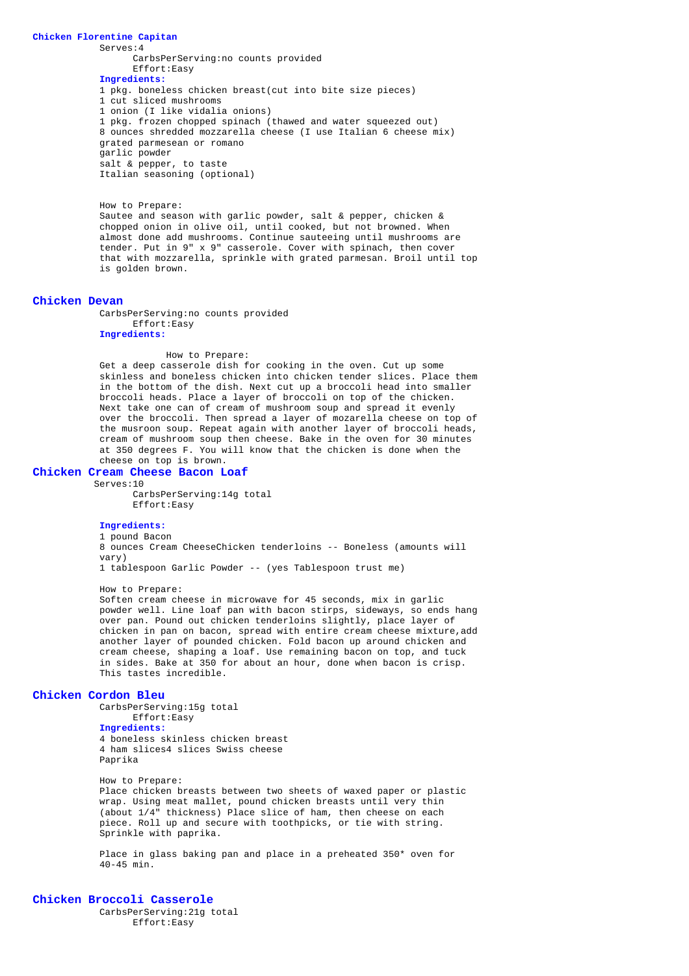### **Chicken Florentine Capitan**

Serves:4

 CarbsPerServing:no counts provided Effort:Easy **Ingredients:**  1 pkg. boneless chicken breast(cut into bite size pieces) 1 cut sliced mushrooms 1 onion (I like vidalia onions) 1 pkg. frozen chopped spinach (thawed and water squeezed out) 8 ounces shredded mozzarella cheese (I use Italian 6 cheese mix) grated parmesean or romano garlic powder salt & pepper, to taste Italian seasoning (optional)

 How to Prepare: Sautee and season with garlic powder, salt & pepper, chicken & chopped onion in olive oil, until cooked, but not browned. When almost done add mushrooms. Continue sauteeing until mushrooms are tender. Put in 9" x 9" casserole. Cover with spinach, then cover that with mozzarella, sprinkle with grated parmesan. Broil until top is golden brown.

#### **Chicken Devan**

 CarbsPerServing:no counts provided Effort:Easy  **Ingredients:** 

 How to Prepare: Get a deep casserole dish for cooking in the oven. Cut up some skinless and boneless chicken into chicken tender slices. Place them in the bottom of the dish. Next cut up a broccoli head into smaller broccoli heads. Place a layer of broccoli on top of the chicken. Next take one can of cream of mushroom soup and spread it evenly over the broccoli. Then spread a layer of mozarella cheese on top of the musroon soup. Repeat again with another layer of broccoli heads, cream of mushroom soup then cheese. Bake in the oven for 30 minutes at 350 degrees F. You will know that the chicken is done when the cheese on top is brown.

#### **Chicken Cream Cheese Bacon Loaf**

 Serves:10 CarbsPerServing:14g total Effort:Easy

#### **Ingredients:**

 1 pound Bacon 8 ounces Cream CheeseChicken tenderloins -- Boneless (amounts will vary) 1 tablespoon Garlic Powder -- (yes Tablespoon trust me)

How to Prepare:

 Soften cream cheese in microwave for 45 seconds, mix in garlic powder well. Line loaf pan with bacon stirps, sideways, so ends hang over pan. Pound out chicken tenderloins slightly, place layer of chicken in pan on bacon, spread with entire cream cheese mixture,add another layer of pounded chicken. Fold bacon up around chicken and cream cheese, shaping a loaf. Use remaining bacon on top, and tuck in sides. Bake at 350 for about an hour, done when bacon is crisp. This tastes incredible.

#### **Chicken Cordon Bleu**

 CarbsPerServing:15g total Effort:Easy  **Ingredients:**  4 boneless skinless chicken breast 4 ham slices4 slices Swiss cheese Paprika

 How to Prepare: Place chicken breasts between two sheets of waxed paper or plastic wrap. Using meat mallet, pound chicken breasts until very thin (about 1/4" thickness) Place slice of ham, then cheese on each piece. Roll up and secure with toothpicks, or tie with string. Sprinkle with paprika.

 Place in glass baking pan and place in a preheated 350\* oven for 40-45 min.

#### **Chicken Broccoli Casserole**

 CarbsPerServing:21g total Effort:Easy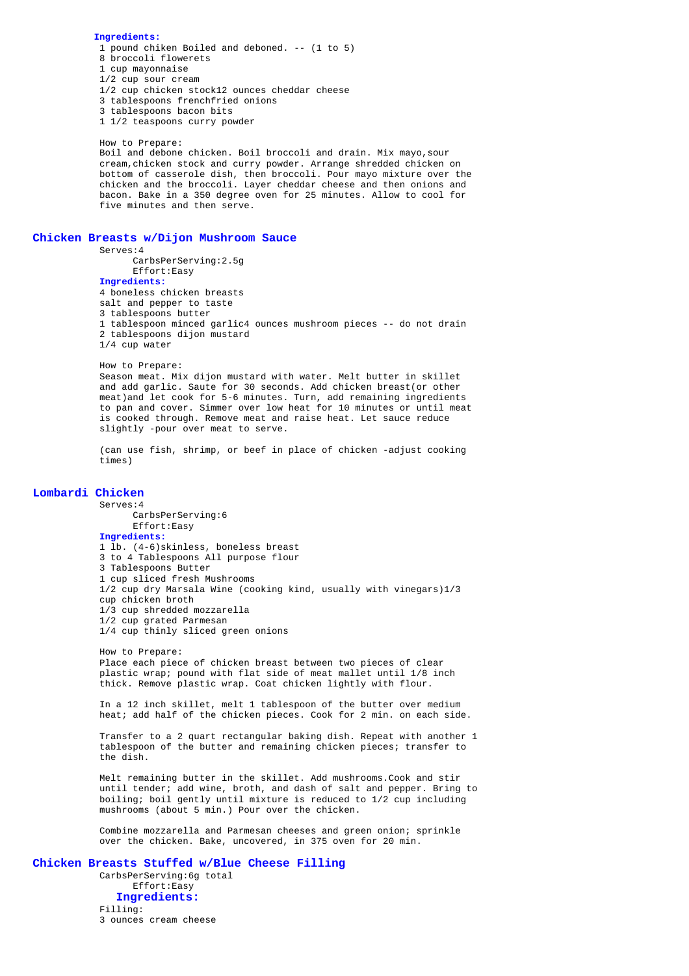#### **Ingredients:**

- 1 pound chiken Boiled and deboned. -- (1 to 5)
- 8 broccoli flowerets
- 1 cup mayonnaise
- 1/2 cup sour cream
- 1/2 cup chicken stock12 ounces cheddar cheese
- 3 tablespoons frenchfried onions
- 3 tablespoons bacon bits
- 1 1/2 teaspoons curry powder

How to Prepare:

 Boil and debone chicken. Boil broccoli and drain. Mix mayo,sour cream,chicken stock and curry powder. Arrange shredded chicken on bottom of casserole dish, then broccoli. Pour mayo mixture over the chicken and the broccoli. Layer cheddar cheese and then onions and bacon. Bake in a 350 degree oven for 25 minutes. Allow to cool for five minutes and then serve.

#### **Chicken Breasts w/Dijon Mushroom Sauce**

 Serves:4 CarbsPerServing:2.5g Effort:Easy  **Ingredients:**  4 boneless chicken breasts salt and pepper to taste 3 tablespoons butter 1 tablespoon minced garlic4 ounces mushroom pieces -- do not drain 2 tablespoons dijon mustard 1/4 cup water

 How to Prepare: Season meat. Mix dijon mustard with water. Melt butter in skillet and add garlic. Saute for 30 seconds. Add chicken breast(or other meat)and let cook for 5-6 minutes. Turn, add remaining ingredients to pan and cover. Simmer over low heat for 10 minutes or until meat is cooked through. Remove meat and raise heat. Let sauce reduce slightly -pour over meat to serve.

 (can use fish, shrimp, or beef in place of chicken -adjust cooking times)

## **Lombardi Chicken**

 Serves:4 CarbsPerServing:6 Effort:Easy **Ingredients:**  1 lb. (4-6)skinless, boneless breast 3 to 4 Tablespoons All purpose flour 3 Tablespoons Butter 1 cup sliced fresh Mushrooms 1/2 cup dry Marsala Wine (cooking kind, usually with vinegars)1/3 cup chicken broth 1/3 cup shredded mozzarella 1/2 cup grated Parmesan 1/4 cup thinly sliced green onions

 How to Prepare: Place each piece of chicken breast between two pieces of clear plastic wrap; pound with flat side of meat mallet until 1/8 inch thick. Remove plastic wrap. Coat chicken lightly with flour.

 In a 12 inch skillet, melt 1 tablespoon of the butter over medium heat; add half of the chicken pieces. Cook for 2 min. on each side.

 Transfer to a 2 quart rectangular baking dish. Repeat with another 1 tablespoon of the butter and remaining chicken pieces; transfer to the dish.

 Melt remaining butter in the skillet. Add mushrooms.Cook and stir until tender; add wine, broth, and dash of salt and pepper. Bring to boiling; boil gently until mixture is reduced to 1/2 cup including mushrooms (about 5 min.) Pour over the chicken.

 Combine mozzarella and Parmesan cheeses and green onion; sprinkle over the chicken. Bake, uncovered, in 375 oven for 20 min.

### **Chicken Breasts Stuffed w/Blue Cheese Filling**

 CarbsPerServing:6g total Effort:Easy  **Ingredients:**  Filling: 3 ounces cream cheese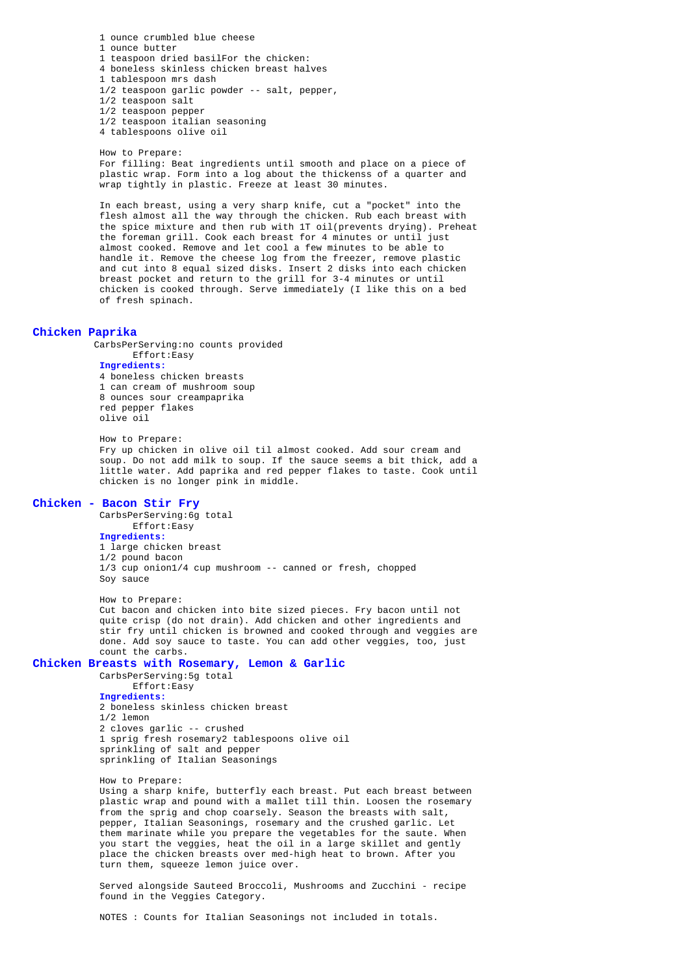1 ounce butter 1 teaspoon dried basilFor the chicken: 4 boneless skinless chicken breast halves 1 tablespoon mrs dash 1/2 teaspoon garlic powder -- salt, pepper, 1/2 teaspoon salt 1/2 teaspoon pepper 1/2 teaspoon italian seasoning 4 tablespoons olive oil How to Prepare:

1 ounce crumbled blue cheese

 For filling: Beat ingredients until smooth and place on a piece of plastic wrap. Form into a log about the thickenss of a quarter and wrap tightly in plastic. Freeze at least 30 minutes.

 In each breast, using a very sharp knife, cut a "pocket" into the flesh almost all the way through the chicken. Rub each breast with the spice mixture and then rub with 1T oil(prevents drying). Preheat the foreman grill. Cook each breast for 4 minutes or until just almost cooked. Remove and let cool a few minutes to be able to handle it. Remove the cheese log from the freezer, remove plastic and cut into 8 equal sized disks. Insert 2 disks into each chicken breast pocket and return to the grill for 3-4 minutes or until chicken is cooked through. Serve immediately (I like this on a bed of fresh spinach.

#### **Chicken Paprika**

 CarbsPerServing:no counts provided Effort:Easy  **Ingredients:**  4 boneless chicken breasts 1 can cream of mushroom soup 8 ounces sour creampaprika red pepper flakes olive oil

 How to Prepare: Fry up chicken in olive oil til almost cooked. Add sour cream and soup. Do not add milk to soup. If the sauce seems a bit thick, add a little water. Add paprika and red pepper flakes to taste. Cook until chicken is no longer pink in middle.

### **Chicken - Bacon Stir Fry**

 CarbsPerServing:6g total Effort:Easy  **Ingredients:** 1 large chicken breast 1/2 pound bacon 1/3 cup onion1/4 cup mushroom -- canned or fresh, chopped Soy sauce

 How to Prepare: Cut bacon and chicken into bite sized pieces. Fry bacon until not quite crisp (do not drain). Add chicken and other ingredients and stir fry until chicken is browned and cooked through and veggies are done. Add soy sauce to taste. You can add other veggies, too, just count the carbs.

### **Chicken Breasts with Rosemary, Lemon & Garlic**

 CarbsPerServing:5g total Effort:Easy **Ingredients:**  2 boneless skinless chicken breast 1/2 lemon 2 cloves garlic -- crushed 1 sprig fresh rosemary2 tablespoons olive oil sprinkling of salt and pepper sprinkling of Italian Seasonings

 How to Prepare: Using a sharp knife, butterfly each breast. Put each breast between plastic wrap and pound with a mallet till thin. Loosen the rosemary from the sprig and chop coarsely. Season the breasts with salt, pepper, Italian Seasonings, rosemary and the crushed garlic. Let them marinate while you prepare the vegetables for the saute. When you start the veggies, heat the oil in a large skillet and gently place the chicken breasts over med-high heat to brown. After you turn them, squeeze lemon juice over.

> Served alongside Sauteed Broccoli, Mushrooms and Zucchini - recipe found in the Veggies Category.

NOTES : Counts for Italian Seasonings not included in totals.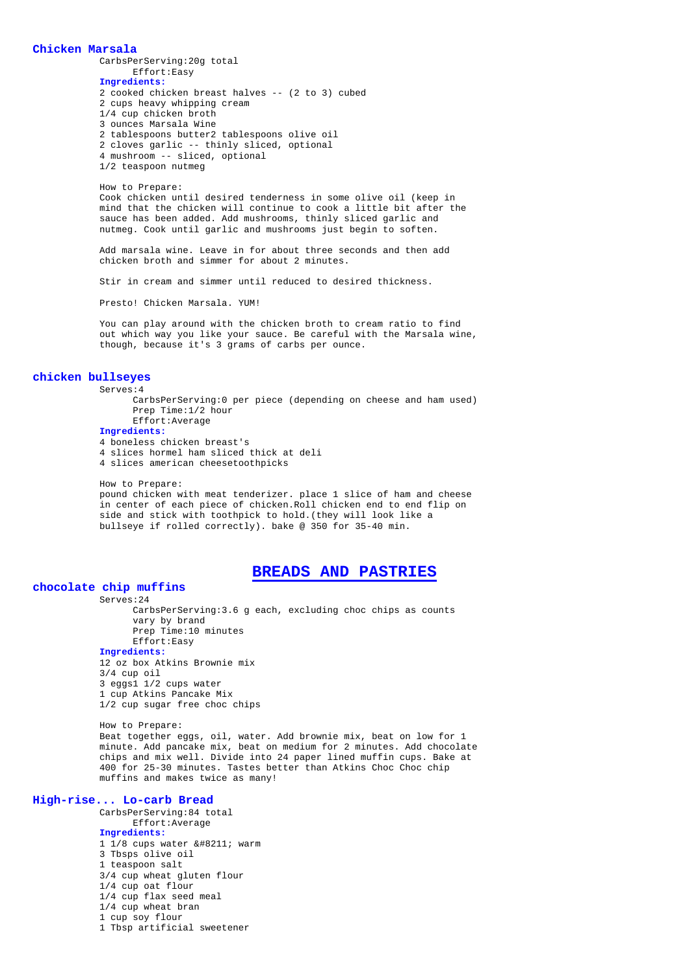**Chicken Marsala**  CarbsPerServing:20g total Effort:Easy **Ingredients:**  2 cooked chicken breast halves -- (2 to 3) cubed 2 cups heavy whipping cream 1/4 cup chicken broth 3 ounces Marsala Wine 2 tablespoons butter2 tablespoons olive oil 2 cloves garlic -- thinly sliced, optional 4 mushroom -- sliced, optional 1/2 teaspoon nutmeg How to Prepare: Cook chicken until desired tenderness in some olive oil (keep in mind that the chicken will continue to cook a little bit after the

 sauce has been added. Add mushrooms, thinly sliced garlic and nutmeg. Cook until garlic and mushrooms just begin to soften.

 Add marsala wine. Leave in for about three seconds and then add chicken broth and simmer for about 2 minutes.

Stir in cream and simmer until reduced to desired thickness.

Presto! Chicken Marsala. YUM!

 You can play around with the chicken broth to cream ratio to find out which way you like your sauce. Be careful with the Marsala wine, though, because it's 3 grams of carbs per ounce.

### **chicken bullseyes**

 Serves:4 CarbsPerServing:0 per piece (depending on cheese and ham used) Prep Time:1/2 hour Effort:Average **Ingredients:**  4 boneless chicken breast's 4 slices hormel ham sliced thick at deli 4 slices american cheesetoothpicks How to Prepare: pound chicken with meat tenderizer. place 1 slice of ham and cheese in center of each piece of chicken.Roll chicken end to end flip on

 side and stick with toothpick to hold.(they will look like a bullseye if rolled correctly). bake @ 350 for 35-40 min.

### **BREADS AND PASTRIES**

## **chocolate chip muffins**

 Serves:24 CarbsPerServing:3.6 g each, excluding choc chips as counts vary by brand Prep Time:10 minutes Effort:Easy **Ingredients:**  12 oz box Atkins Brownie mix 3/4 cup oil 3 eggs1 1/2 cups water 1 cup Atkins Pancake Mix 1/2 cup sugar free choc chips

 How to Prepare: Beat together eggs, oil, water. Add brownie mix, beat on low for 1 minute. Add pancake mix, beat on medium for 2 minutes. Add chocolate chips and mix well. Divide into 24 paper lined muffin cups. Bake at 400 for 25-30 minutes. Tastes better than Atkins Choc Choc chip muffins and makes twice as many!

### **High-rise... Lo-carb Bread**

 CarbsPerServing:84 total Effort:Average **Ingredients:**   $1 \t1/8$  cups water  $\&\#8211$ ; warm 3 Tbsps olive oil 1 teaspoon salt 3/4 cup wheat gluten flour 1/4 cup oat flour 1/4 cup flax seed meal 1/4 cup wheat bran 1 cup soy flour 1 Tbsp artificial sweetener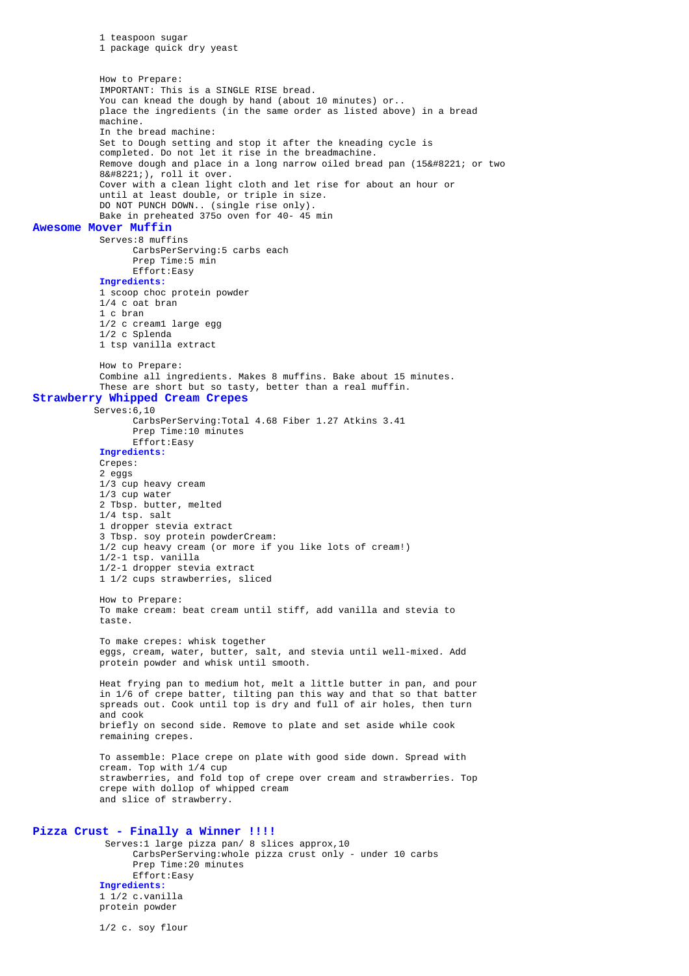1 teaspoon sugar 1 package quick dry yeast How to Prepare: IMPORTANT: This is a SINGLE RISE bread. You can knead the dough by hand (about 10 minutes) or.. place the ingredients (in the same order as listed above) in a bread machine. In the bread machine: Set to Dough setting and stop it after the kneading cycle is completed. Do not let it rise in the breadmachine. Remove dough and place in a long narrow oiled bread pan  $(15 \& #8221)$  or two 8"), roll it over. Cover with a clean light cloth and let rise for about an hour or until at least double, or triple in size. DO NOT PUNCH DOWN.. (single rise only). Bake in preheated 375o oven for 40- 45 min **Awesome Mover Muffin**  Serves:8 muffins CarbsPerServing:5 carbs each Prep Time:5 min Effort:Easy **Ingredients:**  1 scoop choc protein powder 1/4 c oat bran 1 c bran 1/2 c cream1 large egg 1/2 c Splenda 1 tsp vanilla extract How to Prepare: Combine all ingredients. Makes 8 muffins. Bake about 15 minutes. These are short but so tasty, better than a real muffin. **Strawberry Whipped Cream Crepes**  Serves:6,10 CarbsPerServing:Total 4.68 Fiber 1.27 Atkins 3.41 Prep Time:10 minutes Effort:Easy  **Ingredients:**  Crepes: 2 eggs 1/3 cup heavy cream 1/3 cup water 2 Tbsp. butter, melted 1/4 tsp. salt 1 dropper stevia extract 3 Tbsp. soy protein powderCream: 1/2 cup heavy cream (or more if you like lots of cream!) 1/2-1 tsp. vanilla 1/2-1 dropper stevia extract 1 1/2 cups strawberries, sliced How to Prepare: To make cream: beat cream until stiff, add vanilla and stevia to taste. To make crepes: whisk together eggs, cream, water, butter, salt, and stevia until well-mixed. Add protein powder and whisk until smooth. Heat frying pan to medium hot, melt a little butter in pan, and pour in 1/6 of crepe batter, tilting pan this way and that so that batter spreads out. Cook until top is dry and full of air holes, then turn and cook briefly on second side. Remove to plate and set aside while cook remaining crepes. To assemble: Place crepe on plate with good side down. Spread with cream. Top with 1/4 cup strawberries, and fold top of crepe over cream and strawberries. Top crepe with dollop of whipped cream and slice of strawberry. **Pizza Crust - Finally a Winner !!!!**  Serves:1 large pizza pan/ 8 slices approx,10 CarbsPerServing:whole pizza crust only - under 10 carbs Prep Time:20 minutes Effort:Easy **Ingredients:**  1 1/2 c.vanilla protein powder

1/2 c. soy flour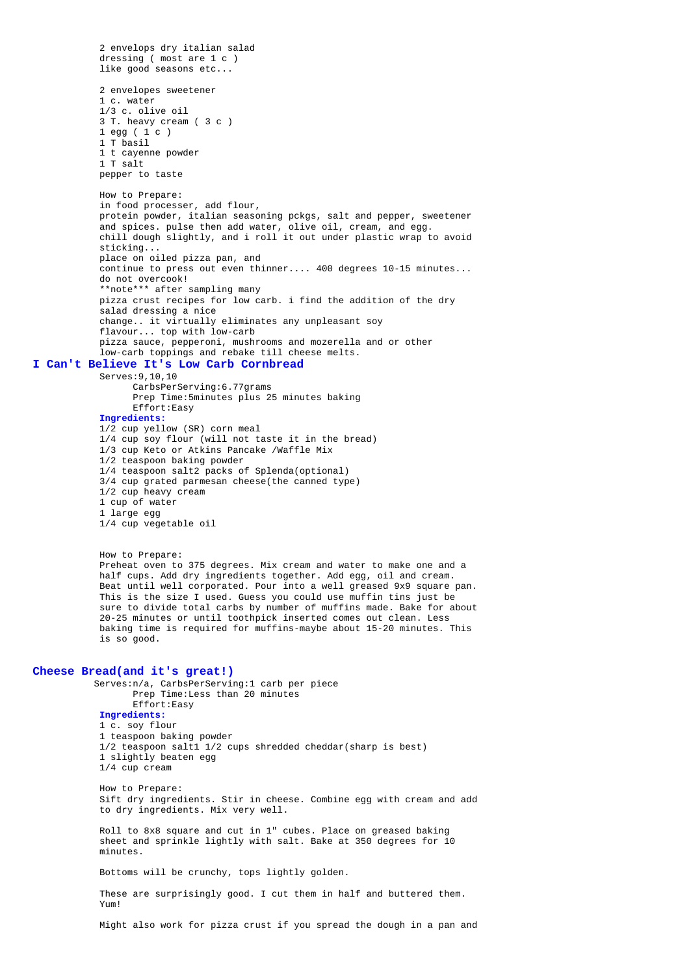```
 2 envelops dry italian salad 
             dressing ( most are 1 c ) 
             like good seasons etc... 
             2 envelopes sweetener 
             1 c. water 
             1/3 c. olive oil 
             3 T. heavy cream ( 3 c ) 
             1 egg ( 1 c ) 
             1 T basil 
             1 t cayenne powder 
             1 T salt 
             pepper to taste 
             How to Prepare: 
             in food processer, add flour, 
             protein powder, italian seasoning pckgs, salt and pepper, sweetener 
             and spices. pulse then add water, olive oil, cream, and egg. 
             chill dough slightly, and i roll it out under plastic wrap to avoid 
             sticking... 
             place on oiled pizza pan, and 
             continue to press out even thinner.... 400 degrees 10-15 minutes... 
             do not overcook! 
             **note*** after sampling many 
             pizza crust recipes for low carb. i find the addition of the dry 
             salad dressing a nice 
             change.. it virtually eliminates any unpleasant soy 
             flavour... top with low-carb 
             pizza sauce, pepperoni, mushrooms and mozerella and or other 
             low-carb toppings and rebake till cheese melts. 
I Can't Believe It's Low Carb Cornbread 
             Serves:9,10,10 
                   CarbsPerServing:6.77grams 
                   Prep Time:5minutes plus 25 minutes baking 
                   Effort:Easy 
             Ingredients: 
             1/2 cup yellow (SR) corn meal 
             1/4 cup soy flour (will not taste it in the bread) 
             1/3 cup Keto or Atkins Pancake /Waffle Mix 
             1/2 teaspoon baking powder 
             1/4 teaspoon salt2 packs of Splenda(optional) 
 3/4 cup grated parmesan cheese(the canned type) 
 1/2 cup heavy cream 
             1 cup of water 
             1 large egg 
             1/4 cup vegetable oil 
             How to Prepare: 
             Preheat oven to 375 degrees. Mix cream and water to make one and a 
             half cups. Add dry ingredients together. Add egg, oil and cream. 
             Beat until well corporated. Pour into a well greased 9x9 square pan. 
             This is the size I used. Guess you could use muffin tins just be 
             sure to divide total carbs by number of muffins made. Bake for about 
             20-25 minutes or until toothpick inserted comes out clean. Less 
             baking time is required for muffins-maybe about 15-20 minutes. This 
             is so good. 
Cheese Bread(and it's great!) 
            Serves:n/a, CarbsPerServing:1 carb per piece 
                  Prep Time: Less than 20 minutes
                   Effort:Easy 
             Ingredients: 
             1 c. soy flour 
             1 teaspoon baking powder 
             1/2 teaspoon salt1 1/2 cups shredded cheddar(sharp is best) 
             1 slightly beaten egg 
             1/4 cup cream 
             How to Prepare: 
             Sift dry ingredients. Stir in cheese. Combine egg with cream and add 
             to dry ingredients. Mix very well. 
             Roll to 8x8 square and cut in 1" cubes. Place on greased baking 
             sheet and sprinkle lightly with salt. Bake at 350 degrees for 10 
             minutes. 
             Bottoms will be crunchy, tops lightly golden. 
             These are surprisingly good. I cut them in half and buttered them. 
             Yum! 
             Might also work for pizza crust if you spread the dough in a pan and
```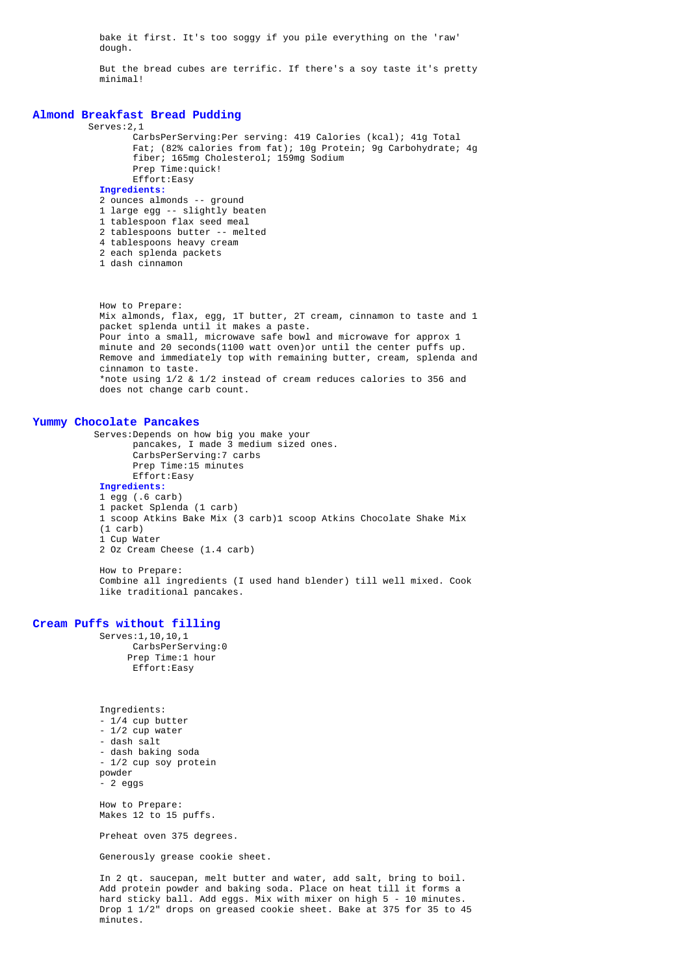bake it first. It's too soggy if you pile everything on the 'raw' dough.

 But the bread cubes are terrific. If there's a soy taste it's pretty minimal!

### **Almond Breakfast Bread Pudding**

```
 Serves:2,1 
 CarbsPerServing:Per serving: 419 Calories (kcal); 41g Total 
 Fat; (82% calories from fat); 10g Protein; 9g Carbohydrate; 4g 
                  fiber; 165mg Cholesterol; 159mg Sodium 
                  Prep Time:quick! 
                  Effort:Easy 
            Ingredients: 
            2 ounces almonds -- ground 
            1 large egg -- slightly beaten 
            1 tablespoon flax seed meal 
            2 tablespoons butter -- melted 
            4 tablespoons heavy cream
```
- 2 each splenda packets
- 1 dash cinnamon

 How to Prepare: Mix almonds, flax, egg, 1T butter, 2T cream, cinnamon to taste and 1 packet splenda until it makes a paste. Pour into a small, microwave safe bowl and microwave for approx 1 minute and 20 seconds(1100 watt oven)or until the center puffs up. Remove and immediately top with remaining butter, cream, splenda and cinnamon to taste. \*note using 1/2 & 1/2 instead of cream reduces calories to 356 and does not change carb count.

#### **Yummy Chocolate Pancakes**

 Serves:Depends on how big you make your pancakes, I made 3 medium sized ones. CarbsPerServing:7 carbs Prep Time:15 minutes Effort:Easy  **Ingredients:**  1 egg (.6 carb) 1 packet Splenda (1 carb) 1 scoop Atkins Bake Mix (3 carb)1 scoop Atkins Chocolate Shake Mix (1 carb) 1 Cup Water 2 Oz Cream Cheese (1.4 carb)

 How to Prepare: Combine all ingredients (I used hand blender) till well mixed. Cook like traditional pancakes.

### **Cream Puffs without filling**

 Serves:1,10,10,1 CarbsPerServing:0 Prep Time:1 hour Effort:Easy

 Ingredients: - 1/4 cup butter - 1/2 cup water - dash salt - dash baking soda - 1/2 cup soy protein powder -<br>- 2 eggs How to Prepare: Makes 12 to 15 puffs. Preheat oven 375 degrees. Generously grease cookie sheet.

 In 2 qt. saucepan, melt butter and water, add salt, bring to boil. Add protein powder and baking soda. Place on heat till it forms a hard sticky ball. Add eggs. Mix with mixer on high 5 - 10 minutes. Drop 1 1/2" drops on greased cookie sheet. Bake at 375 for 35 to 45 minutes.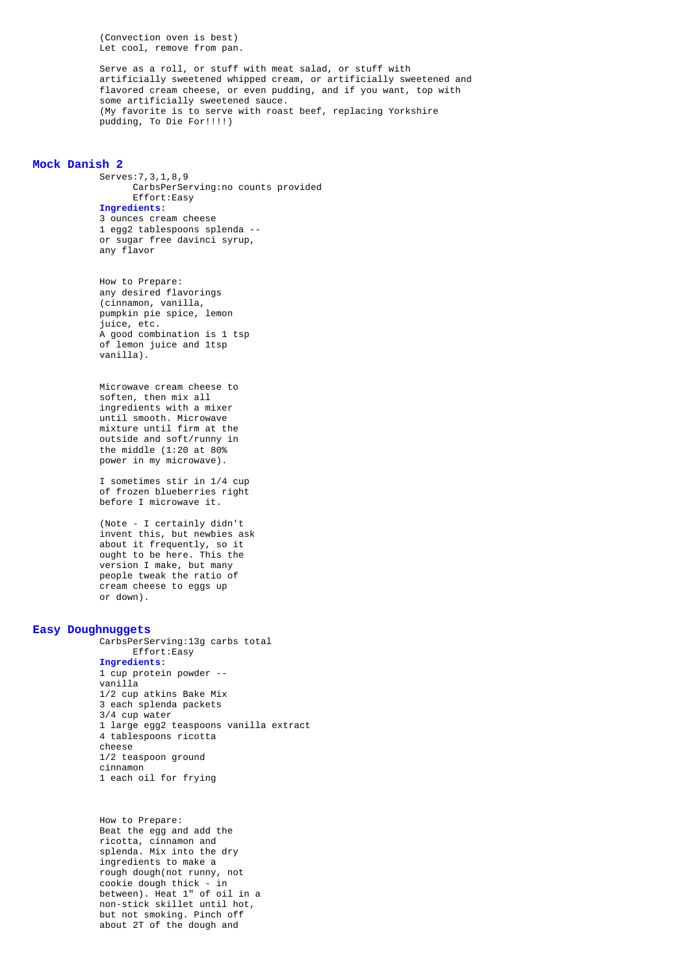(Convection oven is best) Let cool, remove from pan.

 Serve as a roll, or stuff with meat salad, or stuff with artificially sweetened whipped cream, or artificially sweetened and flavored cream cheese, or even pudding, and if you want, top with some artificially sweetened sauce. (My favorite is to serve with roast beef, replacing Yorkshire pudding, To Die For!!!!)

### **Mock Danish 2**

 Serves:7,3,1,8,9 CarbsPerServing:no counts provided Effort:Easy **Ingredients:**  3 ounces cream cheese 1 egg2 tablespoons splenda - or sugar free davinci syrup, any flavor

 How to Prepare: any desired flavorings (cinnamon, vanilla, pumpkin pie spice, lemon juice, etc. A good combination is 1 tsp of lemon juice and 1tsp vanilla).

 Microwave cream cheese to soften, then mix all ingredients with a mixer until smooth. Microwave mixture until firm at the outside and soft/runny in the middle (1:20 at 80% power in my microwave).

 I sometimes stir in 1/4 cup of frozen blueberries right before I microwave it.

 (Note - I certainly didn't invent this, but newbies ask about it frequently, so it ought to be here. This the version I make, but many people tweak the ratio of . .<br>cream cheese to eggs up or down).

### **Easy Doughnuggets**

 CarbsPerServing:13g carbs total Effort:Easy  **Ingredients:**  1 cup protein powder - vanilla 1/2 cup atkins Bake Mix 3 each splenda packets 3/4 cup water 1 large egg2 teaspoons vanilla extract 4 tablespoons ricotta cheese 1/2 teaspoon ground cinnamon 1 each oil for frying

 How to Prepare: Beat the egg and add the ricotta, cinnamon and splenda. Mix into the dry ingredients to make a rough dough(not runny, not cookie dough thick - in between). Heat 1" of oil in a non-stick skillet until hot, but not smoking. Pinch off about 2T of the dough and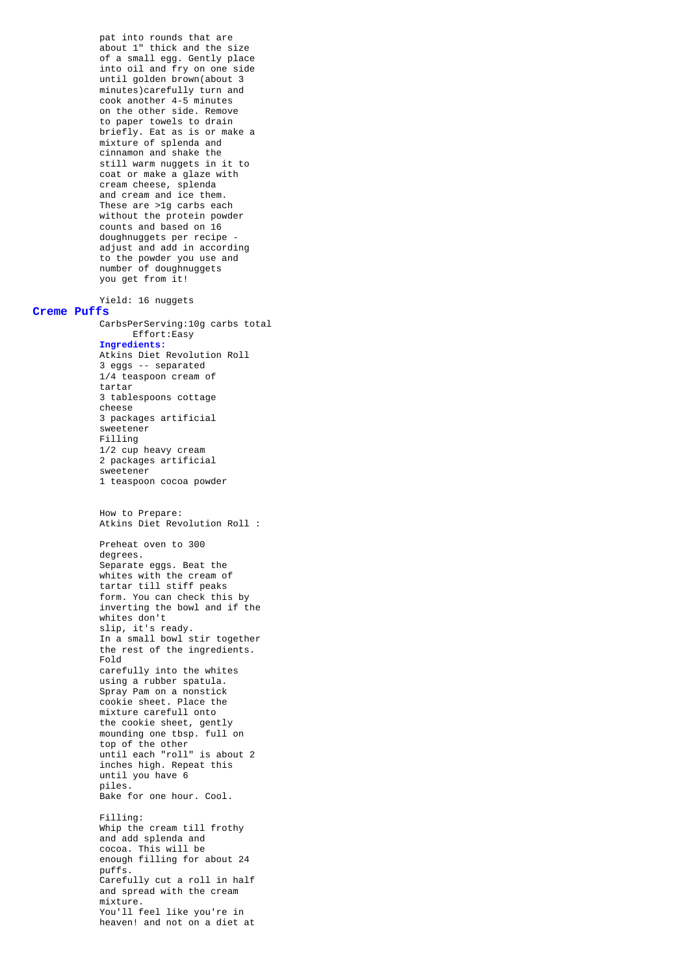pat into rounds that are about 1" thick and the size of a small egg. Gently place into oil and fry on one side until golden brown(about 3 minutes)carefully turn and cook another 4-5 minutes on the other side. Remove to paper towels to drain briefly. Eat as is or make a mixture of splenda and cinnamon and shake the still warm nuggets in it to coat or make a glaze with cream cheese, splenda and cream and ice them. These are >1g carbs each without the protein powder counts and based on 16 doughnuggets per recipe adjust and add in according to the powder you use and number of doughnuggets you get from it! Yield: 16 nuggets **Creme Puffs**  CarbsPerServing:10g carbs total Effort:Easy **Ingredients:**  Atkins Diet Revolution Roll 3 eggs -- separated 1/4 teaspoon cream of tartar 3 tablespoons cottage cheese 3 packages artificial sweetener Filling 1/2 cup heavy cream 2 packages artificial sweetener 1 teaspoon cocoa powder How to Prepare: Atkins Diet Revolution Roll : Preheat oven to 300 degrees. Separate eggs. Beat the whites with the cream of tartar till stiff peaks form. You can check this by inverting the bowl and if the whites don't slip, it's ready. In a small bowl stir together the rest of the ingredients. Fold carefully into the whites using a rubber spatula. Spray Pam on a nonstick cookie sheet. Place the mixture carefull onto the cookie sheet, gently mounding one tbsp. full on top of the other until each "roll" is about 2 inches high. Repeat this until you have 6 piles. Bake for one hour. Cool. Filling: Whip the cream till frothy and add splenda and cocoa. This will be enough filling for about 24 puffs. Carefully cut a roll in half and spread with the cream mixture. You'll feel like you're in heaven! and not on a diet at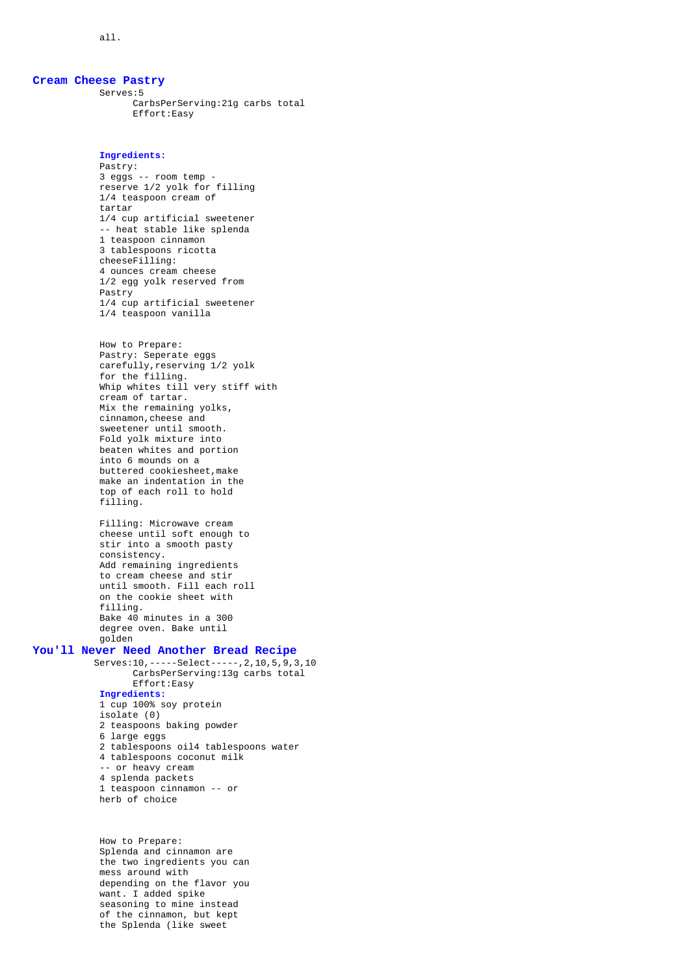### **Cream Cheese Pastry**

 Serves:5 CarbsPerServing:21g carbs total Effort:Easy

```
 Ingredients:
```
 Pastry: 3 eggs -- room temp reserve 1/2 yolk for filling 1/4 teaspoon cream of tartar 1/4 cup artificial sweetener -- heat stable like splenda 1 teaspoon cinnamon 3 tablespoons ricotta cheeseFilling: 4 ounces cream cheese 1/2 egg yolk reserved from Pastry 1/4 cup artificial sweetener 1/4 teaspoon vanilla

 How to Prepare: Pastry: Seperate eggs carefully, reserving 1/2 yolk for the filling. Whip whites till very stiff with cream of tartar. Mix the remaining yolks, cinnamon,cheese and sweetener until smooth. Fold yolk mixture into beaten whites and portion into 6 mounds on a buttered cookiesheet,make make an indentation in the top of each roll to hold filling.

 Filling: Microwave cream cheese until soft enough to stir into a smooth pasty consistency. Add remaining ingredients to cream cheese and stir until smooth. Fill each roll on the cookie sheet with filling. Bake 40 minutes in a 300 degree oven. Bake until golden

**You'll Never Need Another Bread Recipe** 

 Serves:10,-----Select-----,2,10,5,9,3,10 CarbsPerServing:13g carbs total Effort:Easy **Ingredients:**  1 cup 100% soy protein isolate (0) 2 teaspoons baking powder 6 large eggs 2 tablespoons oil4 tablespoons water 4 tablespoons coconut milk -- or heavy cream 4 splenda packets 1 teaspoon cinnamon -- or herb of choice

> How to Prepare: Splenda and cinnamon are the two ingredients you can mess around with depending on the flavor you want. I added spike seasoning to mine instead of the cinnamon, but kept the Splenda (like sweet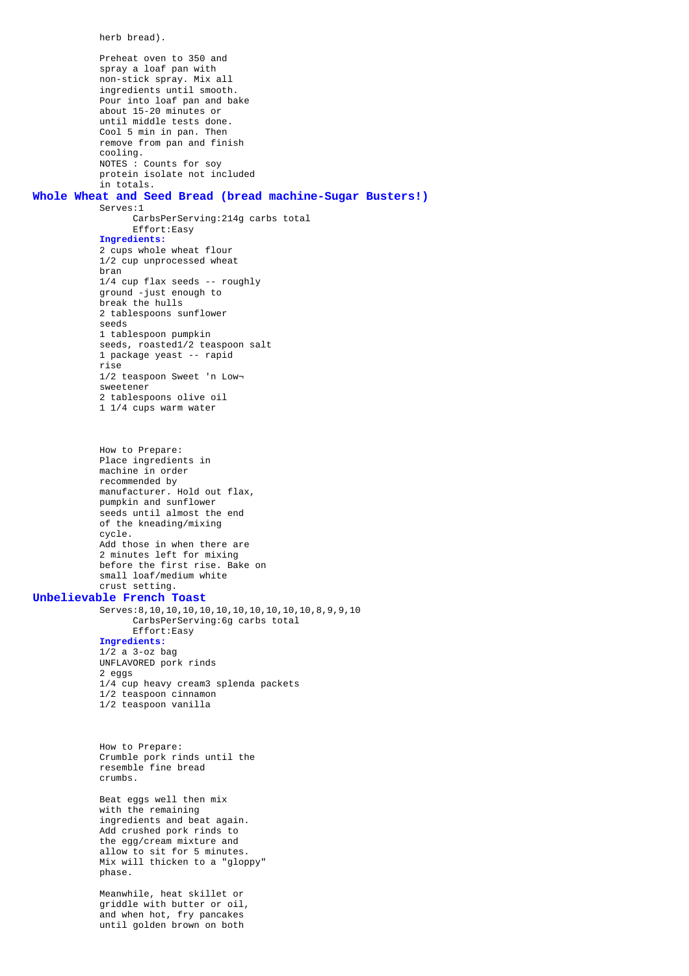Preheat oven to 350 and spray a loaf pan with non-stick spray. Mix all ingredients until smooth. Pour into loaf pan and bake about 15-20 minutes or until middle tests done. Cool 5 min in pan. Then remove from pan and finish cooling. NOTES : Counts for soy protein isolate not included in totals. **Whole Wheat and Seed Bread (bread machine-Sugar Busters!)**  Serves:1 CarbsPerServing:214g carbs total Effort:Easy **Ingredients:**  2 cups whole wheat flour 1/2 cup unprocessed wheat bran 1/4 cup flax seeds -- roughly ground -just enough to break the hulls 2 tablespoons sunflower seeds 1 tablespoon pumpkin seeds, roasted1/2 teaspoon salt 1 package yeast -- rapid rise 1/2 teaspoon Sweet 'n Low sweetener 2 tablespoons olive oil 1 1/4 cups warm water How to Prepare: Place ingredients in machine in order recommended by manufacturer. Hold out flax, pumpkin and sunflower seeds until almost the end of the kneading/mixing cycle. Add those in when there are 2 minutes left for mixing before the first rise. Bake on small loaf/medium white crust setting. **Unbelievable French Toast**  Serves:8,10,10,10,10,10,10,10,10,10,10,8,9,9,10 CarbsPerServing:6g carbs total Effort:Easy  **Ingredients:**  1/2 a 3-oz bag UNFLAVORED pork rinds 2 eggs 1/4 cup heavy cream3 splenda packets 1/2 teaspoon cinnamon 1/2 teaspoon vanilla How to Prepare: Crumble pork rinds until the resemble fine bread crumbs. Beat eggs well then mix with the remaining ingredients and beat again. Add crushed pork rinds to the egg/cream mixture and allow to sit for 5 minutes. Mix will thicken to a "gloppy" phase. Meanwhile, heat skillet or griddle with butter or oil, and when hot, fry pancakes until golden brown on both

herb bread).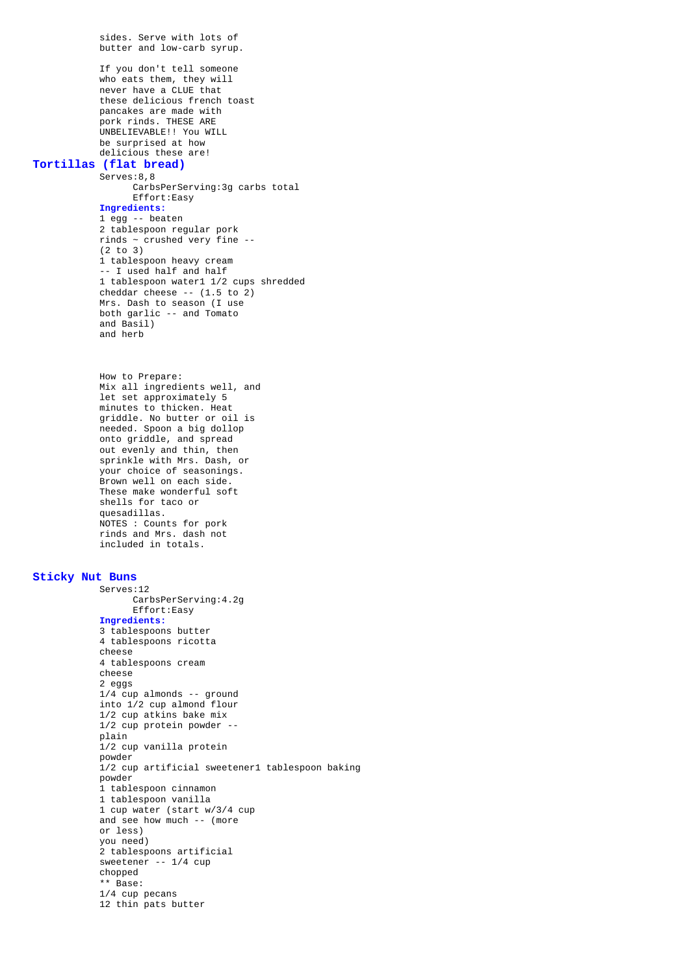```
 sides. Serve with lots of 
              butter and low-carb syrup. 
              If you don't tell someone 
              who eats them, they will 
              never have a CLUE that 
              these delicious french toast 
              pancakes are made with 
             pork rinds. THESE ARE 
              UNBELIEVABLE!! You WILL 
              be surprised at how 
             delicious these are! 
Tortillas (flat bread) 
              Serves:8,8 
                    CarbsPerServing:3g carbs total 
                    Effort:Easy 
              Ingredients: 
              1 egg -- beaten 
              2 tablespoon regular pork 
             rinds ~ crushed very fine -- 
             (2 to 3) 
              1 tablespoon heavy cream 
              -- I used half and half 
              1 tablespoon water1 1/2 cups shredded 
              cheddar cheese -- (1.5 to 2) 
              Mrs. Dash to season (I use 
              both garlic -- and Tomato 
              and Basil) 
              and herb 
              How to Prepare: 
             Mix all ingredients well, and 
              let set approximately 5 
             minutes to thicken. Heat 
              griddle. No butter or oil is 
              needed. Spoon a big dollop 
              onto griddle, and spread 
              out evenly and thin, then 
              sprinkle with Mrs. Dash, or 
              your choice of seasonings. 
              Brown well on each side. 
              These make wonderful soft 
              shells for taco or 
              quesadillas. 
             NOTES : Counts for pork 
             rinds and Mrs. dash not 
              included in totals. 
Sticky Nut Buns 
             Serves:12 
                    CarbsPerServing:4.2g 
                    Effort:Easy 
              Ingredients: 
              3 tablespoons butter 
              4 tablespoons ricotta 
              cheese 
              4 tablespoons cream 
              cheese
```
 2 eggs  $1/4$  cup almonds  $-$  ground into 1/2 cup almond flour 1/2 cup atkins bake mix 1/2 cup protein powder - plain 1/2 cup vanilla protein powder 1/2 cup artificial sweetener1 tablespoon baking powder 1 tablespoon cinnamon 1 tablespoon vanilla 1 cup water (start w/3/4 cup and see how much -- (more or less) you need) 2 tablespoons artificial sweetener -- 1/4 cup chopped \*\* Base: 1/4 cup pecans

```
 12 thin pats butter
```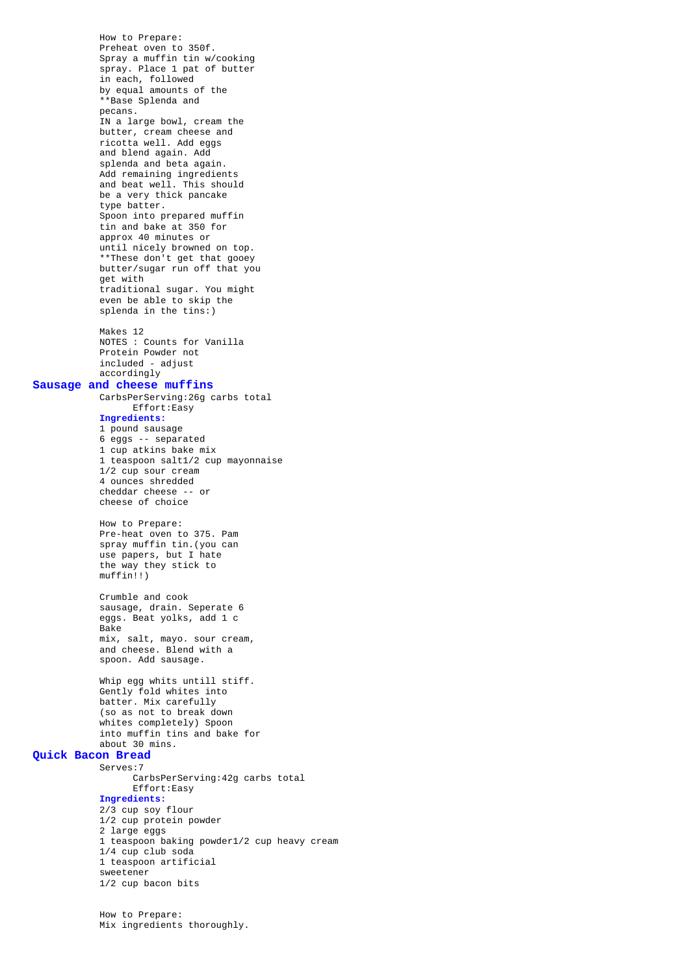How to Prepare: Preheat oven to 350f. Spray a muffin tin w/cooking spray. Place 1 pat of butter in each, followed by equal amounts of the \*\*Base Splenda and pecans. -<br>IN a large bowl, cream the butter, cream cheese and ricotta well. Add eggs and blend again. Add splenda and beta again. Add remaining ingredients and beat well. This should be a very thick pancake type batter. Spoon into prepared muffin tin and bake at 350 for approx 40 minutes or until nicely browned on top. \*\*These don't get that gooey butter/sugar run off that you get with traditional sugar. You might even be able to skip the splenda in the tins:) Makes 12 NOTES : Counts for Vanilla Protein Powder not included - adjust accordingly **Sausage and cheese muffins**  CarbsPerServing:26g carbs total Effort:Easy **Ingredients:**  1 pound sausage 6 eggs -- separated 1 cup atkins bake mix 1 teaspoon salt1/2 cup mayonnaise 1/2 cup sour cream 4 ounces shredded cheddar cheese -- or cheese of choice How to Prepare: Pre-heat oven to 375. Pam spray muffin tin.(you can use papers, but I hate the way they stick to muffin!!) Crumble and cook sausage, drain. Seperate 6 eggs. Beat yolks, add 1 c Bake mix, salt, mayo. sour cream, and cheese. Blend with a spoon. Add sausage. Whip egg whits untill stiff. Gently fold whites into batter. Mix carefully (so as not to break down whites completely) Spoon into muffin tins and bake for about 30 mins. **Quick Bacon Bread**  Serves:7 CarbsPerServing:42g carbs total Effort:Easy **Ingredients:**  2/3 cup soy flour 1/2 cup protein powder 2 large eggs 1 teaspoon baking powder1/2 cup heavy cream 1/4 cup club soda 1 teaspoon artificial sweetener 1/2 cup bacon bits

> How to Prepare: Mix ingredients thoroughly.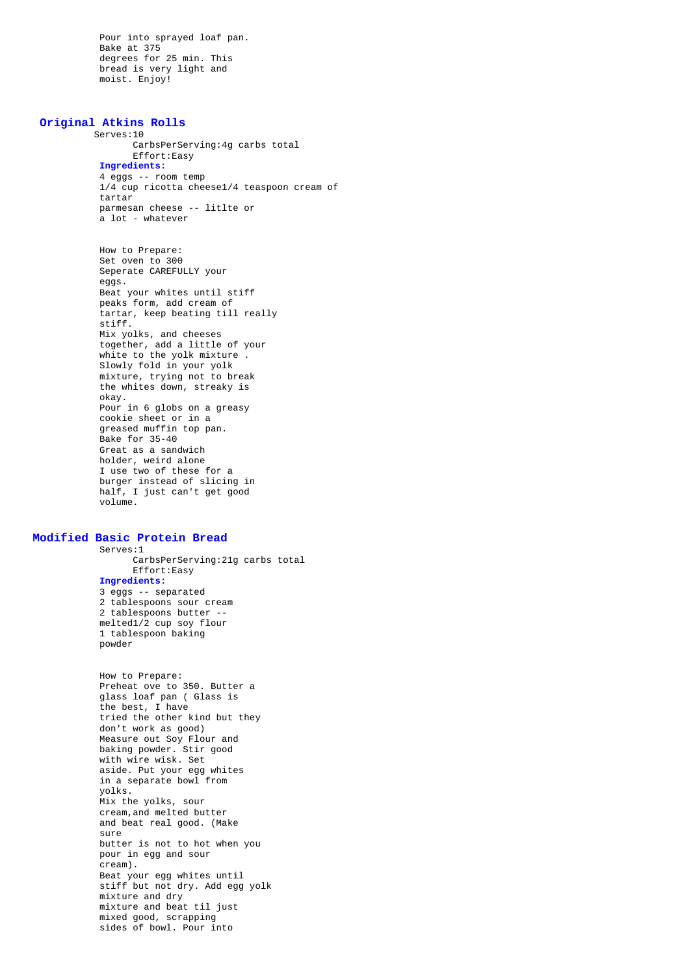Pour into sprayed loaf pan. Bake at 375 degrees for 25 min. This bread is very light and moist. Enjoy!

### **Original Atkins Rolls**

 Serves:10 CarbsPerServing:4g carbs total Effort:Easy **Ingredients:**  4 eggs -- room temp 1/4 cup ricotta cheese1/4 teaspoon cream of tartar parmesan cheese -- litlte or a lot - whatever

 How to Prepare: Set oven to 300 Seperate CAREFULLY your eggs. Beat your whites until stiff peaks form, add cream of tartar, keep beating till really stiff. Mix yolks, and cheeses together, add a little of your white to the yolk mixture. Slowly fold in your yolk mixture, trying not to break the whites down, streaky is okay. Pour in 6 globs on a greasy cookie sheet or in a greased muffin top pan. Bake for 35-40 Great as a sandwich holder, weird alone I use two of these for a burger instead of slicing in half, I just can't get good volume.

## **Modified Basic Protein Bread**

 Serves:1 CarbsPerServing:21g carbs total Effort:Easy  **Ingredients:** 3 eggs -- separated 2 tablespoons sour cream 2 tablespoons butter - melted1/2 cup soy flour 1 tablespoon baking powder

 How to Prepare: Preheat ove to 350. Butter a glass loaf pan ( Glass is the best, I have tried the other kind but they don't work as good) Measure out Soy Flour and baking powder. Stir good with wire wisk. Set aside. Put your egg whites in a separate bowl from yolks. Mix the yolks, sour cream,and melted butter and beat real good. (Make sure butter is not to hot when you pour in egg and sour cream). Beat your egg whites until stiff but not dry. Add egg yolk mixture and dry mixture and beat til just mixed good, scrapping sides of bowl. Pour into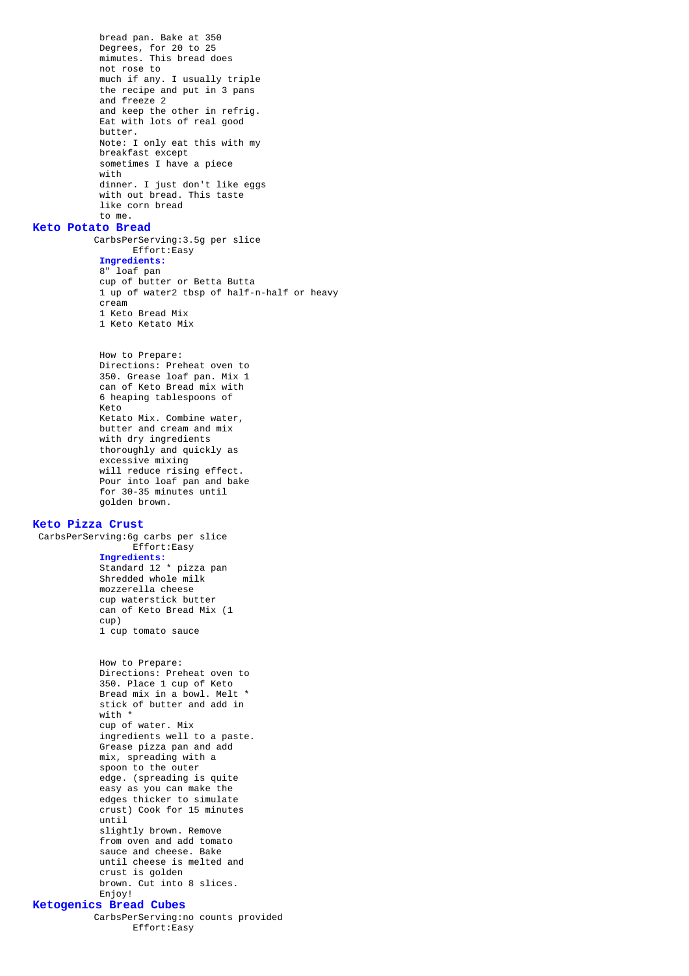bread pan. Bake at 350 Degrees, for 20 to 25 mimutes. This bread does not rose to much if any. I usually triple the recipe and put in 3 pans and freeze 2 and keep the other in refrig. Eat with lots of real good butter. Note: I only eat this with my breakfast except sometimes I have a piece with dinner. I just don't like eggs with out bread. This taste like corn bread to me. **Keto Potato Bread**  CarbsPerServing:3.5g per slice Effort:Easy  **Ingredients:**  8" loaf pan cup of butter or Betta Butta 1 up of water2 tbsp of half-n-half or heavy cream 1 Keto Bread Mix 1 Keto Ketato Mix How to Prepare: Directions: Preheat oven to 350. Grease loaf pan. Mix 1 can of Keto Bread mix with 6 heaping tablespoons of Keto Ketato Mix. Combine water, butter and cream and mix with dry ingredients thoroughly and quickly as excessive mixing will reduce rising effect. Pour into loaf pan and bake for 30-35 minutes until golden brown. **Keto Pizza Crust**  CarbsPerServing:6g carbs per slice Effort:Easy  **Ingredients:**  Standard 12 \* pizza pan Shredded whole milk mozzerella cheese cup waterstick butter can of Keto Bread Mix (1 cup) 1 cup tomato sauce How to Prepare: Directions: Preheat oven to 350. Place 1 cup of Keto Bread mix in a bowl. Melt \* stick of butter and add in with \* cup of water. Mix ingredients well to a paste. Grease pizza pan and add mix, spreading with a spoon to the outer edge. (spreading is quite easy as you can make the edges thicker to simulate crust) Cook for 15 minutes until slightly brown. Remove from oven and add tomato sauce and cheese. Bake until cheese is melted and crust is golden brown. Cut into 8 slices. Enjoy! **Ketogenics Bread Cubes**  CarbsPerServing:no counts provided Effort:Easy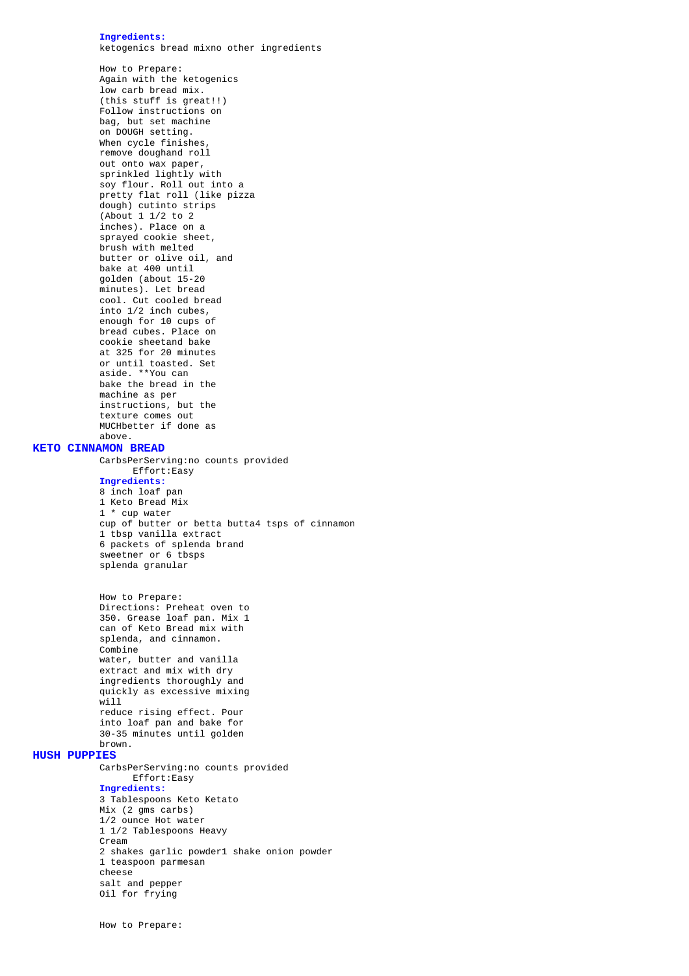**Ingredients:**  ketogenics bread mixno other ingredients How to Prepare: Again with the ketogenics low carb bread mix. (this stuff is great!!) Follow instructions on bag, but set machine on DOUGH setting. When cycle finishes, remove doughand roll out onto wax paper, sprinkled lightly with soy flour. Roll out into a pretty flat roll (like pizza dough) cutinto strips (About 1 1/2 to 2 inches). Place on a sprayed cookie sheet, brush with melted butter or olive oil, and bake at 400 until golden (about 15-20 minutes). Let bread cool. Cut cooled bread into 1/2 inch cubes, enough for 10 cups of bread cubes. Place on cookie sheetand bake at 325 for 20 minutes or until toasted. Set aside. \*\*You can bake the bread in the machine as per instructions, but the texture comes out MUCHbetter if done as above. **KETO CINNAMON BREAD** CarbsPerServing:no counts provided Effort:Easy **Ingredients:**  8 inch loaf pan 1 Keto Bread Mix 1 \* cup water cup of butter or betta butta4 tsps of cinnamon 1 tbsp vanilla extract 6 packets of splenda brand sweetner or 6 tbsps splenda granular How to Prepare: Directions: Preheat oven to 350. Grease loaf pan. Mix 1 can of Keto Bread mix with splenda, and cinnamon. Combine water, butter and vanilla extract and mix with dry ingredients thoroughly and quickly as excessive mixing will reduce rising effect. Pour into loaf pan and bake for 30-35 minutes until golden brown. **HUSH PUPPIES**  CarbsPerServing:no counts provided Effort:Easy  **Ingredients:**  3 Tablespoons Keto Ketato Mix (2 gms carbs) 1/2 ounce Hot water 1 1/2 Tablespoons Heavy Cream 2 shakes garlic powder1 shake onion powder 1 teaspoon parmesan cheese salt and pepper Oil for frying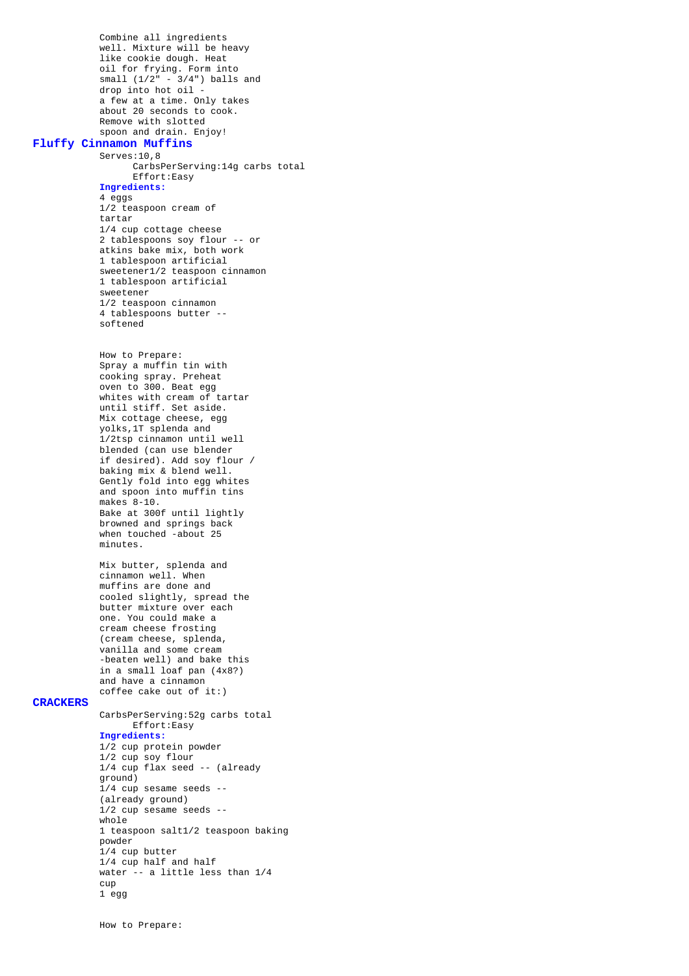```
 Combine all ingredients 
              well. Mixture will be heavy 
              like cookie dough. Heat 
              oil for frying. Form into 
             small (1/2" - 3/4") balls and
             drop into hot oil - 
              a few at a time. Only takes 
              about 20 seconds to cook. 
             Remove with slotted 
              spoon and drain. Enjoy! 
Fluffy Cinnamon Muffins
             Serves:10,8 
                    CarbsPerServing:14g carbs total 
                    Effort:Easy 
              Ingredients: 
              4 eggs 
              1/2 teaspoon cream of 
              tartar 
              1/4 cup cottage cheese 
              2 tablespoons soy flour -- or 
             atkins bake mix, both work 
              1 tablespoon artificial 
              sweetener1/2 teaspoon cinnamon 
              1 tablespoon artificial 
              sweetener 
              1/2 teaspoon cinnamon 
              4 tablespoons butter -- 
              softened 
             How to Prepare: 
              Spray a muffin tin with 
              cooking spray. Preheat 
              oven to 300. Beat egg 
              whites with cream of tartar 
              until stiff. Set aside. 
             Mix cottage cheese, egg 
              yolks,1T splenda and 
              1/2tsp cinnamon until well 
              blended (can use blender 
              if desired). Add soy flour / 
             baking mix & blend well. 
              Gently fold into egg whites 
              and spoon into muffin tins 
              makes 8-10. 
              Bake at 300f until lightly 
              browned and springs back 
              when touched -about 25 
             minutes. 
              Mix butter, splenda and 
              cinnamon well. When 
              muffins are done and 
              cooled slightly, spread the 
              butter mixture over each 
              one. You could make a 
              cream cheese frosting 
              (cream cheese, splenda, 
              vanilla and some cream 
              -beaten well) and bake this 
              in a small loaf pan (4x8?) 
              and have a cinnamon 
              coffee cake out of it:) 
CRACKERS
              CarbsPerServing:52g carbs total 
                   Effort:Easy 
              Ingredients: 
              1/2 cup protein powder 
              1/2 cup soy flour 
              1/4 cup flax seed -- (already 
              ground) 
              1/4 cup sesame seeds -- 
              (already ground) 
              1/2 cup sesame seeds -- 
              whole 
              1 teaspoon salt1/2 teaspoon baking 
              powder 
              1/4 cup butter 
              1/4 cup half and half 
              water -- a little less than 1/4 
              cup 
              1 egg
```
How to Prepare: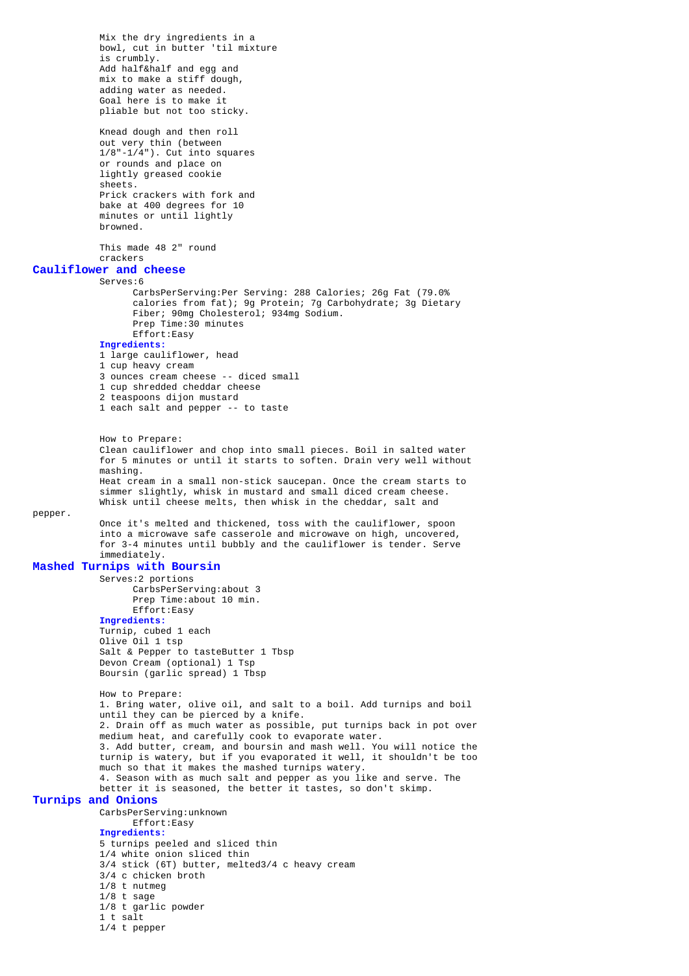Mix the dry ingredients in a bowl, cut in butter 'til mixture is crumbly. Add half&half and egg and mix to make a stiff dough, adding water as needed. Goal here is to make it pliable but not too sticky. Knead dough and then roll out very thin (between  $1/8" - 1/4"$ ). Cut into squares or rounds and place on lightly greased cookie sheets. Prick crackers with fork and bake at 400 degrees for 10 minutes or until lightly browned. This made 48 2" round crackers **Cauliflower and cheese**  Serves:6 CarbsPerServing:Per Serving: 288 Calories; 26g Fat (79.0% calories from fat); 9g Protein; 7g Carbohydrate; 3g Dietary Fiber; 90mg Cholesterol; 934mg Sodium. Prep Time:30 minutes Effort:Easy  **Ingredients:**  1 large cauliflower, head 1 cup heavy cream 3 ounces cream cheese -- diced small 1 cup shredded cheddar cheese 2 teaspoons dijon mustard 1 each salt and pepper -- to taste How to Prepare: Clean cauliflower and chop into small pieces. Boil in salted water for 5 minutes or until it starts to soften. Drain very well without mashing. Heat cream in a small non-stick saucepan. Once the cream starts to simmer slightly, whisk in mustard and small diced cream cheese. Whisk until cheese melts, then whisk in the cheddar, salt and pepper. Once it's melted and thickened, toss with the cauliflower, spoon into a microwave safe casserole and microwave on high, uncovered, for 3-4 minutes until bubbly and the cauliflower is tender. Serve immediately. **Mashed Turnips with Boursin**  Serves:2 portions CarbsPerServing:about 3 Prep Time:about 10 min. Effort:Easy  **Ingredients:**  Turnip, cubed 1 each Olive Oil 1 tsp Salt & Pepper to tasteButter 1 Tbsp Devon Cream (optional) 1 Tsp Boursin (garlic spread) 1 Tbsp How to Prepare: 1. Bring water, olive oil, and salt to a boil. Add turnips and boil until they can be pierced by a knife. 2. Drain off as much water as possible, put turnips back in pot over medium heat, and carefully cook to evaporate water. 3. Add butter, cream, and boursin and mash well. You will notice the turnip is watery, but if you evaporated it well, it shouldn't be too much so that it makes the mashed turnips watery. 4. Season with as much salt and pepper as you like and serve. The better it is seasoned, the better it tastes, so don't skimp. **Turnips and Onions**  CarbsPerServing:unknown Effort:Easy **Ingredients:**  5 turnips peeled and sliced thin 1/4 white onion sliced thin 3/4 stick (6T) butter, melted3/4 c heavy cream 3/4 c chicken broth 1/8 t nutmeg 1/8 t sage 1/8 t garlic powder 1 t salt 1/4 t pepper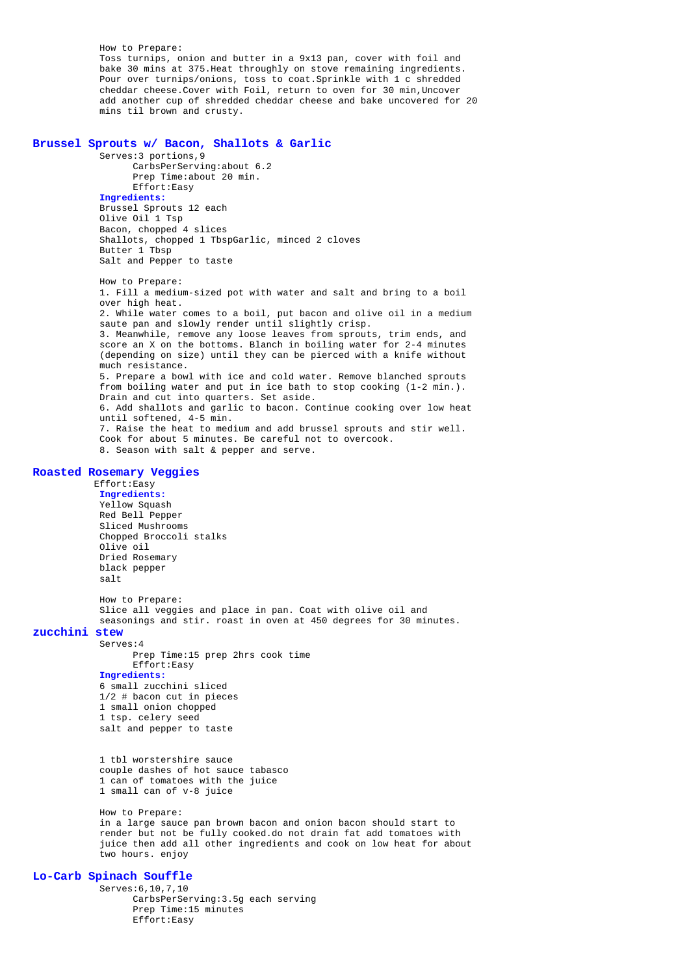How to Prepare: Toss turnips, onion and butter in a 9x13 pan, cover with foil and bake 30 mins at 375.Heat throughly on stove remaining ingredients. Pour over turnips/onions, toss to coat.Sprinkle with 1 c shredded cheddar cheese.Cover with Foil, return to oven for 30 min,Uncover add another cup of shredded cheddar cheese and bake uncovered for 20 mins til brown and crusty.

### **Brussel Sprouts w/ Bacon, Shallots & Garlic**

 Serves:3 portions,9 CarbsPerServing:about 6.2 Prep Time:about 20 min. Effort:Easy **Ingredients:**  Brussel Sprouts 12 each Olive Oil 1 Tsp Bacon, chopped 4 slices Shallots, chopped 1 TbspGarlic, minced 2 cloves Butter 1 Tbsp Salt and Pepper to taste

 How to Prepare: 1. Fill a medium-sized pot with water and salt and bring to a boil over high heat. 2. While water comes to a boil, put bacon and olive oil in a medium saute pan and slowly render until slightly crisp. 3. Meanwhile, remove any loose leaves from sprouts, trim ends, and score an X on the bottoms. Blanch in boiling water for 2-4 minutes (depending on size) until they can be pierced with a knife without much resistance. 5. Prepare a bowl with ice and cold water. Remove blanched sprouts from boiling water and put in ice bath to stop cooking (1-2 min.). Drain and cut into quarters. Set aside. 6. Add shallots and garlic to bacon. Continue cooking over low heat until softened, 4-5 min. 7. Raise the heat to medium and add brussel sprouts and stir well. Cook for about 5 minutes. Be careful not to overcook. 8. Season with salt & pepper and serve.

#### **Roasted Rosemary Veggies**

 Effort:Easy **Ingredients:**  Yellow Squash Red Bell Pepper Sliced Mushrooms Chopped Broccoli stalks Olive oil Dried Rosemary black pepper salt How to Prepare: Slice all veggies and place in pan. Coat with olive oil and seasonings and stir. roast in oven at 450 degrees for 30 minutes. **zucchini stew**  Serves:4 Prep Time:15 prep 2hrs cook time Effort:Easy **Ingredients:**  6 small zucchini sliced 1/2 # bacon cut in pieces 1 small onion chopped 1 tsp. celery seed salt and pepper to taste 1 tbl worstershire sauce couple dashes of hot sauce tabasco 1 can of tomatoes with the juice 1 small can of v-8 juice How to Prepare: in a large sauce pan brown bacon and onion bacon should start to

### render but not be fully cooked.do not drain fat add tomatoes with juice then add all other ingredients and cook on low heat for about two hours. enjoy

### **Lo-Carb Spinach Souffle**

 Serves:6,10,7,10 CarbsPerServing:3.5g each serving Prep Time:15 minutes Effort:Easy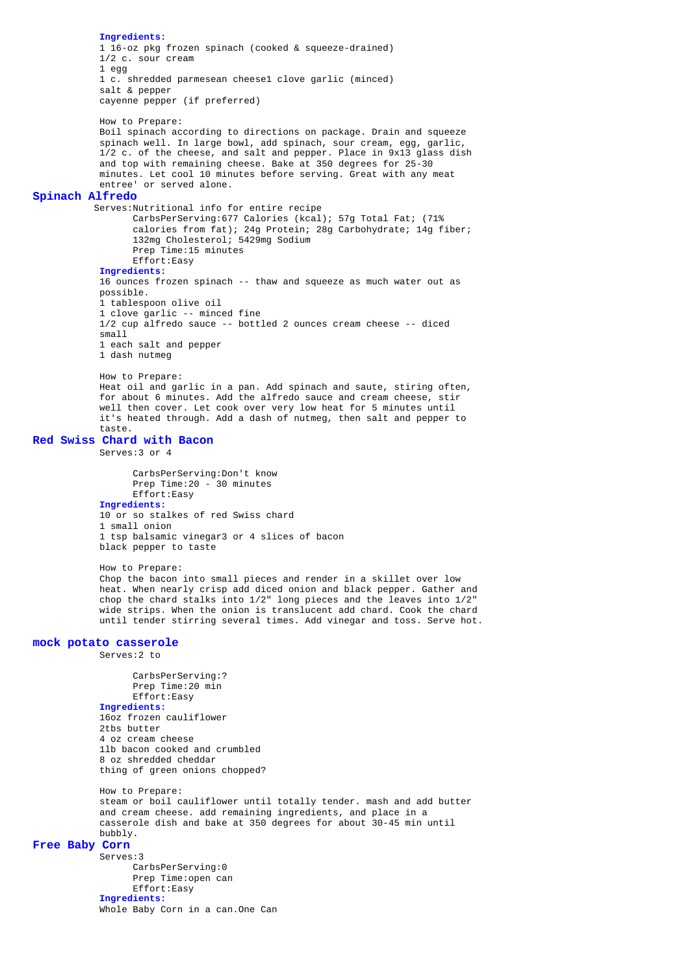**Ingredients:**  1 16-oz pkg frozen spinach (cooked & squeeze-drained) 1/2 c. sour cream 1 egg 1 c. shredded parmesean cheese1 clove garlic (minced) salt & pepper cayenne pepper (if preferred) How to Prepare: Boil spinach according to directions on package. Drain and squeeze spinach well. In large bowl, add spinach, sour cream, egg, garlic, 1/2 c. of the cheese, and salt and pepper. Place in 9x13 glass dish and top with remaining cheese. Bake at 350 degrees for 25-30 minutes. Let cool 10 minutes before serving. Great with any meat entree' or served alone. **Spinach Alfredo** Serves:Nutritional info for entire recipe CarbsPerServing:677 Calories (kcal); 57g Total Fat; (71% calories from fat); 24g Protein; 28g Carbohydrate; 14g fiber; 132mg Cholesterol; 5429mg Sodium Prep Time:15 minutes Effort:Easy  **Ingredients:**  16 ounces frozen spinach -- thaw and squeeze as much water out as possible. 1 tablespoon olive oil 1 clove garlic -- minced fine 1/2 cup alfredo sauce -- bottled 2 ounces cream cheese -- diced small 1 each salt and pepper 1 dash nutmeg How to Prepare: Heat oil and garlic in a pan. Add spinach and saute, stiring often, for about 6 minutes. Add the alfredo sauce and cream cheese, stir well then cover. Let cook over very low heat for 5 minutes until it's heated through. Add a dash of nutmeg, then salt and pepper to taste. **Red Swiss Chard with Bacon**  Serves:3 or 4 CarbsPerServing:Don't know Prep Time:20 - 30 minutes Effort:Easy **Ingredients:**  10 or so stalkes of red Swiss chard 1 small onion 1 tsp balsamic vinegar3 or 4 slices of bacon black pepper to taste How to Prepare: Chop the bacon into small pieces and render in a skillet over low heat. When nearly crisp add diced onion and black pepper. Gather and chop the chard stalks into 1/2" long pieces and the leaves into 1/2" wide strips. When the onion is translucent add chard. Cook the chard until tender stirring several times. Add vinegar and toss. Serve hot. **mock potato casserole**  Serves:2 to CarbsPerServing:? Prep Time:20 min Effort:Easy  **Ingredients:**  16oz frozen cauliflower 2tbs butter 4 oz cream cheese 1lb bacon cooked and crumbled 8 oz shredded cheddar thing of green onions chopped? How to Prepare: steam or boil cauliflower until totally tender. mash and add butter and cream cheese. add remaining ingredients, and place in a casserole dish and bake at 350 degrees for about 30-45 min until bubbly. **Free Baby Corn**  Serves:3 CarbsPerServing:0 Prep Time:open can Effort:Easy **Ingredients:**  Whole Baby Corn in a can.One Can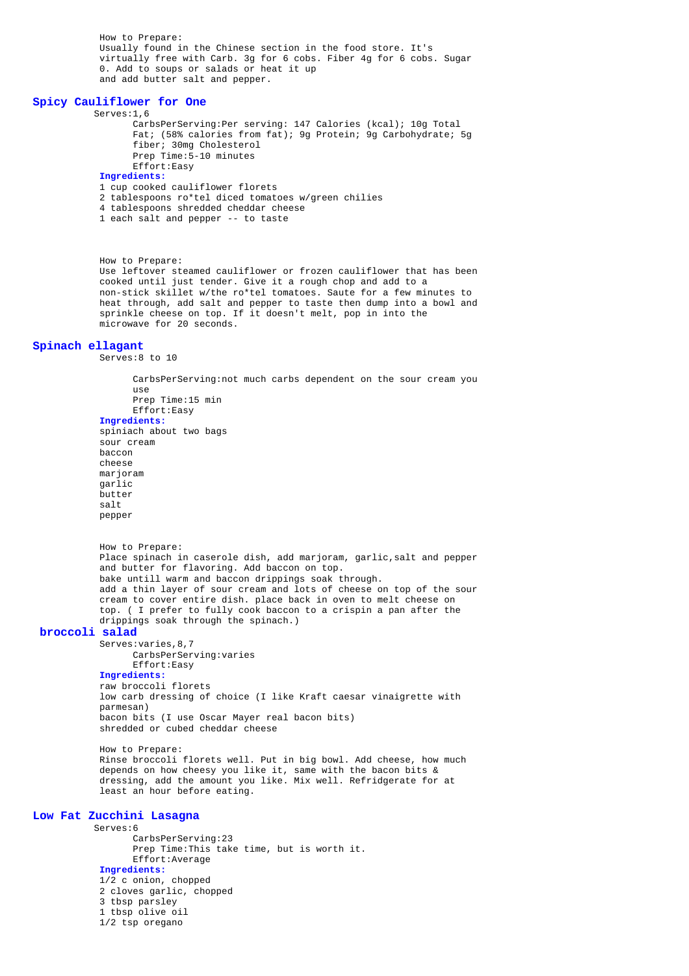How to Prepare: Usually found in the Chinese section in the food store. It's virtually free with Carb. 3g for 6 cobs. Fiber 4g for 6 cobs. Sugar 0. Add to soups or salads or heat it up and add butter salt and pepper. **Spicy Cauliflower for One**  Serves:1,6 CarbsPerServing:Per serving: 147 Calories (kcal); 10g Total Fat; (58% calories from fat); 9g Protein; 9g Carbohydrate; 5g fiber; 30mg Cholesterol Prep Time:5-10 minutes Effort:Easy **Ingredients:**  1 cup cooked cauliflower florets 2 tablespoons ro\*tel diced tomatoes w/green chilies 4 tablespoons shredded cheddar cheese 1 each salt and pepper -- to taste How to Prepare: Use leftover steamed cauliflower or frozen cauliflower that has been cooked until just tender. Give it a rough chop and add to a non-stick skillet w/the ro\*tel tomatoes. Saute for a few minutes to heat through, add salt and pepper to taste then dump into a bowl and sprinkle cheese on top. If it doesn't melt, pop in into the microwave for 20 seconds. **Spinach ellagant**  Serves:8 to 10 CarbsPerServing:not much carbs dependent on the sour cream you use Prep Time:15 min Effort:Easy  **Ingredients:**  spiniach about two bags sour cream baccon cheese marjoram garlic butter salt pepper How to Prepare: Place spinach in caserole dish, add marjoram, garlic,salt and pepper and butter for flavoring. Add baccon on top. bake untill warm and baccon drippings soak through. add a thin layer of sour cream and lots of cheese on top of the sour cream to cover entire dish. place back in oven to melt cheese on top. ( I prefer to fully cook baccon to a crispin a pan after the drippings soak through the spinach.)  **broccoli salad**  Serves:varies,8,7 CarbsPerServing:varies Effort:Easy  **Ingredients:**  raw broccoli florets low carb dressing of choice (I like Kraft caesar vinaigrette with parmesan) bacon bits (I use Oscar Mayer real bacon bits) shredded or cubed cheddar cheese How to Prepare: Rinse broccoli florets well. Put in big bowl. Add cheese, how much depends on how cheesy you like it, same with the bacon bits & dressing, add the amount you like. Mix well. Refridgerate for at least an hour before eating. **Low Fat Zucchini Lasagna** Serves:6 CarbsPerServing:23 Prep Time:This take time, but is worth it. Effort:Average  **Ingredients:**  1/2 c onion, chopped 2 cloves garlic, chopped 3 tbsp parsley

1 tbsp olive oil

1/2 tsp oregano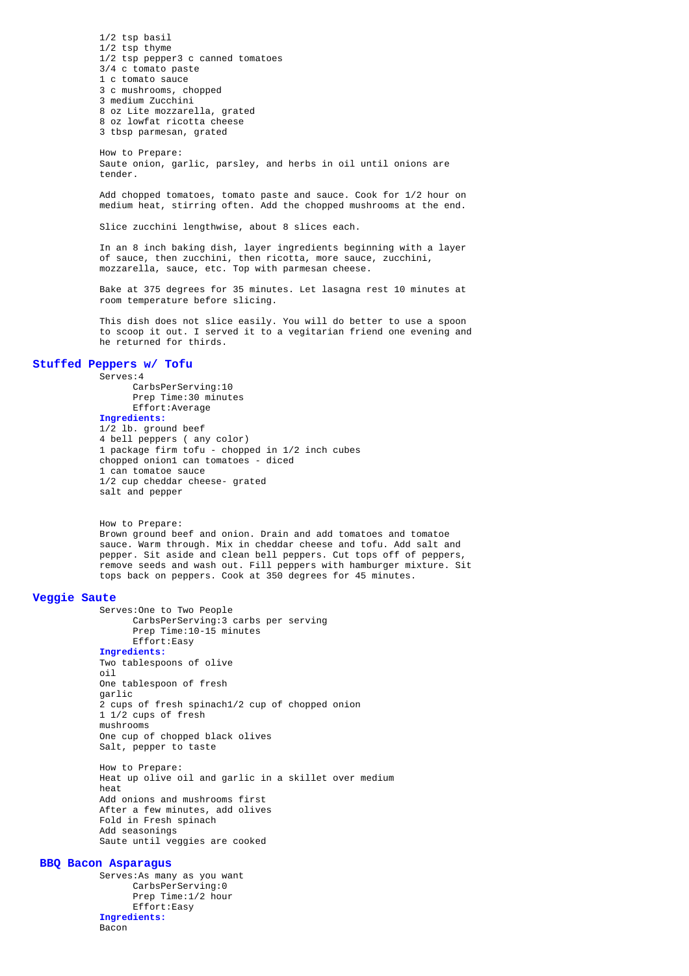1/2 tsp basil 1/2 tsp thyme 1/2 tsp pepper3 c canned tomatoes 3/4 c tomato paste 1 c tomato sauce 3 c mushrooms, chopped 3 medium Zucchini 8 oz Lite mozzarella, grated 8 oz lowfat ricotta cheese 3 tbsp parmesan, grated How to Prepare: Saute onion, garlic, parsley, and herbs in oil until onions are tender. Add chopped tomatoes, tomato paste and sauce. Cook for 1/2 hour on medium heat, stirring often. Add the chopped mushrooms at the end.

Slice zucchini lengthwise, about 8 slices each.

 In an 8 inch baking dish, layer ingredients beginning with a layer of sauce, then zucchini, then ricotta, more sauce, zucchini, mozzarella, sauce, etc. Top with parmesan cheese.

 Bake at 375 degrees for 35 minutes. Let lasagna rest 10 minutes at room temperature before slicing.

 This dish does not slice easily. You will do better to use a spoon to scoop it out. I served it to a vegitarian friend one evening and he returned for thirds.

#### **Stuffed Peppers w/ Tofu**

Serves:4

 CarbsPerServing:10 Prep Time:30 minutes Effort:Average  **Ingredients:**  1/2 lb. ground beef 4 bell peppers ( any color) 1 package firm tofu - chopped in 1/2 inch cubes chopped onion1 can tomatoes - diced 1 can tomatoe sauce 1/2 cup cheddar cheese- grated salt and pepper

 How to Prepare: Brown ground beef and onion. Drain and add tomatoes and tomatoe sauce. Warm through. Mix in cheddar cheese and tofu. Add salt and pepper. Sit aside and clean bell peppers. Cut tops off of peppers, remove seeds and wash out. Fill peppers with hamburger mixture. Sit tops back on peppers. Cook at 350 degrees for 45 minutes.

#### **Veggie Saute**

 Serves:One to Two People CarbsPerServing:3 carbs per serving Prep Time:10-15 minutes Effort:Easy  **Ingredients:**  Two tablespoons of olive oil One tablespoon of fresh garlic 2 cups of fresh spinach1/2 cup of chopped onion 1 1/2 cups of fresh mushrooms One cup of chopped black olives Salt, pepper to taste

 How to Prepare: Heat up olive oil and garlic in a skillet over medium heat Add onions and mushrooms first After a few minutes, add olives Fold in Fresh spinach Add seasonings Saute until veggies are cooked

## **BBQ Bacon Asparagus**

 Serves:As many as you want CarbsPerServing:0 Prep Time:1/2 hour Effort:Easy  **Ingredients:**  Bacon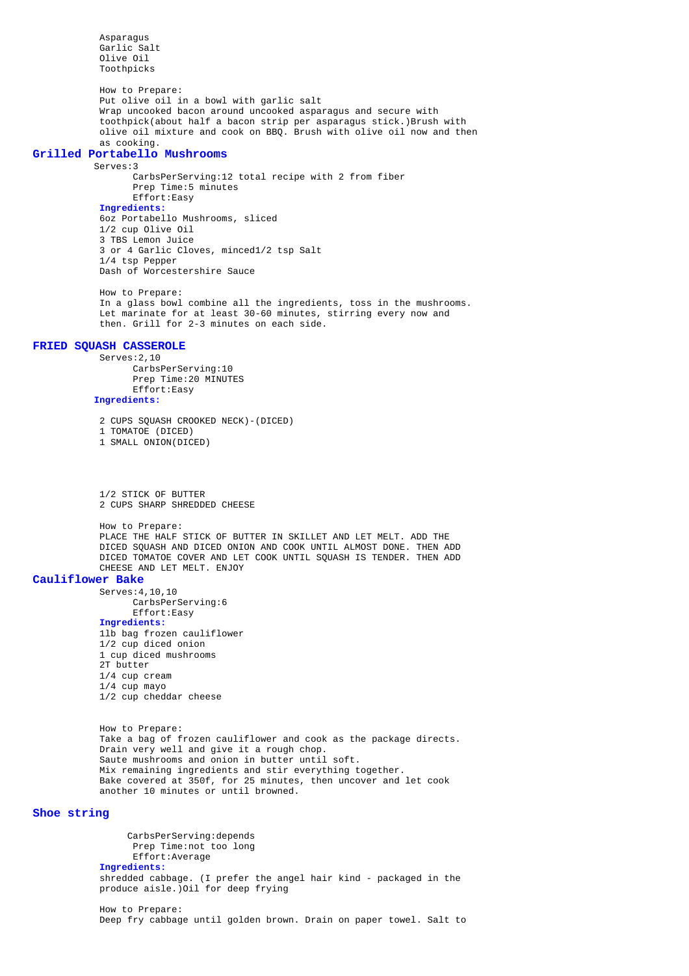```
 Asparagus 
             Garlic Salt 
             Olive Oil 
             Toothpicks 
             How to Prepare: 
             Put olive oil in a bowl with garlic salt 
             Wrap uncooked bacon around uncooked asparagus and secure with 
             toothpick(about half a bacon strip per asparagus stick.)Brush with 
             olive oil mixture and cook on BBQ. Brush with olive oil now and then 
             as cooking. 
Grilled Portabello Mushrooms 
            Serves:3 
                    CarbsPerServing:12 total recipe with 2 from fiber 
                    Prep Time:5 minutes 
                    Effort:Easy 
             Ingredients: 
             6oz Portabello Mushrooms, sliced 
             1/2 cup Olive Oil 
             3 TBS Lemon Juice 
             3 or 4 Garlic Cloves, minced1/2 tsp Salt 
             1/4 tsp Pepper 
             Dash of Worcestershire Sauce 
             How to Prepare: 
             In a glass bowl combine all the ingredients, toss in the mushrooms. 
            Let marinate for at least 30-60 minutes, stirring every now and
             then. Grill for 2-3 minutes on each side. 
FRIED SQUASH CASSEROLE 
             Serves:2,10 
                   CarbsPerServing:10 
                    Prep Time:20 MINUTES 
                    Effort:Easy 
            Ingredients: 
             2 CUPS SQUASH CROOKED NECK)-(DICED) 
             1 TOMATOE (DICED) 
             1 SMALL ONION(DICED) 
             1/2 STICK OF BUTTER 
             2 CUPS SHARP SHREDDED CHEESE 
             How to Prepare: 
             PLACE THE HALF STICK OF BUTTER IN SKILLET AND LET MELT. ADD THE 
             DICED SQUASH AND DICED ONION AND COOK UNTIL ALMOST DONE. THEN ADD 
             DICED TOMATOE COVER AND LET COOK UNTIL SQUASH IS TENDER. THEN ADD 
             CHEESE AND LET MELT. ENJOY 
Cauliflower Bake 
             Serves:4,10,10 
                   CarbsPerServing:6 
                   Effort:Easy 
             Ingredients: 
             1lb bag frozen cauliflower 
             1/2 cup diced onion 
             1 cup diced mushrooms 
             2T butter 
             1/4 cup cream 
             1/4 cup mayo 
             1/2 cup cheddar cheese 
             How to Prepare: 
             Take a bag of frozen cauliflower and cook as the package directs. 
             Drain very well and give it a rough chop. 
             Saute mushrooms and onion in butter until soft. 
             Mix remaining ingredients and stir everything together. 
             Bake covered at 350f, for 25 minutes, then uncover and let cook 
             another 10 minutes or until browned. 
Shoe string 
                   CarbsPerServing:depends 
                    Prep Time:not too long 
                    Effort:Average 
             Ingredients:
```
 shredded cabbage. (I prefer the angel hair kind - packaged in the produce aisle.)Oil for deep frying

 How to Prepare: Deep fry cabbage until golden brown. Drain on paper towel. Salt to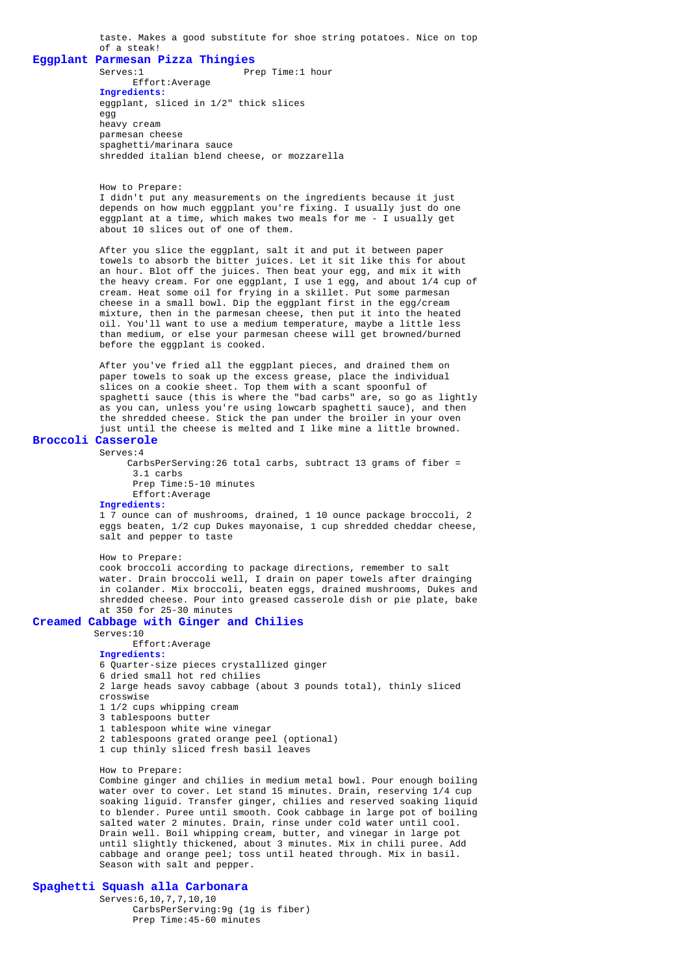```
 taste. Makes a good substitute for shoe string potatoes. Nice on top 
             of a steak! 
Eggplant Parmesan Pizza Thingies
                                       Prep Time:1 hour
                   Effort:Average 
             Ingredients: 
             eggplant, sliced in 1/2" thick slices 
             egg 
             heavy cream 
             parmesan cheese 
             spaghetti/marinara sauce 
             shredded italian blend cheese, or mozzarella 
             How to Prepare: 
             I didn't put any measurements on the ingredients because it just 
             depends on how much eggplant you're fixing. I usually just do one 
             eggplant at a time, which makes two meals for me - I usually get 
             about 10 slices out of one of them. 
             After you slice the eggplant, salt it and put it between paper 
             towels to absorb the bitter juices. Let it sit like this for about 
             an hour. Blot off the juices. Then beat your egg, and mix it with 
             the heavy cream. For one eggplant, I use 1 egg, and about 1/4 cup of 
             cream. Heat some oil for frying in a skillet. Put some parmesan 
             cheese in a small bowl. Dip the eggplant first in the egg/cream 
             mixture, then in the parmesan cheese, then put it into the heated 
             oil. You'll want to use a medium temperature, maybe a little less 
             than medium, or else your parmesan cheese will get browned/burned 
             before the eggplant is cooked. 
             After you've fried all the eggplant pieces, and drained them on 
             paper towels to soak up the excess grease, place the individual 
             slices on a cookie sheet. Top them with a scant spoonful of 
             spaghetti sauce (this is where the "bad carbs" are, so go as lightly 
             as you can, unless you're using lowcarb spaghetti sauce), and then 
             the shredded cheese. Stick the pan under the broiler in your oven 
             just until the cheese is melted and I like mine a little browned. 
Broccoli Casserole 
             Serves:4 
                  CarbsPerServing:26 total carbs, subtract 13 grams of fiber = 
                   3.1 carbs 
                   Prep Time:5-10 minutes 
                   Effort:Average 
             Ingredients: 
             1 7 ounce can of mushrooms, drained, 1 10 ounce package broccoli, 2 
             eggs beaten, 1/2 cup Dukes mayonaise, 1 cup shredded cheddar cheese, 
             salt and pepper to taste 
             How to Prepare: 
             cook broccoli according to package directions, remember to salt 
             water. Drain broccoli well, I drain on paper towels after drainging 
             in colander. Mix broccoli, beaten eggs, drained mushrooms, Dukes and 
             shredded cheese. Pour into greased casserole dish or pie plate, bake 
             at 350 for 25-30 minutes 
Creamed Cabbage with Ginger and Chilies 
            Serves:10 
                   Effort:Average 
             Ingredients: 
             6 Quarter-size pieces crystallized ginger 
             6 dried small hot red chilies 
             2 large heads savoy cabbage (about 3 pounds total), thinly sliced 
             crosswise 
             1 1/2 cups whipping cream 
             3 tablespoons butter 
             1 tablespoon white wine vinegar 
             2 tablespoons grated orange peel (optional) 
             1 cup thinly sliced fresh basil leaves 
             How to Prepare: 
             Combine ginger and chilies in medium metal bowl. Pour enough boiling 
            water over to cover. Let stand 15 minutes. Drain, reserving 1/4 cup
             soaking liguid. Transfer ginger, chilies and reserved soaking liquid 
             to blender. Puree until smooth. Cook cabbage in large pot of boiling 
             salted water 2 minutes. Drain, rinse under cold water until cool. 
             Drain well. Boil whipping cream, butter, and vinegar in large pot 
            until slightly thickened, about 3 minutes. Mix in chili puree. Add
             cabbage and orange peel; toss until heated through. Mix in basil. 
             Season with salt and pepper.
```
### **Spaghetti Squash alla Carbonara**

 Serves:6,10,7,7,10,10 CarbsPerServing:9g (1g is fiber) Prep Time:45-60 minutes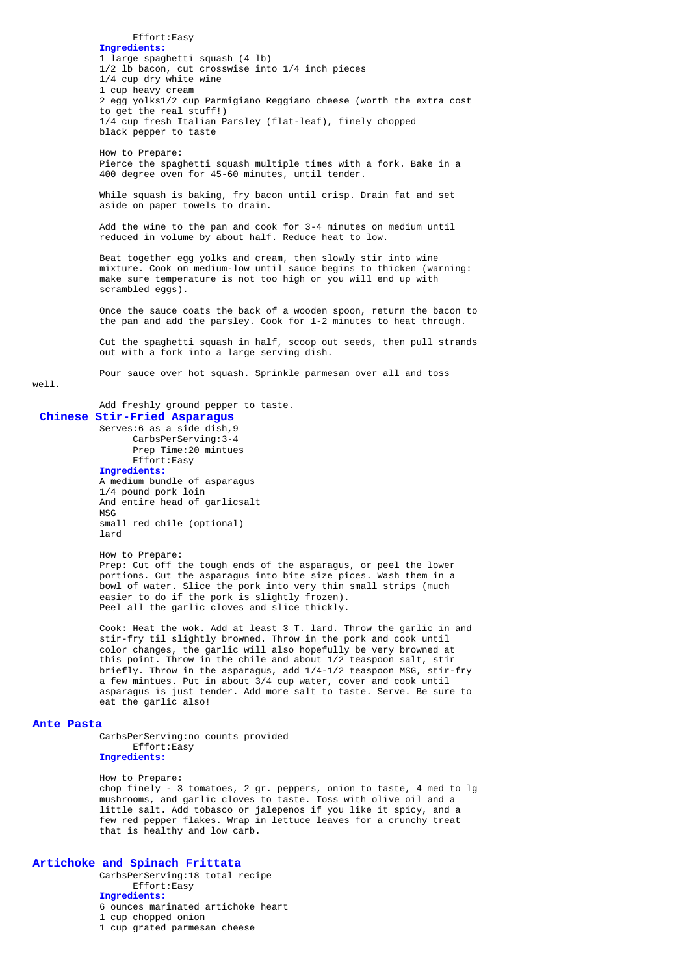Effort:Easy **Ingredients:**  1 large spaghetti squash (4 lb) 1/2 lb bacon, cut crosswise into 1/4 inch pieces 1/4 cup dry white wine 1 cup heavy cream 2 egg yolks1/2 cup Parmigiano Reggiano cheese (worth the extra cost to get the real stuff!) 1/4 cup fresh Italian Parsley (flat-leaf), finely chopped black pepper to taste How to Prepare: Pierce the spaghetti squash multiple times with a fork. Bake in a 400 degree oven for 45-60 minutes, until tender. While squash is baking, fry bacon until crisp. Drain fat and set aside on paper towels to drain. Add the wine to the pan and cook for 3-4 minutes on medium until reduced in volume by about half. Reduce heat to low. Beat together egg yolks and cream, then slowly stir into wine mixture. Cook on medium-low until sauce begins to thicken (warning: make sure temperature is not too high or you will end up with scrambled eggs). Once the sauce coats the back of a wooden spoon, return the bacon to the pan and add the parsley. Cook for 1-2 minutes to heat through. Cut the spaghetti squash in half, scoop out seeds, then pull strands out with a fork into a large serving dish. Pour sauce over hot squash. Sprinkle parmesan over all and toss well. Add freshly ground pepper to taste.  **Chinese Stir-Fried Asparagus**  Serves:6 as a side dish,9 CarbsPerServing:3-4 Prep Time:20 mintues Effort:Easy **Ingredients:**  A medium bundle of asparagus 1/4 pound pork loin And entire head of garlicsalt MSG small red chile (optional) lard How to Prepare: Prep: Cut off the tough ends of the asparagus, or peel the lower portions. Cut the asparagus into bite size pices. Wash them in a bowl of water. Slice the pork into very thin small strips (much easier to do if the pork is slightly frozen). Peel all the garlic cloves and slice thickly. Cook: Heat the wok. Add at least 3 T. lard. Throw the garlic in and stir-fry til slightly browned. Throw in the pork and cook until color changes, the garlic will also hopefully be very browned at this point. Throw in the chile and about 1/2 teaspoon salt, stir briefly. Throw in the asparagus, add 1/4-1/2 teaspoon MSG, stir-fry a few mintues. Put in about 3/4 cup water, cover and cook until asparagus is just tender. Add more salt to taste. Serve. Be sure to eat the garlic also! **Ante Pasta**  CarbsPerServing:no counts provided Effort:Easy  **Ingredients:**  How to Prepare:

> chop finely - 3 tomatoes, 2 gr. peppers, onion to taste, 4 med to lg mushrooms, and garlic cloves to taste. Toss with olive oil and a little salt. Add tobasco or jalepenos if you like it spicy, and a few red pepper flakes. Wrap in lettuce leaves for a crunchy treat that is healthy and low carb.

## **Artichoke and Spinach Frittata**

 CarbsPerServing:18 total recipe Effort:Easy **Ingredients:**  6 ounces marinated artichoke heart 1 cup chopped onion

1 cup grated parmesan cheese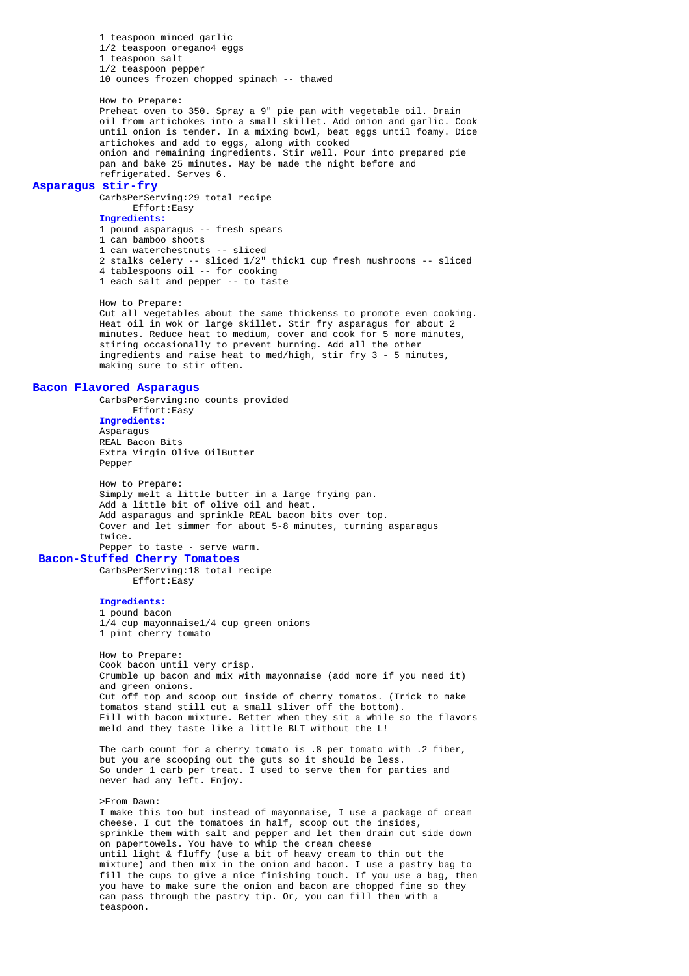```
 1 teaspoon minced garlic 
             1/2 teaspoon oregano4 eggs 
             1 teaspoon salt 
             1/2 teaspoon pepper 
             10 ounces frozen chopped spinach -- thawed 
             How to Prepare: 
             Preheat oven to 350. Spray a 9" pie pan with vegetable oil. Drain 
             oil from artichokes into a small skillet. Add onion and garlic. Cook 
             until onion is tender. In a mixing bowl, beat eggs until foamy. Dice 
             artichokes and add to eggs, along with cooked 
             onion and remaining ingredients. Stir well. Pour into prepared pie 
             pan and bake 25 minutes. May be made the night before and 
             refrigerated. Serves 6. 
Asparagus stir-fry 
             CarbsPerServing:29 total recipe 
                   Effort:Easy 
             Ingredients: 
             1 pound asparagus -- fresh spears 
             1 can bamboo shoots 
             1 can waterchestnuts -- sliced 
             2 stalks celery -- sliced 1/2" thick1 cup fresh mushrooms -- sliced 
             4 tablespoons oil -- for cooking 
             1 each salt and pepper -- to taste 
             How to Prepare: 
             Cut all vegetables about the same thickenss to promote even cooking. 
             Heat oil in wok or large skillet. Stir fry asparagus for about 2 
             minutes. Reduce heat to medium, cover and cook for 5 more minutes, 
             stiring occasionally to prevent burning. Add all the other 
             ingredients and raise heat to med/high, stir fry 3 - 5 minutes, 
             making sure to stir often. 
Bacon Flavored Asparagus 
             CarbsPerServing:no counts provided 
                   Effort:Easy 
             Ingredients: 
             Asparagus 
             REAL Bacon Bits 
             Extra Virgin Olive OilButter 
             Pepper 
             How to Prepare: 
             Simply melt a little butter in a large frying pan. 
             Add a little bit of olive oil and heat. 
             Add asparagus and sprinkle REAL bacon bits over top. 
             Cover and let simmer for about 5-8 minutes, turning asparagus 
             twice. 
             Pepper to taste - serve warm. 
 Bacon-Stuffed Cherry Tomatoes 
             CarbsPerServing:18 total recipe 
                   Effort:Easy 
             Ingredients: 
             1 pound bacon 
             1/4 cup mayonnaise1/4 cup green onions 
             1 pint cherry tomato 
             How to Prepare: 
             Cook bacon until very crisp. 
             Crumble up bacon and mix with mayonnaise (add more if you need it) 
             and green onions. 
             Cut off top and scoop out inside of cherry tomatos. (Trick to make 
             tomatos stand still cut a small sliver off the bottom). 
             Fill with bacon mixture. Better when they sit a while so the flavors 
             meld and they taste like a little BLT without the L! 
             The carb count for a cherry tomato is .8 per tomato with .2 fiber, 
             but you are scooping out the guts so it should be less. 
             So under 1 carb per treat. I used to serve them for parties and 
             never had any left. Enjoy. 
             >From Dawn: 
             I make this too but instead of mayonnaise, I use a package of cream 
             cheese. I cut the tomatoes in half, scoop out the insides, 
             sprinkle them with salt and pepper and let them drain cut side down 
             on papertowels. You have to whip the cream cheese 
             until light & fluffy (use a bit of heavy cream to thin out the 
             mixture) and then mix in the onion and bacon. I use a pastry bag to 
             fill the cups to give a nice finishing touch. If you use a bag, then 
             you have to make sure the onion and bacon are chopped fine so they 
             can pass through the pastry tip. Or, you can fill them with a 
             teaspoon.
```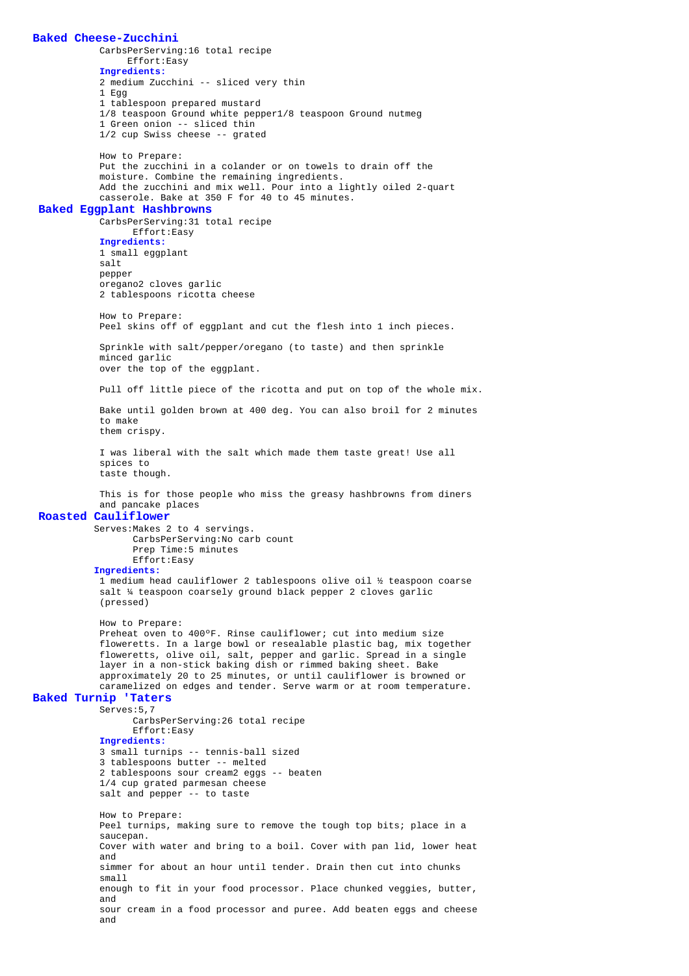**Baked Cheese-Zucchini**  CarbsPerServing:16 total recipe Effort:Easy  **Ingredients:**  2 medium Zucchini -- sliced very thin 1 Egg 1 tablespoon prepared mustard 1/8 teaspoon Ground white pepper1/8 teaspoon Ground nutmeg 1 Green onion -- sliced thin 1/2 cup Swiss cheese -- grated How to Prepare: Put the zucchini in a colander or on towels to drain off the moisture. Combine the remaining ingredients. Add the zucchini and mix well. Pour into a lightly oiled 2-quart casserole. Bake at 350 F for 40 to 45 minutes. **Baked Eggplant Hashbrowns**  CarbsPerServing:31 total recipe Effort:Easy  **Ingredients:** 1 small eggplant salt pepper oregano2 cloves garlic 2 tablespoons ricotta cheese How to Prepare: Peel skins off of eggplant and cut the flesh into 1 inch pieces. Sprinkle with salt/pepper/oregano (to taste) and then sprinkle minced garlic over the top of the eggplant. Pull off little piece of the ricotta and put on top of the whole mix. Bake until golden brown at 400 deg. You can also broil for 2 minutes to make them crispy. I was liberal with the salt which made them taste great! Use all spices to taste though. This is for those people who miss the greasy hashbrowns from diners and pancake places **Roasted Cauliflower**  Serves:Makes 2 to 4 servings. CarbsPerServing:No carb count Prep Time:5 minutes Effort:Easy **Ingredients:**  1 medium head cauliflower 2 tablespoons olive oil ½ teaspoon coarse salt ¼ teaspoon coarsely ground black pepper 2 cloves garlic (pressed) How to Prepare: Preheat oven to 400ºF. Rinse cauliflower; cut into medium size floweretts. In a large bowl or resealable plastic bag, mix together floweretts, olive oil, salt, pepper and garlic. Spread in a single layer in a non-stick baking dish or rimmed baking sheet. Bake approximately 20 to 25 minutes, or until cauliflower is browned or caramelized on edges and tender. Serve warm or at room temperature. **Baked Turnip 'Taters** Serves:5,7 CarbsPerServing:26 total recipe Effort:Easy  **Ingredients:**  3 small turnips -- tennis-ball sized 3 tablespoons butter -- melted 2 tablespoons sour cream2 eggs -- beaten 1/4 cup grated parmesan cheese salt and pepper -- to taste How to Prepare: Peel turnips, making sure to remove the tough top bits; place in a saucepan. Cover with water and bring to a boil. Cover with pan lid, lower heat and simmer for about an hour until tender. Drain then cut into chunks small enough to fit in your food processor. Place chunked veggies, butter, and sour cream in a food processor and puree. Add beaten eggs and cheese and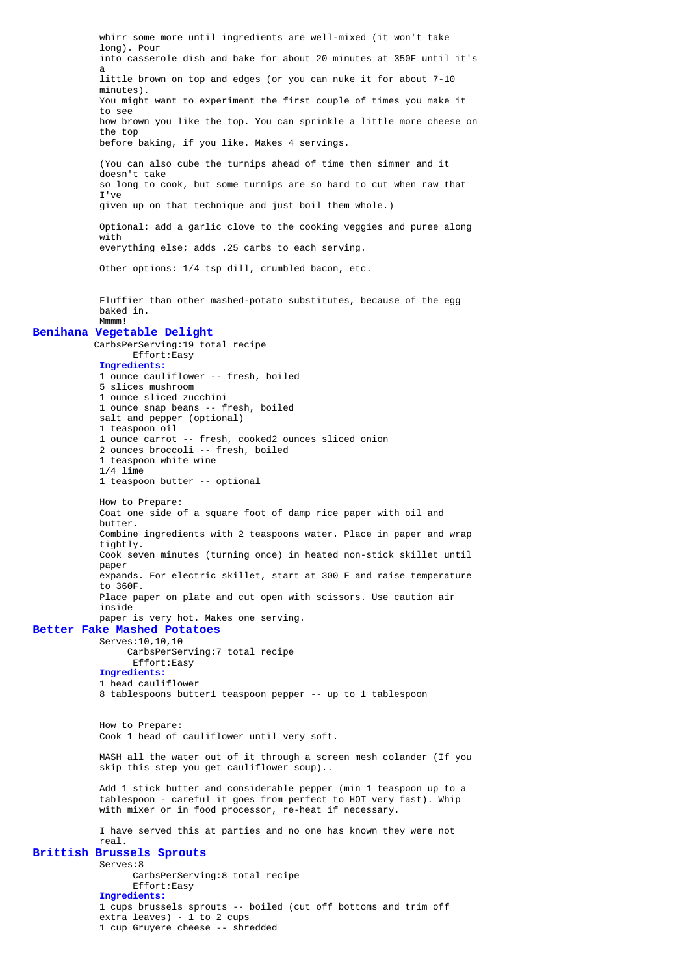whirr some more until ingredients are well-mixed (it won't take long). Pour into casserole dish and bake for about 20 minutes at 350F until it's a little brown on top and edges (or you can nuke it for about 7-10 minutes). You might want to experiment the first couple of times you make it to see how brown you like the top. You can sprinkle a little more cheese on the top before baking, if you like. Makes 4 servings. (You can also cube the turnips ahead of time then simmer and it doesn't take so long to cook, but some turnips are so hard to cut when raw that I've given up on that technique and just boil them whole.) Optional: add a garlic clove to the cooking veggies and puree along with everything else; adds .25 carbs to each serving. Other options: 1/4 tsp dill, crumbled bacon, etc. Fluffier than other mashed-potato substitutes, because of the egg baked in. Mmmm! **Benihana Vegetable Delight**  CarbsPerServing:19 total recipe Effort:Easy  **Ingredients:**  1 ounce cauliflower -- fresh, boiled 5 slices mushroom 1 ounce sliced zucchini 1 ounce snap beans -- fresh, boiled salt and pepper (optional) 1 teaspoon oil 1 ounce carrot -- fresh, cooked2 ounces sliced onion 2 ounces broccoli -- fresh, boiled 1 teaspoon white wine 1/4 lime 1 teaspoon butter -- optional How to Prepare: Coat one side of a square foot of damp rice paper with oil and butter. Combine ingredients with 2 teaspoons water. Place in paper and wrap tightly. Cook seven minutes (turning once) in heated non-stick skillet until paper expands. For electric skillet, start at 300 F and raise temperature to 360F. Place paper on plate and cut open with scissors. Use caution air inside paper is very hot. Makes one serving. **Better Fake Mashed Potatoes**  Serves:10,10,10 CarbsPerServing:7 total recipe Effort:Easy  **Ingredients:**  1 head cauliflower 8 tablespoons butter1 teaspoon pepper -- up to 1 tablespoon How to Prepare: Cook 1 head of cauliflower until very soft. MASH all the water out of it through a screen mesh colander (If you skip this step you get cauliflower soup).. Add 1 stick butter and considerable pepper (min 1 teaspoon up to a tablespoon - careful it goes from perfect to HOT very fast). Whip with mixer or in food processor, re-heat if necessary. I have served this at parties and no one has known they were not real. **Brittish Brussels Sprouts**  Serves:8 CarbsPerServing:8 total recipe Effort:Easy  **Ingredients:**  1 cups brussels sprouts -- boiled (cut off bottoms and trim off extra leaves) - 1 to 2 cups 1 cup Gruyere cheese -- shredded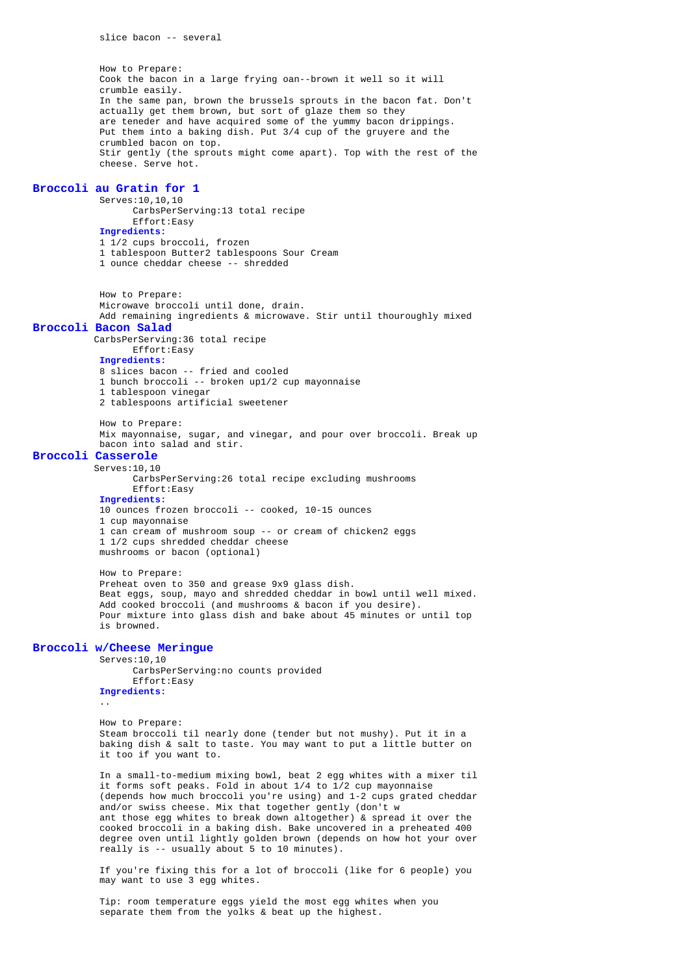How to Prepare: Cook the bacon in a large frying oan--brown it well so it will crumble easily. In the same pan, brown the brussels sprouts in the bacon fat. Don't actually get them brown, but sort of glaze them so they are teneder and have acquired some of the yummy bacon drippings. Put them into a baking dish. Put 3/4 cup of the gruyere and the crumbled bacon on top. Stir gently (the sprouts might come apart). Top with the rest of the cheese. Serve hot.

# **Broccoli au Gratin for 1**

How to Prepare:

 Serves:10,10,10 CarbsPerServing:13 total recipe Effort:Easy  **Ingredients:**  1 1/2 cups broccoli, frozen 1 tablespoon Butter2 tablespoons Sour Cream

1 ounce cheddar cheese -- shredded

 Microwave broccoli until done, drain. Add remaining ingredients & microwave. Stir until thouroughly mixed **Broccoli Bacon Salad**  CarbsPerServing:36 total recipe Effort:Easy **Ingredients:**  8 slices bacon -- fried and cooled 1 bunch broccoli -- broken up1/2 cup mayonnaise 1 tablespoon vinegar 2 tablespoons artificial sweetener How to Prepare: Mix mayonnaise, sugar, and vinegar, and pour over broccoli. Break up bacon into salad and stir.

# **Broccoli Casserole**

 Serves:10,10 CarbsPerServing:26 total recipe excluding mushrooms Effort:Easy  **Ingredients:**  10 ounces frozen broccoli -- cooked, 10-15 ounces 1 cup mayonnaise 1 can cream of mushroom soup -- or cream of chicken2 eggs 1 1/2 cups shredded cheddar cheese mushrooms or bacon (optional)

 How to Prepare: Preheat oven to 350 and grease 9x9 glass dish. Beat eggs, soup, mayo and shredded cheddar in bowl until well mixed. Add cooked broccoli (and mushrooms & bacon if you desire). Pour mixture into glass dish and bake about 45 minutes or until top is browned.

#### **Broccoli w/Cheese Meringue**

Serves:10,10

..

```
 CarbsPerServing:no counts provided 
       Effort:Easy 
 Ingredients:
```
 How to Prepare: Steam broccoli til nearly done (tender but not mushy). Put it in a baking dish & salt to taste. You may want to put a little butter on it too if you want to.

 In a small-to-medium mixing bowl, beat 2 egg whites with a mixer til it forms soft peaks. Fold in about 1/4 to 1/2 cup mayonnaise (depends how much broccoli you're using) and 1-2 cups grated cheddar and/or swiss cheese. Mix that together gently (don't w ant those egg whites to break down altogether) & spread it over the cooked broccoli in a baking dish. Bake uncovered in a preheated 400 degree oven until lightly golden brown (depends on how hot your over really is -- usually about 5 to 10 minutes).

 If you're fixing this for a lot of broccoli (like for 6 people) you may want to use 3 egg whites.

 Tip: room temperature eggs yield the most egg whites when you separate them from the yolks & beat up the highest.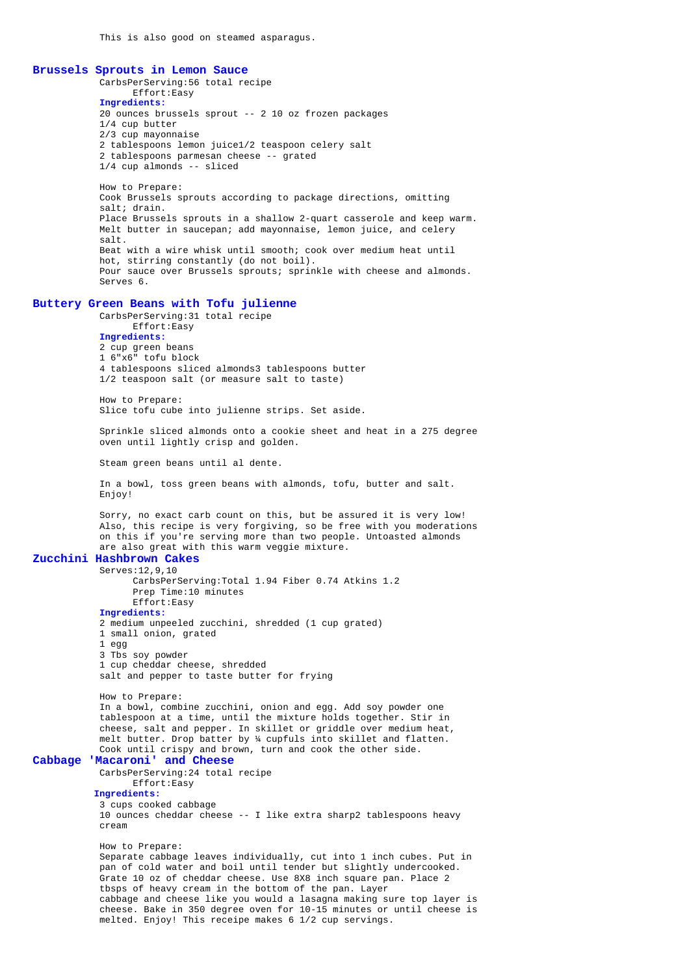**Brussels Sprouts in Lemon Sauce**  CarbsPerServing:56 total recipe Effort:Easy **Ingredients:**  20 ounces brussels sprout -- 2 10 oz frozen packages 1/4 cup butter 2/3 cup mayonnaise 2 tablespoons lemon juice1/2 teaspoon celery salt 2 tablespoons parmesan cheese -- grated 1/4 cup almonds -- sliced How to Prepare: Cook Brussels sprouts according to package directions, omitting salt; drain. Place Brussels sprouts in a shallow 2-quart casserole and keep warm. Melt butter in saucepan; add mayonnaise, lemon juice, and celery salt. Beat with a wire whisk until smooth; cook over medium heat until hot, stirring constantly (do not boil). Pour sauce over Brussels sprouts; sprinkle with cheese and almonds. Serves 6. **Buttery Green Beans with Tofu julienne**  CarbsPerServing:31 total recipe Effort:Easy **Ingredients:**  2 cup green beans 1 6"x6" tofu block 4 tablespoons sliced almonds3 tablespoons butter 1/2 teaspoon salt (or measure salt to taste) How to Prepare: Slice tofu cube into julienne strips. Set aside. Sprinkle sliced almonds onto a cookie sheet and heat in a 275 degree oven until lightly crisp and golden. Steam green beans until al dente. In a bowl, toss green beans with almonds, tofu, butter and salt. Enjoy! Sorry, no exact carb count on this, but be assured it is very low! Also, this recipe is very forgiving, so be free with you moderations on this if you're serving more than two people. Untoasted almonds are also great with this warm veggie mixture. **Zucchini Hashbrown Cakes**  Serves:12,9,10 CarbsPerServing:Total 1.94 Fiber 0.74 Atkins 1.2 Prep Time:10 minutes Effort:Easy  **Ingredients:**  2 medium unpeeled zucchini, shredded (1 cup grated) 1 small onion, grated  $1 - e$ gg 3 Tbs soy powder 1 cup cheddar cheese, shredded salt and pepper to taste butter for frying How to Prepare: In a bowl, combine zucchini, onion and egg. Add soy powder one tablespoon at a time, until the mixture holds together. Stir in cheese, salt and pepper. In skillet or griddle over medium heat, melt butter. Drop batter by ¼ cupfuls into skillet and flatten. Cook until crispy and brown, turn and cook the other side. **Cabbage 'Macaroni' and Cheese**  CarbsPerServing:24 total recipe Effort:Easy **Ingredients:**  3 cups cooked cabbage 10 ounces cheddar cheese -- I like extra sharp2 tablespoons heavy cream How to Prepare: Separate cabbage leaves individually, cut into 1 inch cubes. Put in pan of cold water and boil until tender but slightly undercooked. Grate 10 oz of cheddar cheese. Use 8X8 inch square pan. Place 2 tbsps of heavy cream in the bottom of the pan. Layer cabbage and cheese like you would a lasagna making sure top layer is cheese. Bake in 350 degree oven for 10-15 minutes or until cheese is melted. Enjoy! This receipe makes 6 1/2 cup servings.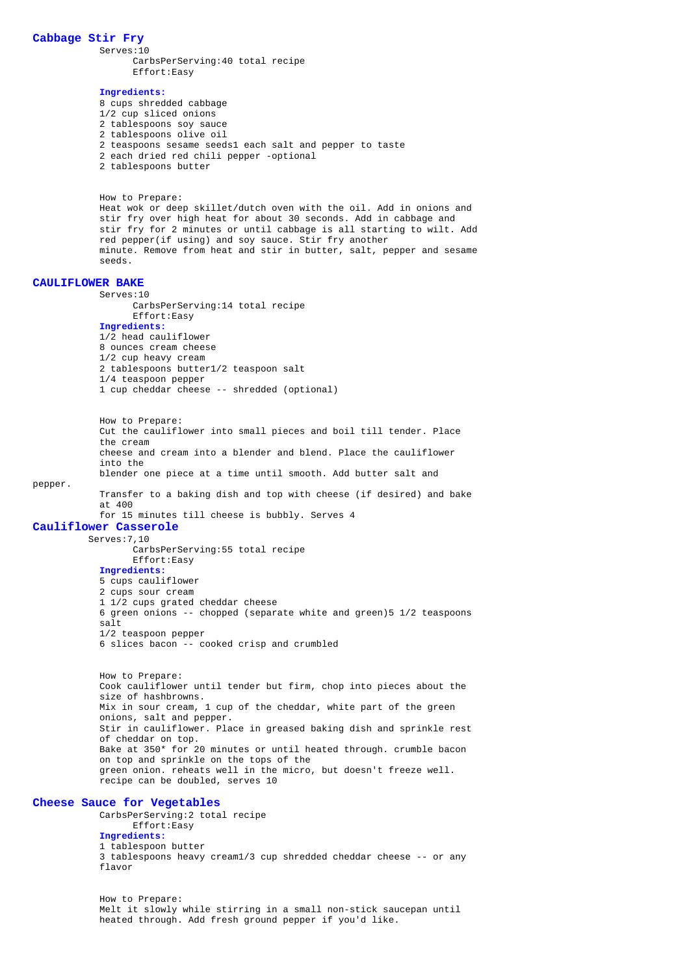Serves:10 CarbsPerServing:40 total recipe Effort:Easy  **Ingredients:**  8 cups shredded cabbage 1/2 cup sliced onions 2 tablespoons soy sauce 2 tablespoons olive oil 2 teaspoons sesame seeds1 each salt and pepper to taste 2 each dried red chili pepper -optional 2 tablespoons butter How to Prepare: Heat wok or deep skillet/dutch oven with the oil. Add in onions and stir fry over high heat for about 30 seconds. Add in cabbage and stir fry for 2 minutes or until cabbage is all starting to wilt. Add red pepper(if using) and soy sauce. Stir fry another minute. Remove from heat and stir in butter, salt, pepper and sesame seeds. **CAULIFLOWER BAKE**  Serves:10 CarbsPerServing:14 total recipe Effort:Easy **Ingredients:**  1/2 head cauliflower 8 ounces cream cheese 1/2 cup heavy cream 2 tablespoons butter1/2 teaspoon salt 1/4 teaspoon pepper 1 cup cheddar cheese -- shredded (optional) How to Prepare: Cut the cauliflower into small pieces and boil till tender. Place the cream cheese and cream into a blender and blend. Place the cauliflower into the blender one piece at a time until smooth. Add butter salt and pepper. Transfer to a baking dish and top with cheese (if desired) and bake  $at 400$  for 15 minutes till cheese is bubbly. Serves 4 **Cauliflower Casserole**  Serves:7,10 CarbsPerServing:55 total recipe Effort:Easy **Ingredients:**  5 cups cauliflower 2 cups sour cream 1 1/2 cups grated cheddar cheese 6 green onions -- chopped (separate white and green)5 1/2 teaspoons salt 1/2 teaspoon pepper 6 slices bacon -- cooked crisp and crumbled How to Prepare: Cook cauliflower until tender but firm, chop into pieces about the size of hashbrowns. Mix in sour cream, 1 cup of the cheddar, white part of the green onions, salt and pepper. Stir in cauliflower. Place in greased baking dish and sprinkle rest of cheddar on top. Bake at 350\* for 20 minutes or until heated through. crumble bacon on top and sprinkle on the tops of the green onion. reheats well in the micro, but doesn't freeze well. recipe can be doubled, serves 10 **Cheese Sauce for Vegetables**  CarbsPerServing:2 total recipe Effort:Easy  **Ingredients:** 1 tablespoon butter 3 tablespoons heavy cream1/3 cup shredded cheddar cheese -- or any flavor How to Prepare:

**Cabbage Stir Fry** 

 Melt it slowly while stirring in a small non-stick saucepan until heated through. Add fresh ground pepper if you'd like.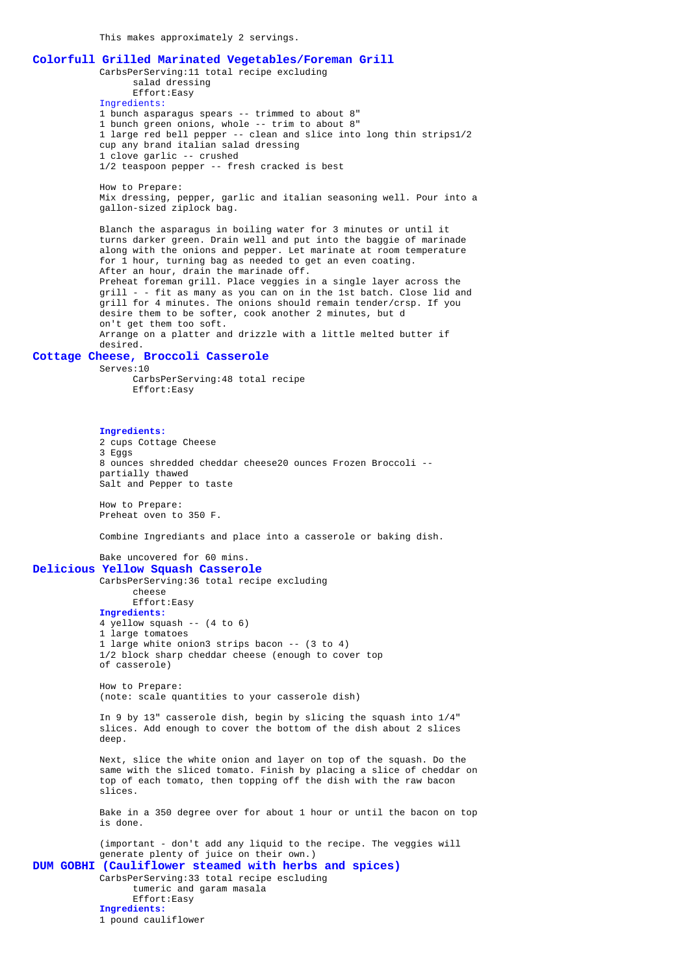# This makes approximately 2 servings. **Colorfull Grilled Marinated Vegetables/Foreman Grill**  CarbsPerServing:11 total recipe excluding salad dressing Effort:Easy Ingredients: 1 bunch asparagus spears -- trimmed to about 8" 1 bunch green onions, whole -- trim to about 8" 1 large red bell pepper -- clean and slice into long thin strips1/2 cup any brand italian salad dressing 1 clove garlic -- crushed 1/2 teaspoon pepper -- fresh cracked is best How to Prepare: Mix dressing, pepper, garlic and italian seasoning well. Pour into a gallon-sized ziplock bag. Blanch the asparagus in boiling water for 3 minutes or until it turns darker green. Drain well and put into the baggie of marinade along with the onions and pepper. Let marinate at room temperature for 1 hour, turning bag as needed to get an even coating. After an hour, drain the marinade off. Preheat foreman grill. Place veggies in a single layer across the grill - - fit as many as you can on in the 1st batch. Close lid and grill for 4 minutes. The onions should remain tender/crsp. If you desire them to be softer, cook another 2 minutes, but d on't get them too soft. Arrange on a platter and drizzle with a little melted butter if desired. **Cottage Cheese, Broccoli Casserole**  Serves:10 CarbsPerServing:48 total recipe Effort:Easy  **Ingredients:**  2 cups Cottage Cheese 3 Eggs 8 ounces shredded cheddar cheese20 ounces Frozen Broccoli - partially thawed Salt and Pepper to taste How to Prepare: Preheat oven to 350 F. Combine Ingrediants and place into a casserole or baking dish. Bake uncovered for 60 mins. **Delicious Yellow Squash Casserole**  CarbsPerServing:36 total recipe excluding cheese Effort:Easy **Ingredients:**  4 yellow squash -- (4 to 6) 1 large tomatoes 1 large white onion3 strips bacon -- (3 to 4) 1/2 block sharp cheddar cheese (enough to cover top of casserole) How to Prepare: (note: scale quantities to your casserole dish) In 9 by 13" casserole dish, begin by slicing the squash into 1/4" slices. Add enough to cover the bottom of the dish about 2 slices deep.

 Next, slice the white onion and layer on top of the squash. Do the same with the sliced tomato. Finish by placing a slice of cheddar on top of each tomato, then topping off the dish with the raw bacon slices.

 Bake in a 350 degree over for about 1 hour or until the bacon on top is done.

 (important - don't add any liquid to the recipe. The veggies will generate plenty of juice on their own.)

**DUM GOBHI (Cauliflower steamed with herbs and spices)**  CarbsPerServing:33 total recipe escluding tumeric and garam masala Effort:Easy  **Ingredients:** 1 pound cauliflower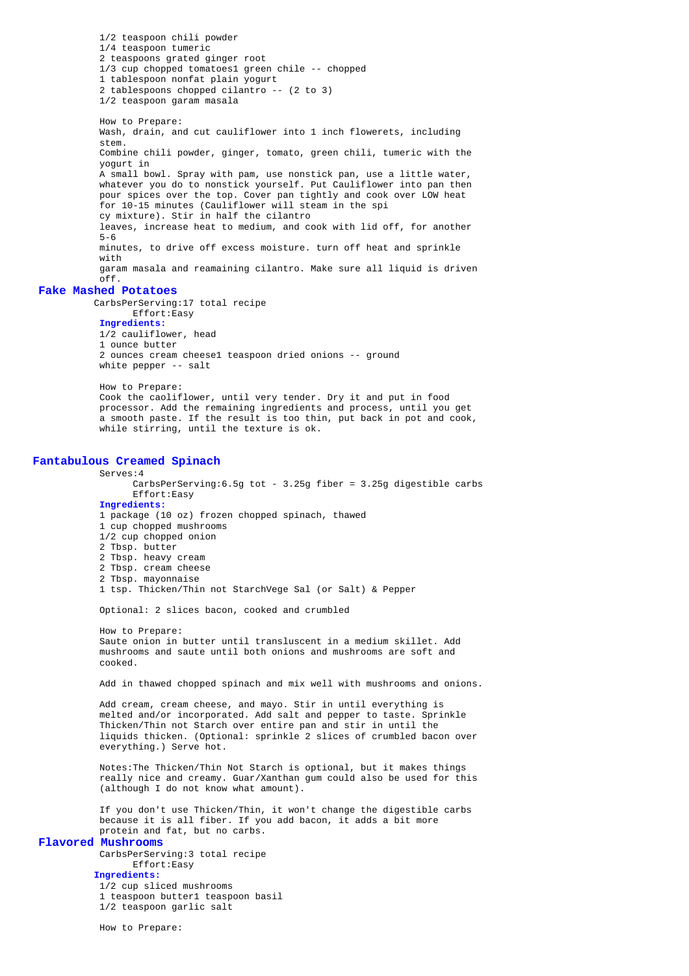1/2 teaspoon chili powder 1/4 teaspoon tumeric 2 teaspoons grated ginger root 1/3 cup chopped tomatoes1 green chile -- chopped 1 tablespoon nonfat plain yogurt 2 tablespoons chopped cilantro -- (2 to 3) 1/2 teaspoon garam masala How to Prepare: Wash, drain, and cut cauliflower into 1 inch flowerets, including stem. Combine chili powder, ginger, tomato, green chili, tumeric with the yogurt in A small bowl. Spray with pam, use nonstick pan, use a little water, whatever you do to nonstick yourself. Put Cauliflower into pan then pour spices over the top. Cover pan tightly and cook over LOW heat for 10-15 minutes (Cauliflower will steam in the spi cy mixture). Stir in half the cilantro leaves, increase heat to medium, and cook with lid off, for another  $5 - 6$  minutes, to drive off excess moisture. turn off heat and sprinkle with garam masala and reamaining cilantro. Make sure all liquid is driven off. **Fake Mashed Potatoes**  CarbsPerServing:17 total recipe Effort:Easy  **Ingredients:**  1/2 cauliflower, head 1 ounce butter 2 ounces cream cheese1 teaspoon dried onions -- ground white pepper -- salt How to Prepare: Cook the caoliflower, until very tender. Dry it and put in food processor. Add the remaining ingredients and process, until you get a smooth paste. If the result is too thin, put back in pot and cook, while stirring, until the texture is ok. **Fantabulous Creamed Spinach**  Serves:4 CarbsPerServing:6.5g tot - 3.25g fiber = 3.25g digestible carbs Effort:Easy  **Ingredients:**  1 package (10 oz) frozen chopped spinach, thawed 1 cup chopped mushrooms 1/2 cup chopped onion 2 Tbsp. butter 2 Tbsp. heavy cream 2 Tbsp. cream cheese 2 Tbsp. mayonnaise 1 tsp. Thicken/Thin not StarchVege Sal (or Salt) & Pepper Optional: 2 slices bacon, cooked and crumbled How to Prepare: Saute onion in butter until transluscent in a medium skillet. Add mushrooms and saute until both onions and mushrooms are soft and cooked. Add in thawed chopped spinach and mix well with mushrooms and onions. Add cream, cream cheese, and mayo. Stir in until everything is melted and/or incorporated. Add salt and pepper to taste. Sprinkle Thicken/Thin not Starch over entire pan and stir in until the liquids thicken. (Optional: sprinkle 2 slices of crumbled bacon over everything.) Serve hot. Notes:The Thicken/Thin Not Starch is optional, but it makes things really nice and creamy. Guar/Xanthan gum could also be used for this (although I do not know what amount). If you don't use Thicken/Thin, it won't change the digestible carbs because it is all fiber. If you add bacon, it adds a bit more protein and fat, but no carbs. **Flavored Mushrooms**  CarbsPerServing:3 total recipe Effort:Easy  **Ingredients:**  1/2 cup sliced mushrooms

> 1 teaspoon butter1 teaspoon basil 1/2 teaspoon garlic salt

How to Prepare: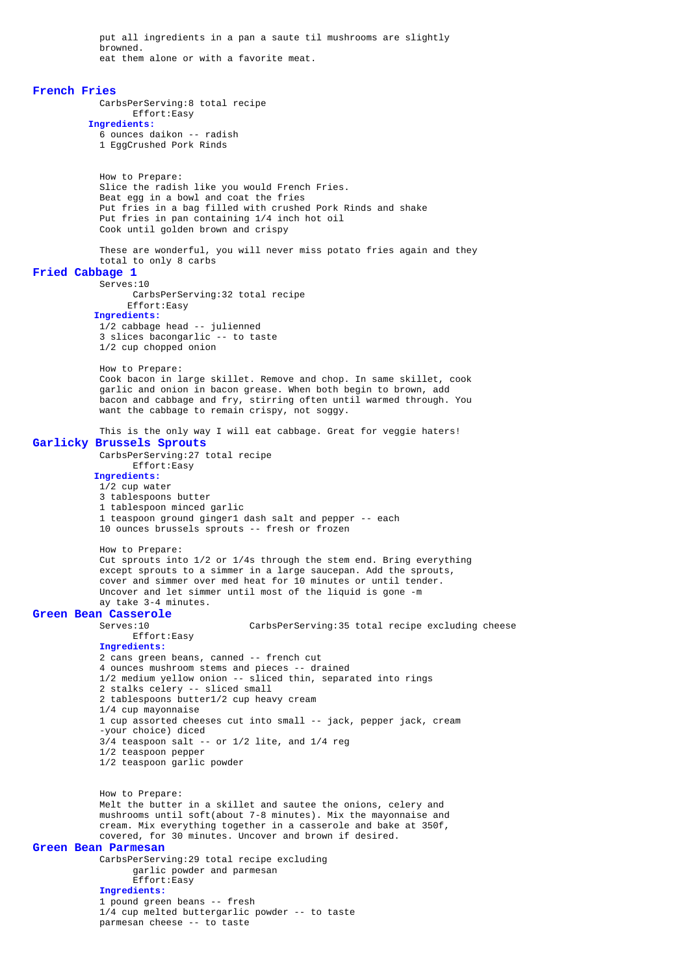put all ingredients in a pan a saute til mushrooms are slightly browned. eat them alone or with a favorite meat.

```
French Fries 
             CarbsPerServing:8 total recipe 
                   Effort:Easy 
           Ingredients: 
             6 ounces daikon -- radish 
             1 EggCrushed Pork Rinds 
             How to Prepare: 
             Slice the radish like you would French Fries. 
             Beat egg in a bowl and coat the fries 
             Put fries in a bag filled with crushed Pork Rinds and shake 
             Put fries in pan containing 1/4 inch hot oil 
             Cook until golden brown and crispy 
             These are wonderful, you will never miss potato fries again and they 
             total to only 8 carbs 
Fried Cabbage 1 
             Serves:10 
                   CarbsPerServing:32 total recipe 
                  Effort:Easy 
            Ingredients: 
             1/2 cabbage head -- julienned 
             3 slices bacongarlic -- to taste 
             1/2 cup chopped onion 
             How to Prepare: 
             Cook bacon in large skillet. Remove and chop. In same skillet, cook 
             garlic and onion in bacon grease. When both begin to brown, add 
             bacon and cabbage and fry, stirring often until warmed through. You 
             want the cabbage to remain crispy, not soggy. 
             This is the only way I will eat cabbage. Great for veggie haters! 
Garlicky Brussels Sprouts 
             CarbsPerServing:27 total recipe 
                   Effort:Easy 
            Ingredients: 
             1/2 cup water 
             3 tablespoons butter 
             1 tablespoon minced garlic 
             1 teaspoon ground ginger1 dash salt and pepper -- each 
             10 ounces brussels sprouts -- fresh or frozen 
             How to Prepare: 
             Cut sprouts into 1/2 or 1/4s through the stem end. Bring everything 
             except sprouts to a simmer in a large saucepan. Add the sprouts, 
             cover and simmer over med heat for 10 minutes or until tender. 
             Uncover and let simmer until most of the liquid is gone -m 
             ay take 3-4 minutes. 
Green Bean Casserole 
                                        CarbsPerServing:35 total recipe excluding cheese
                   Effort:Easy 
             Ingredients: 
             2 cans green beans, canned -- french cut 
             4 ounces mushroom stems and pieces -- drained 
             1/2 medium yellow onion -- sliced thin, separated into rings 
             2 stalks celery -- sliced small 
             2 tablespoons butter1/2 cup heavy cream 
             1/4 cup mayonnaise 
             1 cup assorted cheeses cut into small -- jack, pepper jack, cream 
             -your choice) diced 
            3/4 teaspoon salt -- or 1/2 lite, and 1/4 reg
             1/2 teaspoon pepper 
             1/2 teaspoon garlic powder 
             How to Prepare: 
             Melt the butter in a skillet and sautee the onions, celery and 
             mushrooms until soft(about 7-8 minutes). Mix the mayonnaise and 
             cream. Mix everything together in a casserole and bake at 350f, 
             covered, for 30 minutes. Uncover and brown if desired. 
Green Bean Parmesan 
             CarbsPerServing:29 total recipe excluding 
                   garlic powder and parmesan
```
Effort:Easy

1 pound green beans -- fresh

parmesan cheese -- to taste

1/4 cup melted buttergarlic powder -- to taste

 **Ingredients:**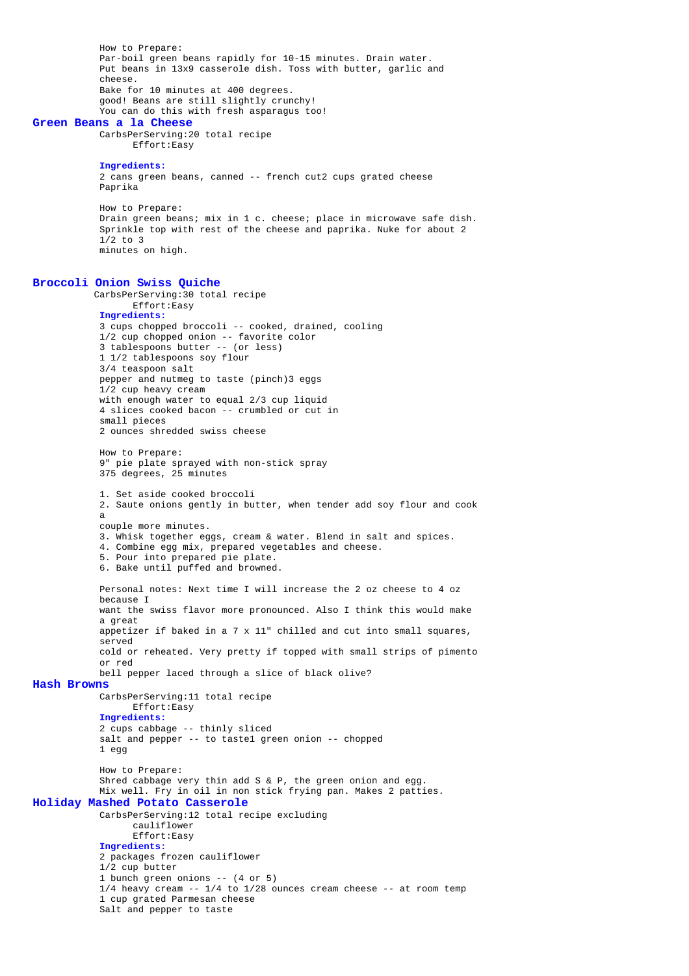```
 How to Prepare: 
              Par-boil green beans rapidly for 10-15 minutes. Drain water. 
              Put beans in 13x9 casserole dish. Toss with butter, garlic and 
              cheese. 
              Bake for 10 minutes at 400 degrees. 
             good! Beans are still slightly crunchy! 
              You can do this with fresh asparagus too! 
Green Beans a la Cheese 
             CarbsPerServing:20 total recipe 
                    Effort:Easy 
              Ingredients: 
              2 cans green beans, canned -- french cut2 cups grated cheese 
             Paprika 
             How to Prepare: 
             Drain green beans; mix in 1 c. cheese; place in microwave safe dish. 
              Sprinkle top with rest of the cheese and paprika. Nuke for about 2 
            1/2 to 3
             minutes on high. 
Broccoli Onion Swiss Quiche 
            CarbsPerServing:30 total recipe 
                    Effort:Easy 
             Ingredients: 
 3 cups chopped broccoli -- cooked, drained, cooling 
 1/2 cup chopped onion -- favorite color 
             3 tablespoons butter -- (or less) 
              1 1/2 tablespoons soy flour 
             3/4 teaspoon salt 
             pepper and nutmeg to taste (pinch)3 eggs 
              1/2 cup heavy cream 
             with enough water to equal 2/3 cup liquid 
              4 slices cooked bacon -- crumbled or cut in 
             small pieces 
             2 ounces shredded swiss cheese 
             How to Prepare: 
             9" pie plate sprayed with non-stick spray 
             375 degrees, 25 minutes 
              1. Set aside cooked broccoli 
             2. Saute onions gently in butter, when tender add soy flour and cook 
a a shekarar a tsa a shekarar a tsa a tsa a tsa a tsa a tsa a tsa a tsa a tsa a tsa a tsa a tsa a tsa a tsa a<br>Tagairta
              couple more minutes. 
              3. Whisk together eggs, cream & water. Blend in salt and spices. 
              4. Combine egg mix, prepared vegetables and cheese. 
              5. Pour into prepared pie plate. 
             6. Bake until puffed and browned. 
             Personal notes: Next time I will increase the 2 oz cheese to 4 oz 
             because I 
             want the swiss flavor more pronounced. Also I think this would make 
              a great 
             appetizer if baked in a 7 x 11" chilled and cut into small squares, 
             served 
             cold or reheated. Very pretty if topped with small strips of pimento 
             or red 
             bell pepper laced through a slice of black olive? 
Hash Browns 
             CarbsPerServing:11 total recipe 
                    Effort:Easy 
             Ingredients: 
              2 cups cabbage -- thinly sliced 
              salt and pepper -- to taste1 green onion -- chopped 
             1 egg 
             How to Prepare: 
              Shred cabbage very thin add S & P, the green onion and egg. 
            Mix well. Fry in oil in non stick frying pan. Makes 2 patties.
Holiday Mashed Potato Casserole
             CarbsPerServing:12 total recipe excluding 
                    cauliflower 
                    Effort:Easy 
              Ingredients: 
              2 packages frozen cauliflower 
              1/2 cup butter 
              1 bunch green onions -- (4 or 5) 
            1/4 heavy cream - 1/4 to 1/28 ounces cream cheese - at room temp
              1 cup grated Parmesan cheese 
              Salt and pepper to taste
```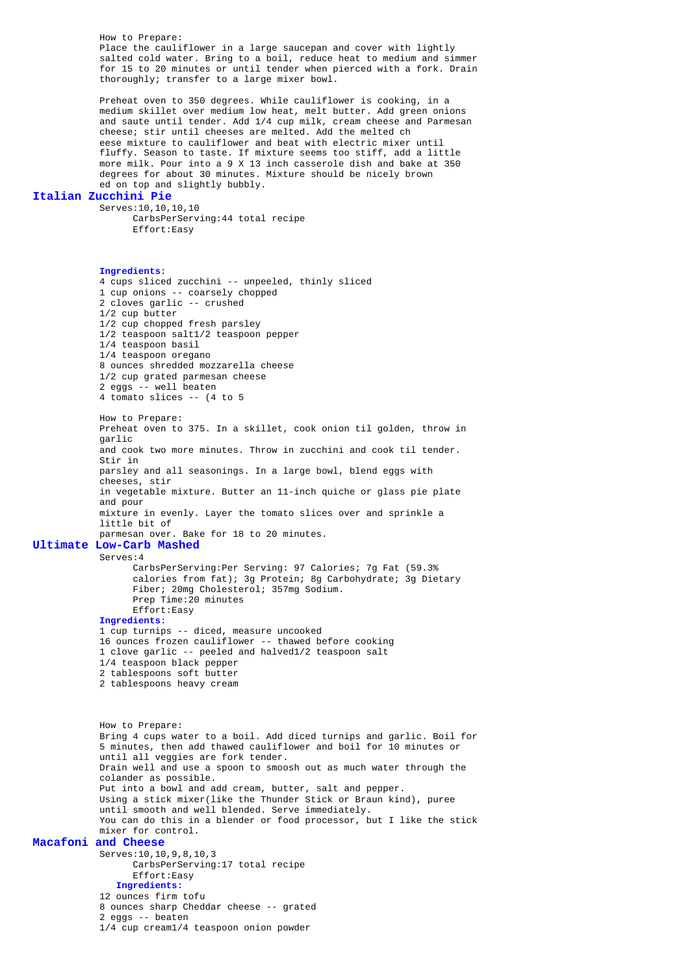```
 How to Prepare: 
 Place the cauliflower in a large saucepan and cover with lightly 
 salted cold water. Bring to a boil, reduce heat to medium and simmer 
 for 15 to 20 minutes or until tender when pierced with a fork. Drain 
 thoroughly; transfer to a large mixer bowl.
```
 Preheat oven to 350 degrees. While cauliflower is cooking, in a medium skillet over medium low heat, melt butter. Add green onions and saute until tender. Add 1/4 cup milk, cream cheese and Parmesan cheese; stir until cheeses are melted. Add the melted ch eese mixture to cauliflower and beat with electric mixer until fluffy. Season to taste. If mixture seems too stiff, add a little more milk. Pour into a 9 X 13 inch casserole dish and bake at 350 degrees for about 30 minutes. Mixture should be nicely brown ed on top and slightly bubbly.

# **Italian Zucchini Pie**

 Serves:10,10,10,10 CarbsPerServing:44 total recipe Effort:Easy

```
 Ingredients: 
             4 cups sliced zucchini -- unpeeled, thinly sliced 
             1 cup onions -- coarsely chopped 
             2 cloves garlic -- crushed 
             1/2 cup butter 
             1/2 cup chopped fresh parsley 
             1/2 teaspoon salt1/2 teaspoon pepper 
             1/4 teaspoon basil 
             1/4 teaspoon oregano 
             8 ounces shredded mozzarella cheese 
             1/2 cup grated parmesan cheese 
             2 eggs -- well beaten 
             4 tomato slices -- (4 to 5 
             How to Prepare: 
             Preheat oven to 375. In a skillet, cook onion til golden, throw in 
             garlic 
             and cook two more minutes. Throw in zucchini and cook til tender. 
             Stir in 
             parsley and all seasonings. In a large bowl, blend eggs with 
             cheeses, stir 
             in vegetable mixture. Butter an 11-inch quiche or glass pie plate 
             and pour 
             mixture in evenly. Layer the tomato slices over and sprinkle a 
             little bit of 
             parmesan over. Bake for 18 to 20 minutes. 
Ultimate Low-Carb Mashed 
             Serves:4 
                    CarbsPerServing:Per Serving: 97 Calories; 7g Fat (59.3% 
                    calories from fat); 3g Protein; 8g Carbohydrate; 3g Dietary 
                    Fiber; 20mg Cholesterol; 357mg Sodium. 
                    Prep Time:20 minutes 
                    Effort:Easy 
             Ingredients: 
             1 cup turnips -- diced, measure uncooked 
             16 ounces frozen cauliflower -- thawed before cooking 
             1 clove garlic -- peeled and halved1/2 teaspoon salt 
             1/4 teaspoon black pepper 
             2 tablespoons soft butter 
             2 tablespoons heavy cream 
             How to Prepare: 
             Bring 4 cups water to a boil. Add diced turnips and garlic. Boil for 
             5 minutes, then add thawed cauliflower and boil for 10 minutes or 
             until all veggies are fork tender. 
             Drain well and use a spoon to smoosh out as much water through the 
             colander as possible. 
             Put into a bowl and add cream, butter, salt and pepper. 
             Using a stick mixer(like the Thunder Stick or Braun kind), puree 
             until smooth and well blended. Serve immediately. 
             You can do this in a blender or food processor, but I like the stick 
             mixer for control. 
Macafoni and Cheese 
             Serves:10,10,9,8,10,3 
                    CarbsPerServing:17 total recipe 
                    Effort:Easy 
                Ingredients: 
             12 ounces firm tofu 
             8 ounces sharp Cheddar cheese -- grated 
             2 eggs -- beaten
```
1/4 cup cream1/4 teaspoon onion powder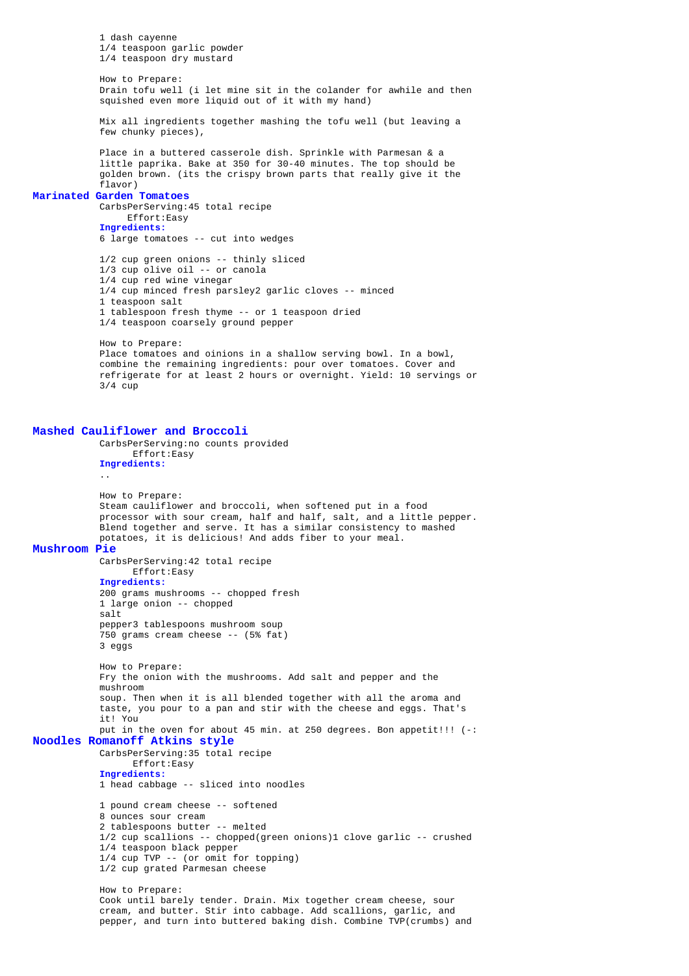```
 1 dash cayenne 
             1/4 teaspoon garlic powder 
             1/4 teaspoon dry mustard 
             How to Prepare: 
             Drain tofu well (i let mine sit in the colander for awhile and then 
             squished even more liquid out of it with my hand) 
             Mix all ingredients together mashing the tofu well (but leaving a 
             few chunky pieces), 
             Place in a buttered casserole dish. Sprinkle with Parmesan & a 
             little paprika. Bake at 350 for 30-40 minutes. The top should be 
             golden brown. (its the crispy brown parts that really give it the 
             flavor) 
Marinated Garden Tomatoes
             CarbsPerServing:45 total recipe 
                 Effort:Easy 
             Ingredients: 
             6 large tomatoes -- cut into wedges 
             1/2 cup green onions -- thinly sliced 
             1/3 cup olive oil -- or canola 
             1/4 cup red wine vinegar 
             1/4 cup minced fresh parsley2 garlic cloves -- minced 
             1 teaspoon salt 
             1 tablespoon fresh thyme -- or 1 teaspoon dried 
             1/4 teaspoon coarsely ground pepper 
             How to Prepare: 
             Place tomatoes and oinions in a shallow serving bowl. In a bowl, 
             combine the remaining ingredients: pour over tomatoes. Cover and 
             refrigerate for at least 2 hours or overnight. Yield: 10 servings or 
            3/4 cup
Mashed Cauliflower and Broccoli
             CarbsPerServing:no counts provided 
                   Effort:Easy 
             Ingredients: 
             .. 
             How to Prepare: 
             Steam cauliflower and broccoli, when softened put in a food 
             processor with sour cream, half and half, salt, and a little pepper. 
            Blend together and serve. It has a similar consistency to mashed
             potatoes, it is delicious! And adds fiber to your meal. 
Mushroom Pie 
             CarbsPerServing:42 total recipe 
                   Effort:Easy 
             Ingredients: 
             200 grams mushrooms -- chopped fresh 
             1 large onion -- chopped 
             salt 
             pepper3 tablespoons mushroom soup 
             750 grams cream cheese -- (5% fat) 
             3 eggs 
             How to Prepare: 
             Fry the onion with the mushrooms. Add salt and pepper and the 
             mushroom 
             soup. Then when it is all blended together with all the aroma and 
             taste, you pour to a pan and stir with the cheese and eggs. That's 
             it! You 
             put in the oven for about 45 min. at 250 degrees. Bon appetit!!! (-: 
Noodles Romanoff Atkins style 
             CarbsPerServing:35 total recipe 
                   Effort:Easy 
             Ingredients: 
             1 head cabbage -- sliced into noodles 
             1 pound cream cheese -- softened 
             8 ounces sour cream 
             2 tablespoons butter -- melted 
             1/2 cup scallions -- chopped(green onions)1 clove garlic -- crushed 
             1/4 teaspoon black pepper 
             1/4 cup TVP -- (or omit for topping) 
             1/2 cup grated Parmesan cheese 
             How to Prepare: 
             Cook until barely tender. Drain. Mix together cream cheese, sour 
             cream, and butter. Stir into cabbage. Add scallions, garlic, and 
             pepper, and turn into buttered baking dish. Combine TVP(crumbs) and
```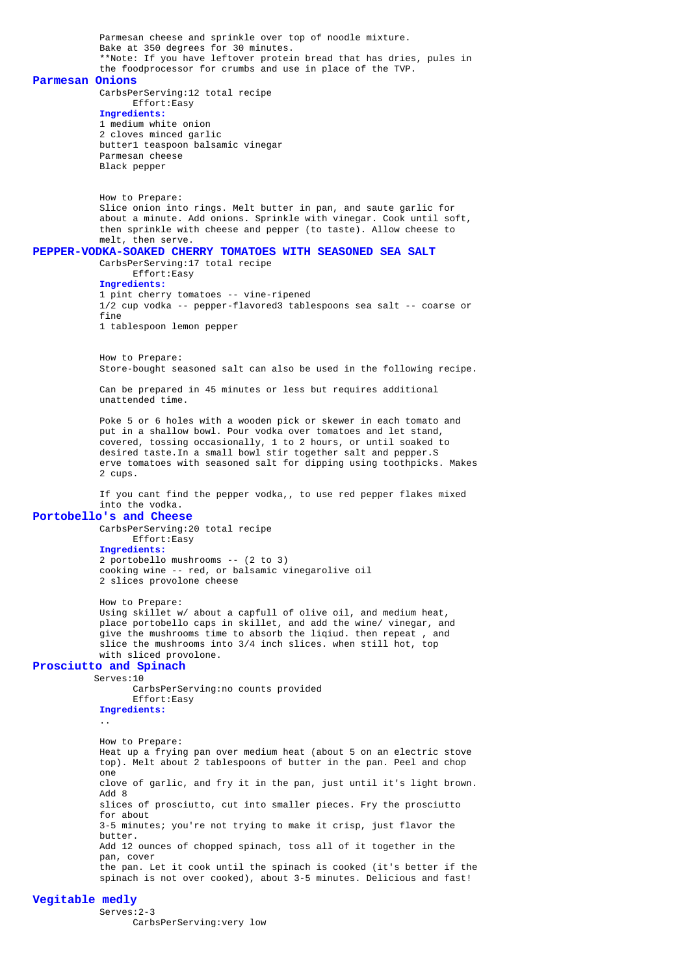Parmesan cheese and sprinkle over top of noodle mixture. Bake at 350 degrees for 30 minutes. \*\*Note: If you have leftover protein bread that has dries, pules in the foodprocessor for crumbs and use in place of the TVP. **Parmesan Onions**  CarbsPerServing:12 total recipe Effort:Easy  **Ingredients:**  1 medium white onion 2 cloves minced garlic butter1 teaspoon balsamic vinegar Parmesan cheese Black pepper How to Prepare: Slice onion into rings. Melt butter in pan, and saute garlic for about a minute. Add onions. Sprinkle with vinegar. Cook until soft, then sprinkle with cheese and pepper (to taste). Allow cheese to melt, then serve. **PEPPER-VODKA-SOAKED CHERRY TOMATOES WITH SEASONED SEA SALT**  CarbsPerServing:17 total recipe Effort:Easy **Ingredients:**  1 pint cherry tomatoes -- vine-ripened 1/2 cup vodka -- pepper-flavored3 tablespoons sea salt -- coarse or fine 1 tablespoon lemon pepper How to Prepare: Store-bought seasoned salt can also be used in the following recipe. Can be prepared in 45 minutes or less but requires additional unattended time. Poke 5 or 6 holes with a wooden pick or skewer in each tomato and put in a shallow bowl. Pour vodka over tomatoes and let stand, covered, tossing occasionally, 1 to 2 hours, or until soaked to desired taste.In a small bowl stir together salt and pepper.S erve tomatoes with seasoned salt for dipping using toothpicks. Makes 2 cups. If you cant find the pepper vodka,, to use red pepper flakes mixed into the vodka. **Portobello's and Cheese**  CarbsPerServing:20 total recipe Effort:Easy  **Ingredients:**  2 portobello mushrooms -- (2 to 3) cooking wine -- red, or balsamic vinegarolive oil 2 slices provolone cheese How to Prepare: Using skillet w/ about a capfull of olive oil, and medium heat, place portobello caps in skillet, and add the wine/ vinegar, and give the mushrooms time to absorb the liqiud. then repeat , and slice the mushrooms into 3/4 inch slices. when still hot, top with sliced provolone. **Prosciutto and Spinach**  Serves:10 CarbsPerServing:no counts provided Effort:Easy  **Ingredients:**  .. How to Prepare: Heat up a frying pan over medium heat (about 5 on an electric stove top). Melt about 2 tablespoons of butter in the pan. Peel and chop one clove of garlic, and fry it in the pan, just until it's light brown. Add 8 slices of prosciutto, cut into smaller pieces. Fry the prosciutto for about 3-5 minutes; you're not trying to make it crisp, just flavor the butter. Add 12 ounces of chopped spinach, toss all of it together in the pan, cover the pan. Let it cook until the spinach is cooked (it's better if the spinach is not over cooked), about 3-5 minutes. Delicious and fast!

## **Vegitable medly**

Serves:2-3

CarbsPerServing:very low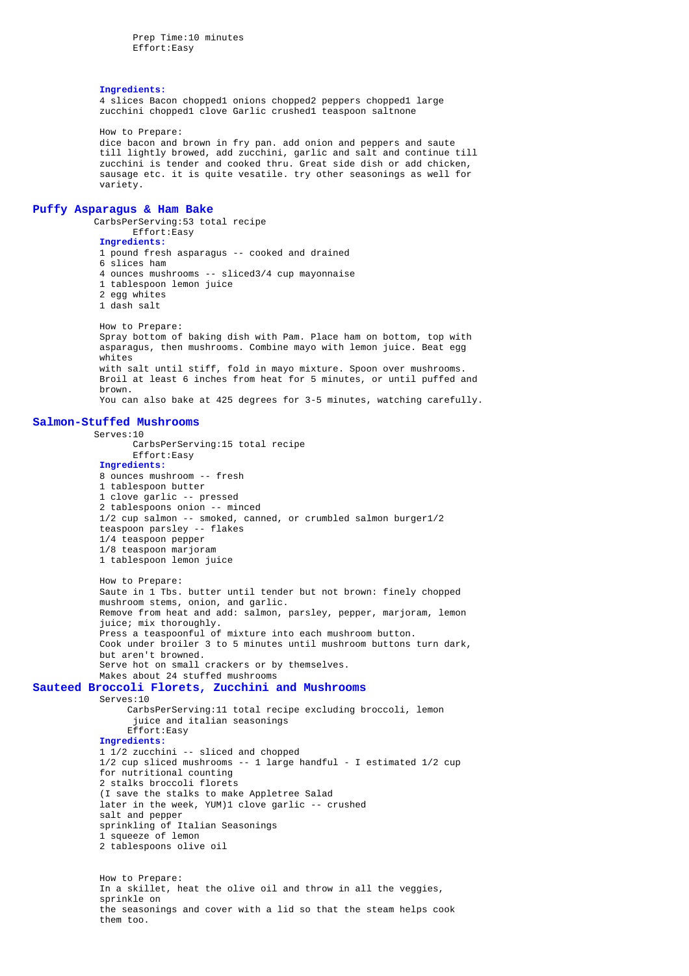Prep Time:10 minutes Effort:Easy

#### **Ingredients:**

 4 slices Bacon chopped1 onions chopped2 peppers chopped1 large zucchini chopped1 clove Garlic crushed1 teaspoon saltnone

 How to Prepare: dice bacon and brown in fry pan. add onion and peppers and saute till lightly browed, add zucchini, garlic and salt and continue till zucchini is tender and cooked thru. Great side dish or add chicken, sausage etc. it is quite vesatile. try other seasonings as well for variety.

#### **Puffy Asparagus & Ham Bake**

 CarbsPerServing:53 total recipe Effort:Easy  **Ingredients:**  1 pound fresh asparagus -- cooked and drained 6 slices ham 4 ounces mushrooms -- sliced3/4 cup mayonnaise 1 tablespoon lemon juice 2 egg whites 1 dash salt How to Prepare: Spray bottom of baking dish with Pam. Place ham on bottom, top with asparagus, then mushrooms. Combine mayo with lemon juice. Beat egg whites with salt until stiff, fold in mayo mixture. Spoon over mushrooms. Broil at least 6 inches from heat for 5 minutes, or until puffed and brown.

You can also bake at 425 degrees for 3-5 minutes, watching carefully.

## **Salmon-Stuffed Mushrooms**

 Serves:10 CarbsPerServing:15 total recipe Effort:Easy  **Ingredients:**  8 ounces mushroom -- fresh 1 tablespoon butter 1 clove garlic -- pressed 2 tablespoons onion -- minced 1/2 cup salmon -- smoked, canned, or crumbled salmon burger1/2 teaspoon parsley -- flakes 1/4 teaspoon pepper 1/8 teaspoon marjoram 1 tablespoon lemon juice How to Prepare: Saute in 1 Tbs. butter until tender but not brown: finely chopped mushroom stems, onion, and garlic. Remove from heat and add: salmon, parsley, pepper, marjoram, lemon juice; mix thoroughly. Press a teaspoonful of mixture into each mushroom button. Cook under broiler 3 to 5 minutes until mushroom buttons turn dark, but aren't browned. Serve hot on small crackers or by themselves. Makes about 24 stuffed mushrooms **Sauteed Broccoli Florets, Zucchini and Mushrooms**  Serves:10 CarbsPerServing:11 total recipe excluding broccoli, lemon juice and italian seasonings Effort:Easy  **Ingredients:**  1 1/2 zucchini -- sliced and chopped 1/2 cup sliced mushrooms -- 1 large handful - I estimated 1/2 cup for nutritional counting 2 stalks broccoli florets (I save the stalks to make Appletree Salad later in the week, YUM)1 clove garlic -- crushed salt and pepper sprinkling of Italian Seasonings 1 squeeze of lemon 2 tablespoons olive oil How to Prepare:

 In a skillet, heat the olive oil and throw in all the veggies, sprinkle on the seasonings and cover with a lid so that the steam helps cook them too.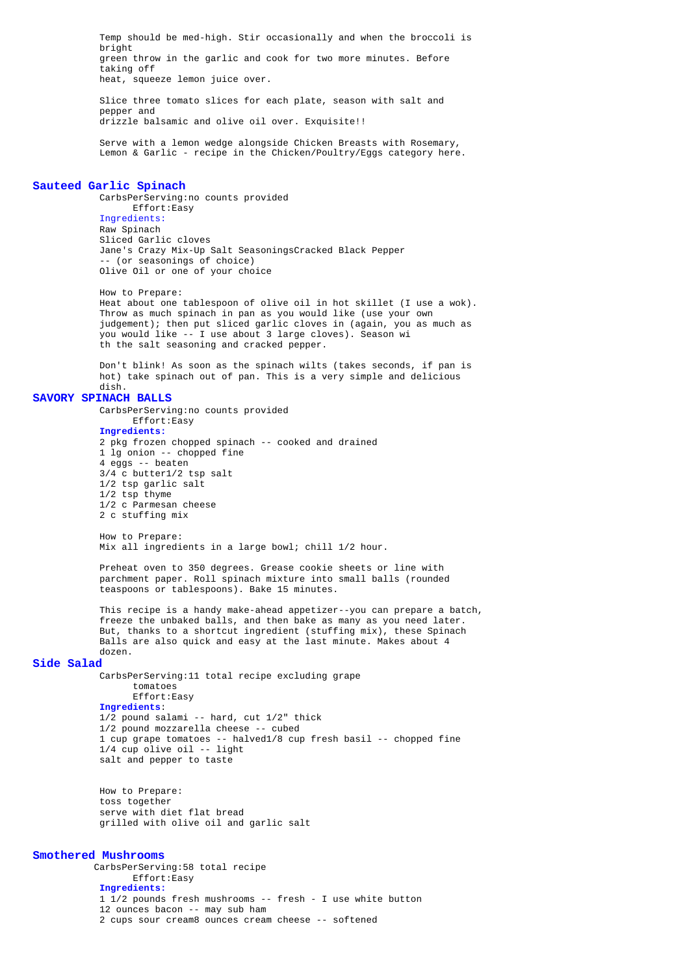Temp should be med-high. Stir occasionally and when the broccoli is bright green throw in the garlic and cook for two more minutes. Before taking off heat, squeeze lemon juice over.

 Slice three tomato slices for each plate, season with salt and pepper and drizzle balsamic and olive oil over. Exquisite!!

 Serve with a lemon wedge alongside Chicken Breasts with Rosemary, Lemon & Garlic - recipe in the Chicken/Poultry/Eggs category here.

## **Sauteed Garlic Spinach**

 CarbsPerServing:no counts provided Effort:Easy Ingredients: Raw Spinach Sliced Garlic cloves Jane's Crazy Mix-Up Salt SeasoningsCracked Black Pepper -- (or seasonings of choice) Olive Oil or one of your choice

 How to Prepare: Heat about one tablespoon of olive oil in hot skillet (I use a wok). Throw as much spinach in pan as you would like (use your own judgement); then put sliced garlic cloves in (again, you as much as you would like -- I use about 3 large cloves). Season wi th the salt seasoning and cracked pepper.

 Don't blink! As soon as the spinach wilts (takes seconds, if pan is hot) take spinach out of pan. This is a very simple and delicious dish.

#### **SAVORY SPINACH BALLS**

 Effort:Easy **Ingredients:**  2 pkg frozen chopped spinach -- cooked and drained 1 lg onion -- chopped fine 4 eggs -- beaten 3/4 c butter1/2 tsp salt 1/2 tsp garlic salt 1/2 tsp thyme 1/2 c Parmesan cheese 2 c stuffing mix How to Prepare: Mix all ingredients in a large bowl; chill 1/2 hour. Preheat oven to 350 degrees. Grease cookie sheets or line with parchment paper. Roll spinach mixture into small balls (rounded teaspoons or tablespoons). Bake 15 minutes.

CarbsPerServing:no counts provided

 This recipe is a handy make-ahead appetizer--you can prepare a batch, freeze the unbaked balls, and then bake as many as you need later. But, thanks to a shortcut ingredient (stuffing mix), these Spinach Balls are also quick and easy at the last minute. Makes about 4 dozen.

#### **Side Salad**

 CarbsPerServing:11 total recipe excluding grape tomatoes Effort:Easy  **Ingredients**:  $1/2$  pound salami -- hard, cut  $1/2$ " thick 1/2 pound mozzarella cheese -- cubed 1 cup grape tomatoes -- halved1/8 cup fresh basil -- chopped fine 1/4 cup olive oil -- light salt and pepper to taste

 How to Prepare: toss together serve with diet flat bread grilled with olive oil and garlic salt

# **Smothered Mushrooms**

 CarbsPerServing:58 total recipe Effort:Easy  **Ingredients:** 1 1/2 pounds fresh mushrooms -- fresh - I use white button 12 ounces bacon -- may sub ham 2 cups sour cream8 ounces cream cheese -- softened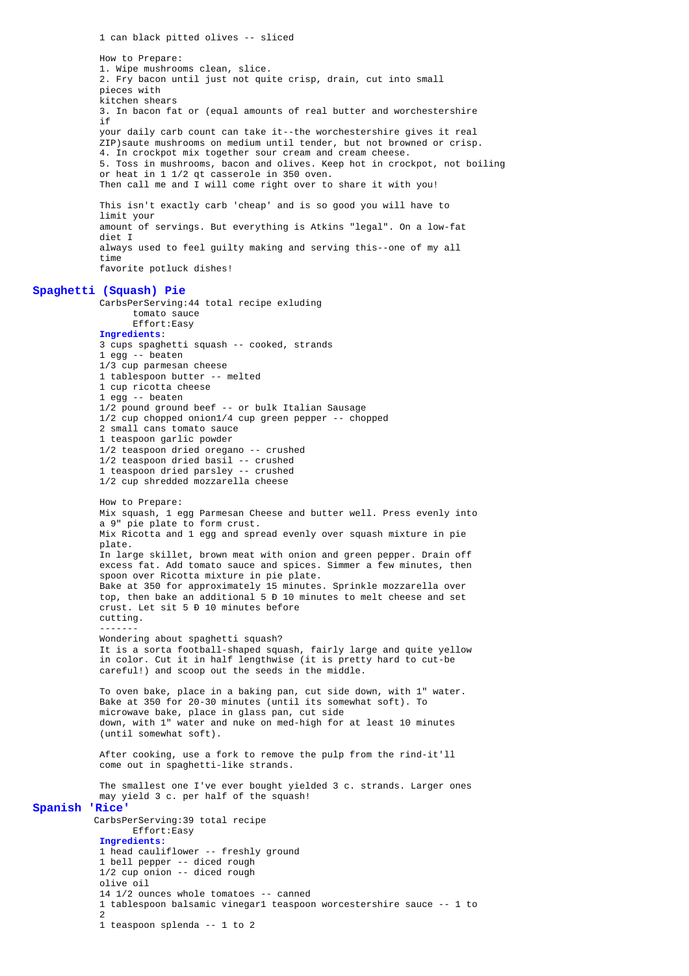1 can black pitted olives -- sliced

 How to Prepare: 1. Wipe mushrooms clean, slice. 2. Fry bacon until just not quite crisp, drain, cut into small pieces with kitchen shears 3. In bacon fat or (equal amounts of real butter and worchestershire if your daily carb count can take it--the worchestershire gives it real ZIP)saute mushrooms on medium until tender, but not browned or crisp. 4. In crockpot mix together sour cream and cream cheese. 5. Toss in mushrooms, bacon and olives. Keep hot in crockpot, not boiling or heat in 1 1/2 qt casserole in 350 oven. Then call me and I will come right over to share it with you! This isn't exactly carb 'cheap' and is so good you will have to limit your amount of servings. But everything is Atkins "legal". On a low-fat diet I always used to feel guilty making and serving this--one of my all time favorite potluck dishes! **Spaghetti (Squash) Pie**  CarbsPerServing:44 total recipe exluding tomato sauce Effort:Easy  **Ingredients**: 3 cups spaghetti squash -- cooked, strands 1 egg -- beaten 1/3 cup parmesan cheese 1 tablespoon butter -- melted 1 cup ricotta cheese 1 egg -- beaten 1/2 pound ground beef -- or bulk Italian Sausage 1/2 cup chopped onion1/4 cup green pepper -- chopped 2 small cans tomato sauce 1 teaspoon garlic powder 1/2 teaspoon dried oregano -- crushed 1/2 teaspoon dried basil -- crushed 1 teaspoon dried parsley -- crushed 1/2 cup shredded mozzarella cheese How to Prepare: Mix squash, 1 egg Parmesan Cheese and butter well. Press evenly into a 9" pie plate to form crust. Mix Ricotta and 1 egg and spread evenly over squash mixture in pie plate. In large skillet, brown meat with onion and green pepper. Drain off excess fat. Add tomato sauce and spices. Simmer a few minutes, then spoon over Ricotta mixture in pie plate. Bake at 350 for approximately 15 minutes. Sprinkle mozzarella over top, then bake an additional 5 Ð 10 minutes to melt cheese and set crust. Let sit 5 Ð 10 minutes before cutting. ------- Wondering about spaghetti squash? It is a sorta football-shaped squash, fairly large and quite yellow in color. Cut it in half lengthwise (it is pretty hard to cut-be careful!) and scoop out the seeds in the middle. To oven bake, place in a baking pan, cut side down, with 1" water. Bake at 350 for 20-30 minutes (until its somewhat soft). To microwave bake, place in glass pan, cut side down, with 1" water and nuke on med-high for at least 10 minutes (until somewhat soft). After cooking, use a fork to remove the pulp from the rind-it'll come out in spaghetti-like strands. The smallest one I've ever bought yielded 3 c. strands. Larger ones may yield 3 c. per half of the squash! **Spanish 'Rice'**  CarbsPerServing:39 total recipe Effort:Easy  **Ingredients:**  1 head cauliflower -- freshly ground 1 bell pepper -- diced rough 1/2 cup onion -- diced rough olive oil 14 1/2 ounces whole tomatoes -- canned 1 tablespoon balsamic vinegar1 teaspoon worcestershire sauce -- 1 to 2 1 teaspoon splenda -- 1 to 2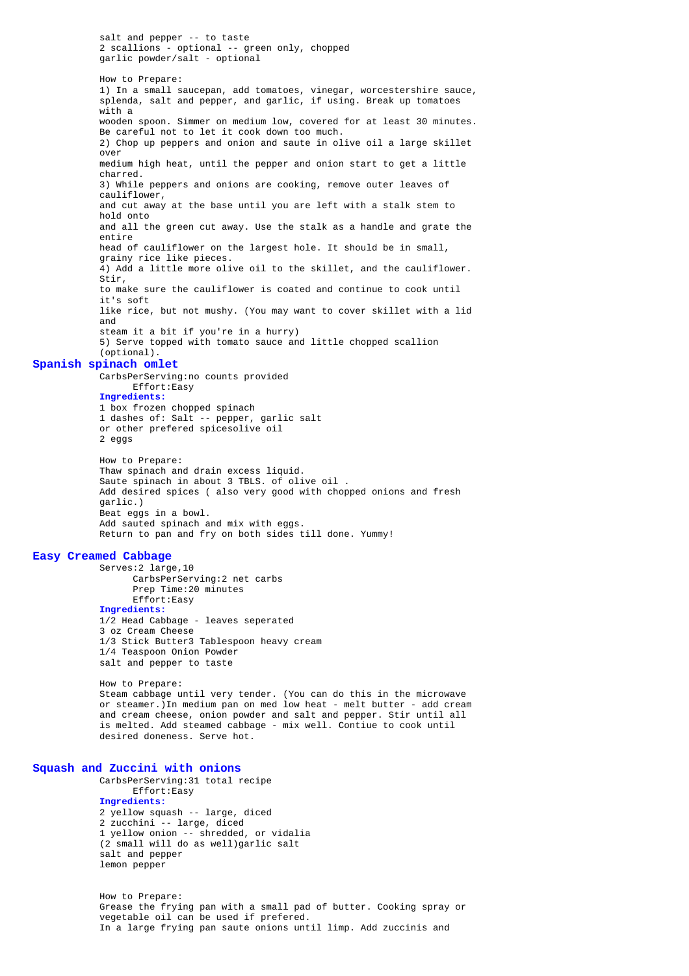salt and pepper -- to taste 2 scallions - optional -- green only, chopped garlic powder/salt - optional How to Prepare: 1) In a small saucepan, add tomatoes, vinegar, worcestershire sauce, splenda, salt and pepper, and garlic, if using. Break up tomatoes with a wooden spoon. Simmer on medium low, covered for at least 30 minutes. Be careful not to let it cook down too much. 2) Chop up peppers and onion and saute in olive oil a large skillet over medium high heat, until the pepper and onion start to get a little charred. 3) While peppers and onions are cooking, remove outer leaves of cauliflower, and cut away at the base until you are left with a stalk stem to hold onto and all the green cut away. Use the stalk as a handle and grate the entire head of cauliflower on the largest hole. It should be in small, grainy rice like pieces. 4) Add a little more olive oil to the skillet, and the cauliflower. Stir, to make sure the cauliflower is coated and continue to cook until it's soft like rice, but not mushy. (You may want to cover skillet with a lid and steam it a bit if you're in a hurry) 5) Serve topped with tomato sauce and little chopped scallion (optional). **Spanish spinach omlet**  CarbsPerServing:no counts provided Effort:Easy  **Ingredients:**  1 box frozen chopped spinach 1 dashes of: Salt -- pepper, garlic salt or other prefered spicesolive oil 2 eggs How to Prepare: Thaw spinach and drain excess liquid. Saute spinach in about 3 TBLS. of olive oil . Add desired spices ( also very good with chopped onions and fresh garlic.) Beat eggs in a bowl. Add sauted spinach and mix with eggs. Return to pan and fry on both sides till done. Yummy! **Easy Creamed Cabbage**  Serves:2 large,10 CarbsPerServing:2 net carbs Prep Time:20 minutes Effort:Easy **Ingredients:**  1/2 Head Cabbage - leaves seperated 3 oz Cream Cheese 1/3 Stick Butter3 Tablespoon heavy cream 1/4 Teaspoon Onion Powder salt and pepper to taste How to Prepare: Steam cabbage until very tender. (You can do this in the microwave or steamer.)In medium pan on med low heat - melt butter - add cream and cream cheese, onion powder and salt and pepper. Stir until all is melted. Add steamed cabbage - mix well. Contiue to cook until desired doneness. Serve hot. **Squash and Zuccini with onions**  CarbsPerServing:31 total recipe Effort:Easy  **Ingredients:**  2 yellow squash -- large, diced 2 zucchini -- large, diced 1 yellow onion -- shredded, or vidalia (2 small will do as well)garlic salt salt and pepper lemon pepper How to Prepare: Grease the frying pan with a small pad of butter. Cooking spray or vegetable oil can be used if prefered. In a large frying pan saute onions until limp. Add zuccinis and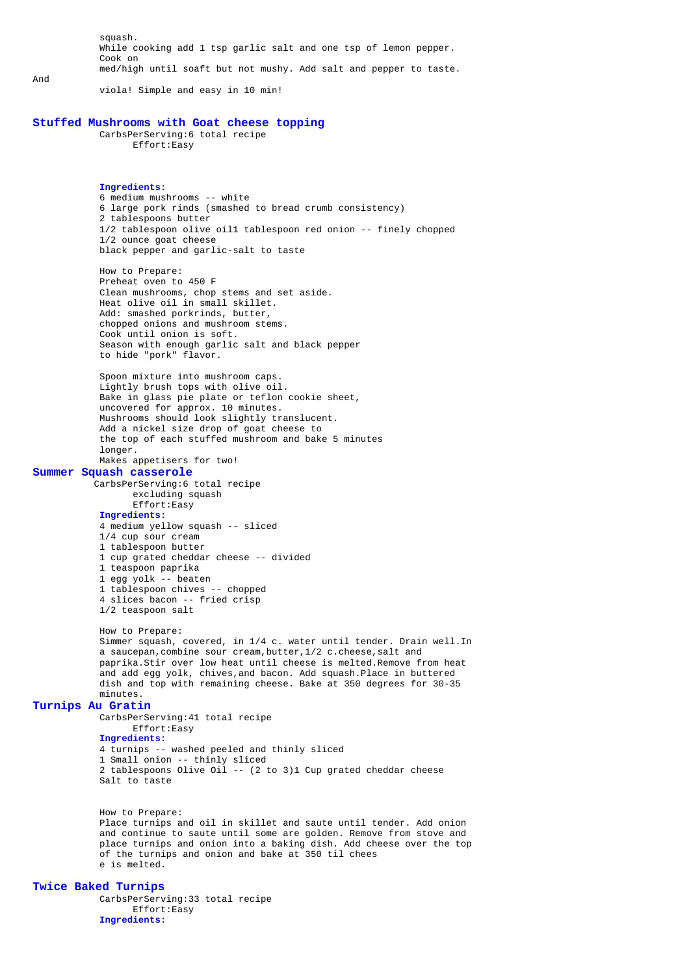squash. While cooking add 1 tsp garlic salt and one tsp of lemon pepper. Cook on med/high until soaft but not mushy. Add salt and pepper to taste.

viola! Simple and easy in 10 min!

#### **Stuffed Mushrooms with Goat cheese topping**

 CarbsPerServing:6 total recipe Effort:Easy

#### **Ingredients:**

 6 medium mushrooms -- white 6 large pork rinds (smashed to bread crumb consistency) 2 tablespoons butter 1/2 tablespoon olive oil1 tablespoon red onion -- finely chopped 1/2 ounce goat cheese black pepper and garlic-salt to taste

```
 How to Prepare: 
 Preheat oven to 450 F 
 Clean mushrooms, chop stems and set aside. 
 Heat olive oil in small skillet. 
 Add: smashed porkrinds, butter, 
 chopped onions and mushroom stems. 
 Cook until onion is soft. 
 Season with enough garlic salt and black pepper 
 to hide "pork" flavor.
```
 Spoon mixture into mushroom caps. Lightly brush tops with olive oil. Bake in glass pie plate or teflon cookie sheet, uncovered for approx. 10 minutes. Mushrooms should look slightly translucent. Add a nickel size drop of goat cheese to the top of each stuffed mushroom and bake 5 minutes longer. Makes appetisers for two!

#### **Summer Squash casserole**

 CarbsPerServing:6 total recipe excluding squash Effort:Easy **Ingredients:**  4 medium yellow squash -- sliced 1/4 cup sour cream 1 tablespoon butter 1 cup grated cheddar cheese -- divided 1 teaspoon paprika 1 egg yolk -- beaten 1 tablespoon chives -- chopped 4 slices bacon -- fried crisp

1/2 teaspoon salt

#### How to Prepare:

 Simmer squash, covered, in 1/4 c. water until tender. Drain well.In a saucepan,combine sour cream,butter,1/2 c.cheese,salt and paprika.Stir over low heat until cheese is melted.Remove from heat and add egg yolk, chives,and bacon. Add squash.Place in buttered dish and top with remaining cheese. Bake at 350 degrees for 30-35 minutes.

#### **Turnips Au Gratin**

 CarbsPerServing:41 total recipe Effort:Easy **Ingredients:**  4 turnips -- washed peeled and thinly sliced 1 Small onion -- thinly sliced 2 tablespoons Olive Oil -- (2 to 3)1 Cup grated cheddar cheese Salt to taste

```
 How to Prepare: 
 Place turnips and oil in skillet and saute until tender. Add onion 
 and continue to saute until some are golden. Remove from stove and 
 place turnips and onion into a baking dish. Add cheese over the top 
 of the turnips and onion and bake at 350 til chees 
 e is melted.
```
### **Twice Baked Turnips**

 CarbsPerServing:33 total recipe Effort:Easy **Ingredients:** 

```
And
```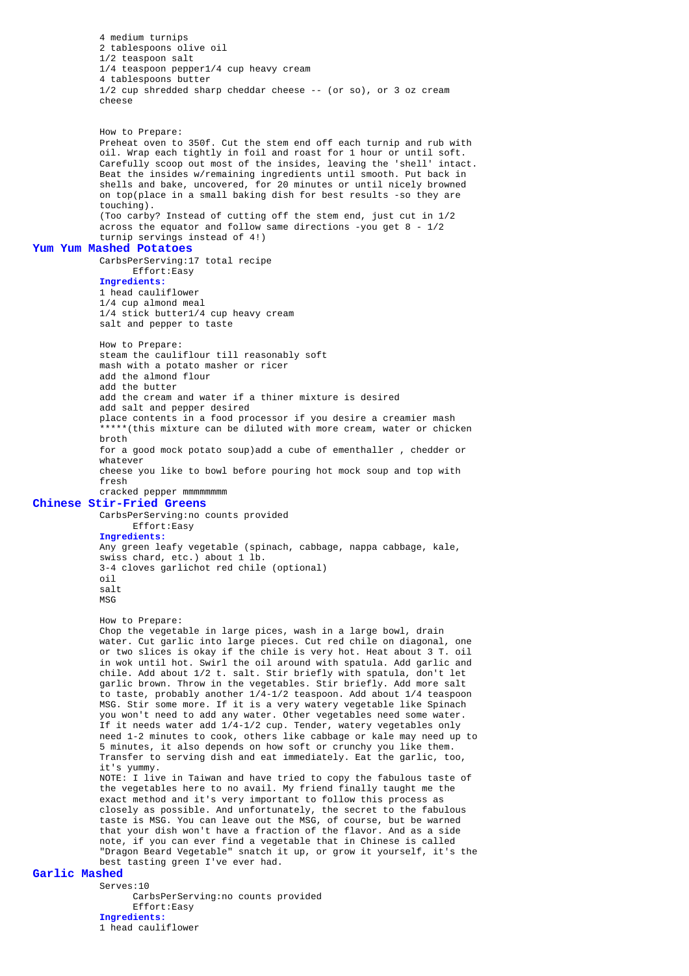4 medium turnips 2 tablespoons olive oil 1/2 teaspoon salt 1/4 teaspoon pepper1/4 cup heavy cream 4 tablespoons butter 1/2 cup shredded sharp cheddar cheese -- (or so), or 3 oz cream cheese How to Prepare: Preheat oven to 350f. Cut the stem end off each turnip and rub with oil. Wrap each tightly in foil and roast for 1 hour or until soft. Carefully scoop out most of the insides, leaving the 'shell' intact. Beat the insides w/remaining ingredients until smooth. Put back in shells and bake, uncovered, for 20 minutes or until nicely browned on top(place in a small baking dish for best results -so they are touching). (Too carby? Instead of cutting off the stem end, just cut in 1/2 across the equator and follow same directions -you get 8 - 1/2 turnip servings instead of 4!) **Yum Yum Mashed Potatoes**  CarbsPerServing:17 total recipe Effort:Easy **Ingredients:**  1 head cauliflower 1/4 cup almond meal 1/4 stick butter1/4 cup heavy cream salt and pepper to taste How to Prepare: steam the cauliflour till reasonably soft mash with a potato masher or ricer add the almond flour add the butter add the cream and water if a thiner mixture is desired add salt and pepper desired place contents in a food processor if you desire a creamier mash \*\*\*\*\*(this mixture can be diluted with more cream, water or chicken broth for a good mock potato soup)add a cube of ementhaller , chedder or whatever cheese you like to bowl before pouring hot mock soup and top with fresh cracked pepper mmmmmmmm **Chinese Stir-Fried Greens**  CarbsPerServing:no counts provided Effort:Easy  **Ingredients:**  Any green leafy vegetable (spinach, cabbage, nappa cabbage, kale, swiss chard, etc.) about 1 lb. 3-4 cloves garlichot red chile (optional) oil salt MSG How to Prepare: Chop the vegetable in large pices, wash in a large bowl, drain water. Cut garlic into large pieces. Cut red chile on diagonal, one or two slices is okay if the chile is very hot. Heat about 3 T. oil in wok until hot. Swirl the oil around with spatula. Add garlic and chile. Add about 1/2 t. salt. Stir briefly with spatula, don't let garlic brown. Throw in the vegetables. Stir briefly. Add more salt to taste, probably another  $1/4$ -1/2 teaspoon. Add about  $1/4$  teaspoon MSG. Stir some more. If it is a very watery vegetable like Spinach you won't need to add any water. Other vegetables need some water. If it needs water add 1/4-1/2 cup. Tender, watery vegetables only need 1-2 minutes to cook, others like cabbage or kale may need up to 5 minutes, it also depends on how soft or crunchy you like them. Transfer to serving dish and eat immediately. Eat the garlic, too, it's yummy. NOTE: I live in Taiwan and have tried to copy the fabulous taste of the vegetables here to no avail. My friend finally taught me the exact method and it's very important to follow this process as closely as possible. And unfortunately, the secret to the fabulous taste is MSG. You can leave out the MSG, of course, but be warned that your dish won't have a fraction of the flavor. And as a side note, if you can ever find a vegetable that in Chinese is called "Dragon Beard Vegetable" snatch it up, or grow it yourself, it's the best tasting green I've ever had. **Garlic Mashed**  Serves:10 CarbsPerServing:no counts provided Effort:Easy  **Ingredients:** 

1 head cauliflower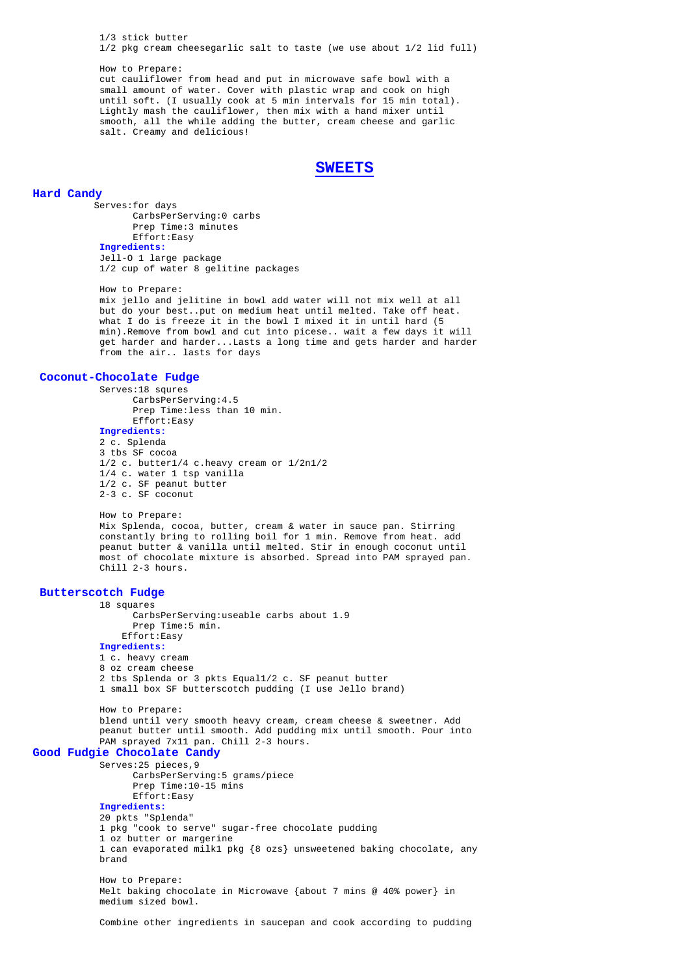1/3 stick butter 1/2 pkg cream cheesegarlic salt to taste (we use about 1/2 lid full)

 How to Prepare: cut cauliflower from head and put in microwave safe bowl with a small amount of water. Cover with plastic wrap and cook on high until soft. (I usually cook at 5 min intervals for 15 min total). Lightly mash the cauliflower, then mix with a hand mixer until smooth, all the while adding the butter, cream cheese and garlic salt. Creamy and delicious!

## **SWEETS**

#### **Hard Candy**

 Serves:for days CarbsPerServing:0 carbs Prep Time:3 minutes Effort:Easy **Ingredients:**  Jell-O 1 large package 1/2 cup of water 8 gelitine packages

 How to Prepare: mix jello and jelitine in bowl add water will not mix well at all but do your best..put on medium heat until melted. Take off heat. what I do is freeze it in the bowl I mixed it in until hard (5 min).Remove from bowl and cut into picese.. wait a few days it will get harder and harder...Lasts a long time and gets harder and harder from the air.. lasts for days

## **Coconut-Chocolate Fudge**

 Serves:18 squres CarbsPerServing:4.5 Prep Time:less than 10 min. Effort:Easy **Ingredients:**  2 c. Splenda 3 tbs SF cocoa 1/2 c. butter1/4 c.heavy cream or 1/2n1/2 1/4 c. water 1 tsp vanilla 1/2 c. SF peanut butter 2-3 c. SF coconut How to Prepare: Mix Splenda, cocoa, butter, cream & water in sauce pan. Stirring constantly bring to rolling boil for 1 min. Remove from heat. add peanut butter & vanilla until melted. Stir in enough coconut until most of chocolate mixture is absorbed. Spread into PAM sprayed pan. Chill 2-3 hours.  **Butterscotch Fudge**  18 squares CarbsPerServing:useable carbs about 1.9 Prep Time:5 min. Effort:Easy  **Ingredients:** 1 c. heavy cream 8 oz cream cheese 2 tbs Splenda or 3 pkts Equal1/2 c. SF peanut butter 1 small box SF butterscotch pudding (I use Jello brand) How to Prepare: blend until very smooth heavy cream, cream cheese & sweetner. Add peanut butter until smooth. Add pudding mix until smooth. Pour into PAM sprayed 7x11 pan. Chill 2-3 hours. **Good Fudgie Chocolate Candy**  Serves:25 pieces,9 CarbsPerServing:5 grams/piece Prep Time:10-15 mins Effort:Easy **Ingredients:**  20 pkts "Splenda" 1 pkg "cook to serve" sugar-free chocolate pudding 1 oz butter or margerine 1 can evaporated milk1 pkg {8 ozs} unsweetened baking chocolate, any brand How to Prepare: Melt baking chocolate in Microwave {about 7 mins @ 40% power} in medium sized bowl. Combine other ingredients in saucepan and cook according to pudding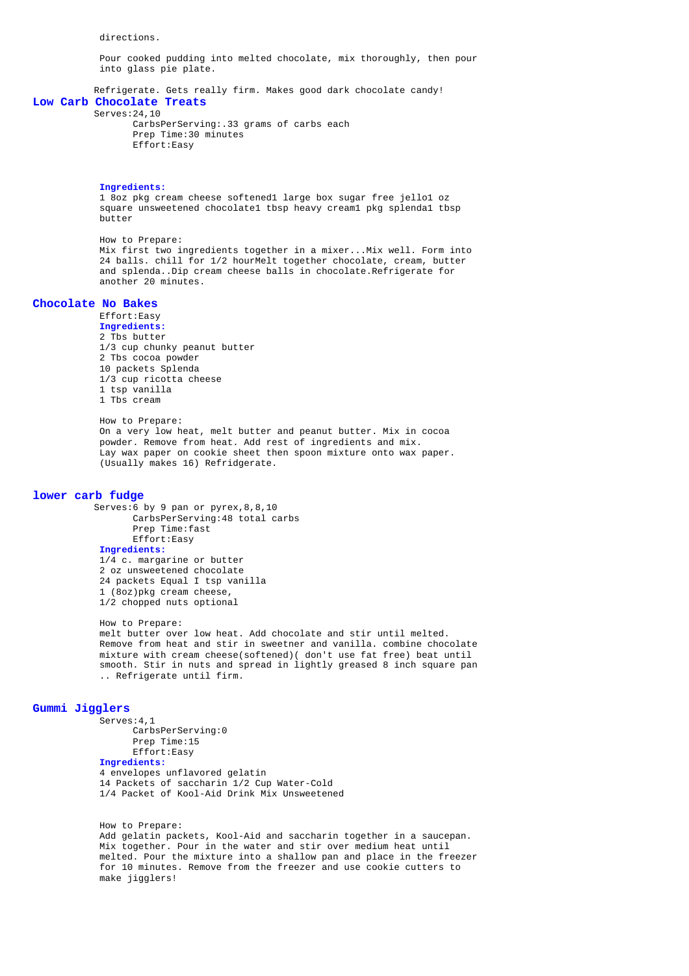directions.

 Pour cooked pudding into melted chocolate, mix thoroughly, then pour into glass pie plate.

 Refrigerate. Gets really firm. Makes good dark chocolate candy! **Low Carb Chocolate Treats** 

Serves:24,10

 CarbsPerServing:.33 grams of carbs each Prep Time:30 minutes Effort:Easy

#### **Ingredients:**

 1 8oz pkg cream cheese softened1 large box sugar free jello1 oz square unsweetened chocolate1 tbsp heavy cream1 pkg splenda1 tbsp butter

 How to Prepare: Mix first two ingredients together in a mixer...Mix well. Form into 24 balls. chill for 1/2 hourMelt together chocolate, cream, butter and splenda..Dip cream cheese balls in chocolate.Refrigerate for another 20 minutes.

## **Chocolate No Bakes**

 Effort:Easy  **Ingredients:**  2 Tbs butter 1/3 cup chunky peanut butter 2 Tbs cocoa powder 10 packets Splenda 1/3 cup ricotta cheese 1 tsp vanilla 1 Tbs cream

 How to Prepare: On a very low heat, melt butter and peanut butter. Mix in cocoa powder. Remove from heat. Add rest of ingredients and mix. Lay wax paper on cookie sheet then spoon mixture onto wax paper. (Usually makes 16) Refridgerate.

#### **lower carb fudge**

 Serves:6 by 9 pan or pyrex,8,8,10 CarbsPerServing:48 total carbs Prep Time:fast Effort:Easy **Ingredients:**  1/4 c. margarine or butter 2 oz unsweetened chocolate 24 packets Equal I tsp vanilla 1 (8oz)pkg cream cheese,

1/2 chopped nuts optional

 How to Prepare: melt butter over low heat. Add chocolate and stir until melted. Remove from heat and stir in sweetner and vanilla. combine chocolate mixture with cream cheese(softened)( don't use fat free) beat until smooth. Stir in nuts and spread in lightly greased 8 inch square pan .. Refrigerate until firm.

#### **Gummi Jigglers**

 Serves:4,1 CarbsPerServing:0 Prep Time:15 Effort:Easy  **Ingredients:**  4 envelopes unflavored gelatin 14 Packets of saccharin 1/2 Cup Water-Cold 1/4 Packet of Kool-Aid Drink Mix Unsweetened

 How to Prepare: Add gelatin packets, Kool-Aid and saccharin together in a saucepan. Mix together. Pour in the water and stir over medium heat until melted. Pour the mixture into a shallow pan and place in the freezer for 10 minutes. Remove from the freezer and use cookie cutters to make jigglers!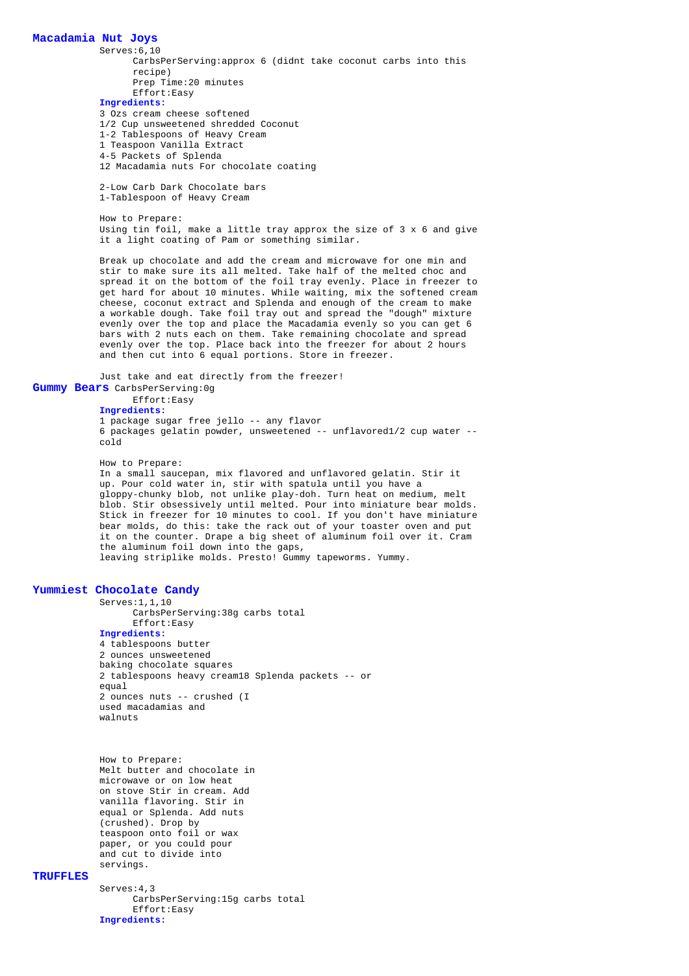**Macadamia Nut Joys** 

Serves:6,10

 CarbsPerServing:approx 6 (didnt take coconut carbs into this recipe) Prep Time:20 minutes Effort:Easy  **Ingredients:**  3 Ozs cream cheese softened 1/2 Cup unsweetened shredded Coconut 1-2 Tablespoons of Heavy Cream 1 Teaspoon Vanilla Extract 4-5 Packets of Splenda 12 Macadamia nuts For chocolate coating 2-Low Carb Dark Chocolate bars

1-Tablespoon of Heavy Cream

 How to Prepare: Using tin foil, make a little tray approx the size of  $3 \times 6$  and give it a light coating of Pam or something similar.

 Break up chocolate and add the cream and microwave for one min and stir to make sure its all melted. Take half of the melted choc and spread it on the bottom of the foil tray evenly. Place in freezer to get hard for about 10 minutes. While waiting, mix the softened cream cheese, coconut extract and Splenda and enough of the cream to make a workable dough. Take foil tray out and spread the "dough" mixture evenly over the top and place the Macadamia evenly so you can get 6 bars with 2 nuts each on them. Take remaining chocolate and spread evenly over the top. Place back into the freezer for about 2 hours and then cut into 6 equal portions. Store in freezer.

 Just take and eat directly from the freezer! **Gummy Bears** CarbsPerServing:0g Effort:Easy **Ingredients:**  1 package sugar free jello -- any flavor 6 packages gelatin powder, unsweetened -- unflavored1/2 cup water - cold How to Prepare: In a small saucepan, mix flavored and unflavored gelatin. Stir it up. Pour cold water in, stir with spatula until you have a gloppy-chunky blob, not unlike play-doh. Turn heat on medium, melt blob. Stir obsessively until melted. Pour into miniature bear molds.

 Stick in freezer for 10 minutes to cool. If you don't have miniature bear molds, do this: take the rack out of your toaster oven and put it on the counter. Drape a big sheet of aluminum foil over it. Cram the aluminum foil down into the gaps, leaving striplike molds. Presto! Gummy tapeworms. Yummy.

#### **Yummiest Chocolate Candy**

 Serves:1,1,10 CarbsPerServing:38g carbs total Effort:Easy  **Ingredients:**  4 tablespoons butter 2 ounces unsweetened baking chocolate squares 2 tablespoons heavy cream18 Splenda packets -- or equal 2 ounces nuts -- crushed (I used macadamias and walnuts

 How to Prepare: Melt butter and chocolate in microwave or on low heat on stove Stir in cream. Add vanilla flavoring. Stir in equal or Splenda. Add nuts (crushed). Drop by teaspoon onto foil or wax paper, or you could pour and cut to divide into servings.

### **TRUFFLES**

 Serves:4,3 CarbsPerServing:15g carbs total Effort:Easy **Ingredients:**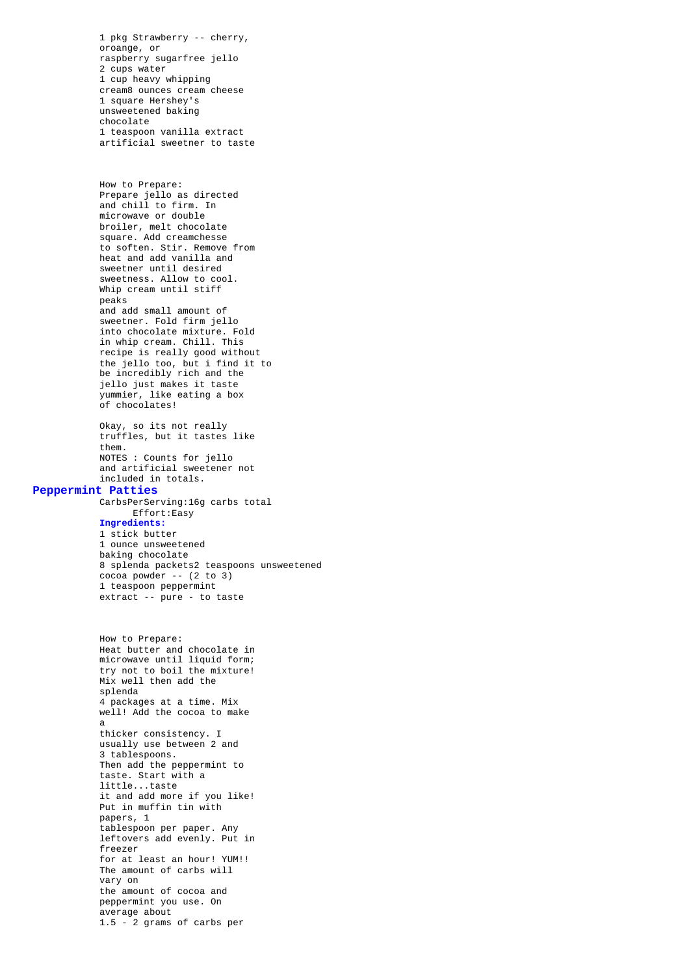```
 1 pkg Strawberry -- cherry, 
              oroange, or 
              raspberry sugarfree jello 
              2 cups water 
              1 cup heavy whipping 
              cream8 ounces cream cheese 
              1 square Hershey's 
              unsweetened baking 
             chocolate 
              1 teaspoon vanilla extract 
              artificial sweetner to taste 
              How to Prepare: 
              Prepare jello as directed 
              and chill to firm. In 
              microwave or double 
             broiler, melt chocolate 
              square. Add creamchesse 
              to soften. Stir. Remove from 
             heat and add vanilla and 
              sweetner until desired 
              sweetness. Allow to cool. 
              Whip cream until stiff 
              peaks 
              and add small amount of 
              sweetner. Fold firm jello 
              into chocolate mixture. Fold 
              in whip cream. Chill. This 
              recipe is really good without 
              the jello too, but i find it to 
              be incredibly rich and the 
              jello just makes it taste 
              yummier, like eating a box 
              of chocolates! 
              Okay, so its not really 
              truffles, but it tastes like 
              them. 
             NOTES : Counts for jello 
              and artificial sweetener not 
             included in totals. 
Peppermint Patties 
             CarbsPerServing:16g carbs total 
                    Effort:Easy 
              Ingredients: 
              1 stick butter 
              1 ounce unsweetened 
             baking chocolate 
              8 splenda packets2 teaspoons unsweetened 
             ccoca power -- (2 to 3) 1 teaspoon peppermint 
              extract -- pure - to taste 
             How to Prepare: 
              Heat butter and chocolate in 
              microwave until liquid form; 
              try not to boil the mixture! 
             Mix well then add the 
              splenda 
              4 packages at a time. Mix 
              well! Add the cocoa to make 
 a 
             thicker consistency. I 
              usually use between 2 and 
              3 tablespoons. 
             Then add the peppermint to 
              taste. Start with a 
              little...taste 
              it and add more if you like! 
              Put in muffin tin with 
              papers, 1 
              tablespoon per paper. Any 
              leftovers add evenly. Put in 
              freezer 
              for at least an hour! YUM!! 
              The amount of carbs will 
              vary on 
              the amount of cocoa and 
             peppermint you use. On 
              average about 
              1.5 - 2 grams of carbs per
```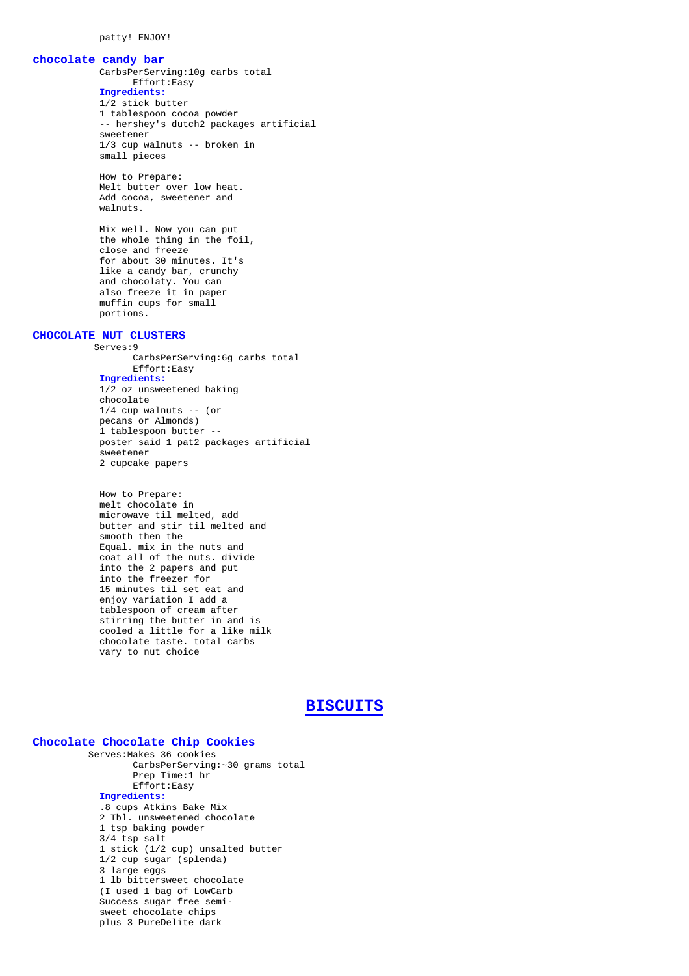patty! ENJOY!

#### **chocolate candy bar**

 CarbsPerServing:10g carbs total Effort:Easy  **Ingredients:**  1/2 stick butter 1 tablespoon cocoa powder -- hershey's dutch2 packages artificial sweetener 1/3 cup walnuts -- broken in small pieces

 How to Prepare: Melt butter over low heat. Add cocoa, sweetener and walnuts.

 Mix well. Now you can put the whole thing in the foil, close and freeze for about 30 minutes. It's like a candy bar, crunchy and chocolaty. You can also freeze it in paper muffin cups for small portions.

#### **CHOCOLATE NUT CLUSTERS**  Serves:9

 CarbsPerServing:6g carbs total Effort:Easy **Ingredients:**  1/2 oz unsweetened baking chocolate  $1/4$  cup walnuts -- (or pecans or Almonds) 1 tablespoon butter - poster said 1 pat2 packages artificial sweetener 2 cupcake papers

 How to Prepare: melt chocolate in microwave til melted, add butter and stir til melted and smooth then the Equal. mix in the nuts and coat all of the nuts. divide into the 2 papers and put into the freezer for 15 minutes til set eat and enjoy variation I add a tablespoon of cream after stirring the butter in and is cooled a little for a like milk chocolate taste. total carbs vary to nut choice

# **BISCUITS**

# **Chocolate Chocolate Chip Cookies**

 Serves:Makes 36 cookies CarbsPerServing:~30 grams total Prep Time:1 hr Effort:Easy **Ingredients:**  .8 cups Atkins Bake Mix 2 Tbl. unsweetened chocolate 1 tsp baking powder 3/4 tsp salt 1 stick (1/2 cup) unsalted butter 1/2 cup sugar (splenda) 3 large eggs 1 lb bittersweet chocolate (I used 1 bag of LowCarb Success sugar free semi sweet chocolate chips plus 3 PureDelite dark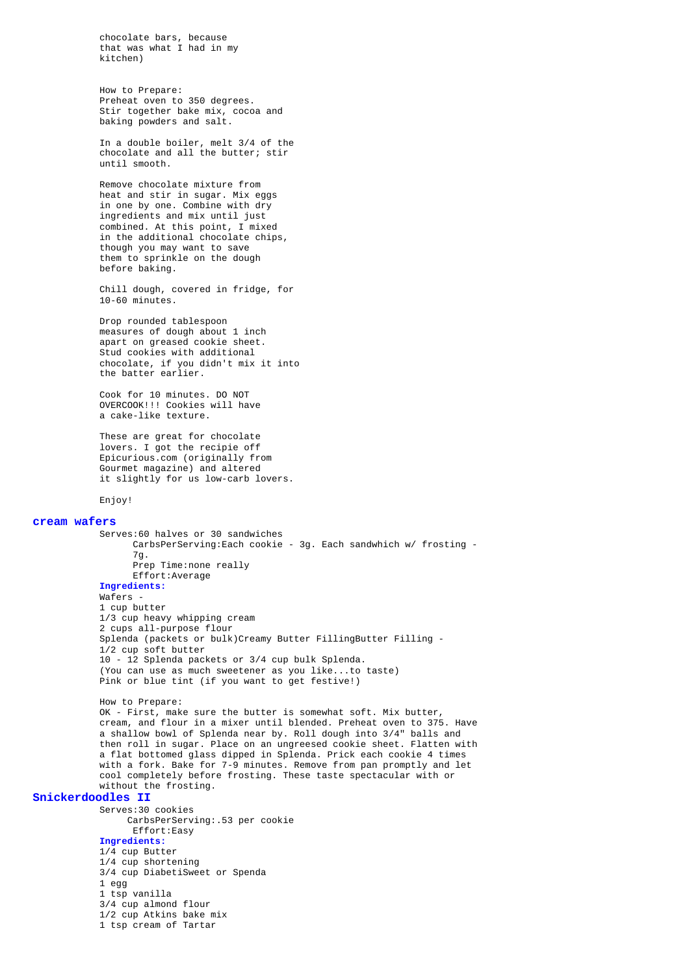chocolate bars, because that was what I had in my kitchen)

 How to Prepare: Preheat oven to 350 degrees. Stir together bake mix, cocoa and baking powders and salt.

 In a double boiler, melt 3/4 of the chocolate and all the butter; stir until smooth.

 Remove chocolate mixture from heat and stir in sugar. Mix eggs in one by one. Combine with dry ingredients and mix until just combined. At this point, I mixed in the additional chocolate chips, though you may want to save them to sprinkle on the dough before baking.

 Chill dough, covered in fridge, for 10-60 minutes.

 Drop rounded tablespoon measures of dough about 1 inch apart on greased cookie sheet. Stud cookies with additional chocolate, if you didn't mix it into the batter earlier.

 Cook for 10 minutes. DO NOT OVERCOOK!!! Cookies will have a cake-like texture.

 These are great for chocolate lovers. I got the recipie off Epicurious.com (originally from Gourmet magazine) and altered it slightly for us low-carb lovers.

Enjoy!

#### **cream wafers**

 Serves:60 halves or 30 sandwiches CarbsPerServing:Each cookie - 3g. Each sandwhich w/ frosting - 7g. Prep Time:none really Effort:Average  **Ingredients:**  Wafers - 1 cup butter 1/3 cup heavy whipping cream 2 cups all-purpose flour Splenda (packets or bulk)Creamy Butter FillingButter Filling - 1/2 cup soft butter 10 - 12 Splenda packets or 3/4 cup bulk Splenda. (You can use as much sweetener as you like...to taste) Pink or blue tint (if you want to get festive!) How to Prepare: OK - First, make sure the butter is somewhat soft. Mix butter, cream, and flour in a mixer until blended. Preheat oven to 375. Have a shallow bowl of Splenda near by. Roll dough into 3/4" balls and then roll in sugar. Place on an ungreesed cookie sheet. Flatten with a flat bottomed glass dipped in Splenda. Prick each cookie 4 times with a fork. Bake for 7-9 minutes. Remove from pan promptly and let cool completely before frosting. These taste spectacular with or without the frosting. **Snickerdoodles II**  Serves:30 cookies CarbsPerServing:.53 per cookie Effort:Easy  **Ingredients:**  1/4 cup Butter 1/4 cup shortening 3/4 cup DiabetiSweet or Spenda 1 egg 1 tsp vanilla 3/4 cup almond flour 1/2 cup Atkins bake mix 1 tsp cream of Tartar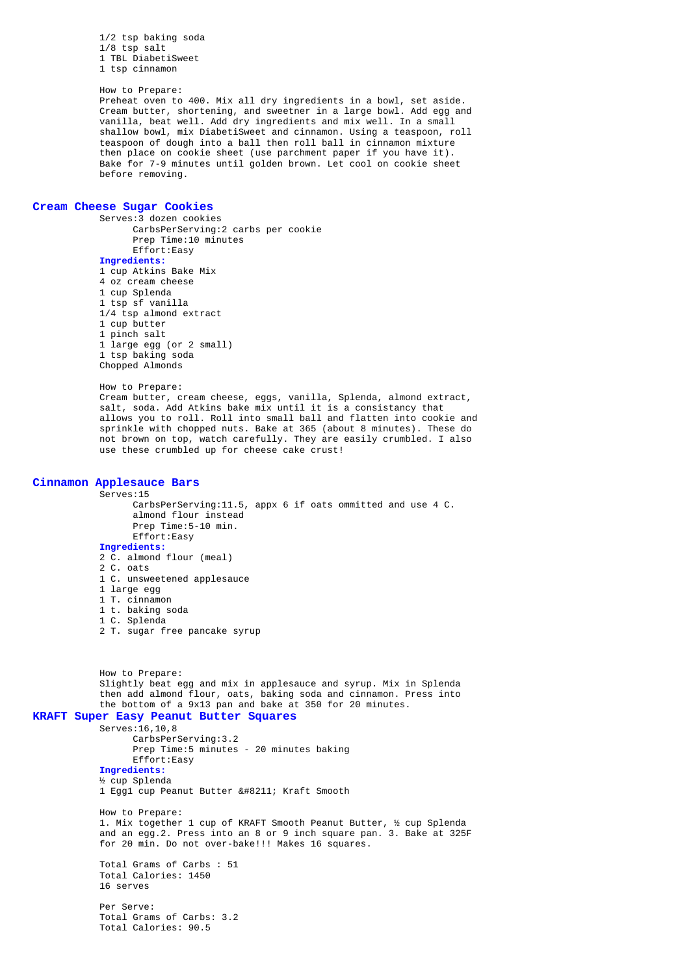1/2 tsp baking soda 1/8 tsp salt 1 TBL DiabetiSweet 1 tsp cinnamon

 How to Prepare: Preheat oven to 400. Mix all dry ingredients in a bowl, set aside. Cream butter, shortening, and sweetner in a large bowl. Add egg and vanilla, beat well. Add dry ingredients and mix well. In a small shallow bowl, mix DiabetiSweet and cinnamon. Using a teaspoon, roll teaspoon of dough into a ball then roll ball in cinnamon mixture then place on cookie sheet (use parchment paper if you have it). Bake for 7-9 minutes until golden brown. Let cool on cookie sheet before removing.

## **Cream Cheese Sugar Cookies**

 Serves:3 dozen cookies CarbsPerServing:2 carbs per cookie Prep Time:10 minutes Effort:Easy **Ingredients:**  1 cup Atkins Bake Mix 4 oz cream cheese 1 cup Splenda 1 tsp sf vanilla 1/4 tsp almond extract 1 cup butter 1 pinch salt 1 large egg (or 2 small) 1 tsp baking soda Chopped Almonds How to Prepare:

 Cream butter, cream cheese, eggs, vanilla, Splenda, almond extract, salt, soda. Add Atkins bake mix until it is a consistancy that allows you to roll. Roll into small ball and flatten into cookie and sprinkle with chopped nuts. Bake at 365 (about 8 minutes). These do not brown on top, watch carefully. They are easily crumbled. I also use these crumbled up for cheese cake crust!

#### **Cinnamon Applesauce Bars**

 Serves:15 CarbsPerServing:11.5, appx 6 if oats ommitted and use 4 C. almond flour instead Prep Time:5-10 min. Effort:Easy  **Ingredients:**  2 C. almond flour (meal) 2 C. oats 1 C. unsweetened applesauce 1 large egg 1 T. cinnamon 1 t. baking soda

- 1 C. Splenda
- 2 T. sugar free pancake syrup

 How to Prepare: Slightly beat egg and mix in applesauce and syrup. Mix in Splenda then add almond flour, oats, baking soda and cinnamon. Press into the bottom of a 9x13 pan and bake at 350 for 20 minutes.

# **KRAFT Super Easy Peanut Butter Squares**

 Serves:16,10,8 CarbsPerServing:3.2 Prep Time:5 minutes - 20 minutes baking Effort:Easy **Ingredients:**  ½ cup Splenda 1 Egg1 cup Peanut Butter – Kraft Smooth

 How to Prepare: 1. Mix together 1 cup of KRAFT Smooth Peanut Butter, ½ cup Splenda and an egg.2. Press into an 8 or 9 inch square pan. 3. Bake at 325F for 20 min. Do not over-bake!!! Makes 16 squares. Total Grams of Carbs : 51

 Total Calories: 1450 16 serves

 Per Serve: Total Grams of Carbs: 3.2 Total Calories: 90.5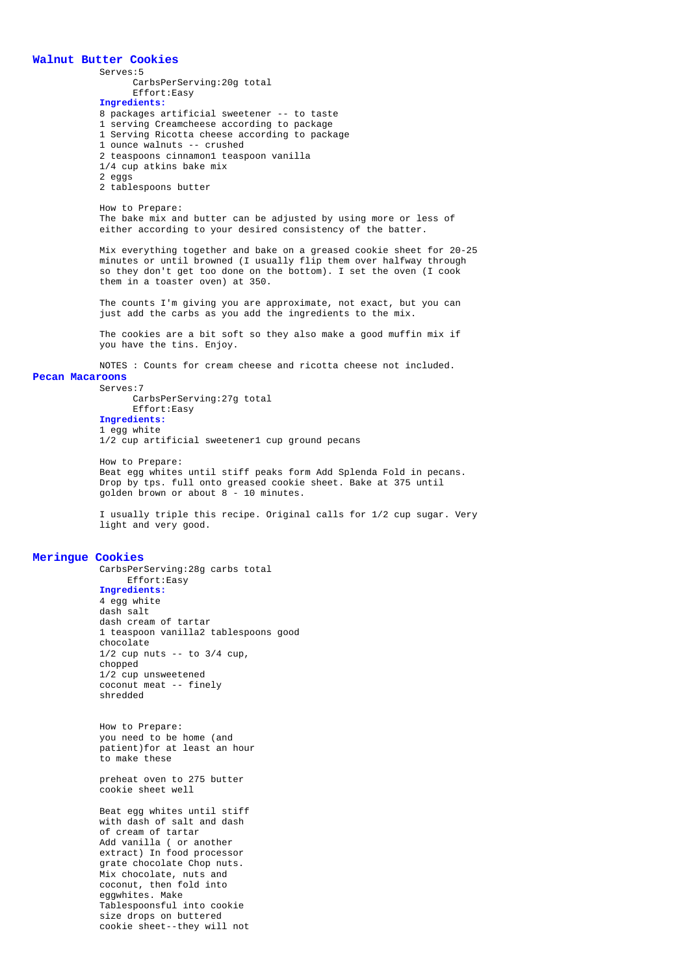**Walnut Butter Cookies**  Serves:5 CarbsPerServing:20g total Effort:Easy **Ingredients:**  8 packages artificial sweetener -- to taste 1 serving Creamcheese according to package 1 Serving Ricotta cheese according to package 1 ounce walnuts -- crushed 2 teaspoons cinnamon1 teaspoon vanilla 1/4 cup atkins bake mix 2 eggs 2 tablespoons butter How to Prepare: The bake mix and butter can be adjusted by using more or less of either according to your desired consistency of the batter. Mix everything together and bake on a greased cookie sheet for 20-25 minutes or until browned (I usually flip them over halfway through so they don't get too done on the bottom). I set the oven (I cook them in a toaster oven) at 350. The counts I'm giving you are approximate, not exact, but you can just add the carbs as you add the ingredients to the mix. The cookies are a bit soft so they also make a good muffin mix if you have the tins. Enjoy. NOTES : Counts for cream cheese and ricotta cheese not included. **Pecan Macaroons**  Serves:7 CarbsPerServing:27g total Effort:Easy **Ingredients:**  1 egg white 1/2 cup artificial sweetener1 cup ground pecans How to Prepare: Beat egg whites until stiff peaks form Add Splenda Fold in pecans. Drop by tps. full onto greased cookie sheet. Bake at 375 until golden brown or about 8 - 10 minutes. I usually triple this recipe. Original calls for 1/2 cup sugar. Very light and very good. **Meringue Cookies**  CarbsPerServing:28g carbs total Effort:Easy  **Ingredients:**  4 egg white dash salt dash cream of tartar 1 teaspoon vanilla2 tablespoons good chocolate  $1/2$  cup nuts  $-$  to  $3/4$  cup, chopped 1/2 cup unsweetened coconut meat -- finely shredded How to Prepare: you need to be home (and patient)for at least an hour to make these preheat oven to 275 butter cookie sheet well Beat egg whites until stiff with dash of salt and dash of cream of tartar Add vanilla ( or another extract) In food processor grate chocolate Chop nuts. Mix chocolate, nuts and coconut, then fold into eggwhites. Make Tablespoonsful into cookie

> size drops on buttered cookie sheet--they will not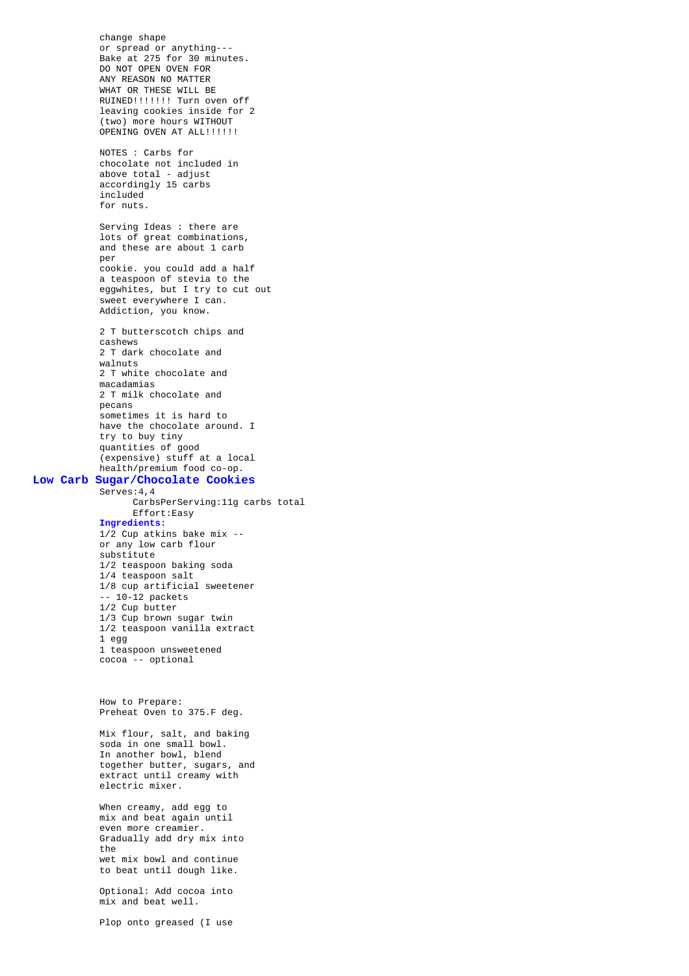change shape or spread or anything--- Bake at 275 for 30 minutes. DO NOT OPEN OVEN FOR ANY REASON NO MATTER WHAT OR THESE WILL BE RUINED!!!!!!! Turn oven off leaving cookies inside for 2 (two) more hours WITHOUT OPENING OVEN AT ALL!!!!!! NOTES : Carbs for chocolate not included in above total - adjust accordingly 15 carbs included for nuts. Serving Ideas : there are lots of great combinations, and these are about 1 carb per cookie. you could add a half a teaspoon of stevia to the eggwhites, but I try to cut out sweet everywhere I can. Addiction, you know. 2 T butterscotch chips and cashews 2 T dark chocolate and walnuts 2 T white chocolate and macadamias 2 T milk chocolate and pecans sometimes it is hard to have the chocolate around. I try to buy tiny quantities of good (expensive) stuff at a local health/premium food co-op. **Low Carb Sugar/Chocolate Cookies**  Serves:4,4 CarbsPerServing:11g carbs total Effort:Easy  **Ingredients:**  1/2 Cup atkins bake mix - or any low carb flour substitute 1/2 teaspoon baking soda 1/4 teaspoon salt 1/8 cup artificial sweetener  $-- 10-12$  packets 1/2 Cup butter 1/3 Cup brown sugar twin 1/2 teaspoon vanilla extract 1 egg 1 teaspoon unsweetened cocoa -- optional How to Prepare: Preheat Oven to 375.F deg. Mix flour, salt, and baking soda in one small bowl. In another bowl, blend together butter, sugars, and extract until creamy with electric mixer. When creamy, add egg to mix and beat again until even more creamier. Gradually add dry mix into the wet mix bowl and continue to beat until dough like. Optional: Add cocoa into mix and beat well. Plop onto greased (I use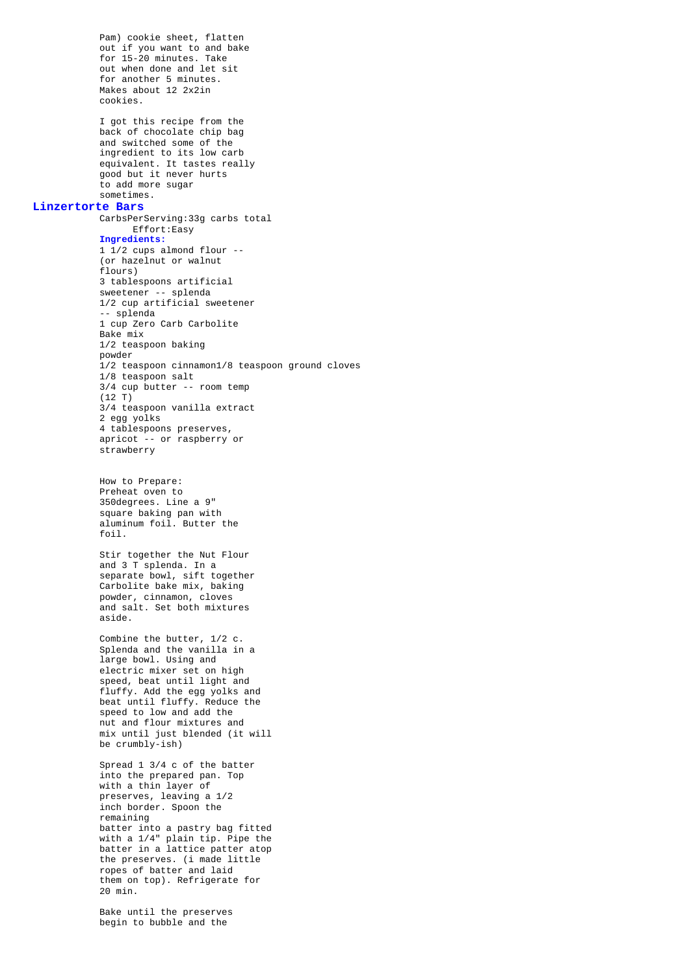Pam) cookie sheet, flatten out if you want to and bake for 15-20 minutes. Take out when done and let sit for another 5 minutes. Makes about 12 2x2in cookies. I got this recipe from the back of chocolate chip bag and switched some of the ingredient to its low carb equivalent. It tastes really good but it never hurts to add more sugar sometimes. **Linzertorte Bars**  CarbsPerServing:33g carbs total Effort:Easy **Ingredients:**  1 1/2 cups almond flour -- (or hazelnut or walnut flours) 3 tablespoons artificial sweetener -- splenda 1/2 cup artificial sweetener -- splenda 1 cup Zero Carb Carbolite Bake mix 1/2 teaspoon baking powder 1/2 teaspoon cinnamon1/8 teaspoon ground cloves 1/8 teaspoon salt 3/4 cup butter -- room temp (12 T) 3/4 teaspoon vanilla extract 2 egg yolks 4 tablespoons preserves, apricot -- or raspberry or strawberry How to Prepare: Preheat oven to 350degrees. Line a 9" square baking pan with aluminum foil. Butter the foil. Stir together the Nut Flour and 3 T splenda. In a separate bowl, sift together Carbolite bake mix, baking powder, cinnamon, cloves and salt. Set both mixtures aside. Combine the butter, 1/2 c. Splenda and the vanilla in a large bowl. Using and electric mixer set on high speed, beat until light and fluffy. Add the egg yolks and beat until fluffy. Reduce the speed to low and add the nut and flour mixtures and mix until just blended (it will be crumbly-ish) Spread 1 3/4 c of the batter into the prepared pan. Top with a thin layer of preserves, leaving a 1/2 inch border. Spoon the remaining batter into a pastry bag fitted with a 1/4" plain tip. Pipe the batter in a lattice patter atop the preserves. (i made little ropes of batter and laid them on top). Refrigerate for 20 min.

 Bake until the preserves begin to bubble and the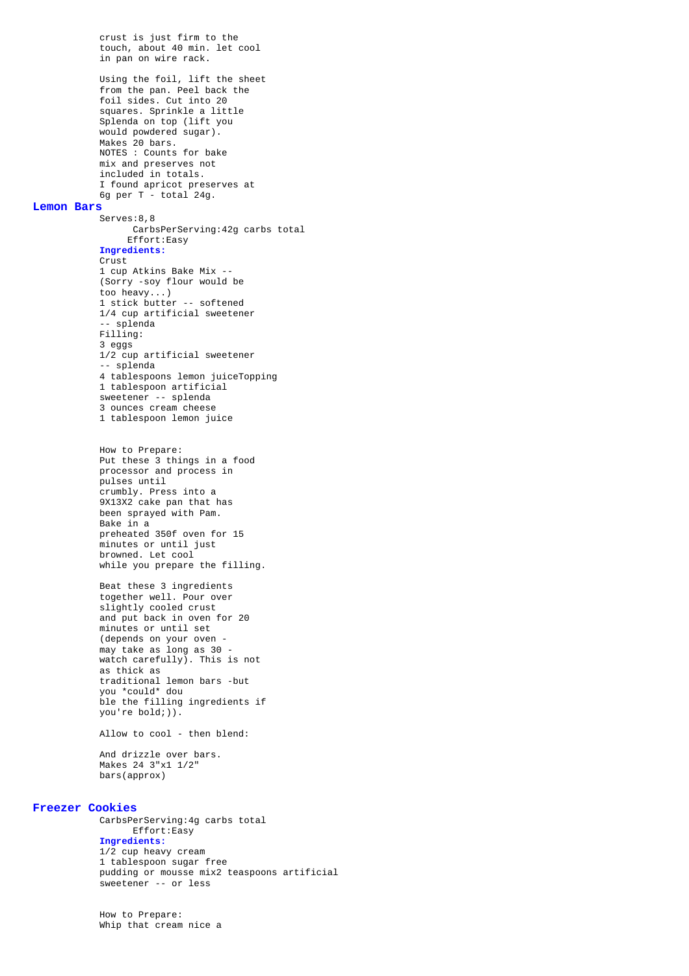crust is just firm to the touch, about 40 min. let cool in pan on wire rack. Using the foil, lift the sheet from the pan. Peel back the foil sides. Cut into 20 squares. Sprinkle a little Splenda on top (lift you would powdered sugar). Makes 20 bars. NOTES : Counts for bake mix and preserves not included in totals. I found apricot preserves at 6g per T - total 24g. **Lemon Bars**  Serves:8,8 CarbsPerServing:42g carbs total Effort:Easy  **Ingredients:**  Crust 1 cup Atkins Bake Mix -- (Sorry -soy flour would be too heavy...) 1 stick butter -- softened 1/4 cup artificial sweetener -- splenda Filling: 3 eggs 1/2 cup artificial sweetener -- splenda 4 tablespoons lemon juiceTopping 1 tablespoon artificial sweetener -- splenda 3 ounces cream cheese 1 tablespoon lemon juice How to Prepare: Put these 3 things in a food processor and process in pulses until crumbly. Press into a 9X13X2 cake pan that has been sprayed with Pam. Bake in a preheated 350f oven for 15 minutes or until just browned. Let cool while you prepare the filling. Beat these 3 ingredients together well. Pour over slightly cooled crust and put back in oven for 20 minutes or until set (depends on your oven may take as long as 30 watch carefully). This is not as thick as

 traditional lemon bars -but you \*could\* dou ble the filling ingredients if you're bold;)).

Allow to cool - then blend:

 And drizzle over bars. Makes 24 3"x1 1/2" bars(approx)

# **Freezer Cookies**

 CarbsPerServing:4g carbs total Effort:Easy  **Ingredients:**  1/2 cup heavy cream 1 tablespoon sugar free pudding or mousse mix2 teaspoons artificial sweetener -- or less

 How to Prepare: Whip that cream nice a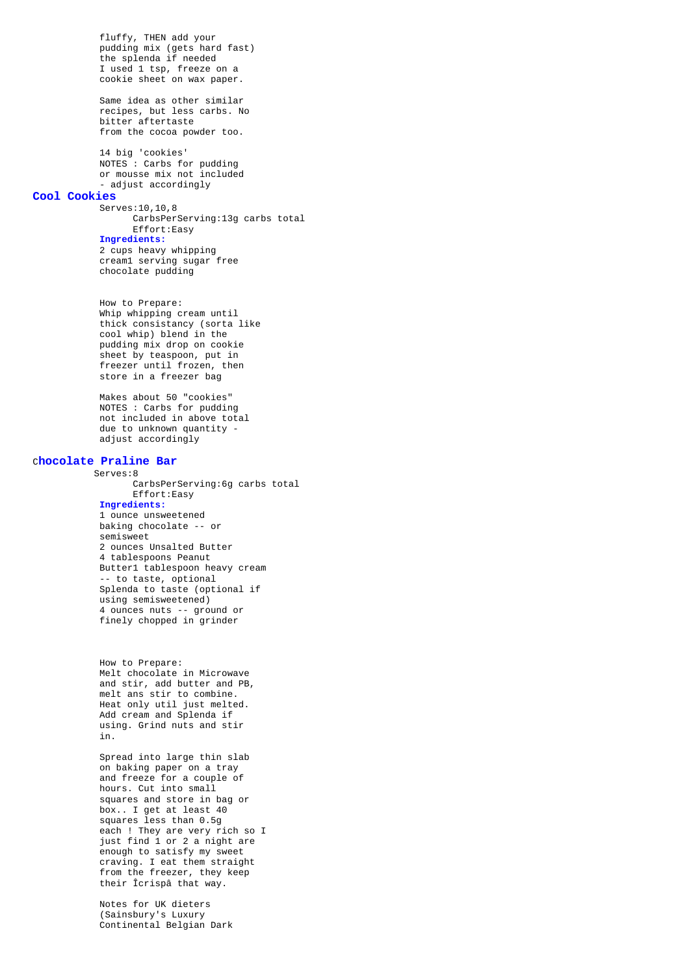fluffy, THEN add your pudding mix (gets hard fast) the splenda if needed I used 1 tsp, freeze on a cookie sheet on wax paper. Same idea as other similar recipes, but less carbs. No bitter aftertaste from the cocoa powder too. 14 big 'cookies' NOTES : Carbs for pudding or mousse mix not included - adjust accordingly **Cool Cookies**  Serves:10,10,8 CarbsPerServing:13g carbs total Effort:Easy  **Ingredients:**  2 cups heavy whipping cream1 serving sugar free chocolate pudding How to Prepare: Whip whipping cream until thick consistancy (sorta like cool whip) blend in the pudding mix drop on cookie sheet by teaspoon, put in freezer until frozen, then store in a freezer bag Makes about 50 "cookies" NOTES : Carbs for pudding not included in above total due to unknown quantity adjust accordingly C**hocolate Praline Bar** Serves:8 CarbsPerServing:6g carbs total Effort:Easy **Ingredients:**  1 ounce unsweetened baking chocolate -- or semisweet 2 ounces Unsalted Butter 4 tablespoons Peanut Butter1 tablespoon heavy cream -- to taste, optional Splenda to taste (optional if using semisweetened) 4 ounces nuts -- ground or finely chopped in grinder How to Prepare: Melt chocolate in Microwave and stir, add butter and PB, melt ans stir to combine. Heat only util just melted. Add cream and Splenda if using. Grind nuts and stir in. Spread into large thin slab on baking paper on a tray and freeze for a couple of hours. Cut into small squares and store in bag or box.. I get at least 40 squares less than 0.5g each ! They are very rich so I just find 1 or 2 a night are enough to satisfy my sweet craving. I eat them straight from the freezer, they keep their Îcrispâ that way.

> Notes for UK dieters (Sainsbury's Luxury Continental Belgian Dark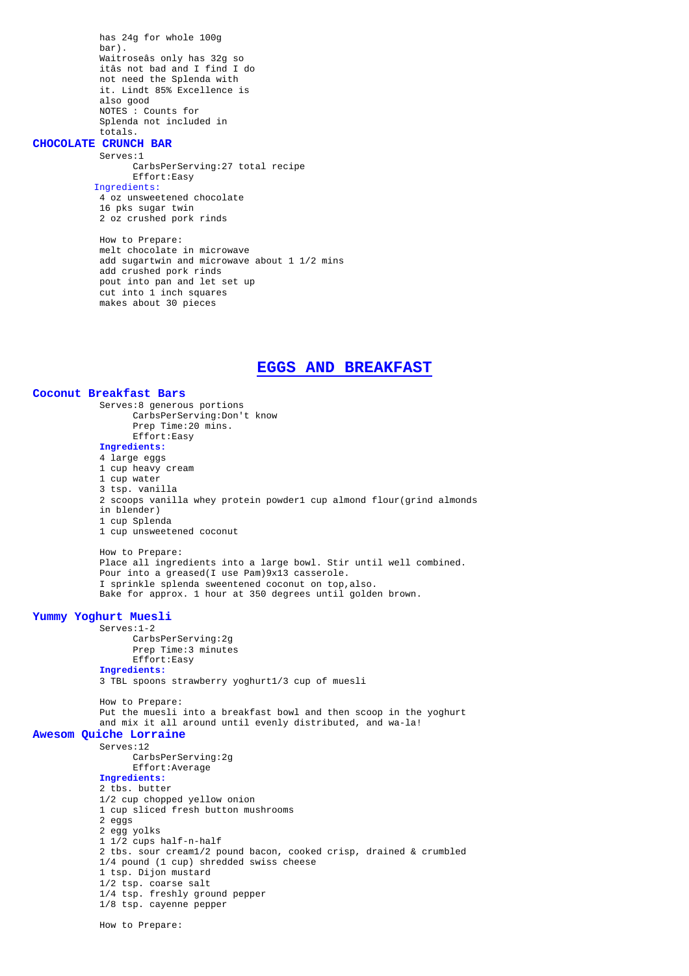has 24g for whole 100g bar). Waitroseâs only has 32g so itâs not bad and I find I do not need the Splenda with it. Lindt 85% Excellence is also good NOTES : Counts for Splenda not included in totals. **CHOCOLATE CRUNCH BAR** Serves:1 CarbsPerServing:27 total recipe Effort:Easy Ingredients: 4 oz unsweetened chocolate 16 pks sugar twin 2 oz crushed pork rinds How to Prepare: melt chocolate in microwave add sugartwin and microwave about 1 1/2 mins add crushed pork rinds pout into pan and let set up

 cut into 1 inch squares makes about 30 pieces

**EGGS AND BREAKFAST**

### **Coconut Breakfast Bars**  Serves:8 generous portions CarbsPerServing:Don't know Prep Time:20 mins. Effort:Easy  **Ingredients:**  4 large eggs 1 cup heavy cream 1 cup water 3 tsp. vanilla 2 scoops vanilla whey protein powder1 cup almond flour(grind almonds in blender) 1 cup Splenda 1 cup unsweetened coconut How to Prepare: Place all ingredients into a large bowl. Stir until well combined. Pour into a greased(I use Pam)9x13 casserole. I sprinkle splenda sweentened coconut on top,also. Bake for approx. 1 hour at 350 degrees until golden brown. **Yummy Yoghurt Muesli**  Serves:1-2 CarbsPerServing:2g Prep Time:3 minutes Effort:Easy  **Ingredients:**  3 TBL spoons strawberry yoghurt1/3 cup of muesli How to Prepare: Put the muesli into a breakfast bowl and then scoop in the yoghurt and mix it all around until evenly distributed, and wa-la! **Awesom Quiche Lorraine**  Serves:12 CarbsPerServing:2g Effort:Average  **Ingredients:**  2 tbs. butter 1/2 cup chopped yellow onion 1 cup sliced fresh button mushrooms 2 eggs 2 egg yolks 1 1/2 cups half-n-half 2 tbs. sour cream1/2 pound bacon, cooked crisp, drained & crumbled 1/4 pound (1 cup) shredded swiss cheese 1 tsp. Dijon mustard 1/2 tsp. coarse salt 1/4 tsp. freshly ground pepper 1/8 tsp. cayenne pepper How to Prepare: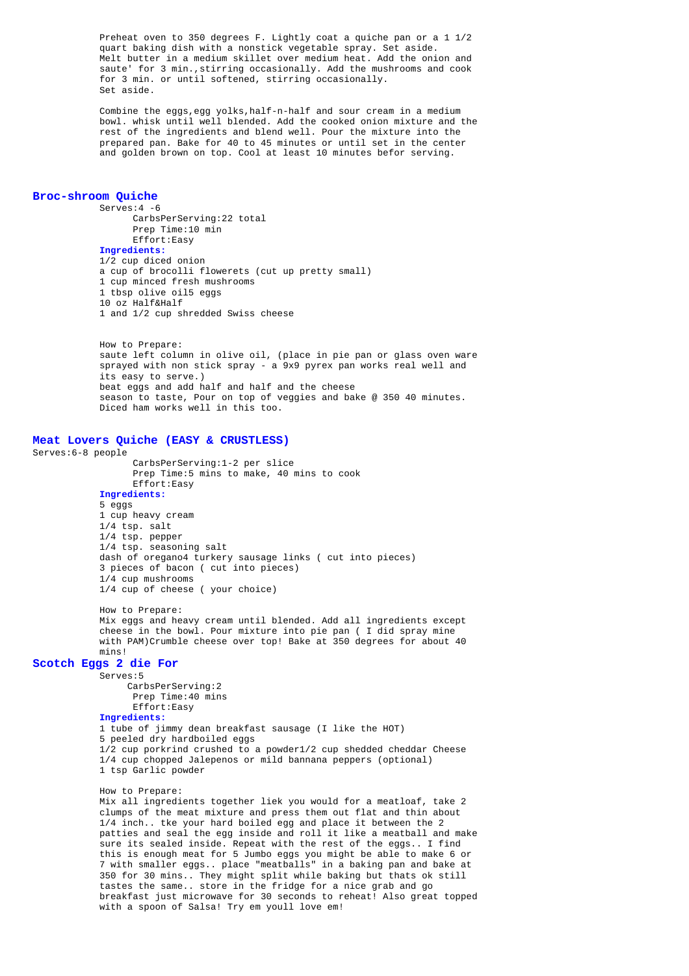Preheat oven to 350 degrees F. Lightly coat a quiche pan or a 1 1/2 quart baking dish with a nonstick vegetable spray. Set aside. Melt butter in a medium skillet over medium heat. Add the onion and saute' for 3 min.,stirring occasionally. Add the mushrooms and cook for 3 min. or until softened, stirring occasionally. Set aside.

 Combine the eggs,egg yolks,half-n-half and sour cream in a medium bowl. whisk until well blended. Add the cooked onion mixture and the rest of the ingredients and blend well. Pour the mixture into the prepared pan. Bake for 40 to 45 minutes or until set in the center and golden brown on top. Cool at least 10 minutes befor serving.

### **Broc-shroom Quiche**

 Serves:4 -6 CarbsPerServing:22 total Prep Time:10 min Effort:Easy  **Ingredients:**  1/2 cup diced onion a cup of brocolli flowerets (cut up pretty small) 1 cup minced fresh mushrooms 1 tbsp olive oil5 eggs 10 oz Half&Half 1 and 1/2 cup shredded Swiss cheese

 How to Prepare: saute left column in olive oil, (place in pie pan or glass oven ware sprayed with non stick spray - a 9x9 pyrex pan works real well and its easy to serve.) beat eggs and add half and half and the cheese season to taste, Pour on top of veggies and bake @ 350 40 minutes. Diced ham works well in this too.

## **Meat Lovers Quiche (EASY & CRUSTLESS)**

 CarbsPerServing:2 Prep Time:40 mins

Serves:6-8 people CarbsPerServing:1-2 per slice Prep Time:5 mins to make, 40 mins to cook Effort:Easy  **Ingredients:**  5 eggs 1 cup heavy cream 1/4 tsp. salt 1/4 tsp. pepper 1/4 tsp. seasoning salt dash of oregano4 turkery sausage links ( cut into pieces) 3 pieces of bacon ( cut into pieces) 1/4 cup mushrooms 1/4 cup of cheese ( your choice) How to Prepare: Mix eggs and heavy cream until blended. Add all ingredients except cheese in the bowl. Pour mixture into pie pan ( I did spray mine with PAM)Crumble cheese over top! Bake at 350 degrees for about 40 mins! **Scotch Eggs 2 die For**  Serves:5

> Effort:Easy **Ingredients:**  1 tube of jimmy dean breakfast sausage (I like the HOT) 5 peeled dry hardboiled eggs 1/2 cup porkrind crushed to a powder1/2 cup shedded cheddar Cheese 1/4 cup chopped Jalepenos or mild bannana peppers (optional) 1 tsp Garlic powder How to Prepare: Mix all ingredients together liek you would for a meatloaf, take 2 clumps of the meat mixture and press them out flat and thin about 1/4 inch.. tke your hard boiled egg and place it between the 2 patties and seal the egg inside and roll it like a meatball and make sure its sealed inside. Repeat with the rest of the eggs.. I find this is enough meat for 5 Jumbo eggs you might be able to make 6 or 7 with smaller eggs.. place "meatballs" in a baking pan and bake at 350 for 30 mins.. They might split while baking but thats ok still tastes the same.. store in the fridge for a nice grab and go breakfast just microwave for 30 seconds to reheat! Also great topped with a spoon of Salsa! Try em youll love em!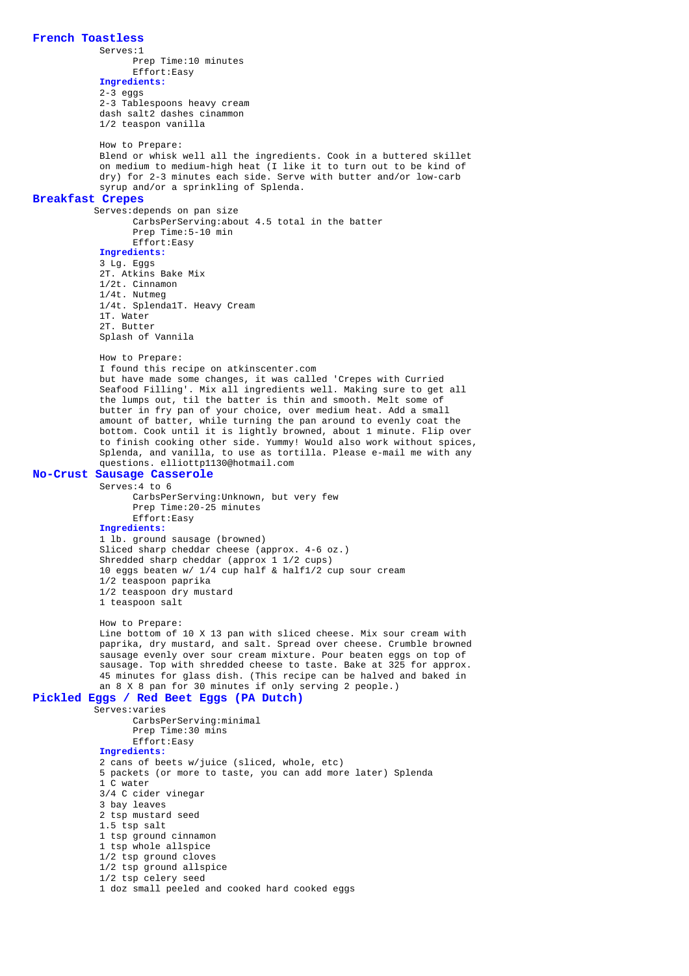**French Toastless**  Serves:1 Prep Time:10 minutes Effort:Easy **Ingredients:**   $2-3$  eggs 2-3 Tablespoons heavy cream dash salt2 dashes cinammon 1/2 teaspon vanilla How to Prepare: Blend or whisk well all the ingredients. Cook in a buttered skillet on medium to medium-high heat (I like it to turn out to be kind of dry) for 2-3 minutes each side. Serve with butter and/or low-carb syrup and/or a sprinkling of Splenda. **Breakfast Crepes**  Serves:depends on pan size CarbsPerServing:about 4.5 total in the batter Prep Time:5-10 min Effort:Easy  **Ingredients:**  3 Lg. Eggs 2T. Atkins Bake Mix 1/2t. Cinnamon 1/4t. Nutmeg 1/4t. Splenda1T. Heavy Cream 1T. Water 2T. Butter Splash of Vannila How to Prepare: I found this recipe on atkinscenter.com but have made some changes, it was called 'Crepes with Curried Seafood Filling'. Mix all ingredients well. Making sure to get all the lumps out, til the batter is thin and smooth. Melt some of butter in fry pan of your choice, over medium heat. Add a small amount of batter, while turning the pan around to evenly coat the bottom. Cook until it is lightly browned, about 1 minute. Flip over to finish cooking other side. Yummy! Would also work without spices, Splenda, and vanilla, to use as tortilla. Please e-mail me with any questions. elliottp1130@hotmail.com **No-Crust Sausage Casserole**  Serves:4 to 6 CarbsPerServing:Unknown, but very few Prep Time:20-25 minutes Effort:Easy **Ingredients:**  1 lb. ground sausage (browned) Sliced sharp cheddar cheese (approx. 4-6 oz.) Shredded sharp cheddar (approx 1 1/2 cups) 10 eggs beaten w/ 1/4 cup half & half1/2 cup sour cream 1/2 teaspoon paprika 1/2 teaspoon dry mustard 1 teaspoon salt How to Prepare: Line bottom of 10 X 13 pan with sliced cheese. Mix sour cream with paprika, dry mustard, and salt. Spread over cheese. Crumble browned sausage evenly over sour cream mixture. Pour beaten eggs on top of sausage. Top with shredded cheese to taste. Bake at 325 for approx. 45 minutes for glass dish. (This recipe can be halved and baked in an 8 X 8 pan for 30 minutes if only serving 2 people.) **Pickled Eggs / Red Beet Eggs (PA Dutch)**  Serves:varies CarbsPerServing:minimal Prep Time:30 mins Effort:Easy **Ingredients:**  2 cans of beets w/juice (sliced, whole, etc) 5 packets (or more to taste, you can add more later) Splenda 1 C water 3/4 C cider vinegar 3 bay leaves 2 tsp mustard seed 1.5 tsp salt 1 tsp ground cinnamon 1 tsp whole allspice 1/2 tsp ground cloves 1/2 tsp ground allspice 1/2 tsp celery seed 1 doz small peeled and cooked hard cooked eggs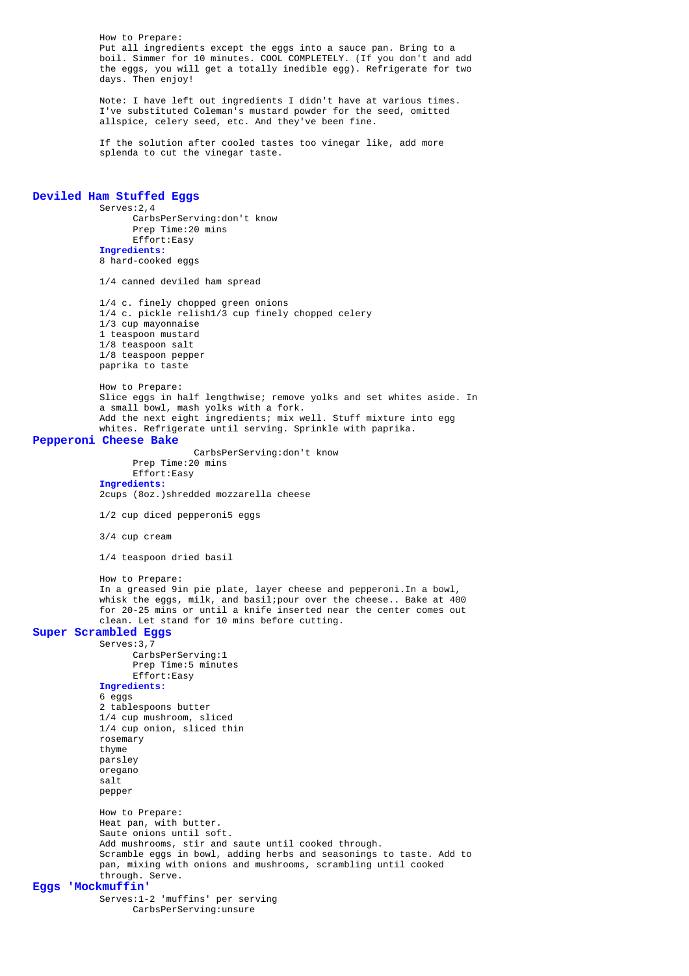How to Prepare: Put all ingredients except the eggs into a sauce pan. Bring to a boil. Simmer for 10 minutes. COOL COMPLETELY. (If you don't and add the eggs, you will get a totally inedible egg). Refrigerate for two days. Then enjoy!

 Note: I have left out ingredients I didn't have at various times. I've substituted Coleman's mustard powder for the seed, omitted allspice, celery seed, etc. And they've been fine.

 If the solution after cooled tastes too vinegar like, add more splenda to cut the vinegar taste.

# **Deviled Ham Stuffed Eggs**

```
 Serves:2,4 
                   CarbsPerServing:don't know 
                    Prep Time:20 mins 
                    Effort:Easy 
              Ingredients: 
              8 hard-cooked eggs 
              1/4 canned deviled ham spread 
             1/4 c. finely chopped green onions 
              1/4 c. pickle relish1/3 cup finely chopped celery 
             1/3 cup mayonnaise 
              1 teaspoon mustard 
              1/8 teaspoon salt 
             1/8 teaspoon pepper 
             paprika to taste 
             How to Prepare: 
             Slice eggs in half lengthwise; remove yolks and set whites aside. In 
              a small bowl, mash yolks with a fork. 
             Add the next eight ingredients; mix well. Stuff mixture into egg 
              whites. Refrigerate until serving. Sprinkle with paprika. 
Pepperoni Cheese Bake 
                                CarbsPerServing:don't know 
                    Prep Time:20 mins 
                    Effort:Easy 
              Ingredients: 
              2cups (8oz.)shredded mozzarella cheese 
              1/2 cup diced pepperoni5 eggs 
              3/4 cup cream 
             1/4 teaspoon dried basil 
              How to Prepare: 
              In a greased 9in pie plate, layer cheese and pepperoni.In a bowl, 
             whisk the eggs, milk, and basil; pour over the cheese.. Bake at 400
              for 20-25 mins or until a knife inserted near the center comes out 
             clean. Let stand for 10 mins before cutting. 
Super Scrambled Eggs 
              Serves:3,7 
                    CarbsPerServing:1 
                    Prep Time:5 minutes 
                    Effort:Easy 
              Ingredients: 
              6 eggs 
              2 tablespoons butter 
             1/4 cup mushroom, sliced 
              1/4 cup onion, sliced thin 
             rosemary 
             thyme 
             parsley 
             oregano 
             salt 
             pepper 
             How to Prepare: 
             Heat pan, with butter. 
              Saute onions until soft. 
             Add mushrooms, stir and saute until cooked through. 
              Scramble eggs in bowl, adding herbs and seasonings to taste. Add to 
             pan, mixing with onions and mushrooms, scrambling until cooked 
             through. Serve. 
Eggs 'Mockmuffin' 
             Serves:1-2 'muffins' per serving 
                    CarbsPerServing:unsure
```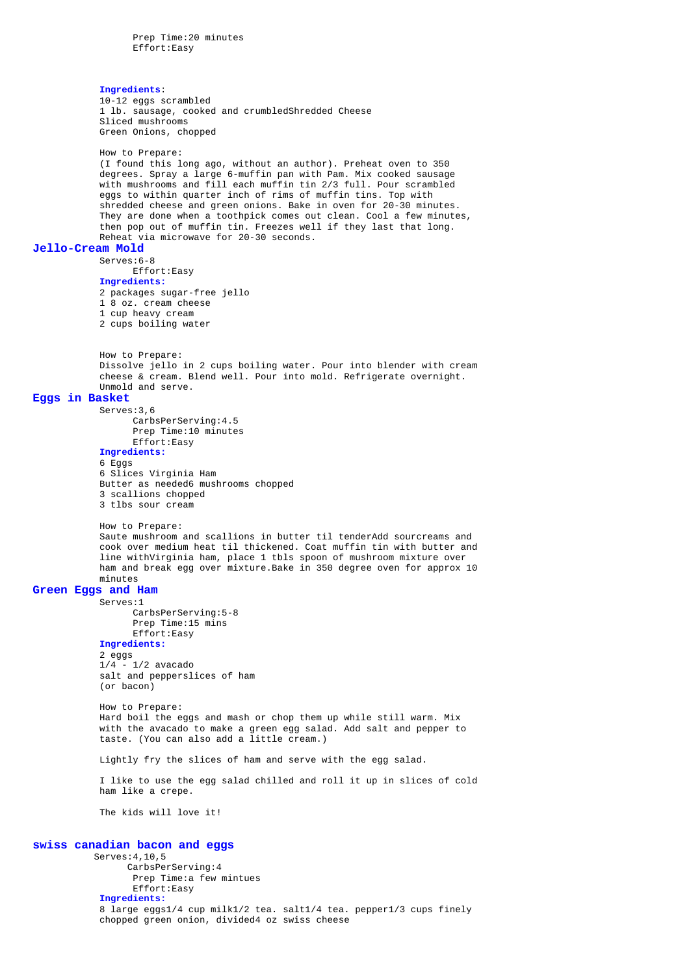Prep Time:20 minutes Effort:Easy

 **Ingredients**: 10-12 eggs scrambled 1 lb. sausage, cooked and crumbledShredded Cheese Sliced mushrooms Green Onions, chopped How to Prepare: (I found this long ago, without an author). Preheat oven to 350 degrees. Spray a large 6-muffin pan with Pam. Mix cooked sausage with mushrooms and fill each muffin tin 2/3 full. Pour scrambled eggs to within quarter inch of rims of muffin tins. Top with shredded cheese and green onions. Bake in oven for 20-30 minutes. They are done when a toothpick comes out clean. Cool a few minutes, then pop out of muffin tin. Freezes well if they last that long. Reheat via microwave for 20-30 seconds. **Jello-Cream Mold**  Serves:6-8 Effort:Easy **Ingredients:**  2 packages sugar-free jello 1 8 oz. cream cheese 1 cup heavy cream 2 cups boiling water How to Prepare: Dissolve jello in 2 cups boiling water. Pour into blender with cream cheese & cream. Blend well. Pour into mold. Refrigerate overnight. Unmold and serve. **Eggs in Basket**  Serves:3,6 CarbsPerServing:4.5 Prep Time:10 minutes Effort:Easy **Ingredients:**  6 Eggs 6 Slices Virginia Ham Butter as needed6 mushrooms chopped 3 scallions chopped 3 tlbs sour cream How to Prepare: Saute mushroom and scallions in butter til tenderAdd sourcreams and cook over medium heat til thickened. Coat muffin tin with butter and line withVirginia ham, place 1 tbls spoon of mushroom mixture over ham and break egg over mixture.Bake in 350 degree oven for approx 10 minutes **Green Eggs and Ham**  Serves:1 CarbsPerServing:5-8 Prep Time:15 mins

# Effort:Easy  **Ingredients:** 2 eggs

 1/4 - 1/2 avacado salt and pepperslices of ham (or bacon)

 How to Prepare: Hard boil the eggs and mash or chop them up while still warm. Mix with the avacado to make a green egg salad. Add salt and pepper to taste. (You can also add a little cream.)

Lightly fry the slices of ham and serve with the egg salad.

 I like to use the egg salad chilled and roll it up in slices of cold ham like a crepe.

The kids will love it!

## **swiss canadian bacon and eggs**

 Serves:4,10,5 CarbsPerServing:4 Prep Time:a few mintues Effort:Easy **Ingredients:**  8 large eggs1/4 cup milk1/2 tea. salt1/4 tea. pepper1/3 cups finely chopped green onion, divided4 oz swiss cheese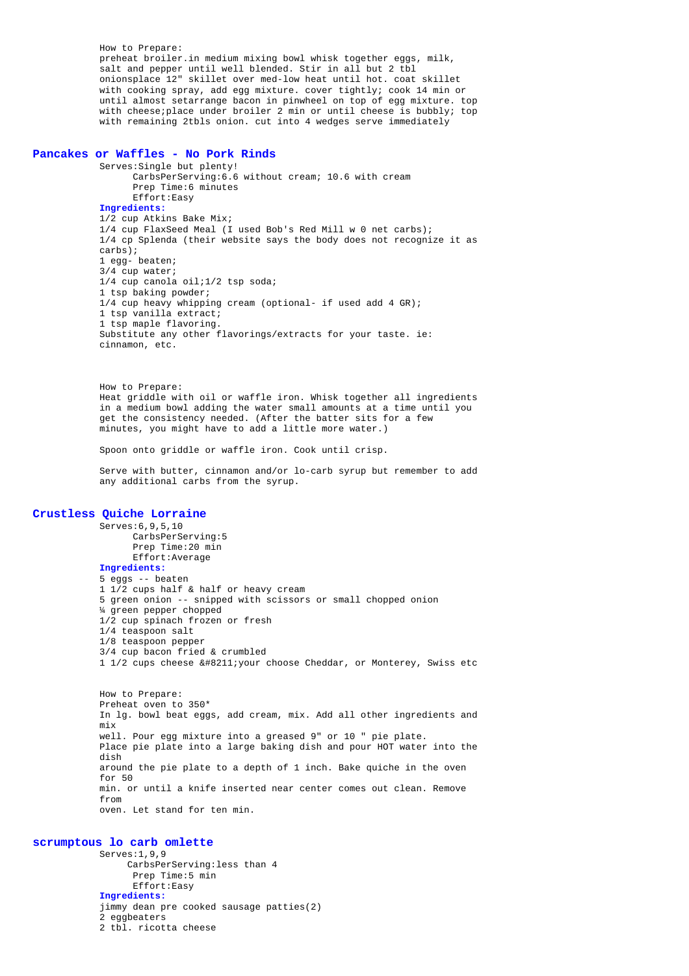How to Prepare: preheat broiler.in medium mixing bowl whisk together eggs, milk, salt and pepper until well blended. Stir in all but 2 tbl onionsplace 12" skillet over med-low heat until hot. coat skillet with cooking spray, add egg mixture. cover tightly; cook 14 min or until almost setarrange bacon in pinwheel on top of egg mixture. top with cheese; place under broiler 2 min or until cheese is bubbly; top with remaining 2tbls onion. cut into 4 wedges serve immediately

### **Pancakes or Waffles - No Pork Rinds**

 Serves:Single but plenty! CarbsPerServing:6.6 without cream; 10.6 with cream Prep Time:6 minutes Effort:Easy  **Ingredients:**  1/2 cup Atkins Bake Mix; 1/4 cup FlaxSeed Meal (I used Bob's Red Mill w 0 net carbs); 1/4 cp Splenda (their website says the body does not recognize it as carbs); 1 egg- beaten; 3/4 cup water; 1/4 cup canola oil;1/2 tsp soda; 1 tsp baking powder; 1/4 cup heavy whipping cream (optional- if used add 4 GR); 1 tsp vanilla extract; 1 tsp maple flavoring. Substitute any other flavorings/extracts for your taste. ie: cinnamon, etc.

 How to Prepare: Heat griddle with oil or waffle iron. Whisk together all ingredients in a medium bowl adding the water small amounts at a time until you get the consistency needed. (After the batter sits for a few minutes, you might have to add a little more water.)

Spoon onto griddle or waffle iron. Cook until crisp.

 Serve with butter, cinnamon and/or lo-carb syrup but remember to add any additional carbs from the syrup.

#### **Crustless Quiche Lorraine**

 Serves:6,9,5,10 CarbsPerServing:5 Prep Time:20 min Effort:Average  **Ingredients:**  5 eggs -- beaten 1 1/2 cups half & half or heavy cream 5 green onion -- snipped with scissors or small chopped onion ¼ green pepper chopped 1/2 cup spinach frozen or fresh 1/4 teaspoon salt 1/8 teaspoon pepper 3/4 cup bacon fried & crumbled 1 1/2 cups cheese &#8211 ; your choose Cheddar, or Monterey, Swiss etc

 How to Prepare: Preheat oven to 350\* In lg. bowl beat eggs, add cream, mix. Add all other ingredients and mix well. Pour egg mixture into a greased 9" or 10 " pie plate. Place pie plate into a large baking dish and pour HOT water into the dish around the pie plate to a depth of 1 inch. Bake quiche in the oven for 50 min. or until a knife inserted near center comes out clean. Remove from oven. Let stand for ten min.

### **scrumptous lo carb omlette**

 Serves:1,9,9 CarbsPerServing:less than 4 Prep Time:5 min Effort:Easy **Ingredients:**  jimmy dean pre cooked sausage patties(2) 2 eggbeaters 2 tbl. ricotta cheese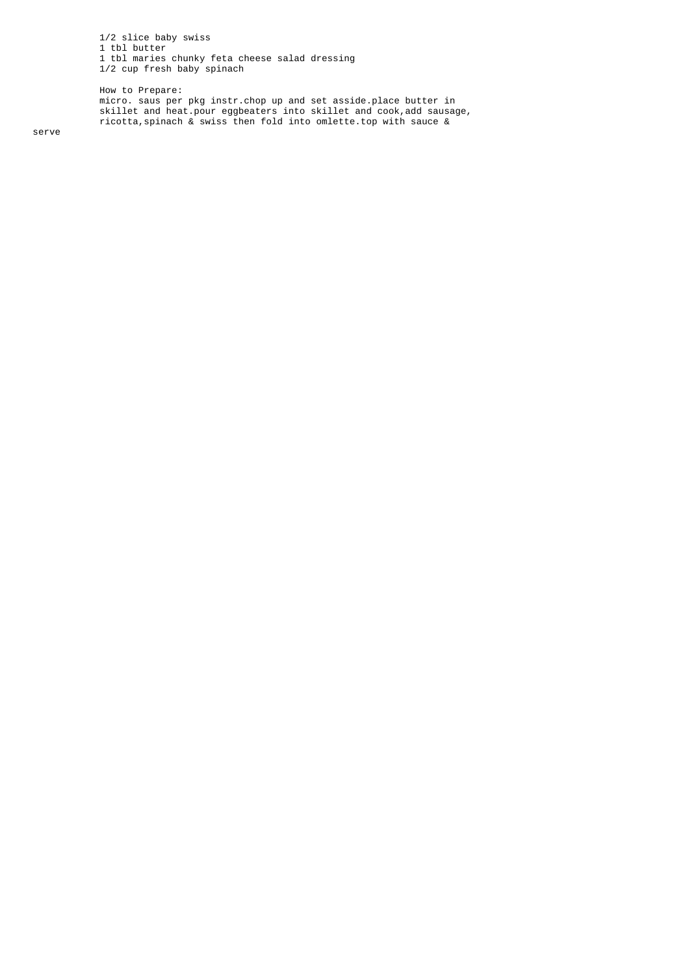1/2 slice baby swiss 1 tbl butter 1 tbl maries chunky feta cheese salad dressing 1/2 cup fresh baby spinach

 How to Prepare: micro. saus per pkg instr.chop up and set asside.place butter in skillet and heat.pour eggbeaters into skillet and cook,add sausage, ricotta,spinach & swiss then fold into omlette.top with sauce &

serve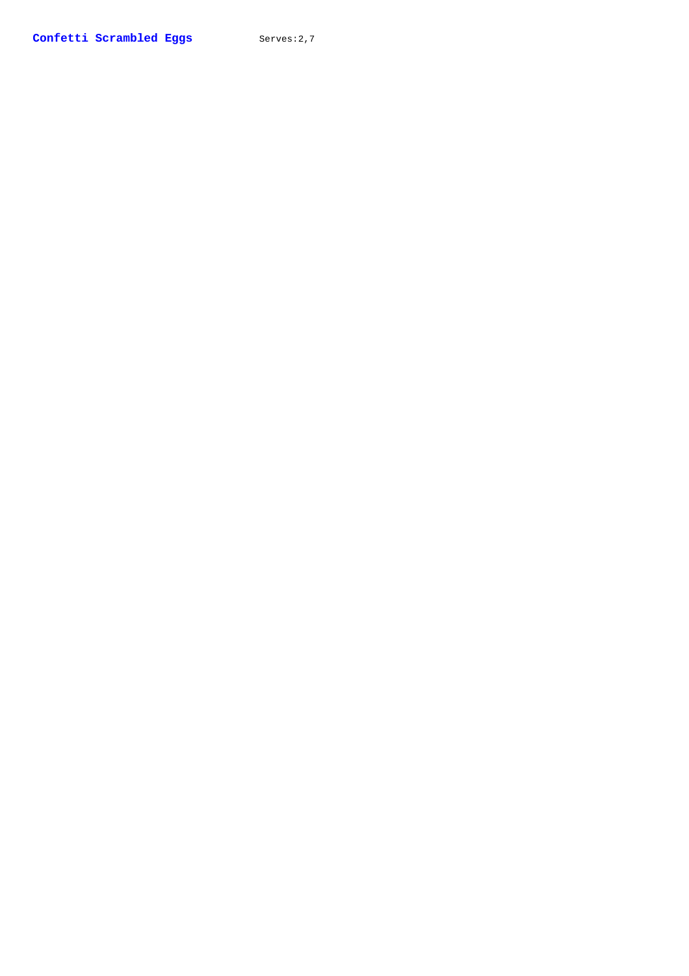**Confetti Scrambled Eggs** Serves: 2,7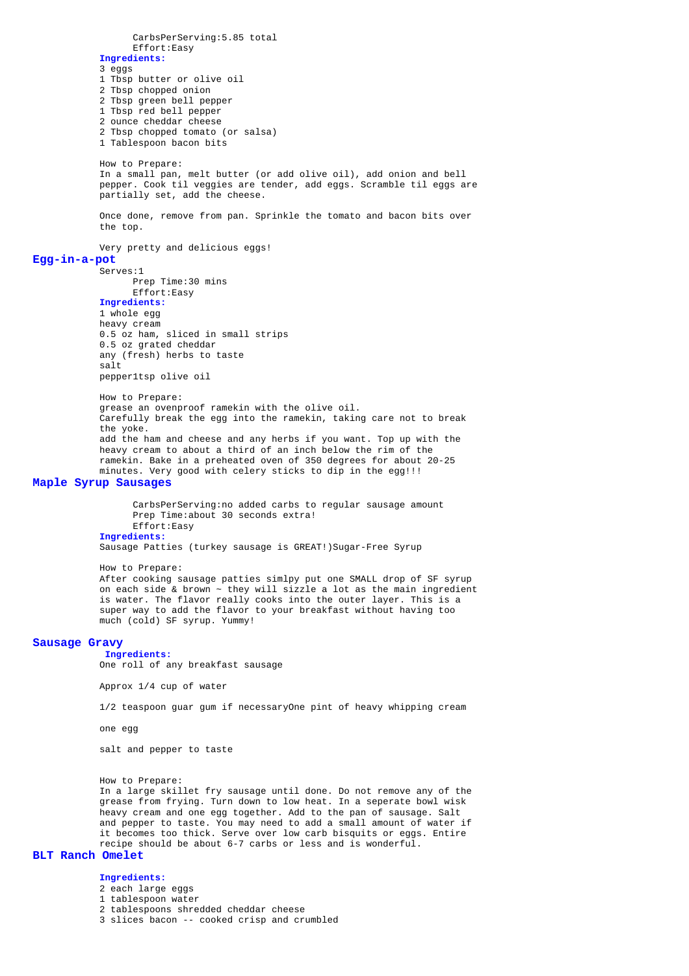```
 Effort:Easy 
             Ingredients: 
             3 eggs 
             1 Tbsp butter or olive oil 
             2 Tbsp chopped onion 
             2 Tbsp green bell pepper 
             1 Tbsp red bell pepper 
             2 ounce cheddar cheese 
             2 Tbsp chopped tomato (or salsa) 
             1 Tablespoon bacon bits 
             How to Prepare: 
             In a small pan, melt butter (or add olive oil), add onion and bell 
             pepper. Cook til veggies are tender, add eggs. Scramble til eggs are 
             partially set, add the cheese. 
             Once done, remove from pan. Sprinkle the tomato and bacon bits over 
             the top. 
             Very pretty and delicious eggs! 
Egg-in-a-pot 
             Serves:1 
                   Prep Time:30 mins 
                   Effort:Easy 
             Ingredients: 
             1 whole egg 
             heavy cream 
             0.5 oz ham, sliced in small strips 
             0.5 oz grated cheddar 
             any (fresh) herbs to taste 
             salt 
             pepper1tsp olive oil 
             How to Prepare: 
             grease an ovenproof ramekin with the olive oil. 
             Carefully break the egg into the ramekin, taking care not to break 
             the yoke. 
             add the ham and cheese and any herbs if you want. Top up with the 
             heavy cream to about a third of an inch below the rim of the 
             ramekin. Bake in a preheated oven of 350 degrees for about 20-25 
             minutes. Very good with celery sticks to dip in the egg!!! 
Maple Syrup Sausages 
                   CarbsPerServing:no added carbs to regular sausage amount 
                   Prep Time:about 30 seconds extra! 
                   Effort:Easy 
             Ingredients: 
             Sausage Patties (turkey sausage is GREAT!)Sugar-Free Syrup 
             How to Prepare: 
             After cooking sausage patties simlpy put one SMALL drop of SF syrup 
            on each side & brown \sim they will sizzle a lot as the main ingredient
 is water. The flavor really cooks into the outer layer. This is a 
 super way to add the flavor to your breakfast without having too 
             much (cold) SF syrup. Yummy! 
Sausage Gravy 
              Ingredients: 
             One roll of any breakfast sausage 
             Approx 1/4 cup of water 
             1/2 teaspoon guar gum if necessaryOne pint of heavy whipping cream 
             one egg 
             salt and pepper to taste 
             How to Prepare: 
             In a large skillet fry sausage until done. Do not remove any of the 
             grease from frying. Turn down to low heat. In a seperate bowl wisk 
             heavy cream and one egg together. Add to the pan of sausage. Salt 
             and pepper to taste. You may need to add a small amount of water if 
             it becomes too thick. Serve over low carb bisquits or eggs. Entire 
             recipe should be about 6-7 carbs or less and is wonderful. 
BLT Ranch Omelet 
             Ingredients:
```
CarbsPerServing:5.85 total

#### 2 each large eggs

- 1 tablespoon water
- 2 tablespoons shredded cheddar cheese
- 3 slices bacon -- cooked crisp and crumbled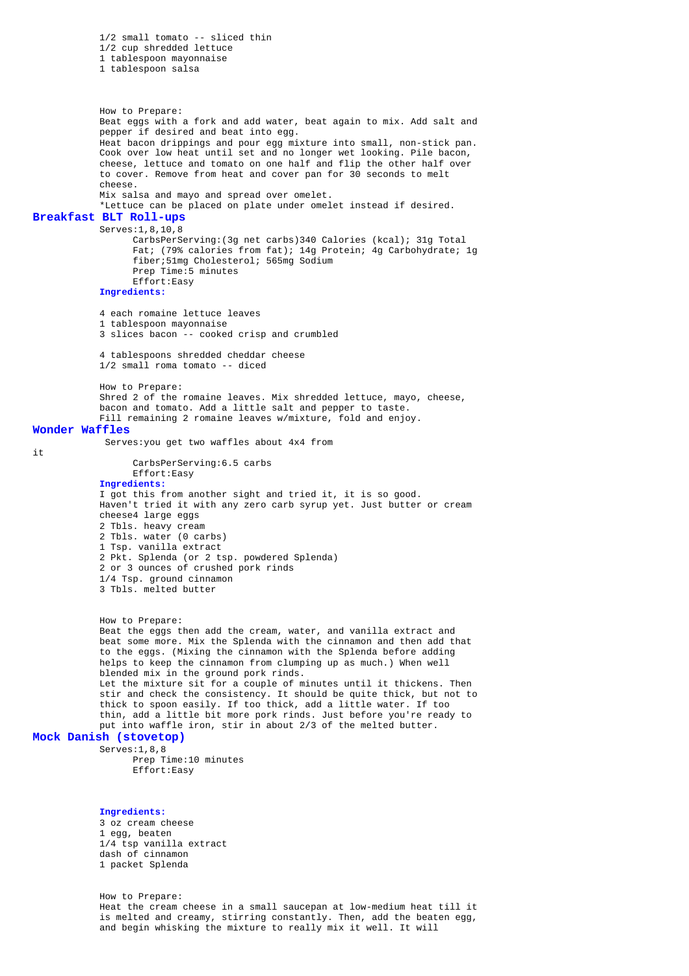```
 1/2 cup shredded lettuce 
             1 tablespoon mayonnaise 
             1 tablespoon salsa 
             How to Prepare: 
             Beat eggs with a fork and add water, beat again to mix. Add salt and 
             pepper if desired and beat into egg. 
             Heat bacon drippings and pour egg mixture into small, non-stick pan. 
             Cook over low heat until set and no longer wet looking. Pile bacon, 
             cheese, lettuce and tomato on one half and flip the other half over 
             to cover. Remove from heat and cover pan for 30 seconds to melt 
             cheese. 
             Mix salsa and mayo and spread over omelet. 
             *Lettuce can be placed on plate under omelet instead if desired. 
Breakfast BLT Roll-ups 
             Serves:1,8,10,8 
                    CarbsPerServing:(3g net carbs)340 Calories (kcal); 31g Total 
                    Fat; (79% calories from fat); 14g Protein; 4g Carbohydrate; 1g 
                    fiber;51mg Cholesterol; 565mg Sodium 
                    Prep Time:5 minutes 
                    Effort:Easy 
             Ingredients: 
             4 each romaine lettuce leaves 
             1 tablespoon mayonnaise 
             3 slices bacon -- cooked crisp and crumbled 
             4 tablespoons shredded cheddar cheese 
             1/2 small roma tomato -- diced 
             How to Prepare: 
             Shred 2 of the romaine leaves. Mix shredded lettuce, mayo, cheese, 
             bacon and tomato. Add a little salt and pepper to taste. 
             Fill remaining 2 romaine leaves w/mixture, fold and enjoy. 
Wonder Waffles 
              Serves:you get two waffles about 4x4 from 
it 
                    CarbsPerServing:6.5 carbs 
                   Effort:Easy 
             Ingredients: 
             I got this from another sight and tried it, it is so good. 
             Haven't tried it with any zero carb syrup yet. Just butter or cream 
             cheese4 large eggs 
             2 Tbls. heavy cream 
             2 Tbls. water (0 carbs) 
             1 Tsp. vanilla extract 
             2 Pkt. Splenda (or 2 tsp. powdered Splenda) 
             2 or 3 ounces of crushed pork rinds 
             1/4 Tsp. ground cinnamon 
             3 Tbls. melted butter 
             How to Prepare: 
             Beat the eggs then add the cream, water, and vanilla extract and 
             beat some more. Mix the Splenda with the cinnamon and then add that 
             to the eggs. (Mixing the cinnamon with the Splenda before adding 
             helps to keep the cinnamon from clumping up as much.) When well 
             blended mix in the ground pork rinds. 
             Let the mixture sit for a couple of minutes until it thickens. Then 
             stir and check the consistency. It should be quite thick, but not to 
             thick to spoon easily. If too thick, add a little water. If too 
             thin, add a little bit more pork rinds. Just before you're ready to 
             put into waffle iron, stir in about 2/3 of the melted butter. 
Mock Danish (stovetop) 
             Serves:1,8,8 
                    Prep Time:10 minutes 
                    Effort:Easy 
             Ingredients: 
             3 oz cream cheese 
             1 egg, beaten 
             1/4 tsp vanilla extract 
             dash of cinnamon 
             1 packet Splenda 
             How to Prepare:
```
1/2 small tomato -- sliced thin

 Heat the cream cheese in a small saucepan at low-medium heat till it is melted and creamy, stirring constantly. Then, add the beaten egg, and begin whisking the mixture to really mix it well. It will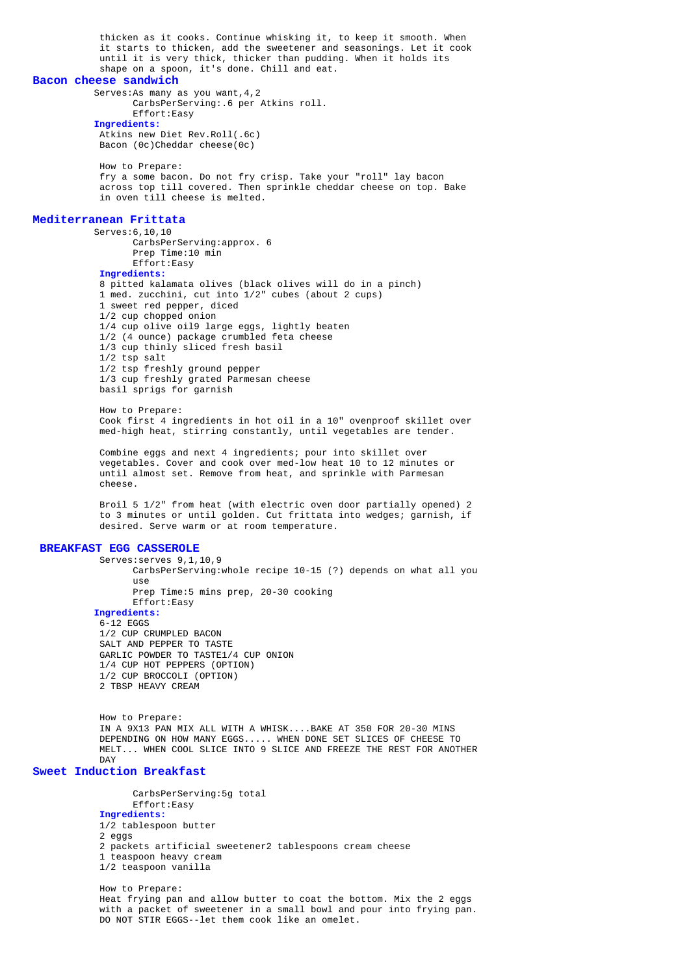thicken as it cooks. Continue whisking it, to keep it smooth. When it starts to thicken, add the sweetener and seasonings. Let it cook until it is very thick, thicker than pudding. When it holds its shape on a spoon, it's done. Chill and eat. **Bacon cheese sandwich**  Serves:As many as you want,4,2 CarbsPerServing:.6 per Atkins roll. Effort:Easy **Ingredients:**  Atkins new Diet Rev.Roll(.6c) Bacon (0c)Cheddar cheese(0c) How to Prepare: fry a some bacon. Do not fry crisp. Take your "roll" lay bacon across top till covered. Then sprinkle cheddar cheese on top. Bake in oven till cheese is melted. **Mediterranean Frittata**  Serves:6,10,10 CarbsPerServing:approx. 6 Prep Time:10 min Effort:Easy  **Ingredients:**  8 pitted kalamata olives (black olives will do in a pinch) 1 med. zucchini, cut into 1/2" cubes (about 2 cups) 1 sweet red pepper, diced 1/2 cup chopped onion 1/4 cup olive oil9 large eggs, lightly beaten 1/2 (4 ounce) package crumbled feta cheese 1/3 cup thinly sliced fresh basil 1/2 tsp salt 1/2 tsp freshly ground pepper 1/3 cup freshly grated Parmesan cheese basil sprigs for garnish How to Prepare: Cook first 4 ingredients in hot oil in a 10" ovenproof skillet over med-high heat, stirring constantly, until vegetables are tender. Combine eggs and next 4 ingredients; pour into skillet over vegetables. Cover and cook over med-low heat 10 to 12 minutes or until almost set. Remove from heat, and sprinkle with Parmesan cheese. Broil 5 1/2" from heat (with electric oven door partially opened) 2 to 3 minutes or until golden. Cut frittata into wedges; garnish, if desired. Serve warm or at room temperature.  **BREAKFAST EGG CASSEROLE**  Serves:serves 9,1,10,9 CarbsPerServing:whole recipe 10-15 (?) depends on what all you use Prep Time:5 mins prep, 20-30 cooking Effort:Easy  **Ingredients:**  6-12 EGGS 1/2 CUP CRUMPLED BACON SALT AND PEPPER TO TASTE GARLIC POWDER TO TASTE1/4 CUP ONION 1/4 CUP HOT PEPPERS (OPTION) 1/2 CUP BROCCOLI (OPTION) 2 TBSP HEAVY CREAM How to Prepare: IN A 9X13 PAN MIX ALL WITH A WHISK....BAKE AT 350 FOR 20-30 MINS DEPENDING ON HOW MANY EGGS..... WHEN DONE SET SLICES OF CHEESE TO MELT... WHEN COOL SLICE INTO 9 SLICE AND FREEZE THE REST FOR ANOTHER DAY **Sweet Induction Breakfast**  CarbsPerServing:5g total Effort:Easy  **Ingredients:**  1/2 tablespoon butter 2 eggs 2 packets artificial sweetener2 tablespoons cream cheese 1 teaspoon heavy cream 1/2 teaspoon vanilla How to Prepare: Heat frying pan and allow butter to coat the bottom. Mix the 2 eggs with a packet of sweetener in a small bowl and pour into frying pan. DO NOT STIR EGGS--let them cook like an omelet.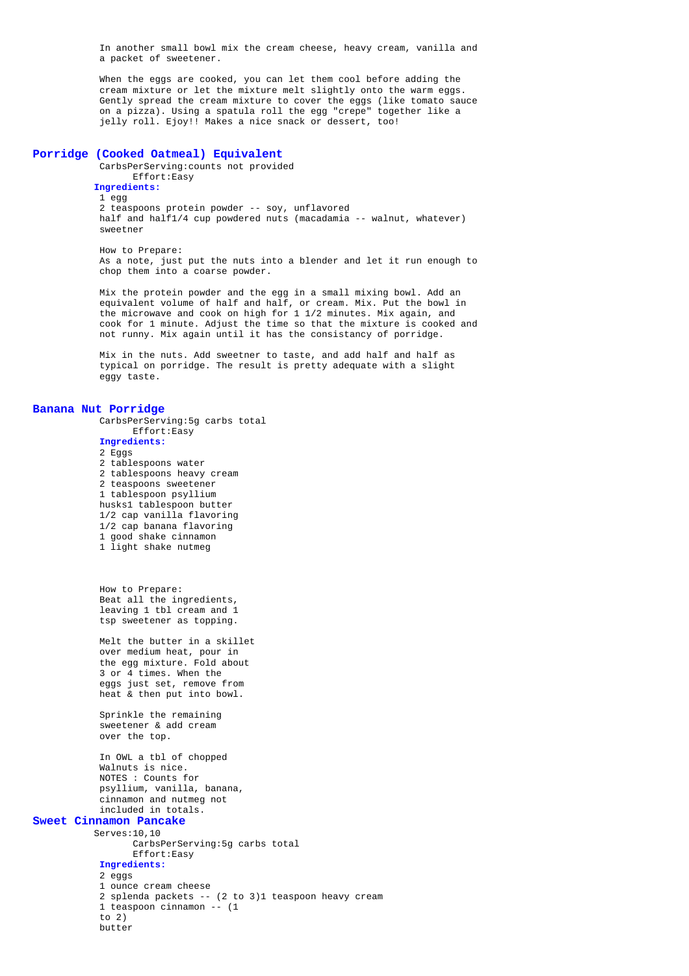In another small bowl mix the cream cheese, heavy cream, vanilla and a packet of sweetener.

 When the eggs are cooked, you can let them cool before adding the cream mixture or let the mixture melt slightly onto the warm eggs. Gently spread the cream mixture to cover the eggs (like tomato sauce on a pizza). Using a spatula roll the egg "crepe" together like a jelly roll. Ejoy!! Makes a nice snack or dessert, too!

## **Porridge (Cooked Oatmeal) Equivalent**

 CarbsPerServing:counts not provided Effort:Easy

 **Ingredients:**  1 egg

 2 teaspoons protein powder -- soy, unflavored half and half1/4 cup powdered nuts (macadamia -- walnut, whatever) sweetner

 How to Prepare: As a note, just put the nuts into a blender and let it run enough to chop them into a coarse powder.

 Mix the protein powder and the egg in a small mixing bowl. Add an equivalent volume of half and half, or cream. Mix. Put the bowl in the microwave and cook on high for 1 1/2 minutes. Mix again, and cook for 1 minute. Adjust the time so that the mixture is cooked and not runny. Mix again until it has the consistancy of porridge.

 Mix in the nuts. Add sweetner to taste, and add half and half as typical on porridge. The result is pretty adequate with a slight eggy taste.

#### **Banana Nut Porridge**

 CarbsPerServing:5g carbs total Effort:Easy **Ingredients:**  2 Eggs 2 tablespoons water 2 tablespoons heavy cream 2 teaspoons sweetener 1 tablespoon psyllium husks1 tablespoon butter 1/2 cap vanilla flavoring 1/2 cap banana flavoring 1 good shake cinnamon 1 light shake nutmeg How to Prepare: Beat all the ingredients, leaving 1 tbl cream and 1 tsp sweetener as topping. Melt the butter in a skillet over medium heat, pour in the egg mixture. Fold about 3 or 4 times. When the eggs just set, remove from heat & then put into bowl. Sprinkle the remaining sweetener & add cream over the top. In OWL a tbl of chopped Walnuts is nice. NOTES : Counts for psyllium, vanilla, banana, cinnamon and nutmeg not included in totals. **Sweet Cinnamon Pancake**  Serves:10,10 CarbsPerServing:5g carbs total Effort:Easy  **Ingredients:**  2 eggs 1 ounce cream cheese 2 splenda packets -- (2 to 3)1 teaspoon heavy cream 1 teaspoon cinnamon -- (1 to 2) butter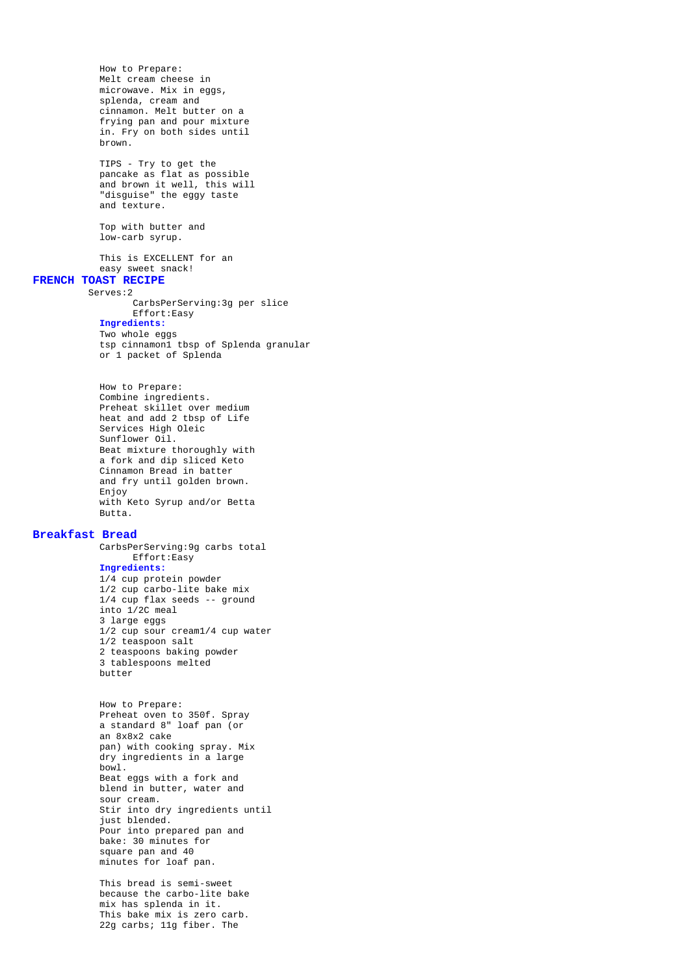How to Prepare: Melt cream cheese in microwave. Mix in eggs, splenda, cream and cinnamon. Melt butter on a frying pan and pour mixture in. Fry on both sides until brown. TIPS - Try to get the pancake as flat as possible and brown it well, this will "disguise" the eggy taste and texture. Top with butter and low-carb syrup. This is EXCELLENT for an easy sweet snack! **FRENCH TOAST RECIPE**  Serves:2 CarbsPerServing:3g per slice Effort:Easy **Ingredients:**  Two whole eggs tsp cinnamon1 tbsp of Splenda granular or 1 packet of Splenda How to Prepare: Combine ingredients. Preheat skillet over medium heat and add 2 tbsp of Life Services High Oleic Sunflower Oil. Beat mixture thoroughly with a fork and dip sliced Keto Cinnamon Bread in batter and fry until golden brown. Enjoy with Keto Syrup and/or Betta Butta. **Breakfast Bread**  CarbsPerServing:9g carbs total Effort:Easy  **Ingredients:**  1/4 cup protein powder 1/2 cup carbo-lite bake mix 1/4 cup flax seeds -- ground into 1/2C meal 3 large eggs 1/2 cup sour cream1/4 cup water 1/2 teaspoon salt 2 teaspoons baking powder 3 tablespoons melted butter How to Prepare: Preheat oven to 350f. Spray a standard 8" loaf pan (or an 8x8x2 cake pan) with cooking spray. Mix dry ingredients in a large bowl. Beat eggs with a fork and blend in butter, water and sour cream. Stir into dry ingredients until just blended. Pour into prepared pan and bake: 30 minutes for square pan and 40 minutes for loaf pan.

> This bread is semi-sweet because the carbo-lite bake mix has splenda in it. This bake mix is zero carb. 22g carbs; 11g fiber. The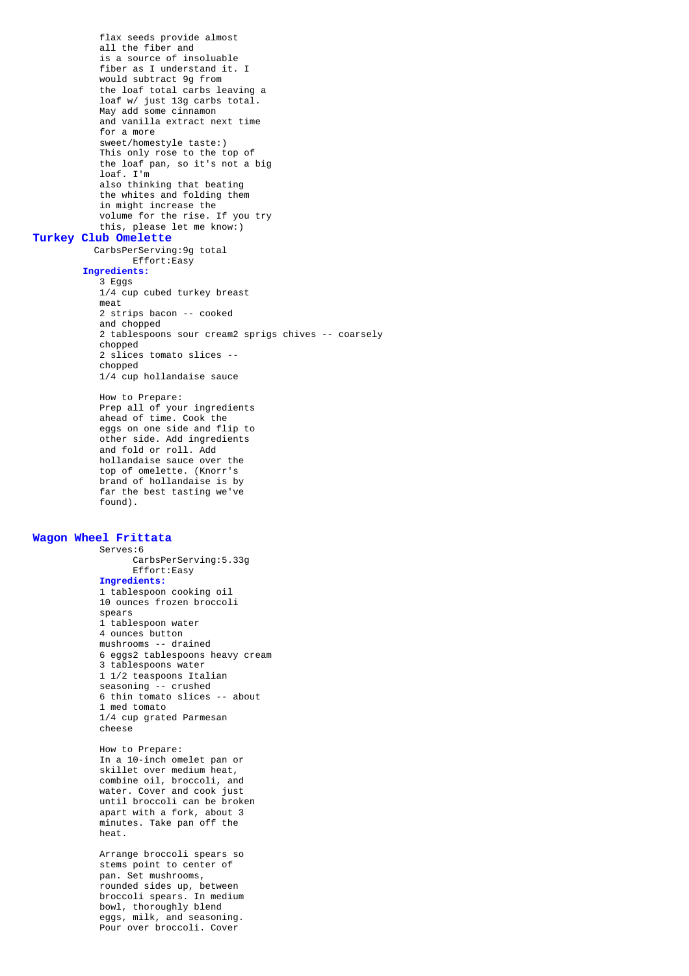```
 flax seeds provide almost 
              all the fiber and 
              is a source of insoluable 
              fiber as I understand it. I 
              would subtract 9g from 
              the loaf total carbs leaving a 
              loaf w/ just 13g carbs total. 
              May add some cinnamon 
              and vanilla extract next time 
              for a more 
              sweet/homestyle taste:) 
              This only rose to the top of 
              the loaf pan, so it's not a big 
              loaf. I'm 
              also thinking that beating 
              the whites and folding them 
              in might increase the 
              volume for the rise. If you try 
              this, please let me know:) 
Turkey Club Omelette 
            CarbsPerServing:9g total 
                   Effort:Easy 
          Ingredients: 
              3 Eggs 
              1/4 cup cubed turkey breast 
             meat 
              2 strips bacon -- cooked 
              and chopped 
              2 tablespoons sour cream2 sprigs chives -- coarsely 
              chopped 
              2 slices tomato slices -- 
              chopped 
              1/4 cup hollandaise sauce 
              How to Prepare: 
              Prep all of your ingredients 
              ahead of time. Cook the 
              eggs on one side and flip to 
              other side. Add ingredients
```
 Serves:6 CarbsPerServing:5.33g Effort:Easy **Ingredients:**  1 tablespoon cooking oil 10 ounces frozen broccoli spears 1 tablespoon water 4 ounces button mushrooms -- drained 6 eggs2 tablespoons heavy cream 3 tablespoons water 1 1/2 teaspoons Italian seasoning -- crushed 6 thin tomato slices -- about 1 med tomato 1/4 cup grated Parmesan cheese

 and fold or roll. Add hollandaise sauce over the top of omelette. (Knorr's brand of hollandaise is by far the best tasting we've

found).

**Wagon Wheel Frittata**

 How to Prepare: In a 10-inch omelet pan or skillet over medium heat, combine oil, broccoli, and water. Cover and cook just until broccoli can be broken apart with a fork, about 3 minutes. Take pan off the heat.

 Arrange broccoli spears so stems point to center of pan. Set mushrooms, rounded sides up, between broccoli spears. In medium bowl, thoroughly blend eggs, milk, and seasoning. Pour over broccoli. Cover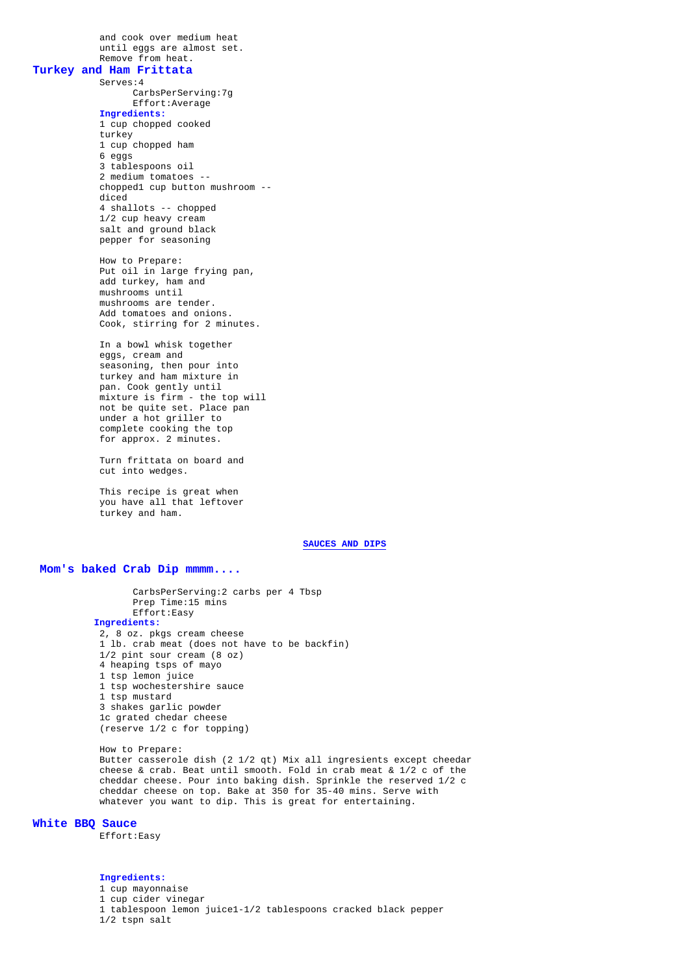and cook over medium heat until eggs are almost set. Remove from heat. **Turkey and Ham Frittata**  Serves:4 CarbsPerServing:7g Effort:Average  **Ingredients:**  1 cup chopped cooked turkey 1 cup chopped ham 6 eggs 3 tablespoons oil 2 medium tomatoes - chopped1 cup button mushroom - diced 4 shallots -- chopped 1/2 cup heavy cream salt and ground black pepper for seasoning How to Prepare:

 Put oil in large frying pan, add turkey, ham and mushrooms until mushrooms are tender. Add tomatoes and onions. Cook, stirring for 2 minutes.

 In a bowl whisk together eggs, cream and seasoning, then pour into turkey and ham mixture in pan. Cook gently until mixture is firm - the top will not be quite set. Place pan under a hot griller to complete cooking the top for approx. 2 minutes.

> Turn frittata on board and cut into wedges.

 This recipe is great when you have all that leftover turkey and ham.

## **SAUCES AND DIPS**

## **Mom's baked Crab Dip mmmm....**

 CarbsPerServing:2 carbs per 4 Tbsp Prep Time:15 mins Effort:Easy  **Ingredients:**  2, 8 oz. pkgs cream cheese 1 lb. crab meat (does not have to be backfin) 1/2 pint sour cream (8 oz) 4 heaping tsps of mayo 1 tsp lemon juice 1 tsp wochestershire sauce 1 tsp mustard 3 shakes garlic powder 1c grated chedar cheese (reserve 1/2 c for topping)

 How to Prepare: Butter casserole dish (2 1/2 qt) Mix all ingresients except cheedar cheese & crab. Beat until smooth. Fold in crab meat & 1/2 c of the cheddar cheese. Pour into baking dish. Sprinkle the reserved 1/2 c cheddar cheese on top. Bake at 350 for 35-40 mins. Serve with whatever you want to dip. This is great for entertaining.

### **White BBQ Sauce**

Effort:Easy

#### **Ingredients:**

- 1 cup mayonnaise
- 1 cup cider vinegar
- 1 tablespoon lemon juice1-1/2 tablespoons cracked black pepper
- 1/2 tspn salt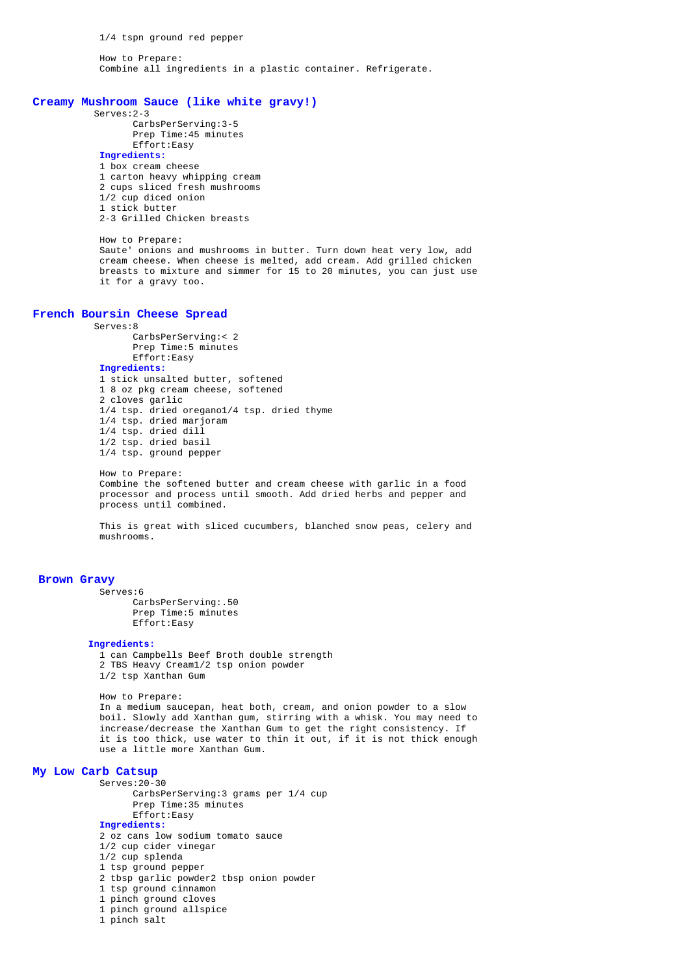1/4 tspn ground red pepper

 How to Prepare: Combine all ingredients in a plastic container. Refrigerate.

## **Creamy Mushroom Sauce (like white gravy!)**

 Serves:2-3 CarbsPerServing:3-5 Prep Time:45 minutes

- Effort:Easy  **Ingredients:**  1 box cream cheese 1 carton heavy whipping cream 2 cups sliced fresh mushrooms 1/2 cup diced onion 1 stick butter
	- 2-3 Grilled Chicken breasts

 How to Prepare: Saute' onions and mushrooms in butter. Turn down heat very low, add cream cheese. When cheese is melted, add cream. Add grilled chicken breasts to mixture and simmer for 15 to 20 minutes, you can just use it for a gravy too.

#### **French Boursin Cheese Spread**

Serves:8

 CarbsPerServing:< 2 Prep Time:5 minutes Effort:Easy  **Ingredients:**  1 stick unsalted butter, softened 1 8 oz pkg cream cheese, softened 2 cloves garlic 1/4 tsp. dried oregano1/4 tsp. dried thyme 1/4 tsp. dried marjoram 1/4 tsp. dried dill 1/2 tsp. dried basil 1/4 tsp. ground pepper

 How to Prepare: Combine the softened butter and cream cheese with garlic in a food processor and process until smooth. Add dried herbs and pepper and process until combined.

 This is great with sliced cucumbers, blanched snow peas, celery and mushrooms.

## **Brown Gravy**

 Serves:6 CarbsPerServing:.50 Prep Time:5 minutes Effort:Easy

#### **Ingredients:**

 1 can Campbells Beef Broth double strength 2 TBS Heavy Cream1/2 tsp onion powder 1/2 tsp Xanthan Gum

 How to Prepare: In a medium saucepan, heat both, cream, and onion powder to a slow boil. Slowly add Xanthan gum, stirring with a whisk. You may need to increase/decrease the Xanthan Gum to get the right consistency. If it is too thick, use water to thin it out, if it is not thick enough use a little more Xanthan Gum.

## **My Low Carb Catsup**

 Serves:20-30 CarbsPerServing:3 grams per 1/4 cup Prep Time:35 minutes Effort:Easy **Ingredients:**  2 oz cans low sodium tomato sauce 1/2 cup cider vinegar 1/2 cup splenda 1 tsp ground pepper 2 tbsp garlic powder2 tbsp onion powder 1 tsp ground cinnamon 1 pinch ground cloves 1 pinch ground allspice 1 pinch salt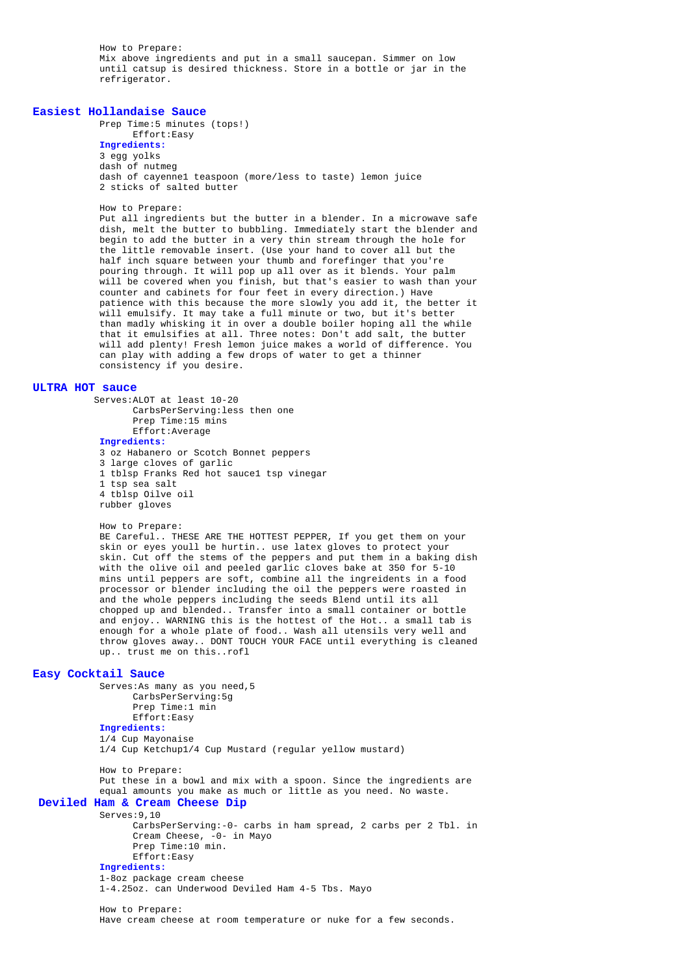How to Prepare: Mix above ingredients and put in a small saucepan. Simmer on low until catsup is desired thickness. Store in a bottle or jar in the refrigerator.

# **Easiest Hollandaise Sauce**

 Prep Time:5 minutes (tops!) Effort:Easy

#### **Ingredients:**

 3 egg yolks dash of nutmeg dash of cayenne1 teaspoon (more/less to taste) lemon juice 2 sticks of salted butter

How to Prepare:

 Put all ingredients but the butter in a blender. In a microwave safe dish, melt the butter to bubbling. Immediately start the blender and begin to add the butter in a very thin stream through the hole for the little removable insert. (Use your hand to cover all but the half inch square between your thumb and forefinger that you're pouring through. It will pop up all over as it blends. Your palm will be covered when you finish, but that's easier to wash than your counter and cabinets for four feet in every direction.) Have patience with this because the more slowly you add it, the better it will emulsify. It may take a full minute or two, but it's better than madly whisking it in over a double boiler hoping all the while that it emulsifies at all. Three notes: Don't add salt, the butter will add plenty! Fresh lemon juice makes a world of difference. You can play with adding a few drops of water to get a thinner consistency if you desire.

### **ULTRA HOT sauce**

 Serves:ALOT at least 10-20 CarbsPerServing:less then one Prep Time:15 mins Effort:Average **Ingredients:**  3 oz Habanero or Scotch Bonnet peppers 3 large cloves of garlic 1 tblsp Franks Red hot sauce1 tsp vinegar 1 tsp sea salt 4 tblsp Oilve oil rubber gloves

How to Prepare:

 BE Careful.. THESE ARE THE HOTTEST PEPPER, If you get them on your skin or eyes youll be hurtin.. use latex gloves to protect your skin. Cut off the stems of the peppers and put them in a baking dish with the olive oil and peeled garlic cloves bake at 350 for 5-10 mins until peppers are soft, combine all the ingreidents in a food processor or blender including the oil the peppers were roasted in and the whole peppers including the seeds Blend until its all chopped up and blended.. Transfer into a small container or bottle and enjoy.. WARNING this is the hottest of the Hot.. a small tab is enough for a whole plate of food.. Wash all utensils very well and throw gloves away.. DONT TOUCH YOUR FACE until everything is cleaned up.. trust me on this..rofl

### **Easy Cocktail Sauce**

 Serves:As many as you need,5 CarbsPerServing:5g Prep Time:1 min Effort:Easy  **Ingredients:**  1/4 Cup Mayonaise 1/4 Cup Ketchup1/4 Cup Mustard (regular yellow mustard) How to Prepare: Put these in a bowl and mix with a spoon. Since the ingredients are equal amounts you make as much or little as you need. No waste. **Deviled Ham & Cream Cheese Dip**  Serves:9,10 CarbsPerServing:-0- carbs in ham spread, 2 carbs per 2 Tbl. in Cream Cheese, -0- in Mayo Prep Time:10 min. Effort:Easy **Ingredients:**  1-8oz package cream cheese

1-4.25oz. can Underwood Deviled Ham 4-5 Tbs. Mayo

 How to Prepare: Have cream cheese at room temperature or nuke for a few seconds.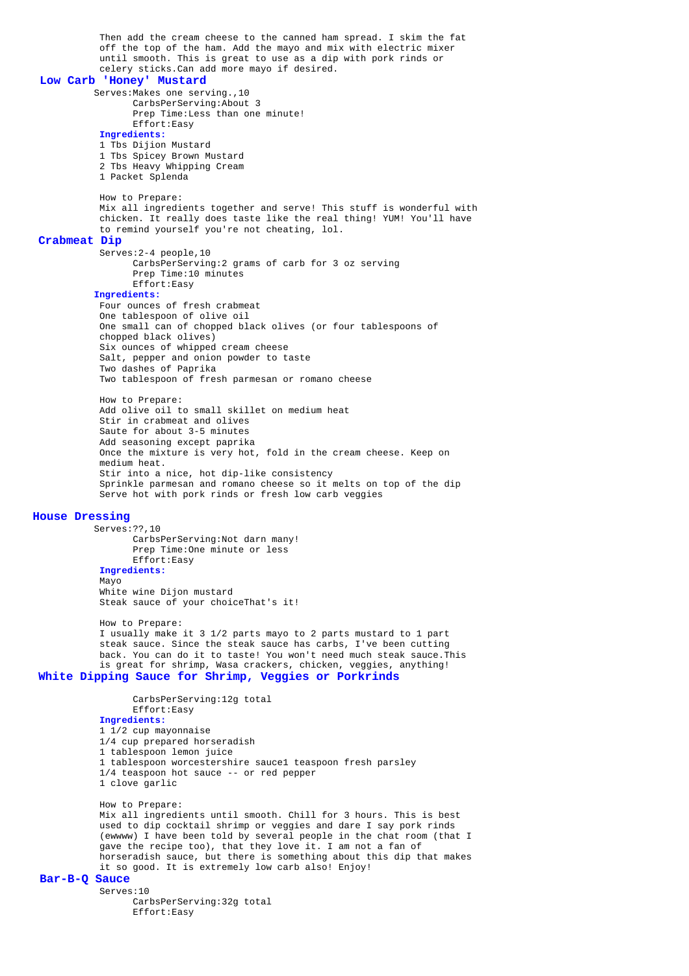Then add the cream cheese to the canned ham spread. I skim the fat off the top of the ham. Add the mayo and mix with electric mixer until smooth. This is great to use as a dip with pork rinds or celery sticks.Can add more mayo if desired.  **Low Carb 'Honey' Mustard**  Serves:Makes one serving.,10 CarbsPerServing:About 3 Prep Time:Less than one minute! Effort:Easy  **Ingredients:**  1 Tbs Dijion Mustard 1 Tbs Spicey Brown Mustard 2 Tbs Heavy Whipping Cream 1 Packet Splenda How to Prepare: Mix all ingredients together and serve! This stuff is wonderful with chicken. It really does taste like the real thing! YUM! You'll have to remind yourself you're not cheating, lol. **Crabmeat Dip**  Serves:2-4 people,10 CarbsPerServing:2 grams of carb for 3 oz serving Prep Time:10 minutes Effort:Easy  **Ingredients:**  Four ounces of fresh crabmeat One tablespoon of olive oil One small can of chopped black olives (or four tablespoons of chopped black olives) Six ounces of whipped cream cheese Salt, pepper and onion powder to taste Two dashes of Paprika Two tablespoon of fresh parmesan or romano cheese How to Prepare: Add olive oil to small skillet on medium heat Stir in crabmeat and olives Saute for about 3-5 minutes Add seasoning except paprika Once the mixture is very hot, fold in the cream cheese. Keep on medium heat. Stir into a nice, hot dip-like consistency Sprinkle parmesan and romano cheese so it melts on top of the dip Serve hot with pork rinds or fresh low carb veggies **House Dressing**  Serves:??,10 CarbsPerServing:Not darn many! Prep Time:One minute or less Effort:Easy **Ingredients:**  Mayo White wine Dijon mustard Steak sauce of your choiceThat's it! How to Prepare: I usually make it 3 1/2 parts mayo to 2 parts mustard to 1 part steak sauce. Since the steak sauce has carbs, I've been cutting back. You can do it to taste! You won't need much steak sauce.This is great for shrimp, Wasa crackers, chicken, veggies, anything! **White Dipping Sauce for Shrimp, Veggies or Porkrinds**  CarbsPerServing:12g total Effort:Easy **Ingredients:**  1 1/2 cup mayonnaise 1/4 cup prepared horseradish 1 tablespoon lemon juice 1 tablespoon worcestershire sauce1 teaspoon fresh parsley 1/4 teaspoon hot sauce -- or red pepper 1 clove garlic How to Prepare: Mix all ingredients until smooth. Chill for 3 hours. This is best used to dip cocktail shrimp or veggies and dare I say pork rinds (ewwww) I have been told by several people in the chat room (that I gave the recipe too), that they love it. I am not a fan of horseradish sauce, but there is something about this dip that makes it so good. It is extremely low carb also! Enjoy!  **Bar-B-Q Sauce**  Serves:10 CarbsPerServing:32g total Effort:Easy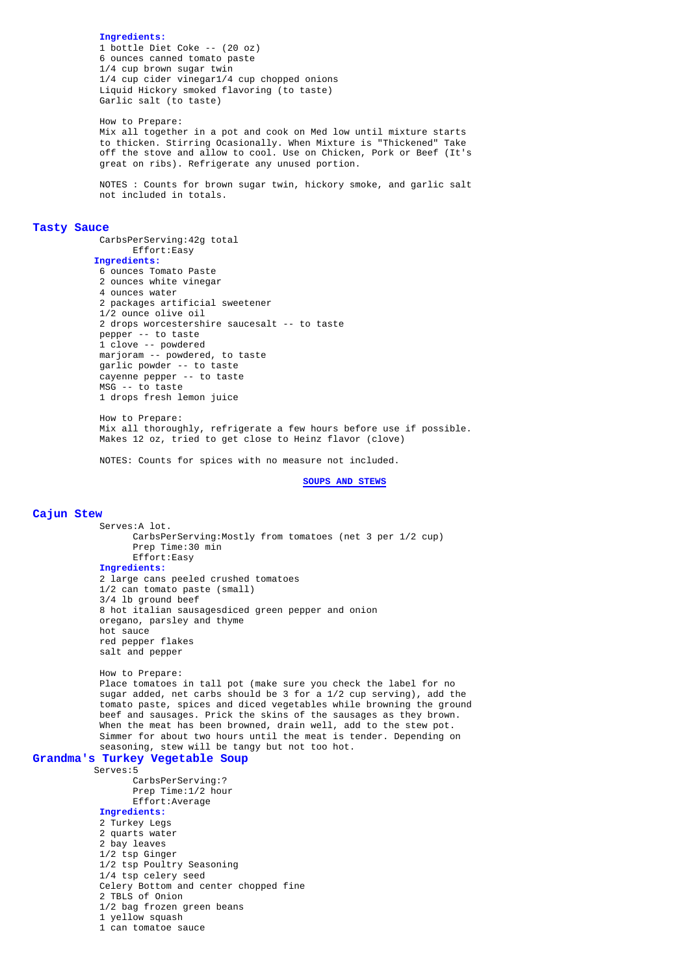**Ingredients:**  1 bottle Diet Coke -- (20 oz) 6 ounces canned tomato paste 1/4 cup brown sugar twin 1/4 cup cider vinegar1/4 cup chopped onions Liquid Hickory smoked flavoring (to taste) Garlic salt (to taste)

 How to Prepare: Mix all together in a pot and cook on Med low until mixture starts to thicken. Stirring Ocasionally. When Mixture is "Thickened" Take off the stove and allow to cool. Use on Chicken, Pork or Beef (It's great on ribs). Refrigerate any unused portion.

 NOTES : Counts for brown sugar twin, hickory smoke, and garlic salt not included in totals.

### **Tasty Sauce**

 CarbsPerServing:42g total Effort:Easy  **Ingredients:**  6 ounces Tomato Paste 2 ounces white vinegar 4 ounces water 2 packages artificial sweetener 1/2 ounce olive oil 2 drops worcestershire saucesalt -- to taste pepper -- to taste 1 clove -- powdered marjoram -- powdered, to taste garlic powder -- to taste cayenne pepper -- to taste MSG -- to taste 1 drops fresh lemon juice

> How to Prepare: Mix all thoroughly, refrigerate a few hours before use if possible. Makes 12 oz, tried to get close to Heinz flavor (clove)

NOTES: Counts for spices with no measure not included.

**SOUPS AND STEWS**

## **Cajun Stew**

 Serves:A lot. CarbsPerServing:Mostly from tomatoes (net 3 per 1/2 cup) Prep Time:30 min Effort:Easy  **Ingredients:**  2 large cans peeled crushed tomatoes 1/2 can tomato paste (small) 3/4 lb ground beef 8 hot italian sausagesdiced green pepper and onion oregano, parsley and thyme hot sauce red pepper flakes salt and pepper

 How to Prepare: Place tomatoes in tall pot (make sure you check the label for no sugar added, net carbs should be 3 for a 1/2 cup serving), add the tomato paste, spices and diced vegetables while browning the ground beef and sausages. Prick the skins of the sausages as they brown. When the meat has been browned, drain well, add to the stew pot. Simmer for about two hours until the meat is tender. Depending on seasoning, stew will be tangy but not too hot. **Grandma's Turkey Vegetable Soup** 

 Serves:5 CarbsPerServing:? Prep Time:1/2 hour Effort:Average **Ingredients:** 

 2 Turkey Legs 2 quarts water 2 bay leaves 1/2 tsp Ginger 1/2 tsp Poultry Seasoning 1/4 tsp celery seed Celery Bottom and center chopped fine 2 TBLS of Onion 1/2 bag frozen green beans 1 yellow squash

1 can tomatoe sauce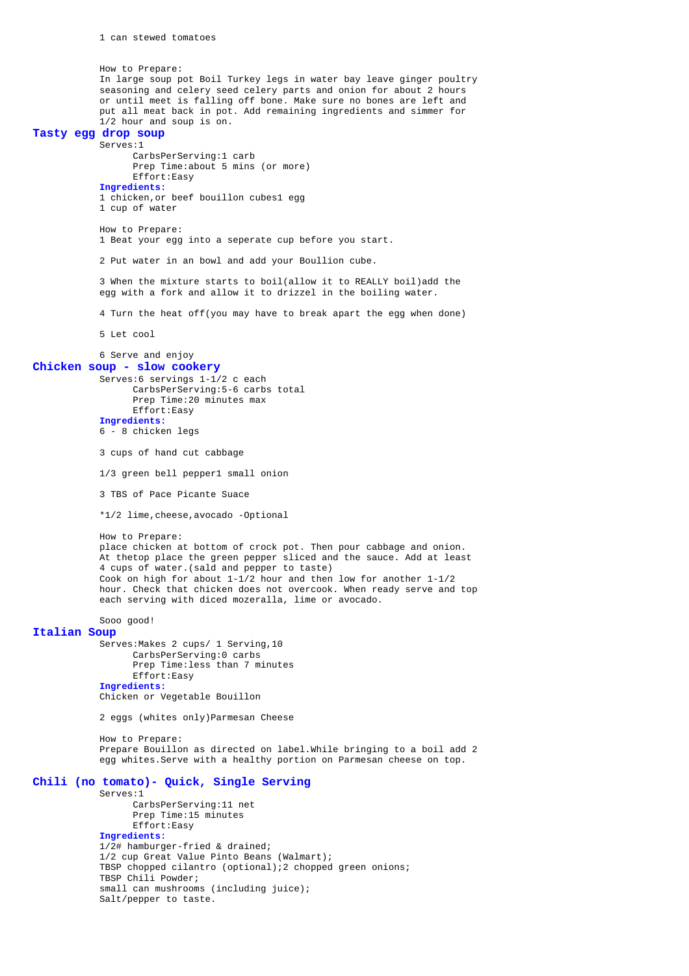```
 How to Prepare: 
             In large soup pot Boil Turkey legs in water bay leave ginger poultry 
             seasoning and celery seed celery parts and onion for about 2 hours 
             or until meet is falling off bone. Make sure no bones are left and 
             put all meat back in pot. Add remaining ingredients and simmer for 
             1/2 hour and soup is on. 
Tasty egg drop soup 
             Serves:1 
                   CarbsPerServing:1 carb 
                   Prep Time:about 5 mins (or more) 
                   Effort:Easy 
             Ingredients: 
             1 chicken,or beef bouillon cubes1 egg 
             1 cup of water 
             How to Prepare: 
             1 Beat your egg into a seperate cup before you start. 
             2 Put water in an bowl and add your Boullion cube. 
             3 When the mixture starts to boil(allow it to REALLY boil)add the 
             egg with a fork and allow it to drizzel in the boiling water. 
             4 Turn the heat off(you may have to break apart the egg when done) 
             5 Let cool 
             6 Serve and enjoy 
Chicken soup - slow cookery 
             Serves:6 servings 1-1/2 c each 
                   CarbsPerServing:5-6 carbs total 
                   Prep Time:20 minutes max 
                   Effort:Easy 
             Ingredients: 
             6 - 8 chicken legs 
             3 cups of hand cut cabbage 
             1/3 green bell pepper1 small onion 
             3 TBS of Pace Picante Suace 
             *1/2 lime,cheese,avocado -Optional 
             How to Prepare: 
             place chicken at bottom of crock pot. Then pour cabbage and onion. 
             At thetop place the green pepper sliced and the sauce. Add at least 
             4 cups of water.(sald and pepper to taste) 
            Cook on high for about 1-1/2 hour and then low for another 1-1/2 hour. Check that chicken does not overcook. When ready serve and top 
             each serving with diced mozeralla, lime or avocado. 
             Sooo good! 
Italian Soup 
             Serves:Makes 2 cups/ 1 Serving,10 
                   CarbsPerServing:0 carbs 
                   Prep Time:less than 7 minutes 
                   Effort:Easy 
             Ingredients: 
             Chicken or Vegetable Bouillon 
             2 eggs (whites only)Parmesan Cheese 
             How to Prepare: 
             Prepare Bouillon as directed on label.While bringing to a boil add 2 
             egg whites.Serve with a healthy portion on Parmesan cheese on top. 
Chili (no tomato)- Quick, Single Serving 
             Serves:1 
                   CarbsPerServing:11 net 
                   Prep Time:15 minutes 
                   Effort:Easy 
             Ingredients: 
             1/2# hamburger-fried & drained; 
             1/2 cup Great Value Pinto Beans (Walmart); 
            TBSP chopped cilantro (optional);2 chopped green onions;
             TBSP Chili Powder; 
            small can mushrooms (including juice);
             Salt/pepper to taste.
```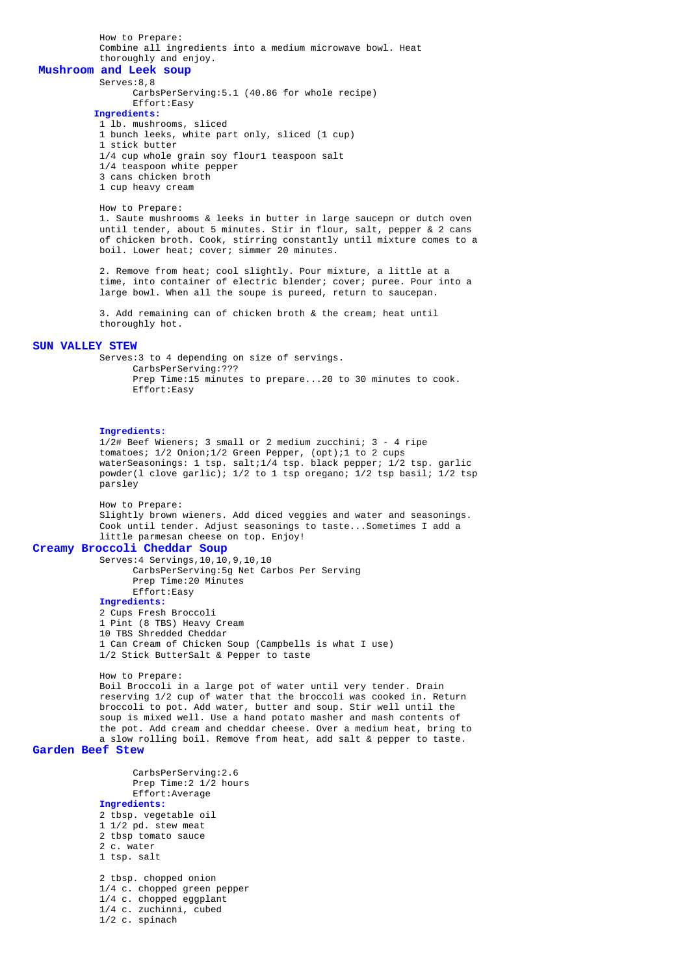How to Prepare: Combine all ingredients into a medium microwave bowl. Heat thoroughly and enjoy. **Mushroom and Leek soup**  Serves:8,8 CarbsPerServing:5.1 (40.86 for whole recipe) Effort:Easy **Ingredients:**  1 lb. mushrooms, sliced 1 bunch leeks, white part only, sliced (1 cup) 1 stick butter 1/4 cup whole grain soy flour1 teaspoon salt 1/4 teaspoon white pepper 3 cans chicken broth 1 cup heavy cream How to Prepare: 1. Saute mushrooms & leeks in butter in large saucepn or dutch oven until tender, about 5 minutes. Stir in flour, salt, pepper & 2 cans of chicken broth. Cook, stirring constantly until mixture comes to a boil. Lower heat; cover; simmer 20 minutes. 2. Remove from heat; cool slightly. Pour mixture, a little at a time, into container of electric blender; cover; puree. Pour into a large bowl. When all the soupe is pureed, return to saucepan. 3. Add remaining can of chicken broth & the cream; heat until thoroughly hot. **SUN VALLEY STEW**  Serves:3 to 4 depending on size of servings. CarbsPerServing:??? Prep Time:15 minutes to prepare...20 to 30 minutes to cook. Effort:Easy  **Ingredients:**   $1/2$ # Beef Wieners; 3 small or 2 medium zucchini; 3 - 4 ripe tomatoes; 1/2 Onion;1/2 Green Pepper, (opt);1 to 2 cups waterSeasonings: 1 tsp. salt;1/4 tsp. black pepper; 1/2 tsp. garlic powder(l clove garlic); 1/2 to 1 tsp oregano; 1/2 tsp basil; 1/2 tsp parsley How to Prepare: Slightly brown wieners. Add diced veggies and water and seasonings. Cook until tender. Adjust seasonings to taste...Sometimes I add a little parmesan cheese on top. Enjoy! **Creamy Broccoli Cheddar Soup**  Serves:4 Servings,10,10,9,10,10 CarbsPerServing:5g Net Carbos Per Serving Prep Time:20 Minutes Effort:Easy  **Ingredients:**  2 Cups Fresh Broccoli 1 Pint (8 TBS) Heavy Cream 10 TBS Shredded Cheddar 1 Can Cream of Chicken Soup (Campbells is what I use) 1/2 Stick ButterSalt & Pepper to taste How to Prepare: Boil Broccoli in a large pot of water until very tender. Drain reserving 1/2 cup of water that the broccoli was cooked in. Return broccoli to pot. Add water, butter and soup. Stir well until the soup is mixed well. Use a hand potato masher and mash contents of the pot. Add cream and cheddar cheese. Over a medium heat, bring to a slow rolling boil. Remove from heat, add salt & pepper to taste. **Garden Beef Stew**  CarbsPerServing:2.6 Prep Time:2 1/2 hours Effort:Average  **Ingredients:**  2 tbsp. vegetable oil 1 1/2 pd. stew meat 2 tbsp tomato sauce 2 c. water 1 tsp. salt 2 tbsp. chopped onion 1/4 c. chopped green pepper 1/4 c. chopped eggplant 1/4 c. zuchinni, cubed 1/2 c. spinach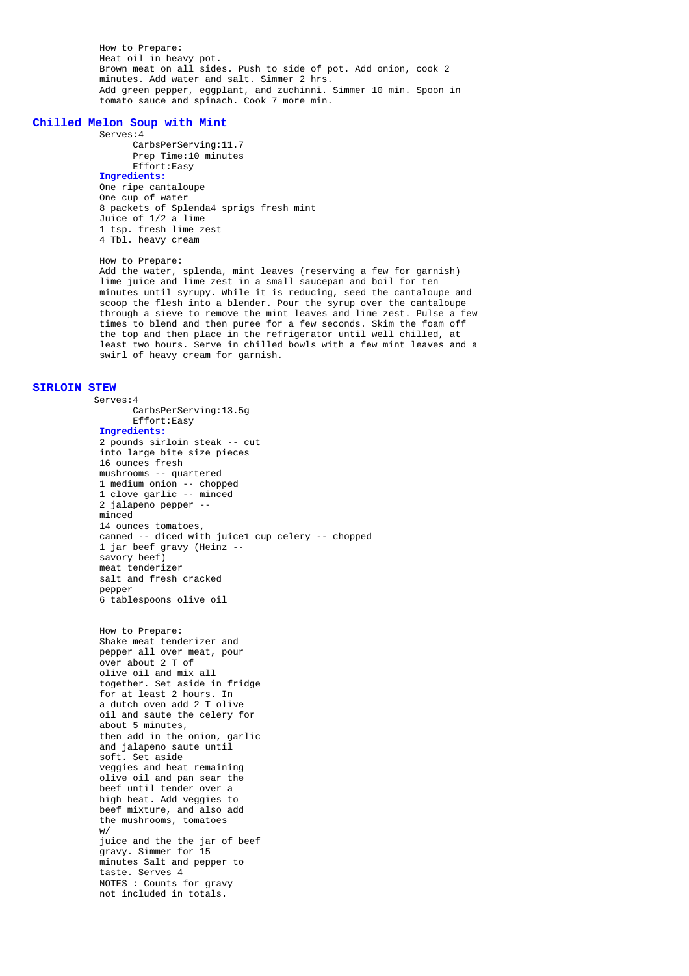How to Prepare: Heat oil in heavy pot. Brown meat on all sides. Push to side of pot. Add onion, cook 2 minutes. Add water and salt. Simmer 2 hrs. Add green pepper, eggplant, and zuchinni. Simmer 10 min. Spoon in tomato sauce and spinach. Cook 7 more min.

## **Chilled Melon Soup with Mint**

 Serves:4 CarbsPerServing:11.7 Prep Time:10 minutes Effort:Easy **Ingredients:**  One ripe cantaloupe One cup of water 8 packets of Splenda4 sprigs fresh mint Juice of 1/2 a lime 1 tsp. fresh lime zest 4 Tbl. heavy cream

 How to Prepare: Add the water, splenda, mint leaves (reserving a few for garnish) lime juice and lime zest in a small saucepan and boil for ten minutes until syrupy. While it is reducing, seed the cantaloupe and scoop the flesh into a blender. Pour the syrup over the cantaloupe through a sieve to remove the mint leaves and lime zest. Pulse a few times to blend and then puree for a few seconds. Skim the foam off the top and then place in the refrigerator until well chilled, at least two hours. Serve in chilled bowls with a few mint leaves and a swirl of heavy cream for garnish.

### **SIRLOIN STEW**

 Serves:4 CarbsPerServing:13.5g Effort:Easy  **Ingredients:**  2 pounds sirloin steak -- cut into large bite size pieces 16 ounces fresh mushrooms -- quartered 1 medium onion -- chopped 1 clove garlic -- minced 2 jalapeno pepper - minced 14 ounces tomatoes, canned -- diced with juice1 cup celery -- chopped 1 jar beef gravy (Heinz - savory beef) meat tenderizer salt and fresh cracked pepper 6 tablespoons olive oil

 How to Prepare: Shake meat tenderizer and pepper all over meat, pour over about 2 T of olive oil and mix all together. Set aside in fridge for at least 2 hours. In a dutch oven add 2 T olive oil and saute the celery for about 5 minutes, then add in the onion, garlic and jalapeno saute until soft. Set aside veggies and heat remaining olive oil and pan sear the beef until tender over a high heat. Add veggies to beef mixture, and also add the mushrooms, tomatoes  $w/$  juice and the the jar of beef gravy. Simmer for 15 minutes Salt and pepper to taste. Serves 4 NOTES : Counts for gravy not included in totals.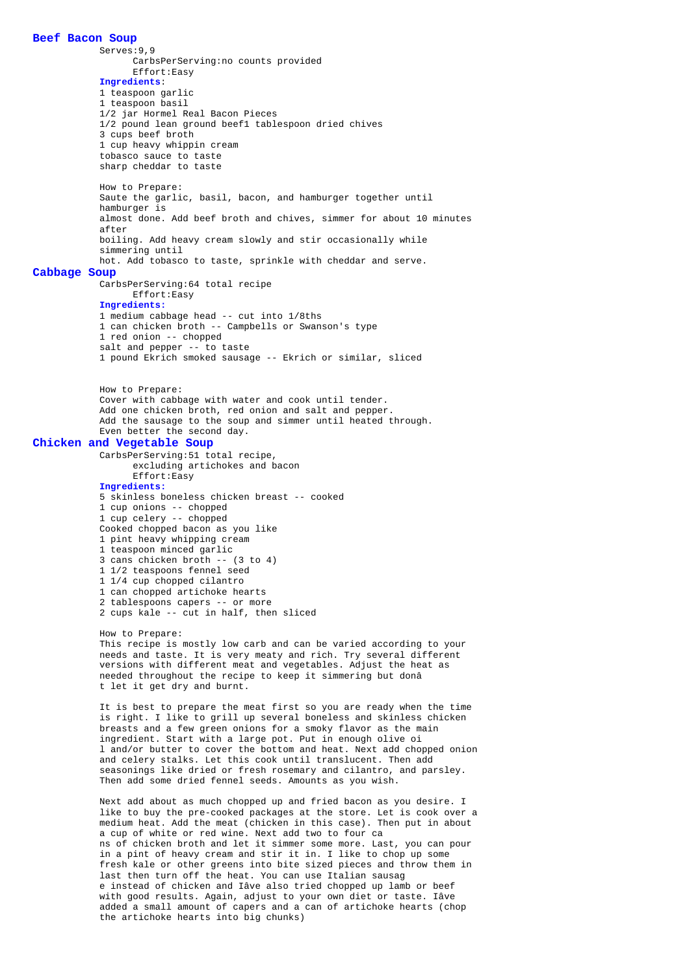Serves:9,9 CarbsPerServing:no counts provided Effort:Easy  **Ingredients**: 1 teaspoon garlic 1 teaspoon basil 1/2 jar Hormel Real Bacon Pieces 1/2 pound lean ground beef1 tablespoon dried chives 3 cups beef broth 1 cup heavy whippin cream tobasco sauce to taste sharp cheddar to taste How to Prepare: Saute the garlic, basil, bacon, and hamburger together until hamburger is almost done. Add beef broth and chives, simmer for about 10 minutes after boiling. Add heavy cream slowly and stir occasionally while simmering until hot. Add tobasco to taste, sprinkle with cheddar and serve. **Cabbage Soup**  CarbsPerServing:64 total recipe Effort:Easy  **Ingredients:**  1 medium cabbage head -- cut into 1/8ths 1 can chicken broth -- Campbells or Swanson's type 1 red onion -- chopped salt and pepper -- to taste 1 pound Ekrich smoked sausage -- Ekrich or similar, sliced How to Prepare: Cover with cabbage with water and cook until tender. Add one chicken broth, red onion and salt and pepper. Add the sausage to the soup and simmer until heated through. Even better the second day. **Chicken and Vegetable Soup**  CarbsPerServing:51 total recipe, excluding artichokes and bacon Effort:Easy **Ingredients:**  5 skinless boneless chicken breast -- cooked 1 cup onions -- chopped 1 cup celery -- chopped Cooked chopped bacon as you like 1 pint heavy whipping cream 1 teaspoon minced garlic 3 cans chicken broth -- (3 to 4) 1 1/2 teaspoons fennel seed 1 1/4 cup chopped cilantro 1 can chopped artichoke hearts 2 tablespoons capers -- or more 2 cups kale -- cut in half, then sliced How to Prepare: This recipe is mostly low carb and can be varied according to your needs and taste. It is very meaty and rich. Try several different versions with different meat and vegetables. Adjust the heat as needed throughout the recipe to keep it simmering but donâ t let it get dry and burnt. It is best to prepare the meat first so you are ready when the time is right. I like to grill up several boneless and skinless chicken breasts and a few green onions for a smoky flavor as the main ingredient. Start with a large pot. Put in enough olive oi l and/or butter to cover the bottom and heat. Next add chopped onion and celery stalks. Let this cook until translucent. Then add seasonings like dried or fresh rosemary and cilantro, and parsley. Then add some dried fennel seeds. Amounts as you wish. Next add about as much chopped up and fried bacon as you desire. I like to buy the pre-cooked packages at the store. Let is cook over a medium heat. Add the meat (chicken in this case). Then put in about a cup of white or red wine. Next add two to four ca ns of chicken broth and let it simmer some more. Last, you can pour in a pint of heavy cream and stir it in. I like to chop up some fresh kale or other greens into bite sized pieces and throw them in last then turn off the heat. You can use Italian sausag e instead of chicken and Iâve also tried chopped up lamb or beef with good results. Again, adjust to your own diet or taste. Iâve added a small amount of capers and a can of artichoke hearts (chop the artichoke hearts into big chunks)

**Beef Bacon Soup**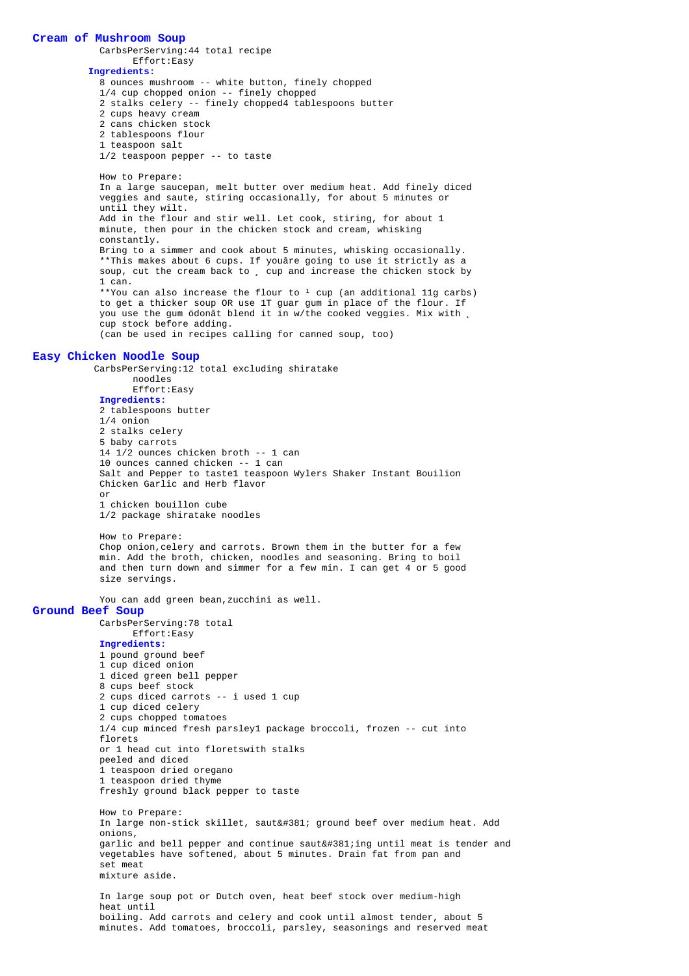#### **Cream of Mushroom Soup**

 CarbsPerServing:44 total recipe Effort:Easy **Ingredients:**  8 ounces mushroom -- white button, finely chopped 1/4 cup chopped onion -- finely chopped 2 stalks celery -- finely chopped4 tablespoons butter 2 cups heavy cream 2 cans chicken stock 2 tablespoons flour 1 teaspoon salt 1/2 teaspoon pepper -- to taste How to Prepare: In a large saucepan, melt butter over medium heat. Add finely diced veggies and saute, stiring occasionally, for about 5 minutes or until they wilt. Add in the flour and stir well. Let cook, stiring, for about 1 minute, then pour in the chicken stock and cream, whisking constantly. Bring to a simmer and cook about 5 minutes, whisking occasionally. \*\*This makes about 6 cups. If youâre going to use it strictly as a soup, cut the cream back to ¸ cup and increase the chicken stock by 1 can. \*\*You can also increase the flour to  $1$  cup (an additional 11g carbs) to get a thicker soup OR use 1T guar gum in place of the flour. If you use the gum ödonât blend it in w/the cooked veggies. Mix with ¸ cup stock before adding.

### (can be used in recipes calling for canned soup, too)

#### **Easy Chicken Noodle Soup**

 CarbsPerServing:12 total excluding shiratake noodles Effort:Easy  **Ingredients:**  2 tablespoons butter  $1/4$  onion 2 stalks celery 5 baby carrots 14 1/2 ounces chicken broth -- 1 can 10 ounces canned chicken -- 1 can Salt and Pepper to taste1 teaspoon Wylers Shaker Instant Bouilion Chicken Garlic and Herb flavor or 1 chicken bouillon cube 1/2 package shiratake noodles How to Prepare: Chop onion,celery and carrots. Brown them in the butter for a few min. Add the broth, chicken, noodles and seasoning. Bring to boil and then turn down and simmer for a few min. I can get 4 or 5 good size servings. You can add green bean,zucchini as well. **Ground Beef Soup**  CarbsPerServing:78 total Effort:Easy **Ingredients:**  1 pound ground beef 1 cup diced onion 1 diced green bell pepper 8 cups beef stock 2 cups diced carrots -- i used 1 cup 1 cup diced celery 2 cups chopped tomatoes 1/4 cup minced fresh parsley1 package broccoli, frozen -- cut into florets or 1 head cut into floretswith stalks peeled and diced 1 teaspoon dried oregano 1 teaspoon dried thyme freshly ground black pepper to taste

> How to Prepare: In large non-stick skillet, sautŽ ground beef over medium heat. Add onions, garlic and bell pepper and continue sautŽing until meat is tender and vegetables have softened, about 5 minutes. Drain fat from pan and set meat mixture aside.

 In large soup pot or Dutch oven, heat beef stock over medium-high heat until boiling. Add carrots and celery and cook until almost tender, about 5 minutes. Add tomatoes, broccoli, parsley, seasonings and reserved meat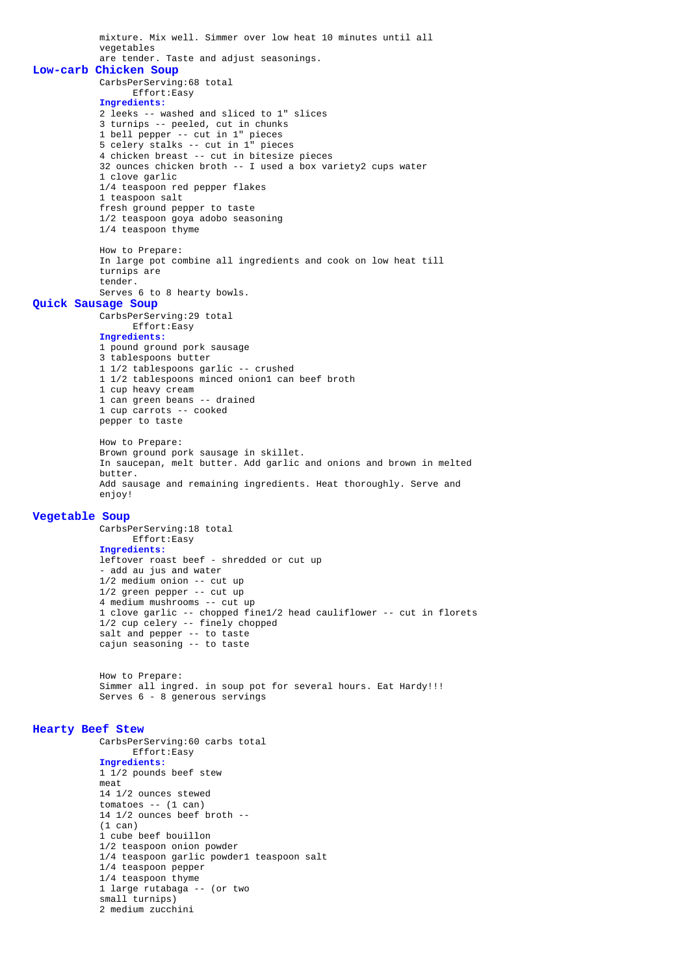mixture. Mix well. Simmer over low heat 10 minutes until all vegetables are tender. Taste and adjust seasonings. **Low-carb Chicken Soup**  CarbsPerServing:68 total Effort:Easy  **Ingredients:**  2 leeks -- washed and sliced to 1" slices 3 turnips -- peeled, cut in chunks 1 bell pepper -- cut in 1" pieces 5 celery stalks -- cut in 1" pieces 4 chicken breast -- cut in bitesize pieces 32 ounces chicken broth -- I used a box variety2 cups water 1 clove garlic 1/4 teaspoon red pepper flakes 1 teaspoon salt fresh ground pepper to taste 1/2 teaspoon goya adobo seasoning 1/4 teaspoon thyme How to Prepare: In large pot combine all ingredients and cook on low heat till turnips are tender. Serves 6 to 8 hearty bowls. **Quick Sausage Soup**  CarbsPerServing:29 total Effort:Easy **Ingredients:**  1 pound ground pork sausage 3 tablespoons butter 1 1/2 tablespoons garlic -- crushed 1 1/2 tablespoons minced onion1 can beef broth 1 cup heavy cream 1 can green beans -- drained 1 cup carrots -- cooked pepper to taste How to Prepare: Brown ground pork sausage in skillet. In saucepan, melt butter. Add garlic and onions and brown in melted butter. Add sausage and remaining ingredients. Heat thoroughly. Serve and enjoy! **Vegetable Soup**  CarbsPerServing:18 total Effort:Easy **Ingredients:**  leftover roast beef - shredded or cut up - add au jus and water 1/2 medium onion -- cut up 1/2 green pepper -- cut up 4 medium mushrooms -- cut up 1 clove garlic -- chopped fine1/2 head cauliflower -- cut in florets 1/2 cup celery -- finely chopped salt and pepper -- to taste cajun seasoning -- to taste How to Prepare: Simmer all ingred. in soup pot for several hours. Eat Hardy!!! Serves 6 - 8 generous servings **Hearty Beef Stew**  CarbsPerServing:60 carbs total Effort:Easy **Ingredients:**  1 1/2 pounds beef stew meat 14 1/2 ounces stewed tomatoes -- (1 can) 14 1/2 ounces beef broth -- (1 can) 1 cube beef bouillon 1/2 teaspoon onion powder 1/4 teaspoon garlic powder1 teaspoon salt 1/4 teaspoon pepper 1/4 teaspoon thyme 1 large rutabaga -- (or two small turnips)

2 medium zucchini